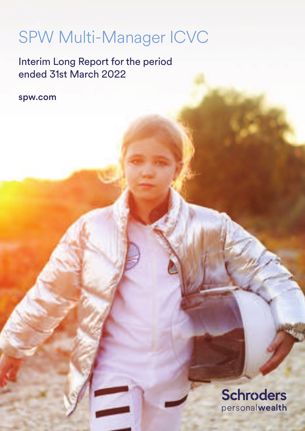# SPW Multi-Manager ICVC

Interim Long Report for the period ended 31st March 2022

spw.com

**Schroders** personalwealth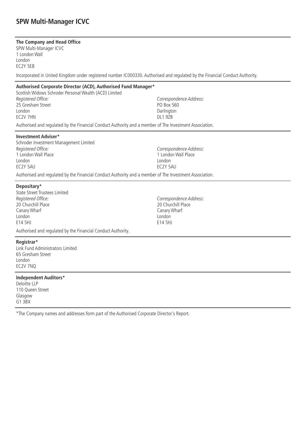### **The Company and Head Office**

SPW Multi-Manager ICVC 1 London Wall London EC2Y 5EB

Incorporated in United Kingdom under registered number IC000330. Authorised and regulated by the Financial Conduct Authority.

#### **Authorised Corporate Director (ACD), Authorised Fund Manager\***

Scottish Widows Schroder Personal Wealth (ACD) Limited Registered Office: 25 Gresham Street London EC2V 7HN

Authorised and regulated by the Financial Conduct Authority and a member of The Investment Association.

#### **Investment Adviser\***

Schroder Investment Management Limited Registered Office: 1 London Wall Place London EC2Y 5AU

Correspondence Address: 1 London Wall Place London EC2Y 5AU

Correspondence Address:

PO Box 560 **Darlington** DL1 97<sub>R</sub>

Authorised and regulated by the Financial Conduct Authority and a member of The Investment Association.

#### **Depositary\***

State Street Trustees Limited Registered Office: 20 Churchill Place Canary Wharf London E14 5HJ

Correspondence Address: 20 Churchill Place Canary Wharf London E14 5HJ

Authorised and regulated by the Financial Conduct Authority.

#### **Registrar\***

Link Fund Administrators Limited 65 Gresham Street London EC2V 7NQ

#### **Independent Auditors\***

Deloitte LLP 110 Queen Street Glasgow G1 3BX

\*The Company names and addresses form part of the Authorised Corporate Director's Report.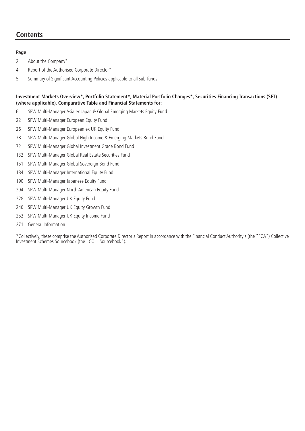### **Contents**

### **Page**

2 About the Company\*

- 4 Report of the Authorised Corporate Director\*
- 5 Summary of Significant Accounting Policies applicable to all sub-funds

### **Investment Markets Overview\*, Portfolio Statement\*, Material Portfolio Changes\*, Securities Financing Transactions (SFT) (where applicable), Comparative Table and Financial Statements for:**

- 6 SPW Multi-Manager Asia ex Japan & Global Emerging Markets Equity Fund
- 22 SPW Multi-Manager European Equity Fund
- 26 SPW Multi-Manager European ex UK Equity Fund
- 38 SPW Multi-Manager Global High Income & Emerging Markets Bond Fund
- 72 SPW Multi-Manager Global Investment Grade Bond Fund
- 132 SPW Multi-Manager Global Real Estate Securities Fund
- 151 SPW Multi-Manager Global Sovereign Bond Fund
- 184 SPW Multi-Manager International Equity Fund
- 190 SPW Multi-Manager Japanese Equity Fund
- 204 SPW Multi-Manager North American Equity Fund
- 228 SPW Multi-Manager UK Equity Fund
- 246 SPW Multi-Manager UK Equity Growth Fund
- 252 SPW Multi-Manager UK Equity Income Fund
- 271 General Information

\*Collectively, these comprise the Authorised Corporate Director's Report in accordance with the Financial Conduct Authority's (the "FCA") Collective Investment Schemes Sourcebook (the "COLL Sourcebook").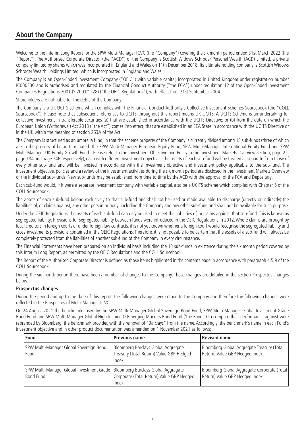### **About the Company**

Welcome to the Interim Long Report for the SPW Multi-Manager ICVC (the "Company") covering the six month period ended 31st March 2022 (the "Report"). The Authorised Corporate Director (the "ACD") of the Company is Scottish Widows Schroder Personal Wealth (ACD) Limited, a private company limited by shares which was incorporated in England and Wales on 11th December 2018. Its ultimate holding company is Scottish Widows Schroder Wealth Holdings Limited, which is incorporated in England and Wales.

The Company is an Open-Ended Investment Company ("OEIC") with variable capital, incorporated in United Kingdom under registration number IC000330 and is authorised and regulated by the Financial Conduct Authority ("the FCA") under regulation 12 of the Open-Ended Investment Companies Regulations 2001 (SI2001/1228) ("the OEIC Regulations"), with effect from 21st September 2004.

Shareholders are not liable for the debts of the Company.

The Company is a UK UCITS scheme which complies with the Financial Conduct Authority's Collective Investment Schemes Sourcebook (the "COLL Sourcebook"). Please note that subsequent references to UCITS throughout this report means UK UCITS. A UCITS Scheme is an undertaking for collective investment in transferable securities (a) that are established in accordance with the UCITS Directive; or (b) from the date on which the European Union (Withdrawal) Act 2018 ("the Act") comes into effect, that are established in an EEA State in accordance with the UCITS Directive or in the UK within the meaning of section 263A of the Act.

The Company is structured as an umbrella fund, in that the scheme property of the Company is currently divided among 13 sub-funds (three of which are in the process of being terminated: the SPW Multi-Manager European Equity Fund, SPW Multi-Manager International Equity Fund and SPW Multi-Manager UK Equity Growth Fund - Please refer to the Investment Objective and Policy in the Investment Markets Overview section, page 22, page 184 and page 246 respectively), each with different investment objectives. The assets of each sub-fund will be treated as separate from those of every other sub-fund and will be invested in accordance with the investment objective and investment policy applicable to the sub-fund. The investment objective, policies and a review of the investment activities during the six month period are disclosed in the Investment Markets Overview of the individual sub-funds. New sub-funds may be established from time to time by the ACD with the approval of the FCA and Depositary.

Each sub-fund would, if it were a separate investment company with variable capital, also be a UCITS scheme which complies with Chapter 5 of the COLL Sourcebook.

The assets of each sub-fund belong exclusively to that sub-fund and shall not be used or made available to discharge (directly or indirectly) the liabilities of, or claims against, any other person or body, including the Company and any other sub-fund and shall not be available for such purpose.

Under the OEIC Regulations, the assets of each sub-fund can only be used to meet the liabilities of, or claims against, that sub-fund. This is known as segregated liability. Provisions for segregated liability between funds were introduced in the OEIC Regulations in 2012. Where claims are brought by local creditors in foreign courts or under foreign law contracts, it is not yet known whether a foreign court would recognise the segregated liability and cross-investments provisions contained in the OEIC Regulations. Therefore, it is not possible to be certain that the assets of a sub-fund will always be completely protected from the liabilities of another sub-fund of the Company in every circumstance.

The Financial Statements have been prepared on an individual basis including the 13 sub-funds in existence during the six month period covered by this Interim Long Report, as permitted by the OEIC Regulations and the COLL Sourcebook.

The Report of the Authorised Corporate Director is defined as those items highlighted in the contents page in accordance with paragraph 4.5.9 of the COLL Sourcebook.

During the six month period there have been a number of changes to the Company. These changes are detailed in the section Prospectus changes below.

#### **Prospectus changes**

During the period and up to the date of this report, the following changes were made to the Company and therefore the following changes were reflected in the Prospectus of Multi-Manager ICVC:

On 24 August 2021 the benchmarks used by the SPW Multi-Manager Global Sovereign Bond Fund, SPW Multi-Manager Global Investment Grade Bond Fund and SPW Multi-Manager Global High Income & Emerging Markets Bond Fund ('the Funds') to compare their performance against were rebranded by Bloomberg, the benchmark provider, with the removal of "Barclays" from the name. Accordingly, the benchmark's name in each Fund's investment objective and in other product documentation was amended on 1 November 2021 as follows:

| <b>Fund</b>                                                                                         | <b>Previous name</b>                                                                     | Revised name                                                                  |
|-----------------------------------------------------------------------------------------------------|------------------------------------------------------------------------------------------|-------------------------------------------------------------------------------|
| SPW Multi-Manager Global Sovereign Bond<br>Fund                                                     | Bloomberg Barclays Global Aggregate<br>Treasury (Total Return) Value GBP Hedged<br>index | Bloomberg Global Aggregate Treasury (Total<br>Return) Value GBP Hedged index  |
| SPW Multi-Manager Global Investment Grade   Bloomberg Barclays Global Aggregate<br><b>Bond Fund</b> | Corporate (Total Return) Value GBP Hedged<br>index                                       | Bloomberg Global Aggregate Corporate (Total<br>Return) Value GBP Hedged index |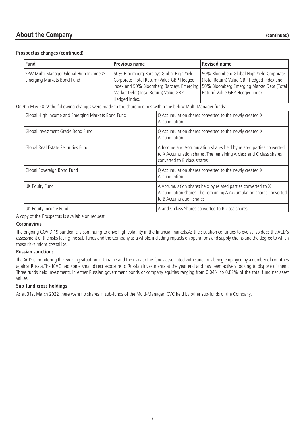### **About the Company (continued)**

#### **Prospectus changes (continued)**

| <b>Fund</b>                                                          | <b>Previous name</b>                                                                                                                                                                                                                       | <b>Revised name</b>                                                                                                       |
|----------------------------------------------------------------------|--------------------------------------------------------------------------------------------------------------------------------------------------------------------------------------------------------------------------------------------|---------------------------------------------------------------------------------------------------------------------------|
| SPW Multi-Manager Global High Income &<br>Emerging Markets Bond Fund | 50% Bloomberg Barclays Global High Yield<br>Corporate (Total Return) Value GBP Hedged<br>  index and 50% Bloomberg Barclays Emerging   50% Bloomberg Emerging Market Debt (Total)<br>Market Debt (Total Return) Value GBP<br>Hedged index. | 50% Bloomberg Global High Yield Corporate<br>(Total Return) Value GBP Hedged index and<br>Return) Value GBP Hedged index. |

On 9th May 2022 the following changes were made to the shareholdings within the below Multi Manager funds:

| Global High Income and Emerging Markets Bond Fund | Q Accumulation shares converted to the newly created X<br>Accumulation                                                                                                  |
|---------------------------------------------------|-------------------------------------------------------------------------------------------------------------------------------------------------------------------------|
| Global Investment Grade Bond Fund                 | Q Accumulation shares converted to the newly created X<br>Accumulation                                                                                                  |
| Global Real Estate Securities Fund                | A Income and Accumulation shares held by related parties converted<br>to X Accumulation shares. The remaining A class and C class shares<br>converted to B class shares |
| Global Sovereign Bond Fund                        | Q Accumulation shares converted to the newly created X<br>Accumulation                                                                                                  |
| UK Equity Fund                                    | A Accumulation shares held by related parties converted to X<br>Accumulation shares. The remaining A Accumulation shares converted<br>to B Accumulation shares          |
| UK Equity Income Fund                             | A and C class Shares converted to B class shares                                                                                                                        |

A copy of the Prospectus is available on request.

#### **Coronavirus**

The ongoing COVID 19 pandemic is continuing to drive high volatility in the financial markets.As the situation continues to evolve, so does the ACD's assessment of the risks facing the sub-funds and the Company as a whole, including impacts on operations and supply chains and the degree to which these risks might crystallise.

### **Russian sanctions**

The ACD is monitoring the evolving situation in Ukraine and the risks to the funds associated with sanctions being employed by a number of countries against Russia.The ICVC had some small direct exposure to Russian investments at the year end and has been actively looking to dispose of them. Three funds held investments in either Russian government bonds or company equities ranging from 0.04% to 0.82% of the total fund net asset values.

### **Sub-fund cross-holdings**

As at 31st March 2022 there were no shares in sub-funds of the Multi-Manager ICVC held by other sub-funds of the Company.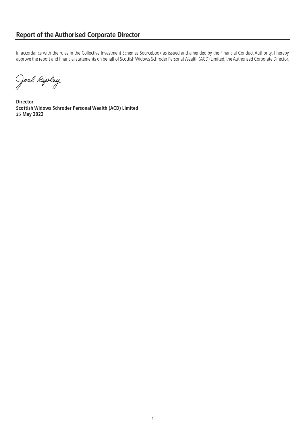### **Report of the Authorised Corporate Director**

In accordance with the rules in the Collective Investment Schemes Sourcebook as issued and amended by the Financial Conduct Authority, I hereby approve the report and financial statements on behalf of Scottish Widows Schroder Personal Wealth (ACD) Limited, the Authorised Corporate Director.

Joel Ripley

**Director Scottish Widows Schroder Personal Wealth (ACD) Limited 25 May 2022**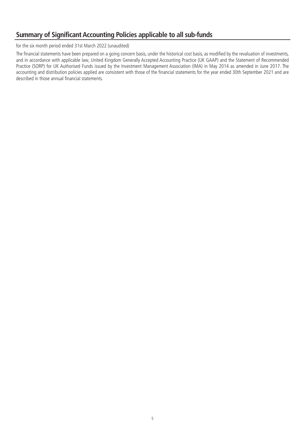### **Summary of Significant Accounting Policies applicable to all sub-funds**

for the six month period ended 31st March 2022 (unaudited)

The financial statements have been prepared on a going concern basis, under the historical cost basis, as modified by the revaluation of investments, and in accordance with applicable law, United Kingdom Generally Accepted Accounting Practice (UK GAAP) and the Statement of Recommended Practice (SORP) for UK Authorised Funds issued by the Investment Management Association (IMA) in May 2014 as amended in June 2017. The accounting and distribution policies applied are consistent with those of the financial statements for the year ended 30th September 2021 and are described in those annual financial statements.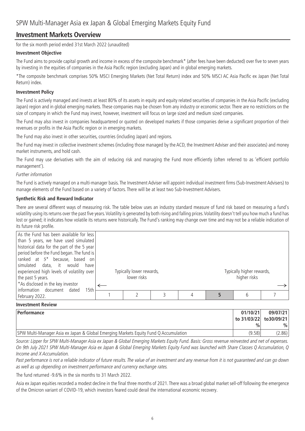### **Investment Markets Overview**

for the six month period ended 31st March 2022 (unaudited)

### **Investment Objective**

The Fund aims to provide capital growth and income in excess of the composite benchmark\* (after fees have been deducted) over five to seven years by investing in the equities of companies in the Asia Pacific region (excluding Japan) and in global emerging markets.

\*The composite benchmark comprises 50% MSCI Emerging Markets (Net Total Return) index and 50% MSCI AC Asia Pacific ex Japan (Net Total Return) index.

#### **Investment Policy**

The Fund is actively managed and invests at least 80% of its assets in equity and equity related securities of companies in the Asia Pacific (excluding Japan) region and in global emerging markets. These companies may be chosen from any industry or economic sector. There are no restrictions on the size of company in which the Fund may invest, however, investment will focus on large sized and medium sized companies.

The Fund may also invest in companies headquartered or quoted on developed markets if those companies derive a significant proportion of their revenues or profits in the Asia Pacific region or in emerging markets.

The Fund may also invest in other securities, countries (including Japan) and regions.

The Fund may invest in collective investment schemes (including those managed by the ACD, the Investment Adviser and their associates) and money market instruments, and hold cash.

The Fund may use derivatives with the aim of reducing risk and managing the Fund more efficiently (often referred to as 'efficient portfolio management').

#### Further information

The Fund is actively managed on a multi-manager basis. The Investment Adviser will appoint individual investment firms (Sub-Investment Advisers) to manage elements of the Fund based on a variety of factors. There will be at least two Sub-Investment Advisers.

### **Synthetic Risk and Reward Indicator**

There are several different ways of measuring risk. The table below uses an industry standard measure of fund risk based on measuring a fund's volatility using its returns over the past five years.Volatility is generated by both rising and falling prices.Volatility doesn't tell you how much a fund has lost or gained; it indicates how volatile its returns were historically. The Fund's ranking may change over time and may not be a reliable indication of its future risk profile.

| As the Fund has been available for less<br>than 5 years, we have used simulated<br>historical data for the part of the 5 year<br>period before the Fund began. The fund is<br>$ $ ranked at $5^*$ because, based on |                          |  |                           |  |
|---------------------------------------------------------------------------------------------------------------------------------------------------------------------------------------------------------------------|--------------------------|--|---------------------------|--|
| simulated data, it would<br>have<br>experienced high levels of volatility over                                                                                                                                      | Typically lower rewards, |  | Typically higher rewards, |  |
| the past 5 years.                                                                                                                                                                                                   | lower risks              |  | higher risks              |  |
| <sup>*</sup> As disclosed in the key investor<br>Information document dated<br>15th                                                                                                                                 |                          |  |                           |  |
| February 2022.                                                                                                                                                                                                      |                          |  | 6                         |  |

### **Investment Review**

| <b>Performance</b>                                                                   | 01/10/21                | 09/07/21 |
|--------------------------------------------------------------------------------------|-------------------------|----------|
|                                                                                      | to 31/03/22 to 30/09/21 |          |
|                                                                                      | $\frac{0}{0}$           | $\%$     |
| SPW Multi-Manager Asia ex Japan & Global Emerging Markets Equity Fund Q Accumulation | (9.58)                  | 2.86)    |

Source: Lipper for SPW Multi-Manager Asia ex Japan & Global Emerging Markets Equity Fund. Basis: Gross revenue reinvested and net of expenses. On 9th July 2021 SPW Multi-Manager Asia ex Japan & Global Emerging Markets Equity Fund was launched with Share Classes Q Accumulation, Q Income and X Accumulation.

Past performance is not a reliable indicator of future results. The value of an investment and any revenue from it is not guaranteed and can go down as well as up depending on investment performance and currency exchange rates.

The fund returned -9.6% in the six months to 31 March 2022.

Asia ex Japan equities recorded a modest decline in the final three months of 2021. There was a broad global market sell-off following the emergence of the Omicron variant of COVID-19, which investors feared could derail the international economic recovery.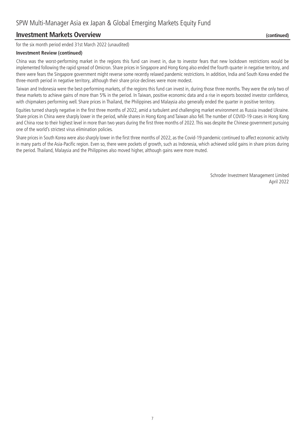### **Investment Markets Overview (continued)**

for the six month period ended 31st March 2022 (unaudited)

#### **Investment Review (continued)**

China was the worst-performing market in the regions this fund can invest in, due to investor fears that new lockdown restrictions would be implemented following the rapid spread of Omicron. Share prices in Singapore and Hong Kong also ended the fourth quarter in negative territory, and there were fears the Singapore government might reverse some recently relaxed pandemic restrictions. In addition, India and South Korea ended the three-month period in negative territory, although their share price declines were more modest.

Taiwan and Indonesia were the best-performing markets, of the regions this fund can invest in, during those three months. They were the only two of these markets to achieve gains of more than 5% in the period. In Taiwan, positive economic data and a rise in exports boosted investor confidence, with chipmakers performing well. Share prices in Thailand, the Philippines and Malaysia also generally ended the quarter in positive territory.

Equities turned sharply negative in the first three months of 2022, amid a turbulent and challenging market environment as Russia invaded Ukraine. Share prices in China were sharply lower in the period, while shares in Hong Kong and Taiwan also fell. The number of COVID-19 cases in Hong Kong and China rose to their highest level in more than two years during the first three months of 2022. This was despite the Chinese government pursuing one of the world's strictest virus elimination policies.

Share prices in South Korea were also sharply lower in the first three months of 2022, as the Covid-19 pandemic continued to affect economic activity in many parts of the Asia-Pacific region. Even so, there were pockets of growth, such as Indonesia, which achieved solid gains in share prices during the period. Thailand, Malaysia and the Philippines also moved higher, although gains were more muted.

> Schroder Investment Management Limited April 2022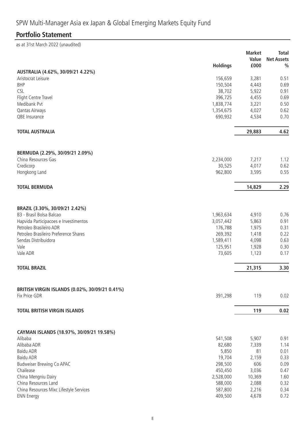# **Portfolio Statement**

as at 31st March 2022 (unaudited)

|                                                | <b>Holdings</b> | <b>Market</b><br>Value<br>£000 | <b>Total</b><br><b>Net Assets</b><br>$\frac{0}{0}$ |
|------------------------------------------------|-----------------|--------------------------------|----------------------------------------------------|
| AUSTRALIA (4.62%, 30/09/21 4.22%)              |                 |                                |                                                    |
| Aristocrat Leisure                             | 156,659         | 3,281                          | 0.51                                               |
| <b>BHP</b>                                     | 150,504         | 4,443                          | 0.69                                               |
| <b>CSL</b>                                     | 38,702          | 5,922                          | 0.91                                               |
| Flight Centre Travel                           | 396,725         | 4,455                          | 0.69                                               |
| Medibank Pvt                                   | 1,838,774       | 3,221                          | 0.50                                               |
| Qantas Airways                                 | 1,354,675       | 4,027                          | 0.62                                               |
| QBE Insurance                                  | 690,932         | 4,534                          | 0.70                                               |
| <b>TOTAL AUSTRALIA</b>                         |                 | 29,883                         | 4.62                                               |
| BERMUDA (2.29%, 30/09/21 2.09%)                |                 |                                |                                                    |
| China Resources Gas                            | 2,234,000       | 7,217                          | 1.12                                               |
| Credicorp                                      | 30,525          | 4,017                          | 0.62                                               |
| Hongkong Land                                  | 962,800         | 3,595                          | 0.55                                               |
| <b>TOTAL BERMUDA</b>                           |                 | 14,829                         | 2.29                                               |
|                                                |                 |                                |                                                    |
| BRAZIL (3.30%, 30/09/21 2.42%)                 |                 |                                |                                                    |
| B3 - Brasil Bolsa Balcao                       | 1,963,634       | 4,910                          | 0.76                                               |
| Hapvida Participacoes e Investimentos          | 3,057,442       | 5,863                          | 0.91                                               |
| Petroleo Brasileiro ADR                        | 176,788         | 1,975                          | 0.31                                               |
| Petroleo Brasileiro Preference Shares          | 269,392         | 1,418                          | 0.22                                               |
| Sendas Distribuidora                           | 1,589,411       | 4,098                          | 0.63                                               |
| Vale                                           | 125,951         | 1,928                          | 0.30                                               |
| Vale ADR                                       | 73,605          | 1,123                          | 0.17                                               |
| <b>TOTAL BRAZIL</b>                            |                 | 21,315                         | 3.30                                               |
| BRITISH VIRGIN ISLANDS (0.02%, 30/09/21 0.41%) |                 |                                |                                                    |
| Fix Price GDR                                  | 391,298         | 119                            | 0.02                                               |
| <b>TOTAL BRITISH VIRGIN ISLANDS</b>            |                 | 119                            | 0.02                                               |
| CAYMAN ISLANDS (18.97%, 30/09/21 19.58%)       |                 |                                |                                                    |
| Alibaba                                        | 541,508         | 5,907                          | 0.91                                               |
| Alibaba ADR                                    | 82,680          | 7,339                          | 1.14                                               |
| <b>Baidu ADR</b>                               | 5,850           | 81                             | 0.01                                               |
| <b>Baidu ADR</b>                               | 19,704          | 2,159                          | 0.33                                               |
| <b>Budweiser Brewing Co APAC</b>               | 298,500         | 606                            | 0.09                                               |
| Chailease                                      | 450,450         | 3,036                          | 0.47                                               |
| China Mengniu Dairy                            | 2,528,000       | 10,369                         | 1.60                                               |
| China Resources Land                           | 588,000         | 2,088                          | 0.32                                               |
| China Resources Mixc Lifestyle Services        | 587,800         | 2,216                          | 0.34                                               |
| <b>ENN Energy</b>                              | 409,500         | 4,678                          | 0.72                                               |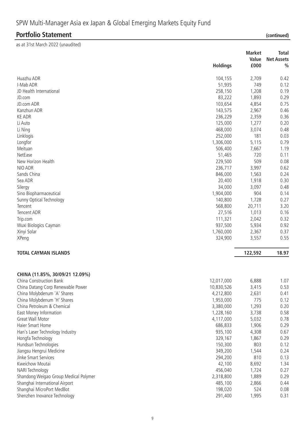### **Portfolio Statement (continued)**

as at 31st March 2022 (unaudited)

|                                       |                 | <b>Market</b> | <b>Total</b>      |
|---------------------------------------|-----------------|---------------|-------------------|
|                                       |                 | Value         | <b>Net Assets</b> |
|                                       | <b>Holdings</b> | £000          | $\frac{0}{0}$     |
| Huazhu ADR                            | 104,155         | 2,709         | 0.42              |
| I-Mab ADR                             | 51,935          | 749           | 0.12              |
| JD Health International               | 258,150         | 1,208         | 0.19              |
| JD.com                                | 83,222          | 1,893         | 0.29              |
| JD.com ADR                            | 103,654         | 4,854         | 0.75              |
| Kanzhun ADR                           | 143,575         | 2,967         | 0.46              |
| <b>KE ADR</b>                         | 236,229         | 2,359         | 0.36              |
| Li Auto                               | 125,000         | 1,277         | 0.20              |
| Li Ning                               | 468,000         | 3,074         | 0.48              |
| Linklogis                             | 252,000         | 181           | 0.03              |
| Longfor                               | 1,306,000       | 5,115         | 0.79              |
| Meituan                               | 506,400         | 7,667         | 1.19              |
| NetEase                               | 51,465          | 720           | 0.11              |
| New Horizon Health                    | 229,500         | 509           | 0.08              |
| NIO ADR                               | 236,717         | 3,997         | 0.62              |
| Sands China                           | 846,000         | 1,563         | 0.24              |
| Sea ADR                               | 20,400          | 1,918         | 0.30              |
| Silergy                               | 34,000          | 3,097         | 0.48              |
| Sino Biopharmaceutical                | 1,904,000       | 904           | 0.14              |
| Sunny Optical Technology              | 140,800         | 1,728         | 0.27              |
| Tencent                               | 568,800         | 20,711        | 3.20              |
| <b>Tencent ADR</b>                    | 27,516          | 1,013         | 0.16              |
| Trip.com                              | 111,321         | 2,042         | 0.32              |
| Wuxi Biologics Cayman                 | 937,500         | 5,934         | 0.92              |
| Xinyi Solar                           | 1,760,000       | 2,367         | 0.37              |
| XPeng                                 | 324,900         | 3,557         | 0.55              |
|                                       |                 |               |                   |
| <b>TOTAL CAYMAN ISLANDS</b>           |                 | 122,592       | 18.97             |
|                                       |                 |               |                   |
| CHINA (11.85%, 30/09/21 12.09%)       |                 |               |                   |
| China Construction Bank               | 12,017,000      | 6,888         | 1.07              |
| China Datang Corp Renewable Power     | 10,830,526      | 3,415         | 0.53              |
| China Molybdenum 'A' Shares           | 4,212,800       | 2,631         | 0.41              |
| China Molybdenum 'H' Shares           | 1,953,000       | 775           | 0.12              |
| China Petroleum & Chemical            | 3,380,000       | 1,293         | 0.20              |
| East Money Information                | 1,228,160       | 3,738         | 0.58              |
| Great Wall Motor                      | 4,117,000       | 5,032         | 0.78              |
| Haier Smart Home                      | 686,833         | 1,906         | 0.29              |
| Han's Laser Technology Industry       | 935,100         | 4,308         | 0.67              |
| Hongfa Technology                     | 329,167         | 1,867         | 0.29              |
| Hundsun Technologies                  | 150,300         | 803           | 0.12              |
| Jiangsu Hengrui Medicine              | 349,200         | 1,544         | 0.24              |
| Jinke Smart Services                  | 294,200         | 810           | 0.13              |
| Kweichow Moutai                       | 42,100          | 8,692         | 1.34              |
| NARI Technology                       | 456,040         | 1,724         | 0.27              |
| Shandong Weigao Group Medical Polymer | 2,318,800       | 1,889         | 0.29              |
| Shanghai International Airport        | 485,100         | 2,866         | 0.44              |
| Shanghai MicroPort MedBot             | 198,020         | 524           | 0.08              |
| Shenzhen Inovance Technology          | 291,400         | 1,995         | 0.31              |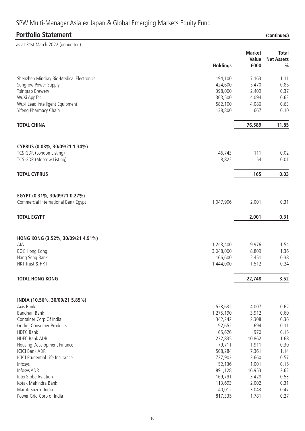| <b>Portfolio Statement</b>               |                      |                | (continued)                        |
|------------------------------------------|----------------------|----------------|------------------------------------|
| as at 31st March 2022 (unaudited)        |                      |                |                                    |
|                                          |                      | <b>Market</b>  | <b>Total</b>                       |
|                                          | <b>Holdings</b>      | Value<br>£000  | <b>Net Assets</b><br>$\frac{0}{0}$ |
| Shenzhen Mindray Bio-Medical Electronics | 194,100              | 7,163          | 1.11                               |
| Sungrow Power Supply                     | 424,600              | 5,470          | 0.85                               |
| <b>Tsingtao Brewery</b>                  | 398,000              | 2,409          | 0.37                               |
| WuXi AppTec                              | 303,500              | 4,094          | 0.63                               |
| Wuxi Lead Intelligent Equipment          | 582,100              | 4,086          | 0.63                               |
| Yifeng Pharmacy Chain                    | 138,800              | 667            | 0.10                               |
| <b>TOTAL CHINA</b>                       |                      | 76,589         | 11.85                              |
| CYPRUS (0.03%, 30/09/21 1.34%)           |                      |                |                                    |
| TCS GDR (London Listing)                 | 46,743               | 111            | 0.02                               |
| TCS GDR (Moscow Listing)                 | 8,822                | 54             | 0.01                               |
| <b>TOTAL CYPRUS</b>                      |                      | 165            | 0.03                               |
|                                          |                      |                |                                    |
| EGYPT (0.31%, 30/09/21 0.27%)            |                      |                |                                    |
| Commercial International Bank Egypt      | 1,047,906            | 2,001          | 0.31                               |
| <b>TOTAL EGYPT</b>                       |                      | 2,001          | 0.31                               |
|                                          |                      |                |                                    |
| HONG KONG (3.52%, 30/09/21 4.91%)<br>AIA | 1,243,400            | 9,976          | 1.54                               |
| <b>BOC Hong Kong</b>                     | 3,048,000            | 8,809          | 1.36                               |
| Hang Seng Bank                           | 166,600              | 2,451          | 0.38                               |
| HKT Trust & HKT                          | 1,444,000            | 1,512          | 0.24                               |
| <b>TOTAL HONG KONG</b>                   |                      | 22,748         | 3.52                               |
|                                          |                      |                |                                    |
| INDIA (10.56%, 30/09/21 5.85%)           |                      |                |                                    |
| Axis Bank<br>Bandhan Bank                | 523,632<br>1,275,190 | 4,007          | 0.62<br>0.60                       |
| Container Corp Of India                  | 342,242              | 3,912<br>2,308 | 0.36                               |
| Godrej Consumer Products                 | 92,652               | 694            | 0.11                               |
| <b>HDFC Bank</b>                         | 65,626               | 970            | 0.15                               |
| <b>HDFC Bank ADR</b>                     | 232,835              | 10,862         | 1.68                               |
| Housing Development Finance              | 79,711               | 1,911          | 0.30                               |
| <b>ICICI Bank ADR</b>                    | 508,284              | 7,361          | 1.14                               |
| <b>ICICI Prudential Life Insurance</b>   | 727,903              | 3,660          | 0.57                               |
| Infosys                                  | 52,136               | 1,001          | 0.15                               |
| Infosys ADR                              | 891,128              | 16,953         | 2.62                               |
| InterGlobe Aviation                      | 169,791              | 3,428          | 0.53                               |
| Kotak Mahindra Bank                      | 113,693              | 2,002          | 0.31                               |
| Maruti Suzuki India                      | 40,012               | 3,043          | 0.47                               |

Maruti Suzuki India 40,012 3,043 0.47

Power Grid Corp of India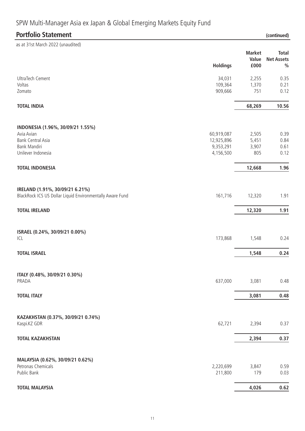# **Holdings Market Value £000 Total Net Assets %** UltraTech Cement 34,031 2,255 0.35 Voltas 109,364 1,370 0.21 Zomato 909,666 751 0.12 **TOTAL INDIA 68,269 10.56 INDONESIA (1.96%, 30/09/21 1.55%)** Avia Avian 60,919,087 2,505 2,505 2,505 2,505 2,505 2,505 2,505 2,505 2,505 2,505 2,505 2,505 2,505 2,505 2,50 Bank Central Asia 12,925,896 5,451 0.84 Bank Mandiri 9,353,291 3,907 0.61 Unilever Indonesia 4,156,500 805 0.12 **TOTAL INDONESIA 12,668 1.96 IRELAND (1.91%, 30/09/21 6.21%)** BlackRock ICS US Dollar Liquid Environmentally Aware Fund 161,716 12,320 1.91 **TOTAL IRELAND 12,320 1.91 ISRAEL (0.24%, 30/09/21 0.00%)**  $ICL$  173,868 1,548 0.24 **TOTAL ISRAEL 1,548 0.24 ITALY (0.48%, 30/09/21 0.30%)** PRADA 637,000 3,081 0.48 **TOTAL ITALY 3,081 0.48 KAZAKHSTAN (0.37%, 30/09/21 0.74%)** Kaspi.KZ GDR 62,721 2,394 0.37 **TOTAL KAZAKHSTAN 2,394 0.37 MALAYSIA (0.62%, 30/09/21 0.62%)** Petronas Chemicals 2,220,699 3,847 0.59 Public Bank 211,800 179 0.03 **Portfolio Statement (continued)** as at 31st March 2022 (unaudited)

#### **TOTAL MALAYSIA 4,026 0.62**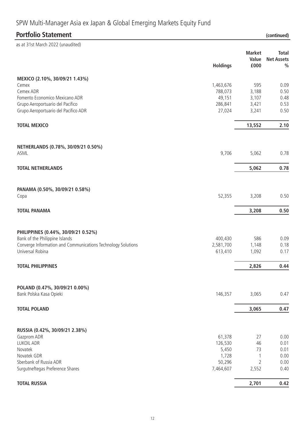## **Holdings Market Value £000 Total Net Assets % MEXICO (2.10%, 30/09/21 1.43%)** Cemex 1,463,676 595 0.09 Cemex ADR 788,073 3,188 0.50 Fomento Economico Mexicano ADR 49,151 3,107 0.48 Grupo Aeroportuario del Pacifico 286,841 3,421 0.53 Grupo Aeroportuario del Pacifico ADR 27,024 3,241 0.50 **TOTAL MEXICO 13,552 2.10 NETHERLANDS (0.78%, 30/09/21 0.50%)** ASML 9,706 5,062 0.78 **TOTAL NETHERLANDS 5,062 0.78 PANAMA (0.50%, 30/09/21 0.58%)** Copa 52,355 3,208 0.50 **TOTAL PANAMA 3,208 0.50 PHILIPPINES (0.44%, 30/09/21 0.52%)** Bank of the Philippine Islands and the State of the Philippine Islands and the State of the Philippine Islands and the State of the State of the State of the State of the State of the State of the State of the State of the Converge Information and Communications Technology Solutions 2,581,700 1,148 0.18 Universal Robina 613,410 1,092 0.17 **TOTAL PHILIPPINES 2,826 0.44 POLAND (0.47%, 30/09/21 0.00%)** Bank Polska Kasa Opieki 2014 | 2022 | 2032 | 2047 | 2047 | 2047 | 2047 | 2047 | 2047 | 2047 | 2047 | 2047 | 20 **TOTAL POLAND 3,065 0.47 RUSSIA (0.42%, 30/09/21 2.38%)** Gazprom ADR 61,378 27 0.00 LUKOIL ADR 126,530 46 0.01 Novatek 5,450 73 0.01 Novatek GDR 1,728 1 0.00 Sberbank of Russia ADR 50,296 2 0.00 Surgutneftegas Preference Shares 6.40 **TOTAL RUSSIA 2,701 0.42 Portfolio Statement** *(continued)* as at 31st March 2022 (unaudited)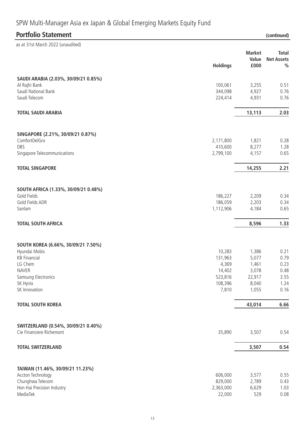| <b>Portfolio Statement</b>             |                  |                        | (continued)                        |
|----------------------------------------|------------------|------------------------|------------------------------------|
| as at 31st March 2022 (unaudited)      |                  |                        |                                    |
|                                        |                  | <b>Market</b><br>Value | <b>Total</b>                       |
|                                        | <b>Holdings</b>  | £000                   | <b>Net Assets</b><br>$\frac{0}{0}$ |
| SAUDI ARABIA (2.03%, 30/09/21 0.85%)   |                  |                        |                                    |
| Al Rajhi Bank                          | 100,061          | 3,255                  | 0.51                               |
| Saudi National Bank                    | 344,098          | 4,927                  | 0.76                               |
| Saudi Telecom                          | 224,414          | 4,931                  | 0.76                               |
| <b>TOTAL SAUDI ARABIA</b>              |                  | 13,113                 | 2.03                               |
|                                        |                  |                        |                                    |
| SINGAPORE (2.21%, 30/09/21 0.87%)      |                  |                        |                                    |
| ComfortDelGro                          | 2,171,800        | 1,821                  | 0.28                               |
| DBS                                    | 410,600          | 8,277                  | 1.28                               |
| Singapore Telecommunications           | 2,799,100        | 4,157                  | 0.65                               |
| <b>TOTAL SINGAPORE</b>                 |                  | 14,255                 | 2.21                               |
|                                        |                  |                        |                                    |
| SOUTH AFRICA (1.33%, 30/09/21 0.48%)   |                  |                        |                                    |
| Gold Fields                            | 186,227          | 2,209                  | 0.34                               |
| Gold Fields ADR                        | 186,059          | 2,203                  | 0.34                               |
| Sanlam                                 | 1,112,906        | 4,184                  | 0.65                               |
| <b>TOTAL SOUTH AFRICA</b>              |                  | 8,596                  | 1.33                               |
|                                        |                  |                        |                                    |
| SOUTH KOREA (6.66%, 30/09/21 7.50%)    |                  |                        |                                    |
| Hyundai Mobis                          | 10,283           | 1,386                  | 0.21                               |
| <b>KB Financial</b><br>LG Chem         | 131,963<br>4,369 | 5,077<br>1,461         | 0.79<br>0.23                       |
| <b>NAVER</b>                           | 14,402           | 3,078                  | 0.48                               |
| Samsung Electronics                    | 523,816          | 22,917                 | 3.55                               |
| SK Hynix                               | 108,396          | 8,040                  | 1.24                               |
| SK Innovation                          | 7,810            | 1,055                  | 0.16                               |
| <b>TOTAL SOUTH KOREA</b>               |                  | 43,014                 | 6.66                               |
|                                        |                  |                        |                                    |
| SWITZERLAND (0.54%, 30/09/21 0.40%)    |                  |                        |                                    |
| Cie Financiere Richemont               | 35,890           | 3,507                  | 0.54                               |
| <b>TOTAL SWITZERLAND</b>               |                  | 3,507                  | 0.54                               |
|                                        |                  |                        |                                    |
| TAIWAN (11.46%, 30/09/21 11.23%)       |                  |                        |                                    |
| Accton Technology                      | 606,000          | 3,577                  | 0.55                               |
| Chunghwa Telecom                       | 829,000          | 2,789                  | 0.43                               |
| Hon Hai Precision Industry<br>MediaTek | 2,363,000        | 6,629<br>529           | 1.03<br>0.08                       |
|                                        | 22,000           |                        |                                    |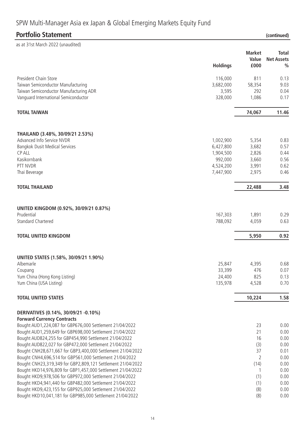# **Portfolio Statement (continued)**

| as at 31st March 2022 (unaudited)                                         |                        |                |                   |
|---------------------------------------------------------------------------|------------------------|----------------|-------------------|
|                                                                           |                        | <b>Market</b>  | <b>Total</b>      |
|                                                                           |                        | Value          | <b>Net Assets</b> |
|                                                                           | <b>Holdings</b>        | £000           | $\frac{0}{0}$     |
| President Chain Store                                                     | 116,000                | 811            | 0.13              |
| Taiwan Semiconductor Manufacturing                                        | 3,682,000              | 58,354         | 9.03              |
| Taiwan Semiconductor Manufacturing ADR                                    | 3,595                  | 292            | 0.04              |
| Vanguard International Semiconductor                                      | 328,000                | 1,086          | 0.17              |
| <b>TOTAL TAIWAN</b>                                                       |                        | 74,067         | 11.46             |
|                                                                           |                        |                |                   |
| THAILAND (3.48%, 30/09/21 2.53%)<br>Advanced Info Service NVDR            |                        |                | 0.83              |
| <b>Bangkok Dusit Medical Services</b>                                     | 1,002,900<br>6,427,800 | 5,354<br>3,682 | 0.57              |
| <b>CP ALL</b>                                                             | 1,904,500              | 2,826          | 0.44              |
| Kasikornbank                                                              | 992,000                | 3,660          | 0.56              |
| PTT NVDR                                                                  | 4,524,200              | 3,991          | 0.62              |
| Thai Beverage                                                             | 7,447,900              | 2,975          | 0.46              |
| <b>TOTAL THAILAND</b>                                                     |                        | 22,488         | 3.48              |
| UNITED KINGDOM (0.92%, 30/09/21 0.87%)                                    |                        |                |                   |
| Prudential                                                                | 167,303                | 1,891          | 0.29              |
| <b>Standard Chartered</b>                                                 | 788,092                | 4,059          | 0.63              |
| <b>TOTAL UNITED KINGDOM</b>                                               |                        | 5,950          | 0.92              |
|                                                                           |                        |                |                   |
| UNITED STATES (1.58%, 30/09/21 1.90%)                                     |                        |                |                   |
| Albemarle                                                                 | 25,847                 | 4,395          | 0.68              |
| Coupang                                                                   | 33,399                 | 476            | 0.07              |
| Yum China (Hong Kong Listing)                                             | 24,400                 | 825            | 0.13              |
| Yum China (USA Listing)                                                   | 135,978                | 4,528          | 0.70              |
| <b>TOTAL UNITED STATES</b>                                                |                        | 10,224         | 1.58              |
| DERIVATIVES (0.14%, 30/09/21 -0.10%)<br><b>Forward Currency Contracts</b> |                        |                |                   |
| Bought AUD1,224,087 for GBP676,000 Settlement 21/04/2022                  |                        | 23             | 0.00              |
| Bought AUD1,259,649 for GBP698,000 Settlement 21/04/2022                  |                        | 21             | 0.00              |
| Bought AUD824,255 for GBP454,990 Settlement 21/04/2022                    |                        | 16             | 0.00              |
| Bought AUD822,027 for GBP472,000 Settlement 21/04/2022                    |                        | (3)            | 0.00              |
| Bought CNH28,671,667 for GBP3,400,000 Settlement 21/04/2022               |                        | 37             | 0.01              |
| Bought CNH4,696,514 for GBP561,000 Settlement 21/04/2022                  |                        | 2              | 0.00              |
| Bought CNH23,319,349 for GBP2,809,121 Settlement 21/04/2022               |                        | (14)           | 0.00              |
| Bought HKD14,976,809 for GBP1,457,000 Settlement 21/04/2022               |                        | $\mathbf{1}$   | 0.00              |
| Bought HKD9,978,506 for GBP972,000 Settlement 21/04/2022                  |                        | (1)            | 0.00              |
| Bought HKD4,941,440 for GBP482,000 Settlement 21/04/2022                  |                        | (1)            | 0.00              |
| Bought HKD9,423,155 for GBP925,000 Settlement 21/04/2022                  |                        | (8)            | 0.00              |
| Bought HKD10,041,181 for GBP985,000 Settlement 21/04/2022                 |                        | (8)            | 0.00              |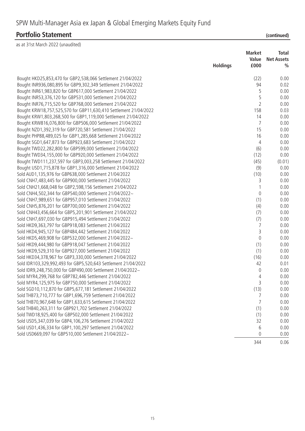### **Portfolio Statement (continued)**

as at 31st March 2022 (unaudited)

|                                                                  | <b>Market</b>   |                | Total             |
|------------------------------------------------------------------|-----------------|----------------|-------------------|
|                                                                  |                 | Value          | <b>Net Assets</b> |
|                                                                  | <b>Holdings</b> | £000           | $\frac{0}{0}$     |
| Bought HKD25,853,470 for GBP2,538,066 Settlement 21/04/2022      |                 | (22)           | 0.00              |
| Bought INR936,080,895 for GBP9,302,349 Settlement 21/04/2022     |                 | 94             | 0.02              |
| Bought INR61,983,820 for GBP617,000 Settlement 21/04/2022        |                 | 5              | 0.00              |
| Bought INR53,376,120 for GBP531,000 Settlement 21/04/2022        |                 | 5              | 0.00              |
| Bought INR76,715,520 for GBP768,000 Settlement 21/04/2022        |                 | $\overline{2}$ | 0.00              |
| Bought KRW18,757,525,570 for GBP11,630,410 Settlement 21/04/2022 |                 | 158            | 0.03              |
| Bought KRW1,803,268,500 for GBP1,119,000 Settlement 21/04/2022   |                 | 14             | 0.00              |
| Bought KRW816,076,800 for GBP506,000 Settlement 21/04/2022       |                 | $\overline{7}$ | 0.00              |
| Bought NZD1,392,319 for GBP720,581 Settlement 21/04/2022         |                 | 15             | 0.00              |
| Bought PHP88,489,025 for GBP1,285,668 Settlement 21/04/2022      |                 | 16             | 0.00              |
| Bought SGD1,647,873 for GBP923,683 Settlement 21/04/2022         |                 | 4              | 0.00              |
| Bought TWD22,282,800 for GBP599,000 Settlement 21/04/2022        |                 | (6)            | 0.00              |
| Bought TWD34,155,000 for GBP920,000 Settlement 21/04/2022        |                 | (12)           | 0.00              |
| Bought TWD111,237,597 for GBP3,003,258 Settlement 21/04/2022     |                 | (45)           | (0.01)            |
| Bought USD1,715,878 for GBP1,316,000 Settlement 21/04/2022       |                 | (9)            | 0.00              |
| Sold AUD1,135,976 for GBP638,000 Settlement 21/04/2022           |                 | (10)           | 0.00              |
| Sold CNH7,483,445 for GBP900,000 Settlement 21/04/2022           |                 | 3              | 0.00              |
| Sold CNH21,668,048 for GBP2,598,156 Settlement 21/04/2022        |                 |                | 0.00              |
| Sold CNH4,502,344 for GBP540,000 Settlement 21/04/2022~          |                 | $\theta$       | 0.00              |
| Sold CNH7,989,651 for GBP957,010 Settlement 21/04/2022           |                 | (1)            | 0.00              |
| Sold CNH5,876,201 for GBP700,000 Settlement 21/04/2022           |                 | (4)            | 0.00              |
| Sold CNH43,456,664 for GBP5,201,901 Settlement 21/04/2022        |                 | (7)            | 0.00              |
| Sold CNH7,697,030 for GBP915,494 Settlement 21/04/2022           |                 | (7)            | 0.00              |
| Sold HKD9,363,797 for GBP918,083 Settlement 21/04/2022           |                 | 7              | 0.00              |
| Sold HKD4,945,127 for GBP484,442 Settlement 21/04/2022           |                 | 3              | 0.00              |
| Sold HKD5,469,908 for GBP532,000 Settlement 21/04/2022~          |                 | $\mathbf 0$    | 0.00              |
| Sold HKD9,444,980 for GBP918,047 Settlement 21/04/2022           |                 | (1)            | 0.00              |
| Sold HKD9,529,310 for GBP927,000 Settlement 21/04/2022           |                 | (1)            | 0.00              |
| Sold HKD34,378,967 for GBP3,330,000 Settlement 21/04/2022        |                 | (16)           | 0.00              |
| Sold IDR103,329,992,493 for GBP5,520,643 Settlement 21/04/2022   |                 | 42             | 0.01              |
| Sold IDR9,248,750,000 for GBP490,000 Settlement 21/04/2022~      |                 | $\theta$       | 0.00              |
| Sold MYR4,299,768 for GBP782,446 Settlement 21/04/2022           |                 | 4              | 0.00              |
| Sold MYR4, 125, 975 for GBP750, 000 Settlement 21/04/2022        |                 | 3              | 0.00              |
| Sold SGD10,112,870 for GBP5,677,181 Settlement 21/04/2022        |                 | (13)           | 0.00              |
| Sold THB73,710,777 for GBP1,696,759 Settlement 21/04/2022        |                 | 7              | 0.00              |
| Sold THB70,967,648 for GBP1,633,615 Settlement 21/04/2022        |                 | $\overline{7}$ | 0.00              |
| Sold THB40,263,311 for GBP921,702 Settlement 21/04/2022          |                 | (1)            | 0.00              |
| Sold TWD18,925,400 for GBP502,000 Settlement 21/04/2022          |                 | (1)            | 0.00              |
| Sold USD5,347,039 for GBP4,106,276 Settlement 21/04/2022         |                 | 32             | 0.00              |
| Sold USD1,436,334 for GBP1,100,297 Settlement 21/04/2022         |                 | 6              | 0.00              |
| Sold USD669,097 for GBP510,000 Settlement 21/04/2022~            |                 | $\theta$       | 0.00              |
|                                                                  |                 | 344            | 0.06              |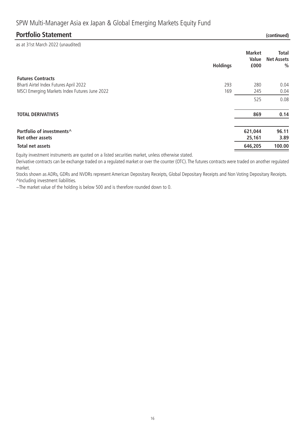### **Portfolio Statement (continued)**

as at 31st March 2022 (unaudited)

| $\frac{1}{2}$ . $\frac{1}{2}$ . $\frac{1}{2}$ . $\frac{1}{2}$ . $\frac{1}{2}$ . $\frac{1}{2}$ . $\frac{1}{2}$ . $\frac{1}{2}$ . $\frac{1}{2}$ . $\frac{1}{2}$ . $\frac{1}{2}$ . $\frac{1}{2}$ . $\frac{1}{2}$ . $\frac{1}{2}$ . $\frac{1}{2}$ . $\frac{1}{2}$ . $\frac{1}{2}$ . $\frac{1}{2}$ . $\frac{1$ | <b>Holdings</b> | <b>Market</b><br>Value<br>£000 | Total<br><b>Net Assets</b><br>$\frac{0}{0}$ |
|-----------------------------------------------------------------------------------------------------------------------------------------------------------------------------------------------------------------------------------------------------------------------------------------------------------|-----------------|--------------------------------|---------------------------------------------|
| <b>Futures Contracts</b>                                                                                                                                                                                                                                                                                  |                 |                                |                                             |
| Bharti Airtel Index Futures April 2022                                                                                                                                                                                                                                                                    | 293             | 280                            | 0.04                                        |
| MSCI Emerging Markets Index Futures June 2022                                                                                                                                                                                                                                                             | 169             | 245                            | 0.04                                        |
|                                                                                                                                                                                                                                                                                                           |                 | 525                            | 0.08                                        |
| <b>TOTAL DERIVATIVES</b>                                                                                                                                                                                                                                                                                  |                 | 869                            | 0.14                                        |
| Portfolio of investments^<br>Net other assets                                                                                                                                                                                                                                                             |                 | 621,044<br>25,161              | 96.11<br>3.89                               |
| <b>Total net assets</b>                                                                                                                                                                                                                                                                                   |                 | 646,205                        | 100.00                                      |

Equity investment instruments are quoted on a listed securities market, unless otherwise stated.

Derivative contracts can be exchange traded on a regulated market or over the counter (OTC). The futures contracts were traded on another regulated market.

Stocks shown as ADRs, GDRs and NVDRs represent American Depositary Receipts, Global Depositary Receipts and Non Voting Depositary Receipts. ^Including investment liabilities.

~The market value of the holding is below 500 and is therefore rounded down to 0.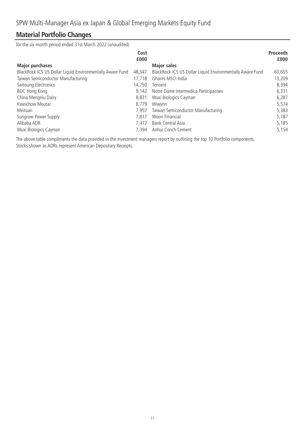### **Material Portfolio Changes**

for the six month period ended 31st March 2022 (unaudited)

|                                                           | Cost<br>£000 |                                                           | <b>Proceeds</b><br>£000 |
|-----------------------------------------------------------|--------------|-----------------------------------------------------------|-------------------------|
| <b>Major purchases</b>                                    |              | <b>Major sales</b>                                        |                         |
| BlackRock ICS US Dollar Liquid Environmentally Aware Fund | 48,547       | BlackRock ICS US Dollar Liquid Environmentally Aware Fund | 60,655                  |
| Taiwan Semiconductor Manufacturing                        | 17.718       | iShares MSCI India                                        | 13,209                  |
| Samsung Electronics                                       | 14,750       | Tencent                                                   | 8,394                   |
| <b>BOC Hong Kong</b>                                      | 9.142        | Notre Dame Intermedica Participacoes                      | 6,331                   |
| China Mengniu Dairy                                       | 8.831        | Wuxi Biologics Cayman                                     | 6,287                   |
| Kweichow Moutai                                           | 8.779        | Wiwynn                                                    | 5,574                   |
| Meituan                                                   | 7.957        | Taiwan Semiconductor Manufacturing                        | 5,383                   |
| Sungrow Power Supply                                      | 7.817        | Woori Financial                                           | 5,187                   |
| Alibaba ADR                                               | 7.472        | <b>Bank Central Asia</b>                                  | 5,185                   |
| Wuxi Biologics Cayman                                     | 7.394        | Anhui Conch Cement                                        | 5,154                   |

The above table compliments the data provided in the investment managers report by outlining the top 10 Portfolio components. Stocks shown as ADRs represent American Depositary Receipts.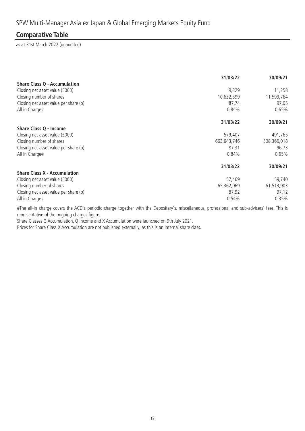### **Comparative Table**

as at 31st March 2022 (unaudited)

|                                       | 31/03/22    | 30/09/21    |
|---------------------------------------|-------------|-------------|
| <b>Share Class Q - Accumulation</b>   |             |             |
| Closing net asset value (£000)        | 9,329       | 11,258      |
| Closing number of shares              | 10,632,399  | 11,599,764  |
| Closing net asset value per share (p) | 87.74       | 97.05       |
| All in Charge#                        | 0.84%       | 0.65%       |
|                                       | 31/03/22    | 30/09/21    |
| Share Class Q - Income                |             |             |
| Closing net asset value (£000)        | 579,407     | 491,765     |
| Closing number of shares              | 663,643,746 | 508,366,018 |
| Closing net asset value per share (p) | 87.31       | 96.73       |
| All in Charge#                        | 0.84%       | 0.65%       |
|                                       | 31/03/22    | 30/09/21    |
| <b>Share Class X - Accumulation</b>   |             |             |
| Closing net asset value (£000)        | 57,469      | 59,740      |
| Closing number of shares              | 65,362,069  | 61,513,903  |
| Closing net asset value per share (p) | 87.92       | 97.12       |
| All in Charge#                        | 0.54%       | 0.35%       |

#The all-in charge covers the ACD's periodic charge together with the Depositary's, miscellaneous, professional and sub-advisers' fees. This is representative of the ongoing charges figure.

Share Classes Q Accumulation, Q Income and X Accumulation were launched on 9th July 2021.

Prices for Share Class X Accumulation are not published externally, as this is an internal share class.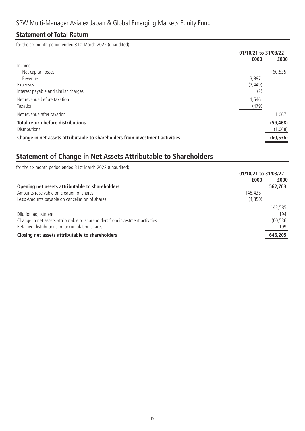### **Statement of Total Return**

for the six month period ended 31st March 2022 (unaudited)

|                                                                              | 01/10/21 to 31/03/22 |           |
|------------------------------------------------------------------------------|----------------------|-----------|
|                                                                              | £000                 | £000      |
| Income                                                                       |                      |           |
| Net capital losses                                                           |                      | (60, 535) |
| Revenue                                                                      | 3,997                |           |
| Expenses                                                                     | (2, 449)             |           |
| Interest payable and similar charges                                         | (2)                  |           |
| Net revenue before taxation                                                  | 1,546                |           |
| Taxation                                                                     | (479)                |           |
| Net revenue after taxation                                                   |                      | 1,067     |
| <b>Total return before distributions</b>                                     |                      | (59, 468) |
| <b>Distributions</b>                                                         |                      | (1,068)   |
| Change in net assets attributable to shareholders from investment activities |                      | (60, 536) |

# **Statement of Change in Net Assets Attributable to Shareholders**

| for the six month period ended 31st March 2022 (unaudited)                   |         |                      |
|------------------------------------------------------------------------------|---------|----------------------|
|                                                                              |         | 01/10/21 to 31/03/22 |
|                                                                              | £000    | £000                 |
| Opening net assets attributable to shareholders                              |         | 562,763              |
| Amounts receivable on creation of shares                                     | 148,435 |                      |
| Less: Amounts payable on cancellation of shares                              | (4,850) |                      |
|                                                                              |         | 143,585              |
| Dilution adjustment                                                          |         | 194                  |
| Change in net assets attributable to shareholders from investment activities |         | (60, 536)            |
| Retained distributions on accumulation shares                                |         | 199                  |
| Closing net assets attributable to shareholders                              |         | 646,205              |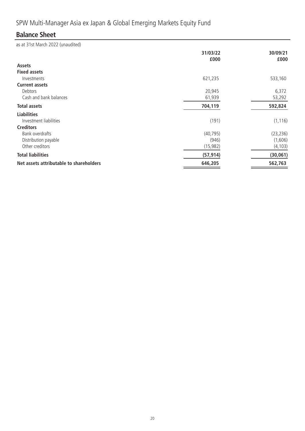# **Balance Sheet**

as at 31st March 2022 (unaudited)

|                                         | 31/03/22<br>£000 | 30/09/21<br>£000 |
|-----------------------------------------|------------------|------------------|
| <b>Assets</b>                           |                  |                  |
| <b>Fixed assets</b>                     |                  |                  |
| Investments                             | 621,235          | 533,160          |
| <b>Current assets</b>                   |                  |                  |
| Debtors                                 | 20,945           | 6,372            |
| Cash and bank balances                  | 61,939           | 53,292           |
| <b>Total assets</b>                     | 704,119          | 592,824          |
| <b>Liabilities</b>                      |                  |                  |
| Investment liabilities                  | (191)            | (1, 116)         |
| <b>Creditors</b>                        |                  |                  |
| Bank overdrafts                         | (40, 795)        | (23, 236)        |
| Distribution payable                    | (946)            | (1,606)          |
| Other creditors                         | (15, 982)        | (4, 103)         |
| <b>Total liabilities</b>                | (57, 914)        | (30, 061)        |
| Net assets attributable to shareholders | 646,205          | 562,763          |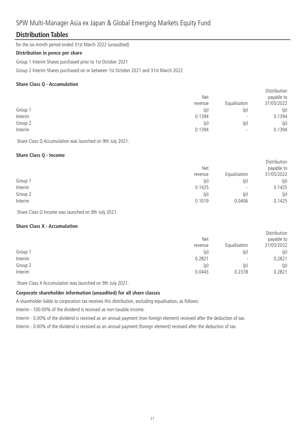### **Distribution Tables**

for the six month period ended 31st March 2022 (unaudited)

#### **Distribution in pence per share**

Group 1 Interim Shares purchased prior to 1st October 2021

Group 2 Interim Shares purchased on or between 1st October 2021 and 31st March 2022

### **Share Class Q - Accumulation**

|         |         |                          | <b>DISLINGUILL</b> |
|---------|---------|--------------------------|--------------------|
|         | Net     |                          | payable to         |
|         | revenue | Equalisation             | 31/05/2022         |
| Group 1 | (p)     | (p)                      | (p)                |
| Interim | 0.1394  | $\overline{\phantom{0}}$ | 0.1394             |
| Group 2 | (p)     | (p)                      | (p)                |
| Interim | 0.1394  | $\overline{\phantom{0}}$ | 0.1394             |
|         |         |                          |                    |

Distribution

Share Class Q Accumulation was launched on 9th July 2021.

### **Share Class Q - Income**

|         | Net     | Equalisation             | Distribution<br>payable to<br>31/05/2022 |
|---------|---------|--------------------------|------------------------------------------|
|         | revenue |                          |                                          |
| Group 1 | (p)     | (p)                      | (p)                                      |
| Interim | 0.1425  | $\overline{\phantom{0}}$ | 0.1425                                   |
| Group 2 | (p)     | (p)                      | (p)                                      |
| Interim | 0.1019  | 0.0406                   | 0.1425                                   |

Share Class Q Income was launched on 9th July 2021.

### **Share Class X - Accumulation**

|         | <b>Net</b><br>revenue | Equalisation             | Distribution<br>payable to<br>31/05/2022 |
|---------|-----------------------|--------------------------|------------------------------------------|
| Group 1 | (p)                   | (p)                      | (p)                                      |
| Interim | 0.2821                | $\overline{\phantom{0}}$ | 0.2821                                   |
| Group 2 | (p)                   | (p)                      | (p)                                      |
| Interim | 0.0443                | 0.2378                   | 0.2821                                   |

Share Class X Accumulation was launched on 9th July 2021.

### **Corporate shareholder information (unaudited) for all share classes**

A shareholder liable to corporation tax receives this distribution, excluding equalisation, as follows:

Interim - 100.00% of the dividend is received as non-taxable income.

Interim - 0.00% of the dividend is received as an annual payment (non-foreign element) received after the deduction of tax.

Interim - 0.00% of the dividend is received as an annual payment (foreign element) received after the deduction of tax.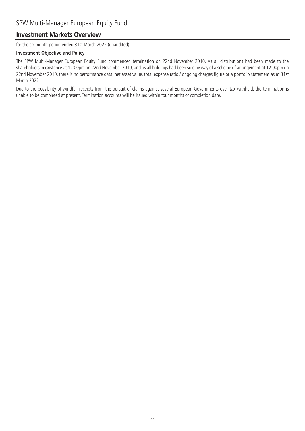### **Investment Markets Overview**

for the six month period ended 31st March 2022 (unaudited)

### **Investment Objective and Policy**

The SPW Multi-Manager European Equity Fund commenced termination on 22nd November 2010. As all distributions had been made to the shareholders in existence at 12:00pm on 22nd November 2010, and as all holdings had been sold by way of a scheme of arrangement at 12:00pm on 22nd November 2010, there is no performance data, net asset value, total expense ratio / ongoing charges figure or a portfolio statement as at 31st March 2022.

Due to the possibility of windfall receipts from the pursuit of claims against several European Governments over tax withheld, the termination is unable to be completed at present. Termination accounts will be issued within four months of completion date.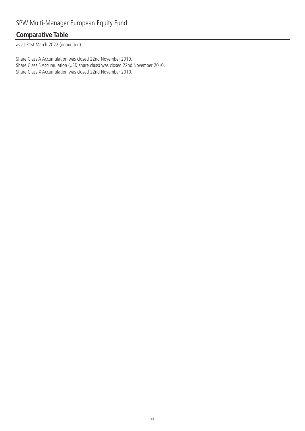### **Comparative Table**

as at 31st March 2022 (unaudited)

Share Class A Accumulation was closed 22nd November 2010. Share Class S Accumulation (USD share class) was closed 22nd November 2010. Share Class X Accumulation was closed 22nd November 2010.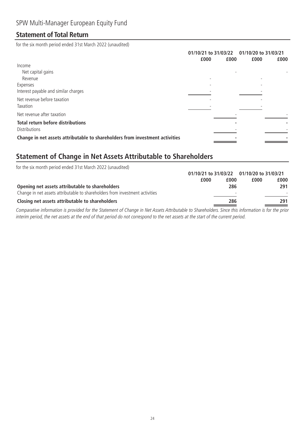### **Statement of Total Return**

for the six month period ended 31st March 2022 (unaudited)

|                                                                              | 01/10/21 to 31/03/22 |      | 01/10/20 to 31/03/21 |      |
|------------------------------------------------------------------------------|----------------------|------|----------------------|------|
|                                                                              | £000                 | £000 | £000                 | £000 |
| Income                                                                       |                      |      |                      |      |
| Net capital gains                                                            |                      |      |                      |      |
| Revenue                                                                      |                      |      |                      |      |
| Expenses                                                                     |                      |      |                      |      |
| Interest payable and similar charges                                         |                      |      |                      |      |
| Net revenue before taxation                                                  |                      |      |                      |      |
| Taxation                                                                     |                      |      |                      |      |
| Net revenue after taxation                                                   |                      |      |                      |      |
| <b>Total return before distributions</b>                                     |                      |      |                      |      |
| Distributions                                                                |                      |      |                      |      |
| Change in net assets attributable to shareholders from investment activities |                      |      |                      |      |

# **Statement of Change in Net Assets Attributable to Shareholders**

| for the six month period ended 31st March 2022 (unaudited)                   |                                           |                          |      |      |
|------------------------------------------------------------------------------|-------------------------------------------|--------------------------|------|------|
|                                                                              | 01/10/21 to 31/03/22 01/10/20 to 31/03/21 |                          |      |      |
|                                                                              | £000                                      | £000                     | £000 | £000 |
| Opening net assets attributable to shareholders                              |                                           | 286                      |      | 291  |
| Change in net assets attributable to shareholders from investment activities |                                           | $\overline{\phantom{a}}$ |      |      |
| Closing net assets attributable to shareholders                              |                                           | 286                      |      | 291  |

Comparative information is provided for the Statement of Change in Net Assets Attributable to Shareholders. Since this information is for the prior interim period, the net assets at the end of that period do not correspond to the net assets at the start of the current period.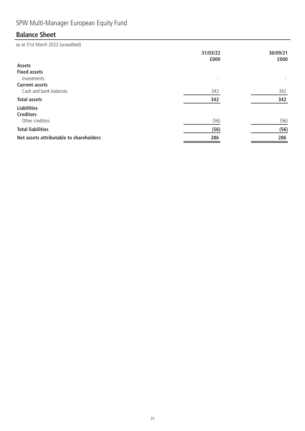# SPW Multi-Manager European Equity Fund

# **Balance Sheet**

as at 31st March 2022 (unaudited)

|                                         | 31/03/22<br>£000 | 30/09/21<br>£000 |
|-----------------------------------------|------------------|------------------|
| <b>Assets</b>                           |                  |                  |
| <b>Fixed assets</b>                     |                  |                  |
| Investments                             |                  |                  |
| <b>Current assets</b>                   |                  |                  |
| Cash and bank balances                  | 342              | 342              |
| <b>Total assets</b>                     | 342              | 342              |
| <b>Liabilities</b>                      |                  |                  |
| <b>Creditors</b>                        |                  |                  |
| Other creditors                         | (56)             | (56)             |
| <b>Total liabilities</b>                | (56)             | (56)             |
| Net assets attributable to shareholders | 286              | 286              |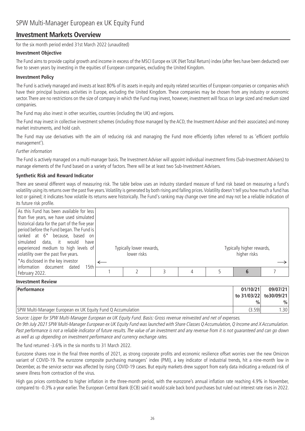### **Investment Markets Overview**

for the six month period ended 31st March 2022 (unaudited)

### **Investment Objective**

The Fund aims to provide capital growth and income in excess of the MSCI Europe ex UK (Net Total Return) index (after fees have been deducted) over five to seven years by investing in the equities of European companies, excluding the United Kingdom.

#### **Investment Policy**

The Fund is actively managed and invests at least 80% of its assets in equity and equity related securities of European companies or companies which have their principal business activities in Europe, excluding the United Kingdom. These companies may be chosen from any industry or economic sector. There are no restrictions on the size of company in which the Fund may invest, however, investment will focus on large sized and medium sized companies.

The Fund may also invest in other securities, countries (including the UK) and regions.

The Fund may invest in collective investment schemes (including those managed by the ACD, the Investment Adviser and their associates) and money market instruments, and hold cash.

The Fund may use derivatives with the aim of reducing risk and managing the Fund more efficiently (often referred to as 'efficient portfolio management').

Further information

The Fund is actively managed on a multi-manager basis. The Investment Adviser will appoint individual investment firms (Sub-Investment Advisers) to manage elements of the Fund based on a variety of factors. There will be at least two Sub-Investment Advisers.

### **Synthetic Risk and Reward Indicator**

There are several different ways of measuring risk. The table below uses an industry standard measure of fund risk based on measuring a fund's volatility using its returns over the past five years.Volatility is generated by both rising and falling prices.Volatility doesn't tell you how much a fund has lost or gained; it indicates how volatile its returns were historically. The Fund's ranking may change over time and may not be a reliable indication of its future risk profile.

| As this Fund has been available for less<br>than five years, we have used simulated<br>historical data for the part of the five year<br>period before the Fund began. The Fund is<br>ranked at 6 <sup>*</sup> because, based on<br>simulated data, it would<br>have<br>experienced medium to high levels of<br>volatility over the past five years.<br>*As disclosed in the key investor | Typically lower rewards,<br>lower risks |   | Typically higher rewards,<br>higher risks |  |
|------------------------------------------------------------------------------------------------------------------------------------------------------------------------------------------------------------------------------------------------------------------------------------------------------------------------------------------------------------------------------------------|-----------------------------------------|---|-------------------------------------------|--|
| information document dated<br>15th<br>February 2022.                                                                                                                                                                                                                                                                                                                                     |                                         | 4 |                                           |  |

#### **Investment Review**

| <b>Performance</b>                                          | 01/10/21                | 09/07/21         |
|-------------------------------------------------------------|-------------------------|------------------|
|                                                             | to 31/03/22 to 30/09/21 |                  |
|                                                             | $\frac{0}{0}$           | $\%$             |
| SPW Multi-Manager European ex UK Equity Fund Q Accumulation | (3.59)                  | .30 <sub>1</sub> |

Source: Lipper for SPW Multi-Manager European ex UK Equity Fund. Basis: Gross revenue reinvested and net of expenses.

On 9th July 2021 SPW Multi-Manager European ex UK Equity Fund was launched with Share Classes Q Accumulation, Q Income and X Accumulation. Past performance is not a reliable indicator of future results. The value of an investment and any revenue from it is not guaranteed and can go down as well as up depending on investment performance and currency exchange rates.

The fund returned -3.6% in the six months to 31 March 2022.

Eurozone shares rose in the final three months of 2021, as strong corporate profits and economic resilience offset worries over the new Omicron variant of COVID-19. The eurozone composite purchasing managers' index (PMI), a key indicator of industrial trends, hit a nine-month low in December, as the service sector was affected by rising COVID-19 cases. But equity markets drew support from early data indicating a reduced risk of severe illness from contraction of the virus.

High gas prices contributed to higher inflation in the three-month period, with the eurozone's annual inflation rate reaching 4.9% in November, compared to -0.3% a year earlier. The European Central Bank (ECB) said it would scale back bond purchases but ruled out interest rate rises in 2022.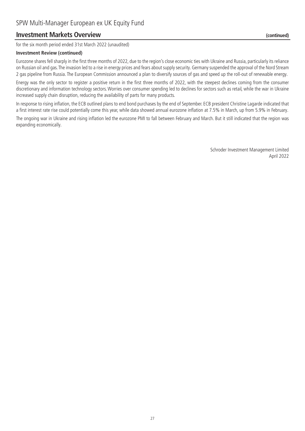### **Investment Markets Overview (continued)**

for the six month period ended 31st March 2022 (unaudited)

#### **Investment Review (continued)**

Eurozone shares fell sharply in the first three months of 2022, due to the region's close economic ties with Ukraine and Russia, particularly its reliance on Russian oil and gas.The invasion led to a rise in energy prices and fears about supply security. Germany suspended the approval of the Nord Stream 2 gas pipeline from Russia. The European Commission announced a plan to diversify sources of gas and speed up the roll-out of renewable energy.

Energy was the only sector to register a positive return in the first three months of 2022, with the steepest declines coming from the consumer discretionary and information technology sectors. Worries over consumer spending led to declines for sectors such as retail, while the war in Ukraine increased supply chain disruption, reducing the availability of parts for many products.

In response to rising inflation, the ECB outlined plans to end bond purchases by the end of September. ECB president Christine Lagarde indicated that a first interest rate rise could potentially come this year, while data showed annual eurozone inflation at 7.5% in March, up from 5.9% in February.

The ongoing war in Ukraine and rising inflation led the eurozone PMI to fall between February and March. But it still indicated that the region was expanding economically.

> Schroder Investment Management Limited April 2022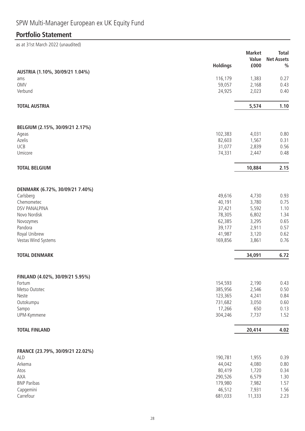# SPW Multi-Manager European ex UK Equity Fund

# **Portfolio Statement**

as at 31st March 2022 (unaudited)

|                                  | <b>Holdings</b>   | <b>Market</b><br>Value<br>£000 | <b>Total</b><br><b>Net Assets</b><br>$\frac{0}{0}$ |
|----------------------------------|-------------------|--------------------------------|----------------------------------------------------|
| AUSTRIA (1.10%, 30/09/21 1.04%)  |                   |                                |                                                    |
| ams                              | 116,179           | 1,383                          | 0.27                                               |
| <b>OMV</b><br>Verbund            | 59,057            | 2,168                          | 0.43<br>0.40                                       |
|                                  | 24,925            | 2,023                          |                                                    |
| <b>TOTAL AUSTRIA</b>             |                   | 5,574                          | 1.10                                               |
| BELGIUM (2.15%, 30/09/21 2.17%)  |                   |                                |                                                    |
| Ageas                            | 102,383           | 4,031                          | 0.80                                               |
| Azelis                           | 82,603            | 1,567                          | 0.31                                               |
| UCB                              | 31,077            | 2,839                          | 0.56                                               |
| Umicore                          | 74,331            | 2,447                          | 0.48                                               |
| <b>TOTAL BELGIUM</b>             |                   | 10,884                         | 2.15                                               |
| DENMARK (6.72%, 30/09/21 7.40%)  |                   |                                |                                                    |
| Carlsberg                        | 49,616            | 4,730                          | 0.93                                               |
| Chemometec                       | 40,191            | 3,780                          | 0.75                                               |
| <b>DSV PANALPINA</b>             | 37,421            | 5,592                          | 1.10                                               |
| Novo Nordisk                     | 78,305            | 6,802                          | 1.34                                               |
| Novozymes                        | 62,385            | 3,295                          | 0.65                                               |
| Pandora                          | 39,177            | 2,911                          | 0.57                                               |
| Royal Unibrew                    | 41,987            | 3,120                          | 0.62                                               |
| Vestas Wind Systems              | 169,856           | 3,861                          | 0.76                                               |
| <b>TOTAL DENMARK</b>             |                   | 34,091                         | 6.72                                               |
| FINLAND (4.02%, 30/09/21 5.95%)  |                   |                                |                                                    |
| Fortum                           | 154,593           | 2,190                          | 0.43                                               |
| Metso Outotec                    | 385,956           | 2,546                          | 0.50                                               |
| Neste                            | 123,365           | 4,241                          | 0.84                                               |
| Outokumpu<br>Sampo               | 731,682<br>17,266 | 3,050<br>650                   | 0.60<br>0.13                                       |
| UPM-Kymmene                      | 304,246           | 7,737                          | 1.52                                               |
| <b>TOTAL FINLAND</b>             |                   | 20,414                         | 4.02                                               |
|                                  |                   |                                |                                                    |
| FRANCE (23.79%, 30/09/21 22.02%) |                   |                                |                                                    |
| ALD                              | 190,781           | 1,955                          | 0.39                                               |
| Arkema<br>Atos                   | 44,042            | 4,080<br>1,720                 | 0.80<br>0.34                                       |
| AXA                              | 80,419<br>290,526 | 6,579                          | 1.30                                               |
| <b>BNP Paribas</b>               | 179,980           | 7,982                          | 1.57                                               |
| Capgemini                        | 46,512            | 7,931                          | 1.56                                               |
| Carrefour                        | 681,033           | 11,333                         | 2.23                                               |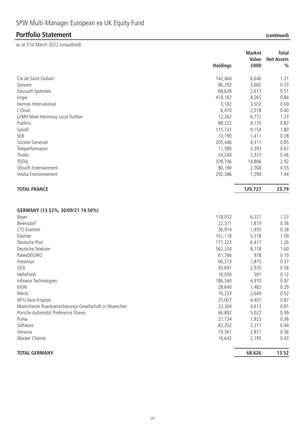# **Portfolio Statement (continued)**

as at 31st March 2022 (unaudited)

|                                                        | <b>Holdings</b> | <b>Market</b><br>Value<br>£000 | <b>Total</b><br><b>Net Assets</b><br>$\frac{0}{0}$ |
|--------------------------------------------------------|-----------------|--------------------------------|----------------------------------------------------|
| Cie de Saint-Gobain                                    | 142,460         | 6,646                          | 1.31                                               |
| Danone                                                 | 86,292          | 3,682                          | 0.73                                               |
| Dassault Systemes                                      | 68,628          | 2,613                          | 0.51                                               |
| Engie                                                  | 414,162         | 4,265                          | 0.84                                               |
| Hermes International                                   | 3,182           | 3,502                          | 0.69                                               |
| L'Oreal                                                | 6,470           | 2,018                          | 0.40                                               |
| LVMH Moet Hennessy Louis Vuitton                       | 12,262          | 6,772                          | 1.33                                               |
| Publicis                                               | 88,222          | 4,170                          | 0.82                                               |
| Sanofi                                                 | 115,721         | 9,154                          | 1.80                                               |
| SEB                                                    | 13,190          | 1,411                          | 0.28                                               |
| Societe Generale                                       | 205,446         | 4,311                          | 0.85                                               |
| Teleperformance                                        | 11,580          | 3,393                          | 0.67                                               |
| Thales                                                 | 24,244          | 2,337                          | 0.46                                               |
| <b>TOTAL</b>                                           | 378,706         | 14,806                         | 2.92                                               |
| <b>Ubisoft Entertainment</b>                           | 80,190          | 2,768                          | 0.55                                               |
| Veolia Environnement                                   | 292,386         | 7,299                          | 1.44                                               |
| <b>TOTAL FRANCE</b>                                    |                 | 120,727                        | 23.79                                              |
| GERMANY (13.52%, 30/09/21 14.50%)                      |                 |                                |                                                    |
| Bayer                                                  | 118,052         | 6,221                          | 1.23                                               |
| Beiersdorf                                             | 22,371          | 1,819                          | 0.36                                               |
| CTS Eventim                                            | 36,914          | 1,935                          | 0.38                                               |
| Daimler                                                | 101,118         | 5,518                          | 1.09                                               |
| Deutsche Post                                          | 171,323         | 6,411                          | 1.26                                               |
| Deutsche Telekom                                       | 562,334         | 8,118                          | 1.60                                               |
| flatexDEGIRO                                           | 61,766          | 978                            | 0.19                                               |
| Fresenius                                              | 66,373          | 1,875                          | 0.37                                               |
| GEA                                                    | 93,691          | 2,970                          | 0.58                                               |
| HelloFresh                                             | 16,050          | 591                            | 0.12                                               |
| Infineon Technologies                                  | 186,540         | 4,910                          | 0.97                                               |
| KION                                                   | 28,640          | 1,483                          | 0.29                                               |
| Merck                                                  | 16,233          | 2,649                          | 0.52                                               |
| MTU Aero Engines                                       | 25,007          | 4,407                          | 0.87                                               |
| Muenchener Rueckversicherungs-Gesellschaft in Muenchen | 22,304          | 4,613                          | 0.91                                               |
| Porsche Automobil Preference Shares                    | 66,892          | 5,022                          | 0.99                                               |
| Puma                                                   | 27,734          | 1,823                          | 0.36                                               |
| Software                                               | 82,202          | 2,217                          | 0.44                                               |
| Vonovia                                                | 79,561          | 2,871                          | 0.56                                               |
| Wacker Chemie                                          | 16,642          | 2,195                          | 0.43                                               |
| <b>TOTAL GERMANY</b>                                   |                 | 68,626                         | 13.52                                              |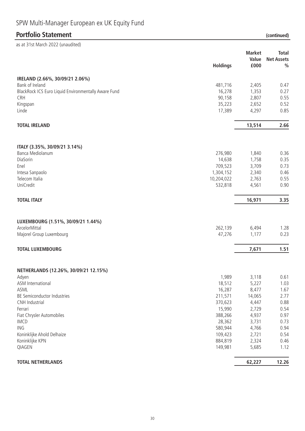# SPW Multi-Manager European ex UK Equity Fund

# **Portfolio Statement (continued)**

| as at 31st March 2022 (unaudited)                    |                 |               |                   |
|------------------------------------------------------|-----------------|---------------|-------------------|
|                                                      |                 | <b>Market</b> | <b>Total</b>      |
|                                                      |                 | Value         | <b>Net Assets</b> |
|                                                      | <b>Holdings</b> | £000          | $\frac{0}{0}$     |
| IRELAND (2.66%, 30/09/21 2.06%)                      |                 |               |                   |
| Bank of Ireland                                      | 481,716         | 2,405         | 0.47              |
| BlackRock ICS Euro Liquid Environmentally Aware Fund | 16,278          | 1,353         | 0.27              |
| CRH                                                  | 90,158          | 2,807         | 0.55              |
| Kingspan                                             | 35,223          | 2,652         | 0.52              |
| Linde                                                | 17,389          | 4,297         | 0.85              |
| <b>TOTAL IRELAND</b>                                 |                 | 13,514        | 2.66              |
| ITALY (3.35%, 30/09/21 3.14%)                        |                 |               |                   |
| Banca Mediolanum                                     | 276,980         | 1,840         | 0.36              |
| DiaSorin                                             | 14,638          | 1,758         | 0.35              |
| Enel                                                 | 709,523         | 3,709         | 0.73              |
| Intesa Sanpaolo                                      | 1,304,152       | 2,340         | 0.46              |
| Telecom Italia                                       | 10,204,022      | 2,763         | 0.55              |
| UniCredit                                            | 532,818         | 4,561         | 0.90              |
| <b>TOTAL ITALY</b>                                   |                 | 16,971        | 3.35              |
| LUXEMBOURG (1.51%, 30/09/21 1.44%)                   |                 |               |                   |
| ArcelorMittal                                        | 262,139         | 6,494         | 1.28              |
| Majorel Group Luxembourg                             | 47,276          | 1,177         | 0.23              |
| <b>TOTAL LUXEMBOURG</b>                              |                 | 7,671         | 1.51              |
| NETHERLANDS (12.26%, 30/09/21 12.15%)                |                 |               |                   |
| Adyen                                                | 1,989           | 3,118         | 0.61              |
| ASM International                                    | 18,512          | 5,227         | 1.03              |
| ASML                                                 | 16,287          | 8,477         | 1.67              |
| BE Semiconductor Industries                          | 211,571         | 14,065        | 2.77              |
| CNH Industrial                                       | 370,623         | 4,447         | 0.88              |
| Ferrari                                              | 15,990          | 2,729         | 0.54              |
| Fiat Chrysler Automobiles                            | 388,266         | 4,937         | 0.97              |
| <b>IMCD</b>                                          | 28,362          | 3,731         | 0.73              |
| <b>ING</b>                                           | 580,944         | 4,766         | 0.94              |
| Koninklijke Ahold Delhaize                           | 109,423         | 2,721         | 0.54              |
| Koninklijke KPN                                      | 884,819         | 2,324         | 0.46              |
| QIAGEN                                               | 149,981         | 5,685         | 1.12              |
| <b>TOTAL NETHERLANDS</b>                             |                 | 62,227        | 12.26             |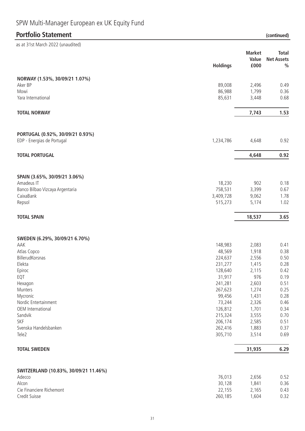# SPW Multi-Manager European ex UK Equity Fund

# **Portfolio Statement (continued)**

| as at 31st March 2022 (unaudited)                              |                    |                        |                                   |
|----------------------------------------------------------------|--------------------|------------------------|-----------------------------------|
|                                                                |                    | <b>Market</b><br>Value | <b>Total</b><br><b>Net Assets</b> |
|                                                                | <b>Holdings</b>    | £000                   | $\frac{0}{0}$                     |
| NORWAY (1.53%, 30/09/21 1.07%)                                 |                    |                        |                                   |
| Aker BP                                                        | 89,008             | 2,496                  | 0.49                              |
| Mowi                                                           | 86,988             | 1,799                  | 0.36                              |
| Yara International                                             | 85,631             | 3,448                  | 0.68                              |
| <b>TOTAL NORWAY</b>                                            |                    | 7,743                  | 1.53                              |
| PORTUGAL (0.92%, 30/09/21 0.93%)<br>EDP - Energias de Portugal | 1,234,786          | 4,648                  | 0.92                              |
|                                                                |                    |                        |                                   |
| <b>TOTAL PORTUGAL</b>                                          |                    | 4,648                  | 0.92                              |
| SPAIN (3.65%, 30/09/21 3.06%)                                  |                    |                        |                                   |
| Amadeus IT                                                     | 18,230             | 902                    | 0.18                              |
| Banco Bilbao Vizcaya Argentaria                                | 758,531            | 3,399                  | 0.67                              |
| CaixaBank                                                      | 3,409,728          | 9,062                  | 1.78                              |
| Repsol                                                         | 515,273            | 5,174                  | 1.02                              |
| <b>TOTAL SPAIN</b>                                             |                    | 18,537                 | 3.65                              |
| SWEDEN (6.29%, 30/09/21 6.70%)                                 |                    |                        |                                   |
| AAK                                                            | 148,983            | 2,083                  | 0.41                              |
| Atlas Copco                                                    | 48,569             | 1,918                  | 0.38                              |
| BillerudKorsnas                                                | 224,637            | 2,556                  | 0.50                              |
| Elekta                                                         | 231,277            | 1,415                  | 0.28                              |
| Epiroc                                                         | 128,640            | 2,115                  | 0.42                              |
| EQT                                                            | 31,917             | 976                    | 0.19                              |
| Hexagon<br>Munters                                             | 241,281<br>267,623 | 2,603<br>1,274         | 0.51<br>0.25                      |
| Mycronic                                                       | 99,456             | 1,431                  | 0.28                              |
| Nordic Entertainment                                           | 73,244             | 2,326                  | 0.46                              |
| OEM International                                              | 126,812            | 1,701                  | 0.34                              |
| Sandvik                                                        | 215,324            | 3,555                  | 0.70                              |
| SKF                                                            | 206,174            | 2,585                  | 0.51                              |
| Svenska Handelsbanken                                          | 262,416            | 1,883                  | 0.37                              |
| Tele2                                                          | 305,710            | 3,514                  | 0.69                              |
| <b>TOTAL SWEDEN</b>                                            |                    | 31,935                 | 6.29                              |
| SWITZERLAND (10.83%, 30/09/21 11.46%)                          |                    |                        |                                   |
| Adecco                                                         | 76,013             | 2,656                  | 0.52                              |
| Alcon                                                          | 30,128             | 1,841                  | 0.36                              |
| Cie Financiere Richemont                                       | 22,155             | 2,165                  | 0.43                              |
| Credit Suisse                                                  | 260,185            | 1,604                  | 0.32                              |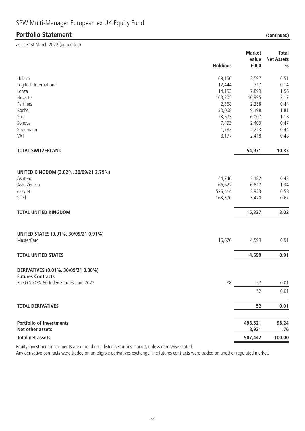# **Portfolio Statement (continued)**

| as at 31st March 2022 (unaudited)      |                 |               |                   |
|----------------------------------------|-----------------|---------------|-------------------|
|                                        |                 | <b>Market</b> | <b>Total</b>      |
|                                        |                 | Value         | <b>Net Assets</b> |
|                                        | <b>Holdings</b> | £000          | $\frac{0}{0}$     |
| Holcim                                 | 69,150          | 2,597         | 0.51              |
| Logitech International                 | 12,444          | 717           | 0.14              |
| Lonza                                  | 14,153          | 7,899         | 1.56              |
| Novartis                               | 163,205         | 10,995        | 2.17              |
| Partners                               | 2,368           | 2,258         | 0.44              |
| Roche                                  | 30,068          | 9,198         | 1.81              |
| Sika                                   | 23,573          | 6,007         | 1.18              |
| Sonova                                 | 7,493           | 2,403         | 0.47              |
| Straumann                              | 1,783           | 2,213         | 0.44              |
| VAT                                    | 8,177           | 2,418         | 0.48              |
| <b>TOTAL SWITZERLAND</b>               |                 | 54,971        | 10.83             |
|                                        |                 |               |                   |
| UNITED KINGDOM (3.02%, 30/09/21 2.79%) |                 |               |                   |
| Ashtead                                | 44,746          | 2,182         | 0.43              |
|                                        |                 |               |                   |
| AstraZeneca                            | 66,622          | 6,812         | 1.34              |
| easyJet                                | 525,414         | 2,923         | 0.58              |
| Shell                                  | 163,370         | 3,420         | 0.67              |
| <b>TOTAL UNITED KINGDOM</b>            |                 | 15,337        | 3.02              |
|                                        |                 |               |                   |
| UNITED STATES (0.91%, 30/09/21 0.91%)  |                 |               |                   |
| MasterCard                             | 16,676          | 4,599         | 0.91              |
| <b>TOTAL UNITED STATES</b>             |                 | 4,599         | 0.91              |
| DERIVATIVES (0.01%, 30/09/21 0.00%)    |                 |               |                   |
| <b>Futures Contracts</b>               |                 |               |                   |
| EURO STOXX 50 Index Futures June 2022  | 88              | 52            | 0.01              |
|                                        |                 |               |                   |
|                                        |                 | 52            | 0.01              |
| <b>TOTAL DERIVATIVES</b>               |                 | 52            | 0.01              |
| <b>Portfolio of investments</b>        |                 | 498,521       | 98.24             |
| Net other assets                       |                 | 8,921         | 1.76              |

**Total net assets 507,442 100.00**

Equity investment instruments are quoted on a listed securities market, unless otherwise stated.

Any derivative contracts were traded on an eligible derivatives exchange. The futures contracts were traded on another regulated market.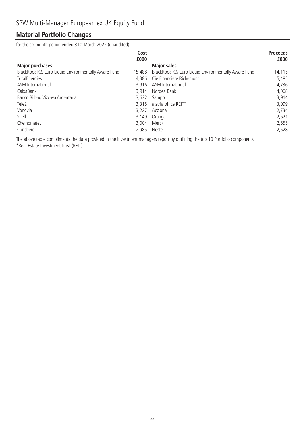### **Material Portfolio Changes**

for the six month period ended 31st March 2022 (unaudited)

|                                                      | Cost<br>£000 |                                                      | <b>Proceeds</b><br>£000 |
|------------------------------------------------------|--------------|------------------------------------------------------|-------------------------|
| <b>Major purchases</b>                               |              | <b>Major sales</b>                                   |                         |
| BlackRock ICS Euro Liquid Environmentally Aware Fund | 15,488       | BlackRock ICS Euro Liquid Environmentally Aware Fund | 14,115                  |
| TotalEnergies                                        | 4.386        | Cie Financiere Richemont                             | 5,485                   |
| ASM International                                    | 3.916        | ASM International                                    | 4,736                   |
| CaixaBank                                            | 3.914        | Nordea Bank                                          | 4,068                   |
| Banco Bilbao Vizcaya Argentaria                      | 3,622        | Sampo                                                | 3,914                   |
| Tele <sub>2</sub>                                    | 3,318        | alstria office REIT*                                 | 3,099                   |
| Vonovia                                              | 3.227        | Acciona                                              | 2,734                   |
| Shell                                                | 3,149        | Orange                                               | 2,621                   |
| Chemometec                                           | 3,004        | Merck                                                | 2,555                   |
| Carlsberg                                            | 2,985        | Neste                                                | 2,528                   |

The above table compliments the data provided in the investment managers report by outlining the top 10 Portfolio components. \*Real Estate Investment Trust (REIT).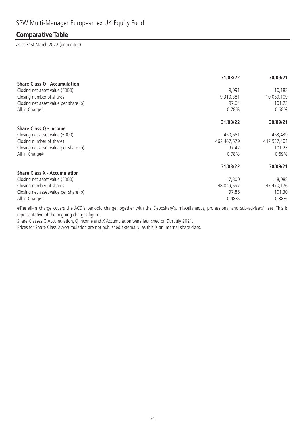### **Comparative Table**

as at 31st March 2022 (unaudited)

|                                       | 31/03/22    | 30/09/21    |
|---------------------------------------|-------------|-------------|
| <b>Share Class Q - Accumulation</b>   |             |             |
| Closing net asset value (£000)        | 9,091       | 10,183      |
| Closing number of shares              | 9,310,381   | 10,059,109  |
| Closing net asset value per share (p) | 97.64       | 101.23      |
| All in Charge#                        | 0.78%       | 0.68%       |
|                                       | 31/03/22    | 30/09/21    |
| Share Class Q - Income                |             |             |
| Closing net asset value (£000)        | 450,551     | 453,439     |
| Closing number of shares              | 462,467,579 | 447,937,401 |
| Closing net asset value per share (p) | 97.42       | 101.23      |
| All in Charge#                        | 0.78%       | 0.69%       |
|                                       | 31/03/22    | 30/09/21    |
| <b>Share Class X - Accumulation</b>   |             |             |
| Closing net asset value (£000)        | 47,800      | 48,088      |
| Closing number of shares              | 48,849,597  | 47,470,176  |
| Closing net asset value per share (p) | 97.85       | 101.30      |
| All in Charge#                        | 0.48%       | 0.38%       |

#The all-in charge covers the ACD's periodic charge together with the Depositary's, miscellaneous, professional and sub-advisers' fees. This is representative of the ongoing charges figure.

Share Classes Q Accumulation, Q Income and X Accumulation were launched on 9th July 2021.

Prices for Share Class X Accumulation are not published externally, as this is an internal share class.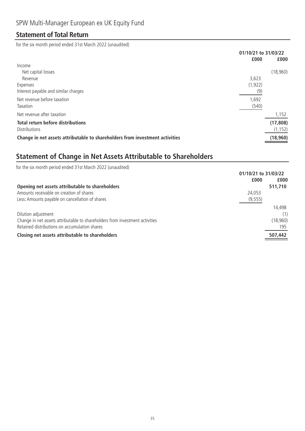### **Statement of Total Return**

for the six month period ended 31st March 2022 (unaudited)

|                                                                              | 01/10/21 to 31/03/22 |           |
|------------------------------------------------------------------------------|----------------------|-----------|
|                                                                              | £000                 | £000      |
| Income                                                                       |                      |           |
| Net capital losses                                                           |                      | (18,960)  |
| Revenue                                                                      | 3,623                |           |
| Expenses                                                                     | (1, 922)             |           |
| Interest payable and similar charges                                         | (9)                  |           |
| Net revenue before taxation                                                  | 1,692                |           |
| Taxation                                                                     | (540)                |           |
| Net revenue after taxation                                                   |                      | 1,152     |
| <b>Total return before distributions</b>                                     |                      | (17, 808) |
| <b>Distributions</b>                                                         |                      | (1, 152)  |
| Change in net assets attributable to shareholders from investment activities |                      | (18, 960) |

## **Statement of Change in Net Assets Attributable to Shareholders**

| for the six month period ended 31st March 2022 (unaudited)                   |                      |
|------------------------------------------------------------------------------|----------------------|
|                                                                              | 01/10/21 to 31/03/22 |
| £000                                                                         | £000                 |
| Opening net assets attributable to shareholders                              | 511,710              |
| Amounts receivable on creation of shares<br>24.053                           |                      |
| Less: Amounts payable on cancellation of shares<br>(9, 555)                  |                      |
|                                                                              | 14,498               |
| Dilution adjustment                                                          | (1)                  |
| Change in net assets attributable to shareholders from investment activities | (18,960)             |
| Retained distributions on accumulation shares                                | 195                  |
| Closing net assets attributable to shareholders                              | 507,442              |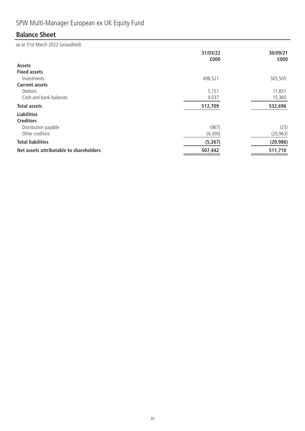# SPW Multi-Manager European ex UK Equity Fund

## **Balance Sheet**

|                                         | 31/03/22<br>£000 | 30/09/21<br>£000 |
|-----------------------------------------|------------------|------------------|
| <b>Assets</b>                           |                  |                  |
| <b>Fixed assets</b>                     |                  |                  |
| Investments                             | 498,521          | 505,505          |
| <b>Current assets</b>                   |                  |                  |
| Debtors                                 | 5,151            | 11,831           |
| Cash and bank balances                  | 9,037            | 15,360           |
| <b>Total assets</b>                     | 512,709          | 532,696          |
| <b>Liabilities</b>                      |                  |                  |
| <b>Creditors</b>                        |                  |                  |
| Distribution payable                    | (967)            | (23)             |
| Other creditors                         | (4,300)          | (20, 963)        |
| <b>Total liabilities</b>                | (5, 267)         | (20, 986)        |
| Net assets attributable to shareholders | 507,442          | 511,710          |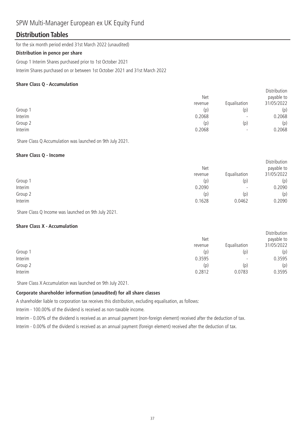### SPW Multi-Manager European ex UK Equity Fund

#### **Distribution Tables**

for the six month period ended 31st March 2022 (unaudited)

#### **Distribution in pence per share**

Group 1 Interim Shares purchased prior to 1st October 2021

Interim Shares purchased on or between 1st October 2021 and 31st March 2022

#### **Share Class Q - Accumulation**

|         |         |                          | <b>DISTILIDATION</b> |
|---------|---------|--------------------------|----------------------|
|         | Net     |                          | payable to           |
|         | revenue | Equalisation             | 31/05/2022           |
| Group 1 | (p)     | (p)                      | (p)                  |
| Interim | 0.2068  | $\overline{\phantom{0}}$ | 0.2068               |
| Group 2 | (p)     | (p)                      | (p)                  |
| Interim | 0.2068  | $\overline{\phantom{0}}$ | 0.2068               |
|         |         |                          |                      |

Distribution

Share Class Q Accumulation was launched on 9th July 2021.

#### **Share Class Q - Income**

|         | <b>Net</b> |                          | Distribution<br>payable to |
|---------|------------|--------------------------|----------------------------|
|         | revenue    | Equalisation             | 31/05/2022                 |
| Group 1 | (p)        | (p)                      | (p)                        |
| Interim | 0.2090     | $\overline{\phantom{a}}$ | 0.2090                     |
| Group 2 | (p)        | (p)                      | (p)                        |
| Interim | 0.1628     | 0.0462                   | 0.2090                     |

Share Class Q Income was launched on 9th July 2021.

#### **Share Class X - Accumulation**

|         | <b>Net</b><br>revenue | Equalisation             | Distribution<br>payable to<br>31/05/2022 |
|---------|-----------------------|--------------------------|------------------------------------------|
| Group 1 | (p)                   | (p)                      | (p)                                      |
| Interim | 0.3595                | $\overline{\phantom{0}}$ | 0.3595                                   |
| Group 2 | (p)                   | (p)                      | (p)                                      |
| Interim | 0.2812                | 0.0783                   | 0.3595                                   |

Share Class X Accumulation was launched on 9th July 2021.

#### **Corporate shareholder information (unaudited) for all share classes**

A shareholder liable to corporation tax receives this distribution, excluding equalisation, as follows:

Interim - 100.00% of the dividend is received as non-taxable income.

Interim - 0.00% of the dividend is received as an annual payment (non-foreign element) received after the deduction of tax.

Interim - 0.00% of the dividend is received as an annual payment (foreign element) received after the deduction of tax.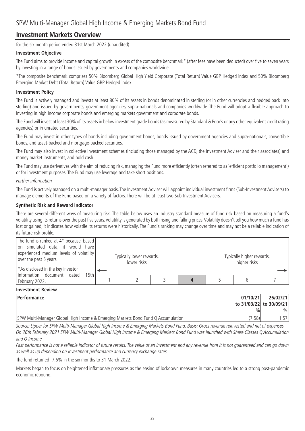#### **Investment Markets Overview**

for the six month period ended 31st March 2022 (unaudited)

#### **Investment Objective**

The Fund aims to provide income and capital growth in excess of the composite benchmark\* (after fees have been deducted) over five to seven years by investing in a range of bonds issued by governments and companies worldwide.

\*The composite benchmark comprises 50% Bloomberg Global High Yield Corporate (Total Return) Value GBP Hedged index and 50% Bloomberg Emerging Market Debt (Total Return) Value GBP Hedged index.

#### **Investment Policy**

The Fund is actively managed and invests at least 80% of its assets in bonds denominated in sterling (or in other currencies and hedged back into sterling) and issued by governments, government agencies, supra-nationals and companies worldwide. The Fund will adopt a flexible approach to investing in high income corporate bonds and emerging markets government and corporate bonds.

The Fund will invest at least 30% of its assets in below investment grade bonds (as measured by Standard & Poor's or any other equivalent credit rating agencies) or in unrated securities.

The Fund may invest in other types of bonds including government bonds, bonds issued by government agencies and supra-nationals, convertible bonds, and asset-backed and mortgage-backed securities.

The Fund may also invest in collective investment schemes (including those managed by the ACD, the Investment Adviser and their associates) and money market instruments, and hold cash.

The Fund may use derivatives with the aim of reducing risk, managing the Fund more efficiently (often referred to as 'efficient portfolio management') or for investment purposes. The Fund may use leverage and take short positions.

#### Further information

The Fund is actively managed on a multi-manager basis. The Investment Adviser will appoint individual investment firms (Sub-Investment Advisers) to manage elements of the Fund based on a variety of factors. There will be at least two Sub-Investment Advisers.

#### **Synthetic Risk and Reward Indicator**

There are several different ways of measuring risk. The table below uses an industry standard measure of fund risk based on measuring a fund's volatility using its returns over the past five years.Volatility is generated by both rising and falling prices.Volatility doesn't tell you how much a fund has lost or gained; it indicates how volatile its returns were historically. The Fund's ranking may change over time and may not be a reliable indication of its future risk profile.

| The fund is ranked at 4* because, based<br>on simulated data, it would have<br>experienced medium levels of volatility<br>over the past 5 years.<br><sup>*</sup> As disclosed in the key investor | Typically lower rewards,<br>lower risks |  | Typically higher rewards,<br>higher risks |  |
|---------------------------------------------------------------------------------------------------------------------------------------------------------------------------------------------------|-----------------------------------------|--|-------------------------------------------|--|
| information document dated<br>15th<br>February 2022.                                                                                                                                              |                                         |  |                                           |  |

#### **Investment Review**

| Performance                                                                      | 01/10/21      | 26/02/21                |
|----------------------------------------------------------------------------------|---------------|-------------------------|
|                                                                                  |               | to 31/03/22 to 30/09/21 |
|                                                                                  | $\frac{0}{0}$ | $\%$                    |
| SPW Multi-Manager Global High Income & Emerging Markets Bond Fund Q Accumulation | (7.58)        | .571                    |

Source: Lipper for SPW Multi-Manager Global High Income & Emerging Markets Bond Fund. Basis: Gross revenue reinvested and net of expenses. On 26th February 2021 SPW Multi-Manager Global High Income & Emerging Markets Bond Fund was launched with Share Classes Q Accumulation and Q Income.

Past performance is not a reliable indicator of future results. The value of an investment and any revenue from it is not guaranteed and can go down as well as up depending on investment performance and currency exchange rates.

The fund returned -7.6% in the six months to 31 March 2022.

Markets began to focus on heightened inflationary pressures as the easing of lockdown measures in many countries led to a strong post-pandemic economic rebound.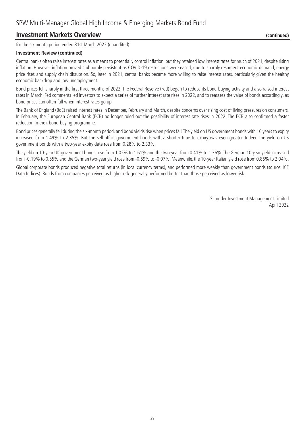#### **Investment Markets Overview** *(continued) (continued)*

for the six month period ended 31st March 2022 (unaudited)

#### **Investment Review (continued)**

Central banks often raise interest rates as a means to potentially control inflation, but they retained low interest rates for much of 2021, despite rising inflation. However, inflation proved stubbornly persistent as COVID-19 restrictions were eased, due to sharply resurgent economic demand, energy price rises and supply chain disruption. So, later in 2021, central banks became more willing to raise interest rates, particularly given the healthy economic backdrop and low unemployment.

Bond prices fell sharply in the first three months of 2022. The Federal Reserve (Fed) began to reduce its bond-buying activity and also raised interest rates in March. Fed comments led investors to expect a series of further interest rate rises in 2022, and to reassess the value of bonds accordingly, as bond prices can often fall when interest rates go up.

The Bank of England (BoE) raised interest rates in December, February and March, despite concerns over rising cost of living pressures on consumers. In February, the European Central Bank (ECB) no longer ruled out the possibility of interest rate rises in 2022. The ECB also confirmed a faster reduction in their bond-buying programme.

Bond prices generally fell during the six-month period, and bond yields rise when prices fall. The yield on US government bonds with 10 years to expiry increased from 1.49% to 2.35%. But the sell-off in government bonds with a shorter time to expiry was even greater. Indeed the yield on US government bonds with a two-year expiry date rose from 0.28% to 2.33%.

The yield on 10-year UK government bonds rose from 1.02% to 1.61% and the two-year from 0.41% to 1.36%. The German 10-year yield increased from -0.19% to 0.55% and the German two-year yield rose from -0.69% to -0.07%. Meanwhile, the 10-year Italian yield rose from 0.86% to 2.04%.

Global corporate bonds produced negative total returns (in local currency terms), and performed more weakly than government bonds (source: ICE Data Indices). Bonds from companies perceived as higher risk generally performed better than those perceived as lower risk.

> Schroder Investment Management Limited April 2022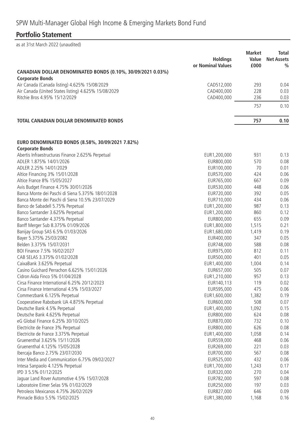## **Portfolio Statement**

|                                                                                       | <b>Holdings</b>   | <b>Market</b><br>Value | <b>Total</b><br><b>Net Assets</b> |
|---------------------------------------------------------------------------------------|-------------------|------------------------|-----------------------------------|
|                                                                                       | or Nominal Values | £000                   | $\%$                              |
| CANADIAN DOLLAR DENOMINATED BONDS (0.10%, 30/09/2021 0.03%)<br><b>Corporate Bonds</b> |                   |                        |                                   |
| Air Canada (Canada listing) 4.625% 15/08/2029                                         | CAD512,000        | 293                    | 0.04                              |
| Air Canada (United States listing) 4.625% 15/08/2029                                  | CAD400,000        | 228                    | 0.03                              |
| Ritchie Bros 4.95% 15/12/2029                                                         | CAD400,000        | 236                    | 0.03                              |
|                                                                                       |                   | 757                    | 0.10                              |
| <b>TOTAL CANADIAN DOLLAR DENOMINATED BONDS</b>                                        |                   | 757                    | 0.10                              |
|                                                                                       |                   |                        |                                   |
| EURO DENOMINATED BONDS (8.58%, 30/09/2021 7.82%)<br><b>Corporate Bonds</b>            |                   |                        |                                   |
| Abertis Infraestructuras Finance 2.625% Perpetual                                     | EUR1,200,000      | 931                    | 0.13                              |
| ADLER 1.875% 14/01/2026                                                               | EUR800,000        | 570                    | 0.08                              |
| ADLER 2.25% 14/01/2029                                                                | EUR100,000        | 70                     | 0.01                              |
| Altice Financing 3% 15/01/2028                                                        | EUR570,000        | 424                    | 0.06                              |
| Altice France 8% 15/05/2027                                                           | EUR765,000        | 667                    | 0.09                              |
| Avis Budget Finance 4.75% 30/01/2026                                                  | EUR530,000        | 448                    | 0.06                              |
| Banca Monte dei Paschi di Siena 5.375% 18/01/2028                                     | EUR720,000        | 392                    | 0.05                              |
| Banca Monte dei Paschi di Siena 10.5% 23/07/2029                                      | EUR710,000        | 434                    | 0.06                              |
| Banco de Sabadell 5.75% Perpetual                                                     | EUR1,200,000      | 987                    | 0.13                              |
| Banco Santander 3.625% Perpetual                                                      | EUR1,200,000      | 860                    | 0.12                              |
| Banco Santander 4.375% Perpetual                                                      | EUR800,000        | 655                    | 0.09                              |
| Banff Merger Sub 8.375% 01/09/2026                                                    | EUR1,800,000      | 1,515                  | 0.21                              |
| Banijay Group SAS 6.5% 01/03/2026                                                     | EUR1,680,000      | 1,419                  | 0.19                              |
| Bayer 5.375% 25/03/2082                                                               | EUR400,000        | 347                    | 0.05                              |
| Belden 3.375% 15/07/2031                                                              | EUR748,000        | 588                    | 0.08                              |
| BOI Finance 7.5% 16/02/2027                                                           | EUR975,000        | 812                    | 0.11                              |
| CAB SELAS 3.375% 01/02/2028                                                           | EUR500,000        | 401                    | 0.05                              |
| CaixaBank 3.625% Perpetual                                                            | EUR1,400,000      | 1,004                  | 0.14                              |
| Casino Guichard Perrachon 6.625% 15/01/2026                                           | EUR657,000        | 505                    | 0.07                              |
| Cidron Aida Finco 5% 01/04/2028                                                       | EUR1,210,000      | 957                    | 0.13                              |
| Cirsa Finance International 6.25% 20/12/2023                                          | EUR140,113        | 119                    | 0.02                              |
| Cirsa Finance International 4.5% 15/03/2027                                           | EUR595,000        | 475                    | 0.06                              |
| Commerzbank 6.125% Perpetual                                                          | EUR1,600,000      | 1,382                  | 0.19                              |
| Cooperatieve Rabobank UA 4.875% Perpetual                                             | EUR600,000        | 508                    | 0.07                              |
| Deutsche Bank 4.5% Perpetual                                                          | EUR1,400,000      | 1,092                  | 0.15                              |
| Deutsche Bank 4.625% Perpetual                                                        | EUR800,000        | 624                    | 0.08                              |
| eG Global Finance 6.25% 30/10/2025                                                    | EUR870,000        | 732                    | 0.10                              |
| Electricite de France 3% Perpetual                                                    | EUR800,000        | 626                    | 0.08                              |
| Electricite de France 3.375% Perpetual                                                | EUR1,400,000      | 1,058                  | 0.14                              |
| Gruenenthal 3.625% 15/11/2026                                                         | EUR559,000        | 468                    | 0.06                              |
| Gruenenthal 4.125% 15/05/2028                                                         | EUR269,000        | 221                    | 0.03                              |
| Ibercaja Banco 2.75% 23/07/2030                                                       | EUR700,000        | 567                    | 0.08                              |
| Inter Media and Communication 6.75% 09/02/2027                                        | EUR525,000        | 432                    | 0.06                              |
| Intesa Sanpaolo 4.125% Perpetual                                                      | EUR1,700,000      | 1,243                  | 0.17                              |
| IPD 3 5.5% 01/12/2025                                                                 | EUR320,000        | 270                    | 0.04                              |
| Jaguar Land Rover Automotive 4.5% 15/07/2028                                          | EUR782,000        | 597                    | 0.08                              |
| Laboratoire Eimer Selas 5% 01/02/2029                                                 | EUR250,000        | 197                    | 0.03                              |
| Petroleos Mexicanos 4.75% 26/02/2029                                                  | EUR827,000        | 646                    | 0.09                              |
| Pinnacle Bidco 5.5% 15/02/2025                                                        | EUR1,380,000      | 1,168                  | 0.16                              |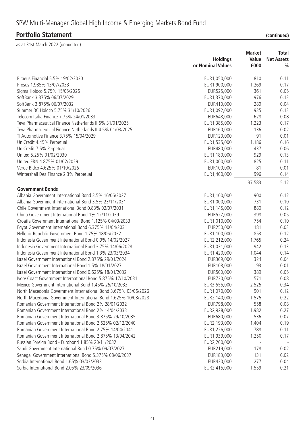|                                                                                  | <b>Holdings</b><br>or Nominal Values | <b>Market</b><br>Value<br>£000 | Total<br><b>Net Assets</b><br>$\frac{0}{0}$ |
|----------------------------------------------------------------------------------|--------------------------------------|--------------------------------|---------------------------------------------|
| Piraeus Financial 5.5% 19/02/2030                                                | EUR1,050,000                         | 810                            | 0.11                                        |
| Prosus 1.985% 13/07/2033                                                         | EUR1,900,000                         | 1,269                          | 0.17                                        |
| Sigma Holdco 5.75% 15/05/2026                                                    | EUR525,000                           | 361                            | 0.05                                        |
| SoftBank 3.375% 06/07/2029                                                       | EUR1,370,000                         | 976                            | 0.13                                        |
| SoftBank 3.875% 06/07/2032                                                       | EUR410,000                           | 289                            | 0.04                                        |
| Summer BC Holdco 5.75% 31/10/2026                                                | EUR1,092,000                         | 935                            | 0.13                                        |
| Telecom Italia Finance 7.75% 24/01/2033                                          | EUR648,000                           | 628                            | 0.08                                        |
| Teva Pharmaceutical Finance Netherlands II 6% 31/01/2025                         | EUR1,385,000                         | 1,223                          | 0.17                                        |
| Teva Pharmaceutical Finance Netherlands II 4.5% 01/03/2025                       | EUR160,000                           | 136                            | 0.02                                        |
| Tl Automotive Finance 3.75% 15/04/2029                                           | EUR120,000                           | 91                             | 0.01                                        |
| UniCredit 4.45% Perpetual                                                        | EUR1,535,000                         | 1,186                          | 0.16                                        |
| UniCredit 7.5% Perpetual                                                         | EUR480,000                           | 437                            | 0.06                                        |
| United 5.25% 01/02/2030                                                          | EUR1,180,000                         | 929                            | 0.13                                        |
| United FRN 4.875% 01/02/2029                                                     | EUR1,000,000                         | 825                            | 0.11                                        |
| Verde Bidco 4.625% 01/10/2026                                                    | EUR100,000                           | 81                             | 0.01                                        |
| Wintershall Dea Finance 2 3% Perpetual                                           | EUR1,400,000                         | 996                            | 0.14                                        |
|                                                                                  |                                      | 37,583                         | 5.12                                        |
| <b>Government Bonds</b><br>Albania Government International Bond 3.5% 16/06/2027 | EUR1,100,000                         | 900                            | 0.12                                        |
| Albania Government International Bond 3.5% 23/11/2031                            |                                      | 731                            |                                             |
| Chile Government International Bond 0.83% 02/07/2031                             | EUR1,000,000<br>EUR1,145,000         | 880                            | 0.10<br>0.12                                |
| China Government International Bond 1% 12/11/2039                                | EUR527,000                           | 398                            | 0.05                                        |
| Croatia Government International Bond 1.125% 04/03/2033                          | EUR1,010,000                         | 754                            | 0.10                                        |
| Egypt Government International Bond 6.375% 11/04/2031                            | EUR250,000                           | 181                            | 0.03                                        |
| Hellenic Republic Government Bond 1.75% 18/06/2032                               | EUR1,100,000                         | 853                            | 0.12                                        |
| Indonesia Government International Bond 0.9% 14/02/2027                          | EUR2,212,000                         | 1,765                          | 0.24                                        |
| Indonesia Government International Bond 3.75% 14/06/2028                         | EUR1,031,000                         | 942                            | 0.13                                        |
| Indonesia Government International Bond 1.3% 23/03/2034                          | EUR1,420,000                         | 1,044                          | 0.14                                        |
| Israel Government International Bond 2.875% 29/01/2024                           | EUR369,000                           | 324                            | 0.04                                        |
| Israel Government International Bond 1.5% 18/01/2027                             | EUR108,000                           | 93                             | 0.01                                        |
| Israel Government International Bond 0.625% 18/01/2032                           | EUR500,000                           | 389                            | 0.05                                        |
| Ivory Coast Government International Bond 5.875% 17/10/2031                      | EUR730,000                           | 571                            | 0.08                                        |
| Mexico Government International Bond 1.45% 25/10/2033                            | EUR3,555,000                         | 2,525                          | 0.34                                        |
| North Macedonia Government International Bond 3.675% 03/06/2026                  | EUR1,070,000                         | 901                            | 0.12                                        |
| North Macedonia Government International Bond 1.625% 10/03/2028                  | EUR2, 140,000                        | 1,575                          | 0.22                                        |
| Romanian Government International Bond 2% 28/01/2032                             | EUR798,000                           | 558                            | 0.08                                        |
| Romanian Government International Bond 2% 14/04/2033                             | EUR2,928,000                         | 1,982                          | 0.27                                        |
| Romanian Government International Bond 3.875% 29/10/2035                         | EUR680,000                           | 536                            | 0.07                                        |
| Romanian Government International Bond 2.625% 02/12/2040                         | EUR2, 193,000                        | 1,404                          | 0.19                                        |
| Romanian Government International Bond 2.75% 14/04/2041                          | EUR1,226,000                         | 788                            | 0.11                                        |
| Romanian Government International Bond 2.875% 13/04/2042                         | EUR1,939,000                         | 1,250                          | 0.17                                        |
| Russian Foreign Bond - Eurobond 1.85% 20/11/2032                                 | EUR2,200,000                         |                                |                                             |
| Saudi Government International Bond 0.75% 09/07/2027                             | EUR219,000                           | 178                            | 0.02                                        |
| Senegal Government International Bond 5.375% 08/06/2037                          | EUR183,000                           | 131                            | 0.02                                        |
| Serbia International Bond 1.65% 03/03/2033                                       | EUR420,000                           | 277                            | 0.04                                        |
| Serbia International Bond 2.05% 23/09/2036                                       | EUR2,415,000                         | 1,559                          | 0.21                                        |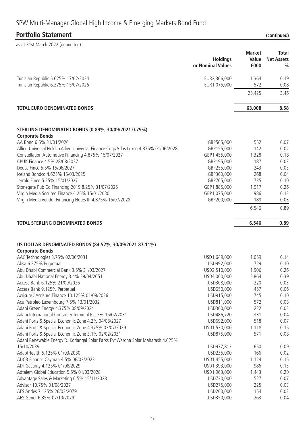|                                                                                                  | <b>Holdings</b><br>or Nominal Values | <b>Market</b><br>Value<br>£000 | <b>Total</b><br><b>Net Assets</b><br>$\frac{0}{0}$ |
|--------------------------------------------------------------------------------------------------|--------------------------------------|--------------------------------|----------------------------------------------------|
| Tunisian Republic 5.625% 17/02/2024                                                              | EUR2,366,000                         | 1,364                          | 0.19                                               |
| Tunisian Republic 6.375% 15/07/2026                                                              | EUR1,075,000                         | 572                            | 0.08                                               |
|                                                                                                  |                                      | 25,425                         | 3.46                                               |
| <b>TOTAL EURO DENOMINATED BONDS</b>                                                              |                                      | 63,008                         | 8.58                                               |
| STERLING DENOMINATED BONDS (0.89%, 30/09/2021 0.79%)                                             |                                      |                                |                                                    |
| <b>Corporate Bonds</b>                                                                           |                                      |                                |                                                    |
| AA Bond 6.5% 31/01/2026                                                                          | GBP565,000                           | 552                            | 0.07                                               |
| Allied Universal Holdco Allied Universal Finance Corp/Atlas Luxco 4.875% 01/06/2028              | GBP155,000                           | 142                            | 0.02                                               |
| Constellation Automotive Financing 4.875% 15/07/2027                                             | GBP1,455,000                         | 1,328                          | 0.18                                               |
| CPUK Finance 4.5% 28/08/2027                                                                     | GBP195,000                           | 187                            | 0.03                                               |
| Deuce Finco 5.5% 15/06/2027                                                                      | GBP255,000                           | 243                            | 0.03                                               |
| Iceland Bondco 4.625% 15/03/2025                                                                 | GBP300,000                           | 268                            | 0.04                                               |
| Jerrold Finco 5.25% 15/01/2027                                                                   | GBP765,000                           | 735                            | 0.10                                               |
| Stonegate Pub Co Financing 2019 8.25% 31/07/2025                                                 | GBP1,885,000                         | 1,917                          | 0.26                                               |
| Virgin Media Secured Finance 4.25% 15/01/2030                                                    | GBP1,075,000                         | 986                            | 0.13                                               |
| Virgin Media Vendor Financing Notes III 4.875% 15/07/2028                                        | GBP200,000                           | 188                            | 0.03                                               |
|                                                                                                  |                                      | 6,546                          | 0.89                                               |
| <b>TOTAL STERLING DENOMINATED BONDS</b>                                                          |                                      | 6,546                          | 0.89                                               |
| US DOLLAR DENOMINATED BONDS (84.52%, 30/09/2021 87.11%)<br><b>Corporate Bonds</b>                |                                      |                                |                                                    |
| AAC Technologies 3.75% 02/06/2031                                                                | USD1,649,000                         | 1,059                          | 0.14                                               |
| Absa 6.375% Perpetual                                                                            | USD992,000                           | 729                            | 0.10                                               |
| Abu Dhabi Commercial Bank 3.5% 31/03/2027                                                        | USD2,510,000                         | 1,906                          | 0.26                                               |
| Abu Dhabi National Energy 3.4% 29/04/2051                                                        | USD4,000,000                         | 2,864                          | 0.39                                               |
| Access Bank 6.125% 21/09/2026                                                                    | USD308,000                           | 220                            | 0.03                                               |
| Access Bank 9.125% Perpetual                                                                     | USD650,000                           | 457                            | 0.06                                               |
| Acrisure / Acrisure Finance 10.125% 01/08/2026                                                   | USD915,000                           | 745                            | 0.10                                               |
| Acu Petroleo Luxembourg 7.5% 13/01/2032                                                          | USD811,000                           | 572                            | 0.08                                               |
| Adani Green Energy 4.375% 08/09/2024<br>Adani International Container Terminal Pvt 3% 16/02/2031 | USD300,000<br>USD486,720             | 222                            | 0.03                                               |
| Adani Ports & Special Economic Zone 4.2% 04/08/2027                                              | USD692,000                           | 331<br>518                     | 0.04<br>0.07                                       |
| Adani Ports & Special Economic Zone 4.375% 03/07/2029                                            | USD1,530,000                         | 1,118                          | 0.15                                               |
| Adani Ports & Special Economic Zone 3.1% 02/02/2031                                              | USD875,000                           | 571                            | 0.08                                               |
| Adani Renewable Energy RJ Kodangal Solar Parks Pvt Wardha Solar Maharash 4.625%                  |                                      |                                |                                                    |
| 15/10/2039                                                                                       | USD977,813                           | 650                            | 0.09                                               |
| AdaptHealth 5.125% 01/03/2030                                                                    | USD235,000                           | 166                            | 0.02                                               |
| ADCB Finance Cayman 4.5% 06/03/2023                                                              | USD1,455,000                         | 1,124                          | 0.15                                               |
| ADT Security 4.125% 01/08/2029                                                                   | USD1,393,000                         | 986                            | 0.13                                               |
| Adtalem Global Education 5.5% 01/03/2028                                                         | USD1,963,000                         | 1,443                          | 0.20                                               |
| Advantage Sales & Marketing 6.5% 15/11/2028                                                      | USD730,000                           | 527                            | 0.07                                               |
| Advisor 10.75% 01/08/2027                                                                        | USD275,000                           | 225                            | 0.03                                               |
| AES Andes 7.125% 26/03/2079                                                                      | USD200,000                           | 154                            | 0.02                                               |
| AES Gener 6.35% 07/10/2079                                                                       | USD350,000                           | 263                            | 0.04                                               |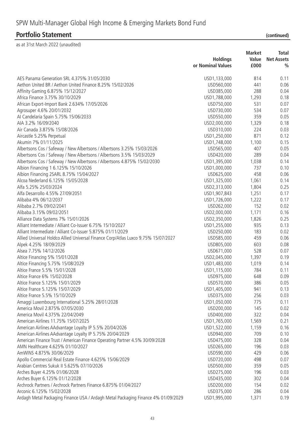|                                                                                    | <b>Holdings</b><br>or Nominal Values | <b>Market</b><br>Value<br>£000 | <b>Total</b><br><b>Net Assets</b><br>$\frac{0}{0}$ |
|------------------------------------------------------------------------------------|--------------------------------------|--------------------------------|----------------------------------------------------|
| AES Panama Generation SRL 4.375% 31/05/2030                                        | USD1,133,000                         | 814                            | 0.11                                               |
| Aethon United BR / Aethon United Finance 8.25% 15/02/2026                          | USD560,000                           | 441                            | 0.06                                               |
| Affinity Gaming 6.875% 15/12/2027                                                  | USD385,000                           | 288                            | 0.04                                               |
| Africa Finance 3.75% 30/10/2029                                                    | USD1,788,000                         | 1,293                          | 0.18                                               |
|                                                                                    | USD750,000                           | 531                            | 0.07                                               |
| African Export-Import Bank 2.634% 17/05/2026                                       | USD730,000                           | 534                            | 0.07                                               |
| Agrosuper 4.6% 20/01/2032                                                          |                                      | 359                            | 0.05                                               |
| Al Candelaria Spain 5.75% 15/06/2033                                               | USD550,000                           |                                |                                                    |
| AIA 3.2% 16/09/2040                                                                | USD2,000,000                         | 1,329                          | 0.18                                               |
| Air Canada 3.875% 15/08/2026                                                       | USD310,000                           | 224                            | 0.03                                               |
| Aircastle 5.25% Perpetual                                                          | USD1,250,000                         | 871                            | 0.12                                               |
| Akumin 7% 01/11/2025                                                               | USD1,748,000                         | 1,100                          | 0.15                                               |
| Albertsons Cos / Safeway / New Albertsons / Albertsons 3.25% 15/03/2026            | USD565,000                           | 407                            | 0.05                                               |
| Albertsons Cos / Safeway / New Albertsons / Albertsons 3.5% 15/03/2029             | USD420,000                           | 289                            | 0.04                                               |
| Albertsons Cos / Safeway / New Albertsons / Albertsons 4.875% 15/02/2030           | USD1,395,000                         | 1,038                          | 0.14                                               |
| Albion Financing 1 6.125% 15/10/2026                                               | USD1,000,000                         | 737                            | 0.10                                               |
| Albion Financing 2SARL 8.75% 15/04/2027                                            | USD625,000                           | 458                            | 0.06                                               |
| Alcoa Nederland 6.125% 15/05/2028                                                  | USD1,325,000                         | 1,061                          | 0.14                                               |
| Alfa 5.25% 25/03/2024                                                              | USD2,313,000                         | 1,804                          | 0.25                                               |
| Alfa Desarrollo 4.55% 27/09/2051                                                   | USD1,907,843                         | 1,251                          | 0.17                                               |
| Alibaba 4% 06/12/2037                                                              | USD1,726,000                         | 1,222                          | 0.17                                               |
| Alibaba 2.7% 09/02/2041                                                            | USD262,000                           | 152                            | 0.02                                               |
| Alibaba 3.15% 09/02/2051                                                           | USD2,000,000                         | 1,171                          | 0.16                                               |
| Alliance Data Systems 7% 15/01/2026                                                | USD2,350,000                         | 1,826                          | 0.25                                               |
| Alliant Intermediate / Alliant Co-Issuer 6.75% 15/10/2027                          | USD1,255,000                         | 935                            | 0.13                                               |
| Alliant Intermediate / Alliant Co-Issuer 5.875% 01/11/2029                         | USD250,000                           | 183                            | 0.02                                               |
| Allied Universal Holdco Allied Universal Finance Corp/Atlas Luxco 9.75% 15/07/2027 | USD585,000                           | 459                            | 0.06                                               |
| Alpek 4.25% 18/09/2029                                                             | USD805,000                           | 603                            | 0.08                                               |
| Alsea 7.75% 14/12/2026                                                             | USD671,000                           | 528                            | 0.07                                               |
| Altice Financing 5% 15/01/2028                                                     | USD2,045,000                         | 1,397                          | 0.19                                               |
| Altice Financing 5.75% 15/08/2029                                                  | USD1,483,000                         | 1,019                          | 0.14                                               |
| Altice France 5.5% 15/01/2028                                                      | USD1,115,000                         | 784                            | 0.11                                               |
| Altice France 6% 15/02/2028                                                        | USD975,000                           | 648                            | 0.09                                               |
| Altice France 5.125% 15/01/2029                                                    | USD570,000                           | 386                            | 0.05                                               |
| Altice France 5.125% 15/07/2029                                                    | USD1,405,000                         | 941                            | 0.13                                               |
| Altice France 5.5% 15/10/2029                                                      | USD375,000                           | 256                            | 0.03                                               |
| Amaggi Luxembourg International 5.25% 28/01/2028                                   | USD1,050,000                         | 775                            | 0.11                                               |
| America Movil 2.875% 07/05/2030                                                    | USD200,000                           | 145                            | 0.02                                               |
| America Movil 4.375% 22/04/2049                                                    | USD400,000                           | 322                            | 0.04                                               |
| American Airlines 11.75% 15/07/2025                                                | USD1,765,000                         | 1,569                          | 0.21                                               |
|                                                                                    |                                      |                                | 0.16                                               |
| American Airlines AAdvantage Loyalty IP 5.5% 20/04/2026                            | USD1,522,000                         | 1,159                          |                                                    |
| American Airlines AAdvantage Loyalty IP 5.75% 20/04/2029                           | USD940,000                           | 709                            | 0.10                                               |
| American Finance Trust / American Finance Operating Partner 4.5% 30/09/2028        | USD475,000                           | 328                            | 0.04                                               |
| AMN Healthcare 4.625% 01/10/2027                                                   | USD265,000                           | 196                            | 0.03                                               |
| AmWINS 4.875% 30/06/2029                                                           | USD590,000                           | 429                            | 0.06                                               |
| Apollo Commercial Real Estate Finance 4.625% 15/06/2029                            | USD720,000                           | 498                            | 0.07                                               |
| Arabian Centres Sukuk II 5.625% 07/10/2026                                         | USD500,000                           | 359                            | 0.05                                               |
| Arches Buyer 4.25% 01/06/2028                                                      | USD275,000                           | 196                            | 0.03                                               |
| Arches Buyer 6.125% 01/12/2028                                                     | USD435,000                           | 302                            | 0.04                                               |
| Archrock Partners / Archrock Partners Finance 6.875% 01/04/2027                    | USD200,000                           | 154                            | 0.02                                               |
| Arconic 6.125% 15/02/2028                                                          | USD375,000                           | 286                            | 0.04                                               |
| Ardagh Metal Packaging Finance USA / Ardagh Metal Packaging Finance 4% 01/09/2029  | USD1,995,000                         | 1,371                          | 0.19                                               |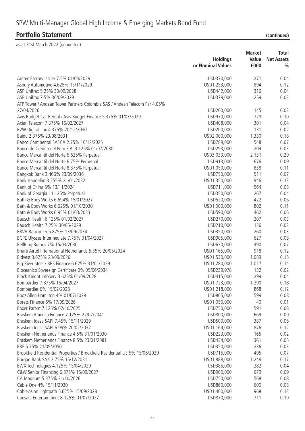|                                                                             |                          | <b>Market</b>     | <b>Total</b>  |
|-----------------------------------------------------------------------------|--------------------------|-------------------|---------------|
|                                                                             | <b>Holdings</b><br>Value | <b>Net Assets</b> |               |
|                                                                             | or Nominal Values        | £000              | $\frac{0}{0}$ |
| Aretec Escrow Issuer 7.5% 01/04/2029                                        | USD370,000               | 271               | 0.04          |
| Asbury Automotive 4.625% 15/11/2029                                         | USD1,253,000             | 894               | 0.12          |
| ASP Unifrax 5.25% 30/09/2028                                                | USD442,000               | 316               | 0.04          |
| ASP Unifrax 7.5% 30/09/2029                                                 | USD379,000               | 259               | 0.03          |
| ATP Tower / Andean Tower Partners Colombia SAS / Andean Telecom Par 4.05%   |                          |                   |               |
| 27/04/2026                                                                  | USD200,000               | 145               | 0.02          |
| Avis Budget Car Rental / Avis Budget Finance 5.375% 01/03/2029              | USD970,000               | 728               | 0.10          |
| Axian Telecom 7.375% 16/02/2027                                             | USD408,000               | 301               | 0.04          |
| B2W Digital Lux 4.375% 20/12/2030                                           | USD200,000               | 131               | 0.02          |
| Baidu 2.375% 23/08/2031                                                     | USD2,000,000             | 1,330             | 0.18          |
| Banco Continental SAECA 2.75% 10/12/2025                                    | USD789,000               | 548               | 0.07          |
| Banco de Credito del Peru S.A. 3.125% 01/07/2030                            | USD293,000               | 209               | 0.03          |
| Banco Mercantil del Norte 6.625% Perpetual                                  | USD3,033,000             | 2,131             | 0.29          |
| Banco Mercantil del Norte 6.75% Perpetual                                   | USD913,000               | 676               | 0.09          |
| Banco Mercantil del Norte 8.375% Perpetual                                  | USD1,050,000             | 838               | 0.11          |
| Bangkok Bank 3.466% 23/09/2036                                              | USD750,000               | 511               | 0.07          |
| Bank Hapoalim 3.255% 21/01/2032                                             | USD1,350,000             | 946               | 0.13          |
| Bank of China 5% 13/11/2024                                                 | USD711,000               | 564               | 0.08          |
| Bank of Georgia 11.125% Perpetual                                           | USD350,000               | 267               | 0.04          |
| Bath & Body Works 6.694% 15/01/2027                                         | USD520,000               | 422               | 0.06          |
| Bath & Body Works 6.625% 01/10/2030                                         | USD1,000,000             | 802               | 0.11          |
| Bath & Body Works 6.95% 01/03/2033                                          | USD590,000               | 462               | 0.06          |
| Bausch Health 6.125% 01/02/2027                                             | USD270,000               | 207               | 0.03          |
| Bausch Health 7.25% 30/05/2029                                              | USD210,000               | 136               | 0.02          |
| BBVA Bancomer 5.875% 13/09/2034                                             | USD350,000               | 260               | 0.03          |
| BCPE Ulysses Intermediate 7.75% 01/04/2027                                  | USD905,000               | 627               | 0.08          |
| BellRing Brands 7% 15/03/2030                                               | USD630,000               | 490               | 0.07          |
| Bharti Airtel International Netherlands 5.35% 20/05/2024                    | USD1,165,000             | 918               | 0.12          |
| Bidvest 3.625% 23/09/2026                                                   | USD1,530,000             | 1,089             | 0.15          |
| Big River Steel / BRS Finance 6.625% 31/01/2029                             | USD1,280,000             | 1,017             | 0.14          |
| Bioceanico Sovereign Certificate 0% 05/06/2034                              | USD239,978               | 132               | 0.02          |
| Black Knight InfoServ 3.625% 01/09/2028                                     | USD415,000               | 299               | 0.04          |
| Bombardier 7.875% 15/04/2027                                                | USD1,723,000             | 1,290             | 0.18          |
| Bombardier 6% 15/02/2028                                                    | USD1,218,000             | 868               | 0.12          |
| Booz Allen Hamilton 4% 01/07/2029                                           | USD805,000               | 599               | 0.08          |
| Borets Finance 6% 17/09/2026                                                | USD1,050,000             | 40                | 0.01          |
| Boxer Parent 7.125% 02/10/2025                                              | USD750,000               | 591               | 0.08          |
| Braskem America Finance 7.125% 22/07/2041                                   | USD800,000               | 669               | 0.09          |
| Braskem Idesa SAPI 7.45% 15/11/2029                                         | USD500,000               | 387               | 0.05          |
| Braskem Idesa SAPI 6.99% 20/02/2032                                         | USD1,164,000             | 876               | 0.12          |
| Braskem Netherlands Finance 4.5% 31/01/2030                                 | USD223,000               | 165               | 0.02          |
| Braskem Netherlands Finance 8.5% 23/01/2081                                 | USD434,000               | 361               | 0.05          |
| BRF 5.75% 21/09/2050                                                        | USD350,000               | 236               | 0.03          |
| Brookfield Residential Properties / Brookfield Residential US 5% 15/06/2029 | USD715,000               | 495               | 0.07          |
| Burgan Bank SAK 2.75% 15/12/2031                                            | USD1,888,000             | 1,249             | 0.17          |
| BWX Technologies 4.125% 15/04/2029                                          | USD385,000               | 282               | 0.04          |
| C&W Senior Financing 6.875% 15/09/2027                                      | USD900,000               | 679               | 0.09          |
| CA Magnum 5.375% 31/10/2026                                                 | USD750,000               | 568               | 0.08          |
| Cable One 4% 15/11/2030                                                     | USD860,000               | 600               | 0.08          |
| Cablevision Lightpath 5.625% 15/09/2028                                     | USD1,400,000             | 968               | 0.13          |
| Caesars Entertainment 8.125% 01/07/2027                                     | USD870,000               | 711               | 0.10          |
|                                                                             |                          |                   |               |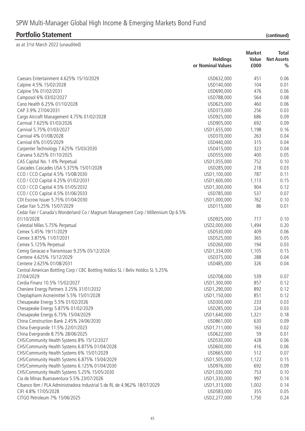|                                                                                            | <b>Market</b>                |              | <b>Total</b>      |  |
|--------------------------------------------------------------------------------------------|------------------------------|--------------|-------------------|--|
|                                                                                            | <b>Holdings</b>              | Value        | <b>Net Assets</b> |  |
|                                                                                            | or Nominal Values            | £000         | $\frac{0}{0}$     |  |
| Caesars Entertainment 4.625% 15/10/2029                                                    | USD632,000                   | 451          | 0.06              |  |
| Calpine 4.5% 15/02/2028                                                                    | USD140,000                   | 104          | 0.01              |  |
| Calpine 5% 01/02/2031                                                                      | USD690,000                   | 476          | 0.06              |  |
| Camposol 6% 03/02/2027                                                                     | USD788,000                   | 564          | 0.08              |  |
| Cano Health 6.25% 01/10/2028                                                               | USD625,000                   | 460          | 0.06              |  |
| CAP 3.9% 27/04/2031                                                                        | USD373,000                   | 256          | 0.03              |  |
| Cargo Aircraft Management 4.75% 01/02/2028                                                 | USD925,000                   | 686          | 0.09              |  |
| Carnival 7.625% 01/03/2026                                                                 | USD905,000                   | 692          | 0.09              |  |
| Carnival 5.75% 01/03/2027                                                                  | USD1,655,000                 | 1,198        | 0.16              |  |
| Carnival 4% 01/08/2028                                                                     | USD370,000                   | 263          | 0.04              |  |
| Carnival 6% 01/05/2029                                                                     | USD440,000                   | 315          | 0.04              |  |
| Carpenter Technology 7.625% 15/03/2030                                                     | USD415,000                   | 323          | 0.04              |  |
| Carvana 5.625% 01/10/2025                                                                  | USD555,000                   | 400          | 0.05              |  |
| CAS Capital No. 1 4% Perpetual                                                             | USD1,055,000                 | 752          | 0.10              |  |
| Cascades Cascades USA 5.375% 15/01/2028                                                    | USD285,000                   | 218          | 0.03              |  |
| CCO / CCO Capital 4.5% 15/08/2030                                                          | USD1,100,000                 | 787          | 0.11              |  |
| CCO / CCO Capital 4.25% 01/02/2031                                                         | USD1,600,000                 | 1,113        | 0.15              |  |
| CCO / CCO Capital 4.5% 01/05/2032                                                          | USD1,300,000                 | 904          | 0.12              |  |
| CCO / CCO Capital 4.5% 01/06/2033                                                          | USD785,000                   | 537          | 0.07              |  |
| CDI Escrow Issuer 5.75% 01/04/2030                                                         | USD1,000,000                 | 762          | 0.10              |  |
| Cedar Fair 5.25% 15/07/2029                                                                | USD115,000                   | 86           | 0.01              |  |
| Cedar Fair / Canada's Wonderland Co / Magnum Management Corp / Millennium Op 6.5%          |                              |              |                   |  |
| 01/10/2028                                                                                 | USD925,000                   | 717          | 0.10              |  |
| Celestial Miles 5.75% Perpetual                                                            | USD2,000,000                 | 1,494        | 0.20              |  |
| Cemex 5.45% 19/11/2029                                                                     | USD530,000                   | 409          | 0.06              |  |
| Cemex 3.875% 11/07/2031                                                                    | USD525,000                   | 365          | 0.05              |  |
| Cemex 5.125% Perpetual                                                                     | USD260,000                   | 194          | 0.03              |  |
| Cemig Geracao e Transmissao 9.25% 05/12/2024                                               | USD1,334,000                 | 1,105        | 0.15              |  |
| Centene 4.625% 15/12/2029                                                                  | USD375,000                   | 288          | 0.04              |  |
| Centene 2.625% 01/08/2031                                                                  | USD485,000                   | 326          | 0.04              |  |
| Central American Bottling Corp / CBC Bottling Holdco SL / Beliv Holdco SL 5.25%            |                              |              |                   |  |
| 27/04/2029                                                                                 | USD708,000                   | 539          | 0.07              |  |
| Cerdia Finanz 10.5% 15/02/2027                                                             | USD1,300,000                 | 857          | 0.12              |  |
| Cheniere Energy Partners 3.25% 31/01/2032                                                  | USD1,290,000                 | 892          | 0.12              |  |
| Cheplapharm Arzneimittel 5.5% 15/01/2028                                                   | USD1,150,000                 | 851          | 0.12              |  |
| Chesapeake Energy 5.5% 01/02/2026                                                          | USD300,000                   | 233          | 0.03              |  |
| Chesapeake Energy 5.875% 01/02/2029                                                        | USD285,000                   | 224          | 0.03              |  |
| Chesapeake Energy 6.75% 15/04/2029                                                         | USD1,640,000                 | 1,321        | 0.18              |  |
| China Construction Bank 2.45% 24/06/2030                                                   | USD861,000                   | 630          | 0.09              |  |
| China Evergrande 11.5% 22/01/2023                                                          | USD1,711,000                 | 163          | 0.02              |  |
| China Evergrande 8.75% 28/06/2025                                                          | USD622,000                   | 59           | 0.01              |  |
| CHS/Community Health Systems 8% 15/12/2027                                                 | USD530,000                   | 428          | 0.06              |  |
| CHS/Community Health Systems 6.875% 01/04/2028                                             | USD600,000                   | 416          | 0.06              |  |
| CHS/Community Health Systems 6% 15/01/2029                                                 | USD665,000                   | 512          | 0.07              |  |
| CHS/Community Health Systems 6.875% 15/04/2029                                             | USD1,505,000                 | 1,122        | 0.15              |  |
|                                                                                            |                              | 692          | 0.09              |  |
| CHS/Community Health Systems 6.125% 01/04/2030                                             | USD976,000                   | 753          | 0.10              |  |
| CHS/Community Health Systems 5.25% 15/05/2030<br>Cia de Minas Buenaventura 5.5% 23/07/2026 | USD1,030,000                 | 997          | 0.14              |  |
| Cibanco Ibm / PLA Administradora Industrial S de RL de 4.962% 18/07/2029                   | USD1,330,000<br>USD1,313,000 |              | 0.14              |  |
| CIFI 4.8% 17/05/2028                                                                       | USD583,000                   | 1,002<br>355 | 0.05              |  |
|                                                                                            |                              |              |                   |  |
| CITGO Petroleum 7% 15/06/2025                                                              | USD2,277,000                 | 1,750        | 0.24              |  |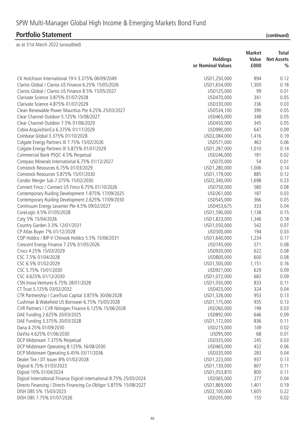|                                                                      | <b>Holdings</b><br>or Nominal Values | <b>Market</b><br>Value<br>£000 | <b>Total</b><br><b>Net Assets</b><br>$\frac{0}{0}$ |
|----------------------------------------------------------------------|--------------------------------------|--------------------------------|----------------------------------------------------|
|                                                                      |                                      |                                |                                                    |
| CK Hutchison International 19 II 3.375% 06/09/2049                   | USD1,250,000                         | 894                            | 0.12                                               |
| Clarios Global / Clarios US Finance 6.25% 15/05/2026                 | USD1,654,000                         | 1,300                          | 0.18                                               |
| Clarios Global / Clarios US Finance 8.5% 15/05/2027                  | USD125,000                           | 99                             | 0.01                                               |
| Clarivate Science 3.875% 01/07/2028                                  | USD470,000                           | 341                            | 0.05                                               |
| Clarivate Science 4.875% 01/07/2029                                  | USD330,000                           | 236                            | 0.03                                               |
| Clean Renewable Power Mauritius Pte 4.25% 25/03/2027                 | USD534,100                           | 390                            | 0.05                                               |
| Clear Channel Outdoor 5.125% 15/08/2027                              | USD465,000                           | 348                            | 0.05                                               |
| Clear Channel Outdoor 7.5% 01/06/2029                                | USD450,000                           | 345                            | 0.05                                               |
| Cobra Acquisition Co 6.375% 01/11/2029                               | USD990,000                           | 647                            | 0.09                                               |
| Coinbase Global 3.375% 01/10/2028                                    | USD2,084,000                         | 1,416                          | 0.19                                               |
| Colgate Energy Partners III 7.75% 15/02/2026                         | USD571,000                           | 463                            | 0.06                                               |
| Colgate Energy Partners III 5.875% 01/07/2029                        | USD1,287,000                         | 1,010                          | 0.14                                               |
|                                                                      |                                      | 181                            | 0.02                                               |
| Commercial Bank PSQC 4.5% Perpetual                                  | USD246,000                           |                                |                                                    |
| Compass Minerals International 6.75% 01/12/2027                      | USD70,000                            | 54                             | 0.01                                               |
| Comstock Resources 6.75% 01/03/2029                                  | USD1,280,000                         | 1,006                          | 0.14                                               |
| Comstock Resources 5.875% 15/01/2030                                 | USD1,179,000                         | 885                            | 0.12                                               |
| Condor Merger Sub 7.375% 15/02/2030                                  | USD2,340,000                         | 1,698                          | 0.23                                               |
| Connect Finco / Connect US Finco 6.75% 01/10/2026                    | USD750,000                           | 580                            | 0.08                                               |
| Contemporary Ruiding Development 1.875% 17/09/2025                   | USD261,000                           | 187                            | 0.03                                               |
| Contemporary Ruiding Development 2.625% 17/09/2030                   | USD545,000                           | 366                            | 0.05                                               |
| Continuum Energy Levanter Pte 4.5% 09/02/2027                        | USD453,675                           | 333                            | 0.04                                               |
| CoreLogic 4.5% 01/05/2028                                            | USD1,590,000                         | 1,138                          | 0.15                                               |
| Coty 5% 15/04/2026                                                   | USD1,823,000                         | 1,346                          | 0.18                                               |
| Country Garden 3.3% 12/01/2031                                       | USD1,050,000                         | 542                            | 0.07                                               |
| CP Atlas Buyer 7% 01/12/2028                                         | USD300,000                           | 194                            | 0.03                                               |
| CQP Holdco / BIP-V Chinook Holdco 5.5% 15/06/2031                    | USD1,640,000                         | 1,234                          | 0.17                                               |
| Crescent Energy Finance 7.25% 01/05/2026                             | USD745,000                           | 571                            | 0.08                                               |
| Crocs 4.25% 15/03/2029                                               | USD920,000                           | 622                            | 0.08                                               |
| CSC 7.5% 01/04/2028                                                  | USD800,000                           | 600                            | 0.08                                               |
| CSC 6.5% 01/02/2029                                                  | USD1,500,000                         | 1,151                          | 0.16                                               |
| CSC 5.75% 15/01/2030                                                 | USD921,000                           | 629                            | 0.09                                               |
| CSC 4.625% 01/12/2030                                                | USD1,072,000                         | 683                            | 0.09                                               |
| CSN Inova Ventures 6.75% 28/01/2028                                  | USD1,050,000                         | 833                            | 0.11                                               |
| CT Trust 5.125% 03/02/2032                                           | USD425,000                           | 324                            | 0.04                                               |
| CTR Partnership / CareTrust Capital 3.875% 30/06/2028                | USD1,326,000                         | 953                            | 0.13                                               |
| Cushman & Wakefield US Borrower 6.75% 15/05/2028                     | USD1,175,000                         | 935                            | 0.13                                               |
| CVR Partners / CVR Nitrogen Finance 6.125% 15/06/2028                | USD260,000                           | 199                            | 0.03                                               |
| DAE Funding 2.625% 20/03/2025                                        | USD892,000                           | 646                            | 0.09                                               |
| DAE Funding 3.375% 20/03/2028                                        | USD1,172,000                         | 836                            | 0.11                                               |
| Dana 4.25% 01/09/2030                                                | USD215,000                           | 149                            | 0.02                                               |
| DaVita 4.625% 01/06/2030                                             | USD95,000                            | 68                             | 0.01                                               |
| DCP Midstream 7.375% Perpetual                                       | USD335,000                           | 245                            | 0.03                                               |
| DCP Midstream Operating 8.125% 16/08/2030                            | USD465,000                           | 432                            | 0.06                                               |
| DCP Midstream Operating 6.45% 03/11/2036                             | USD320,000                           | 283                            | 0.04                                               |
| Dealer Tire / DT Issuer 8% 01/02/2028                                |                                      | 937                            | 0.13                                               |
|                                                                      | USD1,223,000                         |                                |                                                    |
| Digicel 6.75% 01/03/2023                                             | USD1,130,000                         | 807                            | 0.11                                               |
| Digicel 10% 01/04/2024                                               | USD1,053,870                         | 800                            | 0.11                                               |
| Digicel International Finance Digicel international 8.75% 25/05/2024 | USD365,000                           | 277                            | 0.04                                               |
| Directv Financing / Directv Financing Co-Obligor 5.875% 15/08/2027   | USD1,869,000                         | 1,401                          | 0.19                                               |
| DISH DBS 5% 15/03/2023                                               | USD2,100,000                         | 1,605                          | 0.22                                               |
| DISH DBS 7.75% 01/07/2026                                            | USD205,000                           | 155                            | 0.02                                               |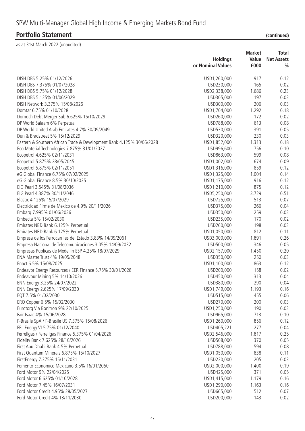| <i>continue</i> |  |  |
|-----------------|--|--|

|                                                                       | <b>Holdings</b><br>or Nominal Values | <b>Market</b><br>Value<br>£000 | <b>Total</b><br><b>Net Assets</b><br>$\frac{0}{0}$ |
|-----------------------------------------------------------------------|--------------------------------------|--------------------------------|----------------------------------------------------|
|                                                                       |                                      |                                |                                                    |
| DISH DBS 5.25% 01/12/2026                                             | USD1,260,000                         | 917                            | 0.12                                               |
| DISH DBS 7.375% 01/07/2028                                            | USD230,000                           | 165                            | 0.02                                               |
| DISH DBS 5.75% 01/12/2028                                             | USD2,338,000                         | 1,686                          | 0.23                                               |
| DISH DBS 5.125% 01/06/2029                                            | USD305,000                           | 197                            | 0.03                                               |
| DISH Network 3.375% 15/08/2026                                        | USD300,000                           | 206                            | 0.03                                               |
| Domtar 6.75% 01/10/2028                                               | USD1,704,000                         | 1,292                          | 0.18                                               |
| Dornoch Debt Merger Sub 6.625% 15/10/2029                             | USD260,000                           | 172                            | 0.02                                               |
| DP World Salaam 6% Perpetual                                          | USD788,000                           | 613                            | 0.08                                               |
| DP World United Arab Emirates 4.7% 30/09/2049                         | USD530,000                           | 391                            | 0.05                                               |
| Dun & Bradstreet 5% 15/12/2029                                        | USD320,000                           | 230                            | 0.03                                               |
| Eastern & Southern African Trade & Development Bank 4.125% 30/06/2028 | USD1,852,000                         | 1,313                          | 0.18                                               |
| Eco Material Technologies 7.875% 31/01/2027                           | USD996,600                           | 756                            | 0.10                                               |
| Ecopetrol 4.625% 02/11/2031                                           | USD863,000                           | 599                            | 0.08                                               |
| Ecopetrol 5.875% 28/05/2045                                           | USD1,002,000                         | 674                            | 0.09                                               |
| Ecopetrol 5.875% 02/11/2051                                           | USD1,316,000                         | 859                            | 0.12                                               |
| eG Global Finance 6.75% 07/02/2025                                    | USD1,325,000                         | 1,004                          | 0.14                                               |
| eG Global Finance 8.5% 30/10/2025                                     | USD1,175,000                         | 916                            | 0.12                                               |
| EIG Pearl 3.545% 31/08/2036                                           | USD1,210,000                         | 875                            | 0.12                                               |
| EIG Pearl 4.387% 30/11/2046                                           | USD5,250,000                         | 3,729                          | 0.51                                               |
| Elastic 4.125% 15/07/2029                                             | USD725,000                           | 513                            | 0.07                                               |
| Electricidad Firme de Mexico de 4.9% 20/11/2026                       | USD375,000                           | 266                            | 0.04                                               |
| Embarq 7.995% 01/06/2036                                              | USD350,000                           | 259                            | 0.03                                               |
| Embecta 5% 15/02/2030                                                 | USD235,000                           | 170                            | 0.02                                               |
| Emirates NBD Bank 6.125% Perpetual                                    | USD260,000                           | 198                            | 0.03                                               |
| Emirates NBD Bank 6.125% Perpetual                                    | USD1,050,000                         | 812                            | 0.11                                               |
| Empresa de los Ferrocarriles del Estado 3.83% 14/09/2061              | USD3,000,000                         | 1,891                          | 0.26                                               |
| Empresa Nacional de Telecomunicaciones 3.05% 14/09/2032               | USD500,000                           | 346                            | 0.05                                               |
| Empresas Publicas de Medellin ESP 4.25% 18/07/2029                    | USD2, 157,000                        | 1,450                          | 0.20                                               |
| ENA Master Trust 4% 19/05/2048                                        | USD350,000                           | 250                            | 0.03                                               |
| Enact 6.5% 15/08/2025                                                 | USD1,100,000                         | 863                            | 0.12                                               |
| Endeavor Energy Resources / EER Finance 5.75% 30/01/2028              | USD200,000                           | 158                            | 0.02                                               |
| Endeavour Mining 5% 14/10/2026                                        | USD450,000                           | 313                            | 0.04                                               |
| ENN Energy 3.25% 24/07/2022                                           | USD380,000                           | 290                            | 0.04                                               |
| ENN Energy 2.625% 17/09/2030                                          | USD1,749,000                         | 1,193                          | 0.16                                               |
| EQT 7.5% 01/02/2030                                                   | USD515,000                           | 455                            | 0.06                                               |
| ERO Copper 6.5% 15/02/2030                                            | USD270,000                           | 200                            | 0.03                                               |
| Eurotorg Via Bonitron 9% 22/10/2025                                   | USD1,250,000                         | 190                            | 0.03                                               |
| Fair Isaac 4% 15/06/2028                                              | USD965,000                           | 713                            | 0.10                                               |
| F-Brasile SpA / F-Brasile US 7.375% 15/08/2026                        | USD1,260,000                         | 856                            | 0.12                                               |
| FEL Energy VI 5.75% 01/12/2040                                        | USD405,221                           | 277                            | 0.04                                               |
| Ferrellgas / Ferrellgas Finance 5.375% 01/04/2026                     | USD2,546,000                         | 1,817                          | 0.25                                               |
| Fidelity Bank 7.625% 28/10/2026                                       | USD508,000                           | 370                            | 0.05                                               |
| First Abu Dhabi Bank 4.5% Perpetual                                   | USD788,000                           | 594                            | 0.08                                               |
| First Quantum Minerals 6.875% 15/10/2027                              | USD1,050,000                         | 838                            | 0.11                                               |
| FirstEnergy 7.375% 15/11/2031                                         | USD220,000                           | 205                            | 0.03                                               |
| Fomento Economico Mexicano 3.5% 16/01/2050                            | USD2,000,000                         | 1,400                          | 0.19                                               |
| Ford Motor 9% 22/04/2025                                              | USD425,000                           | 371                            | 0.05                                               |
| Ford Motor 6.625% 01/10/2028                                          | USD1,415,000                         | 1,179                          | 0.16                                               |
| Ford Motor 7.45% 16/07/2031                                           | USD1,290,000                         | 1,163                          | 0.16                                               |
| Ford Motor Credit 4.95% 28/05/2027                                    | USD665,000                           | 512                            | 0.07                                               |
| Ford Motor Credit 4% 13/11/2030                                       | USD200,000                           | 143                            | 0.02                                               |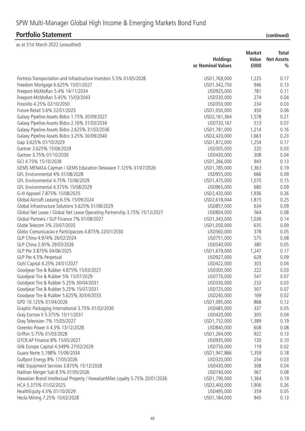### **Portfolio Statement**

| (continued) |  |
|-------------|--|
|             |  |

|                                                                               | <b>Holdings</b><br>or Nominal Values | <b>Market</b><br>Value<br>£000 | Total<br><b>Net Assets</b><br>% |
|-------------------------------------------------------------------------------|--------------------------------------|--------------------------------|---------------------------------|
| Fortress Transportation and Infrastructure Investors 5.5% 01/05/2028          | USD1,769,000                         | 1,225                          | 0.17                            |
| Freedom Mortgage 6.625% 15/01/2027                                            | USD1,342,750                         | 946                            | 0.13                            |
| Freeport-McMoRan 5.4% 14/11/2034                                              | USD925,000                           | 781                            | 0.11                            |
| Freeport-McMoRan 5.45% 15/03/2043                                             | USD330,000                           | 274                            | 0.04                            |
| Fresnillo 4.25% 02/10/2050                                                    | USD350,000                           | 234                            | 0.03                            |
| Future Retail 5.6% 22/01/2025                                                 | USD1,050,000                         | 450                            | 0.06                            |
| Galaxy Pipeline Assets Bidco 1.75% 30/09/2027                                 | USD2, 161, 364                       | 1,578                          | 0.21                            |
| Galaxy Pipeline Assets Bidco 2.16% 31/03/2034                                 | USD733,167                           | 513                            | 0.07                            |
| Galaxy Pipeline Assets Bidco 2.625% 31/03/2036                                | USD1,781,000                         | 1,214                          | 0.16                            |
| Galaxy Pipeline Assets Bidco 3.25% 30/09/2040                                 | USD2,420,000                         | 1,663                          | 0.23                            |
| Gap 3.625% 01/10/2029                                                         | USD1,872,000                         | 1,254                          | 0.17                            |
| Gartner 3.625% 15/06/2029                                                     | USD305,000                           | 220                            | 0.03                            |
| Gartner 3.75% 01/10/2030                                                      | USD430,000                           | 308                            | 0.04                            |
| GCI 4.75% 15/10/2028                                                          | USD1,266,000                         | 943                            | 0.13                            |
| GEMS MENASA Cayman / GEMS Education Delaware 7.125% 31/07/2026                | USD1,785,000                         | 1,363                          | 0.19                            |
| GFL Environmental 4% 01/08/2028                                               | USD955,000                           | 666                            | 0.09                            |
| GFL Environmental 4.75% 15/06/2029                                            | USD1,475,000                         | 1,070                          | 0.15                            |
| GFL Environmental 4.375% 15/08/2029                                           | USD965,000                           | 680                            | 0.09                            |
| G-III Apparel 7.875% 15/08/2025                                               | USD2,420,000                         | 1,936                          | 0.26                            |
| Global Aircraft Leasing 6.5% 15/09/2024                                       | USD2,618,044                         | 1,815                          | 0.25                            |
| Global Infrastructure Solutions 5.625% 01/06/2029                             | USD857,000                           | 634                            | 0.09                            |
| Global Net Lease / Global Net Lease Operating Partnership 3.75% 15/12/2027    | USD804,000                           | 564                            | 0.08                            |
| Global Partners / GLP Finance 7% 01/08/2027                                   | USD1,343,000                         | 1,026                          | 0.14                            |
| Globe Telecom 3% 23/07/2035                                                   | USD1,050,000                         | 635                            | 0.09                            |
| Globo Comunicacao e Participacoes 4.875% 22/01/2030                           | USD560,000                           | 378                            | 0.05                            |
| GLP China 4.974% 26/02/2024                                                   | USD751,000                           | 575                            | 0.08                            |
| GLP China 2.95% 29/03/2026                                                    | USD540,000                           | 380                            | 0.05                            |
| GLP Pte 3.875% 04/06/2025                                                     | USD1,679,000                         | 1,247                          | 0.17                            |
| GLP Pte 4.5% Perpetual                                                        | USD927,000                           | 629                            | 0.09                            |
| Gohl Capital 4.25% 24/01/2027                                                 | USD422,000                           | 303                            | 0.04                            |
| Goodyear Tire & Rubber 4.875% 15/03/2027                                      | USD300,000                           | 222                            | 0.03                            |
| Goodyear Tire & Rubber 5% 15/07/2029                                          | USD770,000                           | 547                            | 0.07                            |
| Goodyear Tire & Rubber 5.25% 30/04/2031                                       | USD330,000                           | 232                            | 0.03                            |
| Goodyear Tire & Rubber 5.25% 15/07/2031                                       | USD725,000                           | 507                            | 0.07                            |
| Goodyear Tire & Rubber 5.625% 30/04/2033                                      | USD240,000                           | 169                            | 0.02                            |
| GPD 10.125% 01/04/2026                                                        | USD1,095,000                         | 868                            | 0.12                            |
| Graphic Packaging International 3.75% 01/02/2030                              | USD485,000                           | 337                            | 0.05                            |
| Gray Escrow II 5.375% 15/11/2031                                              | USD420,000                           | 305                            | 0.04                            |
| Gray Television 7% 15/05/2027                                                 | USD1,752,000                         | 1,389                          | 0.19                            |
| Greenko Power II 4.3% 13/12/2028                                              | USD840,000                           | 608                            | 0.08                            |
| Griffon 5.75% 01/03/2028                                                      | USD1,264,000                         | 922                            | 0.13                            |
| GTCR AP Finance 8% 15/05/2027                                                 | USD935,000                           | 720                            | 0.10                            |
| Gtlk Europe Capital 4.349% 27/02/2029                                         | USD750,000                           | 119                            | 0.02                            |
| Guara Norte 5.198% 15/06/2034                                                 | USD1,947,866                         | 1,359                          | 0.18                            |
| Gulfport Energy 8% 17/05/2026                                                 | USD320,000                           | 254                            | 0.03                            |
| H&E Equipment Services 3.875% 15/12/2028                                      | USD430,000                           | 308                            | 0.04                            |
| Hadrian Merger Sub 8.5% 01/05/2026                                            | USD740,000                           | 567                            | 0.08                            |
| Hawaiian Brand Intellectual Property / HawaiianMiles Loyalty 5.75% 20/01/2026 | USD1,790,000                         | 1,364                          | 0.19                            |
| HCA 5.375% 01/02/2025                                                         | USD2,400,000                         | 1,906                          | 0.26                            |
| HealthEquity 4.5% 01/10/2029                                                  | USD495,000                           | 359                            | 0.05                            |
| Hecla Mining 7.25% 15/02/2028                                                 | USD1,184,000                         | 945                            | 0.13                            |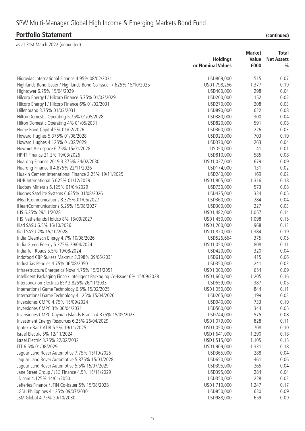|                                                                             | <b>Market</b>     |       | <b>Total</b>      |  |
|-----------------------------------------------------------------------------|-------------------|-------|-------------------|--|
|                                                                             | <b>Holdings</b>   | Value | <b>Net Assets</b> |  |
|                                                                             | or Nominal Values | £000  | %                 |  |
| Hidrovias International Finance 4.95% 08/02/2031                            | USD809,000        | 515   | 0.07              |  |
| Highlands Bond Issuer / Highlands Bond Co-Issuer 7.625% 15/10/2025          | USD1,798,256      | 1,377 | 0.19              |  |
| Hightower 6.75% 15/04/2029                                                  | USD400,000        | 298   | 0.04              |  |
| Hilcorp Energy I / Hilcorp Finance 5.75% 01/02/2029                         | USD200,000        | 152   | 0.02              |  |
| Hilcorp Energy I / Hilcorp Finance 6% 01/02/2031                            | USD270,000        | 208   | 0.03              |  |
| Hillenbrand 3.75% 01/03/2031                                                | USD890,000        | 622   | 0.08              |  |
| Hilton Domestic Operating 5.75% 01/05/2028                                  | USD380,000        | 300   | 0.04              |  |
| Hilton Domestic Operating 4% 01/05/2031                                     | USD820,000        | 591   | 0.08              |  |
| Home Point Capital 5% 01/02/2026                                            | USD360,000        | 226   | 0.03              |  |
| Howard Hughes 5.375% 01/08/2028                                             | USD920,000        | 703   | 0.10              |  |
| Howard Hughes 4.125% 01/02/2029                                             | USD370,000        | 263   | 0.04              |  |
| Howmet Aerospace 6.75% 15/01/2028                                           | USD50,000         | 41    | 0.01              |  |
| HPHT Finance 21 2% 19/03/2026                                               | USD810,000        | 585   | 0.08              |  |
| Huarong Finance 2019 3.375% 24/02/2030                                      | USD1,027,000      | 679   | 0.09              |  |
| Huarong Finance II 4.875% 22/11/2026                                        | USD174,000        | 131   | 0.02              |  |
| Huaxin Cement International Finance 2.25% 19/11/2025                        | USD240,000        | 169   | 0.02              |  |
| HUB International 5.625% 01/12/2029                                         |                   | 1,316 | 0.18              |  |
|                                                                             | USD1,805,000      | 573   | 0.08              |  |
| Hudbay Minerals 6.125% 01/04/2029                                           | USD730,000        |       |                   |  |
| Hughes Satellite Systems 6.625% 01/08/2026                                  | USD425,000        | 334   | 0.05              |  |
| iHeartCommunications 8.375% 01/05/2027                                      | USD360,000        | 284   | 0.04              |  |
| iHeartCommunications 5.25% 15/08/2027                                       | USD300,000        | 227   | 0.03              |  |
| IHS 6.25% 29/11/2028                                                        | USD1,482,000      | 1,057 | 0.14              |  |
| IHS Netherlands Holdco 8% 18/09/2027                                        | USD1,450,000      | 1,098 | 0.15              |  |
| Iliad SASU 6.5% 15/10/2026                                                  | USD1,260,000      | 968   | 0.13              |  |
| Iliad SASU 7% 15/10/2028                                                    | USD1,820,000      | 1,384 | 0.19              |  |
| India Cleantech Energy 4.7% 10/08/2026                                      | USD526,664        | 375   | 0.05              |  |
| India Green Energy 5.375% 29/04/2024                                        | USD1,050,000      | 808   | 0.11              |  |
| India Toll Roads 5.5% 19/08/2024                                            | USD420,000        | 320   | 0.04              |  |
| Indofood CBP Sukses Makmur 3.398% 09/06/2031                                | USD610,000        | 415   | 0.06              |  |
| Industrias Penoles 4.75% 06/08/2050                                         | USD350,000        | 241   | 0.03              |  |
| Infraestructura Energetica Nova 4.75% 15/01/2051                            | USD1,000,000      | 654   | 0.09              |  |
| Intelligent Packaging Finco / Intelligent Packaging Co-Issuer 6% 15/09/2028 | USD1,600,000      | 1,205 | 0.16              |  |
| Interconexion Electrica ESP 3.825% 26/11/2033                               | USD559,000        | 387   | 0.05              |  |
| International Game Technology 6.5% 15/02/2025                               | USD1,050,000      | 844   | 0.11              |  |
| International Game Technology 4.125% 15/04/2026                             | USD265,000        | 199   | 0.03              |  |
| Inversiones CMPC 4.75% 15/09/2024                                           | USD940,000        | 733   | 0.10              |  |
| Inversiones CMPC 3% 06/04/2031                                              | USD500,000        | 344   | 0.05              |  |
| Inversiones CMPC Cayman Islands Branch 4.375% 15/05/2023                    | USD744,000        | 575   | 0.08              |  |
| Investment Energy Resources 6.25% 26/04/2029                                | USD1,079,000      | 828   | 0.11              |  |
| Ipoteka-Bank ATIB 5.5% 19/11/2025                                           | USD1,050,000      | 708   | 0.10              |  |
| Israel Electric 5% 12/11/2024                                               | USD1,641,000      | 1,290 | 0.18              |  |
| Israel Electric 3.75% 22/02/2032                                            | USD1,515,000      | 1,105 | 0.15              |  |
| ITT 6.5% 01/08/2029                                                         | USD1,909,000      | 1,331 | 0.18              |  |
| Jaguar Land Rover Automotive 7.75% 15/10/2025                               | USD365,000        | 288   | 0.04              |  |
| Jaguar Land Rover Automotive 5.875% 15/01/2028                              | USD650,000        | 461   | 0.06              |  |
| Jaguar Land Rover Automotive 5.5% 15/07/2029                                | USD395,000        | 265   | 0.04              |  |
| Jane Street Group / JSG Finance 4.5% 15/11/2029                             | USD395,000        | 284   | 0.04              |  |
| JD.com 4.125% 14/01/2050                                                    | USD350,000        | 228   | 0.03              |  |
| Jefferies Finance / JFIN Co-Issuer 5% 15/08/2028                            | USD1,710,000      | 1,247 | 0.17              |  |
| JGSH Philippines 4.125% 09/07/2030                                          | USD850,000        | 630   | 0.09              |  |
| JSM Global 4.75% 20/10/2030                                                 | USD988,000        | 659   | 0.09              |  |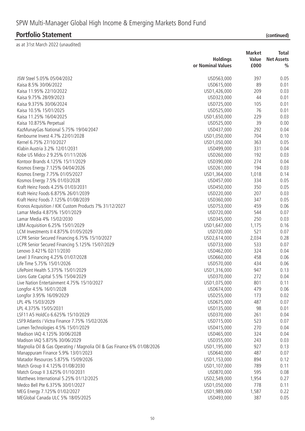|                                                                         | <b>Holdings</b>   | <b>Market</b><br>Value |               |
|-------------------------------------------------------------------------|-------------------|------------------------|---------------|
|                                                                         | or Nominal Values | £000                   | $\frac{0}{0}$ |
| JSW Steel 5.05% 05/04/2032                                              | USD563,000        | 397                    | 0.05          |
| Kaisa 8.5% 30/06/2022                                                   | USD615,000        | 89                     | 0.01          |
| Kaisa 11.95% 22/10/2022                                                 | USD1,426,000      | 209                    | 0.03          |
| Kaisa 9.75% 28/09/2023                                                  | USD323,000        | 44                     | 0.01          |
| Kaisa 9.375% 30/06/2024                                                 | USD725,000        | 105                    | 0.01          |
| Kaisa 10.5% 15/01/2025                                                  | USD525,000        | 76                     | 0.01          |
| Kaisa 11.25% 16/04/2025                                                 | USD1,650,000      | 229                    | 0.03          |
| Kaisa 10.875% Perpetual                                                 | USD525,000        | 39                     | 0.00          |
| KazMunayGas National 5.75% 19/04/2047                                   | USD437,000        | 292                    | 0.04          |
| Kenbourne Invest 4.7% 22/01/2028                                        | USD1,050,000      | 704                    | 0.10          |
| Kernel 6.75% 27/10/2027                                                 | USD1,050,000      | 363                    | 0.05          |
| Klabin Austria 3.2% 12/01/2031                                          | USD499,000        | 331                    | 0.04          |
| Kobe US Midco 2 9.25% 01/11/2026                                        | USD260,000        | 192                    | 0.03          |
| Kontoor Brands 4.125% 15/11/2029                                        | USD390,000        | 274                    | 0.04          |
| Kosmos Energy 7.125% 04/04/2026                                         | USD261,000        | 194                    | 0.03          |
| Kosmos Energy 7.75% 01/05/2027                                          | USD1,364,000      | 1,018                  | 0.14          |
| Kosmos Energy 7.5% 01/03/2028                                           | USD457,000        | 334                    | 0.05          |
| Kraft Heinz Foods 4.25% 01/03/2031                                      | USD450,000        | 350                    | 0.05          |
| Kraft Heinz Foods 6.875% 26/01/2039                                     | USD220,000        | 207                    | 0.03          |
| Kraft Heinz Foods 7.125% 01/08/2039                                     | USD360,000        | 347                    | 0.05          |
| Kronos Acquisition / KIK Custom Products 7% 31/12/2027                  | USD753,000        | 459                    | 0.06          |
| Lamar Media 4.875% 15/01/2029                                           | USD720,000        | 544                    | 0.07          |
|                                                                         |                   |                        |               |
| Lamar Media 4% 15/02/2030                                               | USD345,000        | 250                    | 0.03          |
| LBM Acquisition 6.25% 15/01/2029                                        | USD1,647,000      | 1,175                  | 0.16          |
| LCM Investments II 4.875% 01/05/2029                                    | USD720,000        | 521                    | 0.07          |
| LCPR Senior Secured Financing 6.75% 15/10/2027                          | USD2,614,000      | 2,034                  | 0.28          |
| LCPR Senior Secured Financing 5.125% 15/07/2029                         | USD733,000        | 533                    | 0.07          |
| Lenovo 3.421% 02/11/2030                                                | USD462,000        | 324                    | 0.04          |
| Level 3 Financing 4.25% 01/07/2028                                      | USD660,000        | 458                    | 0.06          |
| Life Time 5.75% 15/01/2026                                              | USD570,000        | 434                    | 0.06          |
| LifePoint Health 5.375% 15/01/2029                                      | USD1,316,000      | 947                    | 0.13          |
| Lions Gate Capital 5.5% 15/04/2029                                      | USD370,000        | 272                    | 0.04          |
| Live Nation Entertainment 4.75% 15/10/2027                              | USD1,075,000      | 801                    | 0.11          |
| Longfor 4.5% 16/01/2028                                                 | USD674,000        | 479                    | 0.06          |
| Longfor 3.95% 16/09/2029                                                | USD255,000        | 173                    | 0.02          |
| LPL 4% 15/03/2029                                                       | USD675,000        | 487                    | 0.07          |
| LPL 4.375% 15/05/2031                                                   | USD135,000        | 98                     | 0.01          |
| LSF11 A5 HoldCo 6.625% 15/10/2029                                       | USD370,000        | 261                    | 0.04          |
| LSF9 Atlantis / Victra Finance 7.75% 15/02/2026                         | USD715,000        | 523                    | 0.07          |
| Lumen Technologies 4.5% 15/01/2029                                      | USD415,000        | 270                    | 0.04          |
| Madison IAQ 4.125% 30/06/2028                                           | USD465,000        | 324                    | 0.04          |
| Madison IAQ 5.875% 30/06/2029                                           | USD355,000        | 243                    | 0.03          |
| Magnolia Oil & Gas Operating / Magnolia Oil & Gas Finance 6% 01/08/2026 | USD1,195,000      | 927                    | 0.13          |
| Manappuram Finance 5.9% 13/01/2023                                      | USD640,000        | 487                    | 0.07          |
| Matador Resources 5.875% 15/09/2026                                     | USD1,153,000      | 894                    | 0.12          |
| Match Group II 4.125% 01/08/2030                                        | USD1,107,000      | 789                    | 0.11          |
| Match Group II 3.625% 01/10/2031                                        | USD870,000        | 595                    | 0.08          |
| Matthews International 5.25% 01/12/2025                                 | USD2,549,000      | 1,954                  | 0.27          |
| Medco Bell Pte 6.375% 30/01/2027                                        | USD1,050,000      | 778                    | 0.11          |
| MEG Energy 7.125% 01/02/2027                                            | USD1,989,000      | 1,587                  | 0.22          |
| MEGlobal Canada ULC 5% 18/05/2025                                       | USD493,000        | 387                    | 0.05          |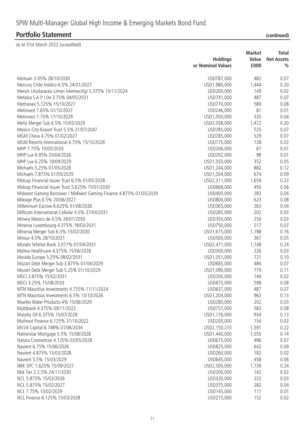|                                                                    | <b>Holdings</b><br>or Nominal Values | <b>Market</b><br>Value<br>£000 | <b>Total</b><br><b>Net Assets</b><br>$\frac{0}{0}$ |
|--------------------------------------------------------------------|--------------------------------------|--------------------------------|----------------------------------------------------|
| Meituan 3.05% 28/10/2030                                           | USD787,000                           | 482                            | 0.07                                               |
| Mercury Chile Holdco 6.5% 24/01/2027                               | USD1,980,000                         | 1,444                          | 0.20                                               |
|                                                                    |                                      | 149                            | 0.02                                               |
| Mersin Uluslararasi Liman Isletmeciligi 5.375% 15/11/2024          | USD200,000                           |                                |                                                    |
| Metalsa S A P I De 3.75% 04/05/2031                                | USD741,000                           | 487<br>589                     | 0.07<br>0.08                                       |
| Methanex 5.125% 15/10/2027<br>Metinvest 7.65% 01/10/2027           | USD770,000                           | 81                             | 0.01                                               |
|                                                                    | USD246,000                           |                                |                                                    |
| Metinvest 7.75% 17/10/2029                                         | USD1,050,000                         | 320                            | 0.04                                               |
| Metis Merger Sub 6.5% 15/05/2029                                   | USD2,058,000                         | 1,472                          | 0.20                                               |
| Mexico City Airport Trust 5.5% 31/07/2047                          | USD785,000                           | 525                            | 0.07                                               |
| MGM China 4.75% 01/02/2027                                         | USD785,000                           | 529                            | 0.07                                               |
| MGM Resorts International 4.75% 15/10/2028                         | USD175,000                           | 128                            | 0.02                                               |
| MHP 7.75% 10/05/2024                                               | USD206,000                           | 67                             | 0.01                                               |
| MHP Lux 6.95% 03/04/2026                                           | USD292,000                           | 98                             | 0.01                                               |
| MHP Lux 6.25% 19/09/2029                                           | USD1,050,000                         | 352                            | 0.05                                               |
| Michaels 5.25% 01/05/2028                                          | USD1,244,000                         | 882                            | 0.12                                               |
| Michaels 7.875% 01/05/2029                                         | USD1,034,000                         | 674                            | 0.09                                               |
| Midcap Financial Issuer Trust 6.5% 01/05/2028                      | USD2,311,000                         | 1,659                          | 0.23                                               |
| Midcap Financial Issuer Trust 5.625% 15/01/2030                    | USD668,000                           | 450                            | 0.06                                               |
| Midwest Gaming Borrower / Midwest Gaming Finance 4.875% 01/05/2029 | USD400,000                           | 283                            | 0.04                                               |
| Mileage Plus 6.5% 20/06/2027                                       | USD800,000                           | 623                            | 0.08                                               |
| Millennium Escrow 6.625% 01/08/2026                                | USD365,000                           | 263                            | 0.04                                               |
| Millicom International Cellular 4.5% 27/04/2031                    | USD285,000                           | 202                            | 0.03                                               |
| Minera Mexico de 4.5% 26/01/2050                                   | USD350,000                           | 250                            | 0.03                                               |
| Minerva Luxembourg 4.375% 18/03/2031                               | USD750,000                           | 517                            | 0.07                                               |
| Minerva Merger Sub 6.5% 15/02/2030                                 | USD1,615,000                         | 1,198                          | 0.16                                               |
| Minsur 4.5% 28/10/2031                                             | USD500,000                           | 367                            | 0.05                                               |
| Mizrahi Tefahot Bank 3.077% 07/04/2031                             | USD2,471,000                         | 1,748                          | 0.24                                               |
| Molina Healthcare 4.375% 15/06/2028                                | USD300,000                           | 226                            | 0.03                                               |
| Movida Europe 5.25% 08/02/2031                                     | USD1,051,000                         | 721                            | 0.10                                               |
| Mozart Debt Merger Sub 3.875% 01/04/2029                           | USD685,000                           | 484                            | 0.07                                               |
| Mozart Debt Merger Sub 5.25% 01/10/2029                            | USD1,090,000                         | 779                            | 0.11                                               |
| MSCI 3.875% 15/02/2031                                             | USD200,000                           | 144                            | 0.02                                               |
| MSCI 3.25% 15/08/2033                                              | USD875,000                           | 598                            | 0.08                                               |
| MTN Mauritius Investments 4.755% 11/11/2024                        | USD637,000                           | 487                            | 0.07                                               |
| MTN Mauritius Investments 6.5% 13/10/2026                          | USD1,204,000                         | 963                            | 0.13                                               |
| Mueller Water Products 4% 15/06/2029                               | USD280,000                           | 202                            | 0.03                                               |
| Multibank 4.375% 09/11/2022                                        | USD757,000                           | 582                            | 0.08                                               |
| Murphy Oil 6.375% 15/07/2028                                       | USD1,176,000                         | 934                            | 0.13                                               |
| Muthoot Finance 6.125% 31/10/2022                                  | USD200,000                           | 154                            | 0.02                                               |
| MV24 Capital 6.748% 01/06/2034                                     | USD2,150,210                         | 1,591                          | 0.22                                               |
| Nationstar Mortgage 5.5% 15/08/2028                                | USD1,440,000                         | 1,055                          | 0.14                                               |
| Natura Cosmeticos 4.125% 03/05/2028                                | USD675,000                           | 496                            | 0.07                                               |
| Navient 6.75% 15/06/2026                                           | USD825,000                           | 642                            | 0.09                                               |
| Navient 4.875% 15/03/2028                                          | USD260,000                           | 182                            | 0.02                                               |
| Navient 5.5% 15/03/2029                                            | USD645,000                           | 458                            | 0.06                                               |
| NBK SPC 1.625% 15/09/2027                                          | USD2,500,000                         | 1,739                          | 0.24                                               |
| Nbk Tier 2 2.5% 24/11/2030                                         | USD200,000                           | 142                            | 0.02                                               |
| NCL 5.875% 15/03/2026                                              | USD320,000                           | 232                            | 0.03                                               |
| NCL 5.875% 15/02/2027                                              | USD375,000                           | 282                            | 0.04                                               |
| NCL 7.75% 15/02/2029                                               | USD145,000                           | 111                            | 0.01                                               |
| NCL Finance 6.125% 15/03/2028                                      | USD215,000                           | 152                            | 0.02                                               |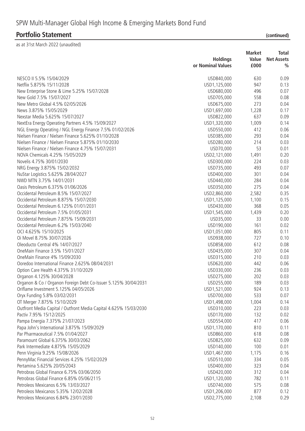|                                                                                                          | <b>Market</b>            |       | <b>Total</b>      |
|----------------------------------------------------------------------------------------------------------|--------------------------|-------|-------------------|
|                                                                                                          | <b>Holdings</b>          | Value | <b>Net Assets</b> |
|                                                                                                          | or Nominal Values        | £000  | $\frac{0}{0}$     |
| NESCO II 5.5% 15/04/2029                                                                                 | USD840,000               | 630   | 0.09              |
| Netflix 5.875% 15/11/2028                                                                                | USD1,125,000             | 947   | 0.13              |
| New Enterprise Stone & Lime 5.25% 15/07/2028                                                             | USD680,000               | 496   | 0.07              |
| New Gold 7.5% 15/07/2027                                                                                 | USD705,000               | 558   | 0.08              |
| New Metro Global 4.5% 02/05/2026                                                                         | USD675,000               | 273   | 0.04              |
| News 3.875% 15/05/2029                                                                                   | USD1,697,000             | 1,228 | 0.17              |
| Nexstar Media 5.625% 15/07/2027                                                                          | USD822,000               | 637   | 0.09              |
| NextEra Energy Operating Partners 4.5% 15/09/2027                                                        | USD1,320,000             | 1,009 | 0.14              |
| NGL Energy Operating / NGL Energy Finance 7.5% 01/02/2026                                                | USD550,000               | 412   | 0.06              |
| Nielsen Finance / Nielsen Finance 5.625% 01/10/2028                                                      | USD385,000               | 293   | 0.04              |
| Nielsen Finance / Nielsen Finance 5.875% 01/10/2030                                                      | USD280,000               | 214   | 0.03              |
| Nielsen Finance / Nielsen Finance 4.75% 15/07/2031                                                       | USD70,000                | 53    | 0.01              |
| NOVA Chemicals 4.25% 15/05/2029                                                                          | USD2,121,000             | 1,491 | 0.20              |
| Novelis 4.75% 30/01/2030                                                                                 | USD300,000               | 224   | 0.03              |
| NRG Energy 3.875% 15/02/2032                                                                             | USD735,000               | 493   | 0.07              |
| NuStar Logistics 5.625% 28/04/2027                                                                       | USD400,000               | 301   | 0.04              |
| NWD MTN 3.75% 14/01/2031                                                                                 | USD440,000               | 284   | 0.04              |
| Oasis Petroleum 6.375% 01/06/2026                                                                        | USD350,000               | 275   | 0.04              |
| Occidental Petroleum 8.5% 15/07/2027                                                                     | USD2,860,000             | 2,582 | 0.35              |
| Occidental Petroleum 8.875% 15/07/2030                                                                   | USD1,125,000             | 1,100 | 0.15              |
| Occidental Petroleum 6.125% 01/01/2031                                                                   | USD430,000               | 368   | 0.05              |
| Occidental Petroleum 7.5% 01/05/2031                                                                     | USD1,545,000             | 1,439 | 0.20              |
| Occidental Petroleum 7.875% 15/09/2031                                                                   | USD35,000                | 33    | 0.00              |
| Occidental Petroleum 6.2% 15/03/2040                                                                     | USD190,000               | 161   | 0.02              |
| OCI 4.625% 15/10/2025                                                                                    | USD1,051,000             | 805   | 0.11              |
| Oi Movel 8.75% 30/07/2026                                                                                | USD938,000               | 727   | 0.10              |
| Oleoducto Central 4% 14/07/2027                                                                          | USD858,000               | 612   | 0.08              |
| OneMain Finance 3.5% 15/01/2027                                                                          | USD435,000               | 307   | 0.04              |
| OneMain Finance 4% 15/09/2030                                                                            | USD315,000               | 210   | 0.03              |
| Ooredoo International Finance 2.625% 08/04/2031                                                          |                          | 442   | 0.06              |
|                                                                                                          | USD620,000               | 236   | 0.03              |
| Option Care Health 4.375% 31/10/2029                                                                     | USD330,000               | 202   | 0.03              |
| Organon 4.125% 30/04/2028                                                                                | USD275,000<br>USD255,000 | 189   |                   |
| Organon & Co / Organon Foreign Debt Co-Issuer 5.125% 30/04/2031<br>Oriflame Investment 5.125% 04/05/2026 |                          |       | 0.03              |
|                                                                                                          | USD1,521,000             | 924   | 0.13              |
| Oryx Funding 5.8% 03/02/2031                                                                             | USD700,000               | 533   | 0.07              |
| OT Merger 7.875% 15/10/2029                                                                              | USD1,498,000             | 1,004 | 0.14              |
| Outfront Media Capital / Outfront Media Capital 4.625% 15/03/2030                                        | USD310,000               | 223   | 0.03              |
| Pactiv 7.95% 15/12/2025                                                                                  | USD170,000               | 132   | 0.02              |
| Pampa Energia 7.375% 21/07/2023                                                                          | USD554,000               | 417   | 0.06              |
| Papa John's International 3.875% 15/09/2029                                                              | USD1,170,000             | 810   | 0.11              |
| Par Pharmaceutical 7.5% 01/04/2027                                                                       | USD860,000               | 618   | 0.08              |
| Paramount Global 6.375% 30/03/2062                                                                       | USD825,000               | 632   | 0.09              |
| Park Intermediate 4.875% 15/05/2029                                                                      | USD140,000               | 100   | 0.01              |
| Penn Virginia 9.25% 15/08/2026                                                                           | USD1,467,000             | 1,175 | 0.16              |
| PennyMac Financial Services 4.25% 15/02/2029                                                             | USD510,000               | 334   | 0.05              |
| Pertamina 5.625% 20/05/2043                                                                              | USD400,000               | 323   | 0.04              |
| Petrobras Global Finance 6.75% 03/06/2050                                                                | USD420,000               | 312   | 0.04              |
| Petrobras Global Finance 6.85% 05/06/2115                                                                | USD1,120,000             | 782   | 0.11              |
| Petroleos Mexicanos 6.5% 13/03/2027                                                                      | USD740,000               | 575   | 0.08              |
| Petroleos Mexicanos 5.35% 12/02/2028                                                                     | USD1,206,000             | 877   | 0.12              |
| Petroleos Mexicanos 6.84% 23/01/2030                                                                     | USD2,775,000             | 2,108 | 0.29              |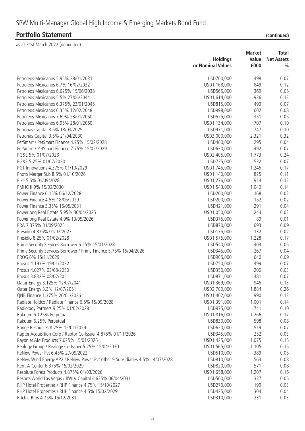|                                                                              | <b>Holdings</b>   | <b>Market</b><br>Value |                                    |
|------------------------------------------------------------------------------|-------------------|------------------------|------------------------------------|
|                                                                              | or Nominal Values | £000                   | <b>Net Assets</b><br>$\frac{0}{0}$ |
| Petroleos Mexicanos 5.95% 28/01/2031                                         | USD700,000        | 498                    | 0.07                               |
| Petroleos Mexicanos 6.7% 16/02/2032                                          | USD1,168,000      | 849                    | 0.12                               |
| Petroleos Mexicanos 6.625% 15/06/2038                                        | USD565,000        | 369                    | 0.05                               |
| Petroleos Mexicanos 5.5% 27/06/2044                                          | USD1,614,000      | 936                    | 0.13                               |
| Petroleos Mexicanos 6.375% 23/01/2045                                        | USD815,000        | 499                    | 0.07                               |
| Petroleos Mexicanos 6.35% 12/02/2048                                         | USD998,000        | 602                    | 0.08                               |
| Petroleos Mexicanos 7.69% 23/01/2050                                         | USD525,000        | 351                    | 0.05                               |
| Petroleos Mexicanos 6.95% 28/01/2060                                         | USD1,134,000      | 707                    | 0.10                               |
| Petronas Capital 3.5% 18/03/2025                                             | USD971,000        | 747                    | 0.10                               |
| Petronas Capital 3.5% 21/04/2030                                             | USD3,000,000      | 2,321                  | 0.32                               |
| PetSmart / PetSmart Finance 4.75% 15/02/2028                                 | USD400,000        | 295                    | 0.04                               |
| PetSmart / PetSmart Finance 7.75% 15/02/2029                                 | USD630,000        | 492                    | 0.07                               |
| PG&E 5% 01/07/2028                                                           | USD2,405,000      | 1,773                  | 0.24                               |
| PG&E 5.25% 01/07/2030                                                        | USD725,000        | 532                    | 0.07                               |
| PGT Innovations 4.375% 01/10/2029                                            | USD1,745,000      | 1,245                  | 0.17                               |
| Photo Merger Sub 8.5% 01/10/2026                                             | USD1,140,000      | 825                    | 0.11                               |
| Pike 5.5% 01/09/2028                                                         | USD1,276,000      | 914                    | 0.12                               |
| PMHC II 9% 15/02/2030                                                        | USD1,543,000      | 1,040                  | 0.14                               |
| Power Finance 6.15% 06/12/2028                                               | USD200,000        | 168                    | 0.02                               |
| Power Finance 4.5% 18/06/2029                                                | USD200,000        | 152                    | 0.02                               |
| Power Finance 3.35% 16/05/2031                                               | USD421,000        | 291                    | 0.04                               |
|                                                                              |                   | 244                    | 0.03                               |
| Powerlong Real Estate 5.95% 30/04/2025                                       | USD1,050,000      |                        |                                    |
| Powerlong Real Estate 4.9% 13/05/2026<br>PRA 7.375% 01/09/2025               | USD375,000        | 89<br>693              | 0.01<br>0.09                       |
|                                                                              | USD870,000        |                        |                                    |
| Presidio 4.875% 01/02/2027                                                   | USD175,000        | 132                    | 0.02                               |
| Presidio 8.25% 01/02/2028                                                    | USD1,575,000      | 1,228                  | 0.17                               |
| Prime Security Services Borrower 6.25% 15/01/2028                            | USD540,000        | 403                    | 0.05                               |
| Prime Security Services Borrower / Prime Finance 5.75% 15/04/2026            | USD345,000        | 267                    | 0.04                               |
| PROG 6% 15/11/2029                                                           | USD905,000        | 640                    | 0.09                               |
| Prosus 4.193% 19/01/2032                                                     | USD750,000        | 499                    | 0.07                               |
| Prosus 4.027% 03/08/2050                                                     | USD350,000        | 200                    | 0.03                               |
| Prosus 3.832% 08/02/2051                                                     | USD871,000        | 481                    | 0.07                               |
| Qatar Energy 3.125% 12/07/2041                                               | USD1,369,000      | 946                    | 0.13                               |
| Qatar Energy 3.3% 12/07/2051                                                 | USD2,700,000      | 1,884                  | 0.26                               |
| QNB Finance 1.375% 26/01/2026                                                | USD1,402,000      | 990                    | 0.13                               |
| Radiate Holdco / Radiate Finance 6.5% 15/09/2028                             | USD1,391,000      | 1,001                  | 0.14                               |
| Radiology Partners 9.25% 01/02/2028                                          | USD975,000        | 741                    | 0.10                               |
| Rakuten 5.125% Perpetual                                                     | USD1,816,000      | 1,266                  | 0.17                               |
| Rakuten 6.25% Perpetual                                                      | USD830,000        | 598                    | 0.08                               |
| Range Resources 8.25% 15/01/2029                                             | USD620,000        | 519                    | 0.07                               |
| Raptor Acquisition Corp / Raptor Co-Issuer 4.875% 01/11/2026                 | USD345,000        | 252                    | 0.03                               |
| Rayonier AM Products 7.625% 15/01/2026                                       | USD1,425,000      | 1,075                  | 0.15                               |
| Realogy Group / Realogy Co-Issuer 5.25% 15/04/2030                           | USD1,565,000      | 1,105                  | 0.15                               |
| ReNew Power Pvt 6.45% 27/09/2022                                             | USD510,000        | 389                    | 0.05                               |
| ReNew Wind Energy AP2 / ReNew Power Pvt other 9 Subsidiaries 4.5% 14/07/2028 | USD810,000        | 563                    | 0.08                               |
| Rent-A-Center 6.375% 15/02/2029                                              | USD820,000        | 571                    | 0.08                               |
| Resolute Forest Products 4.875% 01/03/2026                                   | USD1,658,000      | 1,207                  | 0.16                               |
| Resorts World Las Vegas / RWLV Capital 4.625% 06/04/2031                     | USD500,000        | 337                    | 0.05                               |
| RHP Hotel Properties / RHP Finance 4.75% 15/10/2027                          | USD270,000        | 199                    | 0.03                               |
| RHP Hotel Properties / RHP Finance 4.5% 15/02/2029                           | USD425,000        | 304                    | 0.04                               |
| Ritchie Bros 4.75% 15/12/2031                                                | USD310,000        | 231                    | 0.03                               |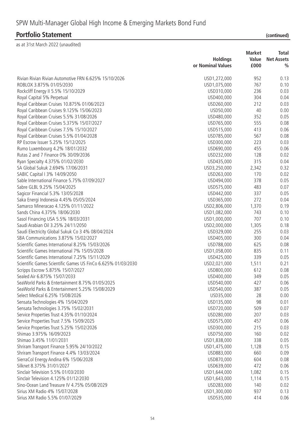|                                                                                 | <b>Holdings</b><br>or Nominal Values | <b>Market</b><br>Value<br>£000 | <b>Total</b><br><b>Net Assets</b><br>$\frac{0}{0}$ |
|---------------------------------------------------------------------------------|--------------------------------------|--------------------------------|----------------------------------------------------|
|                                                                                 |                                      |                                |                                                    |
| Rivian Rivian Rivian Automotive FRN 6.625% 15/10/2026                           | USD1,272,000                         | 952                            | 0.13                                               |
| ROBLOX 3.875% 01/05/2030                                                        | USD1,075,000                         | 767                            | 0.10                                               |
| Rockcliff Energy II 5.5% 15/10/2029                                             | USD310,000                           | 236                            | 0.03                                               |
| Royal Capital 5% Perpetual                                                      | USD400,000                           | 304                            | 0.04                                               |
| Royal Caribbean Cruises 10.875% 01/06/2023                                      | USD260,000                           | 212                            | 0.03                                               |
| Royal Caribbean Cruises 9.125% 15/06/2023                                       | USD50,000                            | 40                             | 0.00                                               |
| Royal Caribbean Cruises 5.5% 31/08/2026                                         | USD480,000                           | 352                            | 0.05                                               |
| Royal Caribbean Cruises 5.375% 15/07/2027                                       | USD765,000                           | 555                            | 0.08                                               |
| Royal Caribbean Cruises 7.5% 15/10/2027                                         | USD515,000                           | 413                            | 0.06                                               |
| Royal Caribbean Cruises 5.5% 01/04/2028                                         | USD785,000                           | 567                            | 0.08                                               |
| RP Escrow Issuer 5.25% 15/12/2025                                               | USD300,000                           | 223                            | 0.03                                               |
| Rumo Luxembourg 4.2% 18/01/2032                                                 | USD690,000                           | 455                            | 0.06                                               |
| Rutas 2 and 7 Finance 0% 30/09/2036                                             | USD232,000                           | 128                            | 0.02                                               |
| Ryan Specialty 4.375% 01/02/2030                                                | USD435,000                           | 315                            | 0.04                                               |
| SA Global Sukuk 2.694% 17/06/2031                                               | USD3,250,000                         | 2,342                          | 0.32                                               |
| SABIC Capital I 3% 14/09/2050                                                   | USD263,000                           | 170                            | 0.02                                               |
| Sable International Finance 5.75% 07/09/2027                                    | USD494,000                           | 378                            | 0.05                                               |
| Sabre GLBL 9.25% 15/04/2025                                                     | USD575,000                           | 483                            | 0.07                                               |
| Sagicor Financial 5.3% 13/05/2028                                               | USD442,000                           | 337                            | 0.05                                               |
| Saka Energi Indonesia 4.45% 05/05/2024                                          | USD365,000                           | 272                            | 0.04                                               |
| Samarco Mineracao 4.125% 01/11/2022                                             | USD2,806,000                         | 1,370                          | 0.19                                               |
| Sands China 4.375% 18/06/2030                                                   | USD1,082,000                         | 743                            | 0.10                                               |
| Sasol Financing USA 5.5% 18/03/2031                                             | USD1,000,000                         | 707                            | 0.10                                               |
| Saudi Arabian Oil 3.25% 24/11/2050                                              | USD2,000,000                         | 1,305                          | 0.18                                               |
| Saudi Electricity Global Sukuk Co 3 4% 08/04/2024                               | USD329,000                           | 255                            | 0.03                                               |
| SBA Communications 3.875% 15/02/2027                                            | USD405,000                           | 300                            | 0.04                                               |
| Scientific Games International 8.25% 15/03/2026                                 | USD788,000                           | 625                            | 0.08                                               |
| Scientific Games International 7% 15/05/2028                                    | USD1,058,000                         | 835                            | 0.11                                               |
| Scientific Games International 7.25% 15/11/2029                                 | USD425,000                           | 339                            | 0.05                                               |
| Scientific Games Scientific Games US FinCo 6.625% 01/03/2030                    | USD2,021,000                         | 1,511                          | 0.21                                               |
| Scripps Escrow 5.875% 15/07/2027                                                | USD800,000                           | 612                            | 0.08                                               |
|                                                                                 | USD400,000                           | 349                            | 0.05                                               |
| Sealed Air 6.875% 15/07/2033<br>SeaWorld Parks & Entertainment 8.75% 01/05/2025 | USD540,000                           | 427                            | 0.06                                               |
| SeaWorld Parks & Entertainment 5.25% 15/08/2029                                 | USD540,000                           | 387                            | 0.05                                               |
| Select Medical 6.25% 15/08/2026                                                 | USD35,000                            | 28                             | 0.00                                               |
|                                                                                 | USD135,000                           | 98                             | 0.01                                               |
| Sensata Technologies 4% 15/04/2029<br>Sensata Technologies 3.75% 15/02/2031     | USD720,000                           | 509                            | 0.07                                               |
|                                                                                 | USD280,000                           | 207                            |                                                    |
| Service Properties Trust 4.35% 01/10/2024                                       |                                      |                                | 0.03                                               |
| Service Properties Trust 7.5% 15/09/2025                                        | USD575,000                           | 457                            | 0.06                                               |
| Service Properties Trust 5.25% 15/02/2026                                       | USD300,000                           | 215                            | 0.03                                               |
| Shimao 3.975% 16/09/2023                                                        | USD750,000                           | 160                            | 0.02                                               |
| Shimao 3.45% 11/01/2031                                                         | USD1,838,000                         | 338                            | 0.05                                               |
| Shriram Transport Finance 5.95% 24/10/2022                                      | USD1,475,000                         | 1,128                          | 0.15                                               |
| Shriram Transport Finance 4.4% 13/03/2024                                       | USD883,000                           | 660                            | 0.09                                               |
| SierraCol Energy Andina 6% 15/06/2028                                           | USD870,000                           | 604                            | 0.08                                               |
| Silknet 8.375% 31/01/2027                                                       | USD639,000                           | 472                            | 0.06                                               |
| Sinclair Television 5.5% 01/03/2030                                             | USD1,644,000                         | 1,082                          | 0.15                                               |
| Sinclair Television 4.125% 01/12/2030                                           | USD1,643,000                         | 1,114                          | 0.15                                               |
| Sino-Ocean Land Treasure IV 4.75% 05/08/2029                                    | USD283,000                           | 140                            | 0.02                                               |
| Sirius XM Radio 4% 15/07/2028                                                   | USD1,300,000                         | 937                            | 0.13                                               |
| Sirius XM Radio 5.5% 01/07/2029                                                 | USD535,000                           | 414                            | 0.06                                               |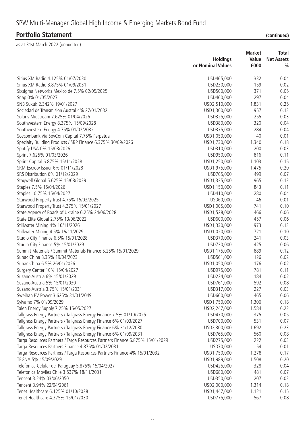|                                                                               | <b>Market</b>              |              | Total             |  |
|-------------------------------------------------------------------------------|----------------------------|--------------|-------------------|--|
|                                                                               | <b>Holdings</b>            | Value        | <b>Net Assets</b> |  |
|                                                                               | or Nominal Values          | £000         | $\frac{0}{0}$     |  |
| Sirius XM Radio 4.125% 01/07/2030                                             | USD465,000                 | 332          | 0.04              |  |
| Sirius XM Radio 3.875% 01/09/2031                                             | USD230,000                 | 159          | 0.02              |  |
| Sixsigma Networks Mexico de 7.5% 02/05/2025                                   | USD500,000                 | 371          | 0.05              |  |
| Snap 0% 01/05/2027                                                            | USD460,000                 | 297          | 0.04              |  |
| SNB Sukuk 2.342% 19/01/2027                                                   | USD2,510,000               | 1,831        | 0.25              |  |
| Sociedad de Transmision Austral 4% 27/01/2032                                 | USD1,300,000               | 957          | 0.13              |  |
| Solaris Midstream 7.625% 01/04/2026                                           | USD325,000                 | 255          | 0.03              |  |
| Southwestern Energy 8.375% 15/09/2028                                         | USD380,000                 | 320          | 0.04              |  |
| Southwestern Energy 4.75% 01/02/2032                                          | USD375,000                 | 284          | 0.04              |  |
| Sovcombank Via SovCom Capital 7.75% Perpetual                                 | USD1,050,000               | 40           | 0.01              |  |
| Specialty Building Products / SBP Finance 6.375% 30/09/2026                   | USD1,730,000               | 1,340        | 0.18              |  |
| Spotify USA 0% 15/03/2026                                                     | USD310,000                 | 200          | 0.03              |  |
| Sprint 7.625% 01/03/2026                                                      | USD950,000                 | 816          | 0.11              |  |
| Sprint Capital 6.875% 15/11/2028                                              | USD1,250,000               | 1,103        | 0.15              |  |
| SRM Escrow Issuer 6% 01/11/2028                                               |                            |              | 0.20              |  |
| SRS Distribution 6% 01/12/2029                                                | USD1,975,000<br>USD705,000 | 1,475<br>499 | 0.07              |  |
|                                                                               |                            | 965          | 0.13              |  |
| Stagwell Global 5.625% 15/08/2029                                             | USD1,335,000               |              |                   |  |
| Staples 7.5% 15/04/2026                                                       | USD1,150,000               | 843          | 0.11              |  |
| Staples 10.75% 15/04/2027                                                     | USD410,000                 | 280          | 0.04              |  |
| Starwood Property Trust 4.75% 15/03/2025                                      | USD60,000                  | 46           | 0.01              |  |
| Starwood Property Trust 4.375% 15/01/2027                                     | USD1,005,000               | 741          | 0.10              |  |
| State Agency of Roads of Ukraine 6.25% 24/06/2028                             | USD1,528,000               | 466          | 0.06              |  |
| State Elite Global 2.75% 13/06/2022                                           | USD600,000                 | 457          | 0.06              |  |
| Stillwater Mining 4% 16/11/2026                                               | USD1,330,000               | 973          | 0.13              |  |
| Stillwater Mining 4.5% 16/11/2029                                             | USD1,020,000               | 721          | 0.10              |  |
| Studio City Finance 6.5% 15/01/2028                                           | USD370,000                 | 241          | 0.03              |  |
| Studio City Finance 5% 15/01/2029                                             | USD730,000                 | 425          | 0.06              |  |
| Summit Materials / Summit Materials Finance 5.25% 15/01/2029                  | USD1,175,000               | 889          | 0.12              |  |
| Sunac China 8.35% 19/04/2023                                                  | USD561,000                 | 126          | 0.02              |  |
| Sunac China 6.5% 26/01/2026                                                   | USD1,050,000               | 176          | 0.02              |  |
| Surgery Center 10% 15/04/2027                                                 | USD975,000                 | 781          | 0.11              |  |
| Suzano Austria 6% 15/01/2029                                                  | USD224,000                 | 184          | 0.02              |  |
| Suzano Austria 5% 15/01/2030                                                  | USD761,000                 | 592          | 0.08              |  |
| Suzano Austria 3.75% 15/01/2031                                               | USD317,000                 | 227          | 0.03              |  |
| Sweihan PV Power 3.625% 31/01/2049                                            | USD660,000                 | 465          | 0.06              |  |
| Sylvamo 7% 01/09/2029                                                         | USD1,750,000               | 1,306        | 0.18              |  |
| Talen Energy Supply 7.25% 15/05/2027                                          | USD2,247,000               | 1,584        | 0.22              |  |
| Tallgrass Energy Partners / Tallgrass Energy Finance 7.5% 01/10/2025          | USD470,000                 | 375          | 0.05              |  |
| Tallgrass Energy Partners / Tallgrass Energy Finance 6% 01/03/2027            | USD700,000                 | 531          | 0.07              |  |
| Tallgrass Energy Partners / Tallgrass Energy Finance 6% 31/12/2030            | USD2,300,000               | 1,692        | 0.23              |  |
| Tallgrass Energy Partners / Tallgrass Energy Finance 6% 01/09/2031            | USD765,000                 | 560          | 0.08              |  |
| Targa Resources Partners / Targa Resources Partners Finance 6.875% 15/01/2029 | USD275,000                 | 222          | 0.03              |  |
| Targa Resources Partners Finance 4.875% 01/02/2031                            | USD70,000                  | 54           | 0.01              |  |
| Targa Resources Partners / Targa Resources Partners Finance 4% 15/01/2032     | USD1,750,000               | 1,278        | 0.17              |  |
| TEGNA 5% 15/09/2029                                                           | USD1,989,000               | 1,508        | 0.20              |  |
| Telefonica Celular del Paraguay 5.875% 15/04/2027                             | USD425,000                 | 328          | 0.04              |  |
| Telefonica Moviles Chile 3.537% 18/11/2031                                    | USD680,000                 | 481          | 0.07              |  |
| Tencent 3.24% 03/06/2050                                                      | USD350,000                 | 207          | 0.03              |  |
| Tencent 3.94% 22/04/2061                                                      | USD2,000,000               | 1,314        | 0.18              |  |
| Tenet Healthcare 6.125% 01/10/2028                                            | USD1,447,000               | 1,121        | 0.15              |  |
| Tenet Healthcare 4.375% 15/01/2030                                            | USD775,000                 | 567          | 0.08              |  |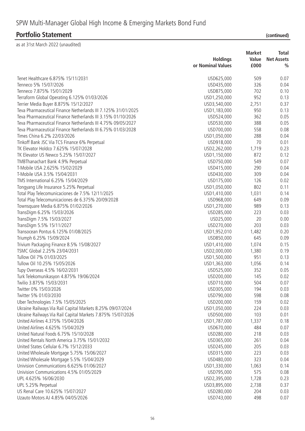### **Portfolio Statement**

| (continued) |  |
|-------------|--|
|             |  |

| Tenet Healthcare 6.875% 15/11/2031<br>509<br>0.07<br>USD625,000<br>Tenneco 5% 15/07/2026<br>USD435,000<br>326<br>0.04<br>Tenneco 7.875% 15/01/2029<br>USD875,000<br>702<br>0.10<br>Terraform Global Operating 6.125% 01/03/2026<br>USD1,250,000<br>952<br>0.13<br>Terrier Media Buyer 8.875% 15/12/2027<br>2,751<br>0.37<br>USD3,540,000<br>Teva Pharmaceutical Finance Netherlands III 7.125% 31/01/2025<br>950<br>0.13<br>USD1,183,000<br>Teva Pharmaceutical Finance Netherlands III 3.15% 01/10/2026<br>362<br>0.05<br>USD524,000<br>Teva Pharmaceutical Finance Netherlands III 4.75% 09/05/2027<br>USD530,000<br>388<br>0.05<br>558<br>Teva Pharmaceutical Finance Netherlands III 6.75% 01/03/2028<br>USD700,000<br>0.08<br>Times China 6.2% 22/03/2026<br>288<br>USD1,050,000<br>0.04<br>70<br>Tinkoff Bank JSC Via TCS Finance 6% Perpetual<br>USD918,000<br>0.01<br>TK Elevator Holdco 7.625% 15/07/2028<br>USD2,262,000<br>1,719<br>0.23<br>TK Elevator US Newco 5.25% 15/07/2027<br>USD1,150,000<br>872<br>0.12<br>TMBThanachart Bank 4.9% Perpetual<br>USD750,000<br>549<br>0.07<br>T-Mobile USA 2.625% 15/02/2029<br>USD415,000<br>290<br>0.04<br>T-Mobile USA 3.5% 15/04/2031<br>309<br>0.04<br>USD430,000<br>TMS International 6.25% 15/04/2029<br>USD175,000<br>126<br>0.02<br>Tongyang Life Insurance 5.25% Perpetual<br>802<br>0.11<br>USD1,050,000<br>Total Play Telecomunicaciones de 7.5% 12/11/2025<br>USD1,410,000<br>1,031<br>0.14<br>Total Play Telecomunicaciones de 6.375% 20/09/2028<br>USD968,000<br>649<br>0.09<br>USD1,270,000<br>989<br>Townsquare Media 6.875% 01/02/2026<br>0.13<br>USD285,000<br>223<br>0.03<br>TransDigm 6.25% 15/03/2026<br>TransDigm 7.5% 15/03/2027<br>USD25,000<br>20<br>0.00<br>TransDigm 5.5% 15/11/2027<br>USD270,000<br>203<br>0.03<br>Transocean Pontus 6.125% 01/08/2025<br>USD1,952,010<br>1,482<br>0.20<br>Triumph 6.25% 15/09/2024<br>USD850,000<br>645<br>0.09<br>1,074<br>0.15<br>Trivium Packaging Finance 8.5% 15/08/2027<br>USD1,410,000<br>TSMC Global 2.25% 23/04/2031<br>0.19<br>USD2,000,000<br>1,380<br>Tullow Oil 7% 01/03/2025<br>951<br>0.13<br>USD1,500,000<br>Tullow Oil 10.25% 15/05/2026<br>0.14<br>USD1,363,000<br>1,056<br>USD525,000<br>352<br>0.05<br>Tupy Overseas 4.5% 16/02/2031<br>145<br>0.02<br>Turk Telekomunikasyon 4.875% 19/06/2024<br>USD200,000<br>Twilio 3.875% 15/03/2031<br>USD710,000<br>504<br>0.07<br>Twitter 0% 15/03/2026<br>USD305,000<br>194<br>0.03<br>Twitter 5% 01/03/2030<br>USD790,000<br>598<br>0.08<br>Uber Technologies 7.5% 15/05/2025<br>USD200,000<br>159<br>0.02<br>Ukraine Railways Via Rail Capital Markets 8.25% 09/07/2024<br>USD1,050,000<br>224<br>0.03<br>Ukraine Railways Via Rail Capital Markets 7.875% 15/07/2026<br>USD500,000<br>103<br>0.01<br>United Airlines 4.375% 15/04/2026<br>USD1,787,000<br>1,337<br>0.18<br>United Airlines 4.625% 15/04/2029<br>USD670,000<br>484<br>0.07<br>United Natural Foods 6.75% 15/10/2028<br>USD280,000<br>218<br>0.03<br>United Rentals North America 3.75% 15/01/2032<br>USD365,000<br>261<br>0.04<br>United States Cellular 6.7% 15/12/2033<br>205<br>0.03<br>USD245,000<br>United Wholesale Mortgage 5.75% 15/06/2027<br>USD315,000<br>223<br>0.03<br>United Wholesale Mortgage 5.5% 15/04/2029<br>USD480,000<br>323<br>0.04<br>Univision Communications 6.625% 01/06/2027<br>USD1,330,000<br>1,063<br>0.14<br>Univision Communications 4.5% 01/05/2029<br>USD795,000<br>575<br>0.08<br>UPL 4.625% 16/06/2030<br>USD2,395,000<br>1,728<br>0.23<br>UPL 5.25% Perpetual<br>USD3,895,000<br>2,738<br>0.37<br>US Renal Care 10.625% 15/07/2027<br>USD280,000<br>204<br>0.03 |                                   | <b>Holdings</b><br>or Nominal Values | <b>Market</b><br>Value<br>£000 | Total<br><b>Net Assets</b><br>$\frac{0}{0}$ |
|-------------------------------------------------------------------------------------------------------------------------------------------------------------------------------------------------------------------------------------------------------------------------------------------------------------------------------------------------------------------------------------------------------------------------------------------------------------------------------------------------------------------------------------------------------------------------------------------------------------------------------------------------------------------------------------------------------------------------------------------------------------------------------------------------------------------------------------------------------------------------------------------------------------------------------------------------------------------------------------------------------------------------------------------------------------------------------------------------------------------------------------------------------------------------------------------------------------------------------------------------------------------------------------------------------------------------------------------------------------------------------------------------------------------------------------------------------------------------------------------------------------------------------------------------------------------------------------------------------------------------------------------------------------------------------------------------------------------------------------------------------------------------------------------------------------------------------------------------------------------------------------------------------------------------------------------------------------------------------------------------------------------------------------------------------------------------------------------------------------------------------------------------------------------------------------------------------------------------------------------------------------------------------------------------------------------------------------------------------------------------------------------------------------------------------------------------------------------------------------------------------------------------------------------------------------------------------------------------------------------------------------------------------------------------------------------------------------------------------------------------------------------------------------------------------------------------------------------------------------------------------------------------------------------------------------------------------------------------------------------------------------------------------------------------------------------------------------------------------------------------------------------------------------------------------------------------------------------------------------------------------------------------------------------------------------------------------------------------------------------------------------------------------------------------------------------------------------------------------------------------------------------------------------------------------------------------------------------------------------------------------------------------------|-----------------------------------|--------------------------------------|--------------------------------|---------------------------------------------|
|                                                                                                                                                                                                                                                                                                                                                                                                                                                                                                                                                                                                                                                                                                                                                                                                                                                                                                                                                                                                                                                                                                                                                                                                                                                                                                                                                                                                                                                                                                                                                                                                                                                                                                                                                                                                                                                                                                                                                                                                                                                                                                                                                                                                                                                                                                                                                                                                                                                                                                                                                                                                                                                                                                                                                                                                                                                                                                                                                                                                                                                                                                                                                                                                                                                                                                                                                                                                                                                                                                                                                                                                                                                       |                                   |                                      |                                |                                             |
|                                                                                                                                                                                                                                                                                                                                                                                                                                                                                                                                                                                                                                                                                                                                                                                                                                                                                                                                                                                                                                                                                                                                                                                                                                                                                                                                                                                                                                                                                                                                                                                                                                                                                                                                                                                                                                                                                                                                                                                                                                                                                                                                                                                                                                                                                                                                                                                                                                                                                                                                                                                                                                                                                                                                                                                                                                                                                                                                                                                                                                                                                                                                                                                                                                                                                                                                                                                                                                                                                                                                                                                                                                                       |                                   |                                      |                                |                                             |
|                                                                                                                                                                                                                                                                                                                                                                                                                                                                                                                                                                                                                                                                                                                                                                                                                                                                                                                                                                                                                                                                                                                                                                                                                                                                                                                                                                                                                                                                                                                                                                                                                                                                                                                                                                                                                                                                                                                                                                                                                                                                                                                                                                                                                                                                                                                                                                                                                                                                                                                                                                                                                                                                                                                                                                                                                                                                                                                                                                                                                                                                                                                                                                                                                                                                                                                                                                                                                                                                                                                                                                                                                                                       |                                   |                                      |                                |                                             |
|                                                                                                                                                                                                                                                                                                                                                                                                                                                                                                                                                                                                                                                                                                                                                                                                                                                                                                                                                                                                                                                                                                                                                                                                                                                                                                                                                                                                                                                                                                                                                                                                                                                                                                                                                                                                                                                                                                                                                                                                                                                                                                                                                                                                                                                                                                                                                                                                                                                                                                                                                                                                                                                                                                                                                                                                                                                                                                                                                                                                                                                                                                                                                                                                                                                                                                                                                                                                                                                                                                                                                                                                                                                       |                                   |                                      |                                |                                             |
|                                                                                                                                                                                                                                                                                                                                                                                                                                                                                                                                                                                                                                                                                                                                                                                                                                                                                                                                                                                                                                                                                                                                                                                                                                                                                                                                                                                                                                                                                                                                                                                                                                                                                                                                                                                                                                                                                                                                                                                                                                                                                                                                                                                                                                                                                                                                                                                                                                                                                                                                                                                                                                                                                                                                                                                                                                                                                                                                                                                                                                                                                                                                                                                                                                                                                                                                                                                                                                                                                                                                                                                                                                                       |                                   |                                      |                                |                                             |
|                                                                                                                                                                                                                                                                                                                                                                                                                                                                                                                                                                                                                                                                                                                                                                                                                                                                                                                                                                                                                                                                                                                                                                                                                                                                                                                                                                                                                                                                                                                                                                                                                                                                                                                                                                                                                                                                                                                                                                                                                                                                                                                                                                                                                                                                                                                                                                                                                                                                                                                                                                                                                                                                                                                                                                                                                                                                                                                                                                                                                                                                                                                                                                                                                                                                                                                                                                                                                                                                                                                                                                                                                                                       |                                   |                                      |                                |                                             |
|                                                                                                                                                                                                                                                                                                                                                                                                                                                                                                                                                                                                                                                                                                                                                                                                                                                                                                                                                                                                                                                                                                                                                                                                                                                                                                                                                                                                                                                                                                                                                                                                                                                                                                                                                                                                                                                                                                                                                                                                                                                                                                                                                                                                                                                                                                                                                                                                                                                                                                                                                                                                                                                                                                                                                                                                                                                                                                                                                                                                                                                                                                                                                                                                                                                                                                                                                                                                                                                                                                                                                                                                                                                       |                                   |                                      |                                |                                             |
|                                                                                                                                                                                                                                                                                                                                                                                                                                                                                                                                                                                                                                                                                                                                                                                                                                                                                                                                                                                                                                                                                                                                                                                                                                                                                                                                                                                                                                                                                                                                                                                                                                                                                                                                                                                                                                                                                                                                                                                                                                                                                                                                                                                                                                                                                                                                                                                                                                                                                                                                                                                                                                                                                                                                                                                                                                                                                                                                                                                                                                                                                                                                                                                                                                                                                                                                                                                                                                                                                                                                                                                                                                                       |                                   |                                      |                                |                                             |
|                                                                                                                                                                                                                                                                                                                                                                                                                                                                                                                                                                                                                                                                                                                                                                                                                                                                                                                                                                                                                                                                                                                                                                                                                                                                                                                                                                                                                                                                                                                                                                                                                                                                                                                                                                                                                                                                                                                                                                                                                                                                                                                                                                                                                                                                                                                                                                                                                                                                                                                                                                                                                                                                                                                                                                                                                                                                                                                                                                                                                                                                                                                                                                                                                                                                                                                                                                                                                                                                                                                                                                                                                                                       |                                   |                                      |                                |                                             |
|                                                                                                                                                                                                                                                                                                                                                                                                                                                                                                                                                                                                                                                                                                                                                                                                                                                                                                                                                                                                                                                                                                                                                                                                                                                                                                                                                                                                                                                                                                                                                                                                                                                                                                                                                                                                                                                                                                                                                                                                                                                                                                                                                                                                                                                                                                                                                                                                                                                                                                                                                                                                                                                                                                                                                                                                                                                                                                                                                                                                                                                                                                                                                                                                                                                                                                                                                                                                                                                                                                                                                                                                                                                       |                                   |                                      |                                |                                             |
|                                                                                                                                                                                                                                                                                                                                                                                                                                                                                                                                                                                                                                                                                                                                                                                                                                                                                                                                                                                                                                                                                                                                                                                                                                                                                                                                                                                                                                                                                                                                                                                                                                                                                                                                                                                                                                                                                                                                                                                                                                                                                                                                                                                                                                                                                                                                                                                                                                                                                                                                                                                                                                                                                                                                                                                                                                                                                                                                                                                                                                                                                                                                                                                                                                                                                                                                                                                                                                                                                                                                                                                                                                                       |                                   |                                      |                                |                                             |
|                                                                                                                                                                                                                                                                                                                                                                                                                                                                                                                                                                                                                                                                                                                                                                                                                                                                                                                                                                                                                                                                                                                                                                                                                                                                                                                                                                                                                                                                                                                                                                                                                                                                                                                                                                                                                                                                                                                                                                                                                                                                                                                                                                                                                                                                                                                                                                                                                                                                                                                                                                                                                                                                                                                                                                                                                                                                                                                                                                                                                                                                                                                                                                                                                                                                                                                                                                                                                                                                                                                                                                                                                                                       |                                   |                                      |                                |                                             |
|                                                                                                                                                                                                                                                                                                                                                                                                                                                                                                                                                                                                                                                                                                                                                                                                                                                                                                                                                                                                                                                                                                                                                                                                                                                                                                                                                                                                                                                                                                                                                                                                                                                                                                                                                                                                                                                                                                                                                                                                                                                                                                                                                                                                                                                                                                                                                                                                                                                                                                                                                                                                                                                                                                                                                                                                                                                                                                                                                                                                                                                                                                                                                                                                                                                                                                                                                                                                                                                                                                                                                                                                                                                       |                                   |                                      |                                |                                             |
|                                                                                                                                                                                                                                                                                                                                                                                                                                                                                                                                                                                                                                                                                                                                                                                                                                                                                                                                                                                                                                                                                                                                                                                                                                                                                                                                                                                                                                                                                                                                                                                                                                                                                                                                                                                                                                                                                                                                                                                                                                                                                                                                                                                                                                                                                                                                                                                                                                                                                                                                                                                                                                                                                                                                                                                                                                                                                                                                                                                                                                                                                                                                                                                                                                                                                                                                                                                                                                                                                                                                                                                                                                                       |                                   |                                      |                                |                                             |
|                                                                                                                                                                                                                                                                                                                                                                                                                                                                                                                                                                                                                                                                                                                                                                                                                                                                                                                                                                                                                                                                                                                                                                                                                                                                                                                                                                                                                                                                                                                                                                                                                                                                                                                                                                                                                                                                                                                                                                                                                                                                                                                                                                                                                                                                                                                                                                                                                                                                                                                                                                                                                                                                                                                                                                                                                                                                                                                                                                                                                                                                                                                                                                                                                                                                                                                                                                                                                                                                                                                                                                                                                                                       |                                   |                                      |                                |                                             |
|                                                                                                                                                                                                                                                                                                                                                                                                                                                                                                                                                                                                                                                                                                                                                                                                                                                                                                                                                                                                                                                                                                                                                                                                                                                                                                                                                                                                                                                                                                                                                                                                                                                                                                                                                                                                                                                                                                                                                                                                                                                                                                                                                                                                                                                                                                                                                                                                                                                                                                                                                                                                                                                                                                                                                                                                                                                                                                                                                                                                                                                                                                                                                                                                                                                                                                                                                                                                                                                                                                                                                                                                                                                       |                                   |                                      |                                |                                             |
|                                                                                                                                                                                                                                                                                                                                                                                                                                                                                                                                                                                                                                                                                                                                                                                                                                                                                                                                                                                                                                                                                                                                                                                                                                                                                                                                                                                                                                                                                                                                                                                                                                                                                                                                                                                                                                                                                                                                                                                                                                                                                                                                                                                                                                                                                                                                                                                                                                                                                                                                                                                                                                                                                                                                                                                                                                                                                                                                                                                                                                                                                                                                                                                                                                                                                                                                                                                                                                                                                                                                                                                                                                                       |                                   |                                      |                                |                                             |
|                                                                                                                                                                                                                                                                                                                                                                                                                                                                                                                                                                                                                                                                                                                                                                                                                                                                                                                                                                                                                                                                                                                                                                                                                                                                                                                                                                                                                                                                                                                                                                                                                                                                                                                                                                                                                                                                                                                                                                                                                                                                                                                                                                                                                                                                                                                                                                                                                                                                                                                                                                                                                                                                                                                                                                                                                                                                                                                                                                                                                                                                                                                                                                                                                                                                                                                                                                                                                                                                                                                                                                                                                                                       |                                   |                                      |                                |                                             |
|                                                                                                                                                                                                                                                                                                                                                                                                                                                                                                                                                                                                                                                                                                                                                                                                                                                                                                                                                                                                                                                                                                                                                                                                                                                                                                                                                                                                                                                                                                                                                                                                                                                                                                                                                                                                                                                                                                                                                                                                                                                                                                                                                                                                                                                                                                                                                                                                                                                                                                                                                                                                                                                                                                                                                                                                                                                                                                                                                                                                                                                                                                                                                                                                                                                                                                                                                                                                                                                                                                                                                                                                                                                       |                                   |                                      |                                |                                             |
|                                                                                                                                                                                                                                                                                                                                                                                                                                                                                                                                                                                                                                                                                                                                                                                                                                                                                                                                                                                                                                                                                                                                                                                                                                                                                                                                                                                                                                                                                                                                                                                                                                                                                                                                                                                                                                                                                                                                                                                                                                                                                                                                                                                                                                                                                                                                                                                                                                                                                                                                                                                                                                                                                                                                                                                                                                                                                                                                                                                                                                                                                                                                                                                                                                                                                                                                                                                                                                                                                                                                                                                                                                                       |                                   |                                      |                                |                                             |
|                                                                                                                                                                                                                                                                                                                                                                                                                                                                                                                                                                                                                                                                                                                                                                                                                                                                                                                                                                                                                                                                                                                                                                                                                                                                                                                                                                                                                                                                                                                                                                                                                                                                                                                                                                                                                                                                                                                                                                                                                                                                                                                                                                                                                                                                                                                                                                                                                                                                                                                                                                                                                                                                                                                                                                                                                                                                                                                                                                                                                                                                                                                                                                                                                                                                                                                                                                                                                                                                                                                                                                                                                                                       |                                   |                                      |                                |                                             |
|                                                                                                                                                                                                                                                                                                                                                                                                                                                                                                                                                                                                                                                                                                                                                                                                                                                                                                                                                                                                                                                                                                                                                                                                                                                                                                                                                                                                                                                                                                                                                                                                                                                                                                                                                                                                                                                                                                                                                                                                                                                                                                                                                                                                                                                                                                                                                                                                                                                                                                                                                                                                                                                                                                                                                                                                                                                                                                                                                                                                                                                                                                                                                                                                                                                                                                                                                                                                                                                                                                                                                                                                                                                       |                                   |                                      |                                |                                             |
|                                                                                                                                                                                                                                                                                                                                                                                                                                                                                                                                                                                                                                                                                                                                                                                                                                                                                                                                                                                                                                                                                                                                                                                                                                                                                                                                                                                                                                                                                                                                                                                                                                                                                                                                                                                                                                                                                                                                                                                                                                                                                                                                                                                                                                                                                                                                                                                                                                                                                                                                                                                                                                                                                                                                                                                                                                                                                                                                                                                                                                                                                                                                                                                                                                                                                                                                                                                                                                                                                                                                                                                                                                                       |                                   |                                      |                                |                                             |
|                                                                                                                                                                                                                                                                                                                                                                                                                                                                                                                                                                                                                                                                                                                                                                                                                                                                                                                                                                                                                                                                                                                                                                                                                                                                                                                                                                                                                                                                                                                                                                                                                                                                                                                                                                                                                                                                                                                                                                                                                                                                                                                                                                                                                                                                                                                                                                                                                                                                                                                                                                                                                                                                                                                                                                                                                                                                                                                                                                                                                                                                                                                                                                                                                                                                                                                                                                                                                                                                                                                                                                                                                                                       |                                   |                                      |                                |                                             |
|                                                                                                                                                                                                                                                                                                                                                                                                                                                                                                                                                                                                                                                                                                                                                                                                                                                                                                                                                                                                                                                                                                                                                                                                                                                                                                                                                                                                                                                                                                                                                                                                                                                                                                                                                                                                                                                                                                                                                                                                                                                                                                                                                                                                                                                                                                                                                                                                                                                                                                                                                                                                                                                                                                                                                                                                                                                                                                                                                                                                                                                                                                                                                                                                                                                                                                                                                                                                                                                                                                                                                                                                                                                       |                                   |                                      |                                |                                             |
|                                                                                                                                                                                                                                                                                                                                                                                                                                                                                                                                                                                                                                                                                                                                                                                                                                                                                                                                                                                                                                                                                                                                                                                                                                                                                                                                                                                                                                                                                                                                                                                                                                                                                                                                                                                                                                                                                                                                                                                                                                                                                                                                                                                                                                                                                                                                                                                                                                                                                                                                                                                                                                                                                                                                                                                                                                                                                                                                                                                                                                                                                                                                                                                                                                                                                                                                                                                                                                                                                                                                                                                                                                                       |                                   |                                      |                                |                                             |
|                                                                                                                                                                                                                                                                                                                                                                                                                                                                                                                                                                                                                                                                                                                                                                                                                                                                                                                                                                                                                                                                                                                                                                                                                                                                                                                                                                                                                                                                                                                                                                                                                                                                                                                                                                                                                                                                                                                                                                                                                                                                                                                                                                                                                                                                                                                                                                                                                                                                                                                                                                                                                                                                                                                                                                                                                                                                                                                                                                                                                                                                                                                                                                                                                                                                                                                                                                                                                                                                                                                                                                                                                                                       |                                   |                                      |                                |                                             |
|                                                                                                                                                                                                                                                                                                                                                                                                                                                                                                                                                                                                                                                                                                                                                                                                                                                                                                                                                                                                                                                                                                                                                                                                                                                                                                                                                                                                                                                                                                                                                                                                                                                                                                                                                                                                                                                                                                                                                                                                                                                                                                                                                                                                                                                                                                                                                                                                                                                                                                                                                                                                                                                                                                                                                                                                                                                                                                                                                                                                                                                                                                                                                                                                                                                                                                                                                                                                                                                                                                                                                                                                                                                       |                                   |                                      |                                |                                             |
|                                                                                                                                                                                                                                                                                                                                                                                                                                                                                                                                                                                                                                                                                                                                                                                                                                                                                                                                                                                                                                                                                                                                                                                                                                                                                                                                                                                                                                                                                                                                                                                                                                                                                                                                                                                                                                                                                                                                                                                                                                                                                                                                                                                                                                                                                                                                                                                                                                                                                                                                                                                                                                                                                                                                                                                                                                                                                                                                                                                                                                                                                                                                                                                                                                                                                                                                                                                                                                                                                                                                                                                                                                                       |                                   |                                      |                                |                                             |
|                                                                                                                                                                                                                                                                                                                                                                                                                                                                                                                                                                                                                                                                                                                                                                                                                                                                                                                                                                                                                                                                                                                                                                                                                                                                                                                                                                                                                                                                                                                                                                                                                                                                                                                                                                                                                                                                                                                                                                                                                                                                                                                                                                                                                                                                                                                                                                                                                                                                                                                                                                                                                                                                                                                                                                                                                                                                                                                                                                                                                                                                                                                                                                                                                                                                                                                                                                                                                                                                                                                                                                                                                                                       |                                   |                                      |                                |                                             |
|                                                                                                                                                                                                                                                                                                                                                                                                                                                                                                                                                                                                                                                                                                                                                                                                                                                                                                                                                                                                                                                                                                                                                                                                                                                                                                                                                                                                                                                                                                                                                                                                                                                                                                                                                                                                                                                                                                                                                                                                                                                                                                                                                                                                                                                                                                                                                                                                                                                                                                                                                                                                                                                                                                                                                                                                                                                                                                                                                                                                                                                                                                                                                                                                                                                                                                                                                                                                                                                                                                                                                                                                                                                       |                                   |                                      |                                |                                             |
|                                                                                                                                                                                                                                                                                                                                                                                                                                                                                                                                                                                                                                                                                                                                                                                                                                                                                                                                                                                                                                                                                                                                                                                                                                                                                                                                                                                                                                                                                                                                                                                                                                                                                                                                                                                                                                                                                                                                                                                                                                                                                                                                                                                                                                                                                                                                                                                                                                                                                                                                                                                                                                                                                                                                                                                                                                                                                                                                                                                                                                                                                                                                                                                                                                                                                                                                                                                                                                                                                                                                                                                                                                                       |                                   |                                      |                                |                                             |
|                                                                                                                                                                                                                                                                                                                                                                                                                                                                                                                                                                                                                                                                                                                                                                                                                                                                                                                                                                                                                                                                                                                                                                                                                                                                                                                                                                                                                                                                                                                                                                                                                                                                                                                                                                                                                                                                                                                                                                                                                                                                                                                                                                                                                                                                                                                                                                                                                                                                                                                                                                                                                                                                                                                                                                                                                                                                                                                                                                                                                                                                                                                                                                                                                                                                                                                                                                                                                                                                                                                                                                                                                                                       |                                   |                                      |                                |                                             |
|                                                                                                                                                                                                                                                                                                                                                                                                                                                                                                                                                                                                                                                                                                                                                                                                                                                                                                                                                                                                                                                                                                                                                                                                                                                                                                                                                                                                                                                                                                                                                                                                                                                                                                                                                                                                                                                                                                                                                                                                                                                                                                                                                                                                                                                                                                                                                                                                                                                                                                                                                                                                                                                                                                                                                                                                                                                                                                                                                                                                                                                                                                                                                                                                                                                                                                                                                                                                                                                                                                                                                                                                                                                       |                                   |                                      |                                |                                             |
|                                                                                                                                                                                                                                                                                                                                                                                                                                                                                                                                                                                                                                                                                                                                                                                                                                                                                                                                                                                                                                                                                                                                                                                                                                                                                                                                                                                                                                                                                                                                                                                                                                                                                                                                                                                                                                                                                                                                                                                                                                                                                                                                                                                                                                                                                                                                                                                                                                                                                                                                                                                                                                                                                                                                                                                                                                                                                                                                                                                                                                                                                                                                                                                                                                                                                                                                                                                                                                                                                                                                                                                                                                                       |                                   |                                      |                                |                                             |
|                                                                                                                                                                                                                                                                                                                                                                                                                                                                                                                                                                                                                                                                                                                                                                                                                                                                                                                                                                                                                                                                                                                                                                                                                                                                                                                                                                                                                                                                                                                                                                                                                                                                                                                                                                                                                                                                                                                                                                                                                                                                                                                                                                                                                                                                                                                                                                                                                                                                                                                                                                                                                                                                                                                                                                                                                                                                                                                                                                                                                                                                                                                                                                                                                                                                                                                                                                                                                                                                                                                                                                                                                                                       |                                   |                                      |                                |                                             |
|                                                                                                                                                                                                                                                                                                                                                                                                                                                                                                                                                                                                                                                                                                                                                                                                                                                                                                                                                                                                                                                                                                                                                                                                                                                                                                                                                                                                                                                                                                                                                                                                                                                                                                                                                                                                                                                                                                                                                                                                                                                                                                                                                                                                                                                                                                                                                                                                                                                                                                                                                                                                                                                                                                                                                                                                                                                                                                                                                                                                                                                                                                                                                                                                                                                                                                                                                                                                                                                                                                                                                                                                                                                       |                                   |                                      |                                |                                             |
|                                                                                                                                                                                                                                                                                                                                                                                                                                                                                                                                                                                                                                                                                                                                                                                                                                                                                                                                                                                                                                                                                                                                                                                                                                                                                                                                                                                                                                                                                                                                                                                                                                                                                                                                                                                                                                                                                                                                                                                                                                                                                                                                                                                                                                                                                                                                                                                                                                                                                                                                                                                                                                                                                                                                                                                                                                                                                                                                                                                                                                                                                                                                                                                                                                                                                                                                                                                                                                                                                                                                                                                                                                                       |                                   |                                      |                                |                                             |
|                                                                                                                                                                                                                                                                                                                                                                                                                                                                                                                                                                                                                                                                                                                                                                                                                                                                                                                                                                                                                                                                                                                                                                                                                                                                                                                                                                                                                                                                                                                                                                                                                                                                                                                                                                                                                                                                                                                                                                                                                                                                                                                                                                                                                                                                                                                                                                                                                                                                                                                                                                                                                                                                                                                                                                                                                                                                                                                                                                                                                                                                                                                                                                                                                                                                                                                                                                                                                                                                                                                                                                                                                                                       |                                   |                                      |                                |                                             |
|                                                                                                                                                                                                                                                                                                                                                                                                                                                                                                                                                                                                                                                                                                                                                                                                                                                                                                                                                                                                                                                                                                                                                                                                                                                                                                                                                                                                                                                                                                                                                                                                                                                                                                                                                                                                                                                                                                                                                                                                                                                                                                                                                                                                                                                                                                                                                                                                                                                                                                                                                                                                                                                                                                                                                                                                                                                                                                                                                                                                                                                                                                                                                                                                                                                                                                                                                                                                                                                                                                                                                                                                                                                       |                                   |                                      |                                |                                             |
|                                                                                                                                                                                                                                                                                                                                                                                                                                                                                                                                                                                                                                                                                                                                                                                                                                                                                                                                                                                                                                                                                                                                                                                                                                                                                                                                                                                                                                                                                                                                                                                                                                                                                                                                                                                                                                                                                                                                                                                                                                                                                                                                                                                                                                                                                                                                                                                                                                                                                                                                                                                                                                                                                                                                                                                                                                                                                                                                                                                                                                                                                                                                                                                                                                                                                                                                                                                                                                                                                                                                                                                                                                                       |                                   |                                      |                                |                                             |
|                                                                                                                                                                                                                                                                                                                                                                                                                                                                                                                                                                                                                                                                                                                                                                                                                                                                                                                                                                                                                                                                                                                                                                                                                                                                                                                                                                                                                                                                                                                                                                                                                                                                                                                                                                                                                                                                                                                                                                                                                                                                                                                                                                                                                                                                                                                                                                                                                                                                                                                                                                                                                                                                                                                                                                                                                                                                                                                                                                                                                                                                                                                                                                                                                                                                                                                                                                                                                                                                                                                                                                                                                                                       |                                   |                                      |                                |                                             |
|                                                                                                                                                                                                                                                                                                                                                                                                                                                                                                                                                                                                                                                                                                                                                                                                                                                                                                                                                                                                                                                                                                                                                                                                                                                                                                                                                                                                                                                                                                                                                                                                                                                                                                                                                                                                                                                                                                                                                                                                                                                                                                                                                                                                                                                                                                                                                                                                                                                                                                                                                                                                                                                                                                                                                                                                                                                                                                                                                                                                                                                                                                                                                                                                                                                                                                                                                                                                                                                                                                                                                                                                                                                       |                                   |                                      |                                |                                             |
|                                                                                                                                                                                                                                                                                                                                                                                                                                                                                                                                                                                                                                                                                                                                                                                                                                                                                                                                                                                                                                                                                                                                                                                                                                                                                                                                                                                                                                                                                                                                                                                                                                                                                                                                                                                                                                                                                                                                                                                                                                                                                                                                                                                                                                                                                                                                                                                                                                                                                                                                                                                                                                                                                                                                                                                                                                                                                                                                                                                                                                                                                                                                                                                                                                                                                                                                                                                                                                                                                                                                                                                                                                                       |                                   |                                      |                                |                                             |
|                                                                                                                                                                                                                                                                                                                                                                                                                                                                                                                                                                                                                                                                                                                                                                                                                                                                                                                                                                                                                                                                                                                                                                                                                                                                                                                                                                                                                                                                                                                                                                                                                                                                                                                                                                                                                                                                                                                                                                                                                                                                                                                                                                                                                                                                                                                                                                                                                                                                                                                                                                                                                                                                                                                                                                                                                                                                                                                                                                                                                                                                                                                                                                                                                                                                                                                                                                                                                                                                                                                                                                                                                                                       |                                   |                                      |                                |                                             |
|                                                                                                                                                                                                                                                                                                                                                                                                                                                                                                                                                                                                                                                                                                                                                                                                                                                                                                                                                                                                                                                                                                                                                                                                                                                                                                                                                                                                                                                                                                                                                                                                                                                                                                                                                                                                                                                                                                                                                                                                                                                                                                                                                                                                                                                                                                                                                                                                                                                                                                                                                                                                                                                                                                                                                                                                                                                                                                                                                                                                                                                                                                                                                                                                                                                                                                                                                                                                                                                                                                                                                                                                                                                       |                                   |                                      |                                |                                             |
|                                                                                                                                                                                                                                                                                                                                                                                                                                                                                                                                                                                                                                                                                                                                                                                                                                                                                                                                                                                                                                                                                                                                                                                                                                                                                                                                                                                                                                                                                                                                                                                                                                                                                                                                                                                                                                                                                                                                                                                                                                                                                                                                                                                                                                                                                                                                                                                                                                                                                                                                                                                                                                                                                                                                                                                                                                                                                                                                                                                                                                                                                                                                                                                                                                                                                                                                                                                                                                                                                                                                                                                                                                                       |                                   |                                      |                                |                                             |
|                                                                                                                                                                                                                                                                                                                                                                                                                                                                                                                                                                                                                                                                                                                                                                                                                                                                                                                                                                                                                                                                                                                                                                                                                                                                                                                                                                                                                                                                                                                                                                                                                                                                                                                                                                                                                                                                                                                                                                                                                                                                                                                                                                                                                                                                                                                                                                                                                                                                                                                                                                                                                                                                                                                                                                                                                                                                                                                                                                                                                                                                                                                                                                                                                                                                                                                                                                                                                                                                                                                                                                                                                                                       |                                   |                                      |                                |                                             |
|                                                                                                                                                                                                                                                                                                                                                                                                                                                                                                                                                                                                                                                                                                                                                                                                                                                                                                                                                                                                                                                                                                                                                                                                                                                                                                                                                                                                                                                                                                                                                                                                                                                                                                                                                                                                                                                                                                                                                                                                                                                                                                                                                                                                                                                                                                                                                                                                                                                                                                                                                                                                                                                                                                                                                                                                                                                                                                                                                                                                                                                                                                                                                                                                                                                                                                                                                                                                                                                                                                                                                                                                                                                       |                                   |                                      |                                |                                             |
|                                                                                                                                                                                                                                                                                                                                                                                                                                                                                                                                                                                                                                                                                                                                                                                                                                                                                                                                                                                                                                                                                                                                                                                                                                                                                                                                                                                                                                                                                                                                                                                                                                                                                                                                                                                                                                                                                                                                                                                                                                                                                                                                                                                                                                                                                                                                                                                                                                                                                                                                                                                                                                                                                                                                                                                                                                                                                                                                                                                                                                                                                                                                                                                                                                                                                                                                                                                                                                                                                                                                                                                                                                                       |                                   |                                      |                                |                                             |
|                                                                                                                                                                                                                                                                                                                                                                                                                                                                                                                                                                                                                                                                                                                                                                                                                                                                                                                                                                                                                                                                                                                                                                                                                                                                                                                                                                                                                                                                                                                                                                                                                                                                                                                                                                                                                                                                                                                                                                                                                                                                                                                                                                                                                                                                                                                                                                                                                                                                                                                                                                                                                                                                                                                                                                                                                                                                                                                                                                                                                                                                                                                                                                                                                                                                                                                                                                                                                                                                                                                                                                                                                                                       |                                   |                                      |                                |                                             |
|                                                                                                                                                                                                                                                                                                                                                                                                                                                                                                                                                                                                                                                                                                                                                                                                                                                                                                                                                                                                                                                                                                                                                                                                                                                                                                                                                                                                                                                                                                                                                                                                                                                                                                                                                                                                                                                                                                                                                                                                                                                                                                                                                                                                                                                                                                                                                                                                                                                                                                                                                                                                                                                                                                                                                                                                                                                                                                                                                                                                                                                                                                                                                                                                                                                                                                                                                                                                                                                                                                                                                                                                                                                       | Uzauto Motors AJ 4.85% 04/05/2026 | USD743,000                           | 498                            | 0.07                                        |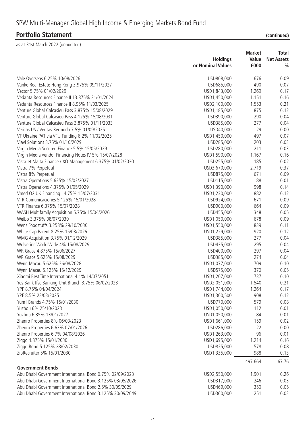|                                                           |                   | <b>Market</b> | <b>Total</b>      |
|-----------------------------------------------------------|-------------------|---------------|-------------------|
|                                                           | <b>Holdings</b>   | Value         | <b>Net Assets</b> |
|                                                           | or Nominal Values | £000          | $\frac{0}{0}$     |
| Vale Overseas 6.25% 10/08/2026                            | USD808,000        | 676           | 0.09              |
| Vanke Real Estate Hong Kong 3.975% 09/11/2027             | USD685,000        | 490           | 0.07              |
| Vector 5.75% 01/02/2029                                   | USD1,843,000      | 1,269         | 0.17              |
| Vedanta Resources Finance II 13.875% 21/01/2024           | USD1,450,000      | 1,151         | 0.16              |
| Vedanta Resources Finance II 8.95% 11/03/2025             | USD2,100,000      | 1,553         | 0.21              |
| Venture Global Calcasieu Pass 3.875% 15/08/2029           | USD1,185,000      | 875           | 0.12              |
| Venture Global Calcasieu Pass 4.125% 15/08/2031           | USD390,000        | 290           | 0.04              |
| Venture Global Calcasieu Pass 3.875% 01/11/2033           | USD385,000        | 277           | 0.04              |
| Veritas US / Veritas Bermuda 7.5% 01/09/2025              | USD40,000         | 29            | 0.00              |
| VF Ukraine PAT via VFU Funding 6.2% 11/02/2025            | USD1,450,000      | 497           | 0.07              |
| Viavi Solutions 3.75% 01/10/2029                          | USD285,000        | 203           | 0.03              |
| Virgin Media Secured Finance 5.5% 15/05/2029              | USD280,000        | 211           | 0.03              |
| Virgin Media Vendor Financing Notes IV 5% 15/07/2028      | USD1,590,000      | 1,167         | 0.16              |
| VistaJet Malta Finance / XO Management 6.375% 01/02/2030  | USD255,000        | 185           | 0.02              |
| Vistra 7% Perpetual                                       | USD3,670,000      | 2,719         | 0.37              |
| Vistra 8% Perpetual                                       | USD875,000        | 671           | 0.09              |
| Vistra Operations 5.625% 15/02/2027                       | USD115,000        | 88            | 0.01              |
| Vistra Operations 4.375% 01/05/2029                       | USD1,390,000      | 998           | 0.14              |
| Vmed O2 UK Financing I 4.75% 15/07/2031                   | USD1,230,000      | 882           | 0.12              |
| VTR Comunicaciones 5.125% 15/01/2028                      | USD924,000        | 671           | 0.09              |
| VTR Finance 6.375% 15/07/2028                             | USD900,000        | 664           | 0.09              |
| WASH Multifamily Acquisition 5.75% 15/04/2026             | USD455,000        | 348           | 0.05              |
| Weibo 3.375% 08/07/2030                                   | USD1,050,000      | 678           | 0.09              |
| Wens Foodstuffs 3.258% 29/10/2030                         | USD1,550,000      | 839           | 0.11              |
| White Cap Parent 8.25% 15/03/2026                         | USD1,229,000      | 920           | 0.12              |
| WMG Acquisition 3.75% 01/12/2029                          | USD385,000        | 277           | 0.04              |
| Wolverine World Wide 4% 15/08/2029                        | USD435,000        | 295           | 0.04              |
| WR Grace 4.875% 15/06/2027                                | USD400,000        | 297           | 0.04              |
| WR Grace 5.625% 15/08/2029                                | USD385,000        | 274           | 0.04              |
|                                                           | USD1,077,000      | 709           | 0.10              |
| Wynn Macau 5.625% 26/08/2028                              |                   | 370           | 0.05              |
| Wynn Macau 5.125% 15/12/2029                              | USD575,000        |               |                   |
| Xiaomi Best Time International 4.1% 14/07/2051            | USD1,207,000      | 737           | 0.10              |
| Yes Bank Ifsc Banking Unit Branch 3.75% 06/02/2023        | USD2,051,000      | 1,540         | 0.21              |
| YPF 8.75% 04/04/2024<br>YPF 8.5% 23/03/2025               | USD1,744,000      | 1,264<br>908  | 0.17              |
| Yum! Brands 4.75% 15/01/2030                              | USD1,300,500      | 579           | 0.12              |
|                                                           | USD770,000        |               | 0.08              |
| Yuzhou 6% 25/10/2023                                      | USD1,050,000      | 112           | 0.01              |
| Yuzhou 6.35% 13/01/2027                                   | USD1,050,000      | 84            | 0.01              |
| Zhenro Properties 8% 06/03/2023                           | USD1,661,000      | 159           | 0.02              |
| Zhenro Properties 6.63% 07/01/2026                        | USD286,000        | 22            | 0.00              |
| Zhenro Properties 6.7% 04/08/2026                         | USD1,263,000      | 96            | 0.01              |
| Ziggo 4.875% 15/01/2030                                   | USD1,695,000      | 1,214         | 0.16              |
| Ziggo Bond 5.125% 28/02/2030                              | USD825,000        | 578           | 0.08              |
| ZipRecruiter 5% 15/01/2030                                | USD1,335,000      | 988           | 0.13              |
| <b>Government Bonds</b>                                   |                   | 497,664       | 67.76             |
| Abu Dhabi Government International Bond 0.75% 02/09/2023  | USD2,550,000      | 1,901         | 0.26              |
| Abu Dhabi Government International Bond 3.125% 03/05/2026 | USD317,000        | 246           | 0.03              |
| Abu Dhabi Government International Bond 2.5% 30/09/2029   | USD469,000        | 350           | 0.05              |
| Abu Dhabi Government International Bond 3.125% 30/09/2049 | USD360,000        | 251           | 0.03              |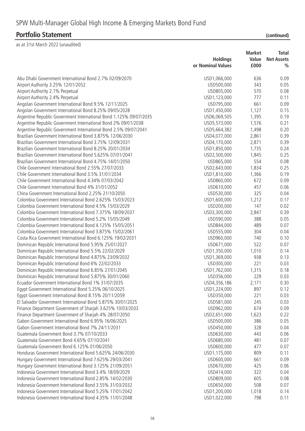|  | (continued |
|--|------------|

|                                                                    | <b>Holdings</b><br>or Nominal Values | <b>Market</b><br>Value<br>£000 | <b>Total</b><br><b>Net Assets</b><br>$\frac{0}{0}$ |
|--------------------------------------------------------------------|--------------------------------------|--------------------------------|----------------------------------------------------|
| Abu Dhabi Government International Bond 2.7% 02/09/2070            | USD1,066,000                         | 636                            | 0.09                                               |
| Airport Authority 3.25% 12/01/2052                                 | USD500,000                           | 343                            | 0.05                                               |
| Airport Authority 2.1% Perpetual                                   | USD805,000                           | 570                            | 0.08                                               |
| Airport Authority 2.4% Perpetual                                   | USD1,123,000                         | 777                            | 0.11                                               |
| Angolan Government International Bond 9.5% 12/11/2025              | USD795,000                           | 661                            | 0.09                                               |
| Angolan Government International Bond 8.25% 09/05/2028             | USD1,450,000                         | 1,127                          | 0.15                                               |
| Argentine Republic Government International Bond 1.125% 09/07/2035 | USD6,069,505                         | 1,395                          | 0.19                                               |
| Argentine Republic Government International Bond 2% 09/01/2038     | USD5,573,000                         | 1,576                          | 0.21                                               |
| Argentine Republic Government International Bond 2.5% 09/07/2041   | USD5,664,382                         | 1,498                          | 0.20                                               |
| Brazilian Government International Bond 3.875% 12/06/2030          | USD4,077,000                         | 2,861                          | 0.39                                               |
| Brazilian Government International Bond 3.75% 12/09/2031           | USD4,170,000                         | 2,871                          | 0.39                                               |
| Brazilian Government International Bond 8.25% 20/01/2034           | USD1,850,000                         | 1,735                          | 0.24                                               |
| Brazilian Government International Bond 5.625% 07/01/2041          | USD2,500,000                         | 1,845                          | 0.25                                               |
| Brazilian Government International Bond 4.75% 14/01/2050           | USD865,000                           | 554                            | 0.08                                               |
| Chile Government International Bond 2.55% 27/07/2033               | USD2,643,000                         | 1,834                          | 0.25                                               |
| Chile Government International Bond 3.5% 31/01/2034                | USD1,810,000                         | 1,366                          | 0.19                                               |
| Chile Government International Bond 4.34% 07/03/2042               | USD860,000                           | 672                            | 0.09                                               |
| Chile Government International Bond 4% 31/01/2052                  | USD610,000                           | 457                            | 0.06                                               |
| China Government International Bond 2.25% 21/10/2050               | USD530,000                           | 325                            | 0.04                                               |
| Colombia Government International Bond 2.625% 15/03/2023           | USD1,600,000                         | 1,212                          | 0.17                                               |
| Colombia Government International Bond 4.5% 15/03/2029             | USD200,000                           | 147                            | 0.02                                               |
| Colombia Government International Bond 7.375% 18/09/2037           | USD3,300,000                         | 2,847                          | 0.39                                               |
| Colombia Government International Bond 5.2% 15/05/2049             | USD590,000                           | 388                            | 0.05                                               |
| Colombia Government International Bond 4.125% 15/05/2051           | USD844,000                           | 489                            | 0.07                                               |
| Colombia Government International Bond 3.875% 15/02/2061           | USD555,000                           | 304                            | 0.04                                               |
| Costa Rica Government International Bond 6.125% 19/02/2031         | USD960,000                           | 740                            | 0.10                                               |
| Dominican Republic International Bond 5.95% 25/01/2027             | USD671,000                           | 522                            | 0.07                                               |
| Dominican Republic International Bond 5.5% 22/02/2029              | USD1,350,000                         | 1,010                          | 0.14                                               |
| Dominican Republic International Bond 4.875% 23/09/2032            | USD1,369,000                         | 938                            | 0.13                                               |
| Dominican Republic International Bond 6% 22/02/2033                | USD300,000                           | 221                            | 0.03                                               |
| Dominican Republic International Bond 6.85% 27/01/2045             | USD1,762,000                         | 1,315                          | 0.18                                               |
| Dominican Republic International Bond 5.875% 30/01/2060            | USD356,000                           | 229                            | 0.03                                               |
| Ecuador Government International Bond 1% 31/07/2035                | USD4,356,186                         | 2,171                          | 0.30                                               |
| Egypt Government International Bond 5.25% 06/10/2025               | USD1,224,000                         | 897                            | 0.12                                               |
| Egypt Government International Bond 8.15% 20/11/2059               | USD350,000                           | 221                            | 0.03                                               |
| El Salvador Government International Bond 5.875% 30/01/2025        | USD581,000                           | 245                            | 0.03                                               |
| Finance Department Government of Sharjah 3.625% 10/03/2033         | USD962,000                           | 674                            | 0.09                                               |
| Finance Department Government of Sharjah 4% 28/07/2050             | USD2,651,000                         | 1,623                          | 0.22                                               |
| Gabon Government International Bond 6.95% 16/06/2025               | USD500,000                           | 386                            | 0.05                                               |
| Gabon Government International Bond 7% 24/11/2031                  | USD450,000                           | 328                            | 0.04                                               |
| Guatemala Government Bond 3.7% 07/10/2033                          | USD630,000                           | 443                            | 0.06                                               |
| Guatemala Government Bond 4.65% 07/10/2041                         | USD680,000                           | 481                            | 0.07                                               |
| Guatemala Government Bond 6.125% 01/06/2050                        | USD600,000                           | 477                            | 0.07                                               |
| Honduras Government International Bond 5.625% 24/06/2030           | USD1,175,000                         | 809                            | 0.11                                               |
| Hungary Government International Bond 7.625% 29/03/2041            | USD600,000                           | 661                            | 0.09                                               |
| Hungary Government International Bond 3.125% 21/09/2051            | USD670,000                           | 425                            | 0.06                                               |
| Indonesia Government International Bond 3.4% 18/09/2029            | USD414,000                           | 322                            | 0.04                                               |
| Indonesia Government International Bond 2.85% 14/02/2030           | USD809,000                           | 605                            | 0.08                                               |
| Indonesia Government International Bond 3.55% 31/03/2032           | USD650,000                           | 508                            | 0.07                                               |
| Indonesia Government International Bond 5.25% 17/01/2042           | USD1,200,000                         | 1,018                          | 0.14                                               |
| Indonesia Government International Bond 4.35% 11/01/2048           | USD1,022,000                         | 798                            | 0.11                                               |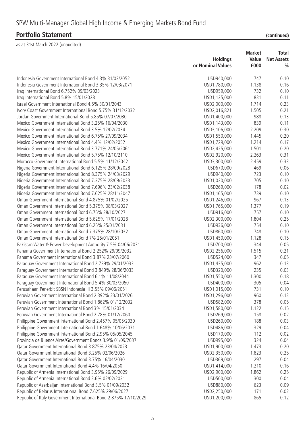| Indonesia Government International Bond 4.3% 31/03/2052<br>747<br>0.10<br>USD940,000<br>Indonesia Government International Bond 3.35% 12/03/2071<br>USD1,780,000<br>1,138<br>0.16<br>Iraq International Bond 6.752% 09/03/2023<br>732<br>0.10<br>USD959,000<br>831<br>Iraq International Bond 5.8% 15/01/2028<br>USD1,125,000<br>0.11<br>Israel Government International Bond 4.5% 30/01/2043<br>1,714<br>USD2,000,000<br>0.23<br>Ivory Coast Government International Bond 5.75% 31/12/2032<br>USD2,016,821<br>1,505<br>0.21<br>988<br>Jordan Government International Bond 5.85% 07/07/2030<br>USD1,400,000<br>0.13<br>839<br>Mexico Government International Bond 3.25% 16/04/2030<br>USD1,143,000<br>0.11<br>0.30<br>Mexico Government International Bond 3.5% 12/02/2034<br>USD3,106,000<br>2,209<br>Mexico Government International Bond 6.75% 27/09/2034<br>USD1,550,000<br>1,445<br>0.20<br>0.17<br>Mexico Government International Bond 4.4% 12/02/2052<br>USD1,729,000<br>1,214<br>0.20<br>Mexico Government International Bond 3.771% 24/05/2061<br>1,501<br>USD2,425,000<br>Mexico Government International Bond 5.75% 12/10/2110<br>2,263<br>0.31<br>USD2,920,000<br>Morocco Government International Bond 5.5% 11/12/2042<br>0.33<br>USD3,300,000<br>2,459<br>469<br>Nigeria Government International Bond 6.125% 28/09/2028<br>USD670,000<br>0.06<br>723<br>0.10<br>Nigeria Government International Bond 8.375% 24/03/2029<br>USD940,000<br>705<br>0.10<br>Nigeria Government International Bond 7.375% 28/09/2033<br>USD1,020,000<br>178<br>Nigeria Government International Bond 7.696% 23/02/2038<br>USD269,000<br>0.02<br>Nigeria Government International Bond 7.625% 28/11/2047<br>739<br>USD1,165,000<br>0.10<br>967<br>Oman Government International Bond 4.875% 01/02/2025<br>USD1,246,000<br>0.13<br>Oman Government International Bond 5.375% 08/03/2027<br>USD1,765,000<br>1,377<br>0.19<br>757<br>Oman Government International Bond 6.75% 28/10/2027<br>USD916,000<br>0.10<br>Oman Government International Bond 5.625% 17/01/2028<br>USD2,300,000<br>1,804<br>0.25<br>Oman Government International Bond 6.25% 25/01/2031<br>754<br>USD936,000<br>0.10<br>748<br>Oman Government International Bond 7.375% 28/10/2032<br>USD860,000<br>0.10<br>Oman Government International Bond 7% 25/01/2051<br>USD1,450,000<br>1,128<br>0.15<br>Pakistan Water & Power Development Authority 7.5% 04/06/2031<br>USD700,000<br>344<br>0.05<br>Panama Government International Bond 2.252% 29/09/2032<br>USD2,256,000<br>1,515<br>0.21<br>Panama Government International Bond 3.87% 23/07/2060<br>USD524,000<br>347<br>0.05<br>962<br>Paraguay Government International Bond 2.739% 29/01/2033<br>USD1,435,000<br>0.13<br>235<br>Paraguay Government International Bond 3.849% 28/06/2033<br>USD320,000<br>0.03<br>Paraguay Government International Bond 6.1% 11/08/2044<br>USD1,550,000<br>1,300<br>0.18<br>0.04<br>Paraguay Government International Bond 5.4% 30/03/2050<br>USD400,000<br>305<br>Perusahaan Penerbit SBSN Indonesia III 3.55% 09/06/2051<br>USD1,015,000<br>731<br>0.10<br>Peruvian Government International Bond 2.392% 23/01/2026<br>USD1,296,000<br>960<br>0.13<br>378<br>Peruvian Government International Bond 1.862% 01/12/2032<br>USD582,000<br>0.05<br>Peruvian Government International Bond 3% 15/01/2034<br>USD1,580,000<br>1,122<br>0.15<br>Peruvian Government International Bond 2.78% 01/12/2060<br>0.02<br>USD269,000<br>158<br>Philippine Government International Bond 2.457% 05/05/2030<br>USD260,000<br>188<br>0.03<br>Philippine Government International Bond 1.648% 10/06/2031<br>USD486,000<br>329<br>0.04<br>Philippine Government International Bond 2.95% 05/05/2045<br>USD170,000<br>112<br>0.02<br>324<br>Provincia de Buenos Aires/Government Bonds 3.9% 01/09/2037<br>USD995,000<br>0.04<br>Qatar Government International Bond 3.875% 23/04/2023<br>USD1,900,000<br>1,473<br>0.20<br>Qatar Government International Bond 3.25% 02/06/2026<br>USD2,350,000<br>1,823<br>0.25<br>297<br>Qatar Government International Bond 3.75% 16/04/2030<br>USD369,000<br>0.04<br>Qatar Government International Bond 4.4% 16/04/2050<br>USD1,414,000<br>1,210<br>0.16<br>0.25<br>Republic of Armenia International Bond 3.95% 26/09/2029<br>USD2,900,000<br>1,862<br>300<br>Republic of Armenia International Bond 3.6% 02/02/2031<br>USD500,000<br>0.04<br>623<br>0.09<br>Republic of Azerbaijan International Bond 3.5% 01/09/2032<br>USD880,000<br>Republic of Belarus International Bond 7.625% 29/06/2027<br>USD2,250,000<br>171<br>0.02 |                                                                   | <b>Holdings</b><br>or Nominal Values | <b>Market</b><br>Value<br>£000 | <b>Total</b><br><b>Net Assets</b><br>$\frac{0}{0}$ |
|-------------------------------------------------------------------------------------------------------------------------------------------------------------------------------------------------------------------------------------------------------------------------------------------------------------------------------------------------------------------------------------------------------------------------------------------------------------------------------------------------------------------------------------------------------------------------------------------------------------------------------------------------------------------------------------------------------------------------------------------------------------------------------------------------------------------------------------------------------------------------------------------------------------------------------------------------------------------------------------------------------------------------------------------------------------------------------------------------------------------------------------------------------------------------------------------------------------------------------------------------------------------------------------------------------------------------------------------------------------------------------------------------------------------------------------------------------------------------------------------------------------------------------------------------------------------------------------------------------------------------------------------------------------------------------------------------------------------------------------------------------------------------------------------------------------------------------------------------------------------------------------------------------------------------------------------------------------------------------------------------------------------------------------------------------------------------------------------------------------------------------------------------------------------------------------------------------------------------------------------------------------------------------------------------------------------------------------------------------------------------------------------------------------------------------------------------------------------------------------------------------------------------------------------------------------------------------------------------------------------------------------------------------------------------------------------------------------------------------------------------------------------------------------------------------------------------------------------------------------------------------------------------------------------------------------------------------------------------------------------------------------------------------------------------------------------------------------------------------------------------------------------------------------------------------------------------------------------------------------------------------------------------------------------------------------------------------------------------------------------------------------------------------------------------------------------------------------------------------------------------------------------------------------------------------------------------------------------------------------------------------------------------------------------------------------------------------------------------------------------------------------------------------------------------------------------------------------------------------------------------------------------------------------------------------------------------------------------------------------------------------------------------------------------------------------------------------------------------------------------------------------------------------------------------------------------------------------------------------------------------------------------------------------------------------------------------------------------------------------------------------------------------------------------------------------------------------------------------------------------------------------------------------------------------------------------------------------------------------|-------------------------------------------------------------------|--------------------------------------|--------------------------------|----------------------------------------------------|
|                                                                                                                                                                                                                                                                                                                                                                                                                                                                                                                                                                                                                                                                                                                                                                                                                                                                                                                                                                                                                                                                                                                                                                                                                                                                                                                                                                                                                                                                                                                                                                                                                                                                                                                                                                                                                                                                                                                                                                                                                                                                                                                                                                                                                                                                                                                                                                                                                                                                                                                                                                                                                                                                                                                                                                                                                                                                                                                                                                                                                                                                                                                                                                                                                                                                                                                                                                                                                                                                                                                                                                                                                                                                                                                                                                                                                                                                                                                                                                                                                                                                                                                                                                                                                                                                                                                                                                                                                                                                                                                                                                                                       |                                                                   |                                      |                                |                                                    |
|                                                                                                                                                                                                                                                                                                                                                                                                                                                                                                                                                                                                                                                                                                                                                                                                                                                                                                                                                                                                                                                                                                                                                                                                                                                                                                                                                                                                                                                                                                                                                                                                                                                                                                                                                                                                                                                                                                                                                                                                                                                                                                                                                                                                                                                                                                                                                                                                                                                                                                                                                                                                                                                                                                                                                                                                                                                                                                                                                                                                                                                                                                                                                                                                                                                                                                                                                                                                                                                                                                                                                                                                                                                                                                                                                                                                                                                                                                                                                                                                                                                                                                                                                                                                                                                                                                                                                                                                                                                                                                                                                                                                       |                                                                   |                                      |                                |                                                    |
|                                                                                                                                                                                                                                                                                                                                                                                                                                                                                                                                                                                                                                                                                                                                                                                                                                                                                                                                                                                                                                                                                                                                                                                                                                                                                                                                                                                                                                                                                                                                                                                                                                                                                                                                                                                                                                                                                                                                                                                                                                                                                                                                                                                                                                                                                                                                                                                                                                                                                                                                                                                                                                                                                                                                                                                                                                                                                                                                                                                                                                                                                                                                                                                                                                                                                                                                                                                                                                                                                                                                                                                                                                                                                                                                                                                                                                                                                                                                                                                                                                                                                                                                                                                                                                                                                                                                                                                                                                                                                                                                                                                                       |                                                                   |                                      |                                |                                                    |
|                                                                                                                                                                                                                                                                                                                                                                                                                                                                                                                                                                                                                                                                                                                                                                                                                                                                                                                                                                                                                                                                                                                                                                                                                                                                                                                                                                                                                                                                                                                                                                                                                                                                                                                                                                                                                                                                                                                                                                                                                                                                                                                                                                                                                                                                                                                                                                                                                                                                                                                                                                                                                                                                                                                                                                                                                                                                                                                                                                                                                                                                                                                                                                                                                                                                                                                                                                                                                                                                                                                                                                                                                                                                                                                                                                                                                                                                                                                                                                                                                                                                                                                                                                                                                                                                                                                                                                                                                                                                                                                                                                                                       |                                                                   |                                      |                                |                                                    |
|                                                                                                                                                                                                                                                                                                                                                                                                                                                                                                                                                                                                                                                                                                                                                                                                                                                                                                                                                                                                                                                                                                                                                                                                                                                                                                                                                                                                                                                                                                                                                                                                                                                                                                                                                                                                                                                                                                                                                                                                                                                                                                                                                                                                                                                                                                                                                                                                                                                                                                                                                                                                                                                                                                                                                                                                                                                                                                                                                                                                                                                                                                                                                                                                                                                                                                                                                                                                                                                                                                                                                                                                                                                                                                                                                                                                                                                                                                                                                                                                                                                                                                                                                                                                                                                                                                                                                                                                                                                                                                                                                                                                       |                                                                   |                                      |                                |                                                    |
|                                                                                                                                                                                                                                                                                                                                                                                                                                                                                                                                                                                                                                                                                                                                                                                                                                                                                                                                                                                                                                                                                                                                                                                                                                                                                                                                                                                                                                                                                                                                                                                                                                                                                                                                                                                                                                                                                                                                                                                                                                                                                                                                                                                                                                                                                                                                                                                                                                                                                                                                                                                                                                                                                                                                                                                                                                                                                                                                                                                                                                                                                                                                                                                                                                                                                                                                                                                                                                                                                                                                                                                                                                                                                                                                                                                                                                                                                                                                                                                                                                                                                                                                                                                                                                                                                                                                                                                                                                                                                                                                                                                                       |                                                                   |                                      |                                |                                                    |
|                                                                                                                                                                                                                                                                                                                                                                                                                                                                                                                                                                                                                                                                                                                                                                                                                                                                                                                                                                                                                                                                                                                                                                                                                                                                                                                                                                                                                                                                                                                                                                                                                                                                                                                                                                                                                                                                                                                                                                                                                                                                                                                                                                                                                                                                                                                                                                                                                                                                                                                                                                                                                                                                                                                                                                                                                                                                                                                                                                                                                                                                                                                                                                                                                                                                                                                                                                                                                                                                                                                                                                                                                                                                                                                                                                                                                                                                                                                                                                                                                                                                                                                                                                                                                                                                                                                                                                                                                                                                                                                                                                                                       |                                                                   |                                      |                                |                                                    |
|                                                                                                                                                                                                                                                                                                                                                                                                                                                                                                                                                                                                                                                                                                                                                                                                                                                                                                                                                                                                                                                                                                                                                                                                                                                                                                                                                                                                                                                                                                                                                                                                                                                                                                                                                                                                                                                                                                                                                                                                                                                                                                                                                                                                                                                                                                                                                                                                                                                                                                                                                                                                                                                                                                                                                                                                                                                                                                                                                                                                                                                                                                                                                                                                                                                                                                                                                                                                                                                                                                                                                                                                                                                                                                                                                                                                                                                                                                                                                                                                                                                                                                                                                                                                                                                                                                                                                                                                                                                                                                                                                                                                       |                                                                   |                                      |                                |                                                    |
|                                                                                                                                                                                                                                                                                                                                                                                                                                                                                                                                                                                                                                                                                                                                                                                                                                                                                                                                                                                                                                                                                                                                                                                                                                                                                                                                                                                                                                                                                                                                                                                                                                                                                                                                                                                                                                                                                                                                                                                                                                                                                                                                                                                                                                                                                                                                                                                                                                                                                                                                                                                                                                                                                                                                                                                                                                                                                                                                                                                                                                                                                                                                                                                                                                                                                                                                                                                                                                                                                                                                                                                                                                                                                                                                                                                                                                                                                                                                                                                                                                                                                                                                                                                                                                                                                                                                                                                                                                                                                                                                                                                                       |                                                                   |                                      |                                |                                                    |
|                                                                                                                                                                                                                                                                                                                                                                                                                                                                                                                                                                                                                                                                                                                                                                                                                                                                                                                                                                                                                                                                                                                                                                                                                                                                                                                                                                                                                                                                                                                                                                                                                                                                                                                                                                                                                                                                                                                                                                                                                                                                                                                                                                                                                                                                                                                                                                                                                                                                                                                                                                                                                                                                                                                                                                                                                                                                                                                                                                                                                                                                                                                                                                                                                                                                                                                                                                                                                                                                                                                                                                                                                                                                                                                                                                                                                                                                                                                                                                                                                                                                                                                                                                                                                                                                                                                                                                                                                                                                                                                                                                                                       |                                                                   |                                      |                                |                                                    |
|                                                                                                                                                                                                                                                                                                                                                                                                                                                                                                                                                                                                                                                                                                                                                                                                                                                                                                                                                                                                                                                                                                                                                                                                                                                                                                                                                                                                                                                                                                                                                                                                                                                                                                                                                                                                                                                                                                                                                                                                                                                                                                                                                                                                                                                                                                                                                                                                                                                                                                                                                                                                                                                                                                                                                                                                                                                                                                                                                                                                                                                                                                                                                                                                                                                                                                                                                                                                                                                                                                                                                                                                                                                                                                                                                                                                                                                                                                                                                                                                                                                                                                                                                                                                                                                                                                                                                                                                                                                                                                                                                                                                       |                                                                   |                                      |                                |                                                    |
|                                                                                                                                                                                                                                                                                                                                                                                                                                                                                                                                                                                                                                                                                                                                                                                                                                                                                                                                                                                                                                                                                                                                                                                                                                                                                                                                                                                                                                                                                                                                                                                                                                                                                                                                                                                                                                                                                                                                                                                                                                                                                                                                                                                                                                                                                                                                                                                                                                                                                                                                                                                                                                                                                                                                                                                                                                                                                                                                                                                                                                                                                                                                                                                                                                                                                                                                                                                                                                                                                                                                                                                                                                                                                                                                                                                                                                                                                                                                                                                                                                                                                                                                                                                                                                                                                                                                                                                                                                                                                                                                                                                                       |                                                                   |                                      |                                |                                                    |
|                                                                                                                                                                                                                                                                                                                                                                                                                                                                                                                                                                                                                                                                                                                                                                                                                                                                                                                                                                                                                                                                                                                                                                                                                                                                                                                                                                                                                                                                                                                                                                                                                                                                                                                                                                                                                                                                                                                                                                                                                                                                                                                                                                                                                                                                                                                                                                                                                                                                                                                                                                                                                                                                                                                                                                                                                                                                                                                                                                                                                                                                                                                                                                                                                                                                                                                                                                                                                                                                                                                                                                                                                                                                                                                                                                                                                                                                                                                                                                                                                                                                                                                                                                                                                                                                                                                                                                                                                                                                                                                                                                                                       |                                                                   |                                      |                                |                                                    |
|                                                                                                                                                                                                                                                                                                                                                                                                                                                                                                                                                                                                                                                                                                                                                                                                                                                                                                                                                                                                                                                                                                                                                                                                                                                                                                                                                                                                                                                                                                                                                                                                                                                                                                                                                                                                                                                                                                                                                                                                                                                                                                                                                                                                                                                                                                                                                                                                                                                                                                                                                                                                                                                                                                                                                                                                                                                                                                                                                                                                                                                                                                                                                                                                                                                                                                                                                                                                                                                                                                                                                                                                                                                                                                                                                                                                                                                                                                                                                                                                                                                                                                                                                                                                                                                                                                                                                                                                                                                                                                                                                                                                       |                                                                   |                                      |                                |                                                    |
|                                                                                                                                                                                                                                                                                                                                                                                                                                                                                                                                                                                                                                                                                                                                                                                                                                                                                                                                                                                                                                                                                                                                                                                                                                                                                                                                                                                                                                                                                                                                                                                                                                                                                                                                                                                                                                                                                                                                                                                                                                                                                                                                                                                                                                                                                                                                                                                                                                                                                                                                                                                                                                                                                                                                                                                                                                                                                                                                                                                                                                                                                                                                                                                                                                                                                                                                                                                                                                                                                                                                                                                                                                                                                                                                                                                                                                                                                                                                                                                                                                                                                                                                                                                                                                                                                                                                                                                                                                                                                                                                                                                                       |                                                                   |                                      |                                |                                                    |
|                                                                                                                                                                                                                                                                                                                                                                                                                                                                                                                                                                                                                                                                                                                                                                                                                                                                                                                                                                                                                                                                                                                                                                                                                                                                                                                                                                                                                                                                                                                                                                                                                                                                                                                                                                                                                                                                                                                                                                                                                                                                                                                                                                                                                                                                                                                                                                                                                                                                                                                                                                                                                                                                                                                                                                                                                                                                                                                                                                                                                                                                                                                                                                                                                                                                                                                                                                                                                                                                                                                                                                                                                                                                                                                                                                                                                                                                                                                                                                                                                                                                                                                                                                                                                                                                                                                                                                                                                                                                                                                                                                                                       |                                                                   |                                      |                                |                                                    |
|                                                                                                                                                                                                                                                                                                                                                                                                                                                                                                                                                                                                                                                                                                                                                                                                                                                                                                                                                                                                                                                                                                                                                                                                                                                                                                                                                                                                                                                                                                                                                                                                                                                                                                                                                                                                                                                                                                                                                                                                                                                                                                                                                                                                                                                                                                                                                                                                                                                                                                                                                                                                                                                                                                                                                                                                                                                                                                                                                                                                                                                                                                                                                                                                                                                                                                                                                                                                                                                                                                                                                                                                                                                                                                                                                                                                                                                                                                                                                                                                                                                                                                                                                                                                                                                                                                                                                                                                                                                                                                                                                                                                       |                                                                   |                                      |                                |                                                    |
|                                                                                                                                                                                                                                                                                                                                                                                                                                                                                                                                                                                                                                                                                                                                                                                                                                                                                                                                                                                                                                                                                                                                                                                                                                                                                                                                                                                                                                                                                                                                                                                                                                                                                                                                                                                                                                                                                                                                                                                                                                                                                                                                                                                                                                                                                                                                                                                                                                                                                                                                                                                                                                                                                                                                                                                                                                                                                                                                                                                                                                                                                                                                                                                                                                                                                                                                                                                                                                                                                                                                                                                                                                                                                                                                                                                                                                                                                                                                                                                                                                                                                                                                                                                                                                                                                                                                                                                                                                                                                                                                                                                                       |                                                                   |                                      |                                |                                                    |
|                                                                                                                                                                                                                                                                                                                                                                                                                                                                                                                                                                                                                                                                                                                                                                                                                                                                                                                                                                                                                                                                                                                                                                                                                                                                                                                                                                                                                                                                                                                                                                                                                                                                                                                                                                                                                                                                                                                                                                                                                                                                                                                                                                                                                                                                                                                                                                                                                                                                                                                                                                                                                                                                                                                                                                                                                                                                                                                                                                                                                                                                                                                                                                                                                                                                                                                                                                                                                                                                                                                                                                                                                                                                                                                                                                                                                                                                                                                                                                                                                                                                                                                                                                                                                                                                                                                                                                                                                                                                                                                                                                                                       |                                                                   |                                      |                                |                                                    |
|                                                                                                                                                                                                                                                                                                                                                                                                                                                                                                                                                                                                                                                                                                                                                                                                                                                                                                                                                                                                                                                                                                                                                                                                                                                                                                                                                                                                                                                                                                                                                                                                                                                                                                                                                                                                                                                                                                                                                                                                                                                                                                                                                                                                                                                                                                                                                                                                                                                                                                                                                                                                                                                                                                                                                                                                                                                                                                                                                                                                                                                                                                                                                                                                                                                                                                                                                                                                                                                                                                                                                                                                                                                                                                                                                                                                                                                                                                                                                                                                                                                                                                                                                                                                                                                                                                                                                                                                                                                                                                                                                                                                       |                                                                   |                                      |                                |                                                    |
|                                                                                                                                                                                                                                                                                                                                                                                                                                                                                                                                                                                                                                                                                                                                                                                                                                                                                                                                                                                                                                                                                                                                                                                                                                                                                                                                                                                                                                                                                                                                                                                                                                                                                                                                                                                                                                                                                                                                                                                                                                                                                                                                                                                                                                                                                                                                                                                                                                                                                                                                                                                                                                                                                                                                                                                                                                                                                                                                                                                                                                                                                                                                                                                                                                                                                                                                                                                                                                                                                                                                                                                                                                                                                                                                                                                                                                                                                                                                                                                                                                                                                                                                                                                                                                                                                                                                                                                                                                                                                                                                                                                                       |                                                                   |                                      |                                |                                                    |
|                                                                                                                                                                                                                                                                                                                                                                                                                                                                                                                                                                                                                                                                                                                                                                                                                                                                                                                                                                                                                                                                                                                                                                                                                                                                                                                                                                                                                                                                                                                                                                                                                                                                                                                                                                                                                                                                                                                                                                                                                                                                                                                                                                                                                                                                                                                                                                                                                                                                                                                                                                                                                                                                                                                                                                                                                                                                                                                                                                                                                                                                                                                                                                                                                                                                                                                                                                                                                                                                                                                                                                                                                                                                                                                                                                                                                                                                                                                                                                                                                                                                                                                                                                                                                                                                                                                                                                                                                                                                                                                                                                                                       |                                                                   |                                      |                                |                                                    |
|                                                                                                                                                                                                                                                                                                                                                                                                                                                                                                                                                                                                                                                                                                                                                                                                                                                                                                                                                                                                                                                                                                                                                                                                                                                                                                                                                                                                                                                                                                                                                                                                                                                                                                                                                                                                                                                                                                                                                                                                                                                                                                                                                                                                                                                                                                                                                                                                                                                                                                                                                                                                                                                                                                                                                                                                                                                                                                                                                                                                                                                                                                                                                                                                                                                                                                                                                                                                                                                                                                                                                                                                                                                                                                                                                                                                                                                                                                                                                                                                                                                                                                                                                                                                                                                                                                                                                                                                                                                                                                                                                                                                       |                                                                   |                                      |                                |                                                    |
|                                                                                                                                                                                                                                                                                                                                                                                                                                                                                                                                                                                                                                                                                                                                                                                                                                                                                                                                                                                                                                                                                                                                                                                                                                                                                                                                                                                                                                                                                                                                                                                                                                                                                                                                                                                                                                                                                                                                                                                                                                                                                                                                                                                                                                                                                                                                                                                                                                                                                                                                                                                                                                                                                                                                                                                                                                                                                                                                                                                                                                                                                                                                                                                                                                                                                                                                                                                                                                                                                                                                                                                                                                                                                                                                                                                                                                                                                                                                                                                                                                                                                                                                                                                                                                                                                                                                                                                                                                                                                                                                                                                                       |                                                                   |                                      |                                |                                                    |
|                                                                                                                                                                                                                                                                                                                                                                                                                                                                                                                                                                                                                                                                                                                                                                                                                                                                                                                                                                                                                                                                                                                                                                                                                                                                                                                                                                                                                                                                                                                                                                                                                                                                                                                                                                                                                                                                                                                                                                                                                                                                                                                                                                                                                                                                                                                                                                                                                                                                                                                                                                                                                                                                                                                                                                                                                                                                                                                                                                                                                                                                                                                                                                                                                                                                                                                                                                                                                                                                                                                                                                                                                                                                                                                                                                                                                                                                                                                                                                                                                                                                                                                                                                                                                                                                                                                                                                                                                                                                                                                                                                                                       |                                                                   |                                      |                                |                                                    |
|                                                                                                                                                                                                                                                                                                                                                                                                                                                                                                                                                                                                                                                                                                                                                                                                                                                                                                                                                                                                                                                                                                                                                                                                                                                                                                                                                                                                                                                                                                                                                                                                                                                                                                                                                                                                                                                                                                                                                                                                                                                                                                                                                                                                                                                                                                                                                                                                                                                                                                                                                                                                                                                                                                                                                                                                                                                                                                                                                                                                                                                                                                                                                                                                                                                                                                                                                                                                                                                                                                                                                                                                                                                                                                                                                                                                                                                                                                                                                                                                                                                                                                                                                                                                                                                                                                                                                                                                                                                                                                                                                                                                       |                                                                   |                                      |                                |                                                    |
|                                                                                                                                                                                                                                                                                                                                                                                                                                                                                                                                                                                                                                                                                                                                                                                                                                                                                                                                                                                                                                                                                                                                                                                                                                                                                                                                                                                                                                                                                                                                                                                                                                                                                                                                                                                                                                                                                                                                                                                                                                                                                                                                                                                                                                                                                                                                                                                                                                                                                                                                                                                                                                                                                                                                                                                                                                                                                                                                                                                                                                                                                                                                                                                                                                                                                                                                                                                                                                                                                                                                                                                                                                                                                                                                                                                                                                                                                                                                                                                                                                                                                                                                                                                                                                                                                                                                                                                                                                                                                                                                                                                                       |                                                                   |                                      |                                |                                                    |
|                                                                                                                                                                                                                                                                                                                                                                                                                                                                                                                                                                                                                                                                                                                                                                                                                                                                                                                                                                                                                                                                                                                                                                                                                                                                                                                                                                                                                                                                                                                                                                                                                                                                                                                                                                                                                                                                                                                                                                                                                                                                                                                                                                                                                                                                                                                                                                                                                                                                                                                                                                                                                                                                                                                                                                                                                                                                                                                                                                                                                                                                                                                                                                                                                                                                                                                                                                                                                                                                                                                                                                                                                                                                                                                                                                                                                                                                                                                                                                                                                                                                                                                                                                                                                                                                                                                                                                                                                                                                                                                                                                                                       |                                                                   |                                      |                                |                                                    |
|                                                                                                                                                                                                                                                                                                                                                                                                                                                                                                                                                                                                                                                                                                                                                                                                                                                                                                                                                                                                                                                                                                                                                                                                                                                                                                                                                                                                                                                                                                                                                                                                                                                                                                                                                                                                                                                                                                                                                                                                                                                                                                                                                                                                                                                                                                                                                                                                                                                                                                                                                                                                                                                                                                                                                                                                                                                                                                                                                                                                                                                                                                                                                                                                                                                                                                                                                                                                                                                                                                                                                                                                                                                                                                                                                                                                                                                                                                                                                                                                                                                                                                                                                                                                                                                                                                                                                                                                                                                                                                                                                                                                       |                                                                   |                                      |                                |                                                    |
|                                                                                                                                                                                                                                                                                                                                                                                                                                                                                                                                                                                                                                                                                                                                                                                                                                                                                                                                                                                                                                                                                                                                                                                                                                                                                                                                                                                                                                                                                                                                                                                                                                                                                                                                                                                                                                                                                                                                                                                                                                                                                                                                                                                                                                                                                                                                                                                                                                                                                                                                                                                                                                                                                                                                                                                                                                                                                                                                                                                                                                                                                                                                                                                                                                                                                                                                                                                                                                                                                                                                                                                                                                                                                                                                                                                                                                                                                                                                                                                                                                                                                                                                                                                                                                                                                                                                                                                                                                                                                                                                                                                                       |                                                                   |                                      |                                |                                                    |
|                                                                                                                                                                                                                                                                                                                                                                                                                                                                                                                                                                                                                                                                                                                                                                                                                                                                                                                                                                                                                                                                                                                                                                                                                                                                                                                                                                                                                                                                                                                                                                                                                                                                                                                                                                                                                                                                                                                                                                                                                                                                                                                                                                                                                                                                                                                                                                                                                                                                                                                                                                                                                                                                                                                                                                                                                                                                                                                                                                                                                                                                                                                                                                                                                                                                                                                                                                                                                                                                                                                                                                                                                                                                                                                                                                                                                                                                                                                                                                                                                                                                                                                                                                                                                                                                                                                                                                                                                                                                                                                                                                                                       |                                                                   |                                      |                                |                                                    |
|                                                                                                                                                                                                                                                                                                                                                                                                                                                                                                                                                                                                                                                                                                                                                                                                                                                                                                                                                                                                                                                                                                                                                                                                                                                                                                                                                                                                                                                                                                                                                                                                                                                                                                                                                                                                                                                                                                                                                                                                                                                                                                                                                                                                                                                                                                                                                                                                                                                                                                                                                                                                                                                                                                                                                                                                                                                                                                                                                                                                                                                                                                                                                                                                                                                                                                                                                                                                                                                                                                                                                                                                                                                                                                                                                                                                                                                                                                                                                                                                                                                                                                                                                                                                                                                                                                                                                                                                                                                                                                                                                                                                       |                                                                   |                                      |                                |                                                    |
|                                                                                                                                                                                                                                                                                                                                                                                                                                                                                                                                                                                                                                                                                                                                                                                                                                                                                                                                                                                                                                                                                                                                                                                                                                                                                                                                                                                                                                                                                                                                                                                                                                                                                                                                                                                                                                                                                                                                                                                                                                                                                                                                                                                                                                                                                                                                                                                                                                                                                                                                                                                                                                                                                                                                                                                                                                                                                                                                                                                                                                                                                                                                                                                                                                                                                                                                                                                                                                                                                                                                                                                                                                                                                                                                                                                                                                                                                                                                                                                                                                                                                                                                                                                                                                                                                                                                                                                                                                                                                                                                                                                                       |                                                                   |                                      |                                |                                                    |
|                                                                                                                                                                                                                                                                                                                                                                                                                                                                                                                                                                                                                                                                                                                                                                                                                                                                                                                                                                                                                                                                                                                                                                                                                                                                                                                                                                                                                                                                                                                                                                                                                                                                                                                                                                                                                                                                                                                                                                                                                                                                                                                                                                                                                                                                                                                                                                                                                                                                                                                                                                                                                                                                                                                                                                                                                                                                                                                                                                                                                                                                                                                                                                                                                                                                                                                                                                                                                                                                                                                                                                                                                                                                                                                                                                                                                                                                                                                                                                                                                                                                                                                                                                                                                                                                                                                                                                                                                                                                                                                                                                                                       |                                                                   |                                      |                                |                                                    |
|                                                                                                                                                                                                                                                                                                                                                                                                                                                                                                                                                                                                                                                                                                                                                                                                                                                                                                                                                                                                                                                                                                                                                                                                                                                                                                                                                                                                                                                                                                                                                                                                                                                                                                                                                                                                                                                                                                                                                                                                                                                                                                                                                                                                                                                                                                                                                                                                                                                                                                                                                                                                                                                                                                                                                                                                                                                                                                                                                                                                                                                                                                                                                                                                                                                                                                                                                                                                                                                                                                                                                                                                                                                                                                                                                                                                                                                                                                                                                                                                                                                                                                                                                                                                                                                                                                                                                                                                                                                                                                                                                                                                       |                                                                   |                                      |                                |                                                    |
|                                                                                                                                                                                                                                                                                                                                                                                                                                                                                                                                                                                                                                                                                                                                                                                                                                                                                                                                                                                                                                                                                                                                                                                                                                                                                                                                                                                                                                                                                                                                                                                                                                                                                                                                                                                                                                                                                                                                                                                                                                                                                                                                                                                                                                                                                                                                                                                                                                                                                                                                                                                                                                                                                                                                                                                                                                                                                                                                                                                                                                                                                                                                                                                                                                                                                                                                                                                                                                                                                                                                                                                                                                                                                                                                                                                                                                                                                                                                                                                                                                                                                                                                                                                                                                                                                                                                                                                                                                                                                                                                                                                                       |                                                                   |                                      |                                |                                                    |
|                                                                                                                                                                                                                                                                                                                                                                                                                                                                                                                                                                                                                                                                                                                                                                                                                                                                                                                                                                                                                                                                                                                                                                                                                                                                                                                                                                                                                                                                                                                                                                                                                                                                                                                                                                                                                                                                                                                                                                                                                                                                                                                                                                                                                                                                                                                                                                                                                                                                                                                                                                                                                                                                                                                                                                                                                                                                                                                                                                                                                                                                                                                                                                                                                                                                                                                                                                                                                                                                                                                                                                                                                                                                                                                                                                                                                                                                                                                                                                                                                                                                                                                                                                                                                                                                                                                                                                                                                                                                                                                                                                                                       |                                                                   |                                      |                                |                                                    |
|                                                                                                                                                                                                                                                                                                                                                                                                                                                                                                                                                                                                                                                                                                                                                                                                                                                                                                                                                                                                                                                                                                                                                                                                                                                                                                                                                                                                                                                                                                                                                                                                                                                                                                                                                                                                                                                                                                                                                                                                                                                                                                                                                                                                                                                                                                                                                                                                                                                                                                                                                                                                                                                                                                                                                                                                                                                                                                                                                                                                                                                                                                                                                                                                                                                                                                                                                                                                                                                                                                                                                                                                                                                                                                                                                                                                                                                                                                                                                                                                                                                                                                                                                                                                                                                                                                                                                                                                                                                                                                                                                                                                       |                                                                   |                                      |                                |                                                    |
|                                                                                                                                                                                                                                                                                                                                                                                                                                                                                                                                                                                                                                                                                                                                                                                                                                                                                                                                                                                                                                                                                                                                                                                                                                                                                                                                                                                                                                                                                                                                                                                                                                                                                                                                                                                                                                                                                                                                                                                                                                                                                                                                                                                                                                                                                                                                                                                                                                                                                                                                                                                                                                                                                                                                                                                                                                                                                                                                                                                                                                                                                                                                                                                                                                                                                                                                                                                                                                                                                                                                                                                                                                                                                                                                                                                                                                                                                                                                                                                                                                                                                                                                                                                                                                                                                                                                                                                                                                                                                                                                                                                                       |                                                                   |                                      |                                |                                                    |
|                                                                                                                                                                                                                                                                                                                                                                                                                                                                                                                                                                                                                                                                                                                                                                                                                                                                                                                                                                                                                                                                                                                                                                                                                                                                                                                                                                                                                                                                                                                                                                                                                                                                                                                                                                                                                                                                                                                                                                                                                                                                                                                                                                                                                                                                                                                                                                                                                                                                                                                                                                                                                                                                                                                                                                                                                                                                                                                                                                                                                                                                                                                                                                                                                                                                                                                                                                                                                                                                                                                                                                                                                                                                                                                                                                                                                                                                                                                                                                                                                                                                                                                                                                                                                                                                                                                                                                                                                                                                                                                                                                                                       |                                                                   |                                      |                                |                                                    |
|                                                                                                                                                                                                                                                                                                                                                                                                                                                                                                                                                                                                                                                                                                                                                                                                                                                                                                                                                                                                                                                                                                                                                                                                                                                                                                                                                                                                                                                                                                                                                                                                                                                                                                                                                                                                                                                                                                                                                                                                                                                                                                                                                                                                                                                                                                                                                                                                                                                                                                                                                                                                                                                                                                                                                                                                                                                                                                                                                                                                                                                                                                                                                                                                                                                                                                                                                                                                                                                                                                                                                                                                                                                                                                                                                                                                                                                                                                                                                                                                                                                                                                                                                                                                                                                                                                                                                                                                                                                                                                                                                                                                       |                                                                   |                                      |                                |                                                    |
|                                                                                                                                                                                                                                                                                                                                                                                                                                                                                                                                                                                                                                                                                                                                                                                                                                                                                                                                                                                                                                                                                                                                                                                                                                                                                                                                                                                                                                                                                                                                                                                                                                                                                                                                                                                                                                                                                                                                                                                                                                                                                                                                                                                                                                                                                                                                                                                                                                                                                                                                                                                                                                                                                                                                                                                                                                                                                                                                                                                                                                                                                                                                                                                                                                                                                                                                                                                                                                                                                                                                                                                                                                                                                                                                                                                                                                                                                                                                                                                                                                                                                                                                                                                                                                                                                                                                                                                                                                                                                                                                                                                                       |                                                                   |                                      |                                |                                                    |
|                                                                                                                                                                                                                                                                                                                                                                                                                                                                                                                                                                                                                                                                                                                                                                                                                                                                                                                                                                                                                                                                                                                                                                                                                                                                                                                                                                                                                                                                                                                                                                                                                                                                                                                                                                                                                                                                                                                                                                                                                                                                                                                                                                                                                                                                                                                                                                                                                                                                                                                                                                                                                                                                                                                                                                                                                                                                                                                                                                                                                                                                                                                                                                                                                                                                                                                                                                                                                                                                                                                                                                                                                                                                                                                                                                                                                                                                                                                                                                                                                                                                                                                                                                                                                                                                                                                                                                                                                                                                                                                                                                                                       |                                                                   |                                      |                                |                                                    |
|                                                                                                                                                                                                                                                                                                                                                                                                                                                                                                                                                                                                                                                                                                                                                                                                                                                                                                                                                                                                                                                                                                                                                                                                                                                                                                                                                                                                                                                                                                                                                                                                                                                                                                                                                                                                                                                                                                                                                                                                                                                                                                                                                                                                                                                                                                                                                                                                                                                                                                                                                                                                                                                                                                                                                                                                                                                                                                                                                                                                                                                                                                                                                                                                                                                                                                                                                                                                                                                                                                                                                                                                                                                                                                                                                                                                                                                                                                                                                                                                                                                                                                                                                                                                                                                                                                                                                                                                                                                                                                                                                                                                       |                                                                   |                                      |                                |                                                    |
|                                                                                                                                                                                                                                                                                                                                                                                                                                                                                                                                                                                                                                                                                                                                                                                                                                                                                                                                                                                                                                                                                                                                                                                                                                                                                                                                                                                                                                                                                                                                                                                                                                                                                                                                                                                                                                                                                                                                                                                                                                                                                                                                                                                                                                                                                                                                                                                                                                                                                                                                                                                                                                                                                                                                                                                                                                                                                                                                                                                                                                                                                                                                                                                                                                                                                                                                                                                                                                                                                                                                                                                                                                                                                                                                                                                                                                                                                                                                                                                                                                                                                                                                                                                                                                                                                                                                                                                                                                                                                                                                                                                                       |                                                                   |                                      |                                |                                                    |
|                                                                                                                                                                                                                                                                                                                                                                                                                                                                                                                                                                                                                                                                                                                                                                                                                                                                                                                                                                                                                                                                                                                                                                                                                                                                                                                                                                                                                                                                                                                                                                                                                                                                                                                                                                                                                                                                                                                                                                                                                                                                                                                                                                                                                                                                                                                                                                                                                                                                                                                                                                                                                                                                                                                                                                                                                                                                                                                                                                                                                                                                                                                                                                                                                                                                                                                                                                                                                                                                                                                                                                                                                                                                                                                                                                                                                                                                                                                                                                                                                                                                                                                                                                                                                                                                                                                                                                                                                                                                                                                                                                                                       |                                                                   |                                      |                                |                                                    |
|                                                                                                                                                                                                                                                                                                                                                                                                                                                                                                                                                                                                                                                                                                                                                                                                                                                                                                                                                                                                                                                                                                                                                                                                                                                                                                                                                                                                                                                                                                                                                                                                                                                                                                                                                                                                                                                                                                                                                                                                                                                                                                                                                                                                                                                                                                                                                                                                                                                                                                                                                                                                                                                                                                                                                                                                                                                                                                                                                                                                                                                                                                                                                                                                                                                                                                                                                                                                                                                                                                                                                                                                                                                                                                                                                                                                                                                                                                                                                                                                                                                                                                                                                                                                                                                                                                                                                                                                                                                                                                                                                                                                       |                                                                   |                                      |                                |                                                    |
|                                                                                                                                                                                                                                                                                                                                                                                                                                                                                                                                                                                                                                                                                                                                                                                                                                                                                                                                                                                                                                                                                                                                                                                                                                                                                                                                                                                                                                                                                                                                                                                                                                                                                                                                                                                                                                                                                                                                                                                                                                                                                                                                                                                                                                                                                                                                                                                                                                                                                                                                                                                                                                                                                                                                                                                                                                                                                                                                                                                                                                                                                                                                                                                                                                                                                                                                                                                                                                                                                                                                                                                                                                                                                                                                                                                                                                                                                                                                                                                                                                                                                                                                                                                                                                                                                                                                                                                                                                                                                                                                                                                                       |                                                                   |                                      |                                |                                                    |
|                                                                                                                                                                                                                                                                                                                                                                                                                                                                                                                                                                                                                                                                                                                                                                                                                                                                                                                                                                                                                                                                                                                                                                                                                                                                                                                                                                                                                                                                                                                                                                                                                                                                                                                                                                                                                                                                                                                                                                                                                                                                                                                                                                                                                                                                                                                                                                                                                                                                                                                                                                                                                                                                                                                                                                                                                                                                                                                                                                                                                                                                                                                                                                                                                                                                                                                                                                                                                                                                                                                                                                                                                                                                                                                                                                                                                                                                                                                                                                                                                                                                                                                                                                                                                                                                                                                                                                                                                                                                                                                                                                                                       |                                                                   |                                      |                                |                                                    |
|                                                                                                                                                                                                                                                                                                                                                                                                                                                                                                                                                                                                                                                                                                                                                                                                                                                                                                                                                                                                                                                                                                                                                                                                                                                                                                                                                                                                                                                                                                                                                                                                                                                                                                                                                                                                                                                                                                                                                                                                                                                                                                                                                                                                                                                                                                                                                                                                                                                                                                                                                                                                                                                                                                                                                                                                                                                                                                                                                                                                                                                                                                                                                                                                                                                                                                                                                                                                                                                                                                                                                                                                                                                                                                                                                                                                                                                                                                                                                                                                                                                                                                                                                                                                                                                                                                                                                                                                                                                                                                                                                                                                       |                                                                   |                                      |                                |                                                    |
|                                                                                                                                                                                                                                                                                                                                                                                                                                                                                                                                                                                                                                                                                                                                                                                                                                                                                                                                                                                                                                                                                                                                                                                                                                                                                                                                                                                                                                                                                                                                                                                                                                                                                                                                                                                                                                                                                                                                                                                                                                                                                                                                                                                                                                                                                                                                                                                                                                                                                                                                                                                                                                                                                                                                                                                                                                                                                                                                                                                                                                                                                                                                                                                                                                                                                                                                                                                                                                                                                                                                                                                                                                                                                                                                                                                                                                                                                                                                                                                                                                                                                                                                                                                                                                                                                                                                                                                                                                                                                                                                                                                                       | Republic of Italy Government International Bond 2.875% 17/10/2029 | USD1,200,000                         | 865                            | 0.12                                               |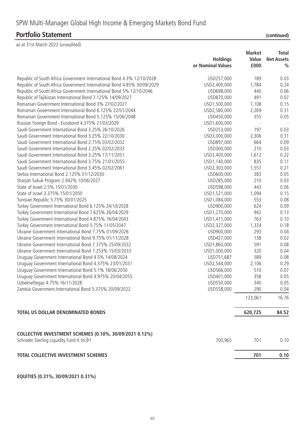as at 31st March 2022 (unaudited)

|                                                                                                       |                   | <b>Market</b> | <b>Total</b>      |
|-------------------------------------------------------------------------------------------------------|-------------------|---------------|-------------------|
|                                                                                                       | <b>Holdings</b>   | Value         | <b>Net Assets</b> |
|                                                                                                       | or Nominal Values | £000          | $\frac{0}{0}$     |
| Republic of South Africa Government International Bond 4.3% 12/10/2028                                | USD257,000        | 189           | 0.03              |
| Republic of South Africa Government International Bond 4.85% 30/09/2029                               | USD2,400,000      | 1,784         | 0.24              |
| Republic of South Africa Government International Bond 5% 12/10/2046                                  | USD698,000        | 440           | 0.06              |
| Republic of Tajikistan International Bond 7.125% 14/09/2027                                           | USD870,000        | 491           | 0.07              |
| Romanian Government International Bond 3% 27/02/2027                                                  | USD1,500,000      | 1,108         | 0.15              |
| Romanian Government International Bond 6.125% 22/01/2044                                              | USD2,580,000      | 2,269         | 0.31              |
| Romanian Government International Bond 5.125% 15/06/2048                                              | USD450,000        | 355           | 0.05              |
| Russian Foreign Bond - Eurobond 4.375% 21/03/2029                                                     | USD1,600,000      |               |                   |
| Saudi Government International Bond 3.25% 26/10/2026                                                  | USD253,000        | 197           | 0.03              |
| Saudi Government International Bond 3.25% 22/10/2030                                                  | USD3,000,000      | 2,306         | 0.31              |
| Saudi Government International Bond 2.75% 03/02/2032                                                  | USD897,000        | 664           | 0.09              |
| Saudi Government International Bond 2.25% 02/02/2033                                                  | USD300,000        | 210           | 0.03              |
| Saudi Government International Bond 3.25% 17/11/2051                                                  | USD2,400,000      | 1,612         | 0.22              |
| Saudi Government International Bond 3.75% 21/01/2055                                                  | USD1,140,000      | 835           | 0.11              |
| Saudi Government International Bond 3.45% 02/02/2061                                                  | USD2,303,000      | 1,557         | 0.21              |
| Serbia International Bond 2.125% 01/12/2030                                                           | USD600,000        | 383           | 0.05              |
| Sharjah Sukuk Program 2.942% 10/06/2027                                                               | USD285,000        | 210           | 0.03              |
| State of Israel 2.5% 15/01/2030                                                                       | USD598,000        | 443           | 0.06              |
| State of Israel 3.375% 15/01/2050                                                                     | USD1,521,000      | 1,094         | 0.15              |
| Tunisian Republic 5.75% 30/01/2025                                                                    | USD1,084,000      | 553           | 0.08              |
| Turkey Government International Bond 6.125% 24/10/2028                                                | USD900,000        | 624           | 0.09              |
| Turkey Government International Bond 7.625% 26/04/2029                                                | USD1,270,000      | 942           | 0.13              |
| Turkey Government International Bond 4.875% 16/04/2043                                                | USD1,411,000      | 763           | 0.10              |
| Turkey Government International Bond 5.75% 11/05/2047                                                 | USD2,327,000      | 1,324         | 0.18              |
| Ukraine Government International Bond 7.75% 01/09/2026                                                | USD900,000        | 293           | 0.04              |
| Ukraine Government International Bond 9.75% 01/11/2028                                                | USD427,000        | 138           | 0.02              |
| Ukraine Government International Bond 7.375% 25/09/2032                                               | USD1,860,000      | 591           | 0.08              |
| Ukraine Government International Bond 7.253% 15/03/2033                                               | USD1,000,000      | 320           | 0.04              |
| Uruguay Government International Bond 4.5% 14/08/2024                                                 | USD751,687        | 589           | 0.08              |
| Uruguay Government International Bond 4.375% 23/01/2031                                               | USD2,544,000      | 2,106         | 0.29              |
| Uruguay Government International Bond 5.1% 18/06/2050                                                 | USD566,000        | 510           | 0.07              |
| Uruguay Government International Bond 4.975% 20/04/2055                                               | USD401,000        | 358           | 0.05              |
| Uzbekneftegaz 4.75% 16/11/2028                                                                        | USD550,000        | 340           | 0.05              |
| Zambia Government International Bond 5.375% 20/09/2022                                                | USD558,000        | 290           | 0.04              |
|                                                                                                       |                   | 123,061       | 16.76             |
| <b>TOTAL US DOLLAR DENOMINATED BONDS</b>                                                              |                   | 620,725       | 84.52             |
|                                                                                                       |                   |               |                   |
| COLLECTIVE INVESTMENT SCHEMES (0.10%, 30/09/2021 0.12%)<br>Schroder Sterling Liquidity Fund X Inc 0 t | 700,965           | 701           | 0.10              |
| TOTAL COLLECTIVE INVESTMENT SCHEMES                                                                   |                   | 701           | 0.10              |

**EQUITIES (0.31%, 30/09/2021 0.31%)**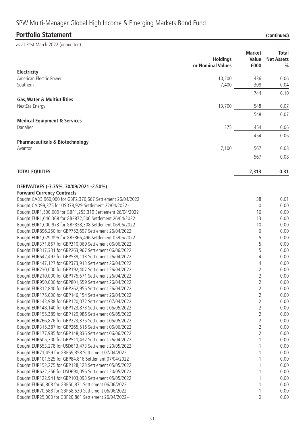# SPW Multi-Manager Global High Income & Emerging Markets Bond Fund

## **Portfolio Statement (continued)**

| (continued) |  |  |
|-------------|--|--|
|             |  |  |

| as at 31st March 2022 (unaudited)                                                                                |                                      |                                |                                                    |
|------------------------------------------------------------------------------------------------------------------|--------------------------------------|--------------------------------|----------------------------------------------------|
|                                                                                                                  | <b>Holdings</b><br>or Nominal Values | <b>Market</b><br>Value<br>£000 | <b>Total</b><br><b>Net Assets</b><br>$\frac{0}{0}$ |
| Electricity<br>American Electric Power                                                                           | 10,200                               | 436                            | 0.06                                               |
| Southern                                                                                                         | 7,400                                | 308                            | 0.04                                               |
|                                                                                                                  |                                      | 744                            | 0.10                                               |
| <b>Gas, Water &amp; Multiutilities</b>                                                                           |                                      |                                |                                                    |
| NextEra Energy                                                                                                   | 13,700                               | 548                            | 0.07                                               |
|                                                                                                                  |                                      | 548                            | 0.07                                               |
| <b>Medical Equipment &amp; Services</b>                                                                          |                                      |                                |                                                    |
| Danaher                                                                                                          | 375                                  | 454                            | 0.06                                               |
|                                                                                                                  |                                      | 454                            | 0.06                                               |
| <b>Pharmaceuticals &amp; Biotechnology</b>                                                                       |                                      |                                |                                                    |
| Avantor                                                                                                          | 7,100                                | 567                            | 0.08                                               |
|                                                                                                                  |                                      | 567                            | 0.08                                               |
|                                                                                                                  |                                      |                                |                                                    |
| <b>TOTAL EQUITIES</b>                                                                                            |                                      | 2,313                          | 0.31                                               |
|                                                                                                                  |                                      |                                |                                                    |
| DERIVATIVES (-3.35%, 30/09/2021 -2.50%)<br><b>Forward Currency Contracts</b>                                     |                                      |                                |                                                    |
| Bought CAD3,960,000 for GBP2,370,667 Settlement 26/04/2022                                                       |                                      | 38                             | 0.01                                               |
| Bought CAD99,375 for USD78,929 Settlement 22/04/2022~                                                            |                                      | $\mathbf 0$                    | 0.00                                               |
| Bought EUR1,500,000 for GBP1,253,319 Settlement 26/04/2022                                                       |                                      | 16                             | 0.00                                               |
| Bought EUR1,046,368 for GBP872,506 Settlement 26/04/2022                                                         |                                      | 13                             | 0.00                                               |
| Bought EUR1,000,973 for GBP838,308 Settlement 06/06/2022                                                         |                                      | 10                             | 0.00                                               |
| Bought EUR896,250 for GBP752,697 Settlement 26/04/2022                                                           |                                      | 6                              | 0.00                                               |
| Bought EUR1,029,895 for GBP866,496 Settlement 05/05/2022                                                         |                                      | 5                              | 0.00                                               |
| Bought EUR371,867 for GBP310,069 Settlement 06/06/2022                                                           |                                      | 5                              | 0.00                                               |
| Bought EUR317,331 for GBP263,967 Settlement 06/06/2022                                                           |                                      | 5                              | 0.00                                               |
| Bought EUR642,492 for GBP539,113 Settlement 26/04/2022<br>Bought EUR447,127 for GBP373,913 Settlement 26/04/2022 |                                      | 4                              | 0.00<br>0.00                                       |
| Bought EUR230,000 for GBP192,407 Settlement 26/04/2022                                                           |                                      | 4<br>$\overline{2}$            | 0.00                                               |
| Bought EUR210,000 for GBP175,671 Settlement 26/04/2022                                                           |                                      | $\overline{2}$                 | 0.00                                               |
| Bought EUR950,000 for GBP801,559 Settlement 26/04/2022                                                           |                                      | $\overline{2}$                 | 0.00                                               |
| Bought EUR312,840 for GBP262,955 Settlement 26/04/2022                                                           |                                      | $\overline{2}$                 | 0.00                                               |
| Bought EUR175,000 for GBP146,154 Settlement 26/04/2022                                                           |                                      | $\overline{2}$                 | 0.00                                               |
| Bought EUR143,938 for GBP120,072 Settlement 07/04/2022                                                           |                                      | $\overline{2}$                 | 0.00                                               |
| Bought EUR148,140 for GBP123,873 Settlement 05/05/2022                                                           |                                      | $\overline{2}$                 | 0.00                                               |
| Bought EUR155,389 for GBP129,986 Settlement 05/05/2022                                                           |                                      | $\overline{2}$                 | 0.00                                               |
| Bought EUR266,876 for GBP223,375 Settlement 05/05/2022                                                           |                                      | $\overline{2}$                 | 0.00                                               |
| Bought EUR315,387 for GBP265,516 Settlement 06/06/2022                                                           |                                      | 2                              | 0.00                                               |
| Bought EUR177,985 for GBP148,836 Settlement 06/06/2022                                                           |                                      | $\overline{2}$                 | 0.00                                               |
| Bought EUR605,700 for GBP511,432 Settlement 26/04/2022                                                           |                                      |                                | 0.00<br>0.00                                       |
| Bought EUR553,278 for USD613,473 Settlement 20/05/2022<br>Bought EUR71,459 for GBP59,858 Settlement 07/04/2022   |                                      |                                | 0.00                                               |
| Bought EUR101,525 for GBP84,816 Settlement 07/04/2022                                                            |                                      |                                | 0.00                                               |
| Bought EUR152,275 for GBP128,123 Settlement 05/05/2022                                                           |                                      |                                | 0.00                                               |
| Bought EUR622,256 for USD690,056 Settlement 20/05/2022                                                           |                                      |                                | 0.00                                               |
| Bought EUR122,941 for GBP103,093 Settlement 05/05/2022                                                           |                                      |                                | 0.00                                               |
| Bought EUR60,808 for GBP50,871 Settlement 06/06/2022                                                             |                                      |                                | 0.00                                               |
| Bought EUR70,588 for GBP58,530 Settlement 06/06/2022                                                             |                                      |                                | 0.00                                               |
| Bought EUR25,000 for GBP20,861 Settlement 26/04/2022~                                                            |                                      | 0                              | 0.00                                               |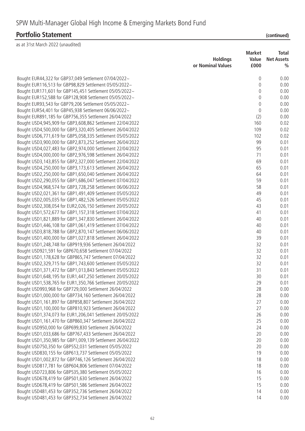# SPW Multi-Manager Global High Income & Emerging Markets Bond Fund

### **Portfolio Statement (continued)**

| as at 5 ist ividitii 2022 (diidduittu)                         | <b>Holdings</b><br>or Nominal Values | <b>Market</b><br>Value<br>£000 | <b>Total</b><br><b>Net Assets</b><br>$\frac{0}{0}$ |
|----------------------------------------------------------------|--------------------------------------|--------------------------------|----------------------------------------------------|
| Bought EUR44,322 for GBP37,049 Settlement 07/04/2022~          |                                      | $\mathbf 0$                    | 0.00                                               |
| Bought EUR116,513 for GBP98,829 Settlement 05/05/2022~         |                                      | 0                              | 0.00                                               |
| Bought EUR171,601 for GBP145,451 Settlement 05/05/2022~        |                                      | 0                              | 0.00                                               |
| Bought EUR152,588 for GBP128,908 Settlement 05/05/2022~        |                                      | $\mathbf 0$                    | 0.00                                               |
| Bought EUR93,543 for GBP79,206 Settlement 05/05/2022~          |                                      | $\theta$                       | 0.00                                               |
| Bought EUR54,401 for GBP45,938 Settlement 06/06/2022~          |                                      | $\theta$                       | 0.00                                               |
| Bought EUR891,185 for GBP756,355 Settlement 26/04/2022         |                                      | (2)                            | 0.00                                               |
| Bought USD4,945,909 for GBP3,608,862 Settlement 22/04/2022     |                                      | 160                            | 0.02                                               |
| Bought USD4,500,000 for GBP3,320,405 Settlement 26/04/2022     |                                      | 109                            | 0.02                                               |
| Bought USD6,771,619 for GBP5,058,335 Settlement 05/05/2022     |                                      | 102                            | 0.02                                               |
| Bought USD3,900,000 for GBP2,873,252 Settlement 26/04/2022     |                                      | 99                             | 0.01                                               |
| Bought USD4,027,483 for GBP2,974,000 Settlement 22/04/2022     |                                      | 95                             | 0.01                                               |
| Bought USD4,000,000 for GBP2,976,598 Settlement 26/04/2022     |                                      | 71                             | 0.01                                               |
| Bought USD3, 143, 855 for GBP2, 327, 000 Settlement 22/04/2022 |                                      | 69                             | 0.01                                               |
| Bought USD4,250,000 for GBP3,173,613 Settlement 26/04/2022     |                                      | 65                             | 0.01                                               |
| Bought USD2,250,000 for GBP1,650,040 Settlement 26/04/2022     |                                      | 64                             | 0.01                                               |
| Bought USD2,290,055 for GBP1,686,047 Settlement 07/04/2022     |                                      | 59                             | 0.01                                               |
| Bought USD4,968,574 for GBP3,728,258 Settlement 06/06/2022     |                                      | 58                             | 0.01                                               |
| Bought USD2,021,361 for GBP1,491,409 Settlement 05/05/2022     |                                      | 49                             | 0.01                                               |
| Bought USD2,005,035 for GBP1,482,526 Settlement 05/05/2022     |                                      | 45                             | 0.01                                               |
| Bought USD2,308,054 for EUR2,026,150 Settlement 20/05/2022     |                                      | 43                             | 0.01                                               |
| Bought USD1,572,677 for GBP1,157,318 Settlement 07/04/2022     |                                      | 41                             | 0.01                                               |
| Bought USD1,821,889 for GBP1,347,830 Settlement 26/04/2022     |                                      | 40                             | 0.01                                               |
|                                                                |                                      | 40                             | 0.01                                               |
| Bought USD1,446,108 for GBP1,061,419 Settlement 07/04/2022     |                                      | 40                             | 0.01                                               |
| Bought USD3,818,788 for GBP2,870,147 Settlement 06/06/2022     |                                      |                                |                                                    |
| Bought USD1,400,000 for GBP1,027,818 Settlement 26/04/2022     |                                      | 39                             | 0.01                                               |
| Bought USD1,248,748 for GBP919,936 Settlement 26/04/2022       |                                      | 32                             | 0.01                                               |
| Bought USD921,591 for GBP670,658 Settlement 07/04/2022         |                                      | 32                             | 0.01                                               |
| Bought USD1,178,628 for GBP865,747 Settlement 07/04/2022       |                                      | 32                             | 0.01                                               |
| Bought USD2,329,715 for GBP1,743,600 Settlement 05/05/2022     |                                      | 32                             | 0.01                                               |
| Bought USD1,371,472 for GBP1,013,843 Settlement 05/05/2022     |                                      | 31                             | 0.01                                               |
| Bought USD1,648,195 for EUR1,447,250 Settlement 20/05/2022     |                                      | 30                             | 0.01                                               |
| Bought USD1,538,765 for EUR1,350,766 Settlement 20/05/2022     |                                      | 29                             | 0.01                                               |
| Bought USD993,968 for GBP729,000 Settlement 26/04/2022         |                                      | 28                             | 0.00                                               |
| Bought USD1,000,000 for GBP734,160 Settlement 26/04/2022       |                                      | 28                             | 0.00                                               |
| Bought USD1,161,897 for GBP858,807 Settlement 26/04/2022       |                                      | 27                             | 0.00                                               |
| Bought USD1,100,000 for GBP810,923 Settlement 26/04/2022       |                                      | 27                             | 0.00                                               |
| Bought USD1,374,073 for EUR1,206,041 Settlement 20/05/2022     |                                      | 26                             | 0.00                                               |
| Bought USD1,161,470 for GBP860,347 Settlement 26/04/2022       |                                      | 25                             | 0.00                                               |
| Bought USD950,000 for GBP699,830 Settlement 26/04/2022         |                                      | 24                             | 0.00                                               |
| Bought USD1,033,686 for GBP767,433 Settlement 26/04/2022       |                                      | 20                             | 0.00                                               |
| Bought USD1,350,985 for GBP1,009,139 Settlement 26/04/2022     |                                      | 20                             | 0.00                                               |
| Bought USD750,350 for GBP552,031 Settlement 05/05/2022         |                                      | 20                             | 0.00                                               |
| Bought USD830,155 for GBP613,737 Settlement 05/05/2022         |                                      | 19                             | 0.00                                               |
| Bought USD1,002,872 for GBP746,126 Settlement 26/04/2022       |                                      | 18                             | 0.00                                               |
| Bought USD817,781 for GBP604,806 Settlement 07/04/2022         |                                      | 18                             | 0.00                                               |
| Bought USD723,806 for GBP535,380 Settlement 05/05/2022         |                                      | 16                             | 0.00                                               |
| Bought USD678,419 for GBP501,630 Settlement 26/04/2022         |                                      | 15                             | 0.00                                               |
| Bought USD678,419 for GBP501,586 Settlement 26/04/2022         |                                      | 15                             | 0.00                                               |
| Bought USD481,453 for GBP352,736 Settlement 26/04/2022         |                                      | 14                             | 0.00                                               |
| Bought USD481,453 for GBP352,734 Settlement 26/04/2022         |                                      | 14                             | 0.00                                               |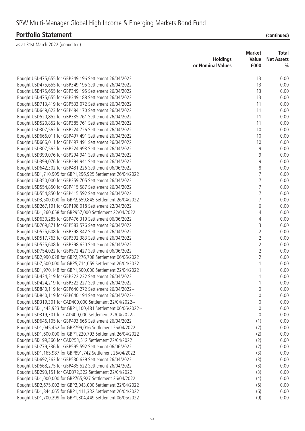| $\alpha$ at $\beta$ ist ividitif ZUZZ (uriduulteu)          |                                      |                                |                                                    |
|-------------------------------------------------------------|--------------------------------------|--------------------------------|----------------------------------------------------|
|                                                             | <b>Holdings</b><br>or Nominal Values | <b>Market</b><br>Value<br>£000 | <b>Total</b><br><b>Net Assets</b><br>$\frac{0}{0}$ |
| Bought USD475,655 for GBP349,196 Settlement 26/04/2022      |                                      | 13                             | 0.00                                               |
| Bought USD475,655 for GBP349,195 Settlement 26/04/2022      |                                      | 13                             | 0.00                                               |
| Bought USD475,655 for GBP349,195 Settlement 26/04/2022      |                                      | 13                             | 0.00                                               |
| Bought USD475,655 for GBP349,188 Settlement 26/04/2022      |                                      | 13                             | 0.00                                               |
| Bought USD713,419 for GBP533,072 Settlement 26/04/2022      |                                      | 11                             | 0.00                                               |
| Bought USD649,623 for GBP484,170 Settlement 26/04/2022      |                                      | 11                             | 0.00                                               |
|                                                             |                                      | 11                             | 0.00                                               |
| Bought USD520,852 for GBP385,761 Settlement 26/04/2022      |                                      |                                |                                                    |
| Bought USD520,852 for GBP385,761 Settlement 26/04/2022      |                                      | 11                             | 0.00                                               |
| Bought USD307,562 for GBP224,726 Settlement 26/04/2022      |                                      | 10                             | 0.00                                               |
| Bought USD666,011 for GBP497,491 Settlement 26/04/2022      |                                      | 10                             | 0.00                                               |
| Bought USD666,011 for GBP497,491 Settlement 26/04/2022      |                                      | 10                             | 0.00                                               |
| Bought USD307,562 for GBP224,993 Settlement 26/04/2022      |                                      | 9                              | 0.00                                               |
| Bought USD399,076 for GBP294,941 Settlement 26/04/2022      |                                      | 9                              | 0.00                                               |
| Bought USD399,076 for GBP294,941 Settlement 26/04/2022      |                                      | 9                              | 0.00                                               |
| Bought USD642,302 for GBP481,226 Settlement 06/06/2022      |                                      | 8                              | 0.00                                               |
| Bought USD1,710,905 for GBP1,296,925 Settlement 26/04/2022  |                                      | $\overline{7}$                 | 0.00                                               |
| Bought USD350,000 for GBP259,705 Settlement 26/04/2022      |                                      | $\overline{7}$                 | 0.00                                               |
| Bought USD554,850 for GBP415,587 Settlement 26/04/2022      |                                      | $\overline{7}$                 | 0.00                                               |
| Bought USD554,850 for GBP415,592 Settlement 26/04/2022      |                                      | $\overline{7}$                 | 0.00                                               |
| Bought USD3,500,000 for GBP2,659,845 Settlement 26/04/2022  |                                      | $\overline{7}$                 | 0.00                                               |
| Bought USD267,191 for GBP198,018 Settlement 22/04/2022      |                                      | 6                              | 0.00                                               |
| Bought USD1,260,658 for GBP957,000 Settlement 22/04/2022    |                                      | 4                              | 0.00                                               |
| Bought USD630,285 for GBP476,319 Settlement 06/06/2022      |                                      | $\overline{4}$                 | 0.00                                               |
| Bought USD769,871 for GBP583,576 Settlement 26/04/2022      |                                      | 3                              | 0.00                                               |
| Bought USD525,608 for GBP398,342 Settlement 26/04/2022      |                                      | $\sqrt{2}$                     | 0.00                                               |
| Bought USD517,763 for GBP392,383 Settlement 26/04/2022      |                                      | $\overline{2}$                 | 0.00                                               |
| Bought USD525,608 for GBP398,620 Settlement 26/04/2022      |                                      | $\overline{2}$                 | 0.00                                               |
| Bought USD754,022 for GBP572,427 Settlement 06/06/2022      |                                      | $\overline{2}$                 | 0.00                                               |
| Bought USD2,990,028 for GBP2,276,708 Settlement 06/06/2022  |                                      | $\overline{2}$                 | 0.00                                               |
| Bought USD7,500,000 for GBP5,714,059 Settlement 26/04/2022  |                                      | 1                              | 0.00                                               |
| Bought USD1,970,148 for GBP1,500,000 Settlement 22/04/2022  |                                      | 1                              | 0.00                                               |
| Bought USD424,219 for GBP322,232 Settlement 26/04/2022      |                                      |                                | 0.00                                               |
| Bought USD424,219 for GBP322,227 Settlement 26/04/2022      |                                      | 1                              | 0.00                                               |
| Bought USD840,119 for GBP640,272 Settlement 26/04/2022~     |                                      | $\theta$                       | 0.00                                               |
| Bought USD840,119 for GBP640,194 Settlement 26/04/2022~     |                                      | 0                              | 0.00                                               |
| Bought USD319,301 for CAD400,000 Settlement 22/04/2022~     |                                      | $\theta$                       | 0.00                                               |
| Bought USD1,443,933 for GBP1,100,481 Settlement 06/06/2022~ |                                      | $\mathbf 0$                    | 0.00                                               |
| Bought USD319,301 for CAD400,000 Settlement 22/04/2022~     |                                      | $\mathbf 0$                    | 0.00                                               |
| Bought USD646,105 for GBP493,666 Settlement 26/04/2022      |                                      | (1)                            | 0.00                                               |
| Bought USD1,045,452 for GBP799,016 Settlement 26/04/2022    |                                      | (2)                            | 0.00                                               |
| Bought USD1,600,000 for GBP1,220,793 Settlement 26/04/2022  |                                      | (2)                            | 0.00                                               |
| Bought USD199,366 for CAD253,512 Settlement 22/04/2022      |                                      | (2)                            | 0.00                                               |
| Bought USD779,336 for GBP595,592 Settlement 06/06/2022      |                                      | (2)                            | 0.00                                               |
| Bought USD1,165,987 for GBP891,742 Settlement 26/04/2022    |                                      | (3)                            | 0.00                                               |
| Bought USD692,363 for GBP530,639 Settlement 26/04/2022      |                                      | (3)                            | 0.00                                               |
| Bought USD568,275 for GBP435,522 Settlement 26/04/2022      |                                      | (3)                            | 0.00                                               |
| Bought USD293,151 for CAD372,322 Settlement 22/04/2022      |                                      | (3)                            | 0.00                                               |
| Bought USD1,000,000 for GBP765,927 Settlement 26/04/2022    |                                      | (4)                            | 0.00                                               |
| Bought USD2,675,002 for GBP2,043,000 Settlement 22/04/2022  |                                      | (5)                            | 0.00                                               |
| Bought USD1,844,065 for GBP1,411,332 Settlement 26/04/2022  |                                      | (6)                            | 0.00                                               |
| Bought USD1,700,299 for GBP1,304,449 Settlement 06/06/2022  |                                      | (9)                            | 0.00                                               |
|                                                             |                                      |                                |                                                    |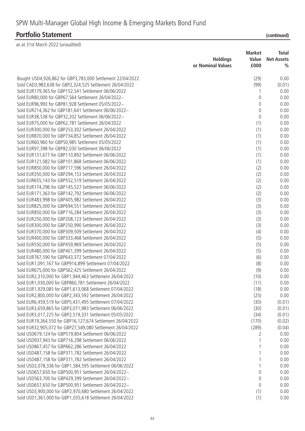| <b>Market</b><br><b>Total</b><br><b>Holdings</b><br>Value<br><b>Net Assets</b><br>or Nominal Values<br>£000<br>$\frac{0}{0}$<br>Bought USD4,926,862 for GBP3,783,000 Settlement 22/04/2022<br>(29)<br>0.00<br>Sold CAD3,983,638 for GBP2,324,525 Settlement 26/04/2022<br>(99)<br>(0.01)<br>Sold EUR179,365 for GBP152,541 Settlement 06/06/2022<br>0.00<br>1<br>Sold EUR80,000 for GBP67,564 Settlement 26/04/2022~<br>0.00<br>0<br>Sold EUR96,993 for GBP81,928 Settlement 05/05/2022~<br>$\mathsf{O}\xspace$<br>0.00<br>Sold EUR214,362 for GBP181,641 Settlement 06/06/2022~<br>$\boldsymbol{0}$<br>0.00<br>Sold EUR38,538 for GBP32,202 Settlement 06/06/2022~<br>$\mathsf{O}\xspace$<br>0.00<br>Sold EUR75,000 for GBP62,781 Settlement 26/04/2022<br>(1)<br>0.00<br>Sold EUR300,000 for GBP253,302 Settlement 26/04/2022<br>(1)<br>0.00<br>(1)<br>Sold EUR870,000 for GBP734,852 Settlement 26/04/2022<br>0.00<br>Sold EUR60,960 for GBP50,985 Settlement 05/05/2022<br>(1)<br>0.00<br>Sold EUR97,398 for GBP82,030 Settlement 06/06/2022<br>(1)<br>0.00<br>Sold EUR131,677 for GBP110,892 Settlement 06/06/2022<br>(1)<br>0.00<br>Sold EUR121,082 for GBP101,868 Settlement 06/06/2022<br>(1)<br>0.00<br>Sold EUR850,000 for GBP717,596 Settlement 26/04/2022<br>(2)<br>0.00<br>Sold EUR350,000 for GBP294,153 Settlement 26/04/2022<br>(2)<br>0.00<br>Sold EUR655, 143 for GBP552, 519 Settlement 26/04/2022<br>(2)<br>0.00<br>Sold EUR174,296 for GBP145,527 Settlement 06/06/2022<br>(2)<br>0.00<br>Sold EUR171,363 for GBP142,792 Settlement 06/06/2022<br>(2)<br>0.00<br>Sold EUR483,998 for GBP405,982 Settlement 26/04/2022<br>(3)<br>0.00<br>(3)<br>Sold EUR825,000 for GBP694,551 Settlement 26/04/2022<br>0.00<br>(3)<br>Sold EUR850,000 for GBP716,284 Settlement 26/04/2022<br>0.00<br>Sold EUR250,000 for GBP208,123 Settlement 26/04/2022<br>(3)<br>0.00<br>Sold EUR300,000 for GBP250,990 Settlement 26/04/2022<br>(3)<br>0.00<br>Sold EUR370,000 for GBP309,509 Settlement 26/04/2022<br>(4)<br>0.00<br>Sold EUR400,000 for GBP333,468 Settlement 26/04/2022<br>(5)<br>0.00<br>Sold EUR550,000 for GBP459,969 Settlement 26/04/2022<br>(5)<br>0.00<br>Sold EUR480,000 for GBP401,399 Settlement 26/04/2022<br>(5)<br>0.00<br>Sold EUR767,590 for GBP643,372 Settlement 07/04/2022<br>(6)<br>0.00<br>Sold EUR1,091,167 for GBP914,899 Settlement 07/04/2022<br>(8)<br>0.00<br>Sold EUR675,000 for GBP562,425 Settlement 26/04/2022<br>(9)<br>0.00<br>Sold EUR2,310,000 for GBP1,944,463 Settlement 26/04/2022<br>(10)<br>0.00<br>Sold EUR1,030,000 for GBP860,781 Settlement 26/04/2022<br>(11)<br>0.00<br>Sold EUR1,929,085 for GBP1,613,068 Settlement 07/04/2022<br>(18)<br>0.00<br>Sold EUR2,800,000 for GBP2,343,592 Settlement 26/04/2022<br>(25)<br>0.00<br>Sold EUR6,459,519 for GBP5,431,495 Settlement 07/04/2022<br>(30)<br>(0.01)<br>Sold EUR3,659,865 for GBP3,071,983 Settlement 06/06/2022<br>(30)<br>(0.01)<br>Sold EUR3,017,225 for GBP2,519,331 Settlement 05/05/2022<br>(34)<br>(0.01)<br>Sold EUR19,264,550 for GBP16,127,674 Settlement 26/04/2022<br>(170)<br>(0.02)<br>Sold EUR32,905,072 for GBP27,549,080 Settlement 26/04/2022<br>(289)<br>(0.04)<br>Sold USD679,124 for GBP519,804 Settlement 06/06/2022<br>0.00<br>2<br>Sold USD937,943 for GBP716,298 Settlement 06/06/2022<br>0.00<br>Sold USD867,457 for GBP662,286 Settlement 26/04/2022<br>0.00 | as at 31st March 2022 (unaudited) |  |  |
|---------------------------------------------------------------------------------------------------------------------------------------------------------------------------------------------------------------------------------------------------------------------------------------------------------------------------------------------------------------------------------------------------------------------------------------------------------------------------------------------------------------------------------------------------------------------------------------------------------------------------------------------------------------------------------------------------------------------------------------------------------------------------------------------------------------------------------------------------------------------------------------------------------------------------------------------------------------------------------------------------------------------------------------------------------------------------------------------------------------------------------------------------------------------------------------------------------------------------------------------------------------------------------------------------------------------------------------------------------------------------------------------------------------------------------------------------------------------------------------------------------------------------------------------------------------------------------------------------------------------------------------------------------------------------------------------------------------------------------------------------------------------------------------------------------------------------------------------------------------------------------------------------------------------------------------------------------------------------------------------------------------------------------------------------------------------------------------------------------------------------------------------------------------------------------------------------------------------------------------------------------------------------------------------------------------------------------------------------------------------------------------------------------------------------------------------------------------------------------------------------------------------------------------------------------------------------------------------------------------------------------------------------------------------------------------------------------------------------------------------------------------------------------------------------------------------------------------------------------------------------------------------------------------------------------------------------------------------------------------------------------------------------------------------------------------------------------------------------------------------------------------------------------------------------------------------------------------------------------------------------------------------------------------------------------------------------------------------------------------------------------------------------------|-----------------------------------|--|--|
|                                                                                                                                                                                                                                                                                                                                                                                                                                                                                                                                                                                                                                                                                                                                                                                                                                                                                                                                                                                                                                                                                                                                                                                                                                                                                                                                                                                                                                                                                                                                                                                                                                                                                                                                                                                                                                                                                                                                                                                                                                                                                                                                                                                                                                                                                                                                                                                                                                                                                                                                                                                                                                                                                                                                                                                                                                                                                                                                                                                                                                                                                                                                                                                                                                                                                                                                                                                                         |                                   |  |  |
|                                                                                                                                                                                                                                                                                                                                                                                                                                                                                                                                                                                                                                                                                                                                                                                                                                                                                                                                                                                                                                                                                                                                                                                                                                                                                                                                                                                                                                                                                                                                                                                                                                                                                                                                                                                                                                                                                                                                                                                                                                                                                                                                                                                                                                                                                                                                                                                                                                                                                                                                                                                                                                                                                                                                                                                                                                                                                                                                                                                                                                                                                                                                                                                                                                                                                                                                                                                                         |                                   |  |  |
|                                                                                                                                                                                                                                                                                                                                                                                                                                                                                                                                                                                                                                                                                                                                                                                                                                                                                                                                                                                                                                                                                                                                                                                                                                                                                                                                                                                                                                                                                                                                                                                                                                                                                                                                                                                                                                                                                                                                                                                                                                                                                                                                                                                                                                                                                                                                                                                                                                                                                                                                                                                                                                                                                                                                                                                                                                                                                                                                                                                                                                                                                                                                                                                                                                                                                                                                                                                                         |                                   |  |  |
|                                                                                                                                                                                                                                                                                                                                                                                                                                                                                                                                                                                                                                                                                                                                                                                                                                                                                                                                                                                                                                                                                                                                                                                                                                                                                                                                                                                                                                                                                                                                                                                                                                                                                                                                                                                                                                                                                                                                                                                                                                                                                                                                                                                                                                                                                                                                                                                                                                                                                                                                                                                                                                                                                                                                                                                                                                                                                                                                                                                                                                                                                                                                                                                                                                                                                                                                                                                                         |                                   |  |  |
|                                                                                                                                                                                                                                                                                                                                                                                                                                                                                                                                                                                                                                                                                                                                                                                                                                                                                                                                                                                                                                                                                                                                                                                                                                                                                                                                                                                                                                                                                                                                                                                                                                                                                                                                                                                                                                                                                                                                                                                                                                                                                                                                                                                                                                                                                                                                                                                                                                                                                                                                                                                                                                                                                                                                                                                                                                                                                                                                                                                                                                                                                                                                                                                                                                                                                                                                                                                                         |                                   |  |  |
|                                                                                                                                                                                                                                                                                                                                                                                                                                                                                                                                                                                                                                                                                                                                                                                                                                                                                                                                                                                                                                                                                                                                                                                                                                                                                                                                                                                                                                                                                                                                                                                                                                                                                                                                                                                                                                                                                                                                                                                                                                                                                                                                                                                                                                                                                                                                                                                                                                                                                                                                                                                                                                                                                                                                                                                                                                                                                                                                                                                                                                                                                                                                                                                                                                                                                                                                                                                                         |                                   |  |  |
|                                                                                                                                                                                                                                                                                                                                                                                                                                                                                                                                                                                                                                                                                                                                                                                                                                                                                                                                                                                                                                                                                                                                                                                                                                                                                                                                                                                                                                                                                                                                                                                                                                                                                                                                                                                                                                                                                                                                                                                                                                                                                                                                                                                                                                                                                                                                                                                                                                                                                                                                                                                                                                                                                                                                                                                                                                                                                                                                                                                                                                                                                                                                                                                                                                                                                                                                                                                                         |                                   |  |  |
|                                                                                                                                                                                                                                                                                                                                                                                                                                                                                                                                                                                                                                                                                                                                                                                                                                                                                                                                                                                                                                                                                                                                                                                                                                                                                                                                                                                                                                                                                                                                                                                                                                                                                                                                                                                                                                                                                                                                                                                                                                                                                                                                                                                                                                                                                                                                                                                                                                                                                                                                                                                                                                                                                                                                                                                                                                                                                                                                                                                                                                                                                                                                                                                                                                                                                                                                                                                                         |                                   |  |  |
|                                                                                                                                                                                                                                                                                                                                                                                                                                                                                                                                                                                                                                                                                                                                                                                                                                                                                                                                                                                                                                                                                                                                                                                                                                                                                                                                                                                                                                                                                                                                                                                                                                                                                                                                                                                                                                                                                                                                                                                                                                                                                                                                                                                                                                                                                                                                                                                                                                                                                                                                                                                                                                                                                                                                                                                                                                                                                                                                                                                                                                                                                                                                                                                                                                                                                                                                                                                                         |                                   |  |  |
|                                                                                                                                                                                                                                                                                                                                                                                                                                                                                                                                                                                                                                                                                                                                                                                                                                                                                                                                                                                                                                                                                                                                                                                                                                                                                                                                                                                                                                                                                                                                                                                                                                                                                                                                                                                                                                                                                                                                                                                                                                                                                                                                                                                                                                                                                                                                                                                                                                                                                                                                                                                                                                                                                                                                                                                                                                                                                                                                                                                                                                                                                                                                                                                                                                                                                                                                                                                                         |                                   |  |  |
|                                                                                                                                                                                                                                                                                                                                                                                                                                                                                                                                                                                                                                                                                                                                                                                                                                                                                                                                                                                                                                                                                                                                                                                                                                                                                                                                                                                                                                                                                                                                                                                                                                                                                                                                                                                                                                                                                                                                                                                                                                                                                                                                                                                                                                                                                                                                                                                                                                                                                                                                                                                                                                                                                                                                                                                                                                                                                                                                                                                                                                                                                                                                                                                                                                                                                                                                                                                                         |                                   |  |  |
|                                                                                                                                                                                                                                                                                                                                                                                                                                                                                                                                                                                                                                                                                                                                                                                                                                                                                                                                                                                                                                                                                                                                                                                                                                                                                                                                                                                                                                                                                                                                                                                                                                                                                                                                                                                                                                                                                                                                                                                                                                                                                                                                                                                                                                                                                                                                                                                                                                                                                                                                                                                                                                                                                                                                                                                                                                                                                                                                                                                                                                                                                                                                                                                                                                                                                                                                                                                                         |                                   |  |  |
|                                                                                                                                                                                                                                                                                                                                                                                                                                                                                                                                                                                                                                                                                                                                                                                                                                                                                                                                                                                                                                                                                                                                                                                                                                                                                                                                                                                                                                                                                                                                                                                                                                                                                                                                                                                                                                                                                                                                                                                                                                                                                                                                                                                                                                                                                                                                                                                                                                                                                                                                                                                                                                                                                                                                                                                                                                                                                                                                                                                                                                                                                                                                                                                                                                                                                                                                                                                                         |                                   |  |  |
|                                                                                                                                                                                                                                                                                                                                                                                                                                                                                                                                                                                                                                                                                                                                                                                                                                                                                                                                                                                                                                                                                                                                                                                                                                                                                                                                                                                                                                                                                                                                                                                                                                                                                                                                                                                                                                                                                                                                                                                                                                                                                                                                                                                                                                                                                                                                                                                                                                                                                                                                                                                                                                                                                                                                                                                                                                                                                                                                                                                                                                                                                                                                                                                                                                                                                                                                                                                                         |                                   |  |  |
|                                                                                                                                                                                                                                                                                                                                                                                                                                                                                                                                                                                                                                                                                                                                                                                                                                                                                                                                                                                                                                                                                                                                                                                                                                                                                                                                                                                                                                                                                                                                                                                                                                                                                                                                                                                                                                                                                                                                                                                                                                                                                                                                                                                                                                                                                                                                                                                                                                                                                                                                                                                                                                                                                                                                                                                                                                                                                                                                                                                                                                                                                                                                                                                                                                                                                                                                                                                                         |                                   |  |  |
|                                                                                                                                                                                                                                                                                                                                                                                                                                                                                                                                                                                                                                                                                                                                                                                                                                                                                                                                                                                                                                                                                                                                                                                                                                                                                                                                                                                                                                                                                                                                                                                                                                                                                                                                                                                                                                                                                                                                                                                                                                                                                                                                                                                                                                                                                                                                                                                                                                                                                                                                                                                                                                                                                                                                                                                                                                                                                                                                                                                                                                                                                                                                                                                                                                                                                                                                                                                                         |                                   |  |  |
|                                                                                                                                                                                                                                                                                                                                                                                                                                                                                                                                                                                                                                                                                                                                                                                                                                                                                                                                                                                                                                                                                                                                                                                                                                                                                                                                                                                                                                                                                                                                                                                                                                                                                                                                                                                                                                                                                                                                                                                                                                                                                                                                                                                                                                                                                                                                                                                                                                                                                                                                                                                                                                                                                                                                                                                                                                                                                                                                                                                                                                                                                                                                                                                                                                                                                                                                                                                                         |                                   |  |  |
|                                                                                                                                                                                                                                                                                                                                                                                                                                                                                                                                                                                                                                                                                                                                                                                                                                                                                                                                                                                                                                                                                                                                                                                                                                                                                                                                                                                                                                                                                                                                                                                                                                                                                                                                                                                                                                                                                                                                                                                                                                                                                                                                                                                                                                                                                                                                                                                                                                                                                                                                                                                                                                                                                                                                                                                                                                                                                                                                                                                                                                                                                                                                                                                                                                                                                                                                                                                                         |                                   |  |  |
|                                                                                                                                                                                                                                                                                                                                                                                                                                                                                                                                                                                                                                                                                                                                                                                                                                                                                                                                                                                                                                                                                                                                                                                                                                                                                                                                                                                                                                                                                                                                                                                                                                                                                                                                                                                                                                                                                                                                                                                                                                                                                                                                                                                                                                                                                                                                                                                                                                                                                                                                                                                                                                                                                                                                                                                                                                                                                                                                                                                                                                                                                                                                                                                                                                                                                                                                                                                                         |                                   |  |  |
|                                                                                                                                                                                                                                                                                                                                                                                                                                                                                                                                                                                                                                                                                                                                                                                                                                                                                                                                                                                                                                                                                                                                                                                                                                                                                                                                                                                                                                                                                                                                                                                                                                                                                                                                                                                                                                                                                                                                                                                                                                                                                                                                                                                                                                                                                                                                                                                                                                                                                                                                                                                                                                                                                                                                                                                                                                                                                                                                                                                                                                                                                                                                                                                                                                                                                                                                                                                                         |                                   |  |  |
|                                                                                                                                                                                                                                                                                                                                                                                                                                                                                                                                                                                                                                                                                                                                                                                                                                                                                                                                                                                                                                                                                                                                                                                                                                                                                                                                                                                                                                                                                                                                                                                                                                                                                                                                                                                                                                                                                                                                                                                                                                                                                                                                                                                                                                                                                                                                                                                                                                                                                                                                                                                                                                                                                                                                                                                                                                                                                                                                                                                                                                                                                                                                                                                                                                                                                                                                                                                                         |                                   |  |  |
|                                                                                                                                                                                                                                                                                                                                                                                                                                                                                                                                                                                                                                                                                                                                                                                                                                                                                                                                                                                                                                                                                                                                                                                                                                                                                                                                                                                                                                                                                                                                                                                                                                                                                                                                                                                                                                                                                                                                                                                                                                                                                                                                                                                                                                                                                                                                                                                                                                                                                                                                                                                                                                                                                                                                                                                                                                                                                                                                                                                                                                                                                                                                                                                                                                                                                                                                                                                                         |                                   |  |  |
|                                                                                                                                                                                                                                                                                                                                                                                                                                                                                                                                                                                                                                                                                                                                                                                                                                                                                                                                                                                                                                                                                                                                                                                                                                                                                                                                                                                                                                                                                                                                                                                                                                                                                                                                                                                                                                                                                                                                                                                                                                                                                                                                                                                                                                                                                                                                                                                                                                                                                                                                                                                                                                                                                                                                                                                                                                                                                                                                                                                                                                                                                                                                                                                                                                                                                                                                                                                                         |                                   |  |  |
|                                                                                                                                                                                                                                                                                                                                                                                                                                                                                                                                                                                                                                                                                                                                                                                                                                                                                                                                                                                                                                                                                                                                                                                                                                                                                                                                                                                                                                                                                                                                                                                                                                                                                                                                                                                                                                                                                                                                                                                                                                                                                                                                                                                                                                                                                                                                                                                                                                                                                                                                                                                                                                                                                                                                                                                                                                                                                                                                                                                                                                                                                                                                                                                                                                                                                                                                                                                                         |                                   |  |  |
|                                                                                                                                                                                                                                                                                                                                                                                                                                                                                                                                                                                                                                                                                                                                                                                                                                                                                                                                                                                                                                                                                                                                                                                                                                                                                                                                                                                                                                                                                                                                                                                                                                                                                                                                                                                                                                                                                                                                                                                                                                                                                                                                                                                                                                                                                                                                                                                                                                                                                                                                                                                                                                                                                                                                                                                                                                                                                                                                                                                                                                                                                                                                                                                                                                                                                                                                                                                                         |                                   |  |  |
|                                                                                                                                                                                                                                                                                                                                                                                                                                                                                                                                                                                                                                                                                                                                                                                                                                                                                                                                                                                                                                                                                                                                                                                                                                                                                                                                                                                                                                                                                                                                                                                                                                                                                                                                                                                                                                                                                                                                                                                                                                                                                                                                                                                                                                                                                                                                                                                                                                                                                                                                                                                                                                                                                                                                                                                                                                                                                                                                                                                                                                                                                                                                                                                                                                                                                                                                                                                                         |                                   |  |  |
|                                                                                                                                                                                                                                                                                                                                                                                                                                                                                                                                                                                                                                                                                                                                                                                                                                                                                                                                                                                                                                                                                                                                                                                                                                                                                                                                                                                                                                                                                                                                                                                                                                                                                                                                                                                                                                                                                                                                                                                                                                                                                                                                                                                                                                                                                                                                                                                                                                                                                                                                                                                                                                                                                                                                                                                                                                                                                                                                                                                                                                                                                                                                                                                                                                                                                                                                                                                                         |                                   |  |  |
|                                                                                                                                                                                                                                                                                                                                                                                                                                                                                                                                                                                                                                                                                                                                                                                                                                                                                                                                                                                                                                                                                                                                                                                                                                                                                                                                                                                                                                                                                                                                                                                                                                                                                                                                                                                                                                                                                                                                                                                                                                                                                                                                                                                                                                                                                                                                                                                                                                                                                                                                                                                                                                                                                                                                                                                                                                                                                                                                                                                                                                                                                                                                                                                                                                                                                                                                                                                                         |                                   |  |  |
|                                                                                                                                                                                                                                                                                                                                                                                                                                                                                                                                                                                                                                                                                                                                                                                                                                                                                                                                                                                                                                                                                                                                                                                                                                                                                                                                                                                                                                                                                                                                                                                                                                                                                                                                                                                                                                                                                                                                                                                                                                                                                                                                                                                                                                                                                                                                                                                                                                                                                                                                                                                                                                                                                                                                                                                                                                                                                                                                                                                                                                                                                                                                                                                                                                                                                                                                                                                                         |                                   |  |  |
|                                                                                                                                                                                                                                                                                                                                                                                                                                                                                                                                                                                                                                                                                                                                                                                                                                                                                                                                                                                                                                                                                                                                                                                                                                                                                                                                                                                                                                                                                                                                                                                                                                                                                                                                                                                                                                                                                                                                                                                                                                                                                                                                                                                                                                                                                                                                                                                                                                                                                                                                                                                                                                                                                                                                                                                                                                                                                                                                                                                                                                                                                                                                                                                                                                                                                                                                                                                                         |                                   |  |  |
|                                                                                                                                                                                                                                                                                                                                                                                                                                                                                                                                                                                                                                                                                                                                                                                                                                                                                                                                                                                                                                                                                                                                                                                                                                                                                                                                                                                                                                                                                                                                                                                                                                                                                                                                                                                                                                                                                                                                                                                                                                                                                                                                                                                                                                                                                                                                                                                                                                                                                                                                                                                                                                                                                                                                                                                                                                                                                                                                                                                                                                                                                                                                                                                                                                                                                                                                                                                                         |                                   |  |  |
|                                                                                                                                                                                                                                                                                                                                                                                                                                                                                                                                                                                                                                                                                                                                                                                                                                                                                                                                                                                                                                                                                                                                                                                                                                                                                                                                                                                                                                                                                                                                                                                                                                                                                                                                                                                                                                                                                                                                                                                                                                                                                                                                                                                                                                                                                                                                                                                                                                                                                                                                                                                                                                                                                                                                                                                                                                                                                                                                                                                                                                                                                                                                                                                                                                                                                                                                                                                                         |                                   |  |  |
|                                                                                                                                                                                                                                                                                                                                                                                                                                                                                                                                                                                                                                                                                                                                                                                                                                                                                                                                                                                                                                                                                                                                                                                                                                                                                                                                                                                                                                                                                                                                                                                                                                                                                                                                                                                                                                                                                                                                                                                                                                                                                                                                                                                                                                                                                                                                                                                                                                                                                                                                                                                                                                                                                                                                                                                                                                                                                                                                                                                                                                                                                                                                                                                                                                                                                                                                                                                                         |                                   |  |  |
|                                                                                                                                                                                                                                                                                                                                                                                                                                                                                                                                                                                                                                                                                                                                                                                                                                                                                                                                                                                                                                                                                                                                                                                                                                                                                                                                                                                                                                                                                                                                                                                                                                                                                                                                                                                                                                                                                                                                                                                                                                                                                                                                                                                                                                                                                                                                                                                                                                                                                                                                                                                                                                                                                                                                                                                                                                                                                                                                                                                                                                                                                                                                                                                                                                                                                                                                                                                                         |                                   |  |  |
|                                                                                                                                                                                                                                                                                                                                                                                                                                                                                                                                                                                                                                                                                                                                                                                                                                                                                                                                                                                                                                                                                                                                                                                                                                                                                                                                                                                                                                                                                                                                                                                                                                                                                                                                                                                                                                                                                                                                                                                                                                                                                                                                                                                                                                                                                                                                                                                                                                                                                                                                                                                                                                                                                                                                                                                                                                                                                                                                                                                                                                                                                                                                                                                                                                                                                                                                                                                                         |                                   |  |  |
|                                                                                                                                                                                                                                                                                                                                                                                                                                                                                                                                                                                                                                                                                                                                                                                                                                                                                                                                                                                                                                                                                                                                                                                                                                                                                                                                                                                                                                                                                                                                                                                                                                                                                                                                                                                                                                                                                                                                                                                                                                                                                                                                                                                                                                                                                                                                                                                                                                                                                                                                                                                                                                                                                                                                                                                                                                                                                                                                                                                                                                                                                                                                                                                                                                                                                                                                                                                                         |                                   |  |  |
|                                                                                                                                                                                                                                                                                                                                                                                                                                                                                                                                                                                                                                                                                                                                                                                                                                                                                                                                                                                                                                                                                                                                                                                                                                                                                                                                                                                                                                                                                                                                                                                                                                                                                                                                                                                                                                                                                                                                                                                                                                                                                                                                                                                                                                                                                                                                                                                                                                                                                                                                                                                                                                                                                                                                                                                                                                                                                                                                                                                                                                                                                                                                                                                                                                                                                                                                                                                                         |                                   |  |  |
|                                                                                                                                                                                                                                                                                                                                                                                                                                                                                                                                                                                                                                                                                                                                                                                                                                                                                                                                                                                                                                                                                                                                                                                                                                                                                                                                                                                                                                                                                                                                                                                                                                                                                                                                                                                                                                                                                                                                                                                                                                                                                                                                                                                                                                                                                                                                                                                                                                                                                                                                                                                                                                                                                                                                                                                                                                                                                                                                                                                                                                                                                                                                                                                                                                                                                                                                                                                                         |                                   |  |  |
|                                                                                                                                                                                                                                                                                                                                                                                                                                                                                                                                                                                                                                                                                                                                                                                                                                                                                                                                                                                                                                                                                                                                                                                                                                                                                                                                                                                                                                                                                                                                                                                                                                                                                                                                                                                                                                                                                                                                                                                                                                                                                                                                                                                                                                                                                                                                                                                                                                                                                                                                                                                                                                                                                                                                                                                                                                                                                                                                                                                                                                                                                                                                                                                                                                                                                                                                                                                                         |                                   |  |  |
|                                                                                                                                                                                                                                                                                                                                                                                                                                                                                                                                                                                                                                                                                                                                                                                                                                                                                                                                                                                                                                                                                                                                                                                                                                                                                                                                                                                                                                                                                                                                                                                                                                                                                                                                                                                                                                                                                                                                                                                                                                                                                                                                                                                                                                                                                                                                                                                                                                                                                                                                                                                                                                                                                                                                                                                                                                                                                                                                                                                                                                                                                                                                                                                                                                                                                                                                                                                                         |                                   |  |  |
|                                                                                                                                                                                                                                                                                                                                                                                                                                                                                                                                                                                                                                                                                                                                                                                                                                                                                                                                                                                                                                                                                                                                                                                                                                                                                                                                                                                                                                                                                                                                                                                                                                                                                                                                                                                                                                                                                                                                                                                                                                                                                                                                                                                                                                                                                                                                                                                                                                                                                                                                                                                                                                                                                                                                                                                                                                                                                                                                                                                                                                                                                                                                                                                                                                                                                                                                                                                                         |                                   |  |  |
|                                                                                                                                                                                                                                                                                                                                                                                                                                                                                                                                                                                                                                                                                                                                                                                                                                                                                                                                                                                                                                                                                                                                                                                                                                                                                                                                                                                                                                                                                                                                                                                                                                                                                                                                                                                                                                                                                                                                                                                                                                                                                                                                                                                                                                                                                                                                                                                                                                                                                                                                                                                                                                                                                                                                                                                                                                                                                                                                                                                                                                                                                                                                                                                                                                                                                                                                                                                                         |                                   |  |  |
|                                                                                                                                                                                                                                                                                                                                                                                                                                                                                                                                                                                                                                                                                                                                                                                                                                                                                                                                                                                                                                                                                                                                                                                                                                                                                                                                                                                                                                                                                                                                                                                                                                                                                                                                                                                                                                                                                                                                                                                                                                                                                                                                                                                                                                                                                                                                                                                                                                                                                                                                                                                                                                                                                                                                                                                                                                                                                                                                                                                                                                                                                                                                                                                                                                                                                                                                                                                                         |                                   |  |  |
|                                                                                                                                                                                                                                                                                                                                                                                                                                                                                                                                                                                                                                                                                                                                                                                                                                                                                                                                                                                                                                                                                                                                                                                                                                                                                                                                                                                                                                                                                                                                                                                                                                                                                                                                                                                                                                                                                                                                                                                                                                                                                                                                                                                                                                                                                                                                                                                                                                                                                                                                                                                                                                                                                                                                                                                                                                                                                                                                                                                                                                                                                                                                                                                                                                                                                                                                                                                                         |                                   |  |  |
|                                                                                                                                                                                                                                                                                                                                                                                                                                                                                                                                                                                                                                                                                                                                                                                                                                                                                                                                                                                                                                                                                                                                                                                                                                                                                                                                                                                                                                                                                                                                                                                                                                                                                                                                                                                                                                                                                                                                                                                                                                                                                                                                                                                                                                                                                                                                                                                                                                                                                                                                                                                                                                                                                                                                                                                                                                                                                                                                                                                                                                                                                                                                                                                                                                                                                                                                                                                                         |                                   |  |  |
|                                                                                                                                                                                                                                                                                                                                                                                                                                                                                                                                                                                                                                                                                                                                                                                                                                                                                                                                                                                                                                                                                                                                                                                                                                                                                                                                                                                                                                                                                                                                                                                                                                                                                                                                                                                                                                                                                                                                                                                                                                                                                                                                                                                                                                                                                                                                                                                                                                                                                                                                                                                                                                                                                                                                                                                                                                                                                                                                                                                                                                                                                                                                                                                                                                                                                                                                                                                                         |                                   |  |  |
| Sold USD487,158 for GBP371,782 Settlement 26/04/2022<br>0.00                                                                                                                                                                                                                                                                                                                                                                                                                                                                                                                                                                                                                                                                                                                                                                                                                                                                                                                                                                                                                                                                                                                                                                                                                                                                                                                                                                                                                                                                                                                                                                                                                                                                                                                                                                                                                                                                                                                                                                                                                                                                                                                                                                                                                                                                                                                                                                                                                                                                                                                                                                                                                                                                                                                                                                                                                                                                                                                                                                                                                                                                                                                                                                                                                                                                                                                                            |                                   |  |  |
| Sold USD487,158 for GBP371,782 Settlement 26/04/2022<br>0.00<br>Sold USD2,078,336 for GBP1,584,595 Settlement 06/06/2022                                                                                                                                                                                                                                                                                                                                                                                                                                                                                                                                                                                                                                                                                                                                                                                                                                                                                                                                                                                                                                                                                                                                                                                                                                                                                                                                                                                                                                                                                                                                                                                                                                                                                                                                                                                                                                                                                                                                                                                                                                                                                                                                                                                                                                                                                                                                                                                                                                                                                                                                                                                                                                                                                                                                                                                                                                                                                                                                                                                                                                                                                                                                                                                                                                                                                |                                   |  |  |
| 0.00<br>Sold USD657,650 for GBP500,951 Settlement 26/04/2022~<br>$\boldsymbol{0}$<br>0.00                                                                                                                                                                                                                                                                                                                                                                                                                                                                                                                                                                                                                                                                                                                                                                                                                                                                                                                                                                                                                                                                                                                                                                                                                                                                                                                                                                                                                                                                                                                                                                                                                                                                                                                                                                                                                                                                                                                                                                                                                                                                                                                                                                                                                                                                                                                                                                                                                                                                                                                                                                                                                                                                                                                                                                                                                                                                                                                                                                                                                                                                                                                                                                                                                                                                                                               |                                   |  |  |
| Sold USD563,700 for GBP429,399 Settlement 26/04/2022~<br>0<br>0.00                                                                                                                                                                                                                                                                                                                                                                                                                                                                                                                                                                                                                                                                                                                                                                                                                                                                                                                                                                                                                                                                                                                                                                                                                                                                                                                                                                                                                                                                                                                                                                                                                                                                                                                                                                                                                                                                                                                                                                                                                                                                                                                                                                                                                                                                                                                                                                                                                                                                                                                                                                                                                                                                                                                                                                                                                                                                                                                                                                                                                                                                                                                                                                                                                                                                                                                                      |                                   |  |  |
| Sold USD657,650 for GBP500,951 Settlement 26/04/2022~<br>0<br>0.00                                                                                                                                                                                                                                                                                                                                                                                                                                                                                                                                                                                                                                                                                                                                                                                                                                                                                                                                                                                                                                                                                                                                                                                                                                                                                                                                                                                                                                                                                                                                                                                                                                                                                                                                                                                                                                                                                                                                                                                                                                                                                                                                                                                                                                                                                                                                                                                                                                                                                                                                                                                                                                                                                                                                                                                                                                                                                                                                                                                                                                                                                                                                                                                                                                                                                                                                      |                                   |  |  |
| Sold USD3,900,000 for GBP2,970,680 Settlement 26/04/2022<br>(1)<br>0.00                                                                                                                                                                                                                                                                                                                                                                                                                                                                                                                                                                                                                                                                                                                                                                                                                                                                                                                                                                                                                                                                                                                                                                                                                                                                                                                                                                                                                                                                                                                                                                                                                                                                                                                                                                                                                                                                                                                                                                                                                                                                                                                                                                                                                                                                                                                                                                                                                                                                                                                                                                                                                                                                                                                                                                                                                                                                                                                                                                                                                                                                                                                                                                                                                                                                                                                                 |                                   |  |  |
| Sold USD1,361,000 for GBP1,035,618 Settlement 26/04/2022<br>(1)<br>0.00                                                                                                                                                                                                                                                                                                                                                                                                                                                                                                                                                                                                                                                                                                                                                                                                                                                                                                                                                                                                                                                                                                                                                                                                                                                                                                                                                                                                                                                                                                                                                                                                                                                                                                                                                                                                                                                                                                                                                                                                                                                                                                                                                                                                                                                                                                                                                                                                                                                                                                                                                                                                                                                                                                                                                                                                                                                                                                                                                                                                                                                                                                                                                                                                                                                                                                                                 |                                   |  |  |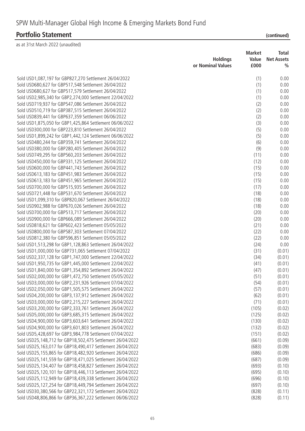# SPW Multi-Manager Global High Income & Emerging Markets Bond Fund

## **Portfolio Statement (continued)**

|                                                                | <b>Holdings</b><br>or Nominal Values | <b>Market</b><br>Value<br>£000 | <b>Total</b><br><b>Net Assets</b><br>$\frac{0}{0}$ |
|----------------------------------------------------------------|--------------------------------------|--------------------------------|----------------------------------------------------|
| Sold USD1,087,197 for GBP827,270 Settlement 26/04/2022         |                                      | (1)                            | 0.00                                               |
| Sold USD680,627 for GBP517,548 Settlement 26/04/2022           |                                      | (1)                            | 0.00                                               |
| Sold USD680,627 for GBP517,579 Settlement 26/04/2022           |                                      | (1)                            | 0.00                                               |
| Sold USD2,985,340 for GBP2,274,000 Settlement 22/04/2022       |                                      | (1)                            | 0.00                                               |
| Sold USD719,937 for GBP547,086 Settlement 26/04/2022           |                                      | (2)                            | 0.00                                               |
| Sold USD510,719 for GBP387,515 Settlement 26/04/2022           |                                      | (2)                            | 0.00                                               |
| Sold USD839,441 for GBP637,359 Settlement 06/06/2022           |                                      | (2)                            | 0.00                                               |
| Sold USD1,875,050 for GBP1,425,864 Settlement 06/06/2022       |                                      | (3)                            | 0.00                                               |
| Sold USD300,000 for GBP223,810 Settlement 26/04/2022           |                                      | (5)                            | 0.00                                               |
| Sold USD1,899,242 for GBP1,442,124 Settlement 06/06/2022       |                                      | (5)                            | 0.00                                               |
| Sold USD480,244 for GBP359,741 Settlement 26/04/2022           |                                      | (6)                            | 0.00                                               |
| Sold USD380,000 for GBP280,405 Settlement 26/04/2022           |                                      | (9)                            | 0.00                                               |
| Sold USD749,295 for GBP560,203 Settlement 26/04/2022           |                                      | (11)                           | 0.00                                               |
| Sold USD450,000 for GBP331,125 Settlement 26/04/2022           |                                      | (12)                           | 0.00                                               |
| Sold USD600,000 for GBP441,743 Settlement 26/04/2022           |                                      | (15)                           | 0.00                                               |
| Sold USD613,183 for GBP451,983 Settlement 26/04/2022           |                                      | (15)                           | 0.00                                               |
| Sold USD613,183 for GBP451,965 Settlement 26/04/2022           |                                      | (15)                           | 0.00                                               |
| Sold USD700,000 for GBP515,935 Settlement 26/04/2022           |                                      | (17)                           | 0.00                                               |
| Sold USD721,448 for GBP531,670 Settlement 26/04/2022           |                                      | (18)                           | 0.00                                               |
| Sold USD1,099,310 for GBP820,067 Settlement 26/04/2022         |                                      | (18)                           | 0.00                                               |
| Sold USD902,988 for GBP670,026 Settlement 26/04/2022           |                                      | (18)                           | 0.00                                               |
| Sold USD700,000 for GBP513,717 Settlement 26/04/2022           |                                      | (20)                           | 0.00                                               |
| Sold USD900,000 for GBP666,089 Settlement 26/04/2022           |                                      | (20)                           | 0.00                                               |
| Sold USD818,621 for GBP602,423 Settlement 05/05/2022           |                                      | (21)                           | 0.00                                               |
| Sold USD800,000 for GBP587,303 Settlement 07/04/2022           |                                      | (22)                           | 0.00                                               |
| Sold USD812,380 for GBP596,851 Settlement 05/05/2022           |                                      | (22)                           | 0.00                                               |
| Sold USD1,513,298 for GBP1,128,863 Settlement 26/04/2022       |                                      | (24)                           | 0.00                                               |
| Sold USD1,000,000 for GBP731,065 Settlement 07/04/2022         |                                      | (31)                           | (0.01)                                             |
| Sold USD2,337,128 for GBP1,747,000 Settlement 22/04/2022       |                                      | (34)                           | (0.01)                                             |
| Sold USD1,950,735 for GBP1,445,000 Settlement 22/04/2022       |                                      | (41)                           | (0.01)                                             |
| Sold USD1,840,000 for GBP1,354,892 Settlement 26/04/2022       |                                      | (47)                           | (0.01)                                             |
| Sold USD2,000,000 for GBP1,472,750 Settlement 05/05/2022       |                                      | (51)                           | (0.01)                                             |
| Sold USD3,000,000 for GBP2,231,926 Settlement 07/04/2022       |                                      | (54)                           | (0.01)                                             |
| Sold USD2,050,000 for GBP1,505,575 Settlement 26/04/2022       |                                      | (57)                           | (0.01)                                             |
| Sold USD4,200,000 for GBP3,137,912 Settlement 26/04/2022       |                                      | (62)                           | (0.01)                                             |
| Sold USD3,000,000 for GBP2,215,227 Settlement 26/04/2022       |                                      | (71)                           | (0.01)                                             |
| Sold USD3,200,000 for GBP2,333,761 Settlement 26/04/2022       |                                      | (105)                          | (0.02)                                             |
| Sold USD5,000,000 for GBP3,685,315 Settlement 26/04/2022       |                                      | (125)                          | (0.02)                                             |
| Sold USD4,900,000 for GBP3,603,641 Settlement 26/04/2022       |                                      | (130)                          | (0.02)                                             |
| Sold USD4,900,000 for GBP3,601,803 Settlement 26/04/2022       |                                      | (132)                          | (0.02)                                             |
| Sold USD5,428,697 for GBP3,984,778 Settlement 07/04/2022       |                                      | (151)                          | (0.02)                                             |
| Sold USD25,148,712 for GBP18,502,475 Settlement 26/04/2022     |                                      | (661)                          | (0.09)                                             |
| Sold USD25, 163, 017 for GBP18, 490, 417 Settlement 26/04/2022 |                                      | (683)                          | (0.09)                                             |
| Sold USD25, 155, 865 for GBP18, 482, 920 Settlement 26/04/2022 |                                      | (686)                          | (0.09)                                             |
| Sold USD25,141,559 for GBP18,471,025 Settlement 26/04/2022     |                                      | (687)                          | (0.09)                                             |
| Sold USD25, 134, 407 for GBP18, 458, 827 Settlement 26/04/2022 |                                      | (693)                          | (0.10)                                             |
| Sold USD25, 120, 101 for GBP18, 446, 113 Settlement 26/04/2022 |                                      | (695)                          | (0.10)                                             |
| Sold USD25, 112, 949 for GBP18, 439, 338 Settlement 26/04/2022 |                                      | (696)                          | (0.10)                                             |
| Sold USD25,127,254 for GBP18,449,794 Settlement 26/04/2022     |                                      | (697)                          | (0.10)                                             |
| Sold USD30,380,566 for GBP22,321,172 Settlement 26/04/2022     |                                      | (828)                          | (0.11)                                             |
| Sold USD48,806,866 for GBP36,367,222 Settlement 06/06/2022     |                                      | (828)                          | (0.11)                                             |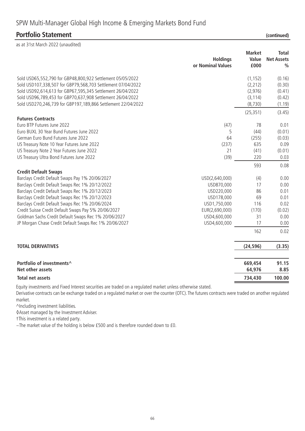### SPW Multi-Manager Global High Income & Emerging Markets Bond Fund

#### **Portfolio Statement (continued)**

| as at 31st March 2022 (unaudited)                                                                            |                                      |                                |                                                    |
|--------------------------------------------------------------------------------------------------------------|--------------------------------------|--------------------------------|----------------------------------------------------|
|                                                                                                              | <b>Holdings</b><br>or Nominal Values | <b>Market</b><br>Value<br>£000 | <b>Total</b><br><b>Net Assets</b><br>$\frac{0}{0}$ |
| Sold USD65,552,790 for GBP48,800,922 Settlement 05/05/2022                                                   |                                      | (1, 152)                       | (0.16)                                             |
| Sold USD107,338,507 for GBP79,568,703 Settlement 07/04/2022                                                  |                                      | (2, 212)                       | (0.30)                                             |
| Sold USD92,614,613 for GBP67,595,345 Settlement 26/04/2022                                                   |                                      | (2,976)                        | (0.41)                                             |
| Sold USD96,789,453 for GBP70,637,908 Settlement 26/04/2022                                                   |                                      | (3, 114)                       | (0.42)                                             |
| Sold USD270,246,739 for GBP197,189,866 Settlement 22/04/2022                                                 |                                      | (8,730)                        | (1.19)                                             |
|                                                                                                              |                                      | (25, 351)                      | (3.45)                                             |
| <b>Futures Contracts</b>                                                                                     |                                      |                                |                                                    |
| Euro BTP Futures June 2022                                                                                   | (47)                                 | 78                             | 0.01                                               |
| Euro BUXL 30 Year Bund Futures June 2022                                                                     | 5                                    | (44)                           | (0.01)                                             |
| German Euro Bund Futures June 2022                                                                           | 64                                   | (255)                          | (0.03)                                             |
| US Treasury Note 10 Year Futures June 2022                                                                   | (237)                                | 635                            | 0.09                                               |
| US Treasury Note 2 Year Futures June 2022                                                                    | 21                                   | (41)                           | (0.01)                                             |
| US Treasury Ultra Bond Futures June 2022                                                                     | (39)                                 | 220                            | 0.03                                               |
|                                                                                                              |                                      | 593                            | 0.08                                               |
| <b>Credit Default Swaps</b>                                                                                  |                                      |                                |                                                    |
| Barclays Credit Default Swaps Pay 1% 20/06/2027                                                              | USD(2,640,000)                       | (4)                            | 0.00                                               |
| Barclays Credit Default Swaps Rec 1% 20/12/2022                                                              | USD870,000                           | 17                             | 0.00                                               |
| Barclays Credit Default Swaps Rec 1% 20/12/2023                                                              | USD220,000                           | 86                             | 0.01                                               |
| Barclays Credit Default Swaps Rec 1% 20/12/2023                                                              | USD178,000                           | 69                             | 0.01                                               |
| Barclays Credit Default Swaps Rec 1% 20/06/2024                                                              | USD1,750,000                         | 116                            | 0.02                                               |
| Credit Suisse Credit Default Swaps Pay 5% 20/06/2027<br>Goldman Sachs Credit Default Swaps Rec 1% 20/06/2027 | EUR(2,690,000)<br>USD4,600,000       | (170)<br>31                    | (0.02)<br>0.00                                     |
| JP Morgan Chase Credit Default Swaps Rec 1% 20/06/2027                                                       | USD4,600,000                         | 17                             | 0.00                                               |
|                                                                                                              |                                      |                                |                                                    |
|                                                                                                              |                                      | 162                            | 0.02                                               |
| <b>TOTAL DERIVATIVES</b>                                                                                     |                                      | (24, 596)                      | (3.35)                                             |
| Portfolio of investments^                                                                                    |                                      | 669,454                        | 91.15                                              |
| Net other assets                                                                                             |                                      | 64,976                         | 8.85                                               |
| Total net assets                                                                                             |                                      | 734,430                        | 100.00                                             |

Equity investments and Fixed Interest securities are traded on a regulated market unless otherwise stated.

Derivative contracts can be exchange traded on a regulated market or over the counter (OTC). The futures contracts were traded on another regulated market.

^Including investment liabilities.

◊Asset managed by the Investment Adviser.

†This investment is a related party.

~The market value of the holding is below £500 and is therefore rounded down to £0.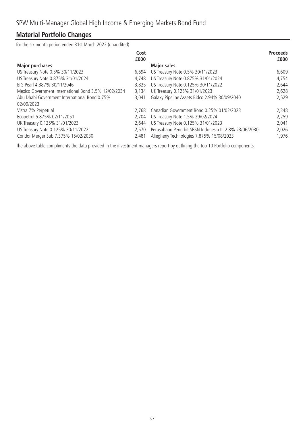### **Material Portfolio Changes**

for the six month period ended 31st March 2022 (unaudited)

|                                                      | Cost<br>£000 |                                                        | <b>Proceeds</b><br>£000 |
|------------------------------------------------------|--------------|--------------------------------------------------------|-------------------------|
| <b>Major purchases</b>                               |              | <b>Major sales</b>                                     |                         |
| US Treasury Note 0.5% 30/11/2023                     | 6,694        | US Treasury Note 0.5% 30/11/2023                       | 6,609                   |
| US Treasury Note 0.875% 31/01/2024                   | 4,748        | US Treasury Note 0.875% 31/01/2024                     | 4,754                   |
| EIG Pearl 4.387% 30/11/2046                          | 3,825        | US Treasury Note 0.125% 30/11/2022                     | 2,644                   |
| Mexico Government International Bond 3.5% 12/02/2034 | 3,134        | UK Treasury 0.125% 31/01/2023                          | 2,628                   |
| Abu Dhabi Government International Bond 0.75%        | 3.041        | Galaxy Pipeline Assets Bidco 2.94% 30/09/2040          | 2,529                   |
| 02/09/2023                                           |              |                                                        |                         |
| Vistra 7% Perpetual                                  | 2.768        | Canadian Government Bond 0.25% 01/02/2023              | 2,348                   |
| Ecopetrol 5.875% 02/11/2051                          | 2,704        | US Treasury Note 1.5% 29/02/2024                       | 2,259                   |
| UK Treasury 0.125% 31/01/2023                        | 2.644        | US Treasury Note 0.125% 31/01/2023                     | 2,041                   |
| US Treasury Note 0.125% 30/11/2022                   | 2.570        | Perusahaan Penerbit SBSN Indonesia III 2.8% 23/06/2030 | 2,026                   |
| Condor Merger Sub 7.375% 15/02/2030                  | 2.481        | Allegheny Technologies 7.875% 15/08/2023               | 1,976                   |

The above table compliments the data provided in the investment managers report by outlining the top 10 Portfolio components.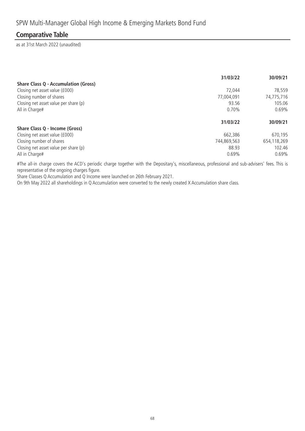### **Comparative Table**

as at 31st March 2022 (unaudited)

|                                             | 31/03/22    | 30/09/21    |
|---------------------------------------------|-------------|-------------|
| <b>Share Class Q - Accumulation (Gross)</b> |             |             |
| Closing net asset value (£000)              | 72.044      | 78,559      |
| Closing number of shares                    | 77,004,091  | 74,775,716  |
| Closing net asset value per share (p)       | 93.56       | 105.06      |
| All in Charge#                              | 0.70%       | 0.69%       |
|                                             | 31/03/22    | 30/09/21    |
|                                             |             |             |
| Share Class Q - Income (Gross)              |             |             |
| Closing net asset value (£000)              | 662,386     | 670,195     |
| Closing number of shares                    | 744,869,563 | 654,118,269 |
| Closing net asset value per share (p)       | 88.93       | 102.46      |

#The all-in charge covers the ACD's periodic charge together with the Depositary's, miscellaneous, professional and sub-advisers' fees. This is representative of the ongoing charges figure.

Share Classes Q Accumulation and Q Income were launched on 26th February 2021.

On 9th May 2022 all shareholdings in Q Accumulation were converted to the newly created X Accumulation share class.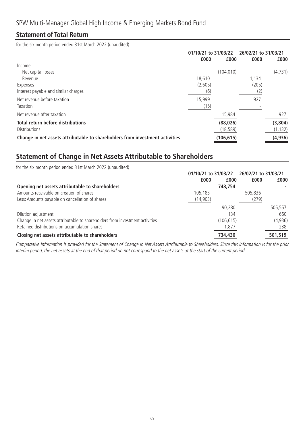### **Statement of Total Return**

for the six month period ended 31st March 2022 (unaudited)

|                                                                              | 01/10/21 to 31/03/22 |            | 26/02/21 to 31/03/21 |          |
|------------------------------------------------------------------------------|----------------------|------------|----------------------|----------|
|                                                                              | £000                 | £000       | £000                 | £000     |
| Income                                                                       |                      |            |                      |          |
| Net capital losses                                                           |                      | (104, 010) |                      | (4, 731) |
| Revenue                                                                      | 18.610               |            | 1,134                |          |
| Expenses                                                                     | (2,605)              |            | (205)                |          |
| Interest payable and similar charges                                         | (6)                  |            | (2)                  |          |
| Net revenue before taxation                                                  | 15,999               |            | 927                  |          |
| Taxation                                                                     | (15)                 |            |                      |          |
| Net revenue after taxation                                                   |                      | 15,984     |                      | 927      |
| <b>Total return before distributions</b>                                     |                      | (88, 026)  |                      | (3,804)  |
| <b>Distributions</b>                                                         |                      | (18, 589)  |                      | (1, 132) |
| Change in net assets attributable to shareholders from investment activities |                      | (106, 615) |                      | (4, 936) |

### **Statement of Change in Net Assets Attributable to Shareholders**

| for the six month period ended 31st March 2022 (unaudited)                   |                      |            |                      |         |
|------------------------------------------------------------------------------|----------------------|------------|----------------------|---------|
|                                                                              | 01/10/21 to 31/03/22 |            | 26/02/21 to 31/03/21 |         |
|                                                                              | £000                 | £000       | £000                 | £000    |
| Opening net assets attributable to shareholders                              |                      | 748,754    |                      |         |
| Amounts receivable on creation of shares                                     | 105,183              |            | 505,836              |         |
| Less: Amounts payable on cancellation of shares                              | (14, 903)            |            | (279)                |         |
|                                                                              |                      | 90.280     |                      | 505,557 |
| Dilution adjustment                                                          |                      | 134        |                      | 660     |
| Change in net assets attributable to shareholders from investment activities |                      | (106, 615) |                      | (4,936) |
| Retained distributions on accumulation shares                                |                      | 1,877      |                      | 238     |
| Closing net assets attributable to shareholders                              |                      | 734,430    |                      | 501,519 |

Comparative information is provided for the Statement of Change in Net Assets Attributable to Shareholders. Since this information is for the prior interim period, the net assets at the end of that period do not correspond to the net assets at the start of the current period.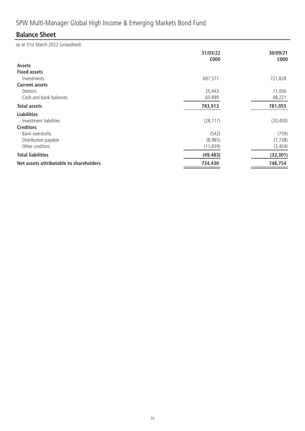# SPW Multi-Manager Global High Income & Emerging Markets Bond Fund

### **Balance Sheet**

|                                         | 31/03/22  | 30/09/21  |
|-----------------------------------------|-----------|-----------|
| <b>Assets</b>                           | £000      | £000      |
| <b>Fixed assets</b>                     |           |           |
| Investments                             | 697,571   | 721,828   |
| <b>Current assets</b>                   |           |           |
| Debtors                                 | 25,443    | 11,006    |
| Cash and bank balances                  | 60,899    | 48,221    |
| <b>Total assets</b>                     | 783,913   | 781,055   |
| <b>Liabilities</b>                      |           |           |
| Investment liabilities                  | (28, 117) | (20, 400) |
| <b>Creditors</b>                        |           |           |
| Bank overdrafts                         | (542)     | (759)     |
| Distribution payable                    | (8,985)   | (7, 738)  |
| Other creditors                         | (11, 839) | (3, 404)  |
| <b>Total liabilities</b>                | (49, 483) | (32, 301) |
| Net assets attributable to shareholders | 734,430   | 748,754   |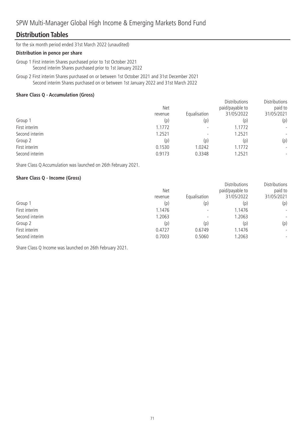### **Distribution Tables**

for the six month period ended 31st March 2022 (unaudited)

#### **Distribution in pence per share**

- Group 1 First interim Shares purchased prior to 1st October 2021 Second interim Shares purchased prior to 1st January 2022
- Group 2 First interim Shares purchased on or between 1st October 2021 and 31st December 2021 Second interim Shares purchased on or between 1st January 2022 and 31st March 2022

#### **Share Class Q - Accumulation (Gross)**

|                | <b>Net</b> |                          | <b>Distributions</b><br>paid/payable to | Distributions<br>paid to |
|----------------|------------|--------------------------|-----------------------------------------|--------------------------|
|                | revenue    | Equalisation             | 31/05/2022                              | 31/05/2021               |
| Group 1        | (p)        | (p)                      | (p)                                     | (p)                      |
| First interim  | 1.1772     | $\overline{\phantom{0}}$ | 1.1772                                  | $\overline{\phantom{a}}$ |
| Second interim | 1.2521     | $\overline{\phantom{0}}$ | 1.2521                                  | $\overline{\phantom{a}}$ |
| Group 2        | (p)        | (p)                      | (p)                                     | (p)                      |
| First interim  | 0.1530     | 1.0242                   | .1772                                   | $\overline{\phantom{a}}$ |
| Second interim | 0.9173     | 0.3348                   | .2521                                   | $\overline{\phantom{a}}$ |

Share Class Q Accumulation was launched on 26th February 2021.

#### **Share Class Q - Income (Gross)**

|                | <b>Net</b><br>revenue | Equalisation             | <b>Distributions</b><br>paid/payable to<br>31/05/2022 | Distributions<br>paid to<br>31/05/2021 |
|----------------|-----------------------|--------------------------|-------------------------------------------------------|----------------------------------------|
| Group 1        | (p)                   | (p)                      | (p)                                                   | (p)                                    |
| First interim  | 1.1476                |                          | 1.1476                                                | $\overline{\phantom{a}}$               |
| Second interim | 1.2063                | $\overline{\phantom{0}}$ | 1.2063                                                | $\overline{\phantom{a}}$               |
| Group 2        | (p)                   | (p)                      | (p)                                                   | (p)                                    |
| First interim  | 0.4727                | 0.6749                   | 1.1476                                                | $\overline{\phantom{a}}$               |
| Second interim | 0.7003                | 0.5060                   | 1.2063                                                | $\overline{\phantom{a}}$               |

Share Class Q Income was launched on 26th February 2021.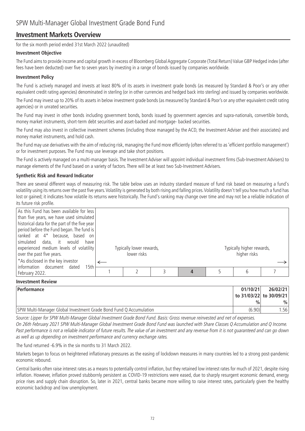### **Investment Markets Overview**

for the six month period ended 31st March 2022 (unaudited)

#### **Investment Objective**

The Fund aims to provide income and capital growth in excess of Bloomberg Global Aggregate Corporate (Total Return) Value GBP Hedged index (after fees have been deducted) over five to seven years by investing in a range of bonds issued by companies worldwide.

#### **Investment Policy**

The Fund is actively managed and invests at least 80% of its assets in investment grade bonds (as measured by Standard & Poor's or any other equivalent credit rating agencies) denominated in sterling (or in other currencies and hedged back into sterling) and issued by companies worldwide.

The Fund may invest up to 20% of its assets in below investment grade bonds (as measured by Standard & Poor's or any other equivalent credit rating agencies) or in unrated securities.

The Fund may invest in other bonds including government bonds, bonds issued by government agencies and supra-nationals, convertible bonds, money market instruments, short-term debt securities and asset-backed and mortgage- backed securities.

The Fund may also invest in collective investment schemes (including those managed by the ACD, the Investment Adviser and their associates) and money market instruments, and hold cash.

The Fund may use derivatives with the aim of reducing risk, managing the Fund more efficiently (often referred to as 'efficient portfolio management') or for investment purposes. The Fund may use leverage and take short positions.

The Fund is actively managed on a multi-manager basis. The Investment Adviser will appoint individual investment firms (Sub-Investment Advisers) to manage elements of the Fund based on a variety of factors. There will be at least two Sub-Investment Advisers.

#### **Synthetic Risk and Reward Indicator**

There are several different ways of measuring risk. The table below uses an industry standard measure of fund risk based on measuring a fund's volatility using its returns over the past five years.Volatility is generated by both rising and falling prices.Volatility doesn't tell you how much a fund has lost or gained; it indicates how volatile its returns were historically. The Fund's ranking may change over time and may not be a reliable indication of its future risk profile.

| As this Fund has been available for less<br>than five years, we have used simulated<br>historical data for the part of the five year<br>period before the Fund began. The fund is<br>ranked at 4 <sup>*</sup> because, based on<br>simulated data, it would<br>have<br>experienced medium levels of volatility<br>over the past five years. | Typically lower rewards,<br>lower risks |  | Typically higher rewards,<br>higher risks |  |
|---------------------------------------------------------------------------------------------------------------------------------------------------------------------------------------------------------------------------------------------------------------------------------------------------------------------------------------------|-----------------------------------------|--|-------------------------------------------|--|
| *As disclosed in the key investor                                                                                                                                                                                                                                                                                                           |                                         |  |                                           |  |
| Information document dated<br>15th<br>February 2022.                                                                                                                                                                                                                                                                                        |                                         |  | 6                                         |  |

#### **Investment Review**

| <b>Performance</b>                                                 | 01/10/21      | 26/02/21                |
|--------------------------------------------------------------------|---------------|-------------------------|
|                                                                    |               | to 31/03/22 to 30/09/21 |
|                                                                    | $\frac{0}{0}$ | $\%$                    |
| SPW Multi-Manager Global Investment Grade Bond Fund Q Accumulation | (6.90)        | .56                     |

Source: Lipper for SPW Multi-Manager Global Investment Grade Bond Fund. Basis: Gross revenue reinvested and net of expenses. On 26th February 2021 SPW Multi-Manager Global Investment Grade Bond Fund was launched with Share Classes Q Accumulation and Q Income. Past performance is not a reliable indicator of future results. The value of an investment and any revenue from it is not guaranteed and can go down as well as up depending on investment performance and currency exchange rates.

The fund returned -6.9% in the six months to 31 March 2022.

Markets began to focus on heightened inflationary pressures as the easing of lockdown measures in many countries led to a strong post-pandemic economic rebound.

Central banks often raise interest rates as a means to potentially control inflation, but they retained low interest rates for much of 2021, despite rising inflation. However, inflation proved stubbornly persistent as COVID-19 restrictions were eased, due to sharply resurgent economic demand, energy price rises and supply chain disruption. So, later in 2021, central banks became more willing to raise interest rates, particularly given the healthy economic backdrop and low unemployment.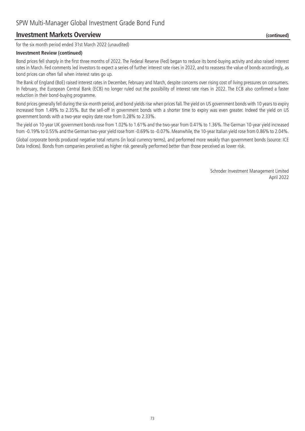### **Investment Markets Overview (continued)**

for the six month period ended 31st March 2022 (unaudited)

#### **Investment Review (continued)**

Bond prices fell sharply in the first three months of 2022. The Federal Reserve (Fed) began to reduce its bond-buying activity and also raised interest rates in March. Fed comments led investors to expect a series of further interest rate rises in 2022, and to reassess the value of bonds accordingly, as bond prices can often fall when interest rates go up.

The Bank of England (BoE) raised interest rates in December, February and March, despite concerns over rising cost of living pressures on consumers. In February, the European Central Bank (ECB) no longer ruled out the possibility of interest rate rises in 2022. The ECB also confirmed a faster reduction in their bond-buying programme.

Bond prices generally fell during the six-month period, and bond yields rise when prices fall. The yield on US government bonds with 10 years to expiry increased from 1.49% to 2.35%. But the sell-off in government bonds with a shorter time to expiry was even greater. Indeed the yield on US government bonds with a two-year expiry date rose from 0.28% to 2.33%.

The yield on 10-year UK government bonds rose from 1.02% to 1.61% and the two-year from 0.41% to 1.36%. The German 10-year yield increased from -0.19% to 0.55% and the German two-year yield rose from -0.69% to -0.07%. Meanwhile, the 10-year Italian yield rose from 0.86% to 2.04%.

Global corporate bonds produced negative total returns (in local currency terms), and performed more weakly than government bonds (source: ICE Data Indices). Bonds from companies perceived as higher risk generally performed better than those perceived as lower risk.

> Schroder Investment Management Limited April 2022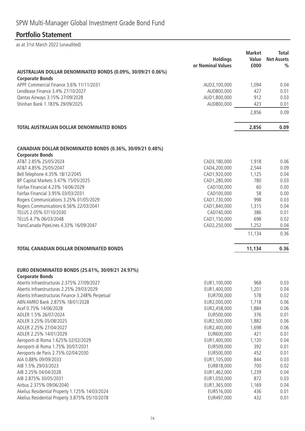# SPW Multi-Manager Global Investment Grade Bond Fund

# **Portfolio Statement**

|                                                                                       | <b>Holdings</b><br>or Nominal Values | <b>Market</b><br>Value<br>£000 | <b>Total</b><br><b>Net Assets</b><br>$\frac{0}{0}$ |
|---------------------------------------------------------------------------------------|--------------------------------------|--------------------------------|----------------------------------------------------|
| AUSTRALIAN DOLLAR DENOMINATED BONDS (0.09%, 30/09/21 0.06%)<br><b>Corporate Bonds</b> |                                      |                                |                                                    |
| APPF Commercial Finance 3.6% 11/11/2031                                               | AUD2,100,000                         | 1,094                          | 0.04                                               |
| Lendlease Finance 3.4% 27/10/2027                                                     | AUD800,000                           | 427                            | 0.01                                               |
| Qantas Airways 3.15% 27/09/2028                                                       | AUD1,800,000                         | 912                            | 0.03                                               |
| Shinhan Bank 1.183% 29/09/2025                                                        | AUD800,000                           | 423                            | 0.01                                               |
|                                                                                       |                                      | 2,856                          | 0.09                                               |
| TOTAL AUSTRALIAN DOLLAR DENOMINATED BONDS                                             |                                      | 2,856                          | 0.09                                               |
|                                                                                       |                                      |                                |                                                    |
| CANADIAN DOLLAR DENOMINATED BONDS (0.36%, 30/09/21 0.48%)<br><b>Corporate Bonds</b>   |                                      |                                |                                                    |
| AT&T 2.85% 25/05/2024                                                                 | CAD3,180,000                         | 1,918                          | 0.06                                               |
| AT&T 4.85% 25/05/2047                                                                 | CAD4,200,000                         | 2,544                          | 0.09                                               |
| Bell Telephone 4.35% 18/12/2045                                                       | CAD1,920,000                         | 1,125                          | 0.04                                               |
| BP Capital Markets 3.47% 15/05/2025                                                   | CAD1,280,000                         | 780                            | 0.03                                               |
| Fairfax Financial 4.23% 14/06/2029                                                    | CAD100,000                           | 60                             | 0.00                                               |
| Fairfax Financial 3.95% 03/03/2031                                                    | CAD100,000                           | 58                             | 0.00                                               |
| Rogers Communications 3.25% 01/05/2029                                                | CAD1,730,000                         | 998                            | 0.03                                               |
| Rogers Communications 6.56% 22/03/2041                                                | CAD1,840,000                         | 1,315                          | 0.04                                               |
| TELUS 2.05% 07/10/2030                                                                | CAD740,000                           | 386                            | 0.01                                               |
| TELUS 4.7% 06/03/2048                                                                 | CAD1,150,000                         | 698                            | 0.02                                               |
| TransCanada PipeLines 4.33% 16/09/2047                                                | CAD2,250,000                         | 1,252                          | 0.04                                               |
|                                                                                       |                                      | 11,134                         | 0.36                                               |
| <b>TOTAL CANADIAN DOLLAR DENOMINATED BONDS</b>                                        |                                      | 11,134                         | 0.36                                               |
| EURO DENOMINATED BONDS (25.61%, 30/09/21 24.97%)                                      |                                      |                                |                                                    |
| <b>Corporate Bonds</b>                                                                |                                      |                                |                                                    |
| Abertis Infraestructuras 2.375% 27/09/2027                                            | EUR1,100,000                         | 968                            | 0.03                                               |
| Abertis Infraestructuras 2.25% 29/03/2029                                             | EUR1,400,000                         | 1,201                          | 0.04                                               |
| Abertis Infraestructuras Finance 3.248% Perpetual                                     | EUR700,000                           | 578                            | 0.02                                               |
| ABN AMRO Bank 2.875% 18/01/2028                                                       | EUR2,000,000                         | 1,718                          | 0.06                                               |
| Acef 0.75% 14/06/2028                                                                 | EUR2,458,000                         | 1,884<br>376                   | 0.06                                               |
| ADLER 1.5% 26/07/2024<br>ADLER 3.25% 05/08/2025                                       | EUR500,000<br>EUR2,500,000           | 1,882                          | 0.01<br>0.06                                       |
| ADLER 2.25% 27/04/2027                                                                | EUR2,400,000                         | 1,698                          | 0.06                                               |
| ADLER 2.25% 14/01/2029                                                                | EUR600,000                           | 421                            | 0.01                                               |
| Aeroporti di Roma 1.625% 02/02/2029                                                   | EUR1,400,000                         | 1,120                          | 0.04                                               |
| Aeroporti di Roma 1.75% 30/07/2031                                                    | EUR509,000                           | 392                            | 0.01                                               |
| Aeroports de Paris 2.75% 02/04/2030                                                   | EUR500,000                           | 452                            | 0.01                                               |
| AIA 0.88% 09/09/2033                                                                  | EUR1,105,000                         | 844                            | 0.03                                               |
| AIB 1.5% 29/03/2023                                                                   | EUR818,000                           | 700                            | 0.02                                               |
| AIB 2.25% 04/04/2028                                                                  | EUR1,462,000                         | 1,239                          | 0.04                                               |
| AIB 2.875% 30/05/2031                                                                 | EUR1,050,000                         | 872                            | 0.03                                               |
| Airbus 2.375% 09/06/2040                                                              | EUR1,365,000                         | 1,169                          | 0.04                                               |
| Akelius Residential Property 1.125% 14/03/2024                                        | EUR516,000                           | 436                            | 0.01                                               |
| Akelius Residential Property 3.875% 05/10/2078                                        | EUR497,000                           | 432                            | 0.01                                               |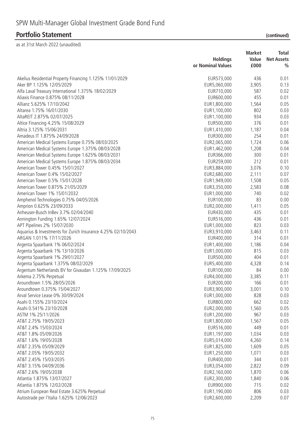|                                                              |                   | <b>Market</b> | Total             |
|--------------------------------------------------------------|-------------------|---------------|-------------------|
|                                                              | <b>Holdings</b>   | Value         | <b>Net Assets</b> |
|                                                              | or Nominal Values | £000          | $\frac{0}{0}$     |
| Akelius Residential Property Financing 1.125% 11/01/2029     | EUR573,000        | 436           | 0.01              |
| Aker BP 1.125% 12/05/2029                                    | EUR5,060,000      | 3,905         | 0.13              |
| Alfa Laval Treasury International 1.375% 18/02/2029          | EUR710,000        | 587           | 0.02              |
| Aliaxis Finance 0.875% 08/11/2028                            | EUR600,000        | 455           | 0.01              |
| Allianz 5.625% 17/10/2042                                    | EUR1,800,000      | 1,564         | 0.05              |
| Altarea 1.75% 16/01/2030                                     | EUR1,100,000      | 802           | 0.03              |
| AltaREIT 2.875% 02/07/2025                                   | EUR1,100,000      | 934           | 0.03              |
| Altice Financing 4.25% 15/08/2029                            | EUR500,000        | 376           | 0.01              |
| Altria 3.125% 15/06/2031                                     | EUR1,410,000      | 1,187         | 0.04              |
| Amadeus IT 1.875% 24/09/2028                                 | EUR300,000        | 254           | 0.01              |
| American Medical Systems Europe 0.75% 08/03/2025             | EUR2,065,000      | 1,724         | 0.06              |
| American Medical Systems Europe 1.375% 08/03/2028            | EUR1,462,000      | 1,208         | 0.04              |
| American Medical Systems Europe 1.625% 08/03/2031            | EUR366,000        | 300           | 0.01              |
| American Medical Systems Europe 1.875% 08/03/2034            | EUR259,000        | 212           | 0.01              |
| American Tower 0.45% 15/01/2027                              | EUR3,884,000      | 3,076         | 0.10              |
| American Tower 0.4% 15/02/2027                               | EUR2,680,000      | 2,111         | 0.07              |
| American Tower 0.5% 15/01/2028                               | EUR1,949,000      | 1,508         | 0.05              |
| American Tower 0.875% 21/05/2029                             | EUR3,350,000      | 2,583         | 0.08              |
| American Tower 1% 15/01/2032                                 | EUR1,000,000      | 740           | 0.02              |
| Amphenol Technologies 0.75% 04/05/2026                       | EUR100,000        | 83            | 0.00              |
| Amprion 0.625% 23/09/2033                                    | EUR2,000,000      | 1,411         | 0.05              |
| Anheuser-Busch InBev 3.7% 02/04/2040                         | EUR430,000        | 435           | 0.01              |
| Annington Funding 1.65% 12/07/2024                           | EUR516,000        | 436           | 0.01              |
| APT Pipelines 2% 15/07/2030                                  | EUR1,000,000      | 823           | 0.03              |
| Aquarius & Investments for Zurich Insurance 4.25% 02/10/2043 | EUR3,910,000      | 3,463         | 0.11              |
| ARGAN 1.011% 17/11/2026                                      | EUR400,000        | 314           | 0.01              |
| Argenta Spaarbank 1% 06/02/2024                              | EUR1,400,000      | 1,186         | 0.04              |
| Argenta Spaarbank 1% 13/10/2026                              | EUR1,000,000      | 815           | 0.03              |
| Argenta Spaarbank 1% 29/01/2027                              | EUR500,000        | 404           | 0.01              |
| Argenta Spaarbank 1.375% 08/02/2029                          | EUR5,400,000      | 4,328         | 0.14              |
| Argentum Netherlands BV for Givaudan 1.125% 17/09/2025       | EUR100,000        | 84            | 0.00              |
| Arkema 2.75% Perpetual                                       | EUR4,000,000      | 3,385         | 0.11              |
| Aroundtown 1.5% 28/05/2026                                   | EUR200,000        | 166           | 0.01              |
| Aroundtown 0.375% 15/04/2027                                 | EUR3,900,000      | 3,001         | 0.10              |
| Arval Service Lease 0% 30/09/2024                            | EUR1,000,000      | 828           | 0.03              |
| Asahi 0.155% 23/10/2024                                      | EUR800,000        | 662           | 0.02              |
| Asahi 0.541% 23/10/2028                                      | EUR2,000,000      | 1,560         | 0.05              |
| ASTM 1% 25/11/2026                                           | EUR1,200,000      | 967           | 0.03              |
| AT&T 2.75% 19/05/2023                                        | EUR1,800,000      | 1,567         | 0.05              |
| AT&T 2.4% 15/03/2024                                         | EUR516,000        | 449           | 0.01              |
| AT&T 1.8% 05/09/2026                                         | EUR1,197,000      | 1,034         | 0.03              |
| AT&T 1.6% 19/05/2028                                         | EUR5,014,000      | 4,260         | 0.14              |
| AT&T 2.35% 05/09/2029                                        | EUR1,825,000      | 1,609         | 0.05              |
| AT&T 2.05% 19/05/2032                                        | EUR1,250,000      | 1,071         | 0.03              |
| AT&T 2.45% 15/03/2035                                        | EUR400,000        | 344           | 0.01              |
| AT&T 3.15% 04/09/2036                                        | EUR3,054,000      | 2,822         | 0.09              |
| AT&T 2.6% 19/05/2038                                         | EUR2,160,000      | 1,870         | 0.06              |
| Atlantia 1.875% 13/07/2027                                   | EUR2,300,000      | 1,840         | 0.06              |
| Atlantia 1.875% 12/02/2028                                   | EUR900,000        | 715           | 0.02              |
| Atrium European Real Estate 3.625% Perpetual                 | EUR1,190,000      | 806           | 0.03              |
| Autostrade per l'Italia 1.625% 12/06/2023                    | EUR2,600,000      | 2,209         | 0.07              |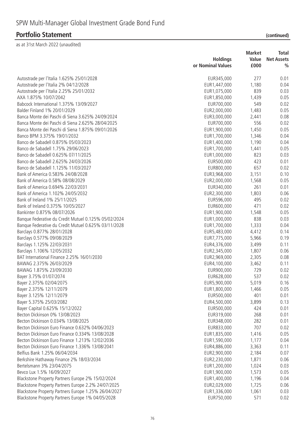|                                                      |                   | <b>Market</b> | Total             |
|------------------------------------------------------|-------------------|---------------|-------------------|
|                                                      | <b>Holdings</b>   | Value         | <b>Net Assets</b> |
|                                                      | or Nominal Values | £000          | $\frac{0}{0}$     |
| Autostrade per l'Italia 1.625% 25/01/2028            | EUR345,000        | 277           | 0.01              |
| Autostrade per l'Italia 2% 04/12/2028                | EUR1,447,000      | 1,180         | 0.04              |
| Autostrade per l'Italia 2.25% 25/01/2032             | EUR1,075,000      | 839           | 0.03              |
| AXA 1.875% 10/07/2042                                | EUR1,850,000      | 1,439         | 0.05              |
| Babcock International 1.375% 13/09/2027              | EUR700,000        | 549           | 0.02              |
| Balder Finland 1% 20/01/2029                         | EUR2,000,000      | 1,483         | 0.05              |
| Banca Monte dei Paschi di Siena 3.625% 24/09/2024    | EUR3,000,000      | 2,441         | 0.08              |
| Banca Monte dei Paschi di Siena 2.625% 28/04/2025    | EUR700,000        | 556           | 0.02              |
| Banca Monte dei Paschi di Siena 1.875% 09/01/2026    | EUR1,900,000      | 1,450         | 0.05              |
| Banco BPM 3.375% 19/01/2032                          | EUR1,700,000      | 1,346         | 0.04              |
| Banco de Sabadell 0.875% 05/03/2023                  | EUR1,400,000      | 1,190         | 0.04              |
| Banco de Sabadell 1.75% 29/06/2023                   | EUR1,700,000      | 1,441         | 0.05              |
| Banco de Sabadell 0.625% 07/11/2025                  | EUR1,000,000      | 823           | 0.03              |
| Banco de Sabadell 2.625% 24/03/2026                  | EUR500,000        | 423           | 0.01              |
| Banco de Sabadell 1.125% 11/03/2027                  | EUR800,000        | 657           | 0.02              |
| Bank of America 0.583% 24/08/2028                    | EUR3,968,000      | 3,151         | 0.10              |
| Bank of America 0.58% 08/08/2029                     | EUR2,000,000      | 1,568         | 0.05              |
| Bank of America 0.694% 22/03/2031                    | EUR340,000        | 261           | 0.01              |
| Bank of America 1.102% 24/05/2032                    | EUR2,300,000      | 1,803         | 0.06              |
| Bank of Ireland 1% 25/11/2025                        | EUR596,000        | 495           | 0.02              |
| Bank of Ireland 0.375% 10/05/2027                    | EUR600,000        | 471           | 0.02              |
| Bankinter 0.875% 08/07/2026                          | EUR1,900,000      | 1,548         | 0.05              |
| Banque Federative du Credit Mutuel 0.125% 05/02/2024 | EUR1,000,000      | 838           | 0.03              |
| Banque Federative du Credit Mutuel 0.625% 03/11/2028 | EUR1,700,000      | 1,333         | 0.04              |
| Barclays 0.877% 28/01/2028                           | EUR5,483,000      | 4,412         | 0.14              |
| Barclays 0.577% 09/08/2029                           | EUR7,775,000      | 5,966         | 0.19              |
| Barclays 1.125% 22/03/2031                           | EUR4,376,000      | 3,499         | 0.11              |
| Barclays 1.106% 12/05/2032                           | EUR2,345,000      | 1,807         | 0.06              |
| BAT International Finance 2.25% 16/01/2030           | EUR2,969,000      | 2,305         | 0.08              |
| BAWAG 2.375% 26/03/2029                              | EUR4,100,000      | 3,462         | 0.11              |
| BAWAG 1.875% 23/09/2030                              | EUR900,000        | 729           | 0.02              |
| Bayer 3.75% 01/07/2074                               | EUR628,000        | 537           | 0.02              |
| Bayer 2.375% 02/04/2075                              | EUR5,900,000      | 5,019         | 0.16              |
| Bayer 2.375% 12/11/2079                              | EUR1,800,000      | 1,466         | 0.05              |
| Bayer 3.125% 12/11/2079                              | EUR500,000        | 401           | 0.01              |
| Bayer 5.375% 25/03/2082                              | EUR4,500,000      | 3,899         | 0.13              |
| Bayer Capital 0.625% 15/12/2022                      | EUR500,000        | 424           | 0.01              |
| Becton Dickinson 0% 13/08/2023                       | EUR319,000        | 268           | 0.01              |
| Becton Dickinson 0.034% 13/08/2025                   | EUR348,000        | 282           | 0.01              |
| Becton Dickinson Euro Finance 0.632% 04/06/2023      | EUR833,000        | 707           | 0.02              |
| Becton Dickinson Euro Finance 0.334% 13/08/2028      | EUR1,835,000      | 1,416         | 0.05              |
| Becton Dickinson Euro Finance 1.213% 12/02/2036      | EUR1,590,000      | 1,177         | 0.04              |
| Becton Dickinson Euro Finance 1.336% 13/08/2041      | EUR4,886,000      | 3,363         | 0.11              |
| Belfius Bank 1.25% 06/04/2034                        | EUR2,900,000      | 2,184         | 0.07              |
| Berkshire Hathaway Finance 2% 18/03/2034             | EUR2,230,000      | 1,871         | 0.06              |
| Bertelsmann 3% 23/04/2075                            | EUR1,200,000      | 1,024         | 0.03              |
| Bevco Lux 1.5% 16/09/2027                            | EUR1,900,000      | 1,573         | 0.05              |
| Blackstone Property Partners Europe 2% 15/02/2024    | EUR1,400,000      | 1,196         | 0.04              |
| Blackstone Property Partners Europe 2.2% 24/07/2025  | EUR2,029,000      | 1,725         | 0.06              |
| Blackstone Property Partners Europe 1.25% 26/04/2027 | EUR1,336,000      | 1,061         | 0.03              |
| Blackstone Property Partners Europe 1% 04/05/2028    | EUR750,000        | 571           | 0.02              |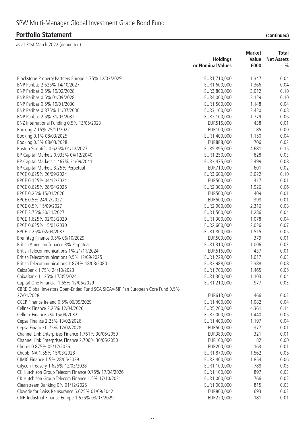|                                                                                 | <b>Holdings</b>   | <b>Market</b><br>Value | Total<br><b>Net Assets</b> |
|---------------------------------------------------------------------------------|-------------------|------------------------|----------------------------|
|                                                                                 | or Nominal Values | £000                   | $\%$                       |
| Blackstone Property Partners Europe 1.75% 12/03/2029                            | EUR1,710,000      | 1,347                  | 0.04                       |
| BNP Paribas 2.625% 14/10/2027                                                   | EUR1,600,000      | 1,366                  | 0.04                       |
| BNP Paribas 0.5% 19/02/2028                                                     | EUR3,800,000      | 3,012                  | 0.10                       |
| BNP Paribas 0.5% 01/09/2028                                                     | EUR4,000,000      | 3,129                  | 0.10                       |
| BNP Paribas 0.5% 19/01/2030                                                     | EUR1,500,000      | 1,148                  | 0.04                       |
| BNP Paribas 0.875% 11/07/2030                                                   | EUR3,100,000      | 2,420                  | 0.08                       |
| BNP Paribas 2.5% 31/03/2032                                                     | EUR2,100,000      | 1,779                  | 0.06                       |
| BNZ International Funding 0.5% 13/05/2023                                       | EUR516,000        | 438                    | 0.01                       |
| Booking 2.15% 25/11/2022                                                        | EUR100,000        | 85                     | 0.00                       |
| Booking 0.1% 08/03/2025                                                         | EUR1,400,000      | 1,150                  | 0.04                       |
| Booking 0.5% 08/03/2028                                                         | EUR888,000        | 706                    | 0.02                       |
| Boston Scientific 0.625% 01/12/2027                                             | EUR5,895,000      | 4,681                  | 0.15                       |
| BP Capital Markets 0.933% 04/12/2040                                            | EUR1,250,000      | 828                    | 0.03                       |
| BP Capital Markets 1.467% 21/09/2041                                            | EUR3,475,000      | 2,499                  | 0.08                       |
| BP Capital Markets 3.25% Perpetual                                              | EUR710,000        | 601                    | 0.02                       |
| BPCE 0.625% 26/09/2024                                                          | EUR3,600,000      | 3,022                  | 0.10                       |
| BPCE 0.125% 04/12/2024                                                          | EUR500,000        | 417                    | 0.01                       |
| BPCE 0.625% 28/04/2025                                                          | EUR2,300,000      | 1,926                  | 0.06                       |
| BPCE 0.25% 15/01/2026                                                           | EUR500,000        | 409                    | 0.01                       |
| BPCE 0.5% 24/02/2027                                                            | EUR500,000        | 398                    | 0.01                       |
| BPCE 0.5% 15/09/2027                                                            | EUR2,900,000      | 2,316                  | 0.08                       |
| BPCE 2.75% 30/11/2027                                                           | EUR1,500,000      | 1,286                  | 0.04                       |
| BPCE 1.625% 02/03/2029                                                          | EUR1,300,000      | 1,078                  | 0.04                       |
| BPCE 0.625% 15/01/2030                                                          | EUR2,600,000      | 2,026                  | 0.07                       |
| BPCE 2.25% 02/03/2032                                                           | EUR1,800,000      | 1,515                  | 0.05                       |
| Brenntag Finance 0.5% 06/10/2029                                                | EUR500,000        | 379                    | 0.01                       |
| British American Tobacco 3% Perpetual                                           | EUR1,310,000      | 1,006                  | 0.03                       |
| British Telecommunications 1% 21/11/2024                                        | EUR516,000        | 437                    | 0.01                       |
| British Telecommunications 0.5% 12/09/2025                                      | EUR1,229,000      | 1,017                  | 0.03                       |
| British Telecommunications 1.874% 18/08/2080                                    | EUR2,988,000      | 2,388                  | 0.08                       |
| CaixaBank 1.75% 24/10/2023                                                      | EUR1,700,000      | 1,465                  | 0.05                       |
| CaixaBank 1.125% 17/05/2024                                                     | EUR1,300,000      | 1,103                  | 0.04                       |
| Capital One Financial 1.65% 12/06/2029                                          | EUR1,210,000      | 977                    | 0.03                       |
| CBRE Global Investors Open-Ended Fund SCA SICAV-SIF Pan European Core Fund 0.5% |                   |                        |                            |
| 27/01/2028                                                                      | EUR613,000        | 466                    | 0.02                       |
| CCEP Finance Ireland 0.5% 06/09/2029                                            | EUR1,400,000      | 1,082                  | 0.04                       |
| Cellnex Finance 2.25% 12/04/2026                                                | EUR5,200,000      | 4,361                  | 0.14                       |
| Cellnex Finance 2% 15/09/2032                                                   | EUR2,000,000      | 1,440                  | 0.05                       |
| Cepsa Finance 2.25% 13/02/2026                                                  | EUR1,400,000      | 1,197                  | 0.04                       |
| Cepsa Finance 0.75% 12/02/2028                                                  | EUR500,000        | 377                    | 0.01                       |
| Channel Link Enterprises Finance 1.761% 30/06/2050                              | EUR380,000        | 321                    | 0.01                       |
| Channel Link Enterprises Finance 2.706% 30/06/2050                              | EUR100,000        | 82                     | 0.00                       |
| Chorus 0.875% 05/12/2026                                                        | EUR200,000        | 163                    | 0.01                       |
| Chubb INA 1.55% 15/03/2028                                                      | EUR1,870,000      | 1,562                  | 0.05                       |
| CIMIC Finance 1.5% 28/05/2029                                                   | EUR2,400,000      | 1,854                  | 0.06                       |
| Citycon Treasury 1.625% 12/03/2028                                              | EUR1,100,000      | 788                    | 0.03                       |
| CK Hutchison Group Telecom Finance 0.75% 17/04/2026                             | EUR1,100,000      | 897                    | 0.03                       |
| CK Hutchison Group Telecom Finance 1.5% 17/10/2031                              | EUR1,000,000      | 766                    | 0.02                       |
| Clearstream Banking 0% 01/12/2025                                               | EUR1,000,000      | 815                    | 0.03                       |
| Cloverie for Swiss Reinsurance 6.625% 01/09/2042                                | EUR800,000        | 693                    | 0.02                       |
| CNH Industrial Finance Europe 1.625% 03/07/2029                                 | EUR220,000        | 181                    | 0.01                       |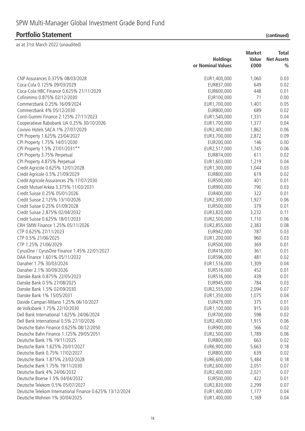|                                                          |                   | <b>Market</b> | <b>Total</b>      |  |
|----------------------------------------------------------|-------------------|---------------|-------------------|--|
|                                                          | <b>Holdings</b>   | Value         | <b>Net Assets</b> |  |
|                                                          | or Nominal Values | £000          | $\frac{0}{0}$     |  |
| CNP Assurances 0.375% 08/03/2028                         | EUR1,400,000      | 1,060         | 0.03              |  |
| Coca-Cola 0.125% 09/03/2029                              | EUR837,000        | 649           | 0.02              |  |
| Coca-Cola HBC Finance 0.625% 21/11/2029                  | EUR600,000        | 448           | 0.01              |  |
| Cofinimmo 0.875% 02/12/2030                              | EUR100,000        | 71            | 0.00              |  |
| Commerzbank 0.25% 16/09/2024                             | EUR1,700,000      | 1,401         | 0.05              |  |
| Commerzbank 4% 05/12/2030                                | EUR800,000        | 689           | 0.02              |  |
| Conti-Gummi Finance 2.125% 27/11/2023                    | EUR1,540,000      | 1,331         | 0.04              |  |
| Cooperatieve Rabobank UA 0.25% 30/10/2026                | EUR1,700,000      | 1,377         | 0.04              |  |
| Covivio Hotels SACA 1% 27/07/2029                        | EUR2,400,000      | 1,862         | 0.06              |  |
| CPI Property 1.625% 23/04/2027                           | EUR3,700,000      | 2,872         | 0.09              |  |
| CPI Property 1.75% 14/01/2030                            | EUR200,000        | 146           | 0.00              |  |
| CPI Property 1.5% 27/01/2031**                           | EUR2,517,000      | 1,745         | 0.06              |  |
| CPI Property 3.75% Perpetual                             | EUR874,000        | 611           | 0.02              |  |
| CPI Property 4.875% Perpetual                            | EUR1,603,000      | 1,219         | 0.04              |  |
| Credit Agricole 0.625% 12/01/2028                        | EUR1,300,000      | 1,044         | 0.03              |  |
| Credit Agricole 0.5% 21/09/2029                          | EUR800,000        | 619           | 0.02              |  |
| Credit Agricole Assurances 2% 17/07/2030                 | EUR500,000        | 401           | 0.01              |  |
| Credit Mutuel Arkea 3.375% 11/03/2031                    | EUR900,000        | 790           | 0.03              |  |
| Credit Suisse 0.25% 05/01/2026                           | EUR400,000        | 322           | 0.01              |  |
| Credit Suisse 2.125% 13/10/2026                          | EUR2,300,000      | 1,927         | 0.06              |  |
| Credit Suisse 0.25% 01/09/2028                           | EUR500,000        | 379           | 0.01              |  |
| Credit Suisse 2.875% 02/04/2032                          | EUR3,820,000      | 3,232         | 0.11              |  |
| Credit Suisse 0.625% 18/01/2033                          | EUR2,500,000      | 1,710         | 0.06              |  |
| CRH SMW Finance 1.25% 05/11/2026                         | EUR2,855,000      | 2,383         | 0.08              |  |
| CTP 0.625% 27/11/2023                                    | EUR942,000        | 787           | 0.03              |  |
| CTP 0.5% 21/06/2025                                      | EUR1,200,000      | 960           | 0.03              |  |
| CTP 1.25% 21/06/2029                                     | EUR500,000        | 369           | 0.01              |  |
| CyrusOne / CyrusOne Finance 1.45% 22/01/2027             | EUR416,000        | 361           | 0.01              |  |
| DAA Finance 1.601% 05/11/2032                            | EUR596,000        | 481           | 0.02              |  |
| Danaher 1.7% 30/03/2024                                  | EUR1,516,000      | 1,309         | 0.04              |  |
| Danaher 2.1% 30/09/2026                                  | EUR516,000        | 452           | 0.01              |  |
| Danske Bank 0.875% 22/05/2023                            | EUR516,000        | 439           | 0.01              |  |
| Danske Bank 0.5% 27/08/2025                              | EUR945,000        | 784           | 0.03              |  |
| Danske Bank 1.5% 02/09/2030                              | EUR2,555,000      | 2,094         | 0.07              |  |
| Danske Bank 1% 15/05/2031                                | EUR1,350,000      | 1,075         | 0.04              |  |
| Davide Campari-Milano 1.25% 06/10/2027                   | EUR479,000        | 375           | 0.01              |  |
| de Volksbank 1.75% 22/10/2030                            | EUR1,100,000      | 915           | 0.03              |  |
| Dell Bank International 1.625% 24/06/2024                | EUR700,000        | 598           | 0.02              |  |
| Dell Bank International 0.5% 27/10/2026                  | EUR2,400,000      | 1,915         | 0.06              |  |
| Deutsche Bahn Finance 0.625% 08/12/2050                  | EUR900,000        | 566           | 0.02              |  |
| Deutsche Bahn Finance 1.125% 29/05/2051                  | EUR2,500,000      | 1,789         | 0.06              |  |
| Deutsche Bank 1% 19/11/2025                              | EUR800,000        | 663           | 0.02              |  |
| Deutsche Bank 1.625% 20/01/2027                          | EUR6,900,000      | 5,663         | 0.18              |  |
| Deutsche Bank 0.75% 17/02/2027                           | EUR800,000        | 639           | 0.02              |  |
| Deutsche Bank 1.875% 23/02/2028                          | EUR6,600,000      | 5,484         | 0.18              |  |
| Deutsche Bank 1.75% 19/11/2030                           | EUR2,600,000      | 2,051         | 0.07              |  |
| Deutsche Bank 4% 24/06/2032                              | EUR2,400,000      | 2,021         | 0.07              |  |
| Deutsche Boerse 1.5% 04/04/2032                          | EUR500,000        | 422           | 0.01              |  |
| Deutsche Telekom 0.5% 05/07/2027                         | EUR2,820,000      | 2,299         | 0.07              |  |
| Deutsche Telekom International Finance 0.625% 13/12/2024 | EUR1,400,000      | 1,177         | 0.04              |  |
| Deutsche Wohnen 1% 30/04/2025                            | EUR1,400,000      | 1,169         | 0.04              |  |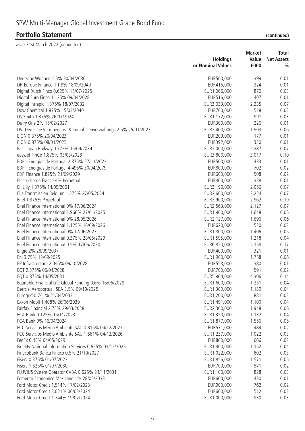|                                                                  | <b>Market</b>     |       | Total             |  |
|------------------------------------------------------------------|-------------------|-------|-------------------|--|
|                                                                  | <b>Holdings</b>   | Value | <b>Net Assets</b> |  |
|                                                                  | or Nominal Values | £000  | $\frac{0}{0}$     |  |
| Deutsche Wohnen 1.5% 30/04/2030                                  | EUR500,000        | 399   | 0.01              |  |
| DH Europe Finance II 1.8% 18/09/2049                             | EUR416,000        | 324   | 0.01              |  |
| Digital Dutch Finco 0.625% 15/07/2025                            | EUR1,066,000      | 870   | 0.03              |  |
| Digital Euro Finco 1.125% 09/04/2028                             | EUR516,000        | 407   | 0.01              |  |
| Digital Intrepid 1.375% 18/07/2032                               | EUR3,033,000      | 2,235 | 0.07              |  |
| Dow Chemical 1.875% 15/03/2040                                   | EUR700,000        | 518   | 0.02              |  |
| DS Smith 1.375% 26/07/2024                                       | EUR1,172,000      | 991   | 0.03              |  |
| Dufry One 2% 15/02/2027                                          | EUR300,000        | 226   | 0.01              |  |
| DVI Deutsche Vermoegens- & Immobilienverwaltungs 2.5% 25/01/2027 | EUR2,400,000      | 1,903 | 0.06              |  |
| E.ON 0.375% 20/04/2023                                           | EUR209,000        | 177   | 0.01              |  |
| E.ON 0.875% 08/01/2025                                           | EUR392,000        | 330   | 0.01              |  |
| East Japan Railway 0.773% 15/09/2034                             | EUR3,000,000      | 2,287 | 0.07              |  |
| easyJet FinCo 1.875% 03/03/2028                                  | EUR3,800,000      | 3,017 | 0.10              |  |
| EDP - Energias de Portugal 2.375% 27/11/2023                     | EUR500,000        | 433   | 0.01              |  |
| EDP - Energias de Portugal 4.496% 30/04/2079                     | EUR800,000        | 702   | 0.02              |  |
| EDP Finance 1.875% 21/09/2029                                    | EUR600,000        | 508   | 0.02              |  |
| Electricite de France 4% Perpetual                               | EUR400,000        | 338   | 0.01              |  |
|                                                                  |                   | 2,056 | 0.07              |  |
| Eli Lilly 1.375% 14/09/2061                                      | EUR3,190,000      |       | 0.07              |  |
| Elia Transmission Belgium 1.375% 27/05/2024                      | EUR2,600,000      | 2,224 |                   |  |
| Enel 1.375% Perpetual                                            | EUR3,900,000      | 2,962 | 0.10              |  |
| Enel Finance International 0% 17/06/2024                         | EUR2,563,000      | 2,127 | 0.07              |  |
| Enel Finance International 1.966% 27/01/2025                     | EUR1,900,000      | 1,648 | 0.05              |  |
| Enel Finance International 0% 28/05/2026                         | EUR2,127,000      | 1,696 | 0.06              |  |
| Enel Finance International 1.125% 16/09/2026                     | EUR620,000        | 520   | 0.02              |  |
| Enel Finance International 0% 17/06/2027                         | EUR1,800,000      | 1,406 | 0.05              |  |
| Enel Finance International 0.375% 28/05/2029                     | EUR1,595,000      | 1,218 | 0.04              |  |
| Enel Finance International 0.5% 17/06/2030                       | EUR6,850,000      | 5,158 | 0.17              |  |
| Engie 2% 28/09/2037                                              | EUR400,000        | 321   | 0.01              |  |
| Eni 3.75% 12/09/2025                                             | EUR1,900,000      | 1,758 | 0.06              |  |
| EP Infrastructure 2.045% 09/10/2028                              | EUR553,000        | 380   | 0.01              |  |
| EQT 2.375% 06/04/2028                                            | EUR700,000        | 591   | 0.02              |  |
| EQT 0.875% 14/05/2031                                            | EUR5,964,000      | 4,306 | 0.14              |  |
| Equitable Financial Life Global Funding 0.6% 16/06/2028          | EUR1,600,000      | 1,251 | 0.04              |  |
| Esercizi Aeroportuali SEA 3.5% 09/10/2025                        | EUR1,300,000      | 1,139 | 0.04              |  |
| Eurogrid 0.741% 21/04/2033                                       | EUR1,200,000      | 881   | 0.03              |  |
| Exxon Mobil 1.408% 26/06/2039                                    | EUR1,491,000      | 1,100 | 0.04              |  |
| Fairfax Financial 2.75% 29/03/2028                               | EUR2,300,000      | 1,948 | 0.06              |  |
| FCA Bank 0.125% 16/11/2023                                       | EUR1,350,000      | 1,132 | 0.04              |  |
| FCA Bank 0% 16/04/2024                                           | EUR1,877,000      | 1,556 | 0.05              |  |
| FCC Servicios Medio Ambiente SAU 0.815% 04/12/2023               | EUR571,000        | 484   | 0.02              |  |
| FCC Servicios Medio Ambiente SAU 1.661% 04/12/2026               | EUR1,237,000      | 1,022 | 0.03              |  |
| FedEx 0.45% 04/05/2029                                           | EUR860,000        | 666   | 0.02              |  |
| Fidelity National Information Services 0.625% 03/12/2025         | EUR1,400,000      | 1,152 | 0.04              |  |
| FinecoBank Banca Fineco 0.5% 21/10/2027                          | EUR1,022,000      | 802   | 0.03              |  |
| Fiserv 0.375% 01/07/2023                                         | EUR1,856,000      | 1,571 | 0.05              |  |
| Fiserv 1.625% 01/07/2030                                         | EUR700,000        | 571   | 0.02              |  |
| FLUVIUS System Operator CVBA 0.625% 24/11/2031                   | EUR1,100,000      | 828   | 0.03              |  |
| Fomento Economico Mexicano 1% 28/05/2033                         | EUR600,000        | 430   | 0.01              |  |
| Ford Motor Credit 1.514% 17/02/2023                              | EUR900,000        | 762   | 0.02              |  |
| Ford Motor Credit 3.021% 06/03/2024                              | EUR600,000        | 512   | 0.02              |  |
| Ford Motor Credit 1.744% 19/07/2024                              | EUR1,000,000      | 830   | 0.03              |  |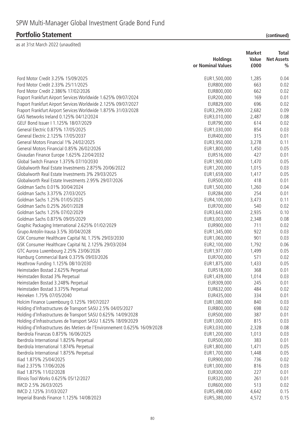|                                                                            | <b>Market</b>     |       | <b>Total</b>      |
|----------------------------------------------------------------------------|-------------------|-------|-------------------|
|                                                                            | <b>Holdings</b>   | Value | <b>Net Assets</b> |
|                                                                            | or Nominal Values | £000  | $\frac{0}{0}$     |
|                                                                            |                   |       |                   |
| Ford Motor Credit 3.25% 15/09/2025                                         | EUR1,500,000      | 1,285 | 0.04              |
| Ford Motor Credit 2.33% 25/11/2025                                         | EUR800,000        | 663   | 0.02              |
| Ford Motor Credit 2.386% 17/02/2026                                        | EUR800,000        | 662   | 0.02              |
| Fraport Frankfurt Airport Services Worldwide 1.625% 09/07/2024             | EUR200,000        | 169   | 0.01              |
| Fraport Frankfurt Airport Services Worldwide 2.125% 09/07/2027             | EUR829,000        | 696   | 0.02              |
| Fraport Frankfurt Airport Services Worldwide 1.875% 31/03/2028             | EUR3,299,000      | 2,682 | 0.09              |
| GAS Networks Ireland 0.125% 04/12/2024                                     | EUR3,010,000      | 2,487 | 0.08              |
| GELF Bond Issuer   1.125% 18/07/2029                                       | EUR790,000        | 614   | 0.02              |
| General Electric 0.875% 17/05/2025                                         | EUR1,030,000      | 854   | 0.03              |
| General Electric 2.125% 17/05/2037                                         | EUR400,000        | 315   | 0.01              |
| General Motors Financial 1% 24/02/2025                                     | EUR3,950,000      | 3,278 | 0.11              |
| General Motors Financial 0.85% 26/02/2026                                  | EUR1,800,000      | 1,450 | 0.05              |
| Givaudan Finance Europe 1.625% 22/04/2032                                  | EUR516,000        | 427   | 0.01              |
| Global Switch Finance 1.375% 07/10/2030                                    | EUR1,900,000      | 1,470 | 0.05              |
| Globalworth Real Estate Investments 2.875% 20/06/2022                      | EUR1,200,000      | 1,015 | 0.03              |
| Globalworth Real Estate Investments 3% 29/03/2025                          | EUR1,659,000      | 1,417 | 0.05              |
| Globalworth Real Estate Investments 2.95% 29/07/2026                       | EUR500,000        | 418   | 0.01              |
| Goldman Sachs 0.01% 30/04/2024                                             | EUR1,500,000      | 1,260 | 0.04              |
| Goldman Sachs 3.375% 27/03/2025                                            | EUR284,000        | 254   | 0.01              |
| Goldman Sachs 1.25% 01/05/2025                                             | EUR4,100,000      | 3,473 | 0.11              |
| Goldman Sachs 0.25% 26/01/2028                                             | EUR700,000        | 540   | 0.02              |
| Goldman Sachs 1.25% 07/02/2029                                             | EUR3,643,000      | 2,935 | 0.10              |
| Goldman Sachs 0.875% 09/05/2029                                            | EUR3,003,000      | 2,348 | 0.08              |
| Graphic Packaging International 2.625% 01/02/2029                          | EUR900,000        | 711   | 0.02              |
| Grupo Antolin-Irausa 3.5% 30/04/2028                                       | EUR1,345,000      | 922   | 0.03              |
| GSK Consumer Healthcare Capital NL 1.75% 29/03/2030                        | EUR1,060,000      | 901   | 0.03              |
| GSK Consumer Healthcare Capital NL 2.125% 29/03/2034                       | EUR2,100,000      | 1,792 | 0.06              |
| GTC Aurora Luxembourg 2.25% 23/06/2026                                     | EUR1,977,000      | 1,499 | 0.05              |
| Hamburg Commercial Bank 0.375% 09/03/2026                                  | EUR700,000        | 571   | 0.02              |
| Heathrow Funding 1.125% 08/10/2030                                         | EUR1,875,000      | 1,433 | 0.05              |
| Heimstaden Bostad 2.625% Perpetual                                         | EUR518,000        | 368   | 0.01              |
| Heimstaden Bostad 3% Perpetual                                             | EUR1,439,000      | 1,014 | 0.03              |
| Heimstaden Bostad 3.248% Perpetual                                         | EUR309,000        | 245   | 0.01              |
| Heimstaden Bostad 3.375% Perpetual                                         | EUR632,000        | 484   | 0.02              |
| Heineken 1.75% 07/05/2040                                                  | EUR435,000        | 334   | 0.01              |
| Holcim Finance Luxembourg 0.125% 19/07/2027                                | EUR1,080,000      | 840   | 0.03              |
| Holding d'Infrastructures de Transport SASU 2.5% 04/05/2027                | EUR800,000        | 698   | 0.02              |
| Holding d'Infrastructures de Transport SASU 0.625% 14/09/2028              | EUR500,000        | 387   | 0.01              |
| Holding d'Infrastructures de Transport SASU 1.625% 18/09/2029              | EUR1,000,000      | 815   | 0.03              |
| Holding d'Infrastructures des Metiers de l'Environnement 0.625% 16/09/2028 | EUR3,030,000      | 2,328 | 0.08              |
| Iberdrola Finanzas 0.875% 16/06/2025                                       | EUR1,200,000      | 1,013 | 0.03              |
| Iberdrola International 1.825% Perpetual                                   | EUR500,000        | 383   | 0.01              |
| Iberdrola International 1.874% Perpetual                                   | EUR1,800,000      | 1,471 | 0.05              |
|                                                                            | EUR1,700,000      | 1,448 | 0.05              |
| Iberdrola International 1.875% Perpetual<br>Iliad 1.875% 25/04/2025        |                   | 736   | 0.02              |
|                                                                            | EUR900,000        |       |                   |
| Iliad 2.375% 17/06/2026                                                    | EUR1,000,000      | 816   | 0.03              |
| Iliad 1.875% 11/02/2028                                                    | EUR300,000        | 227   | 0.01              |
| Illinois Tool Works 0.625% 05/12/2027                                      | EUR320,000        | 261   | 0.01              |
| IMCD 2.5% 26/03/2025                                                       | EUR600,000        | 513   | 0.02              |
| IMCD 2.125% 31/03/2027                                                     | EUR5,498,000      | 4,642 | 0.15              |
| Imperial Brands Finance 1.125% 14/08/2023                                  | EUR5,380,000      | 4,572 | 0.15              |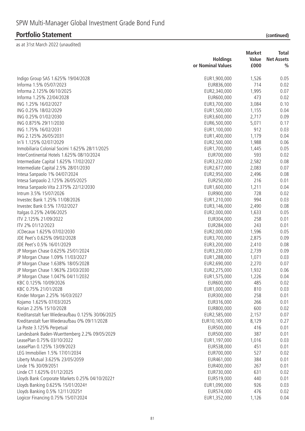|                                                   |                   | <b>Market</b> | <b>Total</b>      |  |
|---------------------------------------------------|-------------------|---------------|-------------------|--|
|                                                   | <b>Holdings</b>   | Value         | <b>Net Assets</b> |  |
|                                                   | or Nominal Values | £000          | $\frac{0}{0}$     |  |
| Indigo Group SAS 1.625% 19/04/2028                | EUR1,900,000      | 1,526         | 0.05              |  |
| Informa 1.5% 05/07/2023                           | EUR836,000        | 714           | 0.02              |  |
| Informa 2.125% 06/10/2025                         | EUR2,340,000      | 1,995         | 0.07              |  |
| Informa 1.25% 22/04/2028                          | EUR600,000        | 473           | 0.02              |  |
| ING 1.25% 16/02/2027                              | EUR3,700,000      | 3,084         | 0.10              |  |
| ING 0.25% 18/02/2029                              | EUR1,500,000      | 1,155         | 0.04              |  |
| ING 0.25% 01/02/2030                              | EUR3,600,000      | 2,717         | 0.09              |  |
| ING 0.875% 29/11/2030                             | EUR6,500,000      | 5,071         | 0.17              |  |
| ING 1.75% 16/02/2031                              | EUR1,100,000      | 912           | 0.03              |  |
| ING 2.125% 26/05/2031                             | EUR1,400,000      | 1,179         | 0.04              |  |
| In'li 1.125% 02/07/2029                           | EUR2,500,000      | 1,988         | 0.06              |  |
| Inmobiliaria Colonial Socimi 1.625% 28/11/2025    | EUR1,700,000      | 1,445         | 0.05              |  |
| InterContinental Hotels 1.625% 08/10/2024         | EUR700,000        | 593           | 0.02              |  |
| Intermediate Capital 1.625% 17/02/2027            | EUR3,232,000      | 2,582         | 0.08              |  |
| Intermediate Capital 2.5% 28/01/2030              | EUR2,677,000      | 2,083         | 0.07              |  |
| Intesa Sanpaolo 1% 04/07/2024                     | EUR2,950,000      | 2,496         | 0.08              |  |
| Intesa Sanpaolo 2.125% 26/05/2025                 | EUR250,000        | 216           | 0.01              |  |
| Intesa Sanpaolo Vita 2.375% 22/12/2030            | EUR1,600,000      | 1,211         | 0.04              |  |
| Intrum 3.5% 15/07/2026                            | EUR900,000        | 728           | 0.02              |  |
| Investec Bank 1.25% 11/08/2026                    | EUR1,210,000      | 994           | 0.03              |  |
| Investec Bank 0.5% 17/02/2027                     | EUR3, 146, 000    | 2,490         | 0.08              |  |
| Italgas 0.25% 24/06/2025                          | EUR2,000,000      | 1,633         | 0.05              |  |
| ITV 2.125% 21/09/2022                             | EUR304,000        | 258           | 0.01              |  |
| ITV 2% 01/12/2023                                 | EUR284,000        | 243           | 0.01              |  |
| JCDecaux 1.625% 07/02/2030                        | EUR2,000,000      | 1,596         | 0.05              |  |
| JDE Peet's 0.625% 09/02/2028                      | EUR3,700,000      | 2,875         | 0.09              |  |
| JDE Peet's 0.5% 16/01/2029                        | EUR3,200,000      | 2,410         | 0.08              |  |
| JP Morgan Chase 0.625% 25/01/2024                 | EUR3,230,000      | 2,739         | 0.09              |  |
| JP Morgan Chase 1.09% 11/03/2027                  | EUR1,288,000      | 1,071         | 0.03              |  |
| JP Morgan Chase 1.638% 18/05/2028                 | EUR2,690,000      | 2,270         | 0.07              |  |
| JP Morgan Chase 1.963% 23/03/2030                 | EUR2,275,000      | 1,932         | 0.06              |  |
| JP Morgan Chase 1.047% 04/11/2032                 | EUR1,575,000      | 1,226         | 0.04              |  |
| KBC 0.125% 10/09/2026                             | EUR600,000        | 485           | 0.02              |  |
| KBC 0.75% 21/01/2028                              | EUR1,000,000      | 810           | 0.03              |  |
| Kinder Morgan 2.25% 16/03/2027                    | EUR300,000        | 258           | 0.01              |  |
| Kojamo 1.625% 07/03/2025                          | EUR316,000        | 266           | 0.01              |  |
| Korian 2.25% 15/10/2028                           | EUR800,000        | 600           | 0.02              |  |
| Kreditanstalt fuer Wiederaufbau 0.125% 30/06/2025 | EUR2,585,000      | 2,157         | 0.07              |  |
| Kreditanstalt fuer Wiederaufbau 0% 09/11/2028     | EUR10,165,000     | 8,129         | 0.27              |  |
| La Poste 3.125% Perpetual                         | EUR500,000        | 416           | 0.01              |  |
| Landesbank Baden-Wuerttemberg 2.2% 09/05/2029     | EUR500,000        | 387           | 0.01              |  |
| LeasePlan 0.75% 03/10/2022                        | EUR1,197,000      | 1,016         | 0.03              |  |
| LeasePlan 0.125% 13/09/2023                       | EUR538,000        | 451           | 0.01              |  |
| LEG Immobilien 1.5% 17/01/2034                    | EUR700,000        | 527           | 0.02              |  |
| Liberty Mutual 3.625% 23/05/2059                  | EUR461,000        | 384           | 0.01              |  |
| Linde 1% 30/09/2051                               | EUR400,000        | 267           | 0.01              |  |
| Linde CT 1.625% 01/12/2025                        | EUR730,000        | 631           | 0.02              |  |
| Lloyds Bank Corporate Markets 0.25% 04/10/2022+   | EUR519,000        | 440           | 0.01              |  |
| Lloyds Banking 0.625% 15/01/2024t                 | EUR1,090,000      | 926           | 0.03              |  |
| Lloyds Banking 0.5% 12/11/2025†                   | EUR574,000        | 476           | 0.02              |  |
| Logicor Financing 0.75% 15/07/2024                | EUR1,352,000      | 1,126         | 0.04              |  |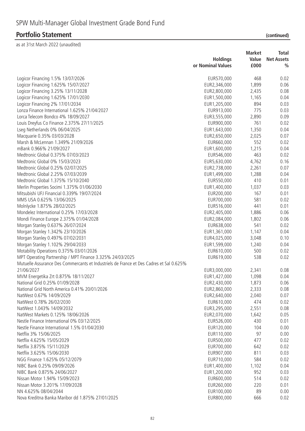| (continued) |  |
|-------------|--|
|             |  |

|                                                                                         | <b>Holdings</b>   | <b>Market</b><br>Value | Total<br><b>Net Assets</b> |
|-----------------------------------------------------------------------------------------|-------------------|------------------------|----------------------------|
|                                                                                         | or Nominal Values | £000                   | $\frac{0}{0}$              |
| Logicor Financing 1.5% 13/07/2026                                                       | EUR570,000        | 468                    | 0.02                       |
| Logicor Financing 1.625% 15/07/2027                                                     | EUR2,346,000      | 1,899                  | 0.06                       |
| Logicor Financing 3.25% 13/11/2028                                                      | EUR2,800,000      | 2,435                  | 0.08                       |
| Logicor Financing 1.625% 17/01/2030                                                     | EUR1,500,000      | 1,165                  | 0.04                       |
| Logicor Financing 2% 17/01/2034                                                         | EUR1,205,000      | 894                    | 0.03                       |
| Lonza Finance International 1.625% 21/04/2027                                           | EUR913,000        | 775                    | 0.03                       |
| Lorca Telecom Bondco 4% 18/09/2027                                                      | EUR3,555,000      | 2,890                  | 0.09                       |
| Louis Dreyfus Co Finance 2.375% 27/11/2025                                              | EUR900,000        | 761                    | 0.02                       |
| Lseg Netherlands 0% 06/04/2025                                                          | EUR1,643,000      | 1,350                  | 0.04                       |
| Macquarie 0.35% 03/03/2028                                                              | EUR2,650,000      | 2,025                  | 0.07                       |
| Marsh & McLennan 1.349% 21/09/2026                                                      | EUR660,000        | 552                    | 0.02                       |
| mBank 0.966% 21/09/2027                                                                 | EUR1,600,000      | 1,215                  | 0.04                       |
| Medtronic Global 0.375% 07/03/2023                                                      | EUR546,000        | 463                    | 0.02                       |
| Medtronic Global 0% 15/03/2023                                                          | EUR5,630,000      | 4,762                  | 0.16                       |
| Medtronic Global 0.25% 02/07/2025                                                       | EUR2,738,000      | 2,261                  | 0.07                       |
| Medtronic Global 2.25% 07/03/2039                                                       | EUR1,499,000      | 1,288                  | 0.04                       |
| Medtronic Global 1.375% 15/10/2040                                                      | EUR550,000        | 410                    | 0.01                       |
| Merlin Properties Socimi 1.375% 01/06/2030                                              | EUR1,400,000      | 1,037                  | 0.03                       |
| Mitsubishi UFJ Financial 0.339% 19/07/2024                                              | EUR200,000        | 167                    | 0.01                       |
| MMS USA 0.625% 13/06/2025                                                               | EUR700,000        | 581                    | 0.02                       |
| Molnlycke 1.875% 28/02/2025                                                             | EUR516,000        | 441                    | 0.01                       |
| Mondelez International 0.25% 17/03/2028                                                 | EUR2,405,000      | 1,886                  | 0.06                       |
| Mondi Finance Europe 2.375% 01/04/2028                                                  | EUR2,084,000      | 1,802                  | 0.06                       |
| Morgan Stanley 0.637% 26/07/2024                                                        | EUR638,000        | 541                    | 0.02                       |
| Morgan Stanley 1.342% 23/10/2026                                                        | EUR1,361,000      | 1,147                  | 0.04                       |
| Morgan Stanley 0.497% 07/02/2031                                                        | EUR4,025,000      | 3,048                  | 0.10                       |
| Morgan Stanley 1.102% 29/04/2033                                                        | EUR1,599,000      | 1,240                  | 0.04                       |
| Motability Operations 0.375% 03/01/2026                                                 | EUR610,000        | 500                    | 0.02                       |
| MPT Operating Partnership / MPT Finance 3.325% 24/03/2025                               | EUR619,000        | 538                    | 0.02                       |
| Mutuelle Assurance Des Commercants et Industriels de France et Des Cadres et Sal 0.625% |                   |                        |                            |
| 21/06/2027                                                                              | EUR3,000,000      | 2,341                  | 0.08                       |
| MVM Energetika Zrt 0.875% 18/11/2027                                                    | EUR1,427,000      | 1,098                  | 0.04                       |
| National Grid 0.25% 01/09/2028                                                          | EUR2,430,000      | 1,873                  | 0.06                       |
| National Grid North America 0.41% 20/01/2026                                            | EUR2,860,000      | 2,333                  | 0.08                       |
| NatWest 0.67% 14/09/2029                                                                | EUR2,640,000      | 2,040                  | 0.07                       |
| NatWest 0.78% 26/02/2030                                                                | EUR610,000        | 474                    | 0.02                       |
| NatWest 1.043% 14/09/2032                                                               | EUR3,295,000      | 2,551                  | 0.08                       |
| NatWest Markets 0.125% 18/06/2026                                                       | EUR2,070,000      | 1,642                  | 0.05                       |
| Nestle Finance International 0% 03/12/2025                                              | EUR526,000        | 430                    | 0.01                       |
| Nestle Finance International 1.5% 01/04/2030                                            | EUR120,000        | 104                    | 0.00                       |
| Netflix 3% 15/06/2025                                                                   | EUR110,000        | 97                     | 0.00                       |
| Netflix 4.625% 15/05/2029                                                               | EUR500,000        | 477                    | 0.02                       |
| Netflix 3.875% 15/11/2029                                                               | EUR700,000        | 642                    | 0.02                       |
| Netflix 3.625% 15/06/2030                                                               | EUR907,000        | 811                    | 0.03                       |
| NGG Finance 1.625% 05/12/2079                                                           | EUR710,000        | 584                    | 0.02                       |
| NIBC Bank 0.25% 09/09/2026                                                              | EUR1,400,000      | 1,102                  | 0.04                       |
| NIBC Bank 0.875% 24/06/2027                                                             | EUR1,200,000      | 952                    | 0.03                       |
| Nissan Motor 1.94% 15/09/2023                                                           | EUR600,000        | 514                    | 0.02                       |
| Nissan Motor 3.201% 17/09/2028                                                          | EUR260,000        | 220                    | 0.01                       |
| NN 4.625% 08/04/2044                                                                    | EUR100,000        | 89                     | 0.00                       |
| Nova Kreditna Banka Maribor dd 1.875% 27/01/2025                                        | EUR800,000        | 666                    | 0.02                       |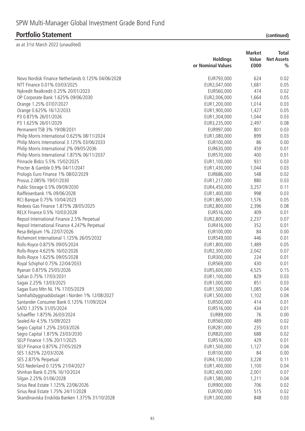|                                                    | <b>Holdings</b><br>or Nominal Values | <b>Market</b><br>Value<br>£000 | <b>Total</b><br><b>Net Assets</b><br>$\frac{0}{0}$ |
|----------------------------------------------------|--------------------------------------|--------------------------------|----------------------------------------------------|
| Novo Nordisk Finance Netherlands 0.125% 04/06/2028 | EUR793,000                           | 624                            | 0.02                                               |
| NTT Finance 0.01% 03/03/2025                       | EUR2,047,000                         | 1,681                          | 0.05                                               |
| Nykredit Realkredit 0.25% 20/01/2023               | EUR560,000                           | 474                            | 0.02                                               |
| OP Corporate Bank 1.625% 09/06/2030                | EUR2,006,000                         | 1,664                          | 0.05                                               |
| Orange 1.25% 07/07/2027                            | EUR1,200,000                         | 1,014                          | 0.03                                               |
| Orange 0.625% 16/12/2033                           | EUR1,900,000                         | 1,427                          | 0.05                                               |
| P3 0.875% 26/01/2026                               | EUR1,304,000                         | 1,044                          | 0.03                                               |
| P3 1.625% 26/01/2029                               | EUR3,235,000                         | 2,497                          | 0.08                                               |
| Permanent TSB 3% 19/08/2031                        | EUR997,000                           | 801                            | 0.03                                               |
|                                                    |                                      | 899                            | 0.03                                               |
| Philip Morris International 0.625% 08/11/2024      | EUR1,080,000                         |                                |                                                    |
| Philip Morris International 3.125% 03/06/2033      | EUR100,000                           | 86                             | 0.00                                               |
| Philip Morris International 2% 09/05/2036          | EUR630,000                           | 459                            | 0.01                                               |
| Philip Morris International 1.875% 06/11/2037      | EUR570,000                           | 400                            | 0.01                                               |
| Pinnacle Bidco 5.5% 15/02/2025                     | EUR1,100,000                         | 931                            | 0.03                                               |
| Procter & Gamble 0.9% 04/11/2041                   | EUR1,430,000                         | 1,044                          | 0.03                                               |
| Prologis Euro Finance 1% 08/02/2029                | EUR686,000                           | 548                            | 0.02                                               |
| Prosus 2.085% 19/01/2030                           | EUR1,217,000                         | 880                            | 0.03                                               |
| Public Storage 0.5% 09/09/2030                     | EUR4,450,000                         | 3,257                          | 0.11                                               |
| Raiffeisenbank 1% 09/06/2028                       | EUR1,400,000                         | 998                            | 0.03                                               |
| RCI Banque 0.75% 10/04/2023                        | EUR1,865,000                         | 1,576                          | 0.05                                               |
| Redexis Gas Finance 1.875% 28/05/2025              | EUR2,800,000                         | 2,396                          | 0.08                                               |
| RELX Finance 0.5% 10/03/2028                       | EUR516,000                           | 409                            | 0.01                                               |
| Repsol International Finance 2.5% Perpetual        | EUR2,800,000                         | 2,237                          | 0.07                                               |
| Repsol International Finance 4.247% Perpetual      | EUR416,000                           | 352                            | 0.01                                               |
| Resa Belgium 1% 22/07/2026                         | EUR100,000                           | 84                             | 0.00                                               |
| Richemont International 1.125% 26/05/2032          | EUR549,000                           | 446                            | 0.01                                               |
| Rolls-Royce 0.875% 09/05/2024                      | EUR1,800,000                         | 1,489                          | 0.05                                               |
| Rolls-Royce 4.625% 16/02/2026                      | EUR2,300,000                         | 2,042                          | 0.07                                               |
| Rolls-Royce 1.625% 09/05/2028                      | EUR300,000                           | 224                            | 0.01                                               |
| Royal Schiphol 0.75% 22/04/2033                    | EUR569,000                           | 430                            | 0.01                                               |
| Ryanair 0.875% 25/05/2026                          | EUR5,600,000                         | 4,525                          | 0.15                                               |
| Safran 0.75% 17/03/2031                            | EUR1,100,000                         | 829                            | 0.03                                               |
| Sagax 2.25% 13/03/2025                             | EUR1,000,000                         | 851                            | 0.03                                               |
| Sagax Euro Mtn NL 1% 17/05/2029                    | EUR1,500,000                         | 1,085                          | 0.04                                               |
| Samhallsbyggnadsbolaget i Norden 1% 12/08/2027     | EUR1,500,000                         | 1,102                          | 0.04                                               |
| Santander Consumer Bank 0.125% 11/09/2024          | EUR500,000                           | 414                            | 0.01                                               |
| SATO 1.375% 31/05/2024                             | EUR516,000                           | 434                            | 0.01                                               |
| Schaeffler 1.875% 26/03/2024                       | EUR89,000                            | 76                             | 0.00                                               |
| Sealed Air 4.5% 15/09/2023                         | EUR560,000                           | 489                            | 0.02                                               |
| Segro Capital 1.25% 23/03/2026                     | EUR281,000                           | 235                            | 0.01                                               |
| Segro Capital 1.875% 23/03/2030                    | EUR820,000                           | 688                            | 0.02                                               |
| SELP Finance 1.5% 20/11/2025                       | EUR516,000                           | 429                            | 0.01                                               |
| SELP Finance 0.875% 27/05/2029                     | EUR1,500,000                         | 1,127                          | 0.04                                               |
| SES 1.625% 22/03/2026                              | EUR100,000                           | 84                             | 0.00                                               |
| SES 2.875% Perpetual                               | EUR4,130,000                         | 3,228                          | 0.11                                               |
| SGS Nederland 0.125% 21/04/2027                    | EUR1,400,000                         | 1,100                          | 0.04                                               |
| Shinhan Bank 0.25% 16/10/2024                      | EUR2,400,000                         | 2,001                          | 0.07                                               |
| Silgan 2.25% 01/06/2028                            | EUR1,580,000                         | 1,211                          | 0.04                                               |
| Sirius Real Estate 1.125% 22/06/2026               | EUR900,000                           | 706                            | 0.02                                               |
| Sirius Real Estate 1.75% 24/11/2028                | EUR700,000                           | 515                            | 0.02                                               |
| Skandinaviska Enskilda Banken 1.375% 31/10/2028    | EUR1,000,000                         | 848                            | 0.03                                               |
|                                                    |                                      |                                |                                                    |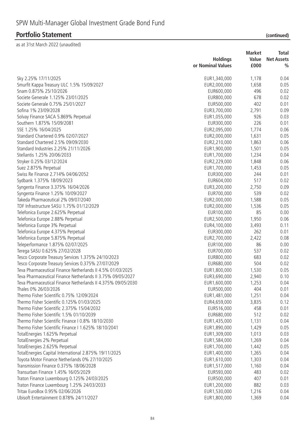|  |  | (continued) |  |
|--|--|-------------|--|
|  |  |             |  |

|                                                              | <b>Holdings</b><br>or Nominal Values | <b>Market</b><br>Value<br>£000 | Total<br><b>Net Assets</b><br>$\frac{0}{0}$ |
|--------------------------------------------------------------|--------------------------------------|--------------------------------|---------------------------------------------|
|                                                              |                                      |                                |                                             |
| Sky 2.25% 17/11/2025                                         | EUR1,340,000                         | 1,178                          | 0.04                                        |
| Smurfit Kappa Treasury ULC 1.5% 15/09/2027                   | EUR2,000,000                         | 1,658                          | 0.05                                        |
| Snam 0.875% 25/10/2026                                       | EUR600,000                           | 496                            | 0.02                                        |
| Societe Generale 1.125% 23/01/2025                           | EUR800,000                           | 678                            | 0.02                                        |
| Societe Generale 0.75% 25/01/2027                            | EUR500,000                           | 402                            | 0.01                                        |
| Sofina 1% 23/09/2028                                         | EUR3,700,000                         | 2,791                          | 0.09                                        |
| Solvay Finance SACA 5.869% Perpetual                         | EUR1,055,000                         | 926                            | 0.03                                        |
| Southern 1.875% 15/09/2081                                   | EUR300,000                           | 226                            | 0.01                                        |
| SSE 1.25% 16/04/2025                                         | EUR2,095,000                         | 1,774                          | 0.06                                        |
| Standard Chartered 0.9% 02/07/2027                           | EUR2,000,000                         | 1,631                          | 0.05                                        |
| Standard Chartered 2.5% 09/09/2030                           | EUR2,210,000                         | 1,863                          | 0.06                                        |
| Standard Industries 2.25% 21/11/2026                         | EUR1,900,000                         | 1,501                          | 0.05                                        |
| Stellantis 1.25% 20/06/2033                                  | EUR1,700,000                         | 1,234                          | 0.04                                        |
| Stryker 0.25% 03/12/2024                                     | EUR2,229,000                         | 1,848                          | 0.06                                        |
| Suez 2.875% Perpetual                                        | EUR1,700,000                         | 1,453                          | 0.05                                        |
| Swiss Re Finance 2.714% 04/06/2052                           | EUR300,000                           | 244                            | 0.01                                        |
| Sydbank 1.375% 18/09/2023                                    | EUR604,000                           | 517                            | 0.02                                        |
| Syngenta Finance 3.375% 16/04/2026                           | EUR3,200,000                         | 2,750                          | 0.09                                        |
| Syngenta Finance 1.25% 10/09/2027                            | EUR700,000                           | 539                            | 0.02                                        |
| Takeda Pharmaceutical 2% 09/07/2040                          | EUR2,000,000                         | 1,588                          | 0.05                                        |
| TDF Infrastructure SASU 1.75% 01/12/2029                     | EUR2,000,000                         | 1,536                          | 0.05                                        |
| Telefonica Europe 2.625% Perpetual                           | EUR100,000                           | 85                             | 0.00                                        |
| Telefonica Europe 2.88% Perpetual                            | EUR2,500,000                         | 1,950                          | 0.06                                        |
| Telefonica Europe 3% Perpetual                               | EUR4,100,000                         | 3,493                          | 0.11                                        |
| Telefonica Europe 4.375% Perpetual                           | EUR300,000                           | 262                            | 0.01                                        |
| Telefonica Europe 5.875% Perpetual                           | EUR2,700,000                         | 2,422                          | 0.08                                        |
| Teleperformance 1.875% 02/07/2025                            | EUR100,000                           | 86                             | 0.00                                        |
| Terega SASU 0.625% 27/02/2028                                | EUR700,000                           | 537                            | 0.02                                        |
| Tesco Corporate Treasury Services 1.375% 24/10/2023          | EUR800,000                           | 683                            | 0.02                                        |
| Tesco Corporate Treasury Services 0.375% 27/07/2029          | EUR680,000                           | 504                            | 0.02                                        |
| Teva Pharmaceutical Finance Netherlands II 4.5% 01/03/2025   | EUR1,800,000                         | 1,530                          | 0.05                                        |
| Teva Pharmaceutical Finance Netherlands II 3.75% 09/05/2027  | EUR3,690,000                         | 2,940                          | 0.10                                        |
| Teva Pharmaceutical Finance Netherlands II 4.375% 09/05/2030 | EUR1,600,000                         | 1,253                          | 0.04                                        |
| Thales 0% 26/03/2026                                         | EUR500,000                           | 404                            | 0.01                                        |
| Thermo Fisher Scientific 0.75% 12/09/2024                    | EUR1,481,000                         | 1,251                          | 0.04                                        |
| Thermo Fisher Scientific 0.125% 01/03/2025                   | EUR4,659,000                         | 3,835                          | 0.12                                        |
| Thermo Fisher Scientific 2.375% 15/04/2032                   | EUR516,000                           | 458                            | 0.01                                        |
| Thermo Fisher Scientific 1.5% 01/10/2039                     | EUR680,000                           | 512                            | 0.02                                        |
| Thermo Fisher Scientific Finance I 0.8% 18/10/2030           | EUR1,435,000                         | 1,131                          | 0.04                                        |
| Thermo Fisher Scientific Finance I 1.625% 18/10/2041         | EUR1,890,000                         | 1,429                          | 0.05                                        |
| TotalEnergies 1.625% Perpetual                               | EUR1,309,000                         | 1,013                          | 0.03                                        |
| TotalEnergies 2% Perpetual                                   | EUR1,584,000                         | 1,269                          | 0.04                                        |
| TotalEnergies 2.625% Perpetual                               | EUR1,700,000                         | 1,442                          | 0.05                                        |
| TotalEnergies Capital International 2.875% 19/11/2025        | EUR1,400,000                         | 1,265                          | 0.04                                        |
| Toyota Motor Finance Netherlands 0% 27/10/2025               | EUR1,610,000                         | 1,303                          | 0.04                                        |
| Transmission Finance 0.375% 18/06/2028                       | EUR1,517,000                         | 1,160                          | 0.04                                        |
| Transurban Finance 1.45% 16/05/2029                          | EUR593,000                           | 483                            | 0.02                                        |
| Traton Finance Luxembourg 0.125% 24/03/2025                  | EUR500,000                           | 407                            | 0.01                                        |
| Traton Finance Luxembourg 1.25% 24/03/2033                   | EUR1,200,000                         | 882                            | 0.03                                        |
| Tritax EuroBox 0.95% 02/06/2026                              | EUR1,530,000                         | 1,216                          | 0.04                                        |
| Ubisoft Entertainment 0.878% 24/11/2027                      | EUR1,800,000                         | 1,369                          | 0.04                                        |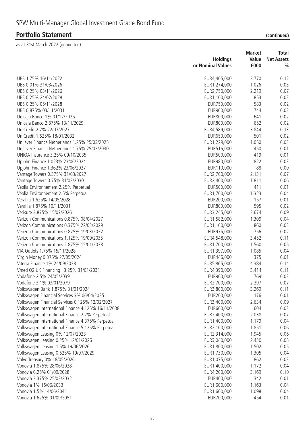|                                                    |                   | <b>Market</b> | <b>Total</b>      |
|----------------------------------------------------|-------------------|---------------|-------------------|
|                                                    | <b>Holdings</b>   | Value         | <b>Net Assets</b> |
|                                                    | or Nominal Values | £000          | $\frac{0}{0}$     |
| UBS 1.75% 16/11/2022                               | EUR4,405,000      | 3,770         | 0.12              |
| UBS 0.01% 31/03/2026                               | EUR1,274,000      | 1,026         | 0.03              |
| UBS 0.25% 03/11/2026                               | EUR2,750,000      | 2,219         | 0.07              |
| UBS 0.25% 24/02/2028                               | EUR1,100,000      | 853           | 0.03              |
| UBS 0.25% 05/11/2028                               | EUR750,000        | 583           | 0.02              |
| UBS 0.875% 03/11/2031                              | EUR960,000        | 744           | 0.02              |
| Unicaja Banco 1% 01/12/2026                        | EUR800,000        | 641           | 0.02              |
| Unicaja Banco 2.875% 13/11/2029                    | EUR800,000        | 652           | 0.02              |
| UniCredit 2.2% 22/07/2027                          | EUR4,589,000      | 3,844         | 0.13              |
| UniCredit 1.625% 18/01/2032                        | EUR650,000        | 501           | 0.02              |
| Unilever Finance Netherlands 1.25% 25/03/2025      | EUR1,229,000      | 1,050         | 0.03              |
| Unilever Finance Netherlands 1.75% 25/03/2030      | EUR516,000        | 450           | 0.01              |
| UNIQA Insurance 3.25% 09/10/2035                   | EUR500,000        | 419           | 0.01              |
| Upjohn Finance 1.023% 23/06/2024                   | EUR980,000        | 822           | 0.03              |
| Upjohn Finance 1.362% 23/06/2027                   | EUR110,000        | 88            | 0.00              |
| Vantage Towers 0.375% 31/03/2027                   | EUR2,700,000      | 2,131         | 0.07              |
| Vantage Towers 0.75% 31/03/2030                    | EUR2,400,000      | 1,811         | 0.06              |
| Veolia Environnement 2.25% Perpetual               | EUR500,000        | 411           | 0.01              |
| Veolia Environnement 2.5% Perpetual                | EUR1,700,000      | 1,323         | 0.04              |
| Verallia 1.625% 14/05/2028                         | EUR200,000        | 157           | 0.01              |
| Verallia 1.875% 10/11/2031                         | EUR800,000        | 595           | 0.02              |
| Verisure 3.875% 15/07/2026                         | EUR3,245,000      | 2,674         | 0.09              |
| Verizon Communications 0.875% 08/04/2027           | EUR1,582,000      | 1,309         | 0.04              |
| Verizon Communications 0.375% 22/03/2029           | EUR1,100,000      | 860           | 0.03              |
| Verizon Communications 0.875% 19/03/2032           | EUR975,000        | 756           | 0.02              |
| Verizon Communications 1.125% 19/09/2035           | EUR4,548,000      | 3,452         | 0.11              |
| Verizon Communications 2.875% 15/01/2038           | EUR1,700,000      | 1,560         | 0.05              |
| VIA Outlets 1.75% 15/11/2028                       | EUR1,397,000      | 1,085         | 0.04              |
| Virgin Money 0.375% 27/05/2024                     | EUR446,000        | 375           | 0.01              |
| Viterra Finance 1% 24/09/2028                      | EUR5,865,000      | 4,384         | 0.14              |
| Vmed O2 UK Financing I 3.25% 31/01/2031            | EUR4,390,000      | 3,414         | 0.11              |
| Vodafone 2.5% 24/05/2039                           | EUR900,000        | 769           | 0.03              |
| Vodafone 3.1% 03/01/2079                           | EUR2,700,000      | 2,297         | 0.07              |
| Volkswagen Bank 1.875% 31/01/2024                  | EUR3,800,000      | 3,269         | 0.11              |
| Volkswagen Financial Services 3% 06/04/2025        | EUR200,000        | 176           | 0.01              |
| Volkswagen Financial Services 0.125% 12/02/2027    | EUR3,400,000      | 2,634         | 0.09              |
| Volkswagen International Finance 4.125% 16/11/2038 | EUR600,000        | 604           | 0.02              |
| Volkswagen International Finance 2.7% Perpetual    | EUR2,400,000      | 2,038         | 0.07              |
| Volkswagen International Finance 4.375% Perpetual  | EUR1,400,000      | 1,179         | 0.04              |
| Volkswagen International Finance 5.125% Perpetual  | EUR2,100,000      | 1,851         | 0.06              |
| Volkswagen Leasing 0% 12/07/2023                   | EUR2,314,000      | 1,945         | 0.06              |
| Volkswagen Leasing 0.25% 12/01/2026                | EUR3,040,000      | 2,430         | 0.08              |
| Volkswagen Leasing 1.5% 19/06/2026                 | EUR1,800,000      | 1,502         | 0.05              |
| Volkswagen Leasing 0.625% 19/07/2029               | EUR1,730,000      | 1,305         | 0.04              |
| Volvo Treasury 0% 18/05/2026                       | EUR1,075,000      | 862           | 0.03              |
| Vonovia 1.875% 28/06/2028                          | EUR1,400,000      | 1,172         | 0.04              |
| Vonovia 0.25% 01/09/2028                           | EUR4,200,000      | 3,169         | 0.10              |
| Vonovia 2.375% 25/03/2032                          | EUR400,000        | 342           | 0.01              |
| Vonovia 1% 16/06/2033                              | EUR1,600,000      | 1,163         | 0.04              |
| Vonovia 1.5% 14/06/2041                            | EUR1,600,000      | 1,098         | 0.04              |
| Vonovia 1.625% 01/09/2051                          | EUR700,000        | 454           | 0.01              |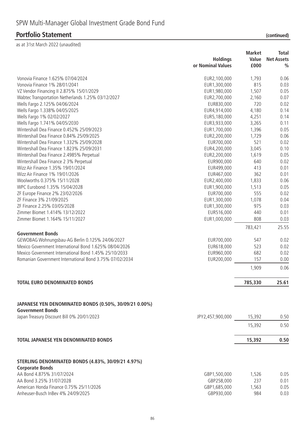as at 31st March 2022 (unaudited)

|                                                                                   | <b>Holdings</b><br>or Nominal Values | <b>Market</b><br>Value<br>£000 | <b>Total</b><br><b>Net Assets</b><br>$\frac{0}{0}$ |
|-----------------------------------------------------------------------------------|--------------------------------------|--------------------------------|----------------------------------------------------|
| Vonovia Finance 1.625% 07/04/2024                                                 | EUR2,100,000                         | 1,793                          | 0.06                                               |
| Vonovia Finance 1% 28/01/2041                                                     | EUR1,300,000                         | 815                            | 0.03                                               |
| VZ Vendor Financing II 2.875% 15/01/2029                                          | EUR1,980,000                         | 1,507                          | 0.05                                               |
| Wabtec Transportation Netherlands 1.25% 03/12/2027                                | EUR2,700,000                         | 2,160                          | 0.07                                               |
| Wells Fargo 2.125% 04/06/2024                                                     | EUR830,000                           | 720                            | 0.02                                               |
| Wells Fargo 1.338% 04/05/2025                                                     | EUR4,914,000                         | 4,180                          | 0.14                                               |
| Wells Fargo 1% 02/02/2027                                                         | EUR5, 180,000                        | 4,251                          | 0.14                                               |
| Wells Fargo 1.741% 04/05/2030                                                     | EUR3,933,000                         | 3,265                          | 0.11                                               |
| Wintershall Dea Finance 0.452% 25/09/2023                                         | EUR1,700,000                         | 1,396                          | 0.05                                               |
| Wintershall Dea Finance 0.84% 25/09/2025                                          | EUR2,200,000                         | 1,729                          | 0.06                                               |
| Wintershall Dea Finance 1.332% 25/09/2028                                         | EUR700,000                           | 521                            | 0.02                                               |
| Wintershall Dea Finance 1.823% 25/09/2031                                         | EUR4,200,000                         | 3,045                          | 0.10                                               |
| Wintershall Dea Finance 2.4985% Perpetual                                         | EUR2,200,000                         | 1,619                          | 0.05                                               |
| Wintershall Dea Finance 2 3% Perpetual                                            | EUR900,000                           | 640                            | 0.02                                               |
| Wizz Air Finance 1.35% 19/01/2024                                                 | EUR499,000                           | 413                            | 0.01                                               |
| Wizz Air Finance 1% 19/01/2026                                                    | EUR467,000                           | 362                            | 0.01                                               |
| Woolworths 0.375% 15/11/2028                                                      | EUR2,400,000                         | 1,833                          | 0.06                                               |
| WPC Eurobond 1.35% 15/04/2028                                                     | EUR1,900,000                         | 1,513                          | 0.05                                               |
| ZF Europe Finance 2% 23/02/2026                                                   | EUR700,000                           | 555                            | 0.02                                               |
| ZF Finance 3% 21/09/2025                                                          | EUR1,300,000                         | 1,078                          | 0.04                                               |
| ZF Finance 2.25% 03/05/2028                                                       | EUR1,300,000                         | 975                            | 0.03                                               |
| Zimmer Biomet 1.414% 13/12/2022                                                   | EUR516,000                           | 440                            | 0.01                                               |
| Zimmer Biomet 1.164% 15/11/2027                                                   | EUR1,000,000                         | 808                            | 0.03                                               |
|                                                                                   |                                      | 783,421                        | 25.55                                              |
| <b>Government Bonds</b>                                                           |                                      |                                |                                                    |
| GEWOBAG Wohnungsbau-AG Berlin 0.125% 24/06/2027                                   | EUR700,000                           | 547                            | 0.02                                               |
| Mexico Government International Bond 1.625% 08/04/2026                            | EUR618,000                           | 523                            | 0.02                                               |
| Mexico Government International Bond 1.45% 25/10/2033                             | EUR960,000                           | 682                            | 0.02                                               |
| Romanian Government International Bond 3.75% 07/02/2034                           | EUR200,000                           | 157                            | 0.00                                               |
|                                                                                   |                                      | 1,909                          | 0.06                                               |
| <b>TOTAL EURO DENOMINATED BONDS</b>                                               |                                      | 785,330                        | 25.61                                              |
| JAPANESE YEN DENOMINATED BONDS (0.50%, 30/09/21 0.00%)<br><b>Government Bonds</b> |                                      |                                |                                                    |
| Japan Treasury Discount Bill 0% 20/01/2023                                        | JPY2,457,900,000                     | 15,392                         | 0.50                                               |
|                                                                                   |                                      | 15,392                         | 0.50                                               |

**TOTAL JAPANESE YEN DENOMINATED BONDS 15,392 0.50**

#### **STERLING DENOMINATED BONDS (4.83%, 30/09/21 4.97%) Corporate Bonds** AA Bond 4.875% 31/07/2024 6.05 AA Bond 3.25% 31/07/2028 GBP258,000 237 0.01 American Honda Finance 0.75% 25/11/2026 6BP1,685,000 6BP1,685,000 1,563 0.05

Anheuser-Busch InBev 4% 24/09/2025 and the state of the GBP930,000 control of the GBP930,000 control of the GBP930,000

| ۷<br>٦<br>٠ |  |  |
|-------------|--|--|
|             |  |  |
|             |  |  |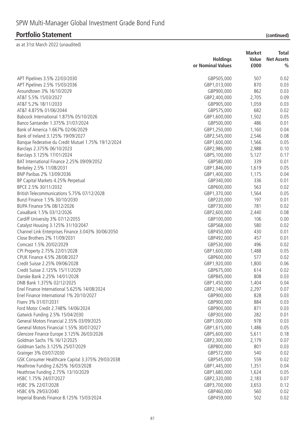|                                                     | <b>Holdings</b>   | <b>Market</b><br>Value | Total<br><b>Net Assets</b> |
|-----------------------------------------------------|-------------------|------------------------|----------------------------|
|                                                     | or Nominal Values | £000                   | $\frac{0}{0}$              |
| APT Pipelines 3.5% 22/03/2030                       | GBP505,000        | 507                    | 0.02                       |
| APT Pipelines 2.5% 15/03/2036                       | GBP1,013,000      | 870                    | 0.03                       |
| Aroundtown 3% 16/10/2029                            | GBP900,000        | 862                    | 0.03                       |
| AT&T 5.5% 15/03/2027                                | GBP2,400,000      | 2,705                  | 0.09                       |
| AT&T 5.2% 18/11/2033                                | GBP905,000        | 1,059                  | 0.03                       |
| AT&T 4.875% 01/06/2044                              | GBP575,000        | 682                    | 0.02                       |
| Babcock International 1.875% 05/10/2026             | GBP1,600,000      | 1,502                  | 0.05                       |
| Banco Santander 1.375% 31/07/2024                   | GBP500,000        | 486                    | 0.01                       |
| Bank of America 1.667% 02/06/2029                   | GBP1,250,000      | 1,160                  | 0.04                       |
| Bank of Ireland 3.125% 19/09/2027                   | GBP2,545,000      | 2,546                  | 0.08                       |
| Banque Federative du Credit Mutuel 1.75% 19/12/2024 | GBP1,600,000      | 1,566                  | 0.05                       |
| Barclays 2.375% 06/10/2023                          | GBP2,986,000      | 2,988                  | 0.10                       |
| Barclays 3.125% 17/01/2024                          | GBP5,100,000      | 5,127                  | 0.17                       |
| BAT International Finance 2.25% 09/09/2052          | GBP580,000        | 339                    | 0.01                       |
| Berkeley 2.5% 11/08/2031                            | GBP1,846,000      | 1,619                  | 0.05                       |
| BNP Paribas 2% 13/09/2036                           | GBP1,400,000      | 1,175                  | 0.04                       |
| BP Capital Markets 4.25% Perpetual                  | GBP340,000        | 336                    | 0.01                       |
| BPCE 2.5% 30/11/2032                                | GBP600,000        | 563                    | 0.02                       |
| British Telecommunications 5.75% 07/12/2028         | GBP1,370,000      | 1,564                  | 0.05                       |
| Bunzl Finance 1.5% 30/10/2030                       | GBP220,000        | 197                    | 0.01                       |
| BUPA Finance 5% 08/12/2026                          | GBP730,000        | 781                    | 0.02                       |
| CaixaBank 1.5% 03/12/2026                           | GBP2,600,000      | 2,440                  | 0.08                       |
| Cardiff University 3% 07/12/2055                    | GBP100,000        | 106                    | 0.00                       |
| Catalyst Housing 3.125% 31/10/2047                  | GBP568,000        | 580                    | 0.02                       |
| Channel Link Enterprises Finance 3.043% 30/06/2050  | GBP450,000        | 430                    | 0.01                       |
| Close Brothers 2% 11/09/2031                        | GBP492,000        | 457                    | 0.01                       |
| Comcast 1.5% 20/02/2029                             | GBP530,000        | 496                    | 0.02                       |
| CPI Property 2.75% 22/01/2028                       | GBP1,600,000      | 1,488                  | 0.05                       |
| CPUK Finance 4.5% 28/08/2027                        | GBP600,000        | 577                    | 0.02                       |
| Credit Suisse 2.25% 09/06/2028                      | GBP1,920,000      | 1,800                  | 0.06                       |
| Credit Suisse 2.125% 15/11/2029                     | GBP675,000        | 614                    | 0.02                       |
| Danske Bank 2.25% 14/01/2028                        | GBP845,000        | 808                    | 0.03                       |
| DNB Bank 1.375% 02/12/2025                          | GBP1,450,000      | 1,404                  | 0.04                       |
| Enel Finance International 5.625% 14/08/2024        | GBP2,140,000      | 2,297                  | 0.07                       |
| Enel Finance International 1% 20/10/2027            | GBP900,000        | 828                    | 0.03                       |
| Fisery 3% 01/07/2031                                | GBP900,000        | 884                    | 0.03                       |
| Ford Motor Credit 2.748% 14/06/2024                 | GBP900,000        | 871                    | 0.03                       |
| Gatwick Funding 2.5% 15/04/2030                     | GBP303,000        | 282                    | 0.01                       |
| General Motors Financial 2.35% 03/09/2025           | GBP1,000,000      | 978                    | 0.03                       |
| General Motors Financial 1.55% 30/07/2027           | GBP1,615,000      | 1,486                  | 0.05                       |
| Glencore Finance Europe 3.125% 26/03/2026           | GBP5,600,000      | 5,611                  | 0.18                       |
| Goldman Sachs 1% 16/12/2025                         | GBP2,300,000      | 2,179                  | 0.07                       |
| Goldman Sachs 3.125% 25/07/2029                     | GBP800,000        | 801                    | 0.03                       |
| Grainger 3% 03/07/2030                              | GBP572,000        | 540                    | 0.02                       |
| GSK Consumer Healthcare Capital 3.375% 29/03/2038   | GBP545,000        | 559                    | 0.02                       |
| Heathrow Funding 2.625% 16/03/2028                  | GBP1,445,000      | 1,351                  | 0.04                       |
| Heathrow Funding 2.75% 13/10/2029                   | GBP1,680,000      | 1,624                  | 0.05                       |
| HSBC 1.75% 24/07/2027                               | GBP2,320,000      | 2,183                  | 0.07                       |
| HSBC 3% 22/07/2028                                  | GBP3,700,000      | 3,653                  | 0.12                       |
| HSBC 6% 29/03/2040                                  | GBP460,000        | 560                    | 0.02                       |
| Imperial Brands Finance 8.125% 15/03/2024           | GBP459,000        | 502                    | 0.02                       |
|                                                     |                   |                        |                            |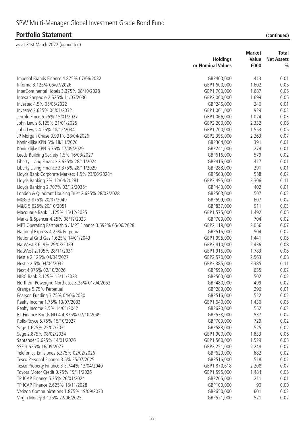|                                                                          | <b>Holdings</b>            | <b>Market</b><br>Value | Total<br><b>Net Assets</b> |
|--------------------------------------------------------------------------|----------------------------|------------------------|----------------------------|
|                                                                          | or Nominal Values          | £000                   | $\%$                       |
| Imperial Brands Finance 4.875% 07/06/2032                                | GBP400,000                 | 413                    | 0.01                       |
| Informa 3.125% 05/07/2026                                                | GBP1,600,000               | 1,602                  | 0.05                       |
| InterContinental Hotels 3.375% 08/10/2028                                | GBP1,700,000               | 1,687                  | 0.05                       |
| Intesa Sanpaolo 2.625% 11/03/2036                                        | GBP2,000,000               | 1,699                  | 0.05                       |
| Investec 4.5% 05/05/2022                                                 | GBP246,000                 | 246                    | 0.01                       |
| Investec 2.625% 04/01/2032                                               | GBP1,001,000               | 929                    | 0.03                       |
| Jerrold Finco 5.25% 15/01/2027                                           | GBP1,066,000               | 1,024                  | 0.03                       |
| John Lewis 6.125% 21/01/2025                                             | GBP2,200,000               | 2,332                  | 0.08                       |
| John Lewis 4.25% 18/12/2034                                              | GBP1,700,000               | 1,553                  | 0.05                       |
| JP Morgan Chase 0.991% 28/04/2026                                        | GBP2,395,000               | 2,263                  | 0.07                       |
| Koninklijke KPN 5% 18/11/2026                                            | GBP364,000                 | 391                    | 0.01                       |
| Koninklijke KPN 5.75% 17/09/2029                                         | GBP241,000                 | 274                    | 0.01                       |
| Leeds Building Society 1.5% 16/03/2027                                   | GBP616,000                 | 579                    | 0.02                       |
| Liberty Living Finance 2.625% 28/11/2024                                 | GBP416,000                 | 417                    | 0.01                       |
| Liberty Living Finance 3.375% 28/11/2029                                 | GBP288,000                 | 291                    | 0.01                       |
| Lloyds Bank Corporate Markets 1.5% 23/06/2023+                           | GBP563,000                 | 558                    | 0.02                       |
| Lloyds Banking 2% 12/04/2028†                                            | GBP3,495,000               | 3,306                  | 0.11                       |
| Lloyds Banking 2.707% 03/12/2035†                                        | GBP440,000                 | 402                    | 0.01                       |
| London & Quadrant Housing Trust 2.625% 28/02/2028                        | GBP503,000                 | 507                    | 0.02                       |
| M&G 3.875% 20/07/2049                                                    | GBP599,000                 | 607                    | 0.02                       |
| M&G 5.625% 20/10/2051                                                    | GBP837,000                 | 911                    | 0.03                       |
| Macquarie Bank 1.125% 15/12/2025                                         | GBP1,575,000               | 1,492                  | 0.05                       |
| Marks & Spencer 4.25% 08/12/2023                                         | GBP700,000                 | 704                    | 0.02                       |
| MPT Operating Partnership / MPT Finance 3.692% 05/06/2028                | GBP2,119,000               | 2,056                  | 0.07                       |
| National Express 4.25% Perpetual                                         | GBP516,000                 | 504                    | 0.02                       |
| National Grid Gas 1.625% 14/01/2043                                      | GBP1,995,000               | 1,441                  | 0.05                       |
| NatWest 3.619% 29/03/2029                                                | GBP2,410,000               | 2,436                  | 0.08                       |
| NatWest 2.105% 28/11/2031                                                | GBP1,915,000               | 1,783                  | 0.06                       |
| Nestle 2.125% 04/04/2027                                                 | GBP2,570,000               | 2,563                  | 0.08                       |
| Nestle 2.5% 04/04/2032                                                   |                            |                        |                            |
| Next 4.375% 02/10/2026                                                   | GBP3,385,000<br>GBP599,000 | 3,385<br>635           | 0.11<br>0.02               |
| NIBC Bank 3.125% 15/11/2023                                              | GBP500,000                 | 502                    | 0.02                       |
| Northern Powergrid Northeast 3.25% 01/04/2052                            | GBP480,000                 | 499                    | 0.02                       |
|                                                                          |                            | 296                    |                            |
| Orange 5.75% Perpetual                                                   | GBP289,000<br>GBP516,000   | 522                    | 0.01<br>0.02               |
| Pearson Funding 3.75% 04/06/2030                                         |                            | 1,436                  | 0.05                       |
| Realty Income 1.75% 13/07/2033                                           | GBP1,640,000               | 552                    | 0.02                       |
| Realty Income 2.5% 14/01/2042<br>RL Finance Bonds NO 4 4.875% 07/10/2049 | GBP620,000                 | 537                    | 0.02                       |
|                                                                          | GBP538,000                 | 729                    |                            |
| Rolls-Royce 5.75% 15/10/2027                                             | GBP700,000                 | 525                    | 0.02                       |
| Sage 1.625% 25/02/2031                                                   | GBP588,000                 |                        | 0.02                       |
| Sage 2.875% 08/02/2034                                                   | GBP1,900,000               | 1,833                  | 0.06                       |
| Santander 3.625% 14/01/2026                                              | GBP1,500,000               | 1,529                  | 0.05                       |
| SSE 3.625% 16/09/2077                                                    | GBP2,251,000               | 2,248                  | 0.07                       |
| Telefonica Emisiones 5.375% 02/02/2026                                   | GBP620,000                 | 682                    | 0.02                       |
| Tesco Personal Finance 3.5% 25/07/2025                                   | GBP516,000                 | 518                    | 0.02                       |
| Tesco Property Finance 3 5.744% 13/04/2040                               | GBP1,870,618               | 2,208                  | 0.07                       |
| Toyota Motor Credit 0.75% 19/11/2026                                     | GBP1,595,000               | 1,484                  | 0.05                       |
| TP ICAP Finance 5.25% 26/01/2024                                         | GBP205,000                 | 211                    | 0.01                       |
| TP ICAP Finance 2.625% 18/11/2028                                        | GBP100,000                 | 90                     | 0.00                       |
| Verizon Communications 1.875% 19/09/2030                                 | GBP650,000                 | 601                    | 0.02                       |
| Virgin Money 3.125% 22/06/2025                                           | GBP521,000                 | 521                    | 0.02                       |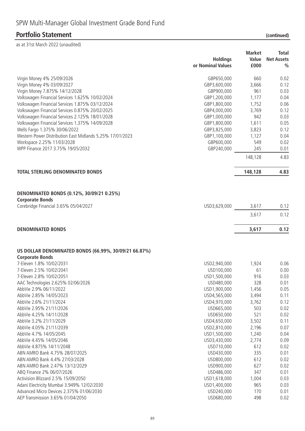|                                                                                 | <b>Holdings</b><br>or Nominal Values | <b>Market</b><br>Value<br>£000 | <b>Total</b><br><b>Net Assets</b><br>$\frac{0}{0}$ |
|---------------------------------------------------------------------------------|--------------------------------------|--------------------------------|----------------------------------------------------|
| Virgin Money 4% 25/09/2026                                                      | GBP650,000                           | 660                            | 0.02                                               |
| Virgin Money 4% 03/09/2027                                                      | GBP3,600,000                         | 3,666                          | 0.12                                               |
| Virgin Money 7.875% 14/12/2028                                                  | GBP900,000                           | 961                            | 0.03                                               |
| Volkswagen Financial Services 1.625% 10/02/2024                                 | GBP1,200,000                         | 1,177                          | 0.04                                               |
| Volkswagen Financial Services 1.875% 03/12/2024                                 | GBP1,800,000                         | 1,752                          | 0.06                                               |
| Volkswagen Financial Services 0.875% 20/02/2025                                 | GBP4,000,000                         | 3,769                          | 0.12                                               |
| Volkswagen Financial Services 2.125% 18/01/2028                                 | GBP1,000,000                         | 942                            | 0.03                                               |
| Volkswagen Financial Services 1.375% 14/09/2028                                 | GBP1,800,000                         | 1,611                          | 0.05                                               |
| Wells Fargo 1.375% 30/06/2022                                                   | GBP3,825,000                         | 3,823                          | 0.12                                               |
| Western Power Distribution East Midlands 5.25% 17/01/2023                       | GBP1,100,000                         | 1,127                          | 0.04                                               |
| Workspace 2.25% 11/03/2028                                                      | GBP600,000                           | 549                            | 0.02                                               |
| WPP Finance 2017 3.75% 19/05/2032                                               | GBP240,000                           | 245                            | 0.01                                               |
|                                                                                 |                                      | 148,128                        | 4.83                                               |
|                                                                                 |                                      |                                |                                                    |
| <b>TOTAL STERLING DENOMINATED BONDS</b>                                         |                                      | 148,128                        | 4.83                                               |
| DENOMINATED BONDS (0.12%, 30/09/21 0.25%)                                       |                                      |                                |                                                    |
| <b>Corporate Bonds</b>                                                          |                                      |                                |                                                    |
| Corebridge Financial 3.65% 05/04/2027                                           | USD3,629,000                         | 3,617                          | 0.12                                               |
|                                                                                 |                                      | 3,617                          | 0.12                                               |
| <b>DENOMINATED BONDS</b>                                                        |                                      | 3,617                          | 0.12                                               |
| US DOLLAR DENOMINATED BONDS (66.99%, 30/09/21 66.87%)<br><b>Corporate Bonds</b> |                                      |                                |                                                    |
| 7-Eleven 1.8% 10/02/2031                                                        | USD2,940,000                         | 1,924                          | 0.06                                               |
| 7-Eleven 2.5% 10/02/2041                                                        | USD100,000                           | 61                             | 0.00                                               |
| 7-Eleven 2.8% 10/02/2051                                                        | USD1,500,000                         | 916                            | 0.03                                               |
| AAC Technologies 2.625% 02/06/2026                                              | USD480,000                           | 328                            | 0.01                                               |
| AbbVie 2.9% 06/11/2022                                                          | USD1,900,000                         | 1,456                          | 0.05                                               |
| AbbVie 2.85% 14/05/2023                                                         | USD4,565,000                         | 3,494                          | 0.11                                               |
| AbbVie 2.6% 21/11/2024                                                          | USD4,970,000                         | 3,762                          | 0.12                                               |
| AbbVie 2.95% 21/11/2026                                                         | USD665,000                           | 503                            | 0.02                                               |
| AbbVie 4.25% 14/11/2028                                                         | USD650,000                           | 521                            | 0.02                                               |
| AbbVie 3.2% 21/11/2029                                                          | USD4,650,000                         | 3,502                          | 0.11                                               |
| AbbVie 4.05% 21/11/2039                                                         | USD2,810,000                         | 2,196                          | 0.07                                               |
| AbbVie 4.7% 14/05/2045                                                          | USD1,500,000                         | 1,240                          | 0.04                                               |
| AbbVie 4.45% 14/05/2046                                                         | USD3,430,000                         | 2,774                          | 0.09                                               |
| AbbVie 4.875% 14/11/2048                                                        | USD710,000                           | 612                            | 0.02                                               |
| ABN AMRO Bank 4.75% 28/07/2025                                                  | USD430,000                           | 335                            | 0.01                                               |
| ABN AMRO Bank 4.4% 27/03/2028                                                   | USD800,000                           | 612                            | 0.02                                               |
| ABN AMRO Bank 2.47% 13/12/2029                                                  | USD900,000                           | 627                            | 0.02                                               |
| ABQ Finance 2% 06/07/2026                                                       | USD486,000                           | 347                            | 0.01                                               |
| Activision Blizzard 2.5% 15/09/2050                                             | USD1,618,000                         | 1,004                          | 0.03                                               |
| Adani Electricity Mumbai 3.949% 12/02/2030                                      | USD1,400,000                         | 965                            | 0.03                                               |
| Advanced Micro Devices 2.375% 01/06/2030                                        | USD240,000                           | 170                            | 0.01                                               |
| AEP Transmission 3.65% 01/04/2050                                               | USD680,000                           | 498                            | 0.02                                               |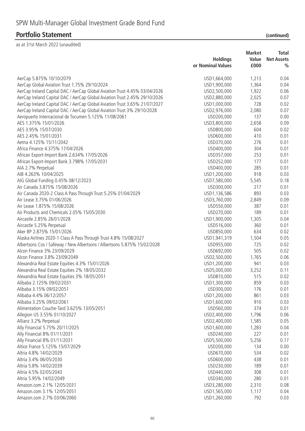| AerCap 5.875% 10/10/2079<br>1,213<br>USD1,664,000<br>0.04<br>1,364<br>AerCap Global Aviation Trust 1.75% 29/10/2024<br>USD1,900,000<br>0.04<br>1,922<br>AerCap Ireland Capital DAC / AerCap Global Aviation Trust 4.45% 03/04/2026<br>USD2,500,000<br>0.06<br>2,025<br>AerCap Ireland Capital DAC / AerCap Global Aviation Trust 2.45% 29/10/2026<br>USD2,880,000<br>0.07<br>AerCap Ireland Capital DAC / AerCap Global Aviation Trust 3.65% 21/07/2027<br>728<br>USD1,000,000<br>0.02<br>AerCap Ireland Capital DAC / AerCap Global Aviation Trust 3% 29/10/2028<br>2,080<br>0.07<br>USD2,976,000<br>137<br>Aeropuerto Internacional de Tocumen 5.125% 11/08/2061<br>USD200,000<br>0.00<br>0.09<br>AES 1.375% 15/01/2026<br>USD3,800,000<br>2,658<br>0.02<br>AES 3.95% 15/07/2030<br>604<br>USD800,000<br>410<br>AES 2.45% 15/01/2031<br>USD600,000<br>0.01<br>Aetna 4.125% 15/11/2042<br>USD370,000<br>276<br>0.01<br>Africa Finance 4.375% 17/04/2026<br>USD400,000<br>304<br>0.01<br>253<br>African Export-Import Bank 2.634% 17/05/2026<br>USD357,000<br>0.01<br>African Export-Import Bank 3.798% 17/05/2031<br>USD252,000<br>177<br>0.01<br>285<br>AIA 2.7% Perpetual<br>USD400,000<br>0.01<br>AIB 4.263% 10/04/2025<br>918<br>USD1,200,000<br>0.03<br>AIG Global Funding 0.45% 08/12/2023<br>USD7,580,000<br>0.18<br>5,545<br>Air Canada 3.875% 15/08/2026<br>USD300,000<br>217<br>0.01<br>893<br>Air Canada 2020-2 Class A Pass Through Trust 5.25% 01/04/2029<br>USD1,136,586<br>0.03<br>0.09<br>Air Lease 3.75% 01/06/2026<br>USD3,760,000<br>2,849<br>Air Lease 1.875% 15/08/2026<br>USD550,000<br>387<br>0.01<br>189<br>Air Products and Chemicals 2.05% 15/05/2030<br>USD270,000<br>0.01<br>Aircastle 2.85% 26/01/2028<br>USD1,900,000<br>1,305<br>0.04<br>Aircastle 5.25% Perpetual<br>360<br>0.01<br>USD516,000<br>Aker BP 2.875% 15/01/2026<br>USD850,000<br>634<br>0.02<br>Alaska Airlines 2020-1 Class A Pass Through Trust 4.8% 15/08/2027<br>USD1,941,319<br>1,504<br>0.05<br>Albertsons Cos / Safeway / New Albertsons / Albertsons 5.875% 15/02/2028<br>USD955,000<br>725<br>0.02<br>Alcon Finance 3% 23/09/2029<br>505<br>USD692,000<br>0.02<br>Alcon Finance 3.8% 23/09/2049<br>1,765<br>0.06<br>USD2,500,000<br>Alexandria Real Estate Equities 4.3% 15/01/2026<br>USD1,200,000<br>941<br>0.03<br>Alexandria Real Estate Equities 2% 18/05/2032<br>USD5,000,000<br>3,252<br>0.11<br>515<br>0.02<br>USD810,000<br>Alexandria Real Estate Equities 3% 18/05/2051<br>Alibaba 2.125% 09/02/2031<br>USD1,300,000<br>859<br>0.03<br>Alibaba 3.15% 09/02/2051<br>USD300,000<br>176<br>0.01<br>861<br>Alibaba 4.4% 06/12/2057<br>USD1,200,000<br>0.03<br>Alibaba 3.25% 09/02/2061<br>USD1,600,000<br>910<br>0.03<br>Alimentation Couche-Tard 3.625% 13/05/2051<br>374<br>0.01<br>USD560,000<br>Allegion US 3.55% 01/10/2027<br>USD2,400,000<br>1,796<br>0.06<br>Allianz 3.2% Perpetual<br>USD2,400,000<br>1,585<br>0.05<br>Ally Financial 5.75% 20/11/2025<br>1,283<br>0.04<br>USD1,600,000<br>227<br>Ally Financial 8% 01/11/2031<br>USD240,000<br>0.01<br>Ally Financial 8% 01/11/2031<br>USD5,500,000<br>5,256<br>0.17<br>Altice France 5.125% 15/07/2029<br>134<br>USD200,000<br>0.00<br>Altria 4.8% 14/02/2029<br>USD670,000<br>534<br>0.02<br>Altria 3.4% 06/05/2030<br>USD600,000<br>438<br>0.01<br>Altria 5.8% 14/02/2039<br>USD230,000<br>189<br>0.01<br>Altria 4.5% 02/05/2043<br>USD440,000<br>308<br>0.01<br>USD340,000<br>280<br>0.01<br>Altria 5.95% 14/02/2049<br>Amazon.com 2.1% 12/05/2031<br>USD3,280,000<br>0.08<br>2,310 | <b>Holdings</b><br>or Nominal Values | <b>Market</b><br>Value<br>£000 | <b>Total</b><br><b>Net Assets</b><br>$\frac{0}{0}$ |
|----------------------------------------------------------------------------------------------------------------------------------------------------------------------------------------------------------------------------------------------------------------------------------------------------------------------------------------------------------------------------------------------------------------------------------------------------------------------------------------------------------------------------------------------------------------------------------------------------------------------------------------------------------------------------------------------------------------------------------------------------------------------------------------------------------------------------------------------------------------------------------------------------------------------------------------------------------------------------------------------------------------------------------------------------------------------------------------------------------------------------------------------------------------------------------------------------------------------------------------------------------------------------------------------------------------------------------------------------------------------------------------------------------------------------------------------------------------------------------------------------------------------------------------------------------------------------------------------------------------------------------------------------------------------------------------------------------------------------------------------------------------------------------------------------------------------------------------------------------------------------------------------------------------------------------------------------------------------------------------------------------------------------------------------------------------------------------------------------------------------------------------------------------------------------------------------------------------------------------------------------------------------------------------------------------------------------------------------------------------------------------------------------------------------------------------------------------------------------------------------------------------------------------------------------------------------------------------------------------------------------------------------------------------------------------------------------------------------------------------------------------------------------------------------------------------------------------------------------------------------------------------------------------------------------------------------------------------------------------------------------------------------------------------------------------------------------------------------------------------------------------------------------------------------------------------------------------------------------------------------------------------------------------------------------------------------------------------------------------------------------------------------------------------------------------------------------------------------------------------------------------------------------------------------------------------|--------------------------------------|--------------------------------|----------------------------------------------------|
|                                                                                                                                                                                                                                                                                                                                                                                                                                                                                                                                                                                                                                                                                                                                                                                                                                                                                                                                                                                                                                                                                                                                                                                                                                                                                                                                                                                                                                                                                                                                                                                                                                                                                                                                                                                                                                                                                                                                                                                                                                                                                                                                                                                                                                                                                                                                                                                                                                                                                                                                                                                                                                                                                                                                                                                                                                                                                                                                                                                                                                                                                                                                                                                                                                                                                                                                                                                                                                                                                                                                                                |                                      |                                |                                                    |
|                                                                                                                                                                                                                                                                                                                                                                                                                                                                                                                                                                                                                                                                                                                                                                                                                                                                                                                                                                                                                                                                                                                                                                                                                                                                                                                                                                                                                                                                                                                                                                                                                                                                                                                                                                                                                                                                                                                                                                                                                                                                                                                                                                                                                                                                                                                                                                                                                                                                                                                                                                                                                                                                                                                                                                                                                                                                                                                                                                                                                                                                                                                                                                                                                                                                                                                                                                                                                                                                                                                                                                |                                      |                                |                                                    |
|                                                                                                                                                                                                                                                                                                                                                                                                                                                                                                                                                                                                                                                                                                                                                                                                                                                                                                                                                                                                                                                                                                                                                                                                                                                                                                                                                                                                                                                                                                                                                                                                                                                                                                                                                                                                                                                                                                                                                                                                                                                                                                                                                                                                                                                                                                                                                                                                                                                                                                                                                                                                                                                                                                                                                                                                                                                                                                                                                                                                                                                                                                                                                                                                                                                                                                                                                                                                                                                                                                                                                                |                                      |                                |                                                    |
|                                                                                                                                                                                                                                                                                                                                                                                                                                                                                                                                                                                                                                                                                                                                                                                                                                                                                                                                                                                                                                                                                                                                                                                                                                                                                                                                                                                                                                                                                                                                                                                                                                                                                                                                                                                                                                                                                                                                                                                                                                                                                                                                                                                                                                                                                                                                                                                                                                                                                                                                                                                                                                                                                                                                                                                                                                                                                                                                                                                                                                                                                                                                                                                                                                                                                                                                                                                                                                                                                                                                                                |                                      |                                |                                                    |
|                                                                                                                                                                                                                                                                                                                                                                                                                                                                                                                                                                                                                                                                                                                                                                                                                                                                                                                                                                                                                                                                                                                                                                                                                                                                                                                                                                                                                                                                                                                                                                                                                                                                                                                                                                                                                                                                                                                                                                                                                                                                                                                                                                                                                                                                                                                                                                                                                                                                                                                                                                                                                                                                                                                                                                                                                                                                                                                                                                                                                                                                                                                                                                                                                                                                                                                                                                                                                                                                                                                                                                |                                      |                                |                                                    |
|                                                                                                                                                                                                                                                                                                                                                                                                                                                                                                                                                                                                                                                                                                                                                                                                                                                                                                                                                                                                                                                                                                                                                                                                                                                                                                                                                                                                                                                                                                                                                                                                                                                                                                                                                                                                                                                                                                                                                                                                                                                                                                                                                                                                                                                                                                                                                                                                                                                                                                                                                                                                                                                                                                                                                                                                                                                                                                                                                                                                                                                                                                                                                                                                                                                                                                                                                                                                                                                                                                                                                                |                                      |                                |                                                    |
|                                                                                                                                                                                                                                                                                                                                                                                                                                                                                                                                                                                                                                                                                                                                                                                                                                                                                                                                                                                                                                                                                                                                                                                                                                                                                                                                                                                                                                                                                                                                                                                                                                                                                                                                                                                                                                                                                                                                                                                                                                                                                                                                                                                                                                                                                                                                                                                                                                                                                                                                                                                                                                                                                                                                                                                                                                                                                                                                                                                                                                                                                                                                                                                                                                                                                                                                                                                                                                                                                                                                                                |                                      |                                |                                                    |
|                                                                                                                                                                                                                                                                                                                                                                                                                                                                                                                                                                                                                                                                                                                                                                                                                                                                                                                                                                                                                                                                                                                                                                                                                                                                                                                                                                                                                                                                                                                                                                                                                                                                                                                                                                                                                                                                                                                                                                                                                                                                                                                                                                                                                                                                                                                                                                                                                                                                                                                                                                                                                                                                                                                                                                                                                                                                                                                                                                                                                                                                                                                                                                                                                                                                                                                                                                                                                                                                                                                                                                |                                      |                                |                                                    |
|                                                                                                                                                                                                                                                                                                                                                                                                                                                                                                                                                                                                                                                                                                                                                                                                                                                                                                                                                                                                                                                                                                                                                                                                                                                                                                                                                                                                                                                                                                                                                                                                                                                                                                                                                                                                                                                                                                                                                                                                                                                                                                                                                                                                                                                                                                                                                                                                                                                                                                                                                                                                                                                                                                                                                                                                                                                                                                                                                                                                                                                                                                                                                                                                                                                                                                                                                                                                                                                                                                                                                                |                                      |                                |                                                    |
|                                                                                                                                                                                                                                                                                                                                                                                                                                                                                                                                                                                                                                                                                                                                                                                                                                                                                                                                                                                                                                                                                                                                                                                                                                                                                                                                                                                                                                                                                                                                                                                                                                                                                                                                                                                                                                                                                                                                                                                                                                                                                                                                                                                                                                                                                                                                                                                                                                                                                                                                                                                                                                                                                                                                                                                                                                                                                                                                                                                                                                                                                                                                                                                                                                                                                                                                                                                                                                                                                                                                                                |                                      |                                |                                                    |
|                                                                                                                                                                                                                                                                                                                                                                                                                                                                                                                                                                                                                                                                                                                                                                                                                                                                                                                                                                                                                                                                                                                                                                                                                                                                                                                                                                                                                                                                                                                                                                                                                                                                                                                                                                                                                                                                                                                                                                                                                                                                                                                                                                                                                                                                                                                                                                                                                                                                                                                                                                                                                                                                                                                                                                                                                                                                                                                                                                                                                                                                                                                                                                                                                                                                                                                                                                                                                                                                                                                                                                |                                      |                                |                                                    |
|                                                                                                                                                                                                                                                                                                                                                                                                                                                                                                                                                                                                                                                                                                                                                                                                                                                                                                                                                                                                                                                                                                                                                                                                                                                                                                                                                                                                                                                                                                                                                                                                                                                                                                                                                                                                                                                                                                                                                                                                                                                                                                                                                                                                                                                                                                                                                                                                                                                                                                                                                                                                                                                                                                                                                                                                                                                                                                                                                                                                                                                                                                                                                                                                                                                                                                                                                                                                                                                                                                                                                                |                                      |                                |                                                    |
|                                                                                                                                                                                                                                                                                                                                                                                                                                                                                                                                                                                                                                                                                                                                                                                                                                                                                                                                                                                                                                                                                                                                                                                                                                                                                                                                                                                                                                                                                                                                                                                                                                                                                                                                                                                                                                                                                                                                                                                                                                                                                                                                                                                                                                                                                                                                                                                                                                                                                                                                                                                                                                                                                                                                                                                                                                                                                                                                                                                                                                                                                                                                                                                                                                                                                                                                                                                                                                                                                                                                                                |                                      |                                |                                                    |
|                                                                                                                                                                                                                                                                                                                                                                                                                                                                                                                                                                                                                                                                                                                                                                                                                                                                                                                                                                                                                                                                                                                                                                                                                                                                                                                                                                                                                                                                                                                                                                                                                                                                                                                                                                                                                                                                                                                                                                                                                                                                                                                                                                                                                                                                                                                                                                                                                                                                                                                                                                                                                                                                                                                                                                                                                                                                                                                                                                                                                                                                                                                                                                                                                                                                                                                                                                                                                                                                                                                                                                |                                      |                                |                                                    |
|                                                                                                                                                                                                                                                                                                                                                                                                                                                                                                                                                                                                                                                                                                                                                                                                                                                                                                                                                                                                                                                                                                                                                                                                                                                                                                                                                                                                                                                                                                                                                                                                                                                                                                                                                                                                                                                                                                                                                                                                                                                                                                                                                                                                                                                                                                                                                                                                                                                                                                                                                                                                                                                                                                                                                                                                                                                                                                                                                                                                                                                                                                                                                                                                                                                                                                                                                                                                                                                                                                                                                                |                                      |                                |                                                    |
|                                                                                                                                                                                                                                                                                                                                                                                                                                                                                                                                                                                                                                                                                                                                                                                                                                                                                                                                                                                                                                                                                                                                                                                                                                                                                                                                                                                                                                                                                                                                                                                                                                                                                                                                                                                                                                                                                                                                                                                                                                                                                                                                                                                                                                                                                                                                                                                                                                                                                                                                                                                                                                                                                                                                                                                                                                                                                                                                                                                                                                                                                                                                                                                                                                                                                                                                                                                                                                                                                                                                                                |                                      |                                |                                                    |
|                                                                                                                                                                                                                                                                                                                                                                                                                                                                                                                                                                                                                                                                                                                                                                                                                                                                                                                                                                                                                                                                                                                                                                                                                                                                                                                                                                                                                                                                                                                                                                                                                                                                                                                                                                                                                                                                                                                                                                                                                                                                                                                                                                                                                                                                                                                                                                                                                                                                                                                                                                                                                                                                                                                                                                                                                                                                                                                                                                                                                                                                                                                                                                                                                                                                                                                                                                                                                                                                                                                                                                |                                      |                                |                                                    |
|                                                                                                                                                                                                                                                                                                                                                                                                                                                                                                                                                                                                                                                                                                                                                                                                                                                                                                                                                                                                                                                                                                                                                                                                                                                                                                                                                                                                                                                                                                                                                                                                                                                                                                                                                                                                                                                                                                                                                                                                                                                                                                                                                                                                                                                                                                                                                                                                                                                                                                                                                                                                                                                                                                                                                                                                                                                                                                                                                                                                                                                                                                                                                                                                                                                                                                                                                                                                                                                                                                                                                                |                                      |                                |                                                    |
|                                                                                                                                                                                                                                                                                                                                                                                                                                                                                                                                                                                                                                                                                                                                                                                                                                                                                                                                                                                                                                                                                                                                                                                                                                                                                                                                                                                                                                                                                                                                                                                                                                                                                                                                                                                                                                                                                                                                                                                                                                                                                                                                                                                                                                                                                                                                                                                                                                                                                                                                                                                                                                                                                                                                                                                                                                                                                                                                                                                                                                                                                                                                                                                                                                                                                                                                                                                                                                                                                                                                                                |                                      |                                |                                                    |
|                                                                                                                                                                                                                                                                                                                                                                                                                                                                                                                                                                                                                                                                                                                                                                                                                                                                                                                                                                                                                                                                                                                                                                                                                                                                                                                                                                                                                                                                                                                                                                                                                                                                                                                                                                                                                                                                                                                                                                                                                                                                                                                                                                                                                                                                                                                                                                                                                                                                                                                                                                                                                                                                                                                                                                                                                                                                                                                                                                                                                                                                                                                                                                                                                                                                                                                                                                                                                                                                                                                                                                |                                      |                                |                                                    |
|                                                                                                                                                                                                                                                                                                                                                                                                                                                                                                                                                                                                                                                                                                                                                                                                                                                                                                                                                                                                                                                                                                                                                                                                                                                                                                                                                                                                                                                                                                                                                                                                                                                                                                                                                                                                                                                                                                                                                                                                                                                                                                                                                                                                                                                                                                                                                                                                                                                                                                                                                                                                                                                                                                                                                                                                                                                                                                                                                                                                                                                                                                                                                                                                                                                                                                                                                                                                                                                                                                                                                                |                                      |                                |                                                    |
|                                                                                                                                                                                                                                                                                                                                                                                                                                                                                                                                                                                                                                                                                                                                                                                                                                                                                                                                                                                                                                                                                                                                                                                                                                                                                                                                                                                                                                                                                                                                                                                                                                                                                                                                                                                                                                                                                                                                                                                                                                                                                                                                                                                                                                                                                                                                                                                                                                                                                                                                                                                                                                                                                                                                                                                                                                                                                                                                                                                                                                                                                                                                                                                                                                                                                                                                                                                                                                                                                                                                                                |                                      |                                |                                                    |
|                                                                                                                                                                                                                                                                                                                                                                                                                                                                                                                                                                                                                                                                                                                                                                                                                                                                                                                                                                                                                                                                                                                                                                                                                                                                                                                                                                                                                                                                                                                                                                                                                                                                                                                                                                                                                                                                                                                                                                                                                                                                                                                                                                                                                                                                                                                                                                                                                                                                                                                                                                                                                                                                                                                                                                                                                                                                                                                                                                                                                                                                                                                                                                                                                                                                                                                                                                                                                                                                                                                                                                |                                      |                                |                                                    |
|                                                                                                                                                                                                                                                                                                                                                                                                                                                                                                                                                                                                                                                                                                                                                                                                                                                                                                                                                                                                                                                                                                                                                                                                                                                                                                                                                                                                                                                                                                                                                                                                                                                                                                                                                                                                                                                                                                                                                                                                                                                                                                                                                                                                                                                                                                                                                                                                                                                                                                                                                                                                                                                                                                                                                                                                                                                                                                                                                                                                                                                                                                                                                                                                                                                                                                                                                                                                                                                                                                                                                                |                                      |                                |                                                    |
|                                                                                                                                                                                                                                                                                                                                                                                                                                                                                                                                                                                                                                                                                                                                                                                                                                                                                                                                                                                                                                                                                                                                                                                                                                                                                                                                                                                                                                                                                                                                                                                                                                                                                                                                                                                                                                                                                                                                                                                                                                                                                                                                                                                                                                                                                                                                                                                                                                                                                                                                                                                                                                                                                                                                                                                                                                                                                                                                                                                                                                                                                                                                                                                                                                                                                                                                                                                                                                                                                                                                                                |                                      |                                |                                                    |
|                                                                                                                                                                                                                                                                                                                                                                                                                                                                                                                                                                                                                                                                                                                                                                                                                                                                                                                                                                                                                                                                                                                                                                                                                                                                                                                                                                                                                                                                                                                                                                                                                                                                                                                                                                                                                                                                                                                                                                                                                                                                                                                                                                                                                                                                                                                                                                                                                                                                                                                                                                                                                                                                                                                                                                                                                                                                                                                                                                                                                                                                                                                                                                                                                                                                                                                                                                                                                                                                                                                                                                |                                      |                                |                                                    |
|                                                                                                                                                                                                                                                                                                                                                                                                                                                                                                                                                                                                                                                                                                                                                                                                                                                                                                                                                                                                                                                                                                                                                                                                                                                                                                                                                                                                                                                                                                                                                                                                                                                                                                                                                                                                                                                                                                                                                                                                                                                                                                                                                                                                                                                                                                                                                                                                                                                                                                                                                                                                                                                                                                                                                                                                                                                                                                                                                                                                                                                                                                                                                                                                                                                                                                                                                                                                                                                                                                                                                                |                                      |                                |                                                    |
|                                                                                                                                                                                                                                                                                                                                                                                                                                                                                                                                                                                                                                                                                                                                                                                                                                                                                                                                                                                                                                                                                                                                                                                                                                                                                                                                                                                                                                                                                                                                                                                                                                                                                                                                                                                                                                                                                                                                                                                                                                                                                                                                                                                                                                                                                                                                                                                                                                                                                                                                                                                                                                                                                                                                                                                                                                                                                                                                                                                                                                                                                                                                                                                                                                                                                                                                                                                                                                                                                                                                                                |                                      |                                |                                                    |
|                                                                                                                                                                                                                                                                                                                                                                                                                                                                                                                                                                                                                                                                                                                                                                                                                                                                                                                                                                                                                                                                                                                                                                                                                                                                                                                                                                                                                                                                                                                                                                                                                                                                                                                                                                                                                                                                                                                                                                                                                                                                                                                                                                                                                                                                                                                                                                                                                                                                                                                                                                                                                                                                                                                                                                                                                                                                                                                                                                                                                                                                                                                                                                                                                                                                                                                                                                                                                                                                                                                                                                |                                      |                                |                                                    |
|                                                                                                                                                                                                                                                                                                                                                                                                                                                                                                                                                                                                                                                                                                                                                                                                                                                                                                                                                                                                                                                                                                                                                                                                                                                                                                                                                                                                                                                                                                                                                                                                                                                                                                                                                                                                                                                                                                                                                                                                                                                                                                                                                                                                                                                                                                                                                                                                                                                                                                                                                                                                                                                                                                                                                                                                                                                                                                                                                                                                                                                                                                                                                                                                                                                                                                                                                                                                                                                                                                                                                                |                                      |                                |                                                    |
|                                                                                                                                                                                                                                                                                                                                                                                                                                                                                                                                                                                                                                                                                                                                                                                                                                                                                                                                                                                                                                                                                                                                                                                                                                                                                                                                                                                                                                                                                                                                                                                                                                                                                                                                                                                                                                                                                                                                                                                                                                                                                                                                                                                                                                                                                                                                                                                                                                                                                                                                                                                                                                                                                                                                                                                                                                                                                                                                                                                                                                                                                                                                                                                                                                                                                                                                                                                                                                                                                                                                                                |                                      |                                |                                                    |
|                                                                                                                                                                                                                                                                                                                                                                                                                                                                                                                                                                                                                                                                                                                                                                                                                                                                                                                                                                                                                                                                                                                                                                                                                                                                                                                                                                                                                                                                                                                                                                                                                                                                                                                                                                                                                                                                                                                                                                                                                                                                                                                                                                                                                                                                                                                                                                                                                                                                                                                                                                                                                                                                                                                                                                                                                                                                                                                                                                                                                                                                                                                                                                                                                                                                                                                                                                                                                                                                                                                                                                |                                      |                                |                                                    |
|                                                                                                                                                                                                                                                                                                                                                                                                                                                                                                                                                                                                                                                                                                                                                                                                                                                                                                                                                                                                                                                                                                                                                                                                                                                                                                                                                                                                                                                                                                                                                                                                                                                                                                                                                                                                                                                                                                                                                                                                                                                                                                                                                                                                                                                                                                                                                                                                                                                                                                                                                                                                                                                                                                                                                                                                                                                                                                                                                                                                                                                                                                                                                                                                                                                                                                                                                                                                                                                                                                                                                                |                                      |                                |                                                    |
|                                                                                                                                                                                                                                                                                                                                                                                                                                                                                                                                                                                                                                                                                                                                                                                                                                                                                                                                                                                                                                                                                                                                                                                                                                                                                                                                                                                                                                                                                                                                                                                                                                                                                                                                                                                                                                                                                                                                                                                                                                                                                                                                                                                                                                                                                                                                                                                                                                                                                                                                                                                                                                                                                                                                                                                                                                                                                                                                                                                                                                                                                                                                                                                                                                                                                                                                                                                                                                                                                                                                                                |                                      |                                |                                                    |
|                                                                                                                                                                                                                                                                                                                                                                                                                                                                                                                                                                                                                                                                                                                                                                                                                                                                                                                                                                                                                                                                                                                                                                                                                                                                                                                                                                                                                                                                                                                                                                                                                                                                                                                                                                                                                                                                                                                                                                                                                                                                                                                                                                                                                                                                                                                                                                                                                                                                                                                                                                                                                                                                                                                                                                                                                                                                                                                                                                                                                                                                                                                                                                                                                                                                                                                                                                                                                                                                                                                                                                |                                      |                                |                                                    |
|                                                                                                                                                                                                                                                                                                                                                                                                                                                                                                                                                                                                                                                                                                                                                                                                                                                                                                                                                                                                                                                                                                                                                                                                                                                                                                                                                                                                                                                                                                                                                                                                                                                                                                                                                                                                                                                                                                                                                                                                                                                                                                                                                                                                                                                                                                                                                                                                                                                                                                                                                                                                                                                                                                                                                                                                                                                                                                                                                                                                                                                                                                                                                                                                                                                                                                                                                                                                                                                                                                                                                                |                                      |                                |                                                    |
|                                                                                                                                                                                                                                                                                                                                                                                                                                                                                                                                                                                                                                                                                                                                                                                                                                                                                                                                                                                                                                                                                                                                                                                                                                                                                                                                                                                                                                                                                                                                                                                                                                                                                                                                                                                                                                                                                                                                                                                                                                                                                                                                                                                                                                                                                                                                                                                                                                                                                                                                                                                                                                                                                                                                                                                                                                                                                                                                                                                                                                                                                                                                                                                                                                                                                                                                                                                                                                                                                                                                                                |                                      |                                |                                                    |
|                                                                                                                                                                                                                                                                                                                                                                                                                                                                                                                                                                                                                                                                                                                                                                                                                                                                                                                                                                                                                                                                                                                                                                                                                                                                                                                                                                                                                                                                                                                                                                                                                                                                                                                                                                                                                                                                                                                                                                                                                                                                                                                                                                                                                                                                                                                                                                                                                                                                                                                                                                                                                                                                                                                                                                                                                                                                                                                                                                                                                                                                                                                                                                                                                                                                                                                                                                                                                                                                                                                                                                |                                      |                                |                                                    |
|                                                                                                                                                                                                                                                                                                                                                                                                                                                                                                                                                                                                                                                                                                                                                                                                                                                                                                                                                                                                                                                                                                                                                                                                                                                                                                                                                                                                                                                                                                                                                                                                                                                                                                                                                                                                                                                                                                                                                                                                                                                                                                                                                                                                                                                                                                                                                                                                                                                                                                                                                                                                                                                                                                                                                                                                                                                                                                                                                                                                                                                                                                                                                                                                                                                                                                                                                                                                                                                                                                                                                                |                                      |                                |                                                    |
|                                                                                                                                                                                                                                                                                                                                                                                                                                                                                                                                                                                                                                                                                                                                                                                                                                                                                                                                                                                                                                                                                                                                                                                                                                                                                                                                                                                                                                                                                                                                                                                                                                                                                                                                                                                                                                                                                                                                                                                                                                                                                                                                                                                                                                                                                                                                                                                                                                                                                                                                                                                                                                                                                                                                                                                                                                                                                                                                                                                                                                                                                                                                                                                                                                                                                                                                                                                                                                                                                                                                                                |                                      |                                |                                                    |
|                                                                                                                                                                                                                                                                                                                                                                                                                                                                                                                                                                                                                                                                                                                                                                                                                                                                                                                                                                                                                                                                                                                                                                                                                                                                                                                                                                                                                                                                                                                                                                                                                                                                                                                                                                                                                                                                                                                                                                                                                                                                                                                                                                                                                                                                                                                                                                                                                                                                                                                                                                                                                                                                                                                                                                                                                                                                                                                                                                                                                                                                                                                                                                                                                                                                                                                                                                                                                                                                                                                                                                |                                      |                                |                                                    |
|                                                                                                                                                                                                                                                                                                                                                                                                                                                                                                                                                                                                                                                                                                                                                                                                                                                                                                                                                                                                                                                                                                                                                                                                                                                                                                                                                                                                                                                                                                                                                                                                                                                                                                                                                                                                                                                                                                                                                                                                                                                                                                                                                                                                                                                                                                                                                                                                                                                                                                                                                                                                                                                                                                                                                                                                                                                                                                                                                                                                                                                                                                                                                                                                                                                                                                                                                                                                                                                                                                                                                                |                                      |                                |                                                    |
|                                                                                                                                                                                                                                                                                                                                                                                                                                                                                                                                                                                                                                                                                                                                                                                                                                                                                                                                                                                                                                                                                                                                                                                                                                                                                                                                                                                                                                                                                                                                                                                                                                                                                                                                                                                                                                                                                                                                                                                                                                                                                                                                                                                                                                                                                                                                                                                                                                                                                                                                                                                                                                                                                                                                                                                                                                                                                                                                                                                                                                                                                                                                                                                                                                                                                                                                                                                                                                                                                                                                                                |                                      |                                |                                                    |
|                                                                                                                                                                                                                                                                                                                                                                                                                                                                                                                                                                                                                                                                                                                                                                                                                                                                                                                                                                                                                                                                                                                                                                                                                                                                                                                                                                                                                                                                                                                                                                                                                                                                                                                                                                                                                                                                                                                                                                                                                                                                                                                                                                                                                                                                                                                                                                                                                                                                                                                                                                                                                                                                                                                                                                                                                                                                                                                                                                                                                                                                                                                                                                                                                                                                                                                                                                                                                                                                                                                                                                |                                      |                                |                                                    |
|                                                                                                                                                                                                                                                                                                                                                                                                                                                                                                                                                                                                                                                                                                                                                                                                                                                                                                                                                                                                                                                                                                                                                                                                                                                                                                                                                                                                                                                                                                                                                                                                                                                                                                                                                                                                                                                                                                                                                                                                                                                                                                                                                                                                                                                                                                                                                                                                                                                                                                                                                                                                                                                                                                                                                                                                                                                                                                                                                                                                                                                                                                                                                                                                                                                                                                                                                                                                                                                                                                                                                                |                                      |                                |                                                    |
|                                                                                                                                                                                                                                                                                                                                                                                                                                                                                                                                                                                                                                                                                                                                                                                                                                                                                                                                                                                                                                                                                                                                                                                                                                                                                                                                                                                                                                                                                                                                                                                                                                                                                                                                                                                                                                                                                                                                                                                                                                                                                                                                                                                                                                                                                                                                                                                                                                                                                                                                                                                                                                                                                                                                                                                                                                                                                                                                                                                                                                                                                                                                                                                                                                                                                                                                                                                                                                                                                                                                                                |                                      |                                |                                                    |
|                                                                                                                                                                                                                                                                                                                                                                                                                                                                                                                                                                                                                                                                                                                                                                                                                                                                                                                                                                                                                                                                                                                                                                                                                                                                                                                                                                                                                                                                                                                                                                                                                                                                                                                                                                                                                                                                                                                                                                                                                                                                                                                                                                                                                                                                                                                                                                                                                                                                                                                                                                                                                                                                                                                                                                                                                                                                                                                                                                                                                                                                                                                                                                                                                                                                                                                                                                                                                                                                                                                                                                |                                      |                                |                                                    |
|                                                                                                                                                                                                                                                                                                                                                                                                                                                                                                                                                                                                                                                                                                                                                                                                                                                                                                                                                                                                                                                                                                                                                                                                                                                                                                                                                                                                                                                                                                                                                                                                                                                                                                                                                                                                                                                                                                                                                                                                                                                                                                                                                                                                                                                                                                                                                                                                                                                                                                                                                                                                                                                                                                                                                                                                                                                                                                                                                                                                                                                                                                                                                                                                                                                                                                                                                                                                                                                                                                                                                                |                                      |                                |                                                    |
|                                                                                                                                                                                                                                                                                                                                                                                                                                                                                                                                                                                                                                                                                                                                                                                                                                                                                                                                                                                                                                                                                                                                                                                                                                                                                                                                                                                                                                                                                                                                                                                                                                                                                                                                                                                                                                                                                                                                                                                                                                                                                                                                                                                                                                                                                                                                                                                                                                                                                                                                                                                                                                                                                                                                                                                                                                                                                                                                                                                                                                                                                                                                                                                                                                                                                                                                                                                                                                                                                                                                                                |                                      |                                |                                                    |
|                                                                                                                                                                                                                                                                                                                                                                                                                                                                                                                                                                                                                                                                                                                                                                                                                                                                                                                                                                                                                                                                                                                                                                                                                                                                                                                                                                                                                                                                                                                                                                                                                                                                                                                                                                                                                                                                                                                                                                                                                                                                                                                                                                                                                                                                                                                                                                                                                                                                                                                                                                                                                                                                                                                                                                                                                                                                                                                                                                                                                                                                                                                                                                                                                                                                                                                                                                                                                                                                                                                                                                |                                      |                                |                                                    |
| Amazon.com 3.1% 12/05/2051<br>0.04<br>USD1,565,000<br>1,117                                                                                                                                                                                                                                                                                                                                                                                                                                                                                                                                                                                                                                                                                                                                                                                                                                                                                                                                                                                                                                                                                                                                                                                                                                                                                                                                                                                                                                                                                                                                                                                                                                                                                                                                                                                                                                                                                                                                                                                                                                                                                                                                                                                                                                                                                                                                                                                                                                                                                                                                                                                                                                                                                                                                                                                                                                                                                                                                                                                                                                                                                                                                                                                                                                                                                                                                                                                                                                                                                                    |                                      |                                |                                                    |
| Amazon.com 2.7% 03/06/2060<br>USD1,260,000<br>792<br>0.03                                                                                                                                                                                                                                                                                                                                                                                                                                                                                                                                                                                                                                                                                                                                                                                                                                                                                                                                                                                                                                                                                                                                                                                                                                                                                                                                                                                                                                                                                                                                                                                                                                                                                                                                                                                                                                                                                                                                                                                                                                                                                                                                                                                                                                                                                                                                                                                                                                                                                                                                                                                                                                                                                                                                                                                                                                                                                                                                                                                                                                                                                                                                                                                                                                                                                                                                                                                                                                                                                                      |                                      |                                |                                                    |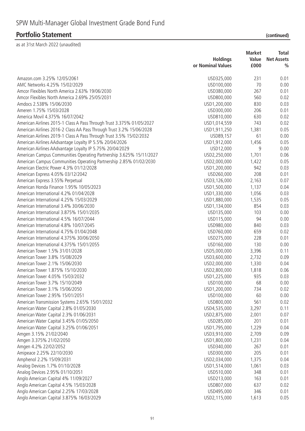|                                                                       |                   | <b>Market</b> | <b>Total</b>      |
|-----------------------------------------------------------------------|-------------------|---------------|-------------------|
|                                                                       | <b>Holdings</b>   | Value         | <b>Net Assets</b> |
|                                                                       | or Nominal Values | £000          | $\frac{0}{0}$     |
| Amazon.com 3.25% 12/05/2061                                           | USD325,000        | 231           | 0.01              |
| AMC Networks 4.25% 15/02/2029                                         | USD100,000        | 70            | 0.00              |
| Amcor Flexibles North America 2.63% 19/06/2030                        | USD380,000        | 267           | 0.01              |
| Amcor Flexibles North America 2.69% 25/05/2031                        | USD800,000        | 560           | 0.02              |
| Amdocs 2.538% 15/06/2030                                              | USD1,200,000      | 830           | 0.03              |
| Ameren 1.75% 15/03/2028                                               | USD300,000        | 206           | 0.01              |
| America Movil 4.375% 16/07/2042                                       | USD810,000        | 630           | 0.02              |
| American Airlines 2015-1 Class A Pass Through Trust 3.375% 01/05/2027 | USD1,014,559      | 743           | 0.02              |
| American Airlines 2016-2 Class AA Pass Through Trust 3.2% 15/06/2028  | USD1,911,250      | 1,381         | 0.05              |
| American Airlines 2019-1 Class A Pass Through Trust 3.5% 15/02/2032   | USD89,157         | 61            | 0.00              |
| American Airlines AAdvantage Loyalty IP 5.5% 20/04/2026               | USD1,912,000      | 1,456         | 0.05              |
| American Airlines AAdvantage Loyalty IP 5.75% 20/04/2029              | USD12,000         | 9             | 0.00              |
| American Campus Communities Operating Partnership 3.625% 15/11/2027   | USD2,250,000      | 1,701         | 0.06              |
| American Campus Communities Operating Partnership 2.85% 01/02/2030    | USD2,000,000      | 1,422         | 0.05              |
| American Electric Power 4.3% 01/12/2028                               | USD1,200,000      | 942           | 0.03              |
| American Express 4.05% 03/12/2042                                     | USD260,000        | 208           | 0.01              |
| American Express 3.55% Perpetual                                      | USD3,126,000      | 2,163         | 0.07              |
| American Honda Finance 1.95% 10/05/2023                               | USD1,500,000      | 1,137         | 0.04              |
| American International 4.2% 01/04/2028                                | USD1,330,000      | 1,056         | 0.03              |
| American International 4.25% 15/03/2029                               | USD1,880,000      | 1,535         | 0.05              |
| American International 3.4% 30/06/2030                                | USD1,134,000      | 854           | 0.03              |
| American International 3.875% 15/01/2035                              | USD135,000        | 103           | 0.00              |
| American International 4.5% 16/07/2044                                | USD115,000        | 94            | 0.00              |
| American International 4.8% 10/07/2045                                | USD980,000        | 840           | 0.03              |
| American International 4.75% 01/04/2048                               | USD760,000        | 659           | 0.02              |
| American International 4.375% 30/06/2050                              | USD275,000        | 228           | 0.01              |
| American International 4.375% 15/01/2055                              | USD160,000        | 130           | 0.00              |
| American Tower 1.5% 31/01/2028                                        | USD5,000,000      | 3,396         | 0.11              |
| American Tower 3.8% 15/08/2029                                        | USD3,600,000      | 2,732         | 0.09              |
| American Tower 2.1% 15/06/2030                                        | USD2,000,000      | 1,330         | 0.04              |
| American Tower 1.875% 15/10/2030                                      | USD2,800,000      | 1,818         | 0.06              |
| American Tower 4.05% 15/03/2032                                       | USD1,225,000      | 935           | 0.03              |
| American Tower 3.7% 15/10/2049                                        | USD100,000        | 68            | 0.00              |
| American Tower 3.1% 15/06/2050                                        | USD1,200,000      | 734           | 0.02              |
| American Tower 2.95% 15/01/2051                                       | USD100,000        | 60            | 0.00              |
| American Transmission Systems 2.65% 15/01/2032                        | USD800,000        | 561           | 0.02              |
| American Water Capital 2.8% 01/05/2030                                | USD4,535,000      | 3,297         | 0.11              |
| American Water Capital 2.3% 01/06/2031                                | USD2,875,000      | 2,001         | 0.07              |
| American Water Capital 3.45% 01/05/2050                               | USD285,000        | 201           | 0.01              |
| American Water Capital 3.25% 01/06/2051                               | USD1,795,000      | 1,229         | 0.04              |
| Amgen 3.15% 21/02/2040                                                | USD3,910,000      | 2,709         | 0.09              |
| Amgen 3.375% 21/02/2050                                               | USD1,800,000      | 1,231         | 0.04              |
| Amgen 4.2% 22/02/2052                                                 | USD340,000        | 267           | 0.01              |
| Amipeace 2.25% 22/10/2030                                             | USD300,000        | 205           | 0.01              |
| Amphenol 2.2% 15/09/2031                                              | USD2,034,000      | 1,375         | 0.04              |
| Analog Devices 1.7% 01/10/2028                                        | USD1,514,000      | 1,061         | 0.03              |
| Analog Devices 2.95% 01/10/2051                                       | USD510,000        | 348           | 0.01              |
| Anglo American Capital 4% 11/09/2027                                  | USD213,000        | 163           | 0.01              |
| Anglo American Capital 4.5% 15/03/2028                                | USD807,000        | 637           | 0.02              |
| Anglo American Capital 2.25% 17/03/2028                               | USD495,000        | 346           | 0.01              |
| Anglo American Capital 3.875% 16/03/2029                              | USD2,115,000      | 1,613         | 0.05              |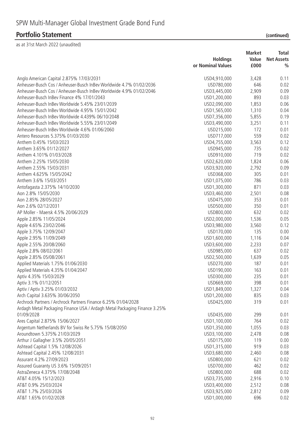|                                                                           | <b>Holdings</b>   | <b>Market</b><br>Value | <b>Total</b><br><b>Net Assets</b> |
|---------------------------------------------------------------------------|-------------------|------------------------|-----------------------------------|
|                                                                           | or Nominal Values | £000                   | $\frac{0}{0}$                     |
| Anglo American Capital 2.875% 17/03/2031                                  | USD4,910,000      | 3,428                  | 0.11                              |
| Anheuser-Busch Cos / Anheuser-Busch InBev Worldwide 4.7% 01/02/2036       | USD780,000        | 646                    | 0.02                              |
| Anheuser-Busch Cos / Anheuser-Busch InBev Worldwide 4.9% 01/02/2046       | USD3,445,000      | 2,909                  | 0.09                              |
| Anheuser-Busch InBev Finance 4% 17/01/2043                                | USD1,200,000      | 893                    | 0.03                              |
| Anheuser-Busch InBev Worldwide 5.45% 23/01/2039                           | USD2,090,000      | 1,853                  | 0.06                              |
| Anheuser-Busch InBev Worldwide 4.95% 15/01/2042                           | USD1,565,000      | 1,310                  | 0.04                              |
| Anheuser-Busch InBey Worldwide 4.439% 06/10/2048                          | USD7,356,000      | 5,855                  | 0.19                              |
| Anheuser-Busch InBev Worldwide 5.55% 23/01/2049                           | USD3,490,000      | 3,251                  | 0.11                              |
| Anheuser-Busch InBev Worldwide 4.6% 01/06/2060                            | USD215,000        | 172                    | 0.01                              |
| Antero Resources 5.375% 01/03/2030                                        | USD717,000        | 559                    | 0.02                              |
| Anthem 0.45% 15/03/2023                                                   | USD4,755,000      | 3,563                  | 0.12                              |
| Anthem 3.65% 01/12/2027                                                   | USD945,000        | 735                    | 0.02                              |
| Anthem 4.101% 01/03/2028                                                  | USD910,000        | 719                    | 0.02                              |
| Anthem 2.25% 15/05/2030                                                   | USD2,620,000      | 1,824                  | 0.06                              |
| Anthem 2.55% 15/03/2031                                                   | USD3,920,000      | 2,792                  | 0.09                              |
| Anthem 4.625% 15/05/2042                                                  | USD368,000        | 305                    | 0.01                              |
| Anthem 3.6% 15/03/2051                                                    | USD1,075,000      | 786                    | 0.03                              |
| Antofagasta 2.375% 14/10/2030                                             | USD1,300,000      | 871                    | 0.03                              |
| Aon 2.8% 15/05/2030                                                       | USD3,460,000      | 2,501                  | 0.08                              |
| Aon 2.85% 28/05/2027                                                      | USD475,000        | 353                    | 0.01                              |
| Aon 2.6% 02/12/2031                                                       | USD500,000        | 350                    | 0.01                              |
| AP Moller - Maersk 4.5% 20/06/2029                                        | USD800,000        | 632                    | 0.02                              |
| Apple 2.85% 11/05/2024                                                    | USD2,000,000      | 1,536                  | 0.05                              |
| Apple 4.65% 23/02/2046                                                    | USD3,980,000      | 3,560                  | 0.12                              |
| Apple 3.75% 12/09/2047                                                    | USD170,000        | 135                    | 0.00                              |
| Apple 2.95% 11/09/2049                                                    | USD1,600,000      | 1,116                  | 0.04                              |
| Apple 2.55% 20/08/2060                                                    | USD3,600,000      | 2,233                  | 0.07                              |
| Apple 2.8% 08/02/2061                                                     | USD985,000        | 637                    | 0.02                              |
| Apple 2.85% 05/08/2061                                                    | USD2,500,000      | 1,639                  | 0.05                              |
| Applied Materials 1.75% 01/06/2030                                        | USD270,000        | 187                    | 0.01                              |
| Applied Materials 4.35% 01/04/2047                                        | USD190,000        | 163                    | 0.01                              |
| Aptiv 4.35% 15/03/2029                                                    | USD300,000        | 235                    | 0.01                              |
| Aptiv 3.1% 01/12/2051                                                     | USD669,000        | 398                    | 0.01                              |
| Aptiv / Aptiv 3.25% 01/03/2032                                            | USD1,849,000      | 1,327                  | 0.04                              |
| Arch Capital 3.635% 30/06/2050                                            | USD1,200,000      | 835                    | 0.03                              |
| Archrock Partners / Archrock Partners Finance 6.25% 01/04/2028            | USD425,000        | 319                    | 0.01                              |
| Ardagh Metal Packaging Finance USA / Ardagh Metal Packaging Finance 3.25% |                   |                        |                                   |
| 01/09/2028                                                                | USD435,000        | 299                    | 0.01                              |
| Ares Capital 2.875% 15/06/2027                                            | USD1,100,000      | 764                    | 0.02                              |
| Argentum Netherlands BV for Swiss Re 5.75% 15/08/2050                     | USD1,350,000      | 1,055                  | 0.03                              |
| Aroundtown 5.375% 21/03/2029                                              | USD3,100,000      | 2,478                  | 0.08                              |
| Arthur J Gallagher 3.5% 20/05/2051                                        | USD175,000        | 119                    | 0.00                              |
| Ashtead Capital 1.5% 12/08/2026                                           | USD1,315,000      | 919                    | 0.03                              |
| Ashtead Capital 2.45% 12/08/2031                                          | USD3,680,000      | 2,460                  | 0.08                              |
| Assurant 4.2% 27/09/2023                                                  | USD800,000        | 621                    | 0.02                              |
| Assured Guaranty US 3.6% 15/09/2051                                       | USD700,000        | 462                    | 0.02                              |
| AstraZeneca 4.375% 17/08/2048                                             | USD800,000        | 688                    | 0.02                              |
| AT&T 4.05% 15/12/2023                                                     | USD3,735,000      | 2,916                  | 0.10                              |
| AT&T 0.9% 25/03/2024                                                      | USD3,400,000      | 2,512                  | 0.08                              |
| AT&T 1.7% 25/03/2026                                                      | USD3,925,000      | 2,812                  | 0.09                              |
| AT&T 1.65% 01/02/2028                                                     | USD1,000,000      | 696                    | 0.02                              |
|                                                                           |                   |                        |                                   |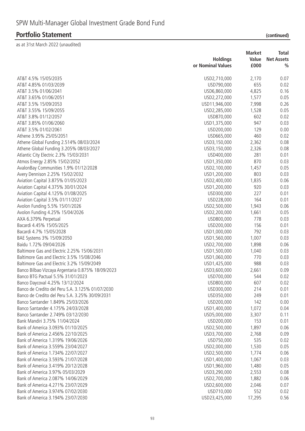|                                                   |                   | <b>Market</b> | Total             |
|---------------------------------------------------|-------------------|---------------|-------------------|
|                                                   | <b>Holdings</b>   | Value         | <b>Net Assets</b> |
|                                                   | or Nominal Values | £000          | $\frac{0}{0}$     |
| AT&T 4.5% 15/05/2035                              |                   |               |                   |
| AT&T 4.85% 01/03/2039                             | USD2,710,000      | 2,170         | 0.07              |
|                                                   | USD790,000        | 655           | 0.02              |
| AT&T 3.5% 01/06/2041                              | USD6,860,000      | 4,825         | 0.16              |
| AT&T 3.65% 01/06/2051                             | USD2,272,000      | 1,577         | 0.05              |
| AT&T 3.5% 15/09/2053                              | USD11,946,000     | 7,998         | 0.26              |
| AT&T 3.55% 15/09/2055                             | USD2,285,000      | 1,528         | 0.05              |
| AT&T 3.8% 01/12/2057                              | USD870,000        | 602           | 0.02              |
| AT&T 3.85% 01/06/2060                             | USD1,375,000      | 947           | 0.03              |
| AT&T 3.5% 01/02/2061                              | USD200,000        | 129           | 0.00              |
| Athene 3.95% 25/05/2051                           | USD665,000        | 460           | 0.02              |
| Athene Global Funding 2.514% 08/03/2024           | USD3,150,000      | 2,362         | 0.08              |
| Athene Global Funding 3.205% 08/03/2027           | USD3,150,000      | 2,326         | 0.08              |
| Atlantic City Electric 2.3% 15/03/2031            | USD400,000        | 281           | 0.01              |
| Atmos Energy 2.85% 15/02/2052                     | USD1,350,000      | 870           | 0.03              |
| AvalonBay Communities 1.9% 01/12/2028             | USD2,100,000      | 1,457         | 0.05              |
| Avery Dennison 2.25% 15/02/2032                   | USD1,200,000      | 803           | 0.03              |
| Aviation Capital 3.875% 01/05/2023                | USD2,400,000      | 1,835         | 0.06              |
| Aviation Capital 4.375% 30/01/2024                | USD1,200,000      | 920           | 0.03              |
| Aviation Capital 4.125% 01/08/2025                | USD300,000        | 227           | 0.01              |
| Aviation Capital 3.5% 01/11/2027                  | USD228,000        | 164           | 0.01              |
| Avolon Funding 5.5% 15/01/2026                    | USD2,500,000      | 1,943         | 0.06              |
| Avolon Funding 4.25% 15/04/2026                   | USD2,200,000      | 1,661         | 0.05              |
| AXA 6.379% Perpetual                              | USD800,000        | 778           | 0.03              |
| Bacardi 4.45% 15/05/2025                          | USD200,000        | 156           | 0.01              |
| Bacardi 4.7% 15/05/2028                           | USD1,000,000      | 792           | 0.03              |
| BAE Systems 3% 15/09/2050                         | USD1,560,000      | 1,007         | 0.03              |
| Baidu 1.72% 09/04/2026                            | USD2,700,000      | 1,898         | 0.06              |
| Baltimore Gas and Electric 2.25% 15/06/2031       | USD1,500,000      | 1,040         | 0.03              |
| Baltimore Gas and Electric 3.5% 15/08/2046        | USD1,060,000      | 770           | 0.03              |
| Baltimore Gas and Electric 3.2% 15/09/2049        | USD1,425,000      | 988           | 0.03              |
| Banco Bilbao Vizcaya Argentaria 0.875% 18/09/2023 | USD3,600,000      | 2,661         | 0.09              |
| Banco BTG Pactual 5.5% 31/01/2023                 | USD700,000        | 544           | 0.02              |
| Banco Daycoval 4.25% 13/12/2024                   | USD800,000        | 607           | 0.02              |
| Banco de Credito del Peru S.A. 3.125% 01/07/2030  | USD300,000        | 214           | 0.01              |
| Banco de Credito del Peru S.A. 3.25% 30/09/2031   | USD350,000        | 249           | 0.01              |
| Banco Santander 1.849% 25/03/2026                 | USD200,000        | 142           | 0.00              |
| Banco Santander 4.175% 24/03/2028                 | USD1,400,000      | 1,072         | 0.04              |
| Banco Santander 2.749% 03/12/2030                 | USD5,000,000      | 3,307         | 0.11              |
| Bank Mandiri 3.75% 11/04/2024                     | USD200,000        | 153           | 0.01              |
| Bank of America 3.093% 01/10/2025                 | USD2,500,000      | 1,897         | 0.06              |
| Bank of America 2.456% 22/10/2025                 | USD3,700,000      |               | 0.09              |
| Bank of America 1.319% 19/06/2026                 |                   | 2,768<br>535  |                   |
|                                                   | USD750,000        |               | 0.02              |
| Bank of America 3.559% 23/04/2027                 | USD2,000,000      | 1,530         | 0.05              |
| Bank of America 1.734% 22/07/2027                 | USD2,500,000      | 1,774         | 0.06              |
| Bank of America 3.593% 21/07/2028                 | USD1,400,000      | 1,067         | 0.03              |
| Bank of America 3.419% 20/12/2028                 | USD1,960,000      | 1,480         | 0.05              |
| Bank of America 3.97% 05/03/2029                  | USD3,290,000      | 2,553         | 0.08              |
| Bank of America 2.087% 14/06/2029                 | USD2,700,000      | 1,882         | 0.06              |
| Bank of America 4.271% 23/07/2029                 | USD2,600,000      | 2,046         | 0.07              |
| Bank of America 3.974% 07/02/2030                 | USD710,000        | 552           | 0.02              |
| Bank of America 3.194% 23/07/2030                 | USD23,425,000     | 17,295        | 0.56              |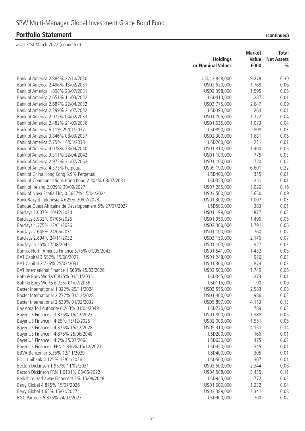| (continued) |  |
|-------------|--|
|             |  |

|                                                       | <b>Holdings</b><br>or Nominal Values | <b>Market</b><br>Value<br>£000 | <b>Total</b><br><b>Net Assets</b><br>$\frac{0}{0}$ |
|-------------------------------------------------------|--------------------------------------|--------------------------------|----------------------------------------------------|
|                                                       |                                      |                                |                                                    |
| Bank of America 2.884% 22/10/2030                     | USD12,848,000                        | 9,278                          | 0.30                                               |
| Bank of America 2.496% 13/02/2031                     | USD2,520,000                         | 1,768                          | 0.06                                               |
| Bank of America 1.898% 23/07/2031                     | USD2,398,000                         | 1,595                          | 0.05                                               |
| Bank of America 2.651% 11/03/2032                     | USD410,000                           | 287                            | 0.01                                               |
| Bank of America 2.687% 22/04/2032                     | USD3,775,000                         | 2,647                          | 0.09                                               |
| Bank of America 2.299% 21/07/2032                     | USD390,000                           | 264                            | 0.01                                               |
| Bank of America 2.972% 04/02/2033                     | USD1,705,000                         | 1,222                          | 0.04                                               |
| Bank of America 2.482% 21/09/2036                     | USD1,635,000                         | 1,073                          | 0.04                                               |
| Bank of America 6.11% 29/01/2037                      | USD890,000                           | 808                            | 0.03                                               |
| Bank of America 3.846% 08/03/2037                     | USD2,300,000                         | 1,681                          | 0.05                                               |
| Bank of America 7.75% 14/05/2038                      | USD200,000                           | 211                            | 0.01                                               |
| Bank of America 4.078% 23/04/2040                     | USD1,810,000                         | 1,400                          | 0.05                                               |
| Bank of America 3.311% 22/04/2042                     | USD1,100,000                         | 775                            | 0.03                                               |
| Bank of America 2.972% 21/07/2052                     | USD1,100,000                         | 720                            | 0.02                                               |
| Bank of America 4.375% Perpetual                      | USD9,190,000                         | 6,601                          | 0.22                                               |
| Bank of China Hong Kong 5.9% Perpetual                | USD400,000                           | 315                            | 0.01                                               |
| Bank of Communications Hong Kong 2.304% 08/07/2031    | USD353,000                           | 251                            | 0.01                                               |
| Bank of Ireland 2.029% 30/09/2027                     | USD7,285,000                         | 5,026                          | 0.16                                               |
| Bank of Nova Scotia FRN 0.5627% 15/04/2024            | USD3,500,000                         | 2,650                          | 0.09                                               |
| Bank Rakyat Indonesia 4.625% 20/07/2023               | USD1,300,000                         | 1,007                          | 0.03                                               |
| Banque Ouest Africaine de Developpement 5% 27/07/2027 | USD500,000                           | 383                            | 0.01                                               |
| Barclays 1.007% 10/12/2024                            | USD1,199,000                         | 877                            | 0.03                                               |
| Barclays 3.932% 07/05/2025                            | USD1,950,000                         | 1,496                          | 0.05                                               |
| Barclays 4.375% 12/01/2026                            | USD2,300,000                         | 1,791                          | 0.06                                               |
| Barclays 2.645% 24/06/2031                            | USD1,100,000                         | 760                            | 0.02                                               |
| Barclays 2.894% 24/11/2032                            | USD3,150,000                         | 2,176                          | 0.07                                               |
| Barclays 5.25% 17/08/2045                             | USD1,100,000                         | 927                            | 0.03                                               |
| Barrick North America Finance 5.75% 01/05/2043        | USD1,541,000                         | 1,432                          | 0.05                                               |
| BAT Capital 3.557% 15/08/2027                         | USD1,248,000                         | 926                            | 0.03                                               |
| BAT Capital 2.726% 25/03/2031                         | USD1,300,000                         | 874                            | 0.03                                               |
| BAT International Finance 1.668% 25/03/2026           | USD2,500,000                         | 1,749                          | 0.06                                               |
| Bath & Body Works 6.875% 01/11/2035                   | USD345,000                           | 273                            | 0.01                                               |
| Bath & Body Works 6.75% 01/07/2036                    | USD115,000                           | 90                             | 0.00                                               |
| Baxter International 1.322% 29/11/2024                | USD3,555,000                         | 2,583                          | 0.08                                               |
| Baxter International 2.272% 01/12/2028                | USD1,400,000                         | 986                            | 0.03                                               |
| Baxter International 2.539% 01/02/2032                | USD5,897,000                         | 4,113                          | 0.13                                               |
| Bay Area Toll Authority 6.263% 01/04/2049             | USD730,000                           | 789                            | 0.03                                               |
| Bayer US Finance II 3.875% 15/12/2023                 | USD1,800,000                         | 1,388                          | 0.05                                               |
| Bayer US Finance II 4.25% 15/12/2025                  | USD2,000,000                         | 1,551                          | 0.05                                               |
| Bayer US Finance II 4.375% 15/12/2028                 | USD5,310,000                         | 4,151                          | 0.14                                               |
| Bayer US Finance II 4.875% 25/06/2048                 | USD200,000                           | 166                            | 0.01                                               |
| Bayer US Finance II 4.7% 15/07/2064                   | USD630,000                           | 475                            | 0.02                                               |
| Bayer US Finance II FRN 1.836% 15/12/2023             | USD450,000                           | 345                            | 0.01                                               |
| BBVA Bancomer 5.35% 12/11/2029                        | USD400,000                           | 305                            | 0.01                                               |
|                                                       |                                      |                                |                                                    |
| BDO Unibank 2.125% 13/01/2026                         | USD500,000                           | 367                            | 0.01                                               |
| Becton Dickinson 1.957% 11/02/2031                    | USD3,500,000                         | 2,344                          | 0.08                                               |
| Becton Dickinson FRN 1.6131% 06/06/2022               | USD4,508,000                         | 3,435                          | 0.11                                               |
| Berkshire Hathaway Finance 4.2% 15/08/2048            | USD945,000                           | 772                            | 0.03                                               |
| Berry Global 4.875% 15/07/2026                        | USD1,600,000                         | 1,232                          | 0.04                                               |
| Berry Global 1.65% 15/01/2027                         | USD3,389,000                         | 2,341                          | 0.08                                               |
| BGC Partners 5.375% 24/07/2023                        | USD900,000                           | 700                            | 0.02                                               |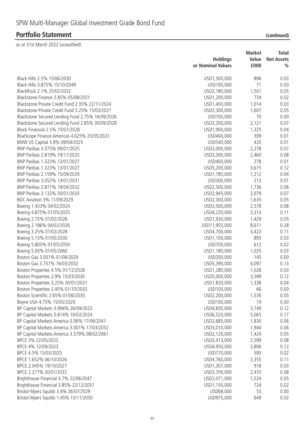| (continued) |  |
|-------------|--|
|             |  |

|                                                  |                   | <b>Market</b> | <b>Total</b>      |
|--------------------------------------------------|-------------------|---------------|-------------------|
|                                                  | <b>Holdings</b>   | Value         | <b>Net Assets</b> |
|                                                  | or Nominal Values | £000          | $\frac{0}{0}$     |
| Black Hills 2.5% 15/06/2030                      | USD1,300,000      | 896           | 0.03              |
| Black Hills 3.875% 15/10/2049                    | USD100,000        | 71            | 0.00              |
| BlackRock 2.1% 25/02/2032                        | USD2,180,000      | 1,501         | 0.05              |
| Blackstone Finance 2.85% 05/08/2051              | USD1,200,000      | 734           | 0.02              |
| Blackstone Private Credit Fund 2.35% 22/11/2024  | USD1,400,000      | 1,014         | 0.03              |
| Blackstone Private Credit Fund 3.25% 15/03/2027  | USD2,300,000      | 1,607         | 0.05              |
| Blackstone Secured Lending Fund 2.75% 16/09/2026 | USD100,000        | 70            | 0.00              |
| Blackstone Secured Lending Fund 2.85% 30/09/2028 | USD3,200,000      | 2,121         | 0.07              |
| Block Financial 2.5% 15/07/2028                  | USD1,900,000      | 1,325         | 0.04              |
| BlueScope Finance Americas 4.625% 25/05/2023     | USD400,000        | 309           | 0.01              |
| BMW US Capital 3.9% 09/04/2025                   | USD540,000        | 420           | 0.01              |
| BNP Paribas 3.375% 09/01/2025                    | USD3,000,000      | 2,278         | 0.07              |
| BNP Paribas 2.819% 19/11/2025                    | USD3,300,000      | 2,460         | 0.08              |
| BNP Paribas 1.323% 13/01/2027                    | USD400,000        | 278           | 0.01              |
| BNP Paribas 1.323% 13/01/2027                    | USD5,200,000      | 3,615         | 0.12              |
| BNP Paribas 2.159% 15/09/2029                    | USD1,785,000      | 1,212         | 0.04              |
| BNP Paribas 3.052% 13/01/2031                    | USD300,000        | 213           | 0.01              |
| BNP Paribas 2.871% 19/04/2032                    | USD2,500,000      | 1,736         | 0.06              |
| BNP Paribas 3.132% 20/01/2033                    |                   |               | 0.07              |
| BOC Aviation 3% 11/09/2029                       | USD2,945,000      | 2,079         |                   |
|                                                  | USD2,300,000      | 1,635         | 0.05              |
| Boeing 1.433% 04/02/2024                         | USD3,500,000      | 2,578         | 0.08              |
| Boeing 4.875% 01/05/2025                         | USD4,220,000      | 3,313         | 0.11              |
| Boeing 2.75% 01/02/2026                          | USD1,930,000      | 1,429         | 0.05              |
| Boeing 2.196% 04/02/2026                         | USD11,955,000     | 8,611         | 0.28              |
| Boeing 3.25% 01/02/2028                          | USD4,700,000      | 3,422         | 0.11              |
| Boeing 5.15% 01/05/2030                          | USD1,100,000      | 893           | 0.03              |
| Boeing 5.805% 01/05/2050                         | USD700,000        | 612           | 0.02              |
| Boeing 5.93% 01/05/2060                          | USD1,180,000      | 1,035         | 0.03              |
| Boston Gas 3.001% 01/08/2029                     | USD200,000        | 145           | 0.00              |
| Boston Gas 3.757% 16/03/2032                     | USD5,390,000      | 4,097         | 0.13              |
| Boston Properties 4.5% 01/12/2028                | USD1,280,000      | 1,028         | 0.03              |
| Boston Properties 2.9% 15/03/2030                | USD5,000,000      | 3,599         | 0.12              |
| Boston Properties 3.25% 30/01/2031               | USD1,820,000      | 1,338         | 0.04              |
| Boston Properties 2.45% 01/10/2033               | USD100,000        | 66            | 0.00              |
| Boston Scientific 2.65% 01/06/2030               | USD2,200,000      | 1,576         | 0.05              |
| Boyne USA 4.75% 15/05/2029                       | USD100,000        | 74            | 0.00              |
| BP Capital Markets 3.994% 26/09/2023             | USD4,830,000      | 3,749         | 0.12              |
| BP Capital Markets 3.814% 10/02/2024             | USD6,523,000      | 5,065         | 0.17              |
| BP Capital Markets America 3.06% 17/06/2041      | USD2,685,000      | 1,830         | 0.06              |
| BP Capital Markets America 3.001% 17/03/2052     | USD3,010,000      | 1,944         | 0.06              |
| BP Capital Markets America 3.379% 08/02/2061     | USD2,120,000      | 1,424         | 0.05              |
| BPCE 3% 22/05/2022                               | USD3,413,000      | 2,599         | 0.08              |
| BPCE 4% 12/09/2023                               | USD4,950,000      | 3,806         | 0.12              |
| BPCE 4.5% 15/03/2025                             | USD770,000        | 593           | 0.02              |
| BPCE 1.652% 06/10/2026                           | USD4,760,000      | 3,355         | 0.11              |
| BPCE 2.045% 19/10/2027                           | USD1,307,000      | 918           | 0.03              |
| BPCE 2.277% 20/01/2032                           | USD3,700,000      | 2,470         | 0.08              |
| Brighthouse Financial 4.7% 22/06/2047            | USD2,071,000      | 1,524         | 0.05              |
| Brighthouse Financial 3.85% 22/12/2051           | USD1,150,000      | 724           | 0.02              |
| Bristol-Myers Squibb 3.4% 26/07/2029             | USD68,000         | 53            | 0.00              |
| Bristol-Myers Squibb 1.45% 13/11/2030            | USD975,000        | 649           | 0.02              |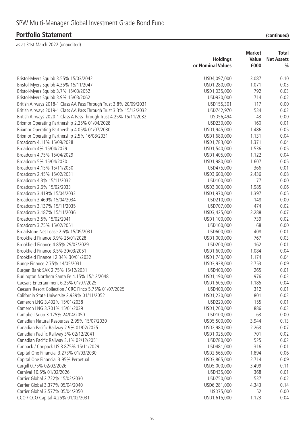|                                                                    | <b>Holdings</b>            | <b>Market</b><br>Value | Total<br><b>Net Assets</b> |
|--------------------------------------------------------------------|----------------------------|------------------------|----------------------------|
|                                                                    | or Nominal Values          | £000                   | $\frac{0}{0}$              |
| Bristol-Myers Squibb 3.55% 15/03/2042                              | USD4,097,000               | 3,087                  | 0.10                       |
| Bristol-Myers Squibb 4.35% 15/11/2047                              | USD1,280,000               | 1,071                  | 0.03                       |
| Bristol-Myers Squibb 3.7% 15/03/2052                               | USD1,035,000               | 792                    | 0.03                       |
| Bristol-Myers Squibb 3.9% 15/03/2062                               | USD930,000                 | 714                    | 0.02                       |
| British Airways 2018-1 Class AA Pass Through Trust 3.8% 20/09/2031 | USD155,301                 | 117                    | 0.00                       |
| British Airways 2019-1 Class AA Pass Through Trust 3.3% 15/12/2032 | USD742,970                 | 534                    | 0.02                       |
| British Airways 2020-1 Class A Pass Through Trust 4.25% 15/11/2032 | USD56,494                  | 43                     | 0.00                       |
| Brixmor Operating Partnership 2.25% 01/04/2028                     | USD230,000                 | 160                    | 0.01                       |
| Brixmor Operating Partnership 4.05% 01/07/2030                     | USD1,945,000               | 1,486                  | 0.05                       |
| Brixmor Operating Partnership 2.5% 16/08/2031                      | USD1,680,000               | 1,131                  | 0.04                       |
| Broadcom 4.11% 15/09/2028                                          | USD1,783,000               | 1,371                  | 0.04                       |
| Broadcom 4% 15/04/2029                                             | USD1,540,000               | 1,536                  | 0.05                       |
| Broadcom 4.75% 15/04/2029                                          | USD1,405,000               | 1,122                  | 0.04                       |
| Broadcom 5% 15/04/2030                                             | USD1,980,000               | 1,607                  | 0.05                       |
| Broadcom 4.15% 15/11/2030                                          | USD475,000                 | 366                    | 0.01                       |
| Broadcom 2.45% 15/02/2031                                          | USD3,600,000               | 2,436                  | 0.08                       |
| Broadcom 4.3% 15/11/2032                                           | USD100,000                 | 77                     | 0.00                       |
| Broadcom 2.6% 15/02/2033                                           | USD3,000,000               | 1,985                  | 0.06                       |
| Broadcom 3.419% 15/04/2033                                         | USD1,970,000               | 1,397                  | 0.05                       |
| Broadcom 3.469% 15/04/2034                                         | USD210,000                 | 148                    | 0.00                       |
| Broadcom 3.137% 15/11/2035                                         | USD707,000                 | 474                    | 0.02                       |
| Broadcom 3.187% 15/11/2036                                         | USD3,425,000               | 2,288                  | 0.07                       |
| Broadcom 3.5% 15/02/2041                                           | USD1,100,000               | 739                    | 0.02                       |
| Broadcom 3.75% 15/02/2051                                          | USD100,000                 | 68                     | 0.00                       |
| Broadstone Net Lease 2.6% 15/09/2031                               | USD600,000                 | 408                    | 0.01                       |
| Brookfield Finance 3.9% 25/01/2028                                 | USD1,000,000               | 767                    | 0.03                       |
| Brookfield Finance 4.85% 29/03/2029                                | USD200,000                 | 162                    | 0.01                       |
| Brookfield Finance 3.5% 30/03/2051                                 | USD1,600,000               | 1,084                  | 0.04                       |
| Brookfield Finance I 2.34% 30/01/2032                              | USD1,740,000               | 1,174                  | 0.04                       |
| Bunge Finance 2.75% 14/05/2031                                     | USD3,938,000               | 2,753                  | 0.09                       |
| Burgan Bank SAK 2.75% 15/12/2031                                   | USD400,000                 | 265                    | 0.01                       |
| Burlington Northern Santa Fe 4.15% 15/12/2048                      | USD1,190,000               | 976                    | 0.03                       |
| Caesars Entertainment 6.25% 01/07/2025                             | USD1,505,000               | 1,185                  | 0.04                       |
| Caesars Resort Collection / CRC Finco 5.75% 01/07/2025             | USD400,000                 | 312                    | 0.01                       |
| California State University 2.939% 01/11/2052                      | USD1,230,000               | 801                    | 0.03                       |
| Cameron LNG 3.402% 15/01/2038                                      | USD220,000                 | 155                    | 0.01                       |
| Cameron LNG 3.701% 15/01/2039                                      | USD1,200,000               | 886                    | 0.03                       |
| Campbell Soup 3.125% 24/04/2050                                    | USD100,000                 | 63                     | 0.00                       |
| Canadian Natural Resources 2.95% 15/07/2030                        | USD5,500,000               | 3,944                  | 0.13                       |
| Canadian Pacific Railway 2.9% 01/02/2025                           | USD2,980,000               | 2,263                  | 0.07                       |
| Canadian Pacific Railway 3% 02/12/2041                             | USD1,025,000               | 701                    | 0.02                       |
| Canadian Pacific Railway 3.1% 02/12/2051                           | USD780,000                 | 525                    | 0.02                       |
| Canpack / Canpack US 3.875% 15/11/2029                             | USD481,000                 | 316                    | 0.01                       |
| Capital One Financial 3.273% 01/03/2030                            | USD2,565,000               | 1,894                  | 0.06                       |
| Capital One Financial 3.95% Perpetual                              | USD3,865,000               | 2,714                  | 0.09                       |
| Carqill 0.75% 02/02/2026                                           |                            | 3,499                  | 0.11                       |
| Carnival 10.5% 01/02/2026                                          | USD5,000,000<br>USD435,000 | 368                    | 0.01                       |
| Carrier Global 2.722% 15/02/2030                                   | USD750,000                 | 537                    | 0.02                       |
| Carrier Global 3.377% 05/04/2040                                   | USD6,281,000               | 4,343                  | 0.14                       |
| Carrier Global 3.577% 05/04/2050                                   | USD75,000                  | 52                     | 0.00                       |
| CCO / CCO Capital 4.25% 01/02/2031                                 | USD1,615,000               | 1,123                  | 0.04                       |
|                                                                    |                            |                        |                            |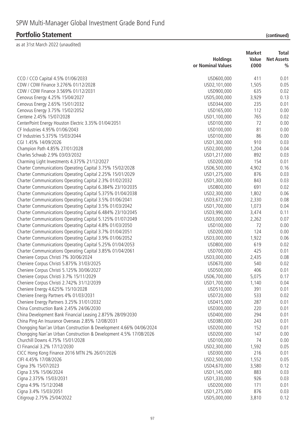| (continued) |  |
|-------------|--|
|             |  |

|                                                                                                                      |                          | <b>Market</b> | Total             |
|----------------------------------------------------------------------------------------------------------------------|--------------------------|---------------|-------------------|
|                                                                                                                      | <b>Holdings</b>          | Value         | <b>Net Assets</b> |
|                                                                                                                      | or Nominal Values        | £000          | $\frac{0}{0}$     |
| CCO / CCO Capital 4.5% 01/06/2033                                                                                    | USD600,000               | 411           | 0.01              |
| CDW / CDW Finance 3.276% 01/12/2028                                                                                  | USD2,101,000             | 1,505         | 0.05              |
| CDW / CDW Finance 3.569% 01/12/2031                                                                                  | USD900,000               | 635           | 0.02              |
| Cenovus Energy 4.25% 15/04/2027                                                                                      | USD5,000,000             | 3,929         | 0.13              |
| Cenovus Energy 2.65% 15/01/2032                                                                                      | USD344,000               | 235           | 0.01              |
| Cenovus Energy 3.75% 15/02/2052                                                                                      | USD165,000               | 112           | 0.00              |
| Centene 2.45% 15/07/2028                                                                                             | USD1,100,000             | 765           | 0.02              |
| CenterPoint Energy Houston Electric 3.35% 01/04/2051                                                                 | USD100,000               | 72            | 0.00              |
| CF Industries 4.95% 01/06/2043                                                                                       | USD100,000               | 81            | 0.00              |
| CF Industries 5.375% 15/03/2044                                                                                      | USD100,000               | 86            | 0.00              |
| CGI 1.45% 14/09/2026                                                                                                 | USD1,300,000             | 910           | 0.03              |
| Champion Path 4.85% 27/01/2028                                                                                       | USD2,000,000             | 1,204         | 0.04              |
| Charles Schwab 2.9% 03/03/2032                                                                                       | USD1,217,000             | 892           | 0.03              |
| Charming Light Investments 4.375% 21/12/2027                                                                         | USD200,000               | 154           | 0.01              |
| Charter Communications Operating Capital 3.75% 15/02/2028                                                            | USD6,500,000             | 4,902         | 0.16              |
| Charter Communications Operating Capital 2.25% 15/01/2029                                                            | USD1,275,000             | 876           | 0.03              |
| Charter Communications Operating Capital 2.3% 01/02/2032                                                             | USD1,300,000             | 843           | 0.03              |
| Charter Communications Operating Capital 6.384% 23/10/2035                                                           | USD800,000               | 691           | 0.02              |
| Charter Communications Operating Capital 5.375% 01/04/2038                                                           | USD2,300,000             | 1,802         | 0.06              |
| Charter Communications Operating Capital 3.5% 01/06/2041                                                             | USD3,672,000             | 2,330         | 0.08              |
| Charter Communications Operating Capital 3.5% 01/03/2042                                                             | USD1,700,000             | 1,073         | 0.04              |
| Charter Communications Operating Capital 6.484% 23/10/2045                                                           | USD3,990,000             | 3,474         | 0.11              |
| Charter Communications Operating Capital 5.125% 01/07/2049                                                           | USD3,000,000             | 2,262         | 0.07              |
| Charter Communications Operating Capital 4.8% 01/03/2050                                                             | USD100,000<br>USD200,000 | 72<br>124     | 0.00<br>0.00      |
| Charter Communications Operating Capital 3.7% 01/04/2051<br>Charter Communications Operating Capital 3.9% 01/06/2052 | USD3,000,000             | 1,922         | 0.06              |
| Charter Communications Operating Capital 5.25% 01/04/2053                                                            | USD800,000               | 619           | 0.02              |
| Charter Communications Operating Capital 3.85% 01/04/2061                                                            | USD700,000               | 425           | 0.01              |
| Cheniere Corpus Christi 7% 30/06/2024                                                                                | USD3,000,000             | 2,435         | 0.08              |
| Cheniere Corpus Christi 5.875% 31/03/2025                                                                            | USD670,000               | 540           | 0.02              |
| Cheniere Corpus Christi 5.125% 30/06/2027                                                                            | USD500,000               | 406           | 0.01              |
| Cheniere Corpus Christi 3.7% 15/11/2029                                                                              | USD6,700,000             | 5,075         | 0.17              |
| Cheniere Corpus Christi 2.742% 31/12/2039                                                                            | USD1,700,000             | 1,140         | 0.04              |
| Cheniere Energy 4.625% 15/10/2028                                                                                    | USD510,000               | 391           | 0.01              |
| Cheniere Energy Partners 4% 01/03/2031                                                                               | USD720,000               | 533           | 0.02              |
| Cheniere Energy Partners 3.25% 31/01/2032                                                                            | USD415,000               | 287           | 0.01              |
| China Construction Bank 2.45% 24/06/2030                                                                             | USD300,000               | 220           | 0.01              |
| China Development Bank Financial Leasing 2.875% 28/09/2030                                                           | USD400,000               | 294           | 0.01              |
| China Ping An Insurance Overseas 2.85% 12/08/2031                                                                    | USD380,000               | 243           | 0.01              |
| Chongqing Nan'an Urban Construction & Development 4.66% 04/06/2024                                                   | USD200,000               | 152           | 0.01              |
| Chongqing Nan'an Urban Construction & Development 4.5% 17/08/2026                                                    | USD200,000               | 147           | 0.00              |
| Churchill Downs 4.75% 15/01/2028                                                                                     | USD100,000               | 74            | 0.00              |
| CI Financial 3.2% 17/12/2030                                                                                         | USD2,300,000             | 1,592         | 0.05              |
| CICC Hong Kong Finance 2016 MTN 2% 26/01/2026                                                                        | USD300,000               | 216           | 0.01              |
| CIFI 4.45% 17/08/2026                                                                                                | USD2,500,000             | 1,552         | 0.05              |
| Cigna 3% 15/07/2023                                                                                                  | USD4,670,000             | 3,580         | 0.12              |
| Cigna 3.5% 15/06/2024                                                                                                | USD1,145,000             | 883           | 0.03              |
| Cigna 2.375% 15/03/2031                                                                                              | USD1,330,000             | 926           | 0.03              |
| Cigna 4.9% 15/12/2048                                                                                                | USD200,000               | 171           | 0.01              |
| Cigna 3.4% 15/03/2051                                                                                                | USD1,275,000             | 876           | 0.03              |
| Citigroup 2.75% 25/04/2022                                                                                           | USD5,000,000             | 3,810         | 0.12              |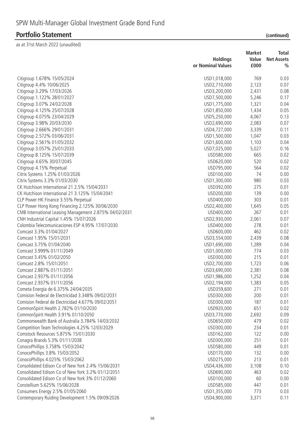| (continued) |  |
|-------------|--|
|             |  |
|             |  |

| or Nominal Values<br>£000<br>$\frac{0}{0}$<br>769<br>Citigroup 1.678% 15/05/2024<br>USD1,018,000<br>0.03<br>2,123<br>Citigroup 4.4% 10/06/2025<br>USD2,710,000<br>0.07<br>Citigroup 3.29% 17/03/2026<br>2,431<br>0.08<br>USD3,200,000<br>5,246<br>Citigroup 1.122% 28/01/2027<br>USD7,500,000<br>0.17<br>1,321<br>Citigroup 3.07% 24/02/2028<br>USD1,775,000<br>0.04<br>USD1,850,000<br>1,434<br>0.05<br>Citigroup 4.125% 25/07/2028<br>4,067<br>0.13<br>Citigroup 4.075% 23/04/2029<br>USD5,250,000<br>Citigroup 3.98% 20/03/2030<br>2,083<br>0.07<br>USD2,690,000<br>3,339<br>0.11<br>Citigroup 2.666% 29/01/2031<br>USD4,727,000<br>1,047<br>0.03<br>Citigroup 2.572% 03/06/2031<br>USD1,500,000<br>Citigroup 2.561% 01/05/2032<br>USD1,600,000<br>1,103<br>0.04<br>5,027<br>0.16<br>Citigroup 3.057% 25/01/2033<br>USD7,025,000<br>Citigroup 8.125% 15/07/2039<br>665<br>0.02<br>USD580,000<br>520<br>Citigroup 4.65% 30/07/2045<br>USD620,000<br>0.02<br>564<br>Citigroup 4.15% Perpetual<br>USD795,000<br>0.02<br>74<br>Citrix Systems 1.25% 01/03/2026<br>USD100,000<br>0.00<br>Citrix Systems 3.3% 01/03/2030<br>USD1,300,000<br>980<br>0.03<br>CK Hutchison International 21 2.5% 15/04/2031<br>275<br>0.01<br>USD392,000<br>CK Hutchison International 21 3.125% 15/04/2041<br>USD200,000<br>139<br>0.00<br>CLP Power HK Finance 3.55% Perpetual<br>USD400,000<br>303<br>0.01<br>CLP Power Hong Kong Financing 2.125% 30/06/2030<br>USD2,400,000<br>0.05<br>1,645<br>267<br>CMB International Leasing Management 2.875% 04/02/2031<br>USD400,000<br>0.01<br>CNH Industrial Capital 1.45% 15/07/2026<br>USD2,930,000<br>2,061<br>0.07<br>Colombia Telecomunicaciones ESP 4.95% 17/07/2030<br>278<br>0.01<br>USD400,000<br>462<br>Comcast 3.3% 01/04/2027<br>0.02<br>USD600,000<br>Comcast 1.95% 15/01/2031<br>USD3,554,000<br>2,439<br>0.08<br>Comcast 3.75% 01/04/2040<br>1,289<br>0.04<br>USD1,690,000<br>774<br>0.03<br>Comcast 3.999% 01/11/2049<br>USD1,000,000<br>215<br>Comcast 3.45% 01/02/2050<br>USD300,000<br>0.01<br>Comcast 2.8% 15/01/2051<br>USD2,700,000<br>1,723<br>0.06<br>Comcast 2.887% 01/11/2051<br>USD3,690,000<br>2,381<br>0.08<br>0.04<br>Comcast 2.937% 01/11/2056<br>USD1,986,000<br>1,252<br>Comcast 2.937% 01/11/2056<br>USD2,194,000<br>1,383<br>0.05<br>271<br>Cometa Energia de 6.375% 24/04/2035<br>USD359,600<br>0.01<br>Comision Federal de Electricidad 3.348% 09/02/2031<br>200<br>USD300,000<br>0.01<br>187<br>Comision Federal de Electricidad 4.677% 09/02/2051<br>USD300,000<br>0.01<br>651<br>CommonSpirit Health 2.782% 01/10/2030<br>USD920,000<br>0.02<br>CommonSpirit Health 3.91% 01/10/2050<br>USD3,770,000<br>2,692<br>0.09<br>Commonwealth Bank of Australia 3.784% 14/03/2032<br>USD650,000<br>479<br>0.02<br>Competition Team Technologies 4.25% 12/03/2029<br>USD300,000<br>234<br>0.01<br>Comstock Resources 5.875% 15/01/2030<br>USD162,000<br>122<br>0.00<br>Conagra Brands 5.3% 01/11/2038<br>251<br>USD300,000<br>0.01<br>ConocoPhillips 3.758% 15/03/2042<br>USD580,000<br>449<br>0.01<br>ConocoPhillips 3.8% 15/03/2052<br>USD170,000<br>132<br>0.00<br>ConocoPhillips 4.025% 15/03/2062<br>USD275,000<br>213<br>0.01<br>Consolidated Edison Co of New York 2.4% 15/06/2031<br>USD4,436,000<br>3,108<br>0.10 |                                                    |                 | <b>Market</b> | Total             |
|-----------------------------------------------------------------------------------------------------------------------------------------------------------------------------------------------------------------------------------------------------------------------------------------------------------------------------------------------------------------------------------------------------------------------------------------------------------------------------------------------------------------------------------------------------------------------------------------------------------------------------------------------------------------------------------------------------------------------------------------------------------------------------------------------------------------------------------------------------------------------------------------------------------------------------------------------------------------------------------------------------------------------------------------------------------------------------------------------------------------------------------------------------------------------------------------------------------------------------------------------------------------------------------------------------------------------------------------------------------------------------------------------------------------------------------------------------------------------------------------------------------------------------------------------------------------------------------------------------------------------------------------------------------------------------------------------------------------------------------------------------------------------------------------------------------------------------------------------------------------------------------------------------------------------------------------------------------------------------------------------------------------------------------------------------------------------------------------------------------------------------------------------------------------------------------------------------------------------------------------------------------------------------------------------------------------------------------------------------------------------------------------------------------------------------------------------------------------------------------------------------------------------------------------------------------------------------------------------------------------------------------------------------------------------------------------------------------------------------------------------------------------------------------------------------------------------------------------------------------------------------------------------------------------------------------------------------------------------------------------------------------------------------------------------------------------------------------------------------------------------------------------------------------------------------------------------------------------------------------------------------------------------------------|----------------------------------------------------|-----------------|---------------|-------------------|
|                                                                                                                                                                                                                                                                                                                                                                                                                                                                                                                                                                                                                                                                                                                                                                                                                                                                                                                                                                                                                                                                                                                                                                                                                                                                                                                                                                                                                                                                                                                                                                                                                                                                                                                                                                                                                                                                                                                                                                                                                                                                                                                                                                                                                                                                                                                                                                                                                                                                                                                                                                                                                                                                                                                                                                                                                                                                                                                                                                                                                                                                                                                                                                                                                                                                                   |                                                    | <b>Holdings</b> | Value         | <b>Net Assets</b> |
|                                                                                                                                                                                                                                                                                                                                                                                                                                                                                                                                                                                                                                                                                                                                                                                                                                                                                                                                                                                                                                                                                                                                                                                                                                                                                                                                                                                                                                                                                                                                                                                                                                                                                                                                                                                                                                                                                                                                                                                                                                                                                                                                                                                                                                                                                                                                                                                                                                                                                                                                                                                                                                                                                                                                                                                                                                                                                                                                                                                                                                                                                                                                                                                                                                                                                   |                                                    |                 |               |                   |
|                                                                                                                                                                                                                                                                                                                                                                                                                                                                                                                                                                                                                                                                                                                                                                                                                                                                                                                                                                                                                                                                                                                                                                                                                                                                                                                                                                                                                                                                                                                                                                                                                                                                                                                                                                                                                                                                                                                                                                                                                                                                                                                                                                                                                                                                                                                                                                                                                                                                                                                                                                                                                                                                                                                                                                                                                                                                                                                                                                                                                                                                                                                                                                                                                                                                                   |                                                    |                 |               |                   |
|                                                                                                                                                                                                                                                                                                                                                                                                                                                                                                                                                                                                                                                                                                                                                                                                                                                                                                                                                                                                                                                                                                                                                                                                                                                                                                                                                                                                                                                                                                                                                                                                                                                                                                                                                                                                                                                                                                                                                                                                                                                                                                                                                                                                                                                                                                                                                                                                                                                                                                                                                                                                                                                                                                                                                                                                                                                                                                                                                                                                                                                                                                                                                                                                                                                                                   |                                                    |                 |               |                   |
|                                                                                                                                                                                                                                                                                                                                                                                                                                                                                                                                                                                                                                                                                                                                                                                                                                                                                                                                                                                                                                                                                                                                                                                                                                                                                                                                                                                                                                                                                                                                                                                                                                                                                                                                                                                                                                                                                                                                                                                                                                                                                                                                                                                                                                                                                                                                                                                                                                                                                                                                                                                                                                                                                                                                                                                                                                                                                                                                                                                                                                                                                                                                                                                                                                                                                   |                                                    |                 |               |                   |
|                                                                                                                                                                                                                                                                                                                                                                                                                                                                                                                                                                                                                                                                                                                                                                                                                                                                                                                                                                                                                                                                                                                                                                                                                                                                                                                                                                                                                                                                                                                                                                                                                                                                                                                                                                                                                                                                                                                                                                                                                                                                                                                                                                                                                                                                                                                                                                                                                                                                                                                                                                                                                                                                                                                                                                                                                                                                                                                                                                                                                                                                                                                                                                                                                                                                                   |                                                    |                 |               |                   |
|                                                                                                                                                                                                                                                                                                                                                                                                                                                                                                                                                                                                                                                                                                                                                                                                                                                                                                                                                                                                                                                                                                                                                                                                                                                                                                                                                                                                                                                                                                                                                                                                                                                                                                                                                                                                                                                                                                                                                                                                                                                                                                                                                                                                                                                                                                                                                                                                                                                                                                                                                                                                                                                                                                                                                                                                                                                                                                                                                                                                                                                                                                                                                                                                                                                                                   |                                                    |                 |               |                   |
|                                                                                                                                                                                                                                                                                                                                                                                                                                                                                                                                                                                                                                                                                                                                                                                                                                                                                                                                                                                                                                                                                                                                                                                                                                                                                                                                                                                                                                                                                                                                                                                                                                                                                                                                                                                                                                                                                                                                                                                                                                                                                                                                                                                                                                                                                                                                                                                                                                                                                                                                                                                                                                                                                                                                                                                                                                                                                                                                                                                                                                                                                                                                                                                                                                                                                   |                                                    |                 |               |                   |
|                                                                                                                                                                                                                                                                                                                                                                                                                                                                                                                                                                                                                                                                                                                                                                                                                                                                                                                                                                                                                                                                                                                                                                                                                                                                                                                                                                                                                                                                                                                                                                                                                                                                                                                                                                                                                                                                                                                                                                                                                                                                                                                                                                                                                                                                                                                                                                                                                                                                                                                                                                                                                                                                                                                                                                                                                                                                                                                                                                                                                                                                                                                                                                                                                                                                                   |                                                    |                 |               |                   |
|                                                                                                                                                                                                                                                                                                                                                                                                                                                                                                                                                                                                                                                                                                                                                                                                                                                                                                                                                                                                                                                                                                                                                                                                                                                                                                                                                                                                                                                                                                                                                                                                                                                                                                                                                                                                                                                                                                                                                                                                                                                                                                                                                                                                                                                                                                                                                                                                                                                                                                                                                                                                                                                                                                                                                                                                                                                                                                                                                                                                                                                                                                                                                                                                                                                                                   |                                                    |                 |               |                   |
|                                                                                                                                                                                                                                                                                                                                                                                                                                                                                                                                                                                                                                                                                                                                                                                                                                                                                                                                                                                                                                                                                                                                                                                                                                                                                                                                                                                                                                                                                                                                                                                                                                                                                                                                                                                                                                                                                                                                                                                                                                                                                                                                                                                                                                                                                                                                                                                                                                                                                                                                                                                                                                                                                                                                                                                                                                                                                                                                                                                                                                                                                                                                                                                                                                                                                   |                                                    |                 |               |                   |
|                                                                                                                                                                                                                                                                                                                                                                                                                                                                                                                                                                                                                                                                                                                                                                                                                                                                                                                                                                                                                                                                                                                                                                                                                                                                                                                                                                                                                                                                                                                                                                                                                                                                                                                                                                                                                                                                                                                                                                                                                                                                                                                                                                                                                                                                                                                                                                                                                                                                                                                                                                                                                                                                                                                                                                                                                                                                                                                                                                                                                                                                                                                                                                                                                                                                                   |                                                    |                 |               |                   |
|                                                                                                                                                                                                                                                                                                                                                                                                                                                                                                                                                                                                                                                                                                                                                                                                                                                                                                                                                                                                                                                                                                                                                                                                                                                                                                                                                                                                                                                                                                                                                                                                                                                                                                                                                                                                                                                                                                                                                                                                                                                                                                                                                                                                                                                                                                                                                                                                                                                                                                                                                                                                                                                                                                                                                                                                                                                                                                                                                                                                                                                                                                                                                                                                                                                                                   |                                                    |                 |               |                   |
|                                                                                                                                                                                                                                                                                                                                                                                                                                                                                                                                                                                                                                                                                                                                                                                                                                                                                                                                                                                                                                                                                                                                                                                                                                                                                                                                                                                                                                                                                                                                                                                                                                                                                                                                                                                                                                                                                                                                                                                                                                                                                                                                                                                                                                                                                                                                                                                                                                                                                                                                                                                                                                                                                                                                                                                                                                                                                                                                                                                                                                                                                                                                                                                                                                                                                   |                                                    |                 |               |                   |
|                                                                                                                                                                                                                                                                                                                                                                                                                                                                                                                                                                                                                                                                                                                                                                                                                                                                                                                                                                                                                                                                                                                                                                                                                                                                                                                                                                                                                                                                                                                                                                                                                                                                                                                                                                                                                                                                                                                                                                                                                                                                                                                                                                                                                                                                                                                                                                                                                                                                                                                                                                                                                                                                                                                                                                                                                                                                                                                                                                                                                                                                                                                                                                                                                                                                                   |                                                    |                 |               |                   |
|                                                                                                                                                                                                                                                                                                                                                                                                                                                                                                                                                                                                                                                                                                                                                                                                                                                                                                                                                                                                                                                                                                                                                                                                                                                                                                                                                                                                                                                                                                                                                                                                                                                                                                                                                                                                                                                                                                                                                                                                                                                                                                                                                                                                                                                                                                                                                                                                                                                                                                                                                                                                                                                                                                                                                                                                                                                                                                                                                                                                                                                                                                                                                                                                                                                                                   |                                                    |                 |               |                   |
|                                                                                                                                                                                                                                                                                                                                                                                                                                                                                                                                                                                                                                                                                                                                                                                                                                                                                                                                                                                                                                                                                                                                                                                                                                                                                                                                                                                                                                                                                                                                                                                                                                                                                                                                                                                                                                                                                                                                                                                                                                                                                                                                                                                                                                                                                                                                                                                                                                                                                                                                                                                                                                                                                                                                                                                                                                                                                                                                                                                                                                                                                                                                                                                                                                                                                   |                                                    |                 |               |                   |
|                                                                                                                                                                                                                                                                                                                                                                                                                                                                                                                                                                                                                                                                                                                                                                                                                                                                                                                                                                                                                                                                                                                                                                                                                                                                                                                                                                                                                                                                                                                                                                                                                                                                                                                                                                                                                                                                                                                                                                                                                                                                                                                                                                                                                                                                                                                                                                                                                                                                                                                                                                                                                                                                                                                                                                                                                                                                                                                                                                                                                                                                                                                                                                                                                                                                                   |                                                    |                 |               |                   |
|                                                                                                                                                                                                                                                                                                                                                                                                                                                                                                                                                                                                                                                                                                                                                                                                                                                                                                                                                                                                                                                                                                                                                                                                                                                                                                                                                                                                                                                                                                                                                                                                                                                                                                                                                                                                                                                                                                                                                                                                                                                                                                                                                                                                                                                                                                                                                                                                                                                                                                                                                                                                                                                                                                                                                                                                                                                                                                                                                                                                                                                                                                                                                                                                                                                                                   |                                                    |                 |               |                   |
|                                                                                                                                                                                                                                                                                                                                                                                                                                                                                                                                                                                                                                                                                                                                                                                                                                                                                                                                                                                                                                                                                                                                                                                                                                                                                                                                                                                                                                                                                                                                                                                                                                                                                                                                                                                                                                                                                                                                                                                                                                                                                                                                                                                                                                                                                                                                                                                                                                                                                                                                                                                                                                                                                                                                                                                                                                                                                                                                                                                                                                                                                                                                                                                                                                                                                   |                                                    |                 |               |                   |
|                                                                                                                                                                                                                                                                                                                                                                                                                                                                                                                                                                                                                                                                                                                                                                                                                                                                                                                                                                                                                                                                                                                                                                                                                                                                                                                                                                                                                                                                                                                                                                                                                                                                                                                                                                                                                                                                                                                                                                                                                                                                                                                                                                                                                                                                                                                                                                                                                                                                                                                                                                                                                                                                                                                                                                                                                                                                                                                                                                                                                                                                                                                                                                                                                                                                                   |                                                    |                 |               |                   |
|                                                                                                                                                                                                                                                                                                                                                                                                                                                                                                                                                                                                                                                                                                                                                                                                                                                                                                                                                                                                                                                                                                                                                                                                                                                                                                                                                                                                                                                                                                                                                                                                                                                                                                                                                                                                                                                                                                                                                                                                                                                                                                                                                                                                                                                                                                                                                                                                                                                                                                                                                                                                                                                                                                                                                                                                                                                                                                                                                                                                                                                                                                                                                                                                                                                                                   |                                                    |                 |               |                   |
|                                                                                                                                                                                                                                                                                                                                                                                                                                                                                                                                                                                                                                                                                                                                                                                                                                                                                                                                                                                                                                                                                                                                                                                                                                                                                                                                                                                                                                                                                                                                                                                                                                                                                                                                                                                                                                                                                                                                                                                                                                                                                                                                                                                                                                                                                                                                                                                                                                                                                                                                                                                                                                                                                                                                                                                                                                                                                                                                                                                                                                                                                                                                                                                                                                                                                   |                                                    |                 |               |                   |
|                                                                                                                                                                                                                                                                                                                                                                                                                                                                                                                                                                                                                                                                                                                                                                                                                                                                                                                                                                                                                                                                                                                                                                                                                                                                                                                                                                                                                                                                                                                                                                                                                                                                                                                                                                                                                                                                                                                                                                                                                                                                                                                                                                                                                                                                                                                                                                                                                                                                                                                                                                                                                                                                                                                                                                                                                                                                                                                                                                                                                                                                                                                                                                                                                                                                                   |                                                    |                 |               |                   |
|                                                                                                                                                                                                                                                                                                                                                                                                                                                                                                                                                                                                                                                                                                                                                                                                                                                                                                                                                                                                                                                                                                                                                                                                                                                                                                                                                                                                                                                                                                                                                                                                                                                                                                                                                                                                                                                                                                                                                                                                                                                                                                                                                                                                                                                                                                                                                                                                                                                                                                                                                                                                                                                                                                                                                                                                                                                                                                                                                                                                                                                                                                                                                                                                                                                                                   |                                                    |                 |               |                   |
|                                                                                                                                                                                                                                                                                                                                                                                                                                                                                                                                                                                                                                                                                                                                                                                                                                                                                                                                                                                                                                                                                                                                                                                                                                                                                                                                                                                                                                                                                                                                                                                                                                                                                                                                                                                                                                                                                                                                                                                                                                                                                                                                                                                                                                                                                                                                                                                                                                                                                                                                                                                                                                                                                                                                                                                                                                                                                                                                                                                                                                                                                                                                                                                                                                                                                   |                                                    |                 |               |                   |
|                                                                                                                                                                                                                                                                                                                                                                                                                                                                                                                                                                                                                                                                                                                                                                                                                                                                                                                                                                                                                                                                                                                                                                                                                                                                                                                                                                                                                                                                                                                                                                                                                                                                                                                                                                                                                                                                                                                                                                                                                                                                                                                                                                                                                                                                                                                                                                                                                                                                                                                                                                                                                                                                                                                                                                                                                                                                                                                                                                                                                                                                                                                                                                                                                                                                                   |                                                    |                 |               |                   |
|                                                                                                                                                                                                                                                                                                                                                                                                                                                                                                                                                                                                                                                                                                                                                                                                                                                                                                                                                                                                                                                                                                                                                                                                                                                                                                                                                                                                                                                                                                                                                                                                                                                                                                                                                                                                                                                                                                                                                                                                                                                                                                                                                                                                                                                                                                                                                                                                                                                                                                                                                                                                                                                                                                                                                                                                                                                                                                                                                                                                                                                                                                                                                                                                                                                                                   |                                                    |                 |               |                   |
|                                                                                                                                                                                                                                                                                                                                                                                                                                                                                                                                                                                                                                                                                                                                                                                                                                                                                                                                                                                                                                                                                                                                                                                                                                                                                                                                                                                                                                                                                                                                                                                                                                                                                                                                                                                                                                                                                                                                                                                                                                                                                                                                                                                                                                                                                                                                                                                                                                                                                                                                                                                                                                                                                                                                                                                                                                                                                                                                                                                                                                                                                                                                                                                                                                                                                   |                                                    |                 |               |                   |
|                                                                                                                                                                                                                                                                                                                                                                                                                                                                                                                                                                                                                                                                                                                                                                                                                                                                                                                                                                                                                                                                                                                                                                                                                                                                                                                                                                                                                                                                                                                                                                                                                                                                                                                                                                                                                                                                                                                                                                                                                                                                                                                                                                                                                                                                                                                                                                                                                                                                                                                                                                                                                                                                                                                                                                                                                                                                                                                                                                                                                                                                                                                                                                                                                                                                                   |                                                    |                 |               |                   |
|                                                                                                                                                                                                                                                                                                                                                                                                                                                                                                                                                                                                                                                                                                                                                                                                                                                                                                                                                                                                                                                                                                                                                                                                                                                                                                                                                                                                                                                                                                                                                                                                                                                                                                                                                                                                                                                                                                                                                                                                                                                                                                                                                                                                                                                                                                                                                                                                                                                                                                                                                                                                                                                                                                                                                                                                                                                                                                                                                                                                                                                                                                                                                                                                                                                                                   |                                                    |                 |               |                   |
|                                                                                                                                                                                                                                                                                                                                                                                                                                                                                                                                                                                                                                                                                                                                                                                                                                                                                                                                                                                                                                                                                                                                                                                                                                                                                                                                                                                                                                                                                                                                                                                                                                                                                                                                                                                                                                                                                                                                                                                                                                                                                                                                                                                                                                                                                                                                                                                                                                                                                                                                                                                                                                                                                                                                                                                                                                                                                                                                                                                                                                                                                                                                                                                                                                                                                   |                                                    |                 |               |                   |
|                                                                                                                                                                                                                                                                                                                                                                                                                                                                                                                                                                                                                                                                                                                                                                                                                                                                                                                                                                                                                                                                                                                                                                                                                                                                                                                                                                                                                                                                                                                                                                                                                                                                                                                                                                                                                                                                                                                                                                                                                                                                                                                                                                                                                                                                                                                                                                                                                                                                                                                                                                                                                                                                                                                                                                                                                                                                                                                                                                                                                                                                                                                                                                                                                                                                                   |                                                    |                 |               |                   |
|                                                                                                                                                                                                                                                                                                                                                                                                                                                                                                                                                                                                                                                                                                                                                                                                                                                                                                                                                                                                                                                                                                                                                                                                                                                                                                                                                                                                                                                                                                                                                                                                                                                                                                                                                                                                                                                                                                                                                                                                                                                                                                                                                                                                                                                                                                                                                                                                                                                                                                                                                                                                                                                                                                                                                                                                                                                                                                                                                                                                                                                                                                                                                                                                                                                                                   |                                                    |                 |               |                   |
|                                                                                                                                                                                                                                                                                                                                                                                                                                                                                                                                                                                                                                                                                                                                                                                                                                                                                                                                                                                                                                                                                                                                                                                                                                                                                                                                                                                                                                                                                                                                                                                                                                                                                                                                                                                                                                                                                                                                                                                                                                                                                                                                                                                                                                                                                                                                                                                                                                                                                                                                                                                                                                                                                                                                                                                                                                                                                                                                                                                                                                                                                                                                                                                                                                                                                   |                                                    |                 |               |                   |
|                                                                                                                                                                                                                                                                                                                                                                                                                                                                                                                                                                                                                                                                                                                                                                                                                                                                                                                                                                                                                                                                                                                                                                                                                                                                                                                                                                                                                                                                                                                                                                                                                                                                                                                                                                                                                                                                                                                                                                                                                                                                                                                                                                                                                                                                                                                                                                                                                                                                                                                                                                                                                                                                                                                                                                                                                                                                                                                                                                                                                                                                                                                                                                                                                                                                                   |                                                    |                 |               |                   |
|                                                                                                                                                                                                                                                                                                                                                                                                                                                                                                                                                                                                                                                                                                                                                                                                                                                                                                                                                                                                                                                                                                                                                                                                                                                                                                                                                                                                                                                                                                                                                                                                                                                                                                                                                                                                                                                                                                                                                                                                                                                                                                                                                                                                                                                                                                                                                                                                                                                                                                                                                                                                                                                                                                                                                                                                                                                                                                                                                                                                                                                                                                                                                                                                                                                                                   |                                                    |                 |               |                   |
|                                                                                                                                                                                                                                                                                                                                                                                                                                                                                                                                                                                                                                                                                                                                                                                                                                                                                                                                                                                                                                                                                                                                                                                                                                                                                                                                                                                                                                                                                                                                                                                                                                                                                                                                                                                                                                                                                                                                                                                                                                                                                                                                                                                                                                                                                                                                                                                                                                                                                                                                                                                                                                                                                                                                                                                                                                                                                                                                                                                                                                                                                                                                                                                                                                                                                   |                                                    |                 |               |                   |
|                                                                                                                                                                                                                                                                                                                                                                                                                                                                                                                                                                                                                                                                                                                                                                                                                                                                                                                                                                                                                                                                                                                                                                                                                                                                                                                                                                                                                                                                                                                                                                                                                                                                                                                                                                                                                                                                                                                                                                                                                                                                                                                                                                                                                                                                                                                                                                                                                                                                                                                                                                                                                                                                                                                                                                                                                                                                                                                                                                                                                                                                                                                                                                                                                                                                                   |                                                    |                 |               |                   |
|                                                                                                                                                                                                                                                                                                                                                                                                                                                                                                                                                                                                                                                                                                                                                                                                                                                                                                                                                                                                                                                                                                                                                                                                                                                                                                                                                                                                                                                                                                                                                                                                                                                                                                                                                                                                                                                                                                                                                                                                                                                                                                                                                                                                                                                                                                                                                                                                                                                                                                                                                                                                                                                                                                                                                                                                                                                                                                                                                                                                                                                                                                                                                                                                                                                                                   |                                                    |                 |               |                   |
|                                                                                                                                                                                                                                                                                                                                                                                                                                                                                                                                                                                                                                                                                                                                                                                                                                                                                                                                                                                                                                                                                                                                                                                                                                                                                                                                                                                                                                                                                                                                                                                                                                                                                                                                                                                                                                                                                                                                                                                                                                                                                                                                                                                                                                                                                                                                                                                                                                                                                                                                                                                                                                                                                                                                                                                                                                                                                                                                                                                                                                                                                                                                                                                                                                                                                   |                                                    |                 |               |                   |
|                                                                                                                                                                                                                                                                                                                                                                                                                                                                                                                                                                                                                                                                                                                                                                                                                                                                                                                                                                                                                                                                                                                                                                                                                                                                                                                                                                                                                                                                                                                                                                                                                                                                                                                                                                                                                                                                                                                                                                                                                                                                                                                                                                                                                                                                                                                                                                                                                                                                                                                                                                                                                                                                                                                                                                                                                                                                                                                                                                                                                                                                                                                                                                                                                                                                                   |                                                    |                 |               |                   |
|                                                                                                                                                                                                                                                                                                                                                                                                                                                                                                                                                                                                                                                                                                                                                                                                                                                                                                                                                                                                                                                                                                                                                                                                                                                                                                                                                                                                                                                                                                                                                                                                                                                                                                                                                                                                                                                                                                                                                                                                                                                                                                                                                                                                                                                                                                                                                                                                                                                                                                                                                                                                                                                                                                                                                                                                                                                                                                                                                                                                                                                                                                                                                                                                                                                                                   |                                                    |                 |               |                   |
|                                                                                                                                                                                                                                                                                                                                                                                                                                                                                                                                                                                                                                                                                                                                                                                                                                                                                                                                                                                                                                                                                                                                                                                                                                                                                                                                                                                                                                                                                                                                                                                                                                                                                                                                                                                                                                                                                                                                                                                                                                                                                                                                                                                                                                                                                                                                                                                                                                                                                                                                                                                                                                                                                                                                                                                                                                                                                                                                                                                                                                                                                                                                                                                                                                                                                   |                                                    |                 |               |                   |
|                                                                                                                                                                                                                                                                                                                                                                                                                                                                                                                                                                                                                                                                                                                                                                                                                                                                                                                                                                                                                                                                                                                                                                                                                                                                                                                                                                                                                                                                                                                                                                                                                                                                                                                                                                                                                                                                                                                                                                                                                                                                                                                                                                                                                                                                                                                                                                                                                                                                                                                                                                                                                                                                                                                                                                                                                                                                                                                                                                                                                                                                                                                                                                                                                                                                                   |                                                    |                 |               |                   |
|                                                                                                                                                                                                                                                                                                                                                                                                                                                                                                                                                                                                                                                                                                                                                                                                                                                                                                                                                                                                                                                                                                                                                                                                                                                                                                                                                                                                                                                                                                                                                                                                                                                                                                                                                                                                                                                                                                                                                                                                                                                                                                                                                                                                                                                                                                                                                                                                                                                                                                                                                                                                                                                                                                                                                                                                                                                                                                                                                                                                                                                                                                                                                                                                                                                                                   |                                                    |                 |               |                   |
|                                                                                                                                                                                                                                                                                                                                                                                                                                                                                                                                                                                                                                                                                                                                                                                                                                                                                                                                                                                                                                                                                                                                                                                                                                                                                                                                                                                                                                                                                                                                                                                                                                                                                                                                                                                                                                                                                                                                                                                                                                                                                                                                                                                                                                                                                                                                                                                                                                                                                                                                                                                                                                                                                                                                                                                                                                                                                                                                                                                                                                                                                                                                                                                                                                                                                   |                                                    |                 |               |                   |
|                                                                                                                                                                                                                                                                                                                                                                                                                                                                                                                                                                                                                                                                                                                                                                                                                                                                                                                                                                                                                                                                                                                                                                                                                                                                                                                                                                                                                                                                                                                                                                                                                                                                                                                                                                                                                                                                                                                                                                                                                                                                                                                                                                                                                                                                                                                                                                                                                                                                                                                                                                                                                                                                                                                                                                                                                                                                                                                                                                                                                                                                                                                                                                                                                                                                                   |                                                    |                 |               |                   |
| 463<br>0.02<br>USD690,000                                                                                                                                                                                                                                                                                                                                                                                                                                                                                                                                                                                                                                                                                                                                                                                                                                                                                                                                                                                                                                                                                                                                                                                                                                                                                                                                                                                                                                                                                                                                                                                                                                                                                                                                                                                                                                                                                                                                                                                                                                                                                                                                                                                                                                                                                                                                                                                                                                                                                                                                                                                                                                                                                                                                                                                                                                                                                                                                                                                                                                                                                                                                                                                                                                                         | Consolidated Edison Co of New York 3.2% 01/12/2051 |                 |               |                   |
| 60<br>USD100,000<br>0.00                                                                                                                                                                                                                                                                                                                                                                                                                                                                                                                                                                                                                                                                                                                                                                                                                                                                                                                                                                                                                                                                                                                                                                                                                                                                                                                                                                                                                                                                                                                                                                                                                                                                                                                                                                                                                                                                                                                                                                                                                                                                                                                                                                                                                                                                                                                                                                                                                                                                                                                                                                                                                                                                                                                                                                                                                                                                                                                                                                                                                                                                                                                                                                                                                                                          | Consolidated Edison Co of New York 3% 01/12/2060   |                 |               |                   |
| USD585,000<br>447<br>0.01                                                                                                                                                                                                                                                                                                                                                                                                                                                                                                                                                                                                                                                                                                                                                                                                                                                                                                                                                                                                                                                                                                                                                                                                                                                                                                                                                                                                                                                                                                                                                                                                                                                                                                                                                                                                                                                                                                                                                                                                                                                                                                                                                                                                                                                                                                                                                                                                                                                                                                                                                                                                                                                                                                                                                                                                                                                                                                                                                                                                                                                                                                                                                                                                                                                         | Constellium 5.625% 15/06/2028                      |                 |               |                   |
| USD1,355,000<br>773<br>0.03                                                                                                                                                                                                                                                                                                                                                                                                                                                                                                                                                                                                                                                                                                                                                                                                                                                                                                                                                                                                                                                                                                                                                                                                                                                                                                                                                                                                                                                                                                                                                                                                                                                                                                                                                                                                                                                                                                                                                                                                                                                                                                                                                                                                                                                                                                                                                                                                                                                                                                                                                                                                                                                                                                                                                                                                                                                                                                                                                                                                                                                                                                                                                                                                                                                       | Consumers Energy 2.5% 01/05/2060                   |                 |               |                   |
| USD4,900,000<br>3,371<br>0.11                                                                                                                                                                                                                                                                                                                                                                                                                                                                                                                                                                                                                                                                                                                                                                                                                                                                                                                                                                                                                                                                                                                                                                                                                                                                                                                                                                                                                                                                                                                                                                                                                                                                                                                                                                                                                                                                                                                                                                                                                                                                                                                                                                                                                                                                                                                                                                                                                                                                                                                                                                                                                                                                                                                                                                                                                                                                                                                                                                                                                                                                                                                                                                                                                                                     | Contemporary Ruiding Development 1.5% 09/09/2026   |                 |               |                   |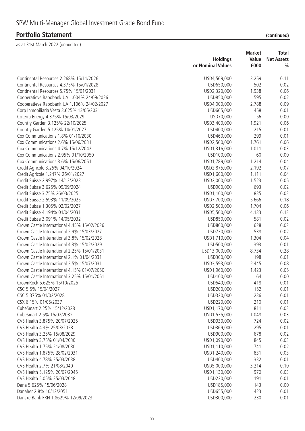| (continued) |  |
|-------------|--|
|             |  |

|                                             |                   | <b>Market</b> | <b>Total</b>      |
|---------------------------------------------|-------------------|---------------|-------------------|
|                                             | <b>Holdings</b>   | Value         | <b>Net Assets</b> |
|                                             | or Nominal Values | £000          | $\frac{0}{0}$     |
| Continental Resources 2.268% 15/11/2026     | USD4,569,000      | 3,259         | 0.11              |
| Continental Resources 4.375% 15/01/2028     | USD650,000        | 502           | 0.02              |
| Continental Resources 5.75% 15/01/2031      | USD2,320,000      | 1,938         | 0.06              |
| Cooperatieve Rabobank UA 1.004% 24/09/2026  | USD850,000        | 595           | 0.02              |
| Cooperatieve Rabobank UA 1.106% 24/02/2027  | USD4,000,000      | 2,788         | 0.09              |
| Corp Inmobiliaria Vesta 3.625% 13/05/2031   | USD665,000        | 458           | 0.01              |
| Coterra Energy 4.375% 15/03/2029            | USD70,000         | 56            | 0.00              |
| Country Garden 3.125% 22/10/2025            | USD3,400,000      | 1,921         | 0.06              |
| Country Garden 5.125% 14/01/2027            | USD400,000        | 215           | 0.01              |
| Cox Communications 1.8% 01/10/2030          | USD460,000        | 299           | 0.01              |
| Cox Communications 2.6% 15/06/2031          | USD2,560,000      | 1,761         | 0.06              |
| Cox Communications 4.7% 15/12/2042          | USD1,316,000      | 1,011         | 0.03              |
| Cox Communications 2.95% 01/10/2050         | USD100,000        | 60            | 0.00              |
| Cox Communications 3.6% 15/06/2051          | USD1,789,000      | 1,214         | 0.04              |
| Credit Agricole 3.25% 04/10/2024            | USD2,875,000      | 2,192         | 0.07              |
| Credit Agricole 1.247% 26/01/2027           | USD1,600,000      | 1,111         | 0.04              |
| Credit Suisse 2.997% 14/12/2023             | USD2,000,000      | 1,523         | 0.05              |
| Credit Suisse 3.625% 09/09/2024             | USD900,000        | 693           | 0.02              |
| Credit Suisse 3.75% 26/03/2025              | USD1,100,000      | 835           | 0.03              |
| Credit Suisse 2.593% 11/09/2025             | USD7,700,000      | 5,666         | 0.18              |
| Credit Suisse 1.305% 02/02/2027             | USD2,500,000      | 1,704         | 0.06              |
| Credit Suisse 4.194% 01/04/2031             | USD5,500,000      | 4,133         | 0.13              |
| Credit Suisse 3.091% 14/05/2032             | USD850,000        | 581           | 0.02              |
| Crown Castle International 4.45% 15/02/2026 | USD800,000        | 628           | 0.02              |
| Crown Castle International 2.9% 15/03/2027  | USD730,000        | 538           | 0.02              |
| Crown Castle International 3.8% 15/02/2028  | USD1,710,000      | 1,304         | 0.04              |
| Crown Castle International 4.3% 15/02/2029  | USD500,000        | 393           | 0.01              |
| Crown Castle International 2.25% 15/01/2031 | USD13,000,000     | 8,734         | 0.28              |
| Crown Castle International 2.1% 01/04/2031  | USD300,000        | 198           | 0.01              |
| Crown Castle International 2.5% 15/07/2031  | USD3,593,000      | 2,445         | 0.08              |
| Crown Castle International 4.15% 01/07/2050 | USD1,960,000      | 1,423         | 0.05              |
| Crown Castle International 3.25% 15/01/2051 | USD100,000        | 64            | 0.00              |
| CrownRock 5.625% 15/10/2025                 | USD540,000        | 418           | 0.01              |
| CSC 5.5% 15/04/2027                         | USD200,000        | 152           | 0.01              |
| CSC 5.375% 01/02/2028                       | USD320,000        | 236           | 0.01              |
| CSX 6.15% 01/05/2037                        | USD220,000        | 210           | 0.01              |
| CubeSmart 2.25% 15/12/2028                  | USD1,170,000      | 811           | 0.03              |
| CubeSmart 2.5% 15/02/2032                   | USD1,535,000      | 1,048         | 0.03              |
| CVS Health 3.875% 20/07/2025                | USD930,000        | 724           | 0.02              |
| CVS Health 4.3% 25/03/2028                  | USD369,000        | 295           | 0.01              |
| CVS Health 3.25% 15/08/2029                 | USD900,000        | 678           | 0.02              |
| CVS Health 3.75% 01/04/2030                 | USD1,090,000      | 845           | 0.03              |
| CVS Health 1.75% 21/08/2030                 | USD1,110,000      | 741           | 0.02              |
| CVS Health 1.875% 28/02/2031                | USD1,240,000      | 831           | 0.03              |
| CVS Health 4.78% 25/03/2038                 | USD400,000        | 332           | 0.01              |
| CVS Health 2.7% 21/08/2040                  | USD5,000,000      | 3,214         | 0.10              |
| CVS Health 5.125% 20/07/2045                | USD1,130,000      | 970           | 0.03              |
| CVS Health 5.05% 25/03/2048                 | USD220,000        | 191           | 0.01              |
| Dana 5.625% 15/06/2028                      | USD185,000        | 143           | 0.00              |
| Danaher 2.8% 10/12/2051                     | USD655,000        | 423           | 0.01              |
| Danske Bank FRN 1.8629% 12/09/2023          | USD300,000        | 230           | 0.01              |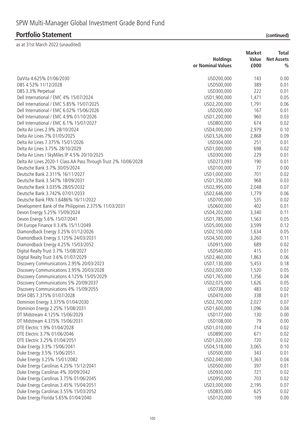|                                                                  |                   | <b>Market</b> | Total             |
|------------------------------------------------------------------|-------------------|---------------|-------------------|
|                                                                  | <b>Holdings</b>   | Value         | <b>Net Assets</b> |
|                                                                  | or Nominal Values | £000          | $\frac{0}{0}$     |
| DaVita 4.625% 01/06/2030                                         | USD200,000        | 143           | 0.00              |
| DBS 4.52% 11/12/2028                                             | USD500,000        | 389           | 0.01              |
| DBS 3.3% Perpetual                                               | USD300,000        | 222           | 0.01              |
| Dell International / EMC 4% 15/07/2024                           | USD1,900,000      | 1,471         | 0.05              |
| Dell International / EMC 5.85% 15/07/2025                        | USD2,200,000      | 1,791         | 0.06              |
| Dell International / EMC 6.02% 15/06/2026                        | USD200,000        | 167           | 0.01              |
| Dell International / EMC 4.9% 01/10/2026                         | USD1,200,000      | 960           | 0.03              |
| Dell International / EMC 6.1% 15/07/2027                         | USD800,000        | 674           | 0.02              |
| Delta Air Lines 2.9% 28/10/2024                                  | USD4,000,000      | 2,979         | 0.10              |
| Delta Air Lines 7% 01/05/2025                                    | USD3,526,000      | 2,868         | 0.09              |
| Delta Air Lines 7.375% 15/01/2026                                | USD304,000        | 251           | 0.01              |
| Delta Air Lines 3.75% 28/10/2029                                 | USD1,000,000      | 698           | 0.02              |
| Delta Air Lines / SkyMiles IP 4.5% 20/10/2025                    | USD300,000        | 229           | 0.01              |
| Delta Air Lines 2020-1 Class AA Pass Through Trust 2% 10/06/2028 | USD273,093        | 190           | 0.01              |
| Deutsche Bank 3.7% 30/05/2024                                    | USD100,000        | 77            | 0.00              |
| Deutsche Bank 2.311% 16/11/2027                                  | USD1,000,000      | 701           | 0.02              |
| Deutsche Bank 3.547% 18/09/2031                                  | USD1,350,000      | 968           | 0.03              |
| Deutsche Bank 3.035% 28/05/2032                                  | USD2,995,000      | 2,048         | 0.07              |
| Deutsche Bank 3.742% 07/01/2033                                  | USD2,646,000      | 1,779         | 0.06              |
| Deutsche Bank FRN 1.6486% 16/11/2022                             | USD700,000        | 535           | 0.02              |
| Development Bank of the Philippines 2.375% 11/03/2031            | USD600,000        | 402           | 0.01              |
| Devon Energy 5.25% 15/09/2024                                    | USD4,202,000      | 3,340         | 0.11              |
| Devon Energy 5.6% 15/07/2041                                     | USD1,785,000      | 1,563         | 0.05              |
| DH Europe Finance II 3.4% 15/11/2049                             | USD5,000,000      | 3,599         | 0.12              |
| Diamondback Energy 3.25% 01/12/2026                              | USD2,150,000      | 1,634         | 0.05              |
| Diamondback Energy 3.125% 24/03/2031                             | USD4,500,000      | 3,260         | 0.11              |
| Diamondback Energy 4.25% 15/03/2052                              | USD915,000        | 689           | 0.02              |
| Digital Realty Trust 3.7% 15/08/2027                             | USD540,000        | 415           | 0.01              |
| Digital Realty Trust 3.6% 01/07/2029                             | USD2,460,000      | 1,863         | 0.06              |
| Discovery Communications 2.95% 20/03/2023                        | USD7,130,000      | 5,453         | 0.18              |
| Discovery Communications 3.95% 20/03/2028                        | USD2,000,000      | 1,520         | 0.05              |
| Discovery Communications 4.125% 15/05/2029                       | USD1,765,000      | 1,356         | 0.04              |
| Discovery Communications 5% 20/09/2037                           | USD2,075,000      | 1,626         | 0.05              |
| Discovery Communications 4% 15/09/2055                           | USD738,000        | 483           | 0.02              |
| DISH DBS 7.375% 01/07/2028                                       | USD470,000        | 338           | 0.01              |
| Dominion Energy 3.375% 01/04/2030                                | USD2,700,000      | 2,027         | 0.07              |
| Dominion Energy 2.25% 15/08/2031                                 | USD1,600,000      | 1,096         | 0.04              |
| DT Midstream 4.125% 15/06/2029                                   | USD177,000        | 130           | 0.00              |
| DT Midstream 4.375% 15/06/2031                                   | USD108,000        | 79            | 0.00              |
| DTE Electric 1.9% 01/04/2028                                     | USD1,010,000      | 714           | 0.02              |
| DTE Electric 3.7% 01/06/2046                                     | USD890,000        | 671           | 0.02              |
| DTE Electric 3.25% 01/04/2051                                    | USD1,020,000      | 720           | 0.02              |
| Duke Energy 3.3% 15/06/2041                                      | USD4,518,000      | 3,065         | 0.10              |
| Duke Energy 3.5% 15/06/2051                                      | USD500,000        | 343           | 0.01              |
| Duke Energy 3.25% 15/01/2082                                     | USD2,040,000      | 1,363         | 0.04              |
| Duke Energy Carolinas 4.25% 15/12/2041                           | USD500,000        | 397           | 0.01              |
| Duke Energy Carolinas 4% 30/09/2042                              | USD930,000        | 721           | 0.02              |
| Duke Energy Carolinas 3.75% 01/06/2045                           | USD950,000        | 703           | 0.02              |
| Duke Energy Carolinas 3.45% 15/04/2051                           | USD3,000,000      | 2,195         | 0.07              |
| Duke Energy Carolinas 3.55% 15/03/2052                           | USD835,000        | 625           | 0.02              |
| Duke Energy Florida 5.65% 01/04/2040                             | USD120,000        | 109           | 0.00              |
|                                                                  |                   |               |                   |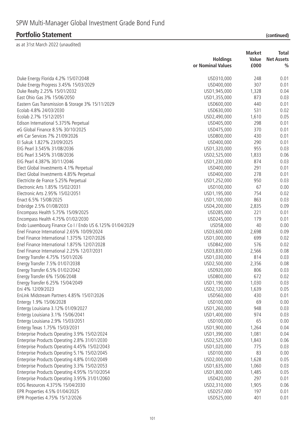|                                                          | <b>Holdings</b>   | <b>Market</b><br>Value | Total<br><b>Net Assets</b> |
|----------------------------------------------------------|-------------------|------------------------|----------------------------|
|                                                          | or Nominal Values | £000                   | $\frac{0}{0}$              |
| Duke Energy Florida 4.2% 15/07/2048                      | USD310,000        | 248                    | 0.01                       |
| Duke Energy Progress 3.45% 15/03/2029                    | USD400,000        | 307                    | 0.01                       |
| Duke Realty 2.25% 15/01/2032                             | USD1,945,000      | 1,328                  | 0.04                       |
| East Ohio Gas 3% 15/06/2050                              | USD1,355,000      | 873                    | 0.03                       |
| Eastern Gas Transmission & Storage 3% 15/11/2029         | USD600,000        | 440                    | 0.01                       |
| Ecolab 4.8% 24/03/2030                                   | USD630,000        | 531                    | 0.02                       |
| Ecolab 2.7% 15/12/2051                                   | USD2,490,000      | 1,610                  | 0.05                       |
| Edison International 5.375% Perpetual                    | USD405,000        | 298                    | 0.01                       |
| eG Global Finance 8.5% 30/10/2025                        | USD475,000        | 370                    | 0.01                       |
| eHi Car Services 7% 21/09/2026                           | USD800,000        | 430                    | 0.01                       |
| El Sukuk 1.827% 23/09/2025                               | USD400,000        | 290                    | 0.01                       |
| EIG Pearl 3.545% 31/08/2036                              | USD1,320,000      | 955                    | 0.03                       |
| EIG Pearl 3.545% 31/08/2036                              | USD2,525,000      | 1,833                  | 0.06                       |
| EIG Pearl 4.387% 30/11/2046                              | USD1,230,000      | 874                    | 0.03                       |
| Elect Global Investments 4.1% Perpetual                  | USD400,000        | 291                    | 0.01                       |
| Elect Global Investments 4.85% Perpetual                 | USD400,000        | 278                    | 0.01                       |
| Electricite de France 5.25% Perpetual                    | USD1,252,000      | 950                    | 0.03                       |
| Electronic Arts 1.85% 15/02/2031                         | USD100,000        | 67                     | 0.00                       |
|                                                          |                   |                        |                            |
| Electronic Arts 2.95% 15/02/2051                         | USD1,195,000      | 754                    | 0.02                       |
| Enact 6.5% 15/08/2025                                    | USD1,100,000      | 863                    | 0.03                       |
| Enbridge 2.5% 01/08/2033                                 | USD4,200,000      | 2,835                  | 0.09                       |
| Encompass Health 5.75% 15/09/2025                        | USD285,000        | 221                    | 0.01                       |
| Encompass Health 4.75% 01/02/2030                        | USD245,000        | 179                    | 0.01                       |
| Endo Luxembourg Finance Co I / Endo US 6.125% 01/04/2029 | USD58,000         | 40                     | 0.00                       |
| Enel Finance International 2.65% 10/09/2024              | USD3,600,000      | 2,698                  | 0.09                       |
| Enel Finance International 1.375% 12/07/2026             | USD1,000,000      | 699                    | 0.02                       |
| Enel Finance International 1.875% 12/07/2028             | USD842,000        | 576                    | 0.02                       |
| Enel Finance International 2.25% 12/07/2031              | USD3,830,000      | 2,566                  | 0.08                       |
| Energy Transfer 4.75% 15/01/2026                         | USD1,030,000      | 814                    | 0.03                       |
| Energy Transfer 7.5% 01/07/2038                          | USD2,500,000      | 2,356                  | 0.08                       |
| Energy Transfer 6.5% 01/02/2042                          | USD920,000        | 806                    | 0.03                       |
| Energy Transfer 6% 15/06/2048                            | USD800,000        | 672                    | 0.02                       |
| Energy Transfer 6.25% 15/04/2049                         | USD1,190,000      | 1,030                  | 0.03                       |
| Eni 4% 12/09/2023                                        | USD2,120,000      | 1,639                  | 0.05                       |
| EnLink Midstream Partners 4.85% 15/07/2026               | USD560,000        | 430                    | 0.01                       |
| Entergy 1.9% 15/06/2028                                  | USD100,000        | 69                     | 0.00                       |
| Entergy Louisiana 3.12% 01/09/2027                       | USD1,260,000      | 948                    | 0.03                       |
| Entergy Louisiana 3.1% 15/06/2041                        | USD1,400,000      | 974                    | 0.03                       |
| Entergy Louisiana 2.9% 15/03/2051                        | USD100,000        | 65                     | 0.00                       |
| Entergy Texas 1.75% 15/03/2031                           | USD1,900,000      | 1,264                  | 0.04                       |
| Enterprise Products Operating 3.9% 15/02/2024            | USD1,390,000      | 1,081                  | 0.04                       |
| Enterprise Products Operating 2.8% 31/01/2030            | USD2,525,000      | 1,843                  | 0.06                       |
| Enterprise Products Operating 4.45% 15/02/2043           | USD1,020,000      | 775                    | 0.03                       |
| Enterprise Products Operating 5.1% 15/02/2045            | USD100,000        | 83                     | 0.00                       |
| Enterprise Products Operating 4.8% 01/02/2049            | USD2,000,000      | 1,628                  | 0.05                       |
| Enterprise Products Operating 3.3% 15/02/2053            | USD1,635,000      | 1,060                  | 0.03                       |
| Enterprise Products Operating 4.95% 15/10/2054           | USD1,800,000      | 1,485                  | 0.05                       |
| Enterprise Products Operating 3.95% 31/01/2060           | USD420,000        | 297                    | 0.01                       |
| EOG Resources 4.375% 15/04/2030                          | USD2,310,000      | 1,905                  | 0.06                       |
| EPR Properties 4.5% 01/04/2025                           | USD257,000        | 197                    | 0.01                       |
| EPR Properties 4.75% 15/12/2026                          | USD525,000        | 401                    | 0.01                       |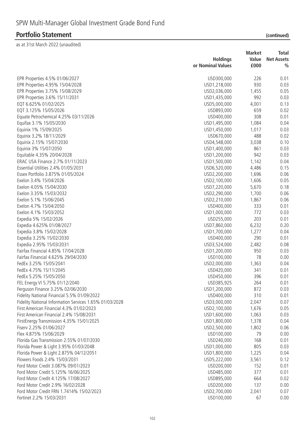|                                                         |                            | <b>Market</b> | Total             |
|---------------------------------------------------------|----------------------------|---------------|-------------------|
|                                                         | <b>Holdings</b>            | Value         | <b>Net Assets</b> |
|                                                         | or Nominal Values          | £000          | $\frac{0}{0}$     |
| EPR Properties 4.5% 01/06/2027                          | USD300,000                 | 226           | 0.01              |
| EPR Properties 4.95% 15/04/2028                         | USD1,218,000               | 930           | 0.03              |
| EPR Properties 3.75% 15/08/2029                         | USD2,036,000               | 1,455         | 0.05              |
| EPR Properties 3.6% 15/11/2031                          | USD1,435,000               | 992           | 0.03              |
| EQT 6.625% 01/02/2025                                   | USD5,000,000               | 4,001         | 0.13              |
| EQT 3.125% 15/05/2026                                   | USD893,000                 | 659           | 0.02              |
| Equate Petrochemical 4.25% 03/11/2026                   | USD400,000                 | 308           | 0.01              |
| Equifax 3.1% 15/05/2030                                 | USD1,495,000               | 1,084         | 0.04              |
| Equinix 1% 15/09/2025                                   | USD1,450,000               | 1,017         | 0.03              |
| Equinix 3.2% 18/11/2029                                 | USD670,000                 | 488           | 0.02              |
| Equinix 2.15% 15/07/2030                                | USD4,548,000               | 3,038         | 0.10              |
| Equinix 3% 15/07/2050                                   | USD1,400,000               | 861           | 0.03              |
| Equitable 4.35% 20/04/2028                              | USD1,200,000               | 942           | 0.03              |
| ERAC USA Finance 2.7% 01/11/2023                        | USD1,500,000               | 1,142         | 0.04              |
| Essential Utilities 2.4% 01/05/2031                     | USD6,520,000               | 4,486         | 0.15              |
| Essex Portfolio 3.875% 01/05/2024                       | USD2,200,000               | 1,696         | 0.06              |
| Exelon 3.4% 15/04/2026                                  | USD2,100,000               | 1,606         | 0.05              |
| Exelon 4.05% 15/04/2030                                 | USD7,220,000               | 5,670         | 0.18              |
| Exelon 3.35% 15/03/2032                                 | USD2,290,000               | 1,700         | 0.06              |
| Exelon 5.1% 15/06/2045                                  | USD2,210,000               | 1,867         | 0.06              |
| Exelon 4.7% 15/04/2050                                  | USD400,000                 | 333           | 0.01              |
| Exelon 4.1% 15/03/2052                                  | USD1,000,000               | 772           | 0.03              |
| Expedia 5% 15/02/2026                                   | USD255,000                 | 203           | 0.01              |
| Expedia 4.625% 01/08/2027                               | USD7,860,000               | 6,232         | 0.20              |
| Expedia 3.8% 15/02/2028                                 | USD1,700,000               | 1,277         | 0.04              |
| Expedia 3.25% 15/02/2030                                | USD400,000                 | 290           | 0.01              |
| Expedia 2.95% 15/03/2031                                | USD3,524,000               | 2,482         | 0.08              |
| Fairfax Financial 4.85% 17/04/2028                      | USD1,200,000               | 950           | 0.03              |
| Fairfax Financial 4.625% 29/04/2030                     | USD100,000                 | 78            | 0.00              |
| FedEx 3.25% 15/05/2041                                  | USD2,000,000               | 1,363         | 0.04              |
| FedEx 4.75% 15/11/2045                                  | USD420,000                 | 341           | 0.01              |
| FedEx 5.25% 15/05/2050                                  | USD450,000                 | 396           | 0.01              |
| FEL Energy VI 5.75% 01/12/2040                          | USD385,925                 | 264           | 0.01              |
| Ferguson Finance 3.25% 02/06/2030                       | USD1,200,000               | 872           | 0.03              |
| Fidelity National Financial 5.5% 01/09/2022             | USD400,000                 | 310           | 0.01              |
| Fidelity National Information Services 1.65% 01/03/2028 | USD3,000,000               | 2,047         | 0.07              |
| First American Financial 4.3% 01/02/2023                | USD2,100,000               | 1,676         | 0.05              |
| First American Financial 2.4% 15/08/2031                | USD1,600,000               | 1,063         | 0.03              |
| FirstEnergy Transmission 4.35% 15/01/2025               | USD1,800,000               | 1,378         | 0.04              |
| Fiserv 2.25% 01/06/2027                                 | USD2,500,000               | 1,802         | 0.06              |
| Flex 4.875% 15/06/2029                                  | USD100,000                 | 79            | 0.00              |
| Florida Gas Transmission 2.55% 01/07/2030               | USD240,000                 | 168           | 0.01              |
| Florida Power & Light 3.95% 01/03/2048                  | USD1,000,000               | 805           | 0.03              |
| Florida Power & Light 2.875% 04/12/2051                 | USD1,800,000               | 1,225         | 0.04              |
| Flowers Foods 2.4% 15/03/2031                           |                            |               |                   |
| Ford Motor Credit 3.087% 09/01/2023                     | USD5,222,000               | 3,561<br>152  | 0.12              |
| Ford Motor Credit 5.125% 16/06/2025                     | USD200,000                 | 377           | 0.01              |
|                                                         | USD485,000                 | 664           | 0.01              |
| Ford Motor Credit 4.125% 17/08/2027                     | USD895,000                 |               | 0.02              |
| Ford Motor Credit 2.9% 16/02/2028                       | USD200,000                 | 137           | 0.00              |
| Ford Motor Credit FRN 1.7414% 15/02/2023                | USD2,700,000<br>USD100,000 | 2,041<br>67   | 0.07<br>0.00      |
| Fortinet 2.2% 15/03/2031                                |                            |               |                   |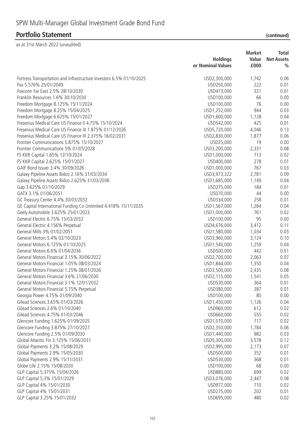|                                                                      | <b>Holdings</b>   | <b>Market</b><br>Value | Total<br><b>Net Assets</b> |
|----------------------------------------------------------------------|-------------------|------------------------|----------------------------|
|                                                                      | or Nominal Values | £000                   | $\frac{0}{0}$              |
| Fortress Transportation and Infrastructure Investors 6.5% 01/10/2025 | USD2,300,000      | 1,742                  | 0.06                       |
| Fox 5.576% 25/01/2049                                                | USD250,000        | 222                    | 0.01                       |
| Foxconn Far East 2.5% 28/10/2030                                     | USD473,000        | 321                    | 0.01                       |
| Franklin Resources 1.6% 30/10/2030                                   | USD100,000        | 66                     | 0.00                       |
| Freedom Mortgage 8.125% 15/11/2024                                   | USD100,000        | 76                     | 0.00                       |
| Freedom Mortgage 8.25% 15/04/2025                                    | USD1,252,000      | 944                    | 0.03                       |
| Freedom Mortgage 6.625% 15/01/2027                                   | USD1,600,000      | 1,128                  | 0.04                       |
| Fresenius Medical Care US Finance II 4.75% 15/10/2024                | USD542,000        | 425                    | 0.01                       |
| Fresenius Medical Care US Finance III 1.875% 01/12/2026              | USD5,720,000      | 4,046                  | 0.13                       |
| Fresenius Medical Care US Finance III 2.375% 16/02/2031              | USD2,830,000      | 1,877                  | 0.06                       |
| Frontier Communications 5.875% 15/10/2027                            | USD25,000         | 19                     | 0.00                       |
| Frontier Communications 5% 01/05/2028                                | USD3,200,000      | 2,331                  | 0.08                       |
| FS KKR Capital 1.65% 12/10/2024                                      | USD1,000,000      | 713                    | 0.02                       |
| FS KKR Capital 2.625% 15/01/2027                                     | USD400,000        | 278                    | 0.01                       |
| GAIF Bond Issuer 3.4% 30/09/2026                                     | USD1,000,000      | 767                    | 0.03                       |
| Galaxy Pipeline Assets Bidco 2.16% 31/03/2034                        | USD3,973,322      | 2,781                  | 0.09                       |
| Galaxy Pipeline Assets Bidco 2.625% 31/03/2036                       | USD1,685,000      | 1,149                  | 0.04                       |
| Gap 3.625% 01/10/2029                                                | USD275,000        | 184                    | 0.01                       |
| GATX 3.1% 01/06/2051                                                 | USD70,000         | 44                     | 0.00                       |
| GC Treasury Center 4.4% 30/03/2032                                   | USD334,000        | 258                    | 0.01                       |
|                                                                      |                   | 1,284                  | 0.04                       |
| GE Capital International Funding Co Unlimited 4.418% 15/11/2035      | USD1,567,000      | 761                    | 0.02                       |
| Geely Automobile 3.625% 25/01/2023                                   | USD1,000,000      | 95                     |                            |
| General Electric 6.75% 15/03/2032                                    | USD100,000        |                        | 0.00<br>0.11               |
| General Electric 4.156% Perpetual<br>General Mills 3% 01/02/2051     | USD4,676,000      | 3,412                  | 0.03                       |
|                                                                      | USD1,580,000      | 1,034                  |                            |
| General Motors 5.4% 02/10/2023                                       | USD3,960,000      | 3,124                  | 0.10                       |
| General Motors 6.125% 01/10/2025                                     | USD1,540,000      | 1,259                  | 0.04                       |
| General Motors 6.6% 01/04/2036                                       | USD500,000        | 442                    | 0.01                       |
| General Motors Financial 3.15% 30/06/2022                            | USD2,700,000      | 2,063                  | 0.07                       |
| General Motors Financial 1.05% 08/03/2024                            | USD1,844,000      | 1,350                  | 0.04                       |
| General Motors Financial 1.25% 08/01/2026                            | USD3,500,000      | 2,435                  | 0.08                       |
| General Motors Financial 3.6% 21/06/2030                             | USD2,115,000      | 1,541                  | 0.05                       |
| General Motors Financial 3.1% 12/01/2032                             | USD530,000        | 364                    | 0.01                       |
| General Motors Financial 5.75% Perpetual                             | USD380,000        | 287                    | 0.01                       |
| Georgia Power 4.75% 01/09/2040                                       | USD100,000        | 80                     | 0.00                       |
| Gilead Sciences 3.65% 01/03/2026                                     | USD1,450,000      | 1,126                  | 0.04                       |
| Gilead Sciences 2.6% 01/10/2040                                      | USD960,000        | 612                    | 0.02                       |
| Gilead Sciences 4.75% 01/03/2046                                     | USD660,000        | 555                    | 0.02                       |
| Glencore Funding 1.625% 01/09/2025                                   | USD1,010,000      | 717                    | 0.02                       |
| Glencore Funding 3.875% 27/10/2027                                   | USD2,350,000      | 1,784                  | 0.06                       |
| Glencore Funding 2.5% 01/09/2030                                     | USD1,440,000      | 982                    | 0.03                       |
| Global Atlantic Fin 3.125% 15/06/2031                                | USD5,300,000      | 3,578                  | 0.12                       |
| Global Payments 3.2% 15/08/2029                                      | USD2,995,000      | 2,173                  | 0.07                       |
| Global Payments 2.9% 15/05/2030                                      | USD500,000        | 352                    | 0.01                       |
| Global Payments 2.9% 15/11/2031                                      | USD530,000        | 368                    | 0.01                       |
| Globe Life 2.15% 15/08/2030                                          | USD100,000        | 68                     | 0.00                       |
| GLP Capital 5.375% 15/04/2026                                        | USD880,000        | 699                    | 0.02                       |
| GLP Capital 5.3% 15/01/2029                                          | USD3,076,000      | 2,447                  | 0.08                       |
| GLP Capital 4% 15/01/2030                                            | USD977,000        | 710                    | 0.02                       |
| GLP Capital 4% 15/01/2031                                            | USD275,000        | 202                    | 0.01                       |
| GLP Capital 3.25% 15/01/2032                                         | USD695,000        | 480                    | 0.02                       |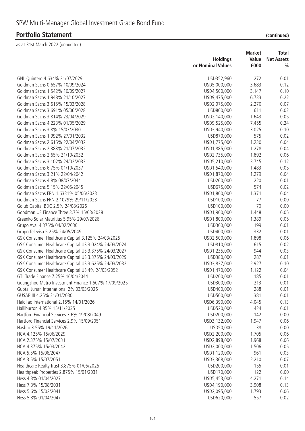|  | (continued) |
|--|-------------|

|                                                      |                   | <b>Market</b> | Total             |
|------------------------------------------------------|-------------------|---------------|-------------------|
|                                                      | <b>Holdings</b>   | Value         | <b>Net Assets</b> |
|                                                      | or Nominal Values | £000          | $\frac{0}{0}$     |
| GNL Quintero 4.634% 31/07/2029                       | USD352,960        | 272           | 0.01              |
| Goldman Sachs 0.657% 10/09/2024                      | USD5,000,000      | 3,683         | 0.12              |
| Goldman Sachs 1.542% 10/09/2027                      | USD4,500,000      | 3,147         | 0.10              |
| Goldman Sachs 1.948% 21/10/2027                      | USD9,475,000      | 6,733         | 0.22              |
| Goldman Sachs 3.615% 15/03/2028                      | USD2,975,000      | 2,270         | 0.07              |
| Goldman Sachs 3.691% 05/06/2028                      | USD800,000        | 611           | 0.02              |
| Goldman Sachs 3.814% 23/04/2029                      | USD2,140,000      | 1,643         | 0.05              |
| Goldman Sachs 4.223% 01/05/2029                      | USD9,525,000      | 7,455         | 0.24              |
| Goldman Sachs 3.8% 15/03/2030                        | USD3,940,000      | 3,025         | 0.10              |
| Goldman Sachs 1.992% 27/01/2032                      | USD870,000        | 575           | 0.02              |
| Goldman Sachs 2.615% 22/04/2032                      | USD1,775,000      | 1,230         | 0.04              |
| Goldman Sachs 2.383% 21/07/2032                      | USD1,885,000      | 1,278         | 0.04              |
| Goldman Sachs 2.65% 21/10/2032                       | USD2,735,000      | 1,892         | 0.06              |
| Goldman Sachs 3.102% 24/02/2033                      | USD5,210,000      | 3,745         | 0.12              |
| Goldman Sachs 6.75% 01/10/2037                       | USD1,540,000      | 1,483         | 0.05              |
| Goldman Sachs 3.21% 22/04/2042                       | USD1,870,000      | 1,279         | 0.04              |
| Goldman Sachs 4.8% 08/07/2044                        | USD260,000        | 220           | 0.01              |
| Goldman Sachs 5.15% 22/05/2045                       | USD675,000        | 574           | 0.02              |
| Goldman Sachs FRN 1.6331% 05/06/2023                 | USD1,800,000      | 1,371         | 0.04              |
| Goldman Sachs FRN 2.1079% 29/11/2023                 | USD100,000        | 77            | 0.00              |
| Golub Capital BDC 2.5% 24/08/2026                    | USD100,000        | 70            | 0.00              |
| Goodman US Finance Three 3.7% 15/03/2028             | USD1,900,000      | 1,448         | 0.05              |
| Greenko Solar Mauritius 5.95% 29/07/2026             | USD1,800,000      | 1,389         | 0.05              |
| Grupo Aval 4.375% 04/02/2030                         | USD300,000        | 199           | 0.01              |
| Grupo Televisa 5.25% 24/05/2049                      | USD400,000        | 332           | 0.01              |
| GSK Consumer Healthcare Capital 3.125% 24/03/2025    | USD2,500,000      | 1,898         | 0.06              |
| GSK Consumer Healthcare Capital US 3.024% 24/03/2024 | USD810,000        | 615           | 0.02              |
| GSK Consumer Healthcare Capital US 3.375% 24/03/2027 | USD1,235,000      | 944           | 0.03              |
| GSK Consumer Healthcare Capital US 3.375% 24/03/2029 | USD380,000        | 287           | 0.01              |
| GSK Consumer Healthcare Capital US 3.625% 24/03/2032 | USD3,837,000      | 2,927         | 0.10              |
| GSK Consumer Healthcare Capital US 4% 24/03/2052     | USD1,470,000      | 1,122         | 0.04              |
| GTL Trade Finance 7.25% 16/04/2044                   | USD200,000        | 185           | 0.01              |
| Guangzhou Metro Investment Finance 1.507% 17/09/2025 | USD300,000        | 213           | 0.01              |
| Guotai Junan International 2% 03/03/2026             | USD400,000        | 288           | 0.01              |
| GUSAP III 4.25% 21/01/2030                           | USD500,000        | 381           | 0.01              |
| Haidilao International 2.15% 14/01/2026              | USD6,390,000      | 4,045         | 0.13              |
| Halliburton 4.85% 15/11/2035                         | USD520,000        | 424           | 0.01              |
| Hartford Financial Services 3.6% 19/08/2049          | USD200,000        | 142           | 0.00              |
| Hartford Financial Services 2.9% 15/09/2051          | USD3,132,000      | 1,947         | 0.06              |
| Hasbro 3.55% 19/11/2026                              | USD50,000         | 38            | 0.00              |
| HCA 4.125% 15/06/2029                                | USD2,200,000      | 1,705         | 0.06              |
| HCA 2.375% 15/07/2031                                | USD2,898,000      | 1,968         | 0.06              |
| HCA 4.375% 15/03/2042                                | USD2,000,000      | 1,506         | 0.05              |
| HCA 5.5% 15/06/2047                                  | USD1,120,000      | 961           | 0.03              |
| HCA 3.5% 15/07/2051                                  | USD3,368,000      | 2,210         | 0.07              |
| Healthcare Realty Trust 3.875% 01/05/2025            | USD200,000        | 155           | 0.01              |
| Healthpeak Properties 2.875% 15/01/2031              | USD170,000        | 122           | 0.00              |
| Hess 4.3% 01/04/2027                                 | USD5,453,000      | 4,271         | 0.14              |
| Hess 7.3% 15/08/2031                                 | USD4,190,000      | 3,908         | 0.13              |
| Hess 5.6% 15/02/2041                                 | USD2,095,000      | 1,793         | 0.06              |
| Hess 5.8% 01/04/2047                                 | USD620,000        | 557           | 0.02              |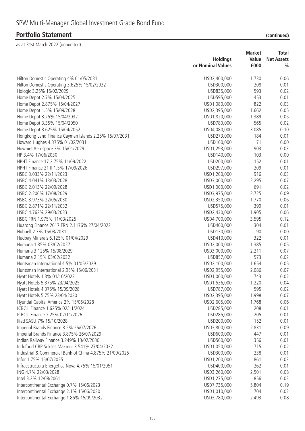|                                                         |                                      | <b>Market</b> | Total                              |
|---------------------------------------------------------|--------------------------------------|---------------|------------------------------------|
|                                                         | <b>Holdings</b><br>or Nominal Values | Value<br>£000 | <b>Net Assets</b><br>$\frac{0}{0}$ |
|                                                         |                                      |               |                                    |
| Hilton Domestic Operating 4% 01/05/2031                 | USD2,400,000                         | 1,730         | 0.06                               |
| Hilton Domestic Operating 3.625% 15/02/2032             | USD300,000                           | 208           | 0.01                               |
| Hologic 3.25% 15/02/2029                                | USD835,000                           | 593           | 0.02                               |
| Home Depot 2.7% 15/04/2025                              | USD595,000                           | 453           | 0.01                               |
| Home Depot 2.875% 15/04/2027                            | USD1,080,000                         | 822           | 0.03                               |
| Home Depot 1.5% 15/09/2028                              | USD2,395,000                         | 1,662         | 0.05                               |
| Home Depot 3.25% 15/04/2032                             | USD1,820,000                         | 1,389         | 0.05                               |
| Home Depot 3.35% 15/04/2050                             | USD780,000                           | 565           | 0.02                               |
| Home Depot 3.625% 15/04/2052                            | USD4,080,000                         | 3,085         | 0.10                               |
| Hongkong Land Finance Cayman Islands 2.25% 15/07/2031   | USD273,000                           | 184           | 0.01                               |
| Howard Hughes 4.375% 01/02/2031                         | USD100,000                           | 71            | 0.00                               |
| Howmet Aerospace 3% 15/01/2029                          | USD1,293,000                         | 903           | 0.03                               |
| HP 3.4% 17/06/2030                                      | USD140,000                           | 103           | 0.00                               |
| HPHT Finance 17 2.75% 11/09/2022                        | USD200,000                           | 152           | 0.01                               |
| HPHT Finance 21 II 1.5% 17/09/2026                      | USD297,000                           | 209           | 0.01                               |
| HSBC 3.033% 22/11/2023                                  | USD1,200,000                         | 916           | 0.03                               |
| HSBC 4.041% 13/03/2028                                  | USD3,000,000                         | 2,295         | 0.07                               |
| HSBC 2.013% 22/09/2028                                  | USD1,000,000                         | 691           | 0.02                               |
| HSBC 2.206% 17/08/2029                                  | USD3,975,000                         | 2,725         | 0.09                               |
| HSBC 3.973% 22/05/2030                                  | USD2,350,000                         | 1,770         | 0.06                               |
| HSBC 2.871% 22/11/2032                                  | USD575,000                           | 399           | 0.01                               |
| HSBC 4.762% 29/03/2033                                  | USD2,430,000                         | 1,905         | 0.06                               |
| HSBC FRN 1.975% 11/03/2025                              | USD4,700,000                         | 3,595         | 0.12                               |
| Huarong Finance 2017 FRN 2.1176% 27/04/2022             | USD400,000                           | 304           | 0.01                               |
| Hubbell 2.3% 15/03/2031                                 | USD130,000                           | 90            | 0.00                               |
| Hudbay Minerals 6.125% 01/04/2029                       | USD410,000                           | 322           | 0.01                               |
| Humana 1.35% 03/02/2027                                 | USD2,000,000                         | 1,385         | 0.05                               |
| Humana 3.125% 15/08/2029                                | USD3,000,000                         | 2,211         | 0.07                               |
| Humana 2.15% 03/02/2032                                 | USD857,000                           | 573           | 0.02                               |
| Huntsman International 4.5% 01/05/2029                  | USD2,100,000                         | 1,654         | 0.05                               |
| Huntsman International 2.95% 15/06/2031                 | USD2,955,000                         | 2,086         | 0.07                               |
| Hyatt Hotels 1.3% 01/10/2023                            | USD1,000,000                         | 743           | 0.02                               |
| Hyatt Hotels 5.375% 23/04/2025                          | USD1,536,000                         | 1,220         | 0.04                               |
| Hyatt Hotels 4.375% 15/09/2028                          | USD787,000                           | 595           | 0.02                               |
| Hyatt Hotels 5.75% 23/04/2030                           | USD2,395,000                         | 1,998         | 0.07                               |
| Hyundai Capital America 2% 15/06/2028                   | USD2,605,000                         | 1,768         | 0.06                               |
| ICBCIL Finance 1.625% 02/11/2024                        | USD285,000                           | 208           | 0.01                               |
| ICBCIL Finance 2.25% 02/11/2026                         | USD285,000                           | 205           | 0.01                               |
| Iliad SASU 7% 15/10/2028                                | USD200,000                           | 152           | 0.01                               |
| Imperial Brands Finance 3.5% 26/07/2026                 | USD3,800,000                         | 2,831         | 0.09                               |
| Imperial Brands Finance 3.875% 26/07/2029               | USD600,000                           | 447           | 0.01                               |
| Indian Railway Finance 3.249% 13/02/2030                | USD500,000                           | 356           | 0.01                               |
| Indofood CBP Sukses Makmur 3.541% 27/04/2032            | USD1,050,000                         | 715           | 0.02                               |
| Industrial & Commercial Bank of China 4.875% 21/09/2025 | USD300,000                           | 238           | 0.01                               |
| Infor 1.75% 15/07/2025                                  | USD1,200,000                         | 861           | 0.03                               |
| Infraestructura Energetica Nova 4.75% 15/01/2051        | USD400,000                           | 262           | 0.01                               |
| ING 4.7% 22/03/2028                                     | USD3,260,000                         | 2,501         | 0.08                               |
| Intel 3.2% 12/08/2061                                   | USD1,275,000                         | 856           | 0.03                               |
| Intercontinental Exchange 0.7% 15/06/2023               | USD7,735,000                         | 5,804         | 0.19                               |
| Intercontinental Exchange 2.1% 15/06/2030               | USD1,010,000                         | 704           | 0.02                               |
| Intercontinental Exchange 1.85% 15/09/2032              | USD3,780,000                         | 2,493         | 0.08                               |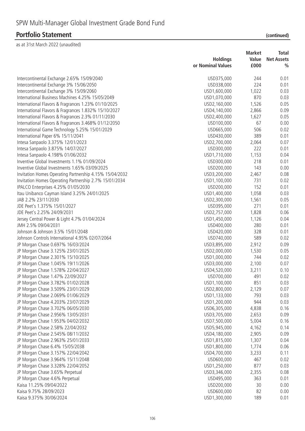|                                                         | <b>Market</b><br><b>Holdings</b><br>Value |              | Total<br><b>Net Assets</b> |  |
|---------------------------------------------------------|-------------------------------------------|--------------|----------------------------|--|
|                                                         | or Nominal Values                         | £000         | $\frac{0}{0}$              |  |
| Intercontinental Exchange 2.65% 15/09/2040              | USD375,000                                | 244          | 0.01                       |  |
| Intercontinental Exchange 3% 15/06/2050                 | USD338,000                                | 224          | 0.01                       |  |
| Intercontinental Exchange 3% 15/09/2060                 | USD1,600,000                              | 1,022        | 0.03                       |  |
| International Business Machines 4.25% 15/05/2049        | USD1,070,000                              | 870          | 0.03                       |  |
| International Flavors & Fragrances 1.23% 01/10/2025     | USD2,160,000                              | 1,526        | 0.05                       |  |
| International Flavors & Fragrances 1.832% 15/10/2027    | USD4,140,000                              | 2,866        | 0.09                       |  |
| International Flavors & Fragrances 2.3% 01/11/2030      | USD2,400,000                              | 1,627        | 0.05                       |  |
| International Flavors & Fragrances 3.468% 01/12/2050    | USD100,000                                | 67           | 0.00                       |  |
| International Game Technology 5.25% 15/01/2029          | USD665,000                                | 506          | 0.02                       |  |
| International Paper 6% 15/11/2041                       | USD430,000                                | 389          | 0.01                       |  |
| Intesa Sanpaolo 3.375% 12/01/2023                       | USD2,700,000                              | 2,064        | 0.07                       |  |
| Intesa Sanpaolo 3.875% 14/07/2027                       | USD300,000                                | 222          | 0.01                       |  |
| Intesa Sanpaolo 4.198% 01/06/2032                       | USD1,710,000                              | 1,153        | 0.04                       |  |
| Inventive Global Investments 1.1% 01/09/2024            | USD300,000                                | 218          | 0.01                       |  |
| Inventive Global Investments 1.65% 03/09/2025           | USD200,000                                | 143          | 0.00                       |  |
| Invitation Homes Operating Partnership 4.15% 15/04/2032 | USD3,200,000                              | 2,467        | 0.08                       |  |
| Invitation Homes Operating Partnership 2.7% 15/01/2034  | USD1,100,000                              | 731          | 0.02                       |  |
| IPALCO Enterprises 4.25% 01/05/2030                     | USD200,000                                | 152          | 0.01                       |  |
| Itau Unibanco Cayman Island 3.25% 24/01/2025            | USD1,400,000                              | 1,058        | 0.03                       |  |
| JAB 2.2% 23/11/2030                                     | USD2,300,000                              | 1,561        | 0.05                       |  |
| JDE Peet's 1.375% 15/01/2027                            | USD395,000                                | 271          | 0.01                       |  |
| JDE Peet's 2.25% 24/09/2031                             | USD2,757,000                              | 1,828        | 0.06                       |  |
| Jersey Central Power & Light 4.7% 01/04/2024            | USD1,450,000                              | 1,126        | 0.04                       |  |
| JMH 2.5% 09/04/2031                                     | USD400,000                                | 280          | 0.01                       |  |
| Johnson & Johnson 3.5% 15/01/2048                       | USD420,000                                | 328          | 0.01                       |  |
| Johnson Controls International 4.95% 02/07/2064         | USD740,000                                | 589          | 0.02                       |  |
| JP Morgan Chase 0.697% 16/03/2024                       | USD3,895,000                              | 2,912        | 0.09                       |  |
| JP Morgan Chase 3.125% 23/01/2025                       | USD2,000,000                              | 1,530        | 0.05                       |  |
| JP Morgan Chase 2.301% 15/10/2025                       | USD1,000,000                              | 744          | 0.02                       |  |
| JP Morgan Chase 1.045% 19/11/2026                       | USD3,000,000                              | 2,100        | 0.07                       |  |
| JP Morgan Chase 1.578% 22/04/2027                       | USD4,520,000                              | 3,211        | 0.10                       |  |
| JP Morgan Chase 1.47% 22/09/2027                        | USD700,000                                | 491          | 0.02                       |  |
| JP Morgan Chase 3.782% 01/02/2028                       | USD1,100,000                              | 851          | 0.03                       |  |
| JP Morgan Chase 3.509% 23/01/2029                       | USD2,800,000                              | 2,129        | 0.07                       |  |
| JP Morgan Chase 2.069% 01/06/2029                       | USD1,133,000                              | 793          | 0.03                       |  |
| JP Morgan Chase 4.203% 23/07/2029                       | USD1,200,000                              | 944          | 0.03                       |  |
| JP Morgan Chase 3.702% 06/05/2030                       | USD6,305,000                              | 4,838        | 0.16                       |  |
| JP Morgan Chase 2.956% 13/05/2031                       | USD3,705,000                              | 2,653        | 0.09                       |  |
| JP Morgan Chase 1.953% 04/02/2032                       | USD7,500,000                              | 5,004        | 0.16                       |  |
| JP Morgan Chase 2.58% 22/04/2032                        | USD5,945,000                              | 4,162        | 0.14                       |  |
| JP Morgan Chase 2.545% 08/11/2032                       | USD4,180,000                              | 2,905        | 0.09                       |  |
| JP Morgan Chase 2.963% 25/01/2033                       | USD1,815,000                              | 1,307        | 0.04                       |  |
| JP Morgan Chase 6.4% 15/05/2038                         | USD1,800,000                              | 1,774        | 0.06                       |  |
| JP Morgan Chase 3.157% 22/04/2042                       | USD4,700,000                              | 3,233        | 0.11                       |  |
| JP Morgan Chase 3.964% 15/11/2048                       | USD600,000                                | 467          | 0.02                       |  |
|                                                         |                                           | 877          |                            |  |
| JP Morgan Chase 3.328% 22/04/2052                       | USD1,250,000                              |              | 0.03                       |  |
| JP Morgan Chase 3.65% Perpetual                         | USD3,346,000                              | 2,355<br>363 | 0.08                       |  |
| JP Morgan Chase 4.6% Perpetual                          | USD495,000                                |              | 0.01                       |  |
| Kaisa 11.25% 09/04/2022<br>Kaisa 9.75% 28/09/2023       | USD200,000                                | 30<br>82     | 0.00                       |  |
|                                                         | USD600,000                                | 189          | 0.00<br>0.01               |  |
| Kaisa 9.375% 30/06/2024                                 | USD1,300,000                              |              |                            |  |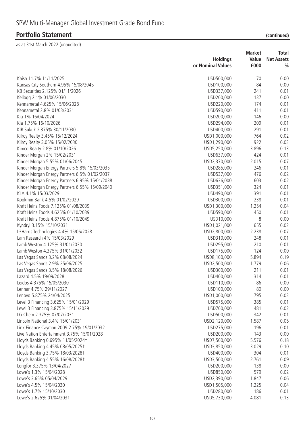# **Portfolio Statement**

| (continued) |  |
|-------------|--|
|             |  |

|                                                |                   | <b>Market</b> | Total             |
|------------------------------------------------|-------------------|---------------|-------------------|
|                                                | <b>Holdings</b>   | Value         | <b>Net Assets</b> |
|                                                | or Nominal Values | £000          | $\frac{0}{0}$     |
| Kaisa 11.7% 11/11/2025                         | USD500,000        | 70            | 0.00              |
|                                                |                   | 84            | 0.00              |
| Kansas City Southern 4.95% 15/08/2045          | USD100,000        |               |                   |
| KB Securities 2.125% 01/11/2026                | USD337,000        | 241           | 0.01              |
| Kellogg 2.1% 01/06/2030                        | USD200,000        | 137           | 0.00              |
| Kennametal 4.625% 15/06/2028                   | USD220,000        | 174           | 0.01              |
| Kennametal 2.8% 01/03/2031                     | USD590,000        | 411           | 0.01              |
| Kia 1% 16/04/2024                              | USD200,000        | 146           | 0.00              |
| Kia 1.75% 16/10/2026                           | USD294,000        | 209           | 0.01              |
| KIB Sukuk 2.375% 30/11/2030                    | USD400,000        | 291           | 0.01              |
| Kilroy Realty 3.45% 15/12/2024                 | USD1,000,000      | 764           | 0.02              |
| Kilroy Realty 3.05% 15/02/2030                 | USD1,290,000      | 922           | 0.03              |
| Kimco Realty 2.8% 01/10/2026                   | USD5,250,000      | 3,896         | 0.13              |
| Kinder Morgan 2% 15/02/2031                    | USD637,000        | 424           | 0.01              |
| Kinder Morgan 5.55% 01/06/2045                 | USD2,370,000      | 2,015         | 0.07              |
| Kinder Morgan Energy Partners 5.8% 15/03/2035  | USD285,000        | 246           | 0.01              |
| Kinder Morgan Energy Partners 6.5% 01/02/2037  | USD537,000        | 476           | 0.02              |
| Kinder Morgan Energy Partners 6.95% 15/01/2038 | USD636,000        | 603           | 0.02              |
| Kinder Morgan Energy Partners 6.55% 15/09/2040 | USD351,000        | 324           | 0.01              |
| KLA 4.1% 15/03/2029                            | USD490,000        | 391           | 0.01              |
| Kookmin Bank 4.5% 01/02/2029                   | USD300,000        | 238           | 0.01              |
| Kraft Heinz Foods 7.125% 01/08/2039            | USD1,300,000      | 1,254         | 0.04              |
| Kraft Heinz Foods 4.625% 01/10/2039            | USD590,000        | 450           | 0.01              |
| Kraft Heinz Foods 4.875% 01/10/2049            | USD10,000         | 8             | 0.00              |
| Kyndryl 3.15% 15/10/2031                       | USD1,021,000      | 655           | 0.02              |
| L3Harris Technologies 4.4% 15/06/2028          | USD2,800,000      | 2,238         | 0.07              |
| Lam Research 4% 15/03/2029                     | USD310,000        | 248           | 0.01              |
| Lamb Weston 4.125% 31/01/2030                  | USD295,000        | 210           | 0.01              |
| Lamb Weston 4.375% 31/01/2032                  | USD175,000        | 124           | 0.00              |
| Las Vegas Sands 3.2% 08/08/2024                | USD8,100,000      | 5,894         | 0.19              |
| Las Vegas Sands 2.9% 25/06/2025                | USD2,500,000      | 1,779         | 0.06              |
| Las Vegas Sands 3.5% 18/08/2026                | USD300,000        | 211           | 0.01              |
| Lazard 4.5% 19/09/2028                         | USD400,000        | 314           | 0.01              |
| Leidos 4.375% 15/05/2030                       | USD110,000        | 86            | 0.00              |
| Lennar 4.75% 29/11/2027                        | USD100,000        | 80            | 0.00              |
| Lenovo 5.875% 24/04/2025                       | USD1,000,000      | 795           | 0.03              |
| Level 3 Financing 3.625% 15/01/2029            | USD575,000        | 385           | 0.01              |
| Level 3 Financing 3.875% 15/11/2029            | USD700,000        | 481           | 0.02              |
| LG Chem 2.375% 07/07/2031                      | USD500,000        | 342           | 0.01              |
| Lincoln National 3.4% 15/01/2031               | USD2,120,000      | 1,587         | 0.05              |
| Link Finance Cayman 2009 2.75% 19/01/2032      | USD275,000        | 196           | 0.01              |
| Live Nation Entertainment 3.75% 15/01/2028     | USD200,000        | 143           | 0.00              |
| Lloyds Banking 0.695% 11/05/2024t              | USD7,500,000      | 5,576         | 0.18              |
| Lloyds Banking 4.45% 08/05/2025†               | USD3,850,000      | 3,029         | 0.10              |
| Lloyds Banking 3.75% 18/03/2028+               | USD400,000        | 304           | 0.01              |
|                                                |                   |               |                   |
| Lloyds Banking 4.55% 16/08/2028+               | USD3,500,000      | 2,761         | 0.09              |
| Longfor 3.375% 13/04/2027                      | USD200,000        | 138           | 0.00              |
| Lowe's 1.3% 15/04/2028                         | USD850,000        | 579           | 0.02              |
| Lowe's 3.65% 05/04/2029                        | USD2,390,000      | 1,847         | 0.06              |
| Lowe's 4.5% 15/04/2030                         | USD1,505,000      | 1,225         | 0.04              |
| Lowe's 1.7% 15/10/2030                         | USD280,000        | 186           | 0.01              |
| Lowe's 2.625% 01/04/2031                       | USD5,730,000      | 4,081         | 0.13              |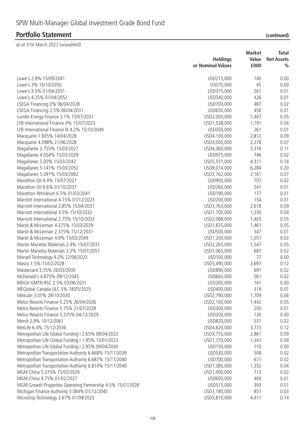|                                                             |                   | <b>Market</b> | <b>Total</b>      |
|-------------------------------------------------------------|-------------------|---------------|-------------------|
|                                                             | <b>Holdings</b>   | Value         | <b>Net Assets</b> |
|                                                             | or Nominal Values | £000          | $\frac{0}{0}$     |
| Lowe's 2.8% 15/09/2041                                      | USD215,000        | 140           | 0.00              |
| Lowe's 3% 15/10/2050                                        | USD70,000         | 45            | 0.00              |
| Lowe's 3.5% 01/04/2051                                      | USD375,000        | 261           | 0.01              |
| Lowe's 4.25% 01/04/2052                                     | USD540,000        | 426           | 0.01              |
| LSEGA Financing 2% 06/04/2028                               | USD700,000        | 487           | 0.02              |
| LSEGA Financing 2.5% 06/04/2031                             | USD650,000        | 456           | 0.01              |
| Lundin Energy Finance 3.1% 15/07/2031                       | USD2,000,000      | 1,407         | 0.05              |
| LYB International Finance 4% 15/07/2023                     | USD1,538,000      | 1,191         | 0.04              |
| LYB International Finance III 4.2% 15/10/2049               | USD350,000        | 261           | 0.01              |
| Macquarie 1.935% 14/04/2028                                 | USD4,100,000      | 2,812         | 0.09              |
| Macquarie 4.098% 21/06/2028                                 | USD3,000,000      | 2,278         | 0.07              |
| Magallanes 3.755% 15/03/2027                                | USD4,360,000      | 3,316         | 0.11              |
| Magallanes 4.054% 15/03/2029                                | USD975,000        | 746           | 0.02              |
| Magallanes 5.05% 15/03/2042                                 | USD5,551,000      | 4,311         | 0.14              |
| Magallanes 5.141% 15/03/2052                                | USD8,074,000      | 6,284         | 0.20              |
| Magallanes 5.391% 15/03/2062                                | USD2,762,000      | 2,161         | 0.07              |
| Marathon Oil 4.4% 15/07/2027                                | USD900,000        | 707           | 0.02              |
| Marathon Oil 6.6% 01/10/2037                                | USD260,000        | 241           | 0.01              |
| Marathon Petroleum 6.5% 01/03/2041                          | USD190,000        | 177           | 0.01              |
| Marriott International 4.15% 01/12/2023                     | USD200,000        | 154           | 0.01              |
| Marriott International 2.85% 15/04/2031                     | USD3,763,000      | 2,618         | 0.09              |
| Marriott International 3.5% 15/10/2032                      | USD1,700,000      | 1,230         | 0.04              |
| Marriott International 2.75% 15/10/2033                     | USD2,088,000      | 1,403         | 0.05              |
| Marsh & McLennan 4.375% 15/03/2029                          | USD1,835,000      | 1,461         | 0.05              |
| Marsh & McLennan 2.375% 15/12/2031                          | USD500,000        | 347           | 0.01              |
| Marsh & McLennan 4.9% 15/03/2049                            | USD1,200,000      | 1,051         | 0.03              |
| Martin Marietta Materials 2.4% 15/07/2031                   | USD2,265,000      | 1,547         | 0.05              |
| Martin Marietta Materials 3.2% 15/07/2051                   | USD1,065,000      | 687           | 0.02              |
| Marvell Technology 4.2% 22/06/2023                          | USD100,000        | 77            | 0.00              |
| Masco 1.5% 15/02/2028                                       | USD5,490,000      | 3,697         | 0.12              |
| Mastercard 3.35% 26/03/2030                                 | USD890,000        | 691           | 0.02              |
| McDonald's 4.875% 09/12/2045                                | USD660,000        | 561           | 0.02              |
| MDGH GMTN RSC 2.5% 03/06/2031                               | USD200,000        | 141           | 0.00              |
| MEGlobal Canada ULC 5% 18/05/2025                           | USD400,000        | 314           | 0.01              |
| Meituan 3.05% 28/10/2030                                    | USD2,790,000      | 1,709         | 0.06              |
| Melco Resorts Finance 5.25% 26/04/2026                      | USD2,100,000      | 1,442         | 0.05              |
| Melco Resorts Finance 5.75% 21/07/2028                      | USD300,000        | 200           | 0.01              |
| Melco Resorts Finance 5.375% 04/12/2029                     | USD200,000        | 130           | 0.00              |
| Merck 2.9% 10/12/2061                                       | USD820,000        | 531           | 0.02              |
| MetLife 6.4% 15/12/2036                                     | USD4,620,000      | 3,773         | 0.12              |
| Metropolitan Life Global Funding I 2.65% 08/04/2022         | USD3,755,000      | 2,861         | 0.09              |
| Metropolitan Life Global Funding I 1.95% 13/01/2023         | USD1,770,000      | 1,347         | 0.04              |
| Metropolitan Life Global Funding I 2.95% 09/04/2030         | USD150,000        | 110           | 0.00              |
| Metropolitan Transportation Authority 6.668% 15/11/2039     | USD530,000        | 508           | 0.02              |
| Metropolitan Transportation Authority 6.687% 15/11/2040     | USD700,000        | 671           | 0.02              |
| Metropolitan Transportation Authority 6.814% 15/11/2040     | USD1,385,000      | 1,352         | 0.04              |
| MGM China 5.375% 15/05/2024                                 | USD1,000,000      | 713           | 0.02              |
| MGM China 4.75% 01/02/2027                                  | USD600,000        | 404           | 0.01              |
| MGM Growth Properties Operating Partnership 4.5% 15/01/2028 | USD515,000        | 393           | 0.01              |
| Michigan Finance Authority 3.384% 01/12/2040                | USD1,180,000      | 857           | 0.03              |
| Microchip Technology 2.67% 01/09/2023                       | USD5,810,000      | 4,411         | 0.14              |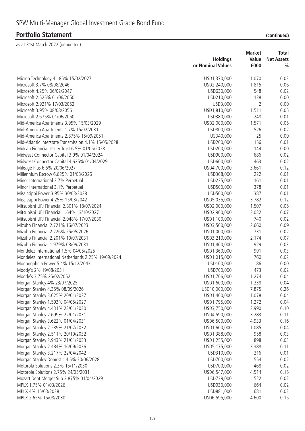|                                                      | <b>Holdings</b>   | <b>Market</b><br>Value | <b>Total</b><br><b>Net Assets</b> |
|------------------------------------------------------|-------------------|------------------------|-----------------------------------|
|                                                      | or Nominal Values | £000                   | $\frac{0}{0}$                     |
| Micron Technology 4.185% 15/02/2027                  | USD1,370,000      | 1,070                  | 0.03                              |
| Microsoft 3.7% 08/08/2046                            | USD2,240,000      | 1,815                  | 0.06                              |
| Microsoft 4.25% 06/02/2047                           | USD630,000        | 548                    | 0.02                              |
| Microsoft 2.525% 01/06/2050                          | USD210,000        | 138                    | 0.00                              |
| Microsoft 2.921% 17/03/2052                          | USD3,000          | 2                      | 0.00                              |
| Microsoft 3.95% 08/08/2056                           | USD1,810,000      | 1,511                  | 0.05                              |
| Microsoft 2.675% 01/06/2060                          | USD380,000        | 248                    | 0.01                              |
| Mid-America Apartments 3.95% 15/03/2029              | USD2,000,000      | 1,571                  | 0.05                              |
| Mid-America Apartments 1.7% 15/02/2031               | USD800,000        | 526                    | 0.02                              |
| Mid-America Apartments 2.875% 15/09/2051             | USD40,000         | 25                     | 0.00                              |
| Mid-Atlantic Interstate Transmission 4.1% 15/05/2028 | USD200,000        | 156                    | 0.01                              |
| Midcap Financial Issuer Trust 6.5% 01/05/2028        | USD200,000        | 144                    | 0.00                              |
| Midwest Connector Capital 3.9% 01/04/2024            | USD900,000        | 686                    | 0.02                              |
| Midwest Connector Capital 4.625% 01/04/2029          | USD600,000        | 463                    | 0.02                              |
| Mileage Plus 6.5% 20/06/2027                         |                   |                        | 0.12                              |
|                                                      | USD4,700,000      | 3,661                  |                                   |
| Millennium Escrow 6.625% 01/08/2026                  | USD308,000        | 222                    | 0.01                              |
| Minor International 2.7% Perpetual                   | USD225,000        | 161                    | 0.01                              |
| Minor International 3.1% Perpetual                   | USD500,000        | 378                    | 0.01                              |
| Mississippi Power 3.95% 30/03/2028                   | USD500,000        | 387                    | 0.01                              |
| Mississippi Power 4.25% 15/03/2042                   | USD5,035,000      | 3,782                  | 0.12                              |
| Mitsubishi UFJ Financial 2.801% 18/07/2024           | USD2,000,000      | 1,507                  | 0.05                              |
| Mitsubishi UFJ Financial 1.64% 13/10/2027            | USD2,900,000      | 2,032                  | 0.07                              |
| Mitsubishi UFJ Financial 2.048% 17/07/2030           | USD1,100,000      | 740                    | 0.02                              |
| Mizuho Financial 2.721% 16/07/2023                   | USD3,500,000      | 2,660                  | 0.09                              |
| Mizuho Financial 2.226% 25/05/2026                   | USD1,000,000      | 731                    | 0.02                              |
| Mizuho Financial 2.201% 10/07/2031                   | USD3,210,000      | 2,174                  | 0.07                              |
| Mizuho Financial 1.979% 08/09/2031                   | USD1,400,000      | 929                    | 0.03                              |
| Mondelez International 1.5% 04/05/2025               | USD1,360,000      | 991                    | 0.03                              |
| Mondelez International Netherlands 2.25% 19/09/2024  | USD1,015,000      | 760                    | 0.02                              |
| Monongahela Power 5.4% 15/12/2043                    | USD100,000        | 86                     | 0.00                              |
| Moody's 2% 19/08/2031                                | USD700,000        | 473                    | 0.02                              |
| Moody's 3.75% 25/02/2052                             | USD1,706,000      | 1,274                  | 0.04                              |
| Morgan Stanley 4% 23/07/2025                         | USD1,600,000      | 1,238                  | 0.04                              |
| Morgan Stanley 4.35% 08/09/2026                      | USD10,000,000     | 7,875                  | 0.26                              |
| Morgan Stanley 3.625% 20/01/2027                     | USD1,400,000      | 1,078                  | 0.04                              |
| Morgan Stanley 1.593% 04/05/2027                     | USD1,795,000      | 1,272                  | 0.04                              |
| Morgan Stanley 4.431% 23/01/2030                     | USD3,750,000      | 2,990                  | 0.10                              |
| Morgan Stanley 2.699% 22/01/2031                     | USD4,590,000      | 3,283                  | 0.11                              |
| Morgan Stanley 3.622% 01/04/2031                     | USD6,500,000      | 4,933                  | 0.16                              |
| Morgan Stanley 2.239% 21/07/2032                     | USD1,600,000      | 1,085                  | 0.04                              |
| Morgan Stanley 2.511% 20/10/2032                     | USD1,388,000      | 958                    | 0.03                              |
| Morgan Stanley 2.943% 21/01/2033                     | USD1,255,000      | 898                    | 0.03                              |
| Morgan Stanley 2.484% 16/09/2036                     | USD5,175,000      | 3,388                  | 0.11                              |
| Morgan Stanley 3.217% 22/04/2042                     | USD310,000        | 216                    | 0.01                              |
| Morgan Stanley Domestic 4.5% 20/06/2028              | USD700,000        | 554                    | 0.02                              |
| Motorola Solutions 2.3% 15/11/2030                   | USD700,000        | 468                    | 0.02                              |
| Motorola Solutions 2.75% 24/05/2031                  | USD6,547,000      | 4,514                  | 0.15                              |
| Mozart Debt Merger Sub 3.875% 01/04/2029             | USD739,000        | 522                    | 0.02                              |
| MPLX 1.75% 01/03/2026                                | USD930,000        | 664                    | 0.02                              |
| MPLX 4% 15/03/2028                                   | USD881,000        | 681                    | 0.02                              |
| MPLX 2.65% 15/08/2030                                | USD6,595,000      | 4,600                  | 0.15                              |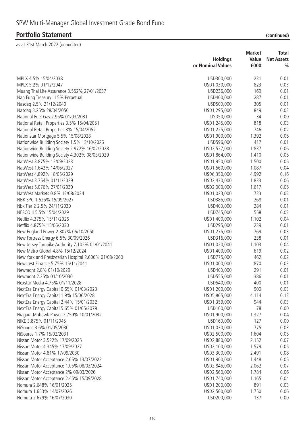|                                                                                   |                              | <b>Market</b> | <b>Total</b>      |
|-----------------------------------------------------------------------------------|------------------------------|---------------|-------------------|
|                                                                                   | <b>Holdings</b>              | Value         | <b>Net Assets</b> |
|                                                                                   | or Nominal Values            | £000          | $\frac{0}{0}$     |
| MPLX 4.5% 15/04/2038                                                              | USD300,000                   | 231           | 0.01              |
| MPLX 5.2% 01/12/2047                                                              | USD1,030,000                 | 823           | 0.03              |
| Muang Thai Life Assurance 3.552% 27/01/2037                                       | USD236,000                   | 169           | 0.01              |
| Nan Fung Treasury III 5% Perpetual                                                | USD400,000                   | 287           | 0.01              |
| Nasdaq 2.5% 21/12/2040                                                            | USD500,000                   | 305           | 0.01              |
| Nasdaq 3.25% 28/04/2050                                                           | USD1,295,000                 | 849           | 0.03              |
| National Fuel Gas 2.95% 01/03/2031                                                | USD50,000                    | 34            | 0.00              |
| National Retail Properties 3.5% 15/04/2051                                        | USD1,245,000                 | 818           | 0.03              |
| National Retail Properties 3% 15/04/2052                                          | USD1,225,000                 | 746           | 0.02              |
| Nationstar Mortgage 5.5% 15/08/2028                                               | USD1,900,000                 | 1,392         | 0.05              |
| Nationwide Building Society 1.5% 13/10/2026                                       | USD596,000                   | 417           | 0.01              |
| Nationwide Building Society 2.972% 16/02/2028                                     | USD2,527,000                 | 1,837         | 0.06              |
| Nationwide Building Society 4.302% 08/03/2029                                     | USD1,864,000                 | 1,410         | 0.05              |
| NatWest 3.875% 12/09/2023                                                         | USD1,950,000                 | 1,500         | 0.05              |
| NatWest 1.642% 14/06/2027                                                         | USD1,560,000                 | 1,087         | 0.04              |
| NatWest 4.892% 18/05/2029                                                         | USD6,350,000                 | 4,992         | 0.16              |
| NatWest 3.754% 01/11/2029                                                         | USD2,430,000                 | 1,833         | 0.06              |
| NatWest 5.076% 27/01/2030                                                         | USD2,000,000                 | 1,617         | 0.05              |
| NatWest Markets 0.8% 12/08/2024                                                   | USD1,023,000                 | 733           | 0.02              |
| NBK SPC 1.625% 15/09/2027                                                         | USD385,000                   | 268           | 0.01              |
| Nbk Tier 2 2.5% 24/11/2030                                                        | USD400,000                   | 284           | 0.01              |
| NESCO II 5.5% 15/04/2029                                                          | USD745,000                   | 558           | 0.02              |
| Netflix 4.375% 15/11/2026                                                         | USD1,400,000                 | 1,102         | 0.04              |
| Netflix 4.875% 15/06/2030                                                         | USD295,000                   | 239           | 0.01              |
| New England Power 2.807% 06/10/2050                                               | USD1,275,000                 | 769           | 0.03              |
| New Fortress Energy 6.5% 30/09/2026                                               | USD316,000                   | 238           | 0.01              |
| New Jersey Turnpike Authority 7.102% 01/01/2041                                   | USD1,020,000                 | 1,103         | 0.04              |
| New Metro Global 4.8% 15/12/2024                                                  | USD1,400,000                 | 619           | 0.02              |
| New York and Presbyterian Hospital 2.606% 01/08/2060                              | USD775,000                   | 462           | 0.02              |
| Newcrest Finance 5.75% 15/11/2041                                                 | USD1,000,000                 | 870           | 0.03              |
| Newmont 2.8% 01/10/2029                                                           | USD400,000                   | 291           | 0.01              |
| Newmont 2.25% 01/10/2030                                                          | USD555,000                   | 386           | 0.01              |
| Nexstar Media 4.75% 01/11/2028                                                    | USD540,000                   | 400           | 0.01              |
|                                                                                   |                              | 900           | 0.03              |
| NextEra Energy Capital 0.65% 01/03/2023<br>NextEra Energy Capital 1.9% 15/06/2028 | USD1,200,000<br>USD5,865,000 | 4,114         | 0.13              |
| NextEra Energy Capital 2.44% 15/01/2032                                           | USD1,359,000                 | 944           | 0.03              |
| NextEra Energy Capital 5.65% 01/05/2079                                           | USD100,000                   | 78            | 0.00              |
| Niagara Mohawk Power 2.759% 10/01/2032                                            | USD1,900,000                 | 1,327         | 0.04              |
| NIKE 3.875% 01/11/2045                                                            | USD160,000                   | 127           | 0.00              |
| NiSource 3.6% 01/05/2030                                                          | USD1,030,000                 | 775           | 0.03              |
| NiSource 1.7% 15/02/2031                                                          | USD2,500,000                 | 1,604         | 0.05              |
| Nissan Motor 3.522% 17/09/2025                                                    | USD2,880,000                 |               |                   |
| Nissan Motor 4.345% 17/09/2027                                                    | USD2,100,000                 | 2,152         | 0.07              |
| Nissan Motor 4.81% 17/09/2030                                                     |                              | 1,579         | 0.05              |
|                                                                                   | USD3,300,000                 | 2,491         | 0.08              |
| Nissan Motor Acceptance 2.65% 13/07/2022                                          | USD1,900,000                 | 1,448         | 0.05              |
| Nissan Motor Acceptance 1.05% 08/03/2024                                          | USD2,845,000                 | 2,062         | 0.07              |
| Nissan Motor Acceptance 2% 09/03/2026                                             | USD2,560,000                 | 1,784         | 0.06              |
| Nissan Motor Acceptance 2.45% 15/09/2028                                          | USD1,740,000                 | 1,165         | 0.04              |
| Nomura 2.648% 16/01/2025                                                          | USD1,200,000                 | 891           | 0.03              |
| Nomura 1.653% 14/07/2026                                                          | USD2,500,000                 | 1,750         | 0.06              |
| Nomura 2.679% 16/07/2030                                                          | USD200,000                   | 137           | 0.00              |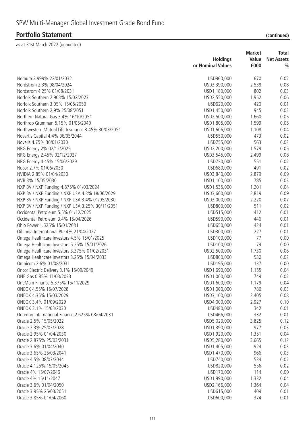# **Portfolio Statement**

|  | (continued) |  |  |
|--|-------------|--|--|
|  |             |  |  |
|  |             |  |  |

|                                                     | <b>Holdings</b>              | <b>Market</b><br>Value | Total<br><b>Net Assets</b> |
|-----------------------------------------------------|------------------------------|------------------------|----------------------------|
|                                                     | or Nominal Values            | £000                   | $\frac{0}{0}$              |
| Nomura 2.999% 22/01/2032                            | USD960,000                   | 670                    | 0.02                       |
| Nordstrom 2.3% 08/04/2024                           | USD3,390,000                 | 2,538                  | 0.08                       |
| Nordstrom 4.25% 01/08/2031                          | USD1,180,000                 | 802                    | 0.03                       |
| Norfolk Southern 2.903% 15/02/2023                  | USD2,550,000                 | 1,952                  | 0.06                       |
| Norfolk Southern 3.05% 15/05/2050                   | USD620,000                   | 420                    | 0.01                       |
| Norfolk Southern 2.9% 25/08/2051                    | USD1,450,000                 | 945                    | 0.03                       |
| Northern Natural Gas 3.4% 16/10/2051                | USD2,500,000                 | 1,660                  | 0.05                       |
| Northrop Grumman 5.15% 01/05/2040                   |                              | 1,599                  | 0.05                       |
| Northwestern Mutual Life Insurance 3.45% 30/03/2051 | USD1,805,000<br>USD1,606,000 | 1,108                  | 0.04                       |
|                                                     |                              | 473                    | 0.02                       |
| Novartis Capital 4.4% 06/05/2044                    | USD550,000                   |                        |                            |
| Novelis 4.75% 30/01/2030                            | USD755,000                   | 563                    | 0.02                       |
| NRG Energy 2% 02/12/2025                            | USD2,200,000                 | 1,579                  | 0.05                       |
| NRG Energy 2.45% 02/12/2027                         | USD3,545,000                 | 2,499                  | 0.08                       |
| NRG Energy 4.45% 15/06/2029                         | USD730,000                   | 551                    | 0.02                       |
| Nucor 2.7% 01/06/2030                               | USD680,000                   | 491                    | 0.02                       |
| NVIDIA 2.85% 01/04/2030                             | USD3,840,000                 | 2,879                  | 0.09                       |
| NVR 3% 15/05/2030                                   | USD1,100,000                 | 785                    | 0.03                       |
| NXP BV / NXP Funding 4.875% 01/03/2024              | USD1,535,000                 | 1,201                  | 0.04                       |
| NXP BV / NXP Funding / NXP USA 4.3% 18/06/2029      | USD3,600,000                 | 2,819                  | 0.09                       |
| NXP BV / NXP Funding / NXP USA 3.4% 01/05/2030      | USD3,000,000                 | 2,220                  | 0.07                       |
| NXP BV / NXP Funding / NXP USA 3.25% 30/11/2051     | USD800,000                   | 511                    | 0.02                       |
| Occidental Petroleum 5.5% 01/12/2025                | USD515,000                   | 412                    | 0.01                       |
| Occidental Petroleum 3.4% 15/04/2026                | USD590,000                   | 446                    | 0.01                       |
| Ohio Power 1.625% 15/01/2031                        | USD650,000                   | 424                    | 0.01                       |
| Oil India International Pte 4% 21/04/2027           | USD300,000                   | 227                    | 0.01                       |
| Omega Healthcare Investors 4.5% 15/01/2025          | USD100,000                   | 77                     | 0.00                       |
| Omega Healthcare Investors 5.25% 15/01/2026         | USD100,000                   | 79                     | 0.00                       |
| Omega Healthcare Investors 3.375% 01/02/2031        | USD2,500,000                 | 1,730                  | 0.06                       |
| Omega Healthcare Investors 3.25% 15/04/2033         | USD800,000                   | 530                    | 0.02                       |
| Omnicom 2.6% 01/08/2031                             | USD195,000                   | 137                    | 0.00                       |
| Oncor Electric Delivery 3.1% 15/09/2049             | USD1,690,000                 | 1,155                  | 0.04                       |
| ONE Gas 0.85% 11/03/2023                            | USD1,000,000                 | 749                    | 0.02                       |
| OneMain Finance 5.375% 15/11/2029                   | USD1,600,000                 | 1,179                  | 0.04                       |
| ONEOK 4.55% 15/07/2028                              | USD1,000,000                 | 786                    | 0.03                       |
| ONEOK 4.35% 15/03/2029                              | USD3,100,000                 | 2,405                  | 0.08                       |
| ONEOK 3.4% 01/09/2029                               | USD4,000,000                 | 2,927                  | 0.10                       |
| ONEOK 3.1% 15/03/2030                               | USD480,000                   | 342                    | 0.01                       |
| Ooredoo International Finance 2.625% 08/04/2031     | USD466,000                   | 332                    | 0.01                       |
| Oracle 2.5% 15/05/2022                              | USD5,020,000                 | 3,825                  | 0.12                       |
| Oracle 2.3% 25/03/2028                              | USD1,390,000                 | 977                    | 0.03                       |
| Oracle 2.95% 01/04/2030                             | USD1,920,000                 | 1,351                  | 0.04                       |
| Oracle 2.875% 25/03/2031                            | USD5,280,000                 | 3,665                  | 0.12                       |
| Oracle 3.6% 01/04/2040                              | USD1,405,000                 | 924                    | 0.03                       |
| Oracle 3.65% 25/03/2041                             | USD1,470,000                 | 966                    | 0.03                       |
| Oracle 4.5% 08/07/2044                              | USD740,000                   | 534                    | 0.02                       |
| Oracle 4.125% 15/05/2045                            | USD820,000                   | 556                    | 0.02                       |
| Oracle 4% 15/07/2046                                | USD170,000                   | 114                    | 0.00                       |
|                                                     |                              |                        |                            |
| Oracle 4% 15/11/2047                                | USD1,990,000                 | 1,332                  | 0.04                       |
| Oracle 3.6% 01/04/2050                              | USD2,166,000                 | 1,364                  | 0.04                       |
| Oracle 3.95% 25/03/2051                             | USD615,000                   | 409                    | 0.01                       |
| Oracle 3.85% 01/04/2060                             | USD600,000                   | 374                    | 0.01                       |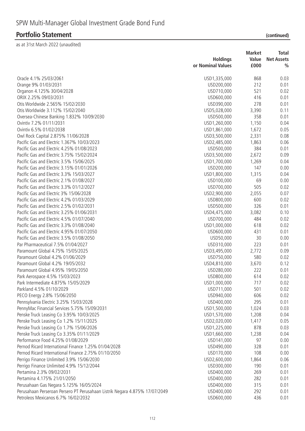as at 31st March 2022 (unaudited)

|                                                      | <b>Holdings</b><br>or Nominal Values | <b>Market</b><br>Value<br>£000 | <b>Total</b><br><b>Net Assets</b><br>$\frac{0}{0}$ |
|------------------------------------------------------|--------------------------------------|--------------------------------|----------------------------------------------------|
|                                                      |                                      |                                |                                                    |
| Oracle 4.1% 25/03/2061                               | USD1,335,000                         | 868                            | 0.03                                               |
| Orange 9% 01/03/2031                                 | USD200,000                           | 212                            | 0.01                                               |
| Organon 4.125% 30/04/2028                            | USD710,000                           | 521                            | 0.02                                               |
| ORIX 2.25% 09/03/2031                                | USD600,000                           | 416                            | 0.01                                               |
| Otis Worldwide 2.565% 15/02/2030                     | USD390,000                           | 278                            | 0.01                                               |
| Otis Worldwide 3.112% 15/02/2040                     | USD5,028,000                         | 3,390                          | 0.11                                               |
| Oversea-Chinese Banking 1.832% 10/09/2030            | USD500,000                           | 358                            | 0.01                                               |
| Ovintiv 7.2% 01/11/2031                              | USD1,260,000                         | 1,150                          | 0.04                                               |
| Ovintiv 6.5% 01/02/2038                              | USD1,861,000                         | 1,672                          | 0.05                                               |
| Owl Rock Capital 2.875% 11/06/2028                   | USD3,500,000                         | 2,331                          | 0.08                                               |
| Pacific Gas and Electric 1.367% 10/03/2023           | USD2,485,000                         | 1,863                          | 0.06                                               |
| Pacific Gas and Electric 4.25% 01/08/2023            | USD500,000                           | 384                            | 0.01                                               |
| Pacific Gas and Electric 3.75% 15/02/2024            | USD3,500,000                         | 2,672                          | 0.09                                               |
| Pacific Gas and Electric 3.5% 15/06/2025             | USD1,700,000                         | 1,269                          | 0.04                                               |
| Pacific Gas and Electric 3.15% 01/01/2026            | USD200,000                           | 147                            | 0.00                                               |
| Pacific Gas and Electric 3.3% 15/03/2027             | USD1,800,000                         | 1,315                          | 0.04                                               |
| Pacific Gas and Electric 2.1% 01/08/2027             | USD100,000                           | 69                             | 0.00                                               |
| Pacific Gas and Electric 3.3% 01/12/2027             | USD700,000                           | 505                            | 0.02                                               |
| Pacific Gas and Electric 3% 15/06/2028               | USD2,900,000                         | 2,055                          | 0.07                                               |
| Pacific Gas and Electric 4.2% 01/03/2029             | USD800,000                           | 600                            | 0.02                                               |
| Pacific Gas and Electric 2.5% 01/02/2031             | USD500,000                           | 326                            | 0.01                                               |
| Pacific Gas and Electric 3.25% 01/06/2031            | USD4,475,000                         | 3,082                          | 0.10                                               |
| Pacific Gas and Electric 4.5% 01/07/2040             | USD700,000                           | 484                            | 0.02                                               |
| Pacific Gas and Electric 3.3% 01/08/2040             | USD1,000,000                         | 618                            | 0.02                                               |
| Pacific Gas and Electric 4.95% 01/07/2050            | USD600,000                           | 431                            | 0.01                                               |
| Pacific Gas and Electric 3.5% 01/08/2050             | USD50,000                            | 30                             | 0.00                                               |
| Par Pharmaceutical 7.5% 01/04/2027                   | USD310,000                           | 223                            | 0.01                                               |
| Paramount Global 4.75% 15/05/2025                    | USD3,495,000                         | 2,772                          | 0.09                                               |
| Paramount Global 4.2% 01/06/2029                     | USD750,000                           | 580                            | 0.02                                               |
| Paramount Global 4.2% 19/05/2032                     | USD4,810,000                         | 3,670                          | 0.12                                               |
| Paramount Global 4.95% 19/05/2050                    | USD280,000                           | 222                            | 0.01                                               |
| Park Aerospace 4.5% 15/03/2023                       | USD800,000                           | 614                            | 0.02                                               |
| Park Intermediate 4.875% 15/05/2029                  | USD1,000,000                         | 717                            | 0.02                                               |
| Parkland 4.5% 01/10/2029                             | USD711,000                           | 501                            | 0.02                                               |
| PECO Energy 2.8% 15/06/2050                          | USD940,000                           | 606                            | 0.02                                               |
| Pennsylvania Electric 3.25% 15/03/2028               | USD400,000                           | 295                            | 0.01                                               |
| PennyMac Financial Services 5.75% 15/09/2031         | USD1,500,000                         | 1,024                          | 0.03                                               |
| Penske Truck Leasing Co 3.95% 10/03/2025             | USD1,570,000                         | 1,208                          | 0.04                                               |
| Penske Truck Leasing Co 1.2% 15/11/2025              | USD2,020,000                         | 1,417                          | 0.05                                               |
| Penske Truck Leasing Co 1.7% 15/06/2026              | USD1,225,000                         | 878                            | 0.03                                               |
| Penske Truck Leasing Co 3.35% 01/11/2029             | USD1,660,000                         | 1,238                          | 0.04                                               |
| Performance Food 4.25% 01/08/2029                    | USD141,000                           | 97                             | 0.00                                               |
| Pernod Ricard International Finance 1.25% 01/04/2028 | USD490,000                           | 328                            | 0.01                                               |
| Pernod Ricard International Finance 2.75% 01/10/2050 | USD170,000                           | 108                            | 0.00                                               |
| Perrigo Finance Unlimited 3.9% 15/06/2030            | USD2,600,000                         | 1,864                          | 0.06                                               |
| Perrigo Finance Unlimited 4.9% 15/12/2044            | USD300,000                           | 190                            | 0.01                                               |
| Pertamina 2.3% 09/02/2031                            | USD400,000                           | 269                            | 0.01                                               |
| Pertamina 4.175% 21/01/2050                          | USD400,000                           | 282                            | 0.01                                               |
| Perusahaan Gas Negara 5.125% 16/05/2024              | USD400,000                           | 315                            | 0.01                                               |
|                                                      |                                      |                                |                                                    |

Perusahaan Perseroan Persero PT Perusahaan Listrik Negara 4.875% 17/07/2049 USD400,000 292 0.01 Petroleos Mexicanos 6.7% 16/02/2032 USD600,000 436 0.01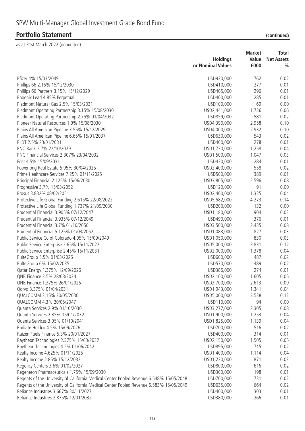|                                                                                         |                   | <b>Market</b> | <b>Total</b>      |  |
|-----------------------------------------------------------------------------------------|-------------------|---------------|-------------------|--|
|                                                                                         | <b>Holdings</b>   | Value         | <b>Net Assets</b> |  |
|                                                                                         | or Nominal Values | £000          | $\frac{0}{0}$     |  |
| Pfizer 4% 15/03/2049                                                                    | USD920,000        | 762           | 0.02              |  |
| Phillips 66 2.15% 15/12/2030                                                            | USD410,000        | 277           | 0.01              |  |
| Phillips 66 Partners 3.15% 15/12/2029                                                   | USD405,000        | 296           | 0.01              |  |
| Phoenix Lead 4.85% Perpetual                                                            | USD400,000        | 285           | 0.01              |  |
| Piedmont Natural Gas 2.5% 15/03/2031                                                    | USD100,000        | 69            | 0.00              |  |
| Piedmont Operating Partnership 3.15% 15/08/2030                                         | USD2,441,000      | 1,736         | 0.06              |  |
| Piedmont Operating Partnership 2.75% 01/04/2032                                         | USD859,000        | 581           | 0.02              |  |
| Pioneer Natural Resources 1.9% 15/08/2030                                               | USD4,390,000      | 2,958         | 0.10              |  |
| Plains All American Pipeline 3.55% 15/12/2029                                           | USD4,000,000      | 2,932         | 0.10              |  |
| Plains All American Pipeline 6.65% 15/01/2037                                           | USD630,000        | 543           | 0.02              |  |
| PLDT 2.5% 23/01/2031                                                                    | USD400,000        | 278           | 0.01              |  |
| PNC Bank 2.7% 22/10/2029                                                                | USD1,730,000      | 1,258         | 0.04              |  |
| PNC Financial Services 2.307% 23/04/2032                                                | USD1,500,000      | 1,047         | 0.03              |  |
| Post 4.5% 15/09/2031                                                                    | USD420,000        | 284           | 0.01              |  |
| Powerlong Real Estate 5.95% 30/04/2025                                                  | USD2,400,000      | 558           | 0.02              |  |
| Prime Healthcare Services 7.25% 01/11/2025                                              | USD500,000        | 389           | 0.01              |  |
| Principal Financial 2.125% 15/06/2030                                                   | USD3,805,000      | 2,596         | 0.08              |  |
| Progressive 3.7% 15/03/2052                                                             | USD120,000        | 91            | 0.00              |  |
| Prosus 3.832% 08/02/2051                                                                | USD2,400,000      | 1,325         | 0.04              |  |
| Protective Life Global Funding 2.615% 22/08/2022                                        | USD5,582,000      | 4,273         | 0.14              |  |
| Protective Life Global Funding 1.737% 21/09/2030                                        | USD200,000        | 132           | 0.00              |  |
| Prudential Financial 3.905% 07/12/2047                                                  | USD1,180,000      | 904           | 0.03              |  |
| Prudential Financial 3.935% 07/12/2049                                                  | USD490,000        | 376           | 0.01              |  |
| Prudential Financial 3.7% 01/10/2050                                                    | USD3,500,000      | 2,435         | 0.08              |  |
| Prudential Financial 5.125% 01/03/2052                                                  | USD1,083,000      | 827           | 0.03              |  |
| Public Service Co of Colorado 4.05% 15/09/2049                                          | USD1,050,000      | 830           | 0.03              |  |
| Public Service Enterprise 2.65% 15/11/2022                                              | USD5,000,000      | 3,831         | 0.12              |  |
| Public Service Enterprise 2.45% 15/11/2031                                              | USD2,000,000      | 1,378         | 0.04              |  |
| PulteGroup 5.5% 01/03/2026                                                              | USD600,000        | 487           | 0.02              |  |
| PulteGroup 6% 15/02/2035                                                                | USD570,000        | 489           | 0.02              |  |
| Qatar Energy 1.375% 12/09/2026                                                          | USD386,000        | 274           | 0.01              |  |
| QNB Finance 3.5% 28/03/2024                                                             | USD2,100,000      | 1,605         | 0.05              |  |
| QNB Finance 1.375% 26/01/2026                                                           | USD3,700,000      | 2,613         | 0.09              |  |
| Qorvo 3.375% 01/04/2031                                                                 | USD1,943,000      | 1,341         | 0.04              |  |
| QUALCOMM 2.15% 20/05/2030                                                               | USD5,000,000      | 3,538         | 0.12              |  |
| QUALCOMM 4.3% 20/05/2047                                                                | USD110,000        | 94            | 0.00              |  |
| Quanta Services 2.9% 01/10/2030                                                         | USD3,277,000      | 2,305         | 0.08              |  |
| Quanta Services 2.35% 15/01/2032                                                        | USD1,900,000      | 1,253         | 0.04              |  |
| Quanta Services 3.05% 01/10/2041                                                        | USD1,825,000      | 1,139         | 0.04              |  |
| Radiate Holdco 4.5% 15/09/2026                                                          | USD700,000        | 516           | 0.02              |  |
| Raizen Fuels Finance 5.3% 20/01/2027                                                    | USD400,000        | 314           | 0.01              |  |
| Raytheon Technologies 2.375% 15/03/2032                                                 | USD2,150,000      | 1,505         | 0.05              |  |
| Raytheon Technologies 4.5% 01/06/2042                                                   | USD895,000        | 745           | 0.02              |  |
| Realty Income 4.625% 01/11/2025                                                         | USD1,400,000      | 1,114         | 0.04              |  |
| Realty Income 2.85% 15/12/2032                                                          | USD1,220,000      | 871           | 0.03              |  |
| Regency Centers 3.6% 01/02/2027                                                         | USD800,000        | 616           | 0.02              |  |
| Regeneron Pharmaceuticals 1.75% 15/09/2030                                              | USD300,000        | 198           | 0.01              |  |
| Regents of the University of California Medical Center Pooled Revenue 6.548% 15/05/2048 | USD700,000        | 731           | 0.02              |  |
| Regents of the University of California Medical Center Pooled Revenue 6.583% 15/05/2049 | USD635,000        | 664           | 0.02              |  |
| Reliance Industries 3.667% 30/11/2027                                                   | USD400,000        | 303           | 0.01              |  |
| Reliance Industries 2.875% 12/01/2032                                                   | USD380,000        | 266           | 0.01              |  |
|                                                                                         |                   |               |                   |  |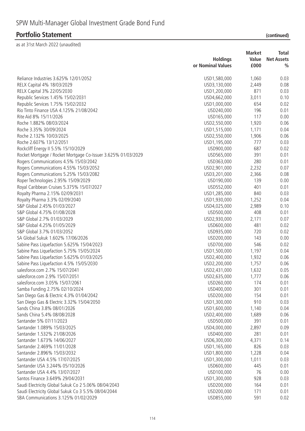# **Portfolio Statement**

| (continued) |  |
|-------------|--|
|             |  |

|                                                               | <b>Holdings</b>   | <b>Market</b><br>Value | Total<br><b>Net Assets</b> |
|---------------------------------------------------------------|-------------------|------------------------|----------------------------|
|                                                               | or Nominal Values | £000                   | $\frac{0}{0}$              |
| Reliance Industries 3.625% 12/01/2052                         | USD1,580,000      | 1,060                  | 0.03                       |
| RELX Capital 4% 18/03/2029                                    | USD3,130,000      | 2,449                  | 0.08                       |
| RELX Capital 3% 22/05/2030                                    | USD1,200,000      | 871                    | 0.03                       |
| Republic Services 1.45% 15/02/2031                            | USD4,662,000      | 3,011                  | 0.10                       |
| Republic Services 1.75% 15/02/2032                            | USD1,000,000      | 654                    | 0.02                       |
| Rio Tinto Finance USA 4.125% 21/08/2042                       | USD240,000        | 196                    | 0.01                       |
| Rite Aid 8% 15/11/2026                                        | USD165,000        | 117                    | 0.00                       |
| Roche 1.882% 08/03/2024                                       | USD2,550,000      | 1,920                  | 0.06                       |
| Roche 3.35% 30/09/2024                                        | USD1,515,000      | 1,171                  | 0.04                       |
| Roche 2.132% 10/03/2025                                       | USD2,550,000      | 1,906                  | 0.06                       |
| Roche 2.607% 13/12/2051                                       | USD1,195,000      | 777                    | 0.03                       |
| Rockcliff Energy II 5.5% 15/10/2029                           | USD900,000        | 687                    | 0.02                       |
| Rocket Mortgage / Rocket Mortgage Co-Issuer 3.625% 01/03/2029 | USD565,000        | 391                    | 0.01                       |
| Rogers Communications 4.5% 15/03/2042                         | USD363,000        | 280                    | 0.01                       |
| Rogers Communications 4.55% 15/03/2052                        | USD2,901,000      | 2,232                  | 0.07                       |
| Rogers Communications 5.25% 15/03/2082                        | USD3,201,000      | 2,366                  | 0.08                       |
| Roper Technologies 2.95% 15/09/2029                           | USD190,000        | 139                    | 0.00                       |
| Royal Caribbean Cruises 5.375% 15/07/2027                     | USD552,000        | 401                    | 0.01                       |
| Royalty Pharma 2.15% 02/09/2031                               | USD1,285,000      | 840                    | 0.03                       |
| Royalty Pharma 3.3% 02/09/2040                                | USD1,930,000      | 1,252                  | 0.04                       |
| S&P Global 2.45% 01/03/2027                                   | USD4,025,000      | 2,989                  | 0.10                       |
| S&P Global 4.75% 01/08/2028                                   | USD500,000        | 408                    | 0.01                       |
| S&P Global 2.7% 01/03/2029                                    | USD2,930,000      | 2,171                  | 0.07                       |
| S&P Global 4.25% 01/05/2029                                   | USD600,000        | 481                    | 0.02                       |
| S&P Global 3.7% 01/03/2052                                    | USD935,000        | 720                    | 0.02                       |
| SA Global Sukuk 1.602% 17/06/2026                             | USD200,000        | 143                    | 0.00                       |
| Sabine Pass Liquefaction 5.625% 15/04/2023                    | USD700,000        | 546                    | 0.02                       |
| Sabine Pass Liquefaction 5.75% 15/05/2024                     | USD1,500,000      | 1,197                  | 0.04                       |
| Sabine Pass Liquefaction 5.625% 01/03/2025                    | USD2,400,000      | 1,932                  | 0.06                       |
| Sabine Pass Liquefaction 4.5% 15/05/2030                      | USD2,200,000      | 1,757                  | 0.06                       |
| salesforce.com 2.7% 15/07/2041                                | USD2,431,000      | 1,632                  | 0.05                       |
| salesforce.com 2.9% 15/07/2051                                | USD2,635,000      | 1,777                  | 0.06                       |
| salesforce.com 3.05% 15/07/2061                               | USD260,000        | 174                    | 0.01                       |
| Samba Funding 2.75% 02/10/2024                                | USD400,000        | 301                    | 0.01                       |
| San Diego Gas & Electric 4.3% 01/04/2042                      | USD200,000        | 154                    | 0.01                       |
| San Diego Gas & Electric 3.32% 15/04/2050                     | USD1,300,000      | 910                    | 0.03                       |
| Sands China 3.8% 08/01/2026                                   | USD1,600,000      | 1,140                  | 0.04                       |
| Sands China 5.4% 08/08/2028                                   | USD2,400,000      | 1,689                  | 0.06                       |
| Santander 5% 07/11/2023                                       | USD500,000        | 391                    | 0.01                       |
| Santander 1.089% 15/03/2025                                   | USD4,000,000      | 2,897                  | 0.09                       |
| Santander 1.532% 21/08/2026                                   | USD400,000        | 281                    | 0.01                       |
| Santander 1.673% 14/06/2027                                   | USD6,300,000      | 4,371                  | 0.14                       |
| Santander 2.469% 11/01/2028                                   | USD1,165,000      | 826                    | 0.03                       |
| Santander 2.896% 15/03/2032                                   | USD1,800,000      | 1,228                  | 0.04                       |
| Santander USA 4.5% 17/07/2025                                 | USD1,300,000      | 1,011                  | 0.03                       |
| Santander USA 3.244% 05/10/2026                               | USD600,000        | 445                    | 0.01                       |
| Santander USA 4.4% 13/07/2027                                 | USD100,000        | 76                     | 0.00                       |
| Santos Finance 3.649% 29/04/2031                              | USD1,300,000      | 928                    | 0.03                       |
| Saudi Electricity Global Sukuk Co 2 5.06% 08/04/2043          | USD200,000        | 164                    | 0.01                       |
| Saudi Electricity Global Sukuk Co 3 5.5% 08/04/2044           | USD200,000        | 171                    | 0.01                       |
| SBA Communications 3.125% 01/02/2029                          | USD855,000        | 591                    | 0.02                       |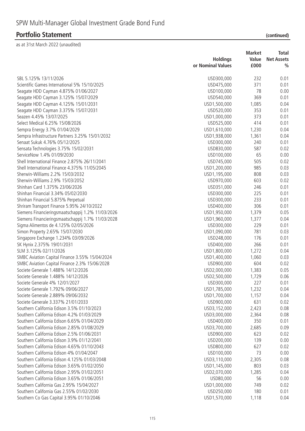# **Portfolio Statement**

| (continued) |  |
|-------------|--|
|             |  |

|                                                   |                   | <b>Market</b> | Total             |
|---------------------------------------------------|-------------------|---------------|-------------------|
|                                                   | <b>Holdings</b>   | Value         | <b>Net Assets</b> |
|                                                   | or Nominal Values | £000          | $\frac{0}{0}$     |
| SBL 5.125% 13/11/2026                             | USD300,000        | 232           | 0.01              |
| Scientific Games International 5% 15/10/2025      | USD475,000        | 371           | 0.01              |
| Seagate HDD Cayman 4.875% 01/06/2027              | USD100,000        | 78            | 0.00              |
| Seagate HDD Cayman 3.125% 15/07/2029              | USD540,000        | 369           | 0.01              |
| Seagate HDD Cayman 4.125% 15/01/2031              | USD1,500,000      | 1,085         | 0.04              |
| Seagate HDD Cayman 3.375% 15/07/2031              | USD520,000        | 353           | 0.01              |
| Seazen 4.45% 13/07/2025                           | USD1,000,000      | 373           | 0.01              |
| Select Medical 6.25% 15/08/2026                   | USD525,000        | 414           | 0.01              |
| Sempra Energy 3.7% 01/04/2029                     | USD1,610,000      | 1,230         | 0.04              |
| Sempra Infrastructure Partners 3.25% 15/01/2032   | USD1,938,000      | 1,361         | 0.04              |
| Senaat Sukuk 4.76% 05/12/2025                     | USD300,000        | 240           | 0.01              |
| Sensata Technologies 3.75% 15/02/2031             | USD830,000        | 587           | 0.02              |
| ServiceNow 1.4% 01/09/2030                        | USD100,000        | 65            | 0.00              |
| Shell International Finance 2.875% 26/11/2041     | USD745,000        | 505           | 0.02              |
| Shell International Finance 4.375% 11/05/2045     | USD1,200,000      | 985           | 0.03              |
| Sherwin-Williams 2.2% 15/03/2032                  | USD1,195,000      | 808           | 0.03              |
| Sherwin-Williams 2.9% 15/03/2052                  | USD970,000        | 603           | 0.02              |
| Shinhan Card 1.375% 23/06/2026                    | USD351,000        | 246           | 0.01              |
| Shinhan Financial 3.34% 05/02/2030                | USD300,000        | 225           | 0.01              |
| Shinhan Financial 5.875% Perpetual                | USD300,000        | 233           | 0.01              |
| Shriram Transport Finance 5.95% 24/10/2022        | USD400,000        | 306           | 0.01              |
| Siemens Financieringsmaatschappij 1.2% 11/03/2026 | USD1,950,000      | 1,379         | 0.05              |
| Siemens Financieringsmaatschappij 1.7% 11/03/2028 | USD1,960,000      | 1,377         | 0.04              |
| Sigma Alimentos de 4.125% 02/05/2026              | USD300,000        | 229           | 0.01              |
| Simon Property 2.65% 15/07/2030                   | USD1,090,000      | 781           | 0.03              |
| Singapore Exchange 1.234% 03/09/2026              | USD248,000        | 176           | 0.01              |
| SK Hynix 2.375% 19/01/2031                        | USD400,000        | 266           | 0.01              |
| SLM 3.125% 02/11/2026                             | USD1,800,000      | 1,272         | 0.04              |
| SMBC Aviation Capital Finance 3.55% 15/04/2024    | USD1,400,000      | 1,060         | 0.03              |
| SMBC Aviation Capital Finance 2.3% 15/06/2028     | USD900,000        | 604           | 0.02              |
| Societe Generale 1.488% 14/12/2026                | USD2,000,000      | 1,383         | 0.05              |
| Societe Generale 1.488% 14/12/2026                | USD2,500,000      | 1,729         | 0.06              |
| Societe Generale 4% 12/01/2027                    | USD300,000        | 227           | 0.01              |
| Societe Generale 1.792% 09/06/2027                | USD1,785,000      | 1,232         | 0.04              |
| Societe Generale 2.889% 09/06/2032                | USD1,700,000      | 1,157         | 0.04              |
| Societe Generale 3.337% 21/01/2033                | USD900,000        | 631           | 0.02              |
| Southern California Edison 3.5% 01/10/2023        | USD3,152,000      | 2,423         | 0.08              |
| Southern California Edison 4.2% 01/03/2029        | USD3,000,000      | 2,364         | 0.08              |
| Southern California Edison 6.65% 01/04/2029       | USD400,000        | 350           | 0.01              |
| Southern California Edison 2.85% 01/08/2029       | USD3,700,000      | 2,685         | 0.09              |
| Southern California Edison 2.5% 01/06/2031        | USD900,000        | 623           | 0.02              |
| Southern California Edison 3.9% 01/12/2041        | USD200,000        | 139           | 0.00              |
| Southern California Edison 4.65% 01/10/2043       | USD800,000        | 627           | 0.02              |
| Southern California Edison 4% 01/04/2047          | USD100,000        | 73            | 0.00              |
| Southern California Edison 4.125% 01/03/2048      | USD3,110,000      | 2,305         | 0.08              |
| Southern California Edison 3.65% 01/02/2050       | USD1,145,000      | 803           | 0.03              |
| Southern California Edison 2.95% 01/02/2051       | USD2,070,000      | 1,285         | 0.04              |
| Southern California Edison 3.65% 01/06/2051       | USD80,000         | 56            | 0.00              |
| Southern California Gas 2.95% 15/04/2027          | USD1,000,000      | 749           | 0.02              |
| Southern California Gas 2.55% 01/02/2030          | USD250,000        | 180           | 0.01              |
| Southern Co Gas Capital 3.95% 01/10/2046          | USD1,570,000      | 1,118         | 0.04              |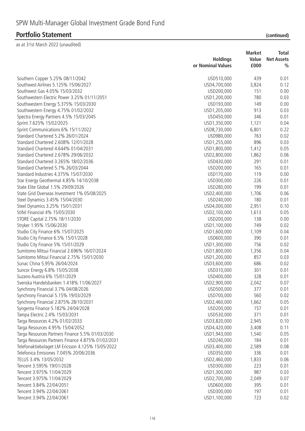|                                                    |                   | <b>Market</b> | Total             |
|----------------------------------------------------|-------------------|---------------|-------------------|
|                                                    | <b>Holdings</b>   | Value         | <b>Net Assets</b> |
|                                                    | or Nominal Values | £000          | $\frac{0}{0}$     |
| Southern Copper 5.25% 08/11/2042                   | USD510,000        | 439           | 0.01              |
| Southwest Airlines 5.125% 15/06/2027               | USD4,700,000      | 3,824         | 0.12              |
| Southwest Gas 4.05% 15/03/2032                     | USD200,000        | 151           | 0.00              |
| Southwestern Electric Power 3.25% 01/11/2051       | USD1,200,000      | 780           | 0.03              |
| Southwestern Energy 5.375% 15/03/2030              | USD193,000        | 149           | 0.00              |
| Southwestern Energy 4.75% 01/02/2032               | USD1,205,000      | 913           | 0.03              |
| Spectra Energy Partners 4.5% 15/03/2045            | USD450,000        | 346           | 0.01              |
| Sprint 7.625% 15/02/2025                           | USD1,350,000      | 1,121         | 0.04              |
| Sprint Communications 6% 15/11/2022                | USD8,730,000      | 6,801         | 0.22              |
| Standard Chartered 5.2% 26/01/2024                 | USD980,000        | 763           | 0.02              |
| Standard Chartered 2.608% 12/01/2028               | USD1,255,000      | 896           | 0.03              |
| Standard Chartered 4.644% 01/04/2031               | USD1,800,000      | 1,412         | 0.05              |
| Standard Chartered 2.678% 29/06/2032               | USD2,800,000      | 1,862         | 0.06              |
| Standard Chartered 3.265% 18/02/2036               | USD430,000        | 291           | 0.01              |
| Standard Chartered 5.7% 26/03/2044                 | USD200,000        | 165           | 0.01              |
| Standard Industries 4.375% 15/07/2030              | USD170,000        | 119           | 0.00              |
| Star Energy Geothermal 4.85% 14/10/2038            | USD300,000        | 226           | 0.01              |
| State Elite Global 1.5% 29/09/2026                 | USD280,000        | 199           | 0.01              |
| State Grid Overseas Investment 1% 05/08/2025       | USD2,400,000      | 1,706         | 0.06              |
| Steel Dynamics 3.45% 15/04/2030                    | USD240,000        | 180           | 0.01              |
| Steel Dynamics 3.25% 15/01/2031                    | USD4,000,000      | 2,951         | 0.10              |
| Stifel Financial 4% 15/05/2030                     | USD2,100,000      | 1,613         | 0.05              |
| STORE Capital 2.75% 18/11/2030                     | USD200,000        | 138           | 0.00              |
| Stryker 1.95% 15/06/2030                           | USD1,100,000      | 749           | 0.02              |
| Studio City Finance 6% 15/07/2025                  | USD1,600,000      | 1,109         | 0.04              |
| Studio City Finance 6.5% 15/01/2028                | USD600,000        | 390           | 0.01              |
| Studio City Finance 5% 15/01/2029                  | USD1,300,000      | 756           | 0.02              |
| Sumitomo Mitsui Financial 2.696% 16/07/2024        | USD1,800,000      | 1,356         | 0.04              |
| Sumitomo Mitsui Financial 2.75% 15/01/2030         | USD1,200,000      | 857           | 0.03              |
| Sunac China 5.95% 26/04/2024                       | USD3,600,000      | 686           | 0.02              |
| Suncor Energy 6.8% 15/05/2038                      | USD310,000        | 301           | 0.01              |
| Suzano Austria 6% 15/01/2029                       | USD400,000        | 328           | 0.01              |
| Svenska Handelsbanken 1.418% 11/06/2027            | USD2,900,000      | 2,042         | 0.07              |
| Synchrony Financial 3.7% 04/08/2026                | USD500,000        | 377           | 0.01              |
| Synchrony Financial 5.15% 19/03/2029               | USD700,000        | 560           | 0.02              |
| Synchrony Financial 2.875% 28/10/2031              | USD2,460,000      | 1,662         | 0.05              |
| Syngenta Finance 5.182% 24/04/2028                 | USD200,000        | 157           | 0.01              |
| Tampa Electric 2.4% 15/03/2031                     | USD530,000        | 371           | 0.01              |
| Targa Resources 4.2% 01/02/2033                    | USD3,820,000      | 2,945         | 0.10              |
| Targa Resources 4.95% 15/04/2052                   | USD4,420,000      | 3,408         | 0.11              |
| Targa Resources Partners Finance 5.5% 01/03/2030   | USD1,943,000      | 1,540         | 0.05              |
| Targa Resources Partners Finance 4.875% 01/02/2031 | USD240,000        | 184           | 0.01              |
| Telefonaktiebolaget LM Ericsson 4.125% 15/05/2022  | USD3,400,000      | 2,589         | 0.08              |
| Telefonica Emisiones 7.045% 20/06/2036             | USD350,000        | 336           | 0.01              |
| TELUS 3.4% 13/05/2032                              | USD2,460,000      | 1,833         | 0.06              |
| Tencent 3.595% 19/01/2028                          | USD300,000        | 223           | 0.01              |
| Tencent 3.975% 11/04/2029                          | USD1,300,000      | 987           | 0.03              |
| Tencent 3.975% 11/04/2029                          | USD2,700,000      | 2,049         | 0.07              |
| Tencent 3.84% 22/04/2051                           | USD600,000        | 395           | 0.01              |
| Tencent 3.94% 22/04/2061                           | USD300,000        | 197           | 0.01              |
| Tencent 3.94% 22/04/2061                           | USD1,100,000      | 723           | 0.02              |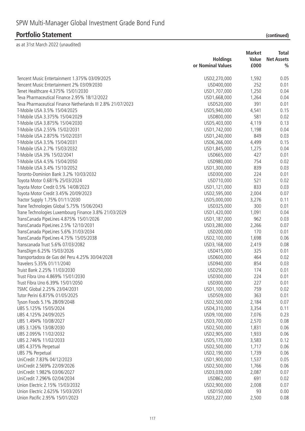|                                                             |                   | <b>Market</b> | Total             |
|-------------------------------------------------------------|-------------------|---------------|-------------------|
|                                                             | <b>Holdings</b>   | Value         | <b>Net Assets</b> |
|                                                             | or Nominal Values | £000          | $\frac{0}{0}$     |
| Tencent Music Entertainment 1.375% 03/09/2025               | USD2,270,000      | 1,592         | 0.05              |
| Tencent Music Entertainment 2% 03/09/2030                   | USD400,000        | 252           | 0.01              |
| Tenet Healthcare 4.375% 15/01/2030                          | USD1,707,000      | 1,250         | 0.04              |
| Teva Pharmaceutical Finance 2.95% 18/12/2022                | USD1,668,000      | 1,264         | 0.04              |
| Teva Pharmaceutical Finance Netherlands III 2.8% 21/07/2023 | USD520,000        | 391           | 0.01              |
| T-Mobile USA 3.5% 15/04/2025                                | USD5,940,000      | 4,541         | 0.15              |
| T-Mobile USA 3.375% 15/04/2029                              | USD800,000        | 581           | 0.02              |
| T-Mobile USA 3.875% 15/04/2030                              | USD5,403,000      | 4,119         | 0.13              |
| T-Mobile USA 2.55% 15/02/2031                               | USD1,742,000      | 1,198         | 0.04              |
| T-Mobile USA 2.875% 15/02/2031                              | USD1,240,000      | 849           | 0.03              |
| T-Mobile USA 3.5% 15/04/2031                                | USD6,266,000      | 4,499         | 0.15              |
| T-Mobile USA 2.7% 15/03/2032                                | USD1,845,000      | 1,275         | 0.04              |
| T-Mobile USA 3% 15/02/2041                                  | USD665,000        | 427           | 0.01              |
| T-Mobile USA 4.5% 15/04/2050                                | USD980,000        | 754           | 0.02              |
| T-Mobile USA 3.4% 15/10/2052                                | USD1,300,000      | 839           | 0.03              |
| Toronto-Dominion Bank 3.2% 10/03/2032                       | USD300,000        | 224           | 0.01              |
| Toyota Motor 0.681% 25/03/2024                              | USD710,000        | 521           | 0.02              |
|                                                             |                   | 833           | 0.03              |
| Toyota Motor Credit 0.5% 14/08/2023                         | USD1,121,000      |               |                   |
| Toyota Motor Credit 3.45% 20/09/2023                        | USD2,595,000      | 2,004         | 0.07              |
| Tractor Supply 1.75% 01/11/2030                             | USD5,000,000      | 3,276         | 0.11              |
| Trane Technologies Global 5.75% 15/06/2043                  | USD325,000        | 300           | 0.01              |
| Trane Technologies Luxembourg Finance 3.8% 21/03/2029       | USD1,420,000      | 1,091         | 0.04              |
| TransCanada PipeLines 4.875% 15/01/2026                     | USD1,187,000      | 962           | 0.03              |
| TransCanada PipeLines 2.5% 12/10/2031                       | USD3,280,000      | 2,266         | 0.07              |
| TransCanada PipeLines 5.6% 31/03/2034                       | USD200,000        | 170           | 0.01              |
| TransCanada PipeLines 4.75% 15/05/2038                      | USD2,100,000      | 1,698         | 0.06              |
| Transcanada Trust 5.6% 07/03/2082                           | USD3, 168, 000    | 2,419         | 0.08              |
| TransDigm 6.25% 15/03/2026                                  | USD415,000        | 325           | 0.01              |
| Transportadora de Gas del Peru 4.25% 30/04/2028             | USD600,000        | 464           | 0.02              |
| Travelers 5.35% 01/11/2040                                  | USD940,000        | 854           | 0.03              |
| Truist Bank 2.25% 11/03/2030                                | USD250,000        | 174           | 0.01              |
| Trust Fibra Uno 4.869% 15/01/2030                           | USD300,000        | 224           | 0.01              |
| Trust Fibra Uno 6.39% 15/01/2050                            | USD300,000        | 227           | 0.01              |
| TSMC Global 2.25% 23/04/2031                                | USD1,100,000      | 759           | 0.02              |
| Tutor Perini 6.875% 01/05/2025                              | USD509,000        | 363           | 0.01              |
| Tyson Foods 5.1% 28/09/2048                                 | USD2,500,000      | 2,184         | 0.07              |
| UBS 5.125% 15/05/2024                                       | USD4,310,000      | 3,354         | 0.11              |
| UBS 4.125% 24/09/2025                                       | USD9,100,000      | 7,076         | 0.23              |
| UBS 1.494% 10/08/2027                                       | USD3,700,000      | 2,570         | 0.08              |
| UBS 3.126% 13/08/2030                                       | USD2,500,000      | 1,831         | 0.06              |
| UBS 2.095% 11/02/2032                                       | USD2,905,000      | 1,933         | 0.06              |
| UBS 2.746% 11/02/2033                                       | USD5,170,000      | 3,583         | 0.12              |
| UBS 4.375% Perpetual                                        | USD2,500,000      | 1,717         | 0.06              |
| UBS 7% Perpetual                                            | USD2,190,000      | 1,739         | 0.06              |
| UniCredit 7.83% 04/12/2023                                  | USD1,900,000      | 1,537         | 0.05              |
| UniCredit 2.569% 22/09/2026                                 | USD2,500,000      | 1,766         | 0.06              |
| UniCredit 1.982% 03/06/2027                                 | USD3,039,000      | 2,087         | 0.07              |
| UniCredit 7.296% 02/04/2034                                 | USD862,000        | 691           | 0.02              |
| Union Electric 2.15% 15/03/2032                             | USD2,900,000      | 2,008         | 0.07              |
| Union Electric 2.625% 15/03/2051                            | USD150,000        | 93            | 0.00              |
| Union Pacific 2.95% 15/01/2023                              | USD3,227,000      | 2,500         | 0.08              |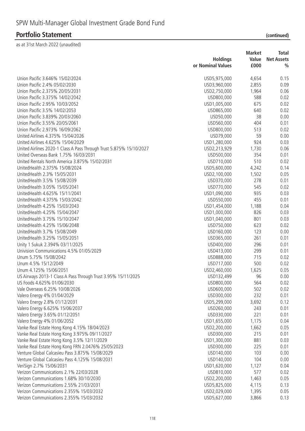| Union Pacific 3.646% 15/02/2024<br>4,654<br>0.15<br>USD5,975,000<br>Union Pacific 2.4% 05/02/2030<br>2,855<br>USD3,960,000<br>0.09<br>Union Pacific 2.375% 20/05/2031<br>USD2,750,000<br>1,964<br>0.06<br>Union Pacific 3.375% 14/02/2042<br>0.02<br>USD800,000<br>588<br>Union Pacific 2.95% 10/03/2052<br>675<br>0.02<br>USD1,005,000<br>Union Pacific 3.5% 14/02/2053<br>0.02<br>640<br>USD865,000<br>38<br>0.00<br>Union Pacific 3.839% 20/03/2060<br>USD50,000<br>Union Pacific 3.55% 20/05/2061<br>USD560,000<br>404<br>0.01<br>Union Pacific 2.973% 16/09/2062<br>513<br>USD800,000<br>0.02<br>59<br>United Airlines 4.375% 15/04/2026<br>USD79,000<br>0.00<br>USD1,280,000<br>0.03<br>United Airlines 4.625% 15/04/2029<br>924<br>United Airlines 2020-1 Class A Pass Through Trust 5.875% 15/10/2027<br>0.06<br>USD2,213,929<br>1,730<br>United Overseas Bank 1.75% 16/03/2031<br>354<br>USD500,000<br>0.01<br>510<br>United Rentals North America 3.875% 15/02/2031<br>USD710,000<br>0.02<br>UnitedHealth 2.375% 15/08/2024<br>USD5,600,000<br>4,242<br>0.14<br>UnitedHealth 2.3% 15/05/2031<br>0.05<br>USD2,100,000<br>1,502<br>UnitedHealth 3.5% 15/08/2039<br>278<br>0.01<br>USD370,000<br>UnitedHealth 3.05% 15/05/2041<br>USD770,000<br>545<br>0.02<br>UnitedHealth 4.625% 15/11/2041<br>935<br>0.03<br>USD1,090,000<br>UnitedHealth 4.375% 15/03/2042<br>USD550,000<br>455<br>0.01<br>UnitedHealth 4.25% 15/03/2043<br>USD1,454,000<br>0.04<br>1,188<br>UnitedHealth 4.25% 15/04/2047<br>USD1,000,000<br>826<br>0.03<br>UnitedHealth 3.75% 15/10/2047<br>801<br>USD1,040,000<br>0.03<br>623<br>UnitedHealth 4.25% 15/06/2048<br>USD750,000<br>0.02<br>UnitedHealth 3.7% 15/08/2049<br>123<br>USD160,000<br>0.00<br>UnitedHealth 3.25% 15/05/2051<br>USD365,000<br>261<br>0.01<br>Unity 1 Sukuk 2.394% 03/11/2025<br>USD400,000<br>296<br>0.01<br>Univision Communications 4.5% 01/05/2029<br>USD413,000<br>299<br>0.01<br>Unum 5.75% 15/08/2042<br>USD888,000<br>715<br>0.02<br>500<br>Unum 4.5% 15/12/2049<br>USD717,000<br>0.02<br>0.05<br>Unum 4.125% 15/06/2051<br>USD2,460,000<br>1,625<br>96<br>0.00<br>US Airways 2013-1 Class A Pass Through Trust 3.95% 15/11/2025<br>USD132,499<br>US Foods 4.625% 01/06/2030<br>USD800,000<br>564<br>0.02<br>502<br>Vale Overseas 6.25% 10/08/2026<br>USD600,000<br>0.02<br>Valero Energy 4% 01/04/2029<br>USD300,000<br>232<br>0.01<br>Valero Energy 2.8% 01/12/2031<br>3,692<br>USD5,299,000<br>0.12<br>Valero Energy 6.625% 15/06/2037<br>243<br>USD260,000<br>0.01<br>221<br>Valero Energy 3.65% 01/12/2051<br>USD330,000<br>0.01<br>Valero Energy 4% 01/06/2052<br>USD1,655,000<br>1,175<br>0.04<br>Vanke Real Estate Hong Kong 4.15% 18/04/2023<br>USD2,200,000<br>1,662<br>0.05<br>215<br>Vanke Real Estate Hong Kong 3.975% 09/11/2027<br>USD300,000<br>0.01<br>881<br>Vanke Real Estate Hong Kong 3.5% 12/11/2029<br>USD1,300,000<br>0.03<br>Vanke Real Estate Hong Kong FRN 2.0476% 25/05/2023<br>225<br>USD300,000<br>0.01<br>Venture Global Calcasieu Pass 3.875% 15/08/2029<br>103<br>0.00<br>USD140,000<br>Venture Global Calcasieu Pass 4.125% 15/08/2031<br>USD140,000<br>104<br>0.00<br>VeriSign 2.7% 15/06/2031<br>USD1,620,000<br>1,127<br>0.04<br>Verizon Communications 2.1% 22/03/2028<br>577<br>USD810,000<br>0.02<br>Verizon Communications 1.68% 30/10/2030<br>USD2,200,000<br>1,463<br>0.05<br>Verizon Communications 2.55% 21/03/2031<br>USD5,825,000<br>4,115<br>0.13<br>Verizon Communications 2.355% 15/03/2032<br>USD2,029,000<br>1,395<br>0.05<br>Verizon Communications 2.355% 15/03/2032<br>USD5,627,000<br>3,866<br>0.13 | <b>Holdings</b><br>or Nominal Values | <b>Market</b><br>Value<br>£000 | Total<br><b>Net Assets</b><br>$\frac{0}{0}$ |
|------------------------------------------------------------------------------------------------------------------------------------------------------------------------------------------------------------------------------------------------------------------------------------------------------------------------------------------------------------------------------------------------------------------------------------------------------------------------------------------------------------------------------------------------------------------------------------------------------------------------------------------------------------------------------------------------------------------------------------------------------------------------------------------------------------------------------------------------------------------------------------------------------------------------------------------------------------------------------------------------------------------------------------------------------------------------------------------------------------------------------------------------------------------------------------------------------------------------------------------------------------------------------------------------------------------------------------------------------------------------------------------------------------------------------------------------------------------------------------------------------------------------------------------------------------------------------------------------------------------------------------------------------------------------------------------------------------------------------------------------------------------------------------------------------------------------------------------------------------------------------------------------------------------------------------------------------------------------------------------------------------------------------------------------------------------------------------------------------------------------------------------------------------------------------------------------------------------------------------------------------------------------------------------------------------------------------------------------------------------------------------------------------------------------------------------------------------------------------------------------------------------------------------------------------------------------------------------------------------------------------------------------------------------------------------------------------------------------------------------------------------------------------------------------------------------------------------------------------------------------------------------------------------------------------------------------------------------------------------------------------------------------------------------------------------------------------------------------------------------------------------------------------------------------------------------------------------------------------------------------------------------------------------------------------------------------------------------------------------------------------------------------------------------------------------------------------------------------------------------------------------------------------------------------------------------------------------------------------------------------|--------------------------------------|--------------------------------|---------------------------------------------|
|                                                                                                                                                                                                                                                                                                                                                                                                                                                                                                                                                                                                                                                                                                                                                                                                                                                                                                                                                                                                                                                                                                                                                                                                                                                                                                                                                                                                                                                                                                                                                                                                                                                                                                                                                                                                                                                                                                                                                                                                                                                                                                                                                                                                                                                                                                                                                                                                                                                                                                                                                                                                                                                                                                                                                                                                                                                                                                                                                                                                                                                                                                                                                                                                                                                                                                                                                                                                                                                                                                                                                                                                                        |                                      |                                |                                             |
|                                                                                                                                                                                                                                                                                                                                                                                                                                                                                                                                                                                                                                                                                                                                                                                                                                                                                                                                                                                                                                                                                                                                                                                                                                                                                                                                                                                                                                                                                                                                                                                                                                                                                                                                                                                                                                                                                                                                                                                                                                                                                                                                                                                                                                                                                                                                                                                                                                                                                                                                                                                                                                                                                                                                                                                                                                                                                                                                                                                                                                                                                                                                                                                                                                                                                                                                                                                                                                                                                                                                                                                                                        |                                      |                                |                                             |
|                                                                                                                                                                                                                                                                                                                                                                                                                                                                                                                                                                                                                                                                                                                                                                                                                                                                                                                                                                                                                                                                                                                                                                                                                                                                                                                                                                                                                                                                                                                                                                                                                                                                                                                                                                                                                                                                                                                                                                                                                                                                                                                                                                                                                                                                                                                                                                                                                                                                                                                                                                                                                                                                                                                                                                                                                                                                                                                                                                                                                                                                                                                                                                                                                                                                                                                                                                                                                                                                                                                                                                                                                        |                                      |                                |                                             |
|                                                                                                                                                                                                                                                                                                                                                                                                                                                                                                                                                                                                                                                                                                                                                                                                                                                                                                                                                                                                                                                                                                                                                                                                                                                                                                                                                                                                                                                                                                                                                                                                                                                                                                                                                                                                                                                                                                                                                                                                                                                                                                                                                                                                                                                                                                                                                                                                                                                                                                                                                                                                                                                                                                                                                                                                                                                                                                                                                                                                                                                                                                                                                                                                                                                                                                                                                                                                                                                                                                                                                                                                                        |                                      |                                |                                             |
|                                                                                                                                                                                                                                                                                                                                                                                                                                                                                                                                                                                                                                                                                                                                                                                                                                                                                                                                                                                                                                                                                                                                                                                                                                                                                                                                                                                                                                                                                                                                                                                                                                                                                                                                                                                                                                                                                                                                                                                                                                                                                                                                                                                                                                                                                                                                                                                                                                                                                                                                                                                                                                                                                                                                                                                                                                                                                                                                                                                                                                                                                                                                                                                                                                                                                                                                                                                                                                                                                                                                                                                                                        |                                      |                                |                                             |
|                                                                                                                                                                                                                                                                                                                                                                                                                                                                                                                                                                                                                                                                                                                                                                                                                                                                                                                                                                                                                                                                                                                                                                                                                                                                                                                                                                                                                                                                                                                                                                                                                                                                                                                                                                                                                                                                                                                                                                                                                                                                                                                                                                                                                                                                                                                                                                                                                                                                                                                                                                                                                                                                                                                                                                                                                                                                                                                                                                                                                                                                                                                                                                                                                                                                                                                                                                                                                                                                                                                                                                                                                        |                                      |                                |                                             |
|                                                                                                                                                                                                                                                                                                                                                                                                                                                                                                                                                                                                                                                                                                                                                                                                                                                                                                                                                                                                                                                                                                                                                                                                                                                                                                                                                                                                                                                                                                                                                                                                                                                                                                                                                                                                                                                                                                                                                                                                                                                                                                                                                                                                                                                                                                                                                                                                                                                                                                                                                                                                                                                                                                                                                                                                                                                                                                                                                                                                                                                                                                                                                                                                                                                                                                                                                                                                                                                                                                                                                                                                                        |                                      |                                |                                             |
|                                                                                                                                                                                                                                                                                                                                                                                                                                                                                                                                                                                                                                                                                                                                                                                                                                                                                                                                                                                                                                                                                                                                                                                                                                                                                                                                                                                                                                                                                                                                                                                                                                                                                                                                                                                                                                                                                                                                                                                                                                                                                                                                                                                                                                                                                                                                                                                                                                                                                                                                                                                                                                                                                                                                                                                                                                                                                                                                                                                                                                                                                                                                                                                                                                                                                                                                                                                                                                                                                                                                                                                                                        |                                      |                                |                                             |
|                                                                                                                                                                                                                                                                                                                                                                                                                                                                                                                                                                                                                                                                                                                                                                                                                                                                                                                                                                                                                                                                                                                                                                                                                                                                                                                                                                                                                                                                                                                                                                                                                                                                                                                                                                                                                                                                                                                                                                                                                                                                                                                                                                                                                                                                                                                                                                                                                                                                                                                                                                                                                                                                                                                                                                                                                                                                                                                                                                                                                                                                                                                                                                                                                                                                                                                                                                                                                                                                                                                                                                                                                        |                                      |                                |                                             |
|                                                                                                                                                                                                                                                                                                                                                                                                                                                                                                                                                                                                                                                                                                                                                                                                                                                                                                                                                                                                                                                                                                                                                                                                                                                                                                                                                                                                                                                                                                                                                                                                                                                                                                                                                                                                                                                                                                                                                                                                                                                                                                                                                                                                                                                                                                                                                                                                                                                                                                                                                                                                                                                                                                                                                                                                                                                                                                                                                                                                                                                                                                                                                                                                                                                                                                                                                                                                                                                                                                                                                                                                                        |                                      |                                |                                             |
|                                                                                                                                                                                                                                                                                                                                                                                                                                                                                                                                                                                                                                                                                                                                                                                                                                                                                                                                                                                                                                                                                                                                                                                                                                                                                                                                                                                                                                                                                                                                                                                                                                                                                                                                                                                                                                                                                                                                                                                                                                                                                                                                                                                                                                                                                                                                                                                                                                                                                                                                                                                                                                                                                                                                                                                                                                                                                                                                                                                                                                                                                                                                                                                                                                                                                                                                                                                                                                                                                                                                                                                                                        |                                      |                                |                                             |
|                                                                                                                                                                                                                                                                                                                                                                                                                                                                                                                                                                                                                                                                                                                                                                                                                                                                                                                                                                                                                                                                                                                                                                                                                                                                                                                                                                                                                                                                                                                                                                                                                                                                                                                                                                                                                                                                                                                                                                                                                                                                                                                                                                                                                                                                                                                                                                                                                                                                                                                                                                                                                                                                                                                                                                                                                                                                                                                                                                                                                                                                                                                                                                                                                                                                                                                                                                                                                                                                                                                                                                                                                        |                                      |                                |                                             |
|                                                                                                                                                                                                                                                                                                                                                                                                                                                                                                                                                                                                                                                                                                                                                                                                                                                                                                                                                                                                                                                                                                                                                                                                                                                                                                                                                                                                                                                                                                                                                                                                                                                                                                                                                                                                                                                                                                                                                                                                                                                                                                                                                                                                                                                                                                                                                                                                                                                                                                                                                                                                                                                                                                                                                                                                                                                                                                                                                                                                                                                                                                                                                                                                                                                                                                                                                                                                                                                                                                                                                                                                                        |                                      |                                |                                             |
|                                                                                                                                                                                                                                                                                                                                                                                                                                                                                                                                                                                                                                                                                                                                                                                                                                                                                                                                                                                                                                                                                                                                                                                                                                                                                                                                                                                                                                                                                                                                                                                                                                                                                                                                                                                                                                                                                                                                                                                                                                                                                                                                                                                                                                                                                                                                                                                                                                                                                                                                                                                                                                                                                                                                                                                                                                                                                                                                                                                                                                                                                                                                                                                                                                                                                                                                                                                                                                                                                                                                                                                                                        |                                      |                                |                                             |
|                                                                                                                                                                                                                                                                                                                                                                                                                                                                                                                                                                                                                                                                                                                                                                                                                                                                                                                                                                                                                                                                                                                                                                                                                                                                                                                                                                                                                                                                                                                                                                                                                                                                                                                                                                                                                                                                                                                                                                                                                                                                                                                                                                                                                                                                                                                                                                                                                                                                                                                                                                                                                                                                                                                                                                                                                                                                                                                                                                                                                                                                                                                                                                                                                                                                                                                                                                                                                                                                                                                                                                                                                        |                                      |                                |                                             |
|                                                                                                                                                                                                                                                                                                                                                                                                                                                                                                                                                                                                                                                                                                                                                                                                                                                                                                                                                                                                                                                                                                                                                                                                                                                                                                                                                                                                                                                                                                                                                                                                                                                                                                                                                                                                                                                                                                                                                                                                                                                                                                                                                                                                                                                                                                                                                                                                                                                                                                                                                                                                                                                                                                                                                                                                                                                                                                                                                                                                                                                                                                                                                                                                                                                                                                                                                                                                                                                                                                                                                                                                                        |                                      |                                |                                             |
|                                                                                                                                                                                                                                                                                                                                                                                                                                                                                                                                                                                                                                                                                                                                                                                                                                                                                                                                                                                                                                                                                                                                                                                                                                                                                                                                                                                                                                                                                                                                                                                                                                                                                                                                                                                                                                                                                                                                                                                                                                                                                                                                                                                                                                                                                                                                                                                                                                                                                                                                                                                                                                                                                                                                                                                                                                                                                                                                                                                                                                                                                                                                                                                                                                                                                                                                                                                                                                                                                                                                                                                                                        |                                      |                                |                                             |
|                                                                                                                                                                                                                                                                                                                                                                                                                                                                                                                                                                                                                                                                                                                                                                                                                                                                                                                                                                                                                                                                                                                                                                                                                                                                                                                                                                                                                                                                                                                                                                                                                                                                                                                                                                                                                                                                                                                                                                                                                                                                                                                                                                                                                                                                                                                                                                                                                                                                                                                                                                                                                                                                                                                                                                                                                                                                                                                                                                                                                                                                                                                                                                                                                                                                                                                                                                                                                                                                                                                                                                                                                        |                                      |                                |                                             |
|                                                                                                                                                                                                                                                                                                                                                                                                                                                                                                                                                                                                                                                                                                                                                                                                                                                                                                                                                                                                                                                                                                                                                                                                                                                                                                                                                                                                                                                                                                                                                                                                                                                                                                                                                                                                                                                                                                                                                                                                                                                                                                                                                                                                                                                                                                                                                                                                                                                                                                                                                                                                                                                                                                                                                                                                                                                                                                                                                                                                                                                                                                                                                                                                                                                                                                                                                                                                                                                                                                                                                                                                                        |                                      |                                |                                             |
|                                                                                                                                                                                                                                                                                                                                                                                                                                                                                                                                                                                                                                                                                                                                                                                                                                                                                                                                                                                                                                                                                                                                                                                                                                                                                                                                                                                                                                                                                                                                                                                                                                                                                                                                                                                                                                                                                                                                                                                                                                                                                                                                                                                                                                                                                                                                                                                                                                                                                                                                                                                                                                                                                                                                                                                                                                                                                                                                                                                                                                                                                                                                                                                                                                                                                                                                                                                                                                                                                                                                                                                                                        |                                      |                                |                                             |
|                                                                                                                                                                                                                                                                                                                                                                                                                                                                                                                                                                                                                                                                                                                                                                                                                                                                                                                                                                                                                                                                                                                                                                                                                                                                                                                                                                                                                                                                                                                                                                                                                                                                                                                                                                                                                                                                                                                                                                                                                                                                                                                                                                                                                                                                                                                                                                                                                                                                                                                                                                                                                                                                                                                                                                                                                                                                                                                                                                                                                                                                                                                                                                                                                                                                                                                                                                                                                                                                                                                                                                                                                        |                                      |                                |                                             |
|                                                                                                                                                                                                                                                                                                                                                                                                                                                                                                                                                                                                                                                                                                                                                                                                                                                                                                                                                                                                                                                                                                                                                                                                                                                                                                                                                                                                                                                                                                                                                                                                                                                                                                                                                                                                                                                                                                                                                                                                                                                                                                                                                                                                                                                                                                                                                                                                                                                                                                                                                                                                                                                                                                                                                                                                                                                                                                                                                                                                                                                                                                                                                                                                                                                                                                                                                                                                                                                                                                                                                                                                                        |                                      |                                |                                             |
|                                                                                                                                                                                                                                                                                                                                                                                                                                                                                                                                                                                                                                                                                                                                                                                                                                                                                                                                                                                                                                                                                                                                                                                                                                                                                                                                                                                                                                                                                                                                                                                                                                                                                                                                                                                                                                                                                                                                                                                                                                                                                                                                                                                                                                                                                                                                                                                                                                                                                                                                                                                                                                                                                                                                                                                                                                                                                                                                                                                                                                                                                                                                                                                                                                                                                                                                                                                                                                                                                                                                                                                                                        |                                      |                                |                                             |
|                                                                                                                                                                                                                                                                                                                                                                                                                                                                                                                                                                                                                                                                                                                                                                                                                                                                                                                                                                                                                                                                                                                                                                                                                                                                                                                                                                                                                                                                                                                                                                                                                                                                                                                                                                                                                                                                                                                                                                                                                                                                                                                                                                                                                                                                                                                                                                                                                                                                                                                                                                                                                                                                                                                                                                                                                                                                                                                                                                                                                                                                                                                                                                                                                                                                                                                                                                                                                                                                                                                                                                                                                        |                                      |                                |                                             |
|                                                                                                                                                                                                                                                                                                                                                                                                                                                                                                                                                                                                                                                                                                                                                                                                                                                                                                                                                                                                                                                                                                                                                                                                                                                                                                                                                                                                                                                                                                                                                                                                                                                                                                                                                                                                                                                                                                                                                                                                                                                                                                                                                                                                                                                                                                                                                                                                                                                                                                                                                                                                                                                                                                                                                                                                                                                                                                                                                                                                                                                                                                                                                                                                                                                                                                                                                                                                                                                                                                                                                                                                                        |                                      |                                |                                             |
|                                                                                                                                                                                                                                                                                                                                                                                                                                                                                                                                                                                                                                                                                                                                                                                                                                                                                                                                                                                                                                                                                                                                                                                                                                                                                                                                                                                                                                                                                                                                                                                                                                                                                                                                                                                                                                                                                                                                                                                                                                                                                                                                                                                                                                                                                                                                                                                                                                                                                                                                                                                                                                                                                                                                                                                                                                                                                                                                                                                                                                                                                                                                                                                                                                                                                                                                                                                                                                                                                                                                                                                                                        |                                      |                                |                                             |
|                                                                                                                                                                                                                                                                                                                                                                                                                                                                                                                                                                                                                                                                                                                                                                                                                                                                                                                                                                                                                                                                                                                                                                                                                                                                                                                                                                                                                                                                                                                                                                                                                                                                                                                                                                                                                                                                                                                                                                                                                                                                                                                                                                                                                                                                                                                                                                                                                                                                                                                                                                                                                                                                                                                                                                                                                                                                                                                                                                                                                                                                                                                                                                                                                                                                                                                                                                                                                                                                                                                                                                                                                        |                                      |                                |                                             |
|                                                                                                                                                                                                                                                                                                                                                                                                                                                                                                                                                                                                                                                                                                                                                                                                                                                                                                                                                                                                                                                                                                                                                                                                                                                                                                                                                                                                                                                                                                                                                                                                                                                                                                                                                                                                                                                                                                                                                                                                                                                                                                                                                                                                                                                                                                                                                                                                                                                                                                                                                                                                                                                                                                                                                                                                                                                                                                                                                                                                                                                                                                                                                                                                                                                                                                                                                                                                                                                                                                                                                                                                                        |                                      |                                |                                             |
|                                                                                                                                                                                                                                                                                                                                                                                                                                                                                                                                                                                                                                                                                                                                                                                                                                                                                                                                                                                                                                                                                                                                                                                                                                                                                                                                                                                                                                                                                                                                                                                                                                                                                                                                                                                                                                                                                                                                                                                                                                                                                                                                                                                                                                                                                                                                                                                                                                                                                                                                                                                                                                                                                                                                                                                                                                                                                                                                                                                                                                                                                                                                                                                                                                                                                                                                                                                                                                                                                                                                                                                                                        |                                      |                                |                                             |
|                                                                                                                                                                                                                                                                                                                                                                                                                                                                                                                                                                                                                                                                                                                                                                                                                                                                                                                                                                                                                                                                                                                                                                                                                                                                                                                                                                                                                                                                                                                                                                                                                                                                                                                                                                                                                                                                                                                                                                                                                                                                                                                                                                                                                                                                                                                                                                                                                                                                                                                                                                                                                                                                                                                                                                                                                                                                                                                                                                                                                                                                                                                                                                                                                                                                                                                                                                                                                                                                                                                                                                                                                        |                                      |                                |                                             |
|                                                                                                                                                                                                                                                                                                                                                                                                                                                                                                                                                                                                                                                                                                                                                                                                                                                                                                                                                                                                                                                                                                                                                                                                                                                                                                                                                                                                                                                                                                                                                                                                                                                                                                                                                                                                                                                                                                                                                                                                                                                                                                                                                                                                                                                                                                                                                                                                                                                                                                                                                                                                                                                                                                                                                                                                                                                                                                                                                                                                                                                                                                                                                                                                                                                                                                                                                                                                                                                                                                                                                                                                                        |                                      |                                |                                             |
|                                                                                                                                                                                                                                                                                                                                                                                                                                                                                                                                                                                                                                                                                                                                                                                                                                                                                                                                                                                                                                                                                                                                                                                                                                                                                                                                                                                                                                                                                                                                                                                                                                                                                                                                                                                                                                                                                                                                                                                                                                                                                                                                                                                                                                                                                                                                                                                                                                                                                                                                                                                                                                                                                                                                                                                                                                                                                                                                                                                                                                                                                                                                                                                                                                                                                                                                                                                                                                                                                                                                                                                                                        |                                      |                                |                                             |
|                                                                                                                                                                                                                                                                                                                                                                                                                                                                                                                                                                                                                                                                                                                                                                                                                                                                                                                                                                                                                                                                                                                                                                                                                                                                                                                                                                                                                                                                                                                                                                                                                                                                                                                                                                                                                                                                                                                                                                                                                                                                                                                                                                                                                                                                                                                                                                                                                                                                                                                                                                                                                                                                                                                                                                                                                                                                                                                                                                                                                                                                                                                                                                                                                                                                                                                                                                                                                                                                                                                                                                                                                        |                                      |                                |                                             |
|                                                                                                                                                                                                                                                                                                                                                                                                                                                                                                                                                                                                                                                                                                                                                                                                                                                                                                                                                                                                                                                                                                                                                                                                                                                                                                                                                                                                                                                                                                                                                                                                                                                                                                                                                                                                                                                                                                                                                                                                                                                                                                                                                                                                                                                                                                                                                                                                                                                                                                                                                                                                                                                                                                                                                                                                                                                                                                                                                                                                                                                                                                                                                                                                                                                                                                                                                                                                                                                                                                                                                                                                                        |                                      |                                |                                             |
|                                                                                                                                                                                                                                                                                                                                                                                                                                                                                                                                                                                                                                                                                                                                                                                                                                                                                                                                                                                                                                                                                                                                                                                                                                                                                                                                                                                                                                                                                                                                                                                                                                                                                                                                                                                                                                                                                                                                                                                                                                                                                                                                                                                                                                                                                                                                                                                                                                                                                                                                                                                                                                                                                                                                                                                                                                                                                                                                                                                                                                                                                                                                                                                                                                                                                                                                                                                                                                                                                                                                                                                                                        |                                      |                                |                                             |
|                                                                                                                                                                                                                                                                                                                                                                                                                                                                                                                                                                                                                                                                                                                                                                                                                                                                                                                                                                                                                                                                                                                                                                                                                                                                                                                                                                                                                                                                                                                                                                                                                                                                                                                                                                                                                                                                                                                                                                                                                                                                                                                                                                                                                                                                                                                                                                                                                                                                                                                                                                                                                                                                                                                                                                                                                                                                                                                                                                                                                                                                                                                                                                                                                                                                                                                                                                                                                                                                                                                                                                                                                        |                                      |                                |                                             |
|                                                                                                                                                                                                                                                                                                                                                                                                                                                                                                                                                                                                                                                                                                                                                                                                                                                                                                                                                                                                                                                                                                                                                                                                                                                                                                                                                                                                                                                                                                                                                                                                                                                                                                                                                                                                                                                                                                                                                                                                                                                                                                                                                                                                                                                                                                                                                                                                                                                                                                                                                                                                                                                                                                                                                                                                                                                                                                                                                                                                                                                                                                                                                                                                                                                                                                                                                                                                                                                                                                                                                                                                                        |                                      |                                |                                             |
|                                                                                                                                                                                                                                                                                                                                                                                                                                                                                                                                                                                                                                                                                                                                                                                                                                                                                                                                                                                                                                                                                                                                                                                                                                                                                                                                                                                                                                                                                                                                                                                                                                                                                                                                                                                                                                                                                                                                                                                                                                                                                                                                                                                                                                                                                                                                                                                                                                                                                                                                                                                                                                                                                                                                                                                                                                                                                                                                                                                                                                                                                                                                                                                                                                                                                                                                                                                                                                                                                                                                                                                                                        |                                      |                                |                                             |
|                                                                                                                                                                                                                                                                                                                                                                                                                                                                                                                                                                                                                                                                                                                                                                                                                                                                                                                                                                                                                                                                                                                                                                                                                                                                                                                                                                                                                                                                                                                                                                                                                                                                                                                                                                                                                                                                                                                                                                                                                                                                                                                                                                                                                                                                                                                                                                                                                                                                                                                                                                                                                                                                                                                                                                                                                                                                                                                                                                                                                                                                                                                                                                                                                                                                                                                                                                                                                                                                                                                                                                                                                        |                                      |                                |                                             |
|                                                                                                                                                                                                                                                                                                                                                                                                                                                                                                                                                                                                                                                                                                                                                                                                                                                                                                                                                                                                                                                                                                                                                                                                                                                                                                                                                                                                                                                                                                                                                                                                                                                                                                                                                                                                                                                                                                                                                                                                                                                                                                                                                                                                                                                                                                                                                                                                                                                                                                                                                                                                                                                                                                                                                                                                                                                                                                                                                                                                                                                                                                                                                                                                                                                                                                                                                                                                                                                                                                                                                                                                                        |                                      |                                |                                             |
|                                                                                                                                                                                                                                                                                                                                                                                                                                                                                                                                                                                                                                                                                                                                                                                                                                                                                                                                                                                                                                                                                                                                                                                                                                                                                                                                                                                                                                                                                                                                                                                                                                                                                                                                                                                                                                                                                                                                                                                                                                                                                                                                                                                                                                                                                                                                                                                                                                                                                                                                                                                                                                                                                                                                                                                                                                                                                                                                                                                                                                                                                                                                                                                                                                                                                                                                                                                                                                                                                                                                                                                                                        |                                      |                                |                                             |
|                                                                                                                                                                                                                                                                                                                                                                                                                                                                                                                                                                                                                                                                                                                                                                                                                                                                                                                                                                                                                                                                                                                                                                                                                                                                                                                                                                                                                                                                                                                                                                                                                                                                                                                                                                                                                                                                                                                                                                                                                                                                                                                                                                                                                                                                                                                                                                                                                                                                                                                                                                                                                                                                                                                                                                                                                                                                                                                                                                                                                                                                                                                                                                                                                                                                                                                                                                                                                                                                                                                                                                                                                        |                                      |                                |                                             |
|                                                                                                                                                                                                                                                                                                                                                                                                                                                                                                                                                                                                                                                                                                                                                                                                                                                                                                                                                                                                                                                                                                                                                                                                                                                                                                                                                                                                                                                                                                                                                                                                                                                                                                                                                                                                                                                                                                                                                                                                                                                                                                                                                                                                                                                                                                                                                                                                                                                                                                                                                                                                                                                                                                                                                                                                                                                                                                                                                                                                                                                                                                                                                                                                                                                                                                                                                                                                                                                                                                                                                                                                                        |                                      |                                |                                             |
|                                                                                                                                                                                                                                                                                                                                                                                                                                                                                                                                                                                                                                                                                                                                                                                                                                                                                                                                                                                                                                                                                                                                                                                                                                                                                                                                                                                                                                                                                                                                                                                                                                                                                                                                                                                                                                                                                                                                                                                                                                                                                                                                                                                                                                                                                                                                                                                                                                                                                                                                                                                                                                                                                                                                                                                                                                                                                                                                                                                                                                                                                                                                                                                                                                                                                                                                                                                                                                                                                                                                                                                                                        |                                      |                                |                                             |
|                                                                                                                                                                                                                                                                                                                                                                                                                                                                                                                                                                                                                                                                                                                                                                                                                                                                                                                                                                                                                                                                                                                                                                                                                                                                                                                                                                                                                                                                                                                                                                                                                                                                                                                                                                                                                                                                                                                                                                                                                                                                                                                                                                                                                                                                                                                                                                                                                                                                                                                                                                                                                                                                                                                                                                                                                                                                                                                                                                                                                                                                                                                                                                                                                                                                                                                                                                                                                                                                                                                                                                                                                        |                                      |                                |                                             |
|                                                                                                                                                                                                                                                                                                                                                                                                                                                                                                                                                                                                                                                                                                                                                                                                                                                                                                                                                                                                                                                                                                                                                                                                                                                                                                                                                                                                                                                                                                                                                                                                                                                                                                                                                                                                                                                                                                                                                                                                                                                                                                                                                                                                                                                                                                                                                                                                                                                                                                                                                                                                                                                                                                                                                                                                                                                                                                                                                                                                                                                                                                                                                                                                                                                                                                                                                                                                                                                                                                                                                                                                                        |                                      |                                |                                             |
|                                                                                                                                                                                                                                                                                                                                                                                                                                                                                                                                                                                                                                                                                                                                                                                                                                                                                                                                                                                                                                                                                                                                                                                                                                                                                                                                                                                                                                                                                                                                                                                                                                                                                                                                                                                                                                                                                                                                                                                                                                                                                                                                                                                                                                                                                                                                                                                                                                                                                                                                                                                                                                                                                                                                                                                                                                                                                                                                                                                                                                                                                                                                                                                                                                                                                                                                                                                                                                                                                                                                                                                                                        |                                      |                                |                                             |
|                                                                                                                                                                                                                                                                                                                                                                                                                                                                                                                                                                                                                                                                                                                                                                                                                                                                                                                                                                                                                                                                                                                                                                                                                                                                                                                                                                                                                                                                                                                                                                                                                                                                                                                                                                                                                                                                                                                                                                                                                                                                                                                                                                                                                                                                                                                                                                                                                                                                                                                                                                                                                                                                                                                                                                                                                                                                                                                                                                                                                                                                                                                                                                                                                                                                                                                                                                                                                                                                                                                                                                                                                        |                                      |                                |                                             |
|                                                                                                                                                                                                                                                                                                                                                                                                                                                                                                                                                                                                                                                                                                                                                                                                                                                                                                                                                                                                                                                                                                                                                                                                                                                                                                                                                                                                                                                                                                                                                                                                                                                                                                                                                                                                                                                                                                                                                                                                                                                                                                                                                                                                                                                                                                                                                                                                                                                                                                                                                                                                                                                                                                                                                                                                                                                                                                                                                                                                                                                                                                                                                                                                                                                                                                                                                                                                                                                                                                                                                                                                                        |                                      |                                |                                             |
|                                                                                                                                                                                                                                                                                                                                                                                                                                                                                                                                                                                                                                                                                                                                                                                                                                                                                                                                                                                                                                                                                                                                                                                                                                                                                                                                                                                                                                                                                                                                                                                                                                                                                                                                                                                                                                                                                                                                                                                                                                                                                                                                                                                                                                                                                                                                                                                                                                                                                                                                                                                                                                                                                                                                                                                                                                                                                                                                                                                                                                                                                                                                                                                                                                                                                                                                                                                                                                                                                                                                                                                                                        |                                      |                                |                                             |
|                                                                                                                                                                                                                                                                                                                                                                                                                                                                                                                                                                                                                                                                                                                                                                                                                                                                                                                                                                                                                                                                                                                                                                                                                                                                                                                                                                                                                                                                                                                                                                                                                                                                                                                                                                                                                                                                                                                                                                                                                                                                                                                                                                                                                                                                                                                                                                                                                                                                                                                                                                                                                                                                                                                                                                                                                                                                                                                                                                                                                                                                                                                                                                                                                                                                                                                                                                                                                                                                                                                                                                                                                        |                                      |                                |                                             |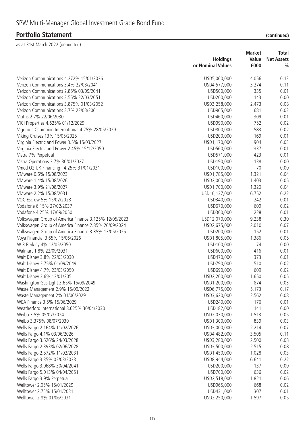|                                                       | <b>Holdings</b>   | <b>Market</b><br>Value | <b>Total</b><br><b>Net Assets</b> |
|-------------------------------------------------------|-------------------|------------------------|-----------------------------------|
|                                                       | or Nominal Values | £000                   | $\frac{0}{0}$                     |
|                                                       |                   |                        |                                   |
| Verizon Communications 4.272% 15/01/2036              | USD5,060,000      | 4,056                  | 0.13                              |
| Verizon Communications 3.4% 22/03/2041                | USD4,577,000      | 3,274                  | 0.11                              |
| Verizon Communications 2.85% 03/09/2041               | USD500,000        | 335                    | 0.01                              |
| Verizon Communications 3.55% 22/03/2051               | USD200,000        | 143                    | 0.00                              |
| Verizon Communications 3.875% 01/03/2052              | USD3,258,000      | 2,473                  | 0.08                              |
| Verizon Communications 3.7% 22/03/2061                | USD965,000        | 681                    | 0.02                              |
| Viatris 2.7% 22/06/2030                               | USD460,000        | 309                    | 0.01                              |
| VICI Properties 4.625% 01/12/2029                     | USD990,000        | 752                    | 0.02                              |
| Vigorous Champion International 4.25% 28/05/2029      | USD800,000        | 583                    | 0.02                              |
| Viking Cruises 13% 15/05/2025                         | USD200,000        | 169                    | 0.01                              |
| Virginia Electric and Power 3.5% 15/03/2027           | USD1,170,000      | 904                    | 0.03                              |
| Virginia Electric and Power 2.45% 15/12/2050          | USD560,000        | 337                    | 0.01                              |
| Vistra 7% Perpetual                                   | USD571,000        | 423                    | 0.01                              |
| Vistra Operations 3.7% 30/01/2027                     | USD190,000        | 138                    | 0.00                              |
| Vmed O2 UK Financing I 4.25% 31/01/2031               | USD100,000        | 70                     | 0.00                              |
| VMware 0.6% 15/08/2023                                | USD1,785,000      | 1,321                  | 0.04                              |
| VMware 1.4% 15/08/2026                                | USD2,000,000      | 1,403                  | 0.05                              |
| VMware 3.9% 21/08/2027                                | USD1,700,000      | 1,320                  | 0.04                              |
| VMware 2.2% 15/08/2031                                | USD10,137,000     | 6,752                  | 0.22                              |
| VOC Escrow 5% 15/02/2028                              | USD340,000        | 242                    | 0.01                              |
| Vodafone 6.15% 27/02/2037                             | USD670,000        | 609                    | 0.02                              |
| Vodafone 4.25% 17/09/2050                             | USD300,000        | 228                    | 0.01                              |
| Volkswagen Group of America Finance 3.125% 12/05/2023 | USD12,070,000     | 9,238                  | 0.30                              |
| Volkswagen Group of America Finance 2.85% 26/09/2024  | USD2,675,000      | 2,010                  | 0.07                              |
| Volkswagen Group of America Finance 3.35% 13/05/2025  | USD200,000        | 152                    | 0.01                              |
| Voya Financial 3.65% 15/06/2026                       | USD1,805,000      | 1,386                  | 0.05                              |
| W R Berkley 4% 12/05/2050                             | USD100,000        | 74                     | 0.00                              |
| Walmart 1.8% 22/09/2031                               | USD600,000        | 416                    | 0.01                              |
| Walt Disney 3.8% 22/03/2030                           | USD470,000        | 373                    | 0.01                              |
| Walt Disney 2.75% 01/09/2049                          | USD790,000        | 510                    | 0.02                              |
| Walt Disney 4.7% 23/03/2050                           | USD690,000        | 609                    | 0.02                              |
| Walt Disney 3.6% 13/01/2051                           | USD2,200,000      | 1,650                  | 0.05                              |
| Washington Gas Light 3.65% 15/09/2049                 | USD1,200,000      | 874                    | 0.03                              |
| Waste Management 2.9% 15/09/2022                      | USD6,775,000      | 5,173                  | 0.17                              |
| Waste Management 2% 01/06/2029                        | USD3,620,000      | 2,562                  | 0.08                              |
| WEA Finance 3.5% 15/06/2029                           | USD240,000        | 176                    | 0.01                              |
| Weatherford International 8.625% 30/04/2030           | USD182,000        | 141                    | 0.00                              |
| Weibo 3.5% 05/07/2024                                 | USD2,030,000      | 1,513                  | 0.05                              |
| Weibo 3.375% 08/07/2030                               | USD1,300,000      | 839                    | 0.03                              |
| Wells Fargo 2.164% 11/02/2026                         | USD3,000,000      | 2,214                  | 0.07                              |
| Wells Fargo 4.1% 03/06/2026                           | USD4,482,000      | 3,505                  | 0.11                              |
| Wells Fargo 3.526% 24/03/2028                         | USD3,280,000      | 2,500                  | 0.08                              |
| Wells Fargo 2.393% 02/06/2028                         | USD3,500,000      | 2,515                  | 0.08                              |
| Wells Fargo 2.572% 11/02/2031                         | USD1,450,000      | 1,028                  | 0.03                              |
| Wells Fargo 3.35% 02/03/2033                          | USD8,944,000      | 6,641                  | 0.22                              |
| Wells Fargo 3.068% 30/04/2041                         | USD200,000        | 137                    | 0.00                              |
| Wells Fargo 5.013% 04/04/2051                         | USD700,000        | 636                    | 0.02                              |
| Wells Fargo 3.9% Perpetual                            | USD2,518,000      | 1,821                  | 0.06                              |
| Welltower 2.05% 15/01/2029                            | USD965,000        | 668                    | 0.02                              |
| Welltower 2.75% 15/01/2031                            | USD431,000        | 307                    | 0.01                              |
| Welltower 2.8% 01/06/2031                             | USD2,250,000      | 1,597                  | 0.05                              |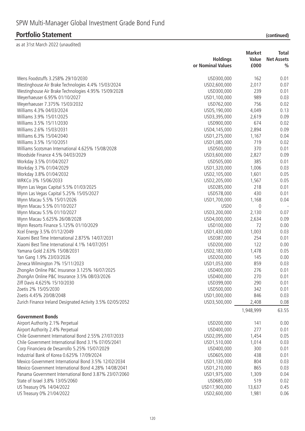|                                                            |                   | <b>Market</b> | Total             |
|------------------------------------------------------------|-------------------|---------------|-------------------|
|                                                            | <b>Holdings</b>   | Value         | <b>Net Assets</b> |
|                                                            | or Nominal Values | £000          | $\frac{0}{0}$     |
| Wens Foodstuffs 3.258% 29/10/2030                          | USD300,000        | 162           | 0.01              |
| Westinghouse Air Brake Technologies 4.4% 15/03/2024        | USD2,600,000      | 2,017         | 0.07              |
| Westinghouse Air Brake Technologies 4.95% 15/09/2028       | USD300,000        | 239           | 0.01              |
| Weyerhaeuser 6.95% 01/10/2027                              | USD1,100,000      | 989           | 0.03              |
| Weyerhaeuser 7.375% 15/03/2032                             | USD762,000        | 756           | 0.02              |
| Williams 4.3% 04/03/2024                                   | USD5,190,000      | 4,049         | 0.13              |
| Williams 3.9% 15/01/2025                                   | USD3,395,000      | 2,619         | 0.09              |
| Williams 3.5% 15/11/2030                                   | USD900,000        | 674           | 0.02              |
| Williams 2.6% 15/03/2031                                   | USD4,145,000      | 2,894         | 0.09              |
| Williams 6.3% 15/04/2040                                   | USD1,275,000      | 1,167         | 0.04              |
| Williams 3.5% 15/10/2051                                   | USD1,085,000      | 719           | 0.02              |
| Williams Scotsman International 4.625% 15/08/2028          | USD500,000        | 370           | 0.01              |
| Woodside Finance 4.5% 04/03/2029                           | USD3,600,000      | 2,827         | 0.09              |
| Workday 3.5% 01/04/2027                                    | USD505,000        | 385           | 0.01              |
| Workday 3.7% 01/04/2029                                    | USD1,320,000      | 1,006         | 0.03              |
| Workday 3.8% 01/04/2032                                    | USD2,105,000      | 1,601         | 0.05              |
| WRKCo 3% 15/06/2033                                        | USD2,205,000      | 1,567         | 0.05              |
| Wynn Las Vegas Capital 5.5% 01/03/2025                     | USD285,000        | 218           | 0.01              |
| Wynn Las Vegas Capital 5.25% 15/05/2027                    | USD578,000        | 430           | 0.01              |
| Wynn Macau 5.5% 15/01/2026                                 | USD1,700,000      | 1,168         | 0.04              |
| Wynn Macau 5.5% 01/10/2027                                 | USD <sub>0</sub>  | 0             |                   |
| Wynn Macau 5.5% 01/10/2027                                 | USD3,200,000      | 2,130         | 0.07              |
| Wynn Macau 5.625% 26/08/2028                               | USD4,000,000      | 2,634         | 0.09              |
| Wynn Resorts Finance 5.125% 01/10/2029                     | USD100,000        | 72            | 0.00              |
| Xcel Energy 3.5% 01/12/2049                                | USD1,430,000      | 1,003         | 0.03              |
| Xiaomi Best Time International 2.875% 14/07/2031           | USD387,000        | 254           | 0.01              |
| Xiaomi Best Time International 4.1% 14/07/2051             | USD200,000        | 122           | 0.00              |
| Yamana Gold 2.63% 15/08/2031                               | USD2,183,000      | 1,478         | 0.05              |
| Yan Gang 1.9% 23/03/2026                                   | USD200,000        | 145           | 0.00              |
| Zeneca Wilmington 7% 15/11/2023                            | USD1,053,000      | 859           | 0.03              |
| ZhongAn Online P&C Insurance 3.125% 16/07/2025             | USD400,000        | 276           | 0.01              |
| ZhongAn Online P&C Insurance 3.5% 08/03/2026               | USD400,000        | 270           | 0.01              |
| Ziff Davis 4.625% 15/10/2030                               | USD399,000        | 290           | 0.01              |
| Zoetis 2% 15/05/2030                                       | USD500,000        | 342           | 0.01              |
| Zoetis 4.45% 20/08/2048                                    | USD1,000,000      | 846           | 0.03              |
| Zurich Finance Ireland Designated Activity 3.5% 02/05/2052 | USD3,500,000      | 2,408         | 0.08              |
|                                                            |                   | 1,948,999     | 63.55             |
| <b>Government Bonds</b>                                    |                   |               |                   |
| Airport Authority 2.1% Perpetual                           | USD200,000        | 141           | 0.00              |
| Airport Authority 2.4% Perpetual                           | USD400,000        | 277           | 0.01              |
| Chile Government International Bond 2.55% 27/07/2033       | USD2,095,000      | 1,454         | 0.05              |
| Chile Government International Bond 3.1% 07/05/2041        | USD1,510,000      | 1,014         | 0.03              |
| Corp Financiera de Desarrollo 5.25% 15/07/2029             | USD400,000        | 300           | 0.01              |
| Industrial Bank of Korea 0.625% 17/09/2024                 | USD605,000        | 438           | 0.01              |
| Mexico Government International Bond 3.5% 12/02/2034       | USD1,130,000      | 804           | 0.03              |
| Mexico Government International Bond 4.28% 14/08/2041      | USD1,210,000      | 865           | 0.03              |
| Panama Government International Bond 3.87% 23/07/2060      | USD1,975,000      | 1,309         | 0.04              |
| State of Israel 3.8% 13/05/2060                            | USD685,000        | 519           | 0.02              |
| US Treasury 0% 14/04/2022                                  | USD17,900,000     | 13,637        | 0.45              |
| US Treasury 0% 21/04/2022                                  | USD2,600,000      | 1,981         | 0.06              |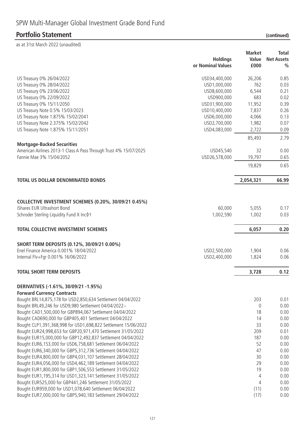### **Portfolio Statement**

| (continued) |  |  |  |
|-------------|--|--|--|
|-------------|--|--|--|

|                                                                   | <b>Holdings</b><br>or Nominal Values | <b>Market</b><br>Value<br>£000 | <b>Total</b><br><b>Net Assets</b><br>$\frac{0}{0}$ |
|-------------------------------------------------------------------|--------------------------------------|--------------------------------|----------------------------------------------------|
| US Treasury 0% 26/04/2022                                         | USD34,400,000                        | 26,206                         | 0.85                                               |
| US Treasury 0% 28/04/2022                                         | USD1,000,000                         | 762                            | 0.03                                               |
| US Treasury 0% 23/06/2022                                         | USD8,600,000                         | 6,544                          | 0.21                                               |
| US Treasury 0% 22/09/2022                                         | USD900,000                           | 683                            | 0.02                                               |
| US Treasury 0% 15/11/2050                                         | USD31,900,000                        | 11,952                         | 0.39                                               |
| US Treasury Note 0.5% 15/03/2023                                  | USD10,400,000                        | 7,837                          | 0.26                                               |
| US Treasury Note 1.875% 15/02/2041                                | USD6,000,000                         | 4,066                          | 0.13                                               |
| US Treasury Note 2.375% 15/02/2042                                | USD2,700,000                         | 1,982                          | 0.07                                               |
| US Treasury Note 1.875% 15/11/2051                                | USD4,083,000                         | 2,722                          | 0.09                                               |
|                                                                   |                                      | 85,493                         | 2.79                                               |
| <b>Mortgage-Backed Securities</b>                                 |                                      |                                |                                                    |
| American Airlines 2013-1 Class A Pass Through Trust 4% 15/07/2025 | USD45,540                            | 32                             | 0.00                                               |
| Fannie Mae 3% 15/04/2052                                          | USD26,578,000                        | 19,797                         | 0.65                                               |
|                                                                   |                                      | 19,829                         | 0.65                                               |
| <b>TOTAL US DOLLAR DENOMINATED BONDS</b>                          |                                      | 2,054,321                      | 66.99                                              |
|                                                                   |                                      |                                |                                                    |
| COLLECTIVE INVESTMENT SCHEMES (0.20%, 30/09/21 0.45%)             |                                      |                                |                                                    |
| iShares EUR Ultrashort Bond                                       | 60,000                               | 5,055                          | 0.17                                               |
| Schroder Sterling Liquidity Fund X Inc 0 t                        | 1,002,590                            | 1,002                          | 0.03                                               |
|                                                                   |                                      |                                | 0.20                                               |
| <b>TOTAL COLLECTIVE INVESTMENT SCHEMES</b>                        |                                      | 6,057                          |                                                    |
| SHORT TERM DEPOSITS (0.12%, 30/09/21 0.00%)                       |                                      |                                |                                                    |
| Enel Finance America 0.001% 18/04/2022                            | USD2,500,000                         | 1,904                          | 0.06                                               |
| Internal Flv+Fgr 0.001% 16/06/2022                                | USD2,400,000                         | 1,824                          | 0.06                                               |
| <b>TOTAL SHORT TERM DEPOSITS</b>                                  |                                      | 3,728                          | 0.12                                               |
| DERIVATIVES (-1.61%, 30/09/21 -1.95%)                             |                                      |                                |                                                    |
| <b>Forward Currency Contracts</b>                                 |                                      |                                |                                                    |
| Bought BRL14,875,178 for USD2,850,634 Settlement 04/04/2022       |                                      | 203                            | 0.01                                               |
| Bought BRL49,246 for USD9,980 Settlement 04/04/2022~              |                                      | $\overline{0}$                 | 0.00                                               |
| Bought CAD1,500,000 for GBP894,067 Settlement 04/04/2022          |                                      | 18                             | 0.00                                               |
| Bought CAD690,000 for GBP405,401 Settlement 04/04/2022            |                                      | 14                             | 0.00                                               |
| Bought CLP1,391,368,998 for USD1,698,822 Settlement 15/06/2022    |                                      | 33                             | 0.00                                               |
| Bought EUR24,998,653 for GBP20,971,470 Settlement 31/05/2022      |                                      | 209                            | 0.01                                               |
| Bought EUR15,000,000 for GBP12,492,837 Settlement 04/04/2022      |                                      | 187                            | 0.00                                               |
| Bought EUR6, 153,000 for USD6, 758, 681 Settlement 06/04/2022     |                                      | 52                             | 0.00                                               |
| Bought EUR6,340,000 for GBP5,312,736 Settlement 04/04/2022        |                                      | 47                             | 0.00                                               |
| Bought EUR4,800,000 for GBP4,031,107 Settlement 28/04/2022        |                                      | 30                             | 0.00                                               |
| Bought EUR4,056,000 for USD4,462,189 Settlement 04/04/2022        |                                      | 29                             | 0.00                                               |
| Bought EUR1,800,000 for GBP1,506,553 Settlement 31/05/2022        |                                      | 19                             | 0.00                                               |
| Bought EUR1, 195, 314 for USD1, 323, 141 Settlement 31/05/2022    |                                      | 4                              | 0.00                                               |
| Bought EUR525,000 for GBP441,246 Settlement 31/05/2022            |                                      | $\overline{4}$                 | 0.00                                               |
| Bought EUR959,000 for USD1,078,640 Settlement 06/04/2022          |                                      | (11)                           | 0.00                                               |
| Bought EUR7,000,000 for GBP5,940,183 Settlement 29/04/2022        |                                      | (17)                           | 0.00                                               |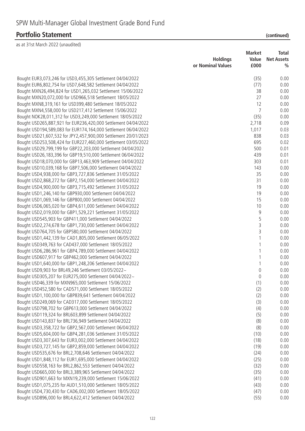|                                                                  | <b>Holdings</b><br>or Nominal Values | <b>Market</b><br>Value<br>£000 | Total<br><b>Net Assets</b><br>$\frac{0}{0}$ |
|------------------------------------------------------------------|--------------------------------------|--------------------------------|---------------------------------------------|
|                                                                  |                                      |                                |                                             |
| Bought EUR3,073,246 for USD3,455,305 Settlement 04/04/2022       |                                      | (35)                           | 0.00                                        |
| Bought EUR6,802,754 for USD7,648,582 Settlement 04/04/2022       |                                      | (77)                           | 0.00                                        |
| Bought MXN26,494,824 for USD1,265,032 Settlement 15/06/2022      |                                      | 38                             | 0.00                                        |
| Bought MXN20,072,000 for USD966,518 Settlement 18/05/2022        |                                      | 27                             | 0.00                                        |
| Bought MXN8,319,161 for USD399,480 Settlement 18/05/2022         |                                      | 12                             | 0.00                                        |
| Bought MXN4,558,000 for USD217,412 Settlement 15/06/2022         |                                      | $\overline{7}$                 | 0.00                                        |
| Bought NOK28,011,312 for USD3,249,000 Settlement 18/05/2022      |                                      | (35)                           | 0.00                                        |
| Bought USD265,887,921 for EUR236,420,000 Settlement 04/04/2022   |                                      | 2,718                          | 0.09                                        |
| Bought USD194,589,083 for EUR174,164,000 Settlement 06/04/2022   |                                      | 1,017                          | 0.03                                        |
| Bought USD21,607,532 for JPY2,457,900,000 Settlement 20/01/2023  |                                      | 838                            | 0.03                                        |
| Bought USD253,508,424 for EUR227,460,000 Settlement 03/05/2022   |                                      | 695                            | 0.02                                        |
| Bought USD29,799,199 for GBP22,203,000 Settlement 04/04/2022     |                                      | 500                            | 0.01                                        |
| Bought USD26, 183, 396 for GBP19, 510, 000 Settlement 06/04/2022 |                                      | 439                            | 0.01                                        |
| Bought USD18,070,000 for GBP13,463,909 Settlement 04/04/2022     |                                      | 303                            | 0.01                                        |
| Bought USD10,039,168 for GBP7,506,000 Settlement 04/04/2022      |                                      | 143                            | 0.00                                        |
| Bought USD4,938,000 for GBP3,727,836 Settlement 31/05/2022       |                                      | 35                             | 0.00                                        |
| Bought USD2,868,272 for GBP2,154,000 Settlement 04/04/2022       |                                      | 31                             | 0.00                                        |
| Bought USD4,900,000 for GBP3,715,492 Settlement 31/05/2022       |                                      | 19                             | 0.00                                        |
| Bought USD1,246,140 for GBP930,000 Settlement 04/04/2022         |                                      | 19                             | 0.00                                        |
| Bought USD1,069,146 for GBP800,000 Settlement 04/04/2022         |                                      | 15                             | 0.00                                        |
| Bought USD6,065,020 for GBP4,611,000 Settlement 04/04/2022       |                                      | 10                             | 0.00                                        |
| Bought USD2,019,000 for GBP1,529,221 Settlement 31/05/2022       |                                      | 9                              | 0.00                                        |
| Bought USD545,903 for GBP411,000 Settlement 04/04/2022           |                                      | 5                              | 0.00                                        |
| Bought USD2,274,678 for GBP1,730,000 Settlement 04/04/2022       |                                      | 3                              | 0.00                                        |
| Bought USD764,705 for GBP580,000 Settlement 04/04/2022           |                                      | 3                              | 0.00                                        |
| Bought USD1,442,139 for CAD1,805,000 Settlement 06/05/2022       |                                      |                                | 0.00                                        |
| Bought USD349,763 for CAD437,000 Settlement 18/05/2022           |                                      | 1                              | 0.00                                        |
| Bought USD6,286,961 for GBP4,789,000 Settlement 04/04/2022       |                                      | 1                              | 0.00                                        |
| Bought USD607,917 for GBP462,000 Settlement 04/04/2022           |                                      | 1                              | 0.00                                        |
| Bought USD1,640,000 for GBP1,248,206 Settlement 04/04/2022       |                                      | $\mathbf{1}$                   | 0.00                                        |
| Bought USD9,903 for BRL49,246 Settlement 03/05/2022~             |                                      | $\mathbf 0$                    | 0.00                                        |
| Bought USD305,207 for EUR275,000 Settlement 04/04/2022~          |                                      | 0                              | 0.00                                        |
| Bought USD46,339 for MXN965,000 Settlement 15/06/2022            |                                      | (1)                            | 0.00                                        |
| Bought USD452,580 for CAD571,000 Settlement 18/05/2022           |                                      | (2)                            | 0.00                                        |
| Bought USD1,100,000 for GBP839,641 Settlement 04/04/2022         |                                      | (2)                            | 0.00                                        |
| Bought USD249,069 for CAD317,000 Settlement 18/05/2022           |                                      | (3)                            | 0.00                                        |
| Bought USD798,702 for GBP613,000 Settlement 04/04/2022           |                                      | (4)                            | 0.00                                        |
| Bought USD119,324 for BRL603,899 Settlement 04/04/2022           |                                      | (5)                            | 0.00                                        |
| Bought USD143,837 for BRL736,949 Settlement 04/04/2022           |                                      | (8)                            | 0.00                                        |
| Bought USD3,358,722 for GBP2,567,000 Settlement 06/04/2022       |                                      | (8)                            | 0.00                                        |
| Bought USD5,604,000 for GBP4,281,036 Settlement 31/05/2022       |                                      | (10)                           | 0.00                                        |
| Bought USD3,307,643 for EUR3,002,000 Settlement 04/04/2022       |                                      | (18)                           | 0.00                                        |
| Bought USD3,727,145 for GBP2,859,000 Settlement 04/04/2022       |                                      | (19)                           | 0.00                                        |
| Bought USD535,676 for BRL2,708,646 Settlement 04/04/2022         |                                      | (24)                           | 0.00                                        |
| Bought USD1,848,112 for EUR1,695,000 Settlement 04/04/2022       |                                      | (25)                           | 0.00                                        |
| Bought USD558,163 for BRL2,862,553 Settlement 04/04/2022         |                                      | (32)                           | 0.00                                        |
| Bought USD665,000 for BRL3,389,965 Settlement 04/04/2022         |                                      | (35)                           | 0.00                                        |
| Bought USD901,663 for MXN19,239,000 Settlement 15/06/2022        |                                      | (41)                           | 0.00                                        |
| Bought USD1,075,235 for AUD1,510,000 Settlement 18/05/2022       |                                      | (43)                           | 0.00                                        |
| Bought USD4,730,430 for CAD6,002,000 Settlement 18/05/2022       |                                      | (47)                           | 0.00                                        |
| Bought USD896,000 for BRL4,622,412 Settlement 04/04/2022         |                                      | (55)                           | 0.00                                        |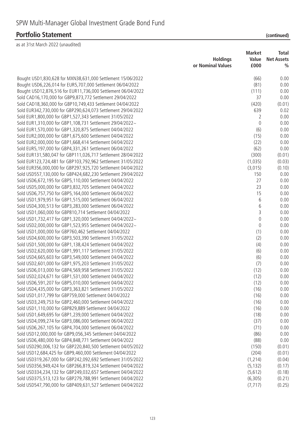# **Portfolio Statement**

| (continued) |  |
|-------------|--|
|             |  |

| <b>Holdings</b><br>Value<br><b>Net Assets</b><br>or Nominal Values<br>£000<br>$\frac{0}{0}$<br>Bought USD1,830,628 for MXN38,631,000 Settlement 15/06/2022<br>(66)<br>0.00<br>Bought USD6,226,014 for EUR5,707,000 Settlement 06/04/2022<br>(81)<br>0.00<br>(111)<br>Bought USD12,876,516 for EUR11,736,000 Settlement 06/04/2022<br>0.00<br>Sold CAD16,170,000 for GBP9,873,772 Settlement 29/04/2022<br>0.00<br>37<br>Sold CAD18,360,000 for GBP10,749,433 Settlement 04/04/2022<br>(420)<br>(0.01)<br>639<br>Sold EUR342,730,000 for GBP290,624,073 Settlement 29/04/2022<br>0.02<br>0.00<br>Sold EUR1,800,000 for GBP1,527,343 Settlement 31/05/2022<br>2<br>Sold EUR1,310,000 for GBP1,108,731 Settlement 29/04/2022~<br>$\mathbf 0$<br>0.00<br>Sold EUR1,570,000 for GBP1,320,875 Settlement 04/04/2022<br>(6)<br>0.00<br>Sold EUR2,000,000 for GBP1,675,600 Settlement 04/04/2022<br>(15)<br>0.00<br>Sold EUR2,000,000 for GBP1,668,414 Settlement 04/04/2022<br>(22)<br>0.00<br>Sold EUR5, 197, 000 for GBP4, 331, 261 Settlement 06/04/2022<br>(62)<br>0.00<br>Sold EUR131,580,047 for GBP111,026,717 Settlement 28/04/2022<br>(300)<br>(0.01)<br>Sold EUR123,724,481 for GBP103,792,962 Settlement 31/05/2022<br>(1,035)<br>(0.03)<br>Sold EUR356,000,000 for GBP297,925,720 Settlement 04/04/2022<br>(3,015)<br>(0.10)<br>Sold USD557,130,000 for GBP424,682,230 Settlement 29/04/2022<br>150<br>0.00 |
|------------------------------------------------------------------------------------------------------------------------------------------------------------------------------------------------------------------------------------------------------------------------------------------------------------------------------------------------------------------------------------------------------------------------------------------------------------------------------------------------------------------------------------------------------------------------------------------------------------------------------------------------------------------------------------------------------------------------------------------------------------------------------------------------------------------------------------------------------------------------------------------------------------------------------------------------------------------------------------------------------------------------------------------------------------------------------------------------------------------------------------------------------------------------------------------------------------------------------------------------------------------------------------------------------------------------------------------------------------------------------------------------------------------|
|                                                                                                                                                                                                                                                                                                                                                                                                                                                                                                                                                                                                                                                                                                                                                                                                                                                                                                                                                                                                                                                                                                                                                                                                                                                                                                                                                                                                                  |
|                                                                                                                                                                                                                                                                                                                                                                                                                                                                                                                                                                                                                                                                                                                                                                                                                                                                                                                                                                                                                                                                                                                                                                                                                                                                                                                                                                                                                  |
|                                                                                                                                                                                                                                                                                                                                                                                                                                                                                                                                                                                                                                                                                                                                                                                                                                                                                                                                                                                                                                                                                                                                                                                                                                                                                                                                                                                                                  |
|                                                                                                                                                                                                                                                                                                                                                                                                                                                                                                                                                                                                                                                                                                                                                                                                                                                                                                                                                                                                                                                                                                                                                                                                                                                                                                                                                                                                                  |
|                                                                                                                                                                                                                                                                                                                                                                                                                                                                                                                                                                                                                                                                                                                                                                                                                                                                                                                                                                                                                                                                                                                                                                                                                                                                                                                                                                                                                  |
|                                                                                                                                                                                                                                                                                                                                                                                                                                                                                                                                                                                                                                                                                                                                                                                                                                                                                                                                                                                                                                                                                                                                                                                                                                                                                                                                                                                                                  |
|                                                                                                                                                                                                                                                                                                                                                                                                                                                                                                                                                                                                                                                                                                                                                                                                                                                                                                                                                                                                                                                                                                                                                                                                                                                                                                                                                                                                                  |
|                                                                                                                                                                                                                                                                                                                                                                                                                                                                                                                                                                                                                                                                                                                                                                                                                                                                                                                                                                                                                                                                                                                                                                                                                                                                                                                                                                                                                  |
|                                                                                                                                                                                                                                                                                                                                                                                                                                                                                                                                                                                                                                                                                                                                                                                                                                                                                                                                                                                                                                                                                                                                                                                                                                                                                                                                                                                                                  |
|                                                                                                                                                                                                                                                                                                                                                                                                                                                                                                                                                                                                                                                                                                                                                                                                                                                                                                                                                                                                                                                                                                                                                                                                                                                                                                                                                                                                                  |
|                                                                                                                                                                                                                                                                                                                                                                                                                                                                                                                                                                                                                                                                                                                                                                                                                                                                                                                                                                                                                                                                                                                                                                                                                                                                                                                                                                                                                  |
|                                                                                                                                                                                                                                                                                                                                                                                                                                                                                                                                                                                                                                                                                                                                                                                                                                                                                                                                                                                                                                                                                                                                                                                                                                                                                                                                                                                                                  |
|                                                                                                                                                                                                                                                                                                                                                                                                                                                                                                                                                                                                                                                                                                                                                                                                                                                                                                                                                                                                                                                                                                                                                                                                                                                                                                                                                                                                                  |
|                                                                                                                                                                                                                                                                                                                                                                                                                                                                                                                                                                                                                                                                                                                                                                                                                                                                                                                                                                                                                                                                                                                                                                                                                                                                                                                                                                                                                  |
|                                                                                                                                                                                                                                                                                                                                                                                                                                                                                                                                                                                                                                                                                                                                                                                                                                                                                                                                                                                                                                                                                                                                                                                                                                                                                                                                                                                                                  |
|                                                                                                                                                                                                                                                                                                                                                                                                                                                                                                                                                                                                                                                                                                                                                                                                                                                                                                                                                                                                                                                                                                                                                                                                                                                                                                                                                                                                                  |
|                                                                                                                                                                                                                                                                                                                                                                                                                                                                                                                                                                                                                                                                                                                                                                                                                                                                                                                                                                                                                                                                                                                                                                                                                                                                                                                                                                                                                  |
|                                                                                                                                                                                                                                                                                                                                                                                                                                                                                                                                                                                                                                                                                                                                                                                                                                                                                                                                                                                                                                                                                                                                                                                                                                                                                                                                                                                                                  |
| 27<br>Sold USD6,672,195 for GBP5,110,000 Settlement 04/04/2022<br>0.00                                                                                                                                                                                                                                                                                                                                                                                                                                                                                                                                                                                                                                                                                                                                                                                                                                                                                                                                                                                                                                                                                                                                                                                                                                                                                                                                           |
| 23<br>0.00<br>Sold USD5,000,000 for GBP3,832,705 Settlement 04/04/2022                                                                                                                                                                                                                                                                                                                                                                                                                                                                                                                                                                                                                                                                                                                                                                                                                                                                                                                                                                                                                                                                                                                                                                                                                                                                                                                                           |
| Sold USD6,757,750 for GBP5,164,000 Settlement 06/04/2022<br>15<br>0.00                                                                                                                                                                                                                                                                                                                                                                                                                                                                                                                                                                                                                                                                                                                                                                                                                                                                                                                                                                                                                                                                                                                                                                                                                                                                                                                                           |
| Sold USD1,979,951 for GBP1,515,000 Settlement 06/04/2022<br>6<br>0.00                                                                                                                                                                                                                                                                                                                                                                                                                                                                                                                                                                                                                                                                                                                                                                                                                                                                                                                                                                                                                                                                                                                                                                                                                                                                                                                                            |
| $6\,$<br>Sold USD4,300,513 for GBP3,283,000 Settlement 06/04/2022<br>0.00                                                                                                                                                                                                                                                                                                                                                                                                                                                                                                                                                                                                                                                                                                                                                                                                                                                                                                                                                                                                                                                                                                                                                                                                                                                                                                                                        |
| 3<br>Sold USD1,060,000 for GBP810,714 Settlement 04/04/2022<br>0.00                                                                                                                                                                                                                                                                                                                                                                                                                                                                                                                                                                                                                                                                                                                                                                                                                                                                                                                                                                                                                                                                                                                                                                                                                                                                                                                                              |
| Sold USD1,732,417 for GBP1,320,000 Settlement 04/04/2022~<br>$\mathbf 0$<br>0.00                                                                                                                                                                                                                                                                                                                                                                                                                                                                                                                                                                                                                                                                                                                                                                                                                                                                                                                                                                                                                                                                                                                                                                                                                                                                                                                                 |
| Sold USD2,000,000 for GBP1,523,955 Settlement 04/04/2022~<br>$\mathbf 0$<br>0.00                                                                                                                                                                                                                                                                                                                                                                                                                                                                                                                                                                                                                                                                                                                                                                                                                                                                                                                                                                                                                                                                                                                                                                                                                                                                                                                                 |
| Sold USD1,000,000 for GBP760,462 Settlement 04/04/2022<br>(1)<br>0.00                                                                                                                                                                                                                                                                                                                                                                                                                                                                                                                                                                                                                                                                                                                                                                                                                                                                                                                                                                                                                                                                                                                                                                                                                                                                                                                                            |
| Sold USD4,600,000 for GBP3,503,390 Settlement 31/05/2022<br>(2)<br>0.00                                                                                                                                                                                                                                                                                                                                                                                                                                                                                                                                                                                                                                                                                                                                                                                                                                                                                                                                                                                                                                                                                                                                                                                                                                                                                                                                          |
| Sold USD1,500,000 for GBP1,138,424 Settlement 04/04/2022<br>(4)<br>0.00                                                                                                                                                                                                                                                                                                                                                                                                                                                                                                                                                                                                                                                                                                                                                                                                                                                                                                                                                                                                                                                                                                                                                                                                                                                                                                                                          |
| Sold USD2,620,000 for GBP1,991,117 Settlement 31/05/2022<br>(6)<br>0.00                                                                                                                                                                                                                                                                                                                                                                                                                                                                                                                                                                                                                                                                                                                                                                                                                                                                                                                                                                                                                                                                                                                                                                                                                                                                                                                                          |
| (6)<br>Sold USD4,665,603 for GBP3,549,000 Settlement 04/04/2022<br>0.00                                                                                                                                                                                                                                                                                                                                                                                                                                                                                                                                                                                                                                                                                                                                                                                                                                                                                                                                                                                                                                                                                                                                                                                                                                                                                                                                          |
| Sold USD2,601,000 for GBP1,975,203 Settlement 31/05/2022<br>(7)<br>0.00                                                                                                                                                                                                                                                                                                                                                                                                                                                                                                                                                                                                                                                                                                                                                                                                                                                                                                                                                                                                                                                                                                                                                                                                                                                                                                                                          |
| Sold USD6,013,000 for GBP4,569,958 Settlement 31/05/2022<br>(12)<br>0.00                                                                                                                                                                                                                                                                                                                                                                                                                                                                                                                                                                                                                                                                                                                                                                                                                                                                                                                                                                                                                                                                                                                                                                                                                                                                                                                                         |
| Sold USD2,024,671 for GBP1,531,000 Settlement 04/04/2022<br>(12)<br>0.00                                                                                                                                                                                                                                                                                                                                                                                                                                                                                                                                                                                                                                                                                                                                                                                                                                                                                                                                                                                                                                                                                                                                                                                                                                                                                                                                         |
| Sold USD6,591,207 for GBP5,010,000 Settlement 04/04/2022<br>(12)<br>0.00                                                                                                                                                                                                                                                                                                                                                                                                                                                                                                                                                                                                                                                                                                                                                                                                                                                                                                                                                                                                                                                                                                                                                                                                                                                                                                                                         |
| Sold USD4,435,000 for GBP3,363,821 Settlement 31/05/2022<br>(16)<br>0.00                                                                                                                                                                                                                                                                                                                                                                                                                                                                                                                                                                                                                                                                                                                                                                                                                                                                                                                                                                                                                                                                                                                                                                                                                                                                                                                                         |
| Sold USD1,017,799 for GBP759,000 Settlement 04/04/2022<br>(16)<br>0.00                                                                                                                                                                                                                                                                                                                                                                                                                                                                                                                                                                                                                                                                                                                                                                                                                                                                                                                                                                                                                                                                                                                                                                                                                                                                                                                                           |
| Sold USD3,249,753 for GBP2,460,000 Settlement 04/04/2022<br>(16)<br>0.00                                                                                                                                                                                                                                                                                                                                                                                                                                                                                                                                                                                                                                                                                                                                                                                                                                                                                                                                                                                                                                                                                                                                                                                                                                                                                                                                         |
| Sold USD1,110,000 for GBP829,889 Settlement 04/04/2022<br>(16)<br>0.00                                                                                                                                                                                                                                                                                                                                                                                                                                                                                                                                                                                                                                                                                                                                                                                                                                                                                                                                                                                                                                                                                                                                                                                                                                                                                                                                           |
| Sold USD1,649,695 for GBP1,239,000 Settlement 04/04/2022<br>(18)<br>0.00                                                                                                                                                                                                                                                                                                                                                                                                                                                                                                                                                                                                                                                                                                                                                                                                                                                                                                                                                                                                                                                                                                                                                                                                                                                                                                                                         |
| Sold USD4,099,274 for GBP3,086,000 Settlement 06/04/2022<br>(37)<br>0.00                                                                                                                                                                                                                                                                                                                                                                                                                                                                                                                                                                                                                                                                                                                                                                                                                                                                                                                                                                                                                                                                                                                                                                                                                                                                                                                                         |
| Sold USD6,267,105 for GBP4,704,000 Settlement 06/04/2022<br>(71)<br>0.00                                                                                                                                                                                                                                                                                                                                                                                                                                                                                                                                                                                                                                                                                                                                                                                                                                                                                                                                                                                                                                                                                                                                                                                                                                                                                                                                         |
| Sold USD12,000,000 for GBP9,056,345 Settlement 04/04/2022<br>(86)<br>0.00                                                                                                                                                                                                                                                                                                                                                                                                                                                                                                                                                                                                                                                                                                                                                                                                                                                                                                                                                                                                                                                                                                                                                                                                                                                                                                                                        |
| Sold USD6,480,000 for GBP4,848,771 Settlement 04/04/2022<br>(88)<br>0.00                                                                                                                                                                                                                                                                                                                                                                                                                                                                                                                                                                                                                                                                                                                                                                                                                                                                                                                                                                                                                                                                                                                                                                                                                                                                                                                                         |
| Sold USD290,006,132 for GBP220,840,500 Settlement 04/05/2022<br>(150)<br>(0.01)                                                                                                                                                                                                                                                                                                                                                                                                                                                                                                                                                                                                                                                                                                                                                                                                                                                                                                                                                                                                                                                                                                                                                                                                                                                                                                                                  |
| Sold USD12,684,425 for GBP9,460,000 Settlement 04/04/2022<br>(204)<br>(0.01)                                                                                                                                                                                                                                                                                                                                                                                                                                                                                                                                                                                                                                                                                                                                                                                                                                                                                                                                                                                                                                                                                                                                                                                                                                                                                                                                     |
| Sold USD319,267,000 for GBP242,092,692 Settlement 31/05/2022<br>(1, 214)<br>(0.04)                                                                                                                                                                                                                                                                                                                                                                                                                                                                                                                                                                                                                                                                                                                                                                                                                                                                                                                                                                                                                                                                                                                                                                                                                                                                                                                               |
| Sold USD356,949,424 for GBP266,819,324 Settlement 04/04/2022<br>(5, 132)<br>(0.17)                                                                                                                                                                                                                                                                                                                                                                                                                                                                                                                                                                                                                                                                                                                                                                                                                                                                                                                                                                                                                                                                                                                                                                                                                                                                                                                               |
| Sold USD334,234,132 for GBP249,032,657 Settlement 04/04/2022<br>(5,612)<br>(0.18)                                                                                                                                                                                                                                                                                                                                                                                                                                                                                                                                                                                                                                                                                                                                                                                                                                                                                                                                                                                                                                                                                                                                                                                                                                                                                                                                |
| Sold USD375,513,123 for GBP279,788,991 Settlement 04/04/2022<br>(6, 305)<br>(0.21)                                                                                                                                                                                                                                                                                                                                                                                                                                                                                                                                                                                                                                                                                                                                                                                                                                                                                                                                                                                                                                                                                                                                                                                                                                                                                                                               |
| Sold USD547,790,000 for GBP409,631,527 Settlement 04/04/2022<br>(7, 717)<br>(0.25)                                                                                                                                                                                                                                                                                                                                                                                                                                                                                                                                                                                                                                                                                                                                                                                                                                                                                                                                                                                                                                                                                                                                                                                                                                                                                                                               |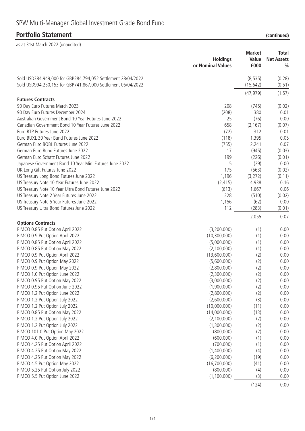# **Portfolio Statement**

| (continued) |  |
|-------------|--|

|                                                                                                                              | <b>Holdings</b><br>or Nominal Values | <b>Market</b><br>Value<br>£000 | <b>Total</b><br><b>Net Assets</b><br>$\frac{0}{0}$ |
|------------------------------------------------------------------------------------------------------------------------------|--------------------------------------|--------------------------------|----------------------------------------------------|
| Sold USD384,949,000 for GBP284,794,052 Settlement 28/04/2022<br>Sold USD994,250,153 for GBP741,867,000 Settlement 06/04/2022 |                                      | (8, 535)<br>(15, 642)          | (0.28)<br>(0.51)                                   |
|                                                                                                                              |                                      | (47, 979)                      | (1.57)                                             |
| <b>Futures Contracts</b>                                                                                                     |                                      |                                |                                                    |
| 90 Day Euro Futures March 2023                                                                                               | 208                                  | (745)                          | (0.02)                                             |
| 90 Day Euro Futures December 2024                                                                                            | (208)                                | 380                            | 0.01                                               |
| Australian Government Bond 10 Year Futures June 2022                                                                         | 25                                   | (76)                           | 0.00                                               |
| Canadian Government Bond 10 Year Futures June 2022                                                                           | 658                                  | (2, 167)                       | (0.07)                                             |
| Euro BTP Futures June 2022                                                                                                   | (72)                                 | 312                            | 0.01                                               |
| Euro BUXL 30 Year Bund Futures June 2022                                                                                     | (118)                                | 1,395                          | 0.05                                               |
| German Euro BOBL Futures June 2022                                                                                           | (755)                                | 2,241                          | 0.07                                               |
| German Euro Bund Futures June 2022<br>German Euro Schatz Futures June 2022                                                   | 17<br>199                            | (945)<br>(226)                 | (0.03)                                             |
| Japanese Government Bond 10 Year Mini Futures June 2022                                                                      | 5                                    | (29)                           | (0.01)<br>0.00                                     |
| UK Long Gilt Futures June 2022                                                                                               | 175                                  | (563)                          | (0.02)                                             |
| US Treasury Long Bond Futures June 2022                                                                                      | 1,196                                | (3,272)                        | (0.11)                                             |
| US Treasury Note 10 Year Futures June 2022                                                                                   | (2, 415)                             | 4,938                          | 0.16                                               |
| US Treasury Note 10 Year Ultra Bond Futures June 2022                                                                        | (613)                                | 1,667                          | 0.06                                               |
| US Treasury Note 2 Year Futures June 2022                                                                                    | 328                                  | (510)                          | (0.02)                                             |
| US Treasury Note 5 Year Futures June 2022                                                                                    | 1,156                                | (62)                           | 0.00                                               |
| US Treasury Ultra Bond Futures June 2022                                                                                     | 112                                  | (283)                          | (0.01)                                             |
|                                                                                                                              |                                      | 2,055                          | 0.07                                               |
| <b>Options Contracts</b>                                                                                                     |                                      |                                |                                                    |
| PIMCO 0.85 Put Option April 2022                                                                                             | (3,200,000)                          | (1)                            | 0.00                                               |
| PIMCO 0.9 Put Option April 2022                                                                                              | (10, 300, 000)                       | (1)                            | 0.00                                               |
| PIMCO 0.85 Put Option April 2022                                                                                             | (5,000,000)                          | (1)                            | 0.00                                               |
| PIMCO 0.85 Put Option May 2022                                                                                               | (2,100,000)                          | (1)                            | 0.00                                               |
| PIMCO 0.9 Put Option April 2022                                                                                              | (13,600,000)                         | (2)                            | 0.00                                               |
| PIMCO 0.9 Put Option May 2022                                                                                                | (5,600,000)                          | (2)                            | 0.00                                               |
| PIMCO 0.9 Put Option May 2022                                                                                                | (2,800,000)                          | (2)                            | 0.00<br>0.00                                       |
| PIMCO 1.0 Put Option June 2022<br>PIMCO 0.95 Put Option May 2022                                                             | (2,300,000)<br>(3,000,000)           | (2)<br>(2)                     | 0.00                                               |
| PIMCO 0.95 Put Option June 2022                                                                                              | (1,900,000)                          | (2)                            | 0.00                                               |
| PIMCO 1.2 Put Option June 2022                                                                                               | (2,800,000)                          | (2)                            | 0.00                                               |
| PIMCO 1.2 Put Option July 2022                                                                                               | (2,600,000)                          | (3)                            | 0.00                                               |
| PIMCO 1.2 Put Option July 2022                                                                                               | (10,000,000)                         | (11)                           | 0.00                                               |
| PIMCO 0.85 Put Option May 2022                                                                                               | (14,000,000)                         | (13)                           | 0.00                                               |
| PIMCO 1.2 Put Option July 2022                                                                                               | (2, 100, 000)                        | (2)                            | 0.00                                               |
| PIMCO 1.2 Put Option July 2022                                                                                               | (1,300,000)                          | (2)                            | 0.00                                               |
| PIMCO 101.0 Put Option May 2022                                                                                              | (800,000)                            | (2)                            | 0.00                                               |
| PIMCO 4.0 Put Option April 2022                                                                                              | (600,000)                            | (1)                            | 0.00                                               |
| PIMCO 4.25 Put Option April 2022                                                                                             | (700,000)                            | (1)                            | 0.00                                               |
| PIMCO 4.25 Put Option May 2022                                                                                               | (1,400,000)                          | (4)                            | 0.00                                               |
| PIMCO 4.25 Put Option May 2022                                                                                               | (6, 200, 000)                        | (19)                           | 0.00                                               |
| PIMCO 4.5 Put Option May 2022                                                                                                | (16,700,000)                         | (41)                           | 0.00                                               |
| PIMCO 5.25 Put Option July 2022                                                                                              | (800,000)                            | (4)                            | 0.00                                               |
| PIMCO 5.5 Put Option June 2022                                                                                               | (1, 100, 000)                        | (3)                            | 0.00                                               |
|                                                                                                                              |                                      | (124)                          | 0.00                                               |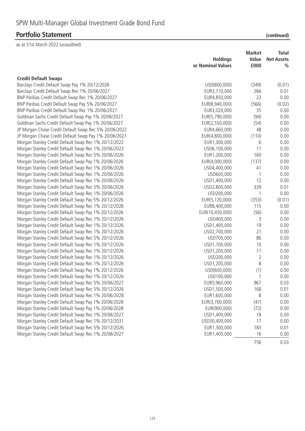|                                                       | <b>Holdings</b><br>or Nominal Values | <b>Market</b><br>Value<br>£000 | <b>Total</b><br><b>Net Assets</b><br>$\frac{0}{0}$ |
|-------------------------------------------------------|--------------------------------------|--------------------------------|----------------------------------------------------|
| <b>Credit Default Swaps</b>                           |                                      |                                |                                                    |
| Barclays Credit Default Swap Pay 1% 20/12/2026        | USD(800,000)                         | (349)                          | (0.01)                                             |
| Barclays Credit Default Swap Rec 1% 20/06/2027        | EUR3,710,000                         | 266                            | 0.01                                               |
| BNP Paribas Credit Default Swap Rec 1% 20/06/2027     | EUR4,850,000                         | 22                             | 0.00                                               |
| BNP Paribas Credit Default Swap Pay 5% 20/06/2027     | EUR(8,940,000)                       | (566)                          | (0.02)                                             |
| BNP Paribas Credit Default Swap Rec 1% 20/06/2027     | EUR3,020,000                         | 35                             | 0.00                                               |
| Goldman Sachs Credit Default Swap Pay 1% 20/06/2027   | EUR(5,790,000)                       | (94)                           | 0.00                                               |
| Goldman Sachs Credit Default Swap Pay 1% 20/06/2027   | EUR(2,550,000)                       | (54)                           | 0.00                                               |
| JP Morgan Chase Credit Default Swap Rec 5% 20/06/2022 | EUR4,660,000                         | 48                             | 0.00                                               |
| JP Morgan Chase Credit Default Swap Pay 1% 20/06/2027 | EUR(4,800,000)                       | (110)                          | 0.00                                               |
| Morgan Stanley Credit Default Swap Rec 1% 20/12/2022  | EUR1,300,000                         | 6                              | 0.00                                               |
| Morgan Stanley Credit Default Swap Rec 1% 20/06/2023  | USD6,100,000                         | 11                             | 0.00                                               |
| Morgan Stanley Credit Default Swap Rec 5% 20/06/2026  | EUR1,200,000                         | 160                            | 0.00                                               |
| Morgan Stanley Credit Default Swap Pay 1% 20/06/2026  | EUR(4,000,000)                       | (137)                          | 0.00                                               |
| Morgan Stanley Credit Default Swap Rec 1% 20/06/2026  | USD4,400,000                         | 41                             | 0.00                                               |
| Morgan Stanley Credit Default Swap Rec 1% 20/06/2026  | USD600,000                           | -1                             | 0.00                                               |
| Morgan Stanley Credit Default Swap Rec 1% 20/06/2026  | USD1,400,000                         | 12                             | 0.00                                               |
| Morgan Stanley Credit Default Swap Rec 5% 20/06/2026  | USD2,800,000                         | 339                            | 0.01                                               |
| Morgan Stanley Credit Default Swap Rec 1% 20/06/2026  | USD200,000                           | 1                              | 0.00                                               |
| Morgan Stanley Credit Default Swap Pay 5% 20/12/2026  | EUR(5,120,000)                       | (353)                          | (0.01)                                             |
| Morgan Stanley Credit Default Swap Rec 1% 20/12/2026  | EUR8,400,000                         | 115                            | 0.00                                               |
| Morgan Stanley Credit Default Swap Pay 1% 20/12/2026  | EUR(10,450,000)                      | (56)                           | 0.00                                               |
| Morgan Stanley Credit Default Swap Rec 1% 20/12/2026  | USD400,000                           | 3                              | 0.00                                               |
| Morgan Stanley Credit Default Swap Rec 1% 20/12/2026  | USD1,400,000                         | 19                             | 0.00                                               |
| Morgan Stanley Credit Default Swap Rec 1% 20/12/2026  | USD2,700,000                         | 21                             | 0.00                                               |
| Morgan Stanley Credit Default Swap Rec 5% 20/12/2026  | USD700,000                           | 86                             | 0.00                                               |
| Morgan Stanley Credit Default Swap Rec 1% 20/12/2026  | USD1,700,000                         | 10                             | 0.00                                               |
| Morgan Stanley Credit Default Swap Rec 1% 20/12/2026  | USD1,200,000                         | 11                             | 0.00                                               |
| Morgan Stanley Credit Default Swap Rec 1% 20/12/2026  | USD200,000                           | $\overline{2}$                 | 0.00                                               |
| Morgan Stanley Credit Default Swap Rec 1% 20/12/2026  | USD1,200,000                         | 8                              | 0.00                                               |
| Morgan Stanley Credit Default Swap Pay 1% 20/12/2026  | USD(600,000)                         | (1)                            | 0.00                                               |
| Morgan Stanley Credit Default Swap Rec 1% 20/12/2026  | USD100,000                           |                                | 0.00                                               |
| Morgan Stanley Credit Default Swap Rec 5% 20/06/2027  | EUR5,960,000                         | 967                            | 0.03                                               |
| Morgan Stanley Credit Default Swap Rec 5% 20/12/2026  | USD1,500,000                         | 168                            | 0.01                                               |
| Morgan Stanley Credit Default Swap Rec 1% 20/06/2028  | EUR1,600,000                         | 8                              | 0.00                                               |
| Morgan Stanley Credit Default Swap Pay 1% 20/06/2028  | EUR(3,700,000)                       | (47)                           | 0.00                                               |
| Morgan Stanley Credit Default Swap Pay 1% 20/06/2028  | EUR(900,000)                         | (72)                           | 0.00                                               |
| Morgan Stanley Credit Default Swap Rec 1% 20/06/2027  | USD1,400,000                         | 18                             | 0.00                                               |
| Morgan Stanley Credit Default Swap Rec 1% 20/12/2031  | USD30,400,000                        | 17                             | 0.00                                               |
| Morgan Stanley Credit Default Swap Rec 5% 20/12/2026  | EUR1,300,000                         | 183                            | 0.01                                               |
| Morgan Stanley Credit Default Swap Rec 1% 20/06/2027  | EUR1,400,000                         | 16                             | 0.00                                               |
|                                                       |                                      | 756                            | 0.03                                               |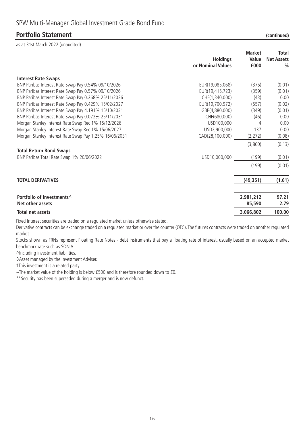as at 31st March 2022 (unaudited)

| <b>Interest Rate Swaps</b><br>BNP Paribas Interest Rate Swap Pay 0.54% 09/10/2026<br>EUR(19,085,068)<br>(375)<br>BNP Paribas Interest Rate Swap Pay 0.57% 09/10/2026<br>EUR(19,415,723)<br>(359)<br>BNP Paribas Interest Rate Swap Pay 0.268% 25/11/2026<br>CHF(1,340,000)<br>(43)<br>BNP Paribas Interest Rate Swap Pay 0.429% 15/02/2027<br>EUR(19,700,972)<br>(557)<br>BNP Paribas Interest Rate Swap Pay 4.191% 15/10/2031<br>GBP(4,880,000)<br>(349)<br>BNP Paribas Interest Rate Swap Pay 0.072% 25/11/2031<br>CHF(680,000)<br>(46)<br>Morgan Stanley Interest Rate Swap Rec 1% 15/12/2026<br>USD100,000<br>4<br>137 | <b>Total</b><br><b>Net Assets</b><br>$\frac{0}{0}$ |
|----------------------------------------------------------------------------------------------------------------------------------------------------------------------------------------------------------------------------------------------------------------------------------------------------------------------------------------------------------------------------------------------------------------------------------------------------------------------------------------------------------------------------------------------------------------------------------------------------------------------------|----------------------------------------------------|
|                                                                                                                                                                                                                                                                                                                                                                                                                                                                                                                                                                                                                            |                                                    |
|                                                                                                                                                                                                                                                                                                                                                                                                                                                                                                                                                                                                                            | (0.01)                                             |
|                                                                                                                                                                                                                                                                                                                                                                                                                                                                                                                                                                                                                            | (0.01)                                             |
|                                                                                                                                                                                                                                                                                                                                                                                                                                                                                                                                                                                                                            | 0.00                                               |
|                                                                                                                                                                                                                                                                                                                                                                                                                                                                                                                                                                                                                            | (0.02)                                             |
|                                                                                                                                                                                                                                                                                                                                                                                                                                                                                                                                                                                                                            | (0.01)                                             |
|                                                                                                                                                                                                                                                                                                                                                                                                                                                                                                                                                                                                                            | 0.00                                               |
|                                                                                                                                                                                                                                                                                                                                                                                                                                                                                                                                                                                                                            | 0.00                                               |
| Morgan Stanley Interest Rate Swap Rec 1% 15/06/2027<br>USD2,900,000                                                                                                                                                                                                                                                                                                                                                                                                                                                                                                                                                        | 0.00                                               |
| Morgan Stanley Interest Rate Swap Pay 1.25% 16/06/2031<br>CAD(28,100,000)<br>(2, 272)                                                                                                                                                                                                                                                                                                                                                                                                                                                                                                                                      | (0.08)                                             |
| (3,860)                                                                                                                                                                                                                                                                                                                                                                                                                                                                                                                                                                                                                    | (0.13)                                             |
| <b>Total Return Bond Swaps</b>                                                                                                                                                                                                                                                                                                                                                                                                                                                                                                                                                                                             |                                                    |
| BNP Paribas Total Rate Swap 1% 20/06/2022<br>USD10,000,000<br>(199)                                                                                                                                                                                                                                                                                                                                                                                                                                                                                                                                                        | (0.01)                                             |
| (199)                                                                                                                                                                                                                                                                                                                                                                                                                                                                                                                                                                                                                      | (0.01)                                             |
| <b>TOTAL DERIVATIVES</b><br>(49, 351)                                                                                                                                                                                                                                                                                                                                                                                                                                                                                                                                                                                      | (1.61)                                             |
| Portfolio of investments <sup>^</sup><br>2,981,212<br>Net other assets<br>85,590                                                                                                                                                                                                                                                                                                                                                                                                                                                                                                                                           | 97.21<br>2.79                                      |
| 3,066,802<br>Total net assets                                                                                                                                                                                                                                                                                                                                                                                                                                                                                                                                                                                              | 100.00                                             |

Fixed Interest securities are traded on a regulated market unless otherwise stated.

Derivative contracts can be exchange traded on a regulated market or over the counter (OTC). The futures contracts were traded on another regulated market.

Stocks shown as FRNs represent Floating Rate Notes - debt instruments that pay a floating rate of interest, usually based on an accepted market benchmark rate such as SONIA.

^Including investment liabilities.

◊Asset managed by the Investment Adviser.

†This investment is a related party.

~The market value of the holding is below £500 and is therefore rounded down to £0.

\*\*Security has been superseded during a merger and is now defunct.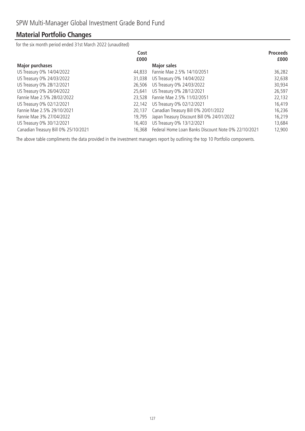# **Material Portfolio Changes**

for the six month period ended 31st March 2022 (unaudited)

|                                      | Cost<br>£000 |                                                     | <b>Proceeds</b><br>£000 |
|--------------------------------------|--------------|-----------------------------------------------------|-------------------------|
| <b>Major purchases</b>               |              | <b>Major sales</b>                                  |                         |
| US Treasury 0% 14/04/2022            | 44,833       | Fannie Mae 2.5% 14/10/2051                          | 36,282                  |
| US Treasury 0% 24/03/2022            | 31,038       | US Treasury 0% 14/04/2022                           | 32,638                  |
| US Treasury 0% 28/12/2021            | 26,506       | US Treasury 0% 24/03/2022                           | 30,934                  |
| US Treasury 0% 26/04/2022            | 25,641       | US Treasury 0% 28/12/2021                           | 26,597                  |
| Fannie Mae 2.5% 28/02/2022           | 23.528       | Fannie Mae 2.5% 11/02/2051                          | 22,132                  |
| US Treasury 0% 02/12/2021            | 22,142       | US Treasury 0% 02/12/2021                           | 16,419                  |
| Fannie Mae 2.5% 29/10/2021           | 20,137       | Canadian Treasury Bill 0% 20/01/2022                | 16,236                  |
| Fannie Mae 3% 27/04/2022             | 19,795       | Japan Treasury Discount Bill 0% 24/01/2022          | 16,219                  |
| US Treasury 0% 30/12/2021            | 16,403       | US Treasury 0% 13/12/2021                           | 13,684                  |
| Canadian Treasury Bill 0% 25/10/2021 | 16,368       | Federal Home Loan Banks Discount Note 0% 22/10/2021 | 12,900                  |

The above table compliments the data provided in the investment managers report by outlining the top 10 Portfolio components.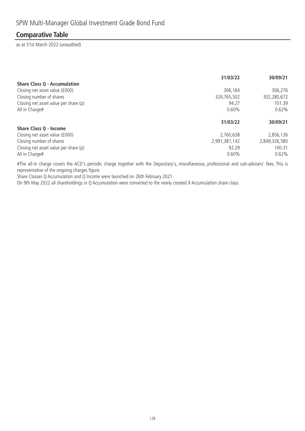### **Comparative Table**

as at 31st March 2022 (unaudited)

|                                       | 31/03/22      | 30/09/21      |
|---------------------------------------|---------------|---------------|
| <b>Share Class Q - Accumulation</b>   |               |               |
| Closing net asset value (£000)        | 306.164       | 306,276       |
| Closing number of shares              | 324,765,502   | 302,280,672   |
| Closing net asset value per share (p) | 94.27         | 101.39        |
| All in Charge#                        | 0.60%         | 0.62%         |
|                                       |               |               |
|                                       | 31/03/22      | 30/09/21      |
| Share Class Q - Income                |               |               |
| Closing net asset value (£000)        | 2,760,638     | 2,856,126     |
| Closing number of shares              | 2,991,381,142 | 2,849,326,580 |
| Closing net asset value per share (p) | 92.29         | 100.31        |

#The all-in charge covers the ACD's periodic charge together with the Depositary's, miscellaneous, professional and sub-advisers' fees. This is representative of the ongoing charges figure.

Share Classes Q Accumulation and Q Income were launched on 26th February 2021.

On 9th May 2022 all shareholdings in Q Accumulation were converted to the newly created X Accumulation share class.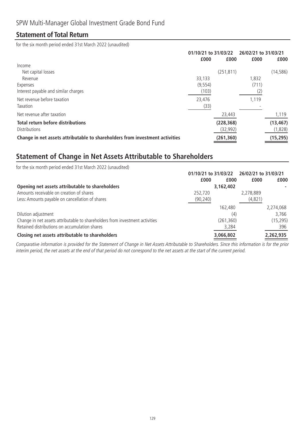### **Statement of Total Return**

for the six month period ended 31st March 2022 (unaudited)

|                                                                              | 01/10/21 to 31/03/22<br>£000 | £000       | 26/02/21 to 31/03/21<br>£000 | £000      |
|------------------------------------------------------------------------------|------------------------------|------------|------------------------------|-----------|
| Income                                                                       |                              |            |                              |           |
| Net capital losses                                                           |                              | (251, 811) |                              | (14, 586) |
| Revenue                                                                      | 33,133                       |            | 1,832                        |           |
| Expenses                                                                     | (9, 554)                     |            | (711)                        |           |
| Interest payable and similar charges                                         | (103)                        |            | (2)                          |           |
| Net revenue before taxation                                                  | 23,476                       |            | 1,119                        |           |
| Taxation                                                                     | (33)                         |            |                              |           |
| Net revenue after taxation                                                   |                              | 23,443     |                              | 1,119     |
| <b>Total return before distributions</b>                                     |                              | (228, 368) |                              | (13, 467) |
| <b>Distributions</b>                                                         |                              | (32, 992)  |                              | (1,828)   |
| Change in net assets attributable to shareholders from investment activities |                              | (261, 360) |                              | (15, 295) |

# **Statement of Change in Net Assets Attributable to Shareholders**

| for the six month period ended 31st March 2022 (unaudited)                   |                      |                      |           |
|------------------------------------------------------------------------------|----------------------|----------------------|-----------|
|                                                                              | 01/10/21 to 31/03/22 | 26/02/21 to 31/03/21 |           |
|                                                                              | £000<br>£000         | £000                 | £000      |
| Opening net assets attributable to shareholders                              | 3,162,402            |                      |           |
| Amounts receivable on creation of shares                                     | 252,720              | 2,278,889            |           |
| Less: Amounts payable on cancellation of shares                              | (90, 240)            | (4, 821)             |           |
|                                                                              | 162,480              |                      | 2,274,068 |
| Dilution adjustment                                                          | (4)                  |                      | 3,766     |
| Change in net assets attributable to shareholders from investment activities | (261, 360)           |                      | (15, 295) |
| Retained distributions on accumulation shares                                | 3,284                |                      | 396       |
| Closing net assets attributable to shareholders                              | 3,066,802            |                      | 2,262,935 |

Comparative information is provided for the Statement of Change in Net Assets Attributable to Shareholders. Since this information is for the prior interim period, the net assets at the end of that period do not correspond to the net assets at the start of the current period.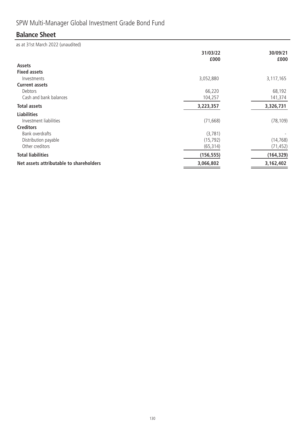# SPW Multi-Manager Global Investment Grade Bond Fund

# **Balance Sheet**

|                                         | 31/03/22<br>£000 | 30/09/21<br>£000 |
|-----------------------------------------|------------------|------------------|
| <b>Assets</b>                           |                  |                  |
| <b>Fixed assets</b>                     |                  |                  |
| Investments                             | 3,052,880        | 3,117,165        |
| <b>Current assets</b>                   |                  |                  |
| Debtors                                 | 66,220           | 68,192           |
| Cash and bank balances                  | 104,257          | 141,374          |
| <b>Total assets</b>                     | 3,223,357        | 3,326,731        |
| <b>Liabilities</b>                      |                  |                  |
| Investment liabilities                  | (71, 668)        | (78, 109)        |
| <b>Creditors</b>                        |                  |                  |
| Bank overdrafts                         | (3,781)          |                  |
| Distribution payable                    | (15, 792)        | (14, 768)        |
| Other creditors                         | (65, 314)        | (71, 452)        |
| <b>Total liabilities</b>                | (156, 555)       | (164, 329)       |
| Net assets attributable to shareholders | 3,066,802        | 3,162,402        |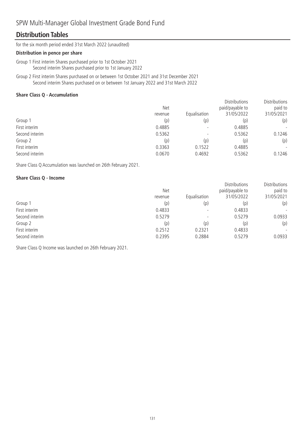### SPW Multi-Manager Global Investment Grade Bond Fund

### **Distribution Tables**

for the six month period ended 31st March 2022 (unaudited)

#### **Distribution in pence per share**

Group 1 First interim Shares purchased prior to 1st October 2021 Second interim Shares purchased prior to 1st January 2022

Group 2 First interim Shares purchased on or between 1st October 2021 and 31st December 2021 Second interim Shares purchased on or between 1st January 2022 and 31st March 2022

#### **Share Class Q - Accumulation**

|                | <b>Net</b><br>revenue | Equalisation             | <b>Distributions</b><br>paid/payable to<br>31/05/2022 | <b>Distributions</b><br>paid to<br>31/05/2021 |
|----------------|-----------------------|--------------------------|-------------------------------------------------------|-----------------------------------------------|
| Group 1        | (p)                   | (p)                      | (p)                                                   | (p)                                           |
| First interim  | 0.4885                |                          | 0.4885                                                | $\overline{\phantom{a}}$                      |
| Second interim | 0.5362                | $\overline{\phantom{0}}$ | 0.5362                                                | 0.1246                                        |
| Group 2        | (p)                   | (p)                      | (p)                                                   | (p)                                           |
| First interim  | 0.3363                | 0.1522                   | 0.4885                                                | $\overline{\phantom{a}}$                      |
| Second interim | 0.0670                | 0.4692                   | 0.5362                                                | 0.1246                                        |

Share Class Q Accumulation was launched on 26th February 2021.

#### **Share Class Q - Income**

|                | <b>Net</b><br>revenue | Equalisation             | <b>Distributions</b><br>paid/payable to<br>31/05/2022 | Distributions<br>paid to<br>31/05/2021 |
|----------------|-----------------------|--------------------------|-------------------------------------------------------|----------------------------------------|
| Group 1        | (p)                   | (p)                      | (p)                                                   | (p)                                    |
| First interim  | 0.4833                |                          | 0.4833                                                | $\overline{\phantom{a}}$               |
| Second interim | 0.5279                | $\overline{\phantom{0}}$ | 0.5279                                                | 0.0933                                 |
| Group 2        | (p)                   | (p)                      | (p)                                                   | (p)                                    |
| First interim  | 0.2512                | 0.2321                   | 0.4833                                                | $\overline{\phantom{a}}$               |
| Second interim | 0.2395                | 0.2884                   | 0.5279                                                | 0.0933                                 |

Share Class Q Income was launched on 26th February 2021.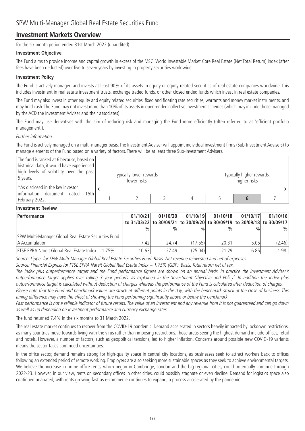### **Investment Markets Overview**

for the six month period ended 31st March 2022 (unaudited)

#### **Investment Objective**

The Fund aims to provide income and capital growth in excess of the MSCI World Investable Market Core Real Estate (Net Total Return) index (after fees have been deducted) over five to seven years by investing in property securities worldwide.

#### **Investment Policy**

The Fund is actively managed and invests at least 90% of its assets in equity or equity related securities of real estate companies worldwide. This includes investment in real estate investment trusts, exchange traded funds, or other closed ended funds which invest in real estate companies.

The Fund may also invest in other equity and equity related securities, fixed and floating rate securities, warrants and money market instruments, and may hold cash.The Fund may not invest more than 10% of its assets in open-ended collective investment schemes (which may include those managed by the ACD the Investment Adviser and their associates).

The Fund may use derivatives with the aim of reducing risk and managing the Fund more efficiently (often referred to as 'efficient portfolio management').

#### Further information

The Fund is actively managed on a multi-manager basis. The Investment Adviser will appoint individual investment firms (Sub-Investment Advisers) to manage elements of the Fund based on a variety of factors. There will be at least three Sub-Investment Advisers.

| The fund is ranked at 6 because, based on<br>historical data, it would have experienced<br>high levels of volatility over the past<br>5 years. | Typically lower rewards,<br>lower risks |  | Typically higher rewards,<br>higher risks |  |
|------------------------------------------------------------------------------------------------------------------------------------------------|-----------------------------------------|--|-------------------------------------------|--|
| *As disclosed in the key investor<br>information document<br>dated<br>15th                                                                     |                                         |  |                                           |  |
| February 2022.                                                                                                                                 |                                         |  |                                           |  |

#### **Investment Review**

| <b>Performance</b>                                       | 01/10/21 | 01/10/20      | 01/10/19      | 01/10/18                                                                | 01/10/17      | 01/10/16 |
|----------------------------------------------------------|----------|---------------|---------------|-------------------------------------------------------------------------|---------------|----------|
|                                                          |          |               |               | to 31/03/22 to 30/09/21 to 30/09/20 to 30/09/19 to 30/09/18 to 30/09/17 |               |          |
|                                                          | $\%$     | $\frac{0}{0}$ | $\frac{0}{n}$ | $\frac{0}{0}$                                                           | $\frac{0}{0}$ | $\%$     |
| SPW Multi-Manager Global Real Estate Securities Fund     |          |               |               |                                                                         |               |          |
| A Accumulation                                           | 7.42     | 24.74         | (17.55)       | 20.31                                                                   | 5.05          | (2.46)   |
| <b>FTSE EPRA Nareit Global Real Estate Index + 1.75%</b> | 10.63    | 27.49         | (25.04)       | 21.29                                                                   | 6.85          | 1.98     |

Source: Lipper for SPW Multi-Manager Global Real Estate Securities Fund. Basis: Net revenue reinvested and net of expenses.

Source: Financial Express for FTSE EPRA Nareit Global Real Estate Index + 1.75% (GBP). Basis: Total return net of tax.

The Index plus outperformance target and the Fund performance figures are shown on an annual basis. In practice the Investment Adviser's outperformance target applies over rolling 3 year periods, as explained in the 'Investment Objective and Policy'. In addition the Index plus outperformance target is calculated without deduction of charges whereas the performance of the Fund is calculated after deduction of charges.

Please note that the Fund and benchmark values are struck at different points in the day, with the benchmark struck at the close of business. This timing difference may have the effect of showing the Fund performing significantly above or below the benchmark.

Past performance is not a reliable indicator of future results. The value of an investment and any revenue from it is not guaranteed and can go down as well as up depending on investment performance and currency exchange rates.

The fund returned 7.4% in the six months to 31 March 2022.

The real estate market continues to recover from the COVID-19 pandemic. Demand accelerated in sectors heavily impacted by lockdown restrictions, as many countries move towards living with the virus rather than imposing restrictions. Those areas seeing the highest demand include offices, retail and hotels. However, a number of factors, such as geopolitical tensions, led to higher inflation. Concerns around possible new COVID-19 variants means the sector faces continued uncertainties.

In the office sector, demand remains strong for high-quality space in central city locations, as businesses seek to attract workers back to offices following an extended period of remote working. Employers are also seeking more sustainable spaces as they seek to achieve environmental targets. We believe the increase in prime office rents, which began in Cambridge, London and the big regional cities, could potentially continue through 2022-23. However, in our view, rents on secondary offices in other cities, could possibly stagnate or even decline. Demand for logistics space also continued unabated, with rents growing fast as e-commerce continues to expand, a process accelerated by the pandemic.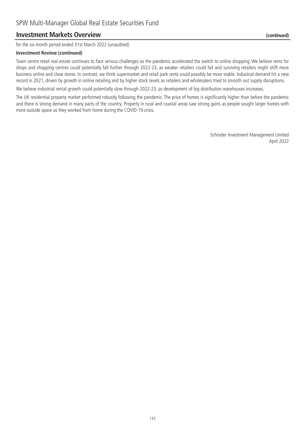### **Investment Markets Overview (continued)**

for the six month period ended 31st March 2022 (unaudited)

#### **Investment Review (continued)**

Town centre retail real estate continues to face serious challenges as the pandemic accelerated the switch to online shopping. We believe rents for shops and shopping centres could potentially fall further through 2022-23, as weaker retailers could fail and surviving retailers might shift more business online and close stores. In contrast, we think supermarket and retail park rents could possibly be more stable. Industrial demand hit a new record in 2021, driven by growth in online retailing and by higher stock levels as retailers and wholesalers tried to smooth out supply disruptions.

We believe industrial rental growth could potentially slow through 2022-23, as development of big distribution warehouses increases.

The UK residential property market performed robustly following the pandemic. The price of homes is significantly higher than before the pandemic and there is strong demand in many parts of the country. Property in rural and coastal areas saw strong gains as people sought larger homes with more outside space as they worked from home during the COVID-19 crisis.

> Schroder Investment Management Limited April 2022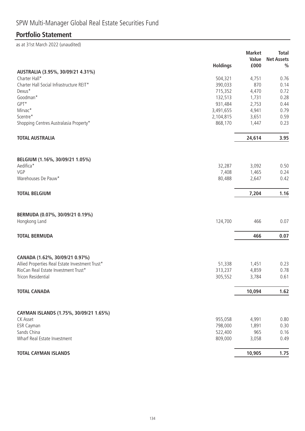# SPW Multi-Manager Global Real Estate Securities Fund

# **Portfolio Statement**

|                                                           |                 | <b>Market</b>  | <b>Total</b>      |
|-----------------------------------------------------------|-----------------|----------------|-------------------|
|                                                           |                 | Value          | <b>Net Assets</b> |
|                                                           | <b>Holdings</b> | £000           | $\frac{0}{0}$     |
| AUSTRALIA (3.95%, 30/09/21 4.31%)                         |                 |                |                   |
| Charter Hall*                                             | 504,321         | 4,751          | 0.76              |
| Charter Hall Social Infrastructure REIT*                  | 390,033         | 870            | 0.14              |
| Dexus*                                                    | 715,352         | 4,470          | 0.72              |
| Goodman*                                                  | 132,513         | 1,731          | 0.28              |
| GPT*                                                      | 931,484         | 2,753          | 0.44              |
| Mirvac*                                                   | 3,491,655       | 4,941          | 0.79              |
| Scentre*                                                  | 2,104,815       | 3,651          | 0.59              |
| Shopping Centres Australasia Property*                    | 868,170         | 1,447          | 0.23              |
| <b>TOTAL AUSTRALIA</b>                                    |                 | 24,614         | 3.95              |
|                                                           |                 |                |                   |
| BELGIUM (1.16%, 30/09/21 1.05%)                           |                 |                |                   |
| Aedifica*                                                 | 32,287          | 3,092          | 0.50              |
| VGP                                                       | 7,408           | 1,465          | 0.24              |
| Warehouses De Pauw*                                       | 80,488          | 2,647          | 0.42              |
| <b>TOTAL BELGIUM</b>                                      |                 | 7,204          | 1.16              |
| BERMUDA (0.07%, 30/09/21 0.19%)<br>Hongkong Land          | 124,700         | 466            | 0.07              |
| <b>TOTAL BERMUDA</b>                                      |                 | 466            | 0.07              |
| CANADA (1.62%, 30/09/21 0.97%)                            |                 |                |                   |
| Allied Properties Real Estate Investment Trust*           | 51,338          | 1,451          | 0.23              |
| RioCan Real Estate Investment Trust*                      | 313,237         | 4,859          | 0.78              |
| Tricon Residential                                        | 305,552         | 3,784          | 0.61              |
| <b>TOTAL CANADA</b>                                       |                 | 10,094         | 1.62              |
|                                                           |                 |                |                   |
| CAYMAN ISLANDS (1.75%, 30/09/21 1.65%)<br><b>CK Asset</b> | 955,058         |                | 0.80              |
| <b>ESR Cayman</b>                                         | 798,000         | 4,991<br>1,891 | 0.30              |
| Sands China                                               | 522,400         | 965            | 0.16              |
| Wharf Real Estate Investment                              | 809,000         |                | 0.49              |
|                                                           |                 | 3,058          |                   |
| <b>TOTAL CAYMAN ISLANDS</b>                               |                 | 10,905         | 1.75              |
|                                                           |                 |                |                   |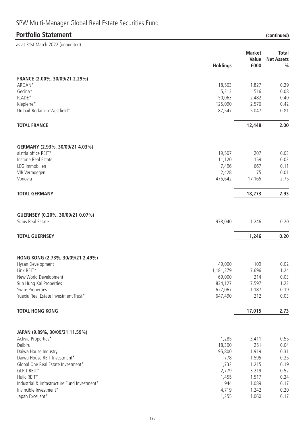# SPW Multi-Manager Global Real Estate Securities Fund

### **Portfolio Statement (continued)**

| as at 31st March 2022 (unaudited)                    |                  |                |                   |
|------------------------------------------------------|------------------|----------------|-------------------|
|                                                      |                  | <b>Market</b>  | <b>Total</b>      |
|                                                      |                  | Value          | <b>Net Assets</b> |
|                                                      | <b>Holdings</b>  | £000           | $\frac{0}{0}$     |
| FRANCE (2.00%, 30/09/21 2.29%)                       |                  |                |                   |
| ARGAN*                                               | 18,503           | 1,827          | 0.29              |
| Gecina*                                              | 5,313            | 516            | 0.08              |
| ICADE*                                               | 50,063           | 2,482          | 0.40              |
| Klepierre*                                           | 125,090          | 2,576          | 0.42              |
| Unibail-Rodamco-Westfield*                           | 87,547           | 5,047          | 0.81              |
| <b>TOTAL FRANCE</b>                                  |                  | 12,448         | 2.00              |
| GERMANY (2.93%, 30/09/21 4.03%)                      |                  |                |                   |
| alstria office REIT*                                 | 19,507           | 207            | 0.03              |
| Instone Real Estate                                  | 11,120           | 159            | 0.03              |
| LEG Immobilien                                       | 7,496            | 667            | 0.11              |
| VIB Vermoegen                                        | 2,428            | 75             | 0.01              |
| Vonovia                                              | 475,642          | 17,165         | 2.75              |
| <b>TOTAL GERMANY</b>                                 |                  | 18,273         | 2.93              |
|                                                      |                  |                |                   |
| GUERNSEY (0.20%, 30/09/21 0.07%)                     |                  |                |                   |
| Sirius Real Estate                                   | 978,040          | 1,246          | 0.20              |
| <b>TOTAL GUERNSEY</b>                                |                  | 1,246          | 0.20              |
|                                                      |                  |                |                   |
| HONG KONG (2.73%, 30/09/21 2.49%)                    |                  |                |                   |
| Hysan Development                                    | 49,000           | 109            | 0.02              |
| Link REIT*                                           | 1,181,279        | 7,696          | 1.24              |
| New World Development                                | 69,000           | 214            | 0.03              |
| Sun Hung Kai Properties                              | 834,127          | 7,597          | 1.22              |
| Swire Properties                                     | 627,067          | 1,187          | 0.19              |
| Yuexiu Real Estate Investment Trust*                 | 647,490          | 212            | 0.03              |
| <b>TOTAL HONG KONG</b>                               |                  | 17,015         | 2.73              |
|                                                      |                  |                |                   |
| JAPAN (9.89%, 30/09/21 11.59%)                       |                  |                |                   |
| Activia Properties*<br>Daibiru                       | 1,285            | 3,411<br>251   | 0.55              |
|                                                      | 18,300<br>95,800 |                | 0.04<br>0.31      |
| Daiwa House Industry<br>Daiwa House REIT Investment* | 778              | 1,919<br>1,595 | 0.25              |
| Global One Real Estate Investment*                   | 1,732            | 1,215          | 0.19              |
| GLP J-REIT*                                          | 2,779            | 3,219          | 0.52              |
| Hulic REIT*                                          | 1,455            | 1,517          | 0.24              |
| Industrial & Infrastructure Fund Investment*         | 944              | 1,089          | 0.17              |
| Invincible Investment*                               | 4,719            | 1,242          | 0.20              |
| Japan Excellent*                                     | 1,255            | 1,060          | 0.17              |
|                                                      |                  |                |                   |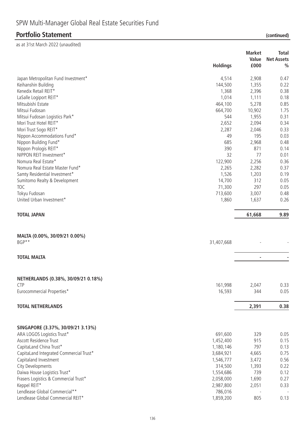|                                                                 | <b>Holdings</b> | <b>Market</b><br>Value<br>£000 | <b>Total</b><br><b>Net Assets</b><br>$\frac{0}{0}$ |
|-----------------------------------------------------------------|-----------------|--------------------------------|----------------------------------------------------|
| Japan Metropolitan Fund Investment*                             | 4,514           | 2,908                          | 0.47                                               |
| Keihanshin Building                                             | 144,500         | 1,355                          | 0.22                                               |
| Kenedix Retail REIT*                                            | 1,368           | 2,396                          | 0.38                                               |
| LaSalle Logiport REIT*                                          | 1,014           | 1,111                          | 0.18                                               |
| Mitsubishi Estate                                               | 464,100         | 5,278                          | 0.85                                               |
| Mitsui Fudosan                                                  | 664,700         | 10,902                         | 1.75                                               |
| Mitsui Fudosan Logistics Park*                                  | 544             | 1,955                          | 0.31                                               |
| Mori Trust Hotel REIT*                                          | 2,652           | 2,094                          | 0.34                                               |
| Mori Trust Sogo REIT*                                           | 2,287           | 2,046                          | 0.33                                               |
| Nippon Accommodations Fund*                                     | 49              | 195                            | 0.03                                               |
| Nippon Building Fund*                                           | 685             | 2,968                          | 0.48                                               |
| Nippon Prologis REIT*                                           | 390             | 871                            | 0.14                                               |
| NIPPON REIT Investment*                                         | 32              | 77                             | 0.01                                               |
| Nomura Real Estate*                                             | 122,900         | 2,256                          | 0.36                                               |
| Nomura Real Estate Master Fund*                                 | 2,265           | 2,282                          | 0.37                                               |
| Samty Residential Investment*                                   | 1,526           | 1,203                          | 0.19                                               |
| Sumitomo Realty & Development                                   | 14,700          | 312                            | 0.05                                               |
| <b>TOC</b>                                                      | 71,300          | 297                            | 0.05                                               |
| Tokyu Fudosan                                                   | 713,600         | 3,007                          | 0.48                                               |
| United Urban Investment*                                        | 1,860           | 1,637                          | 0.26                                               |
| <b>TOTAL JAPAN</b>                                              |                 | 61,668                         | 9.89                                               |
| MALTA (0.00%, 30/09/21 0.00%)<br>BGP**                          | 31,407,668      |                                |                                                    |
| <b>TOTAL MALTA</b>                                              |                 | $\overline{a}$                 |                                                    |
| NETHERLANDS (0.38%, 30/09/21 0.18%)<br><b>CTP</b>               | 161,998         | 2,047                          | 0.33                                               |
| Eurocommercial Properties*                                      | 16,593          | 344                            | 0.05                                               |
|                                                                 |                 |                                |                                                    |
| <b>TOTAL NETHERLANDS</b>                                        |                 | 2,391                          | 0.38                                               |
|                                                                 |                 |                                |                                                    |
| SINGAPORE (3.37%, 30/09/21 3.13%)<br>ARA LOGOS Logistics Trust* | 691,600         | 329                            | 0.05                                               |
| Ascott Residence Trust                                          | 1,452,400       | 915                            | 0.15                                               |
| CapitaLand China Trust*                                         | 1,180,146       | 797                            | 0.13                                               |
| CapitaLand Integrated Commercial Trust*                         | 3,684,921       | 4,665                          | 0.75                                               |
| Capitaland Investment                                           | 1,546,777       | 3,472                          | 0.56                                               |
| City Developments                                               | 314,500         | 1,393                          | 0.22                                               |
| Daiwa House Logistics Trust*                                    | 1,554,686       | 739                            | 0.12                                               |
| Frasers Logistics & Commercial Trust*                           | 2,058,000       | 1,690                          | 0.27                                               |
| Keppel REIT*                                                    | 2,987,800       | 2,051                          | 0.33                                               |
| Lendlease Global Commercial**                                   | 786,016         |                                |                                                    |
| Lendlease Global Commercial REIT*                               | 1,859,200       | 805                            | 0.13                                               |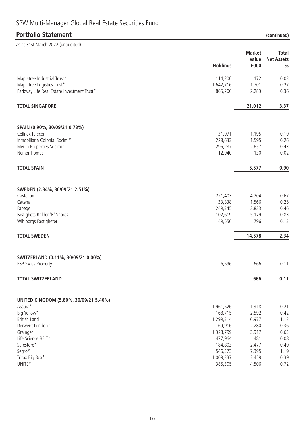# SPW Multi-Manager Global Real Estate Securities Fund

# **Portfolio Statement**

| (continued) |  |
|-------------|--|
|             |  |

| as at 31st March 2022 (unaudited)          |                      |                |                   |
|--------------------------------------------|----------------------|----------------|-------------------|
|                                            |                      | <b>Market</b>  | <b>Total</b>      |
|                                            |                      | Value          | <b>Net Assets</b> |
|                                            | <b>Holdings</b>      | £000           | $\frac{0}{0}$     |
| Mapletree Industrial Trust*                | 114,200              | 172            | 0.03              |
| Mapletree Logistics Trust*                 | 1,642,716            | 1,701          | 0.27              |
| Parkway Life Real Estate Investment Trust* | 865,200              | 2,283          | 0.36              |
| <b>TOTAL SINGAPORE</b>                     |                      | 21,012         | 3.37              |
| SPAIN (0.90%, 30/09/21 0.73%)              |                      |                |                   |
| Cellnex Telecom                            | 31,971               | 1,195          | 0.19              |
| Inmobiliaria Colonial Socimi*              | 228,633              | 1,595          | 0.26              |
| Merlin Properties Socimi*                  | 296,287              | 2,657          | 0.43              |
| Neinor Homes                               | 12,940               | 130            | 0.02              |
| <b>TOTAL SPAIN</b>                         |                      | 5,577          | 0.90              |
|                                            |                      |                |                   |
| SWEDEN (2.34%, 30/09/21 2.51%)             |                      |                |                   |
| Castellum                                  | 221,403              | 4,204          | 0.67              |
| Catena                                     | 33,838               | 1,566          | 0.25              |
| Fabege                                     | 249,345              | 2,833          | 0.46              |
| Fastighets Balder 'B' Shares               | 102,619              | 5,179          | 0.83              |
| Wihlborgs Fastigheter                      | 49,556               | 796            | 0.13              |
| <b>TOTAL SWEDEN</b>                        |                      | 14,578         | 2.34              |
| SWITZERLAND (0.11%, 30/09/21 0.00%)        |                      |                |                   |
| PSP Swiss Property                         | 6,596                | 666            | 0.11              |
| <b>TOTAL SWITZERLAND</b>                   |                      | 666            | 0.11              |
|                                            |                      |                |                   |
| UNITED KINGDOM (5.80%, 30/09/21 5.40%)     |                      |                |                   |
| Assura*                                    | 1,961,526            | 1,318          | 0.21              |
| Big Yellow*                                | 168,715              | 2,592          | 0.42              |
| <b>British Land</b>                        | 1,299,314            | 6,977          | 1.12              |
| Derwent London*                            | 69,916               | 2,280<br>3,917 | 0.36              |
| Grainger<br>Life Science REIT*             | 1,328,799<br>477,964 | 481            | 0.63<br>0.08      |
| Safestore*                                 | 184,803              | 2,477          | 0.40              |
| Segro*                                     | 546,373              | 7,395          | 1.19              |
| Tritax Big Box*                            | 1,009,337            | 2,459          | 0.39              |
| $\ensuremath{\mathsf{UNITE}}^\star$        | 385,305              | 4,506          | 0.72              |
|                                            |                      |                |                   |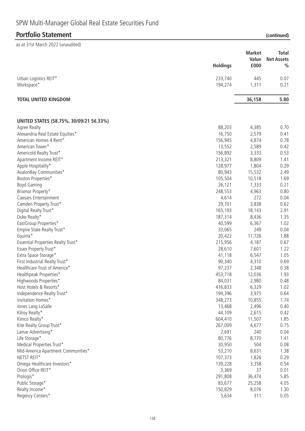# SPW Multi-Manager Global Real Estate Securities Fund

### **Portfolio Statement (continued)**

|                                         | <b>Holdings</b> | <b>Market</b><br>Value<br>£000 | <b>Total</b><br><b>Net Assets</b><br>$\frac{0}{0}$ |
|-----------------------------------------|-----------------|--------------------------------|----------------------------------------------------|
| Urban Logistics REIT*                   | 233,740         | 445                            | 0.07                                               |
| Workspace*                              | 194,274         | 1,311                          | 0.21                                               |
| <b>TOTAL UNITED KINGDOM</b>             |                 | 36,158                         | 5.80                                               |
| UNITED STATES (58.75%, 30/09/21 56.33%) |                 |                                |                                                    |
| Agree Realty                            | 88,203          | 4,385                          | 0.70                                               |
| Alexandria Real Estate Equities*        | 16,750          | 2,579                          | 0.41                                               |
| American Homes 4 Rent*                  | 156,945         | 4,874                          | 0.78                                               |
| American Tower*                         | 13,552          | 2,589                          | 0.42                                               |
| Americold Realty Trust*                 | 156,892         | 3,333                          | 0.53                                               |
| Apartment Income REIT*                  | 213,321         | 8,809                          | 1.41                                               |
| Apple Hospitality*                      | 128,977         | 1,804                          | 0.29                                               |
| AvalonBay Communities*                  | 80,943          | 15,532                         | 2.49                                               |
| Boston Properties*                      | 105,504         | 10,518                         | 1.69                                               |
| <b>Boyd Gaming</b>                      | 26,121          | 1,333                          | 0.21                                               |
| Brixmor Property*                       | 248,553         | 4,963                          | 0.80                                               |
| Caesars Entertainment                   | 4,614           | 272                            | 0.04                                               |
| Camden Property Trust*                  | 29,701          | 3,838                          | 0.62                                               |
| Digital Realty Trust*                   | 165,193         | 18,143                         | 2.91                                               |
| Duke Realty*                            | 187,314         | 8,436                          | 1.35                                               |
| EastGroup Properties*                   | 40,599          | 6,367                          | 1.02                                               |
| Empire State Realty Trust*              | 33,065          | 249                            | 0.04                                               |
| Equinix*                                | 20,422          | 11,726                         | 1.88                                               |
| Essential Properties Realty Trust*      | 215,956         | 4,187                          | 0.67                                               |
| Essex Property Trust*                   | 28,610          | 7,601                          | 1.22                                               |
| Extra Space Storage*                    | 41,118          | 6,547                          | 1.05                                               |
| First Industrial Realty Trust*          | 90,340          | 4,310                          | 0.69                                               |
| Healthcare Trust of America*            | 97,237          | 2,348                          | 0.38                                               |
| Healthpeak Properties*                  | 453,718         | 12,036                         | 1.93                                               |
| Highwoods Properties*                   | 84,031          | 2,980                          | 0.48                                               |
| Host Hotels & Resorts*                  | 416,833         | 6,329                          | 1.02                                               |
| Independence Realty Trust*              | 194,396         | 3,975                          | 0.64                                               |
| Invitation Homes*                       | 348,273         | 10,855                         | 1.74                                               |
| Jones Lang LaSalle                      | 13,468          | 2,496                          | 0.40                                               |
| Kilroy Realty*                          | 44,109          | 2,615                          | 0.42                                               |
| Kimco Realty*                           | 604,410         | 11,507                         | 1.85                                               |
| Kite Realty Group Trust*                | 267,009         | 4,677                          | 0.75                                               |
| Lamar Advertising*                      | 2,691           | 240                            | 0.04                                               |
| Life Storage*                           | 80,776          | 8,770                          | 1.41                                               |
| Medical Properties Trust*               | 30,950          | 504                            | 0.08                                               |
| Mid-America Apartment Communities*      | 53,210          | 8,631                          | 1.38                                               |
| NETST REIT*                             | 107,373         | 1,826                          | 0.29                                               |
| Omega Healthcare Investors*             | 139,228         | 3,358                          | 0.54                                               |
| Orion Office REIT*                      | 3,369           | 37                             | 0.01                                               |
| Prologis*                               | 291,808         | 36,474                         | 5.85                                               |
| Public Storage*                         | 83,677          | 25,258                         | 4.05                                               |
| Realty Income*                          | 150,829         | 8,076                          | 1.30                                               |
| Regency Centers*                        | 5,634           | 311                            | 0.05                                               |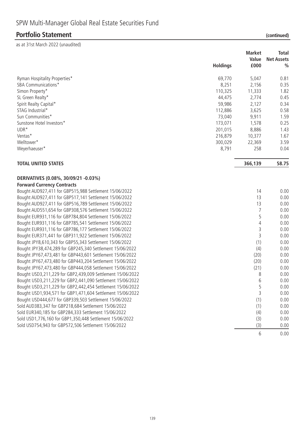|                                                                                                                  |                 | <b>Market</b>  | <b>Total</b>      |
|------------------------------------------------------------------------------------------------------------------|-----------------|----------------|-------------------|
|                                                                                                                  |                 | Value          | <b>Net Assets</b> |
|                                                                                                                  | <b>Holdings</b> | £000           | $\frac{0}{0}$     |
| Ryman Hospitality Properties*                                                                                    | 69,770          | 5,047          | 0.81              |
| <b>SBA Communications*</b>                                                                                       | 8,251           | 2,156          | 0.35              |
| Simon Property*                                                                                                  | 110,325         | 11,333         | 1.82              |
| SL Green Realty*                                                                                                 | 44,475          | 2,774          | 0.45              |
| Spirit Realty Capital*                                                                                           | 59,986          | 2,127          | 0.34              |
| STAG Industrial*                                                                                                 | 112,886         | 3,625          | 0.58              |
| Sun Communities*                                                                                                 | 73,040          | 9,911          | 1.59              |
| Sunstone Hotel Investors*                                                                                        | 173,071         | 1,578          | 0.25              |
| UDR*                                                                                                             | 201,015         | 8,886          | 1.43              |
| Ventas*                                                                                                          | 216,879         | 10,377         | 1.67              |
| Welltower*                                                                                                       | 300,029         | 22,369         | 3.59              |
| Weyerhaeuser*                                                                                                    | 8,791           | 258            | 0.04              |
| <b>TOTAL UNITED STATES</b>                                                                                       |                 | 366,139        | 58.75             |
| DERIVATIVES (0.08%, 30/09/21 -0.03%)<br><b>Forward Currency Contracts</b>                                        |                 |                |                   |
| Bought AUD927,411 for GBP515,988 Settlement 15/06/2022                                                           |                 | 14             | 0.00              |
|                                                                                                                  |                 | 13             | 0.00              |
| Bought AUD927,411 for GBP517,141 Settlement 15/06/2022                                                           |                 | 13             | 0.00              |
| Bought AUD927,411 for GBP516,789 Settlement 15/06/2022<br>Bought AUD551,654 for GBP308,576 Settlement 15/06/2022 |                 | 7              | 0.00              |
| Bought EUR931,116 for GBP784,804 Settlement 15/06/2022                                                           |                 | 5              | 0.00              |
|                                                                                                                  |                 | $\overline{4}$ | 0.00              |
| Bought EUR931,116 for GBP785,541 Settlement 15/06/2022                                                           |                 | 3              |                   |
| Bought EUR931,116 for GBP786,177 Settlement 15/06/2022                                                           |                 | $\overline{3}$ | 0.00              |
| Bought EUR371,441 for GBP311,922 Settlement 15/06/2022                                                           |                 |                | 0.00              |
| Bought JPY8,610,343 for GBP55,343 Settlement 15/06/2022                                                          |                 | (1)            | 0.00              |
| Bought JPY38,474,289 for GBP245,340 Settlement 15/06/2022                                                        |                 | (4)            | 0.00              |
| Bought JPY67,473,481 for GBP443,601 Settlement 15/06/2022                                                        |                 | (20)           | 0.00              |
| Bought JPY67,473,480 for GBP443,204 Settlement 15/06/2022                                                        |                 | (20)           | 0.00              |
| Bought JPY67,473,480 for GBP444,058 Settlement 15/06/2022                                                        |                 | (21)           | 0.00              |
| Bought USD3,211,229 for GBP2,439,009 Settlement 15/06/2022                                                       |                 | 8              | 0.00              |
| Bought USD3,211,229 for GBP2,441,090 Settlement 15/06/2022                                                       |                 | 6              | 0.00              |
| Bought USD3,211,229 for GBP2,442,454 Settlement 15/06/2022                                                       |                 | 5              | 0.00              |
| Bought USD1,934,571 for GBP1,471,604 Settlement 15/06/2022                                                       |                 | 3              | 0.00              |
| Bought USD444,677 for GBP339,503 Settlement 15/06/2022                                                           |                 | (1)            | 0.00              |
| Sold AUD383,347 for GBP218,684 Settlement 15/06/2022                                                             |                 | (1)            | 0.00              |
| Sold EUR340, 185 for GBP284, 333 Settlement 15/06/2022                                                           |                 | (4)            | 0.00              |
| Sold USD1,776,160 for GBP1,350,448 Settlement 15/06/2022                                                         |                 | (3)            | 0.00              |
| Sold USD754,943 for GBP572,506 Settlement 15/06/2022                                                             |                 | (3)            | 0.00              |
|                                                                                                                  |                 | 6              | 0.00              |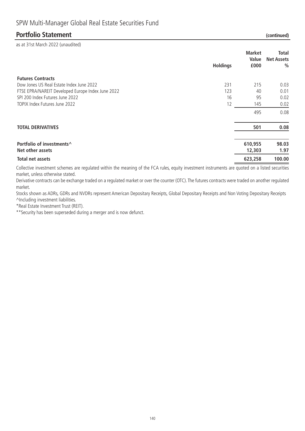| as at 31st March 2022 (unaudited)                 |                 | <b>Market</b><br>Value | <b>Total</b><br><b>Net Assets</b> |
|---------------------------------------------------|-----------------|------------------------|-----------------------------------|
|                                                   | <b>Holdings</b> | £000                   | $\frac{0}{0}$                     |
| <b>Futures Contracts</b>                          |                 |                        |                                   |
| Dow Jones US Real Estate Index June 2022          | 231             | 215                    | 0.03                              |
| FTSE EPRA/NAREIT Developed Europe Index June 2022 | 123             | 40                     | 0.01                              |
| SPI 200 Index Futures June 2022                   | 16              | 95                     | 0.02                              |
| TOPIX Index Futures June 2022                     | 12              | 145                    | 0.02                              |
|                                                   |                 | 495                    | 0.08                              |
| <b>TOTAL DERIVATIVES</b>                          |                 | 501                    | 0.08                              |

| Portfolio of investments <sup>^</sup> | 610.955 | 98.03  |
|---------------------------------------|---------|--------|
| Net other assets                      | 12,303  | 1.97   |
| Total net assets                      | 623.258 | 100.00 |

Collective investment schemes are regulated within the meaning of the FCA rules, equity investment instruments are quoted on a listed securities market, unless otherwise stated.

Derivative contracts can be exchange traded on a regulated market or over the counter (OTC). The futures contracts were traded on another regulated market.

Stocks shown as ADRs, GDRs and NVDRs represent American Depositary Receipts, Global Depositary Receipts and Non Voting Depositary Receipts ^Including investment liabilities.

\*Real Estate Investment Trust (REIT).

\*\*Security has been superseded during a merger and is now defunct.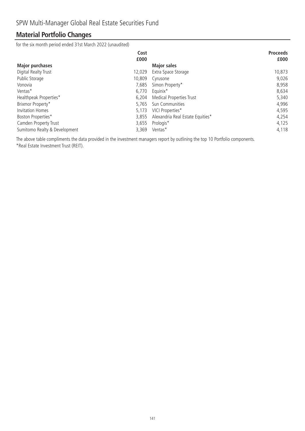# **Material Portfolio Changes**

for the six month period ended 31st March 2022 (unaudited)

|                               | Cost   |                                  | <b>Proceeds</b> |
|-------------------------------|--------|----------------------------------|-----------------|
|                               | £000   |                                  | £000            |
| <b>Major purchases</b>        |        | <b>Major sales</b>               |                 |
| Digital Realty Trust          | 12.029 | Extra Space Storage              | 10,873          |
| Public Storage                | 10,809 | Cyrusone                         | 9,026           |
| Vonovia                       | 7.685  | Simon Property*                  | 8,958           |
| Ventas*                       | 6.770  | Equinix <sup>*</sup>             | 8,634           |
| Healthpeak Properties*        | 6.204  | <b>Medical Properties Trust</b>  | 5,340           |
| Brixmor Property*             | 5.765  | Sun Communities                  | 4,996           |
| <b>Invitation Homes</b>       | 5.173  | VICI Properties*                 | 4,595           |
| Boston Properties*            | 3,855  | Alexandria Real Estate Equities* | 4,254           |
| Camden Property Trust         | 3,655  | Prologis*                        | 4,125           |
| Sumitomo Realty & Development | 3,369  | Ventas*                          | 4,118           |

The above table compliments the data provided in the investment managers report by outlining the top 10 Portfolio components. \*Real Estate Investment Trust (REIT).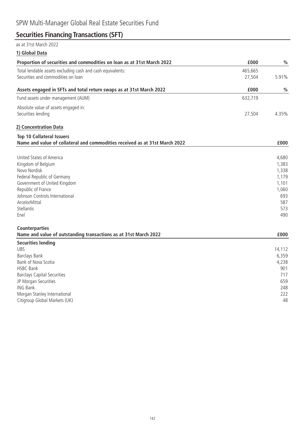# **Securities Financing Transactions (SFT)**

### $\frac{1}{21}$ ct March 2022

| as at 3 ist March 2022                                                                                          |         |                |
|-----------------------------------------------------------------------------------------------------------------|---------|----------------|
| 1) Global Data                                                                                                  |         |                |
| Proportion of securities and commodities on loan as at 31st March 2022                                          | £000    | $\frac{0}{0}$  |
| Total lendable assets excluding cash and cash equivalents:                                                      | 465,665 |                |
| Securities and commodities on loan                                                                              | 27,504  | 5.91%          |
| Assets engaged in SFTs and total return swaps as at 31st March 2022                                             | £000    | $\frac{0}{0}$  |
| Fund assets under management (AUM)                                                                              | 632,719 |                |
| Absolute value of assets engaged in:                                                                            |         |                |
| Securities lending                                                                                              | 27,504  | 4.35%          |
| 2) Concentration Data                                                                                           |         |                |
| <b>Top 10 Collateral Issuers</b><br>Name and value of collateral and commodities received as at 31st March 2022 |         | £000           |
|                                                                                                                 |         |                |
| United States of America                                                                                        |         | 4,680          |
| Kingdom of Belgium<br>Novo Nordisk                                                                              |         | 1,383<br>1,338 |
| Federal Republic of Germany                                                                                     |         | 1,179          |
| Government of United Kingdom                                                                                    |         | 1,101          |
| Republic of France                                                                                              |         | 1,060          |
| Johnson Controls International                                                                                  |         | 693            |
| ArcelorMittal                                                                                                   |         | 587            |
| <b>Stellantis</b>                                                                                               |         | 573            |
| Enel                                                                                                            |         | 490            |
| <b>Counterparties</b>                                                                                           |         |                |
| Name and value of outstanding transactions as at 31st March 2022                                                |         | £000           |
| <b>Securities lending</b>                                                                                       |         |                |
| <b>UBS</b>                                                                                                      |         | 14,112         |
| Barclays Bank<br>Bank of Nova Scotia                                                                            |         | 6,359<br>4,238 |
| <b>HSBC Bank</b>                                                                                                |         | 901            |
| <b>Barclays Capital Securities</b>                                                                              |         | 717            |
| JP Morgan Securities                                                                                            |         | 659            |
| <b>ING Bank</b>                                                                                                 |         | 248            |
| Morgan Stanley International                                                                                    |         | 222            |
| Citigroup Global Markets (UK)                                                                                   |         | 48             |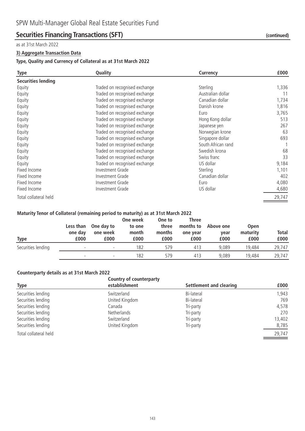### **Securities Financing Transactions (SFT)** *(continued)* (continued)

#### as at 31st March 2022

#### **3) Aggregate Transaction Data**

#### **Type, Quality and Currency of Collateral as at 31st March 2022**

| <b>Type</b>               | Quality                       | Currency           | £000   |
|---------------------------|-------------------------------|--------------------|--------|
| <b>Securities lending</b> |                               |                    |        |
| Equity                    | Traded on recognised exchange | Sterling           | 1,336  |
| Equity                    | Traded on recognised exchange | Australian dollar  | 11     |
| Equity                    | Traded on recognised exchange | Canadian dollar    | 1,734  |
| Equity                    | Traded on recognised exchange | Danish krone       | 1,816  |
| Equity                    | Traded on recognised exchange | Euro               | 3,765  |
| Equity                    | Traded on recognised exchange | Hong Kong dollar   | 513    |
| Equity                    | Traded on recognised exchange | Japanese yen       | 267    |
| Equity                    | Traded on recognised exchange | Norwegian krone    | 63     |
| Equity                    | Traded on recognised exchange | Singapore dollar   | 693    |
| Equity                    | Traded on recognised exchange | South African rand |        |
| Equity                    | Traded on recognised exchange | Swedish krona      | 68     |
| Equity                    | Traded on recognised exchange | Swiss franc        | 33     |
| Equity                    | Traded on recognised exchange | US dollar          | 9,184  |
| Fixed Income              | <b>Investment Grade</b>       | Sterling           | 1,101  |
| Fixed Income              | Investment Grade              | Canadian dollar    | 402    |
| Fixed Income              | Investment Grade              | Euro               | 4,080  |
| Fixed Income              | Investment Grade              | US dollar          | 4,680  |
| Total collateral held     |                               |                    | 29,747 |

#### **Maturity Tenor of Collateral (remaining period to maturity) as at 31st March 2022**

| <b>Type</b>        | Less than<br>one day<br>£000 | One day to<br>one week<br>£000 | One week<br>to one<br>month<br>£000 | One to<br>three<br>months<br>£000 | Three<br>months to<br>one year<br>£000 | Above one<br>year<br>£000 | <b>Open</b><br>maturity<br>£000 | Total<br>£000 |
|--------------------|------------------------------|--------------------------------|-------------------------------------|-----------------------------------|----------------------------------------|---------------------------|---------------------------------|---------------|
| Securities lending |                              | $\overline{\phantom{0}}$       | 182                                 | 579                               | 413                                    | 9.089                     | 19,484                          | 29,747        |
|                    |                              |                                | 182                                 | 579                               | 413                                    | 9.089                     | 19,484                          | 29,747        |

#### **Counterparty details as at 31st March 2022**

|                       | Country of counterparty |                         |        |  |  |
|-----------------------|-------------------------|-------------------------|--------|--|--|
| <b>Type</b>           | establishment           | Settlement and clearing | £000   |  |  |
| Securities lending    | Switzerland             | Bi-lateral              | 1,943  |  |  |
| Securities lending    | United Kingdom          | Bi-lateral              | 769    |  |  |
| Securities lending    | Canada                  | Tri-party               | 4,578  |  |  |
| Securities lending    | Netherlands             | Tri-party               | 270    |  |  |
| Securities lending    | Switzerland             | Tri-party               | 13,402 |  |  |
| Securities lending    | United Kingdom          | Tri-party               | 8,785  |  |  |
| Total collateral held |                         |                         | 29,747 |  |  |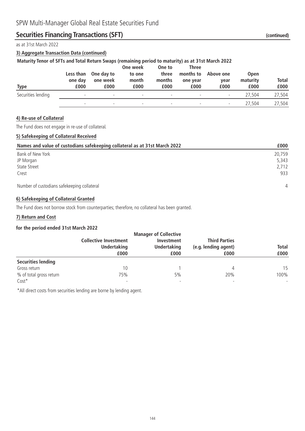### **Securities Financing Transactions (SFT)** *(continued)* (continued)

#### as at 31st March 2022

#### **3) Aggregate Transaction Data (continued)**

| Maturity Tenor of SFTs and Total Return Swaps (remaining period to maturity) as at 31st March 2022 |  |  |  |
|----------------------------------------------------------------------------------------------------|--|--|--|
|                                                                                                    |  |  |  |

| Type               | Less than<br>one day<br>£000 | One day to<br>one week<br>£000 | One week<br>to one<br>month<br>£000 | One to<br>three<br>months<br>£000 | <b>Three</b><br>months to<br>one year<br>£000 | Above one<br>vear<br>£000 | <b>Open</b><br>maturity<br>£000 | <b>Total</b><br>£000 |
|--------------------|------------------------------|--------------------------------|-------------------------------------|-----------------------------------|-----------------------------------------------|---------------------------|---------------------------------|----------------------|
| Securities lending | $\overline{\phantom{0}}$     | $\overline{\phantom{0}}$       | $\overline{\phantom{0}}$            | $\overline{\phantom{a}}$          | $\overline{\phantom{a}}$                      | $\overline{\phantom{0}}$  | 27.504                          | 27,504               |
|                    | $\overline{\phantom{0}}$     | $\overline{\phantom{0}}$       | $\overline{\phantom{a}}$            | $\overline{\phantom{a}}$          | $\overline{\phantom{a}}$                      | $\overline{\phantom{a}}$  | 27.504                          | 27,504               |

#### **4) Re-use of Collateral**

The Fund does not engage in re-use of collateral.

#### **5) Safekeeping of Collateral Received**

| Names and value of custodians safekeeping collateral as at 31st March 2022 | £000           |
|----------------------------------------------------------------------------|----------------|
| Bank of New York                                                           | 20.759         |
| JP Morgan                                                                  | 5,343          |
| <b>State Street</b>                                                        | 2.712          |
| Crest                                                                      | 933            |
| Number of custodians safekeeping collateral                                | $\overline{4}$ |

#### **6) Safekeeping of Collateral Granted**

The Fund does not borrow stock from counterparties; therefore, no collateral has been granted.

#### **7) Return and Cost**

#### **for the period ended 31st March 2022**

|                           |                                                    | <b>Manager of Collective</b>            |                                              |              |
|---------------------------|----------------------------------------------------|-----------------------------------------|----------------------------------------------|--------------|
|                           | <b>Collective Investment</b><br><b>Undertaking</b> | <b>Investment</b><br><b>Undertaking</b> | <b>Third Parties</b><br>(e.g. lending agent) | <b>Total</b> |
|                           | £000                                               | £000                                    | £000                                         | £000         |
| <b>Securities lending</b> |                                                    |                                         |                                              |              |
| Gross return              | 10                                                 |                                         |                                              | 15           |
| % of total gross return   | 75%                                                | 5%                                      | 20%                                          | 100%         |
| $Cost*$                   | $\overline{\phantom{0}}$                           |                                         | $\overline{\phantom{a}}$                     |              |

\*All direct costs from securities lending are borne by lending agent.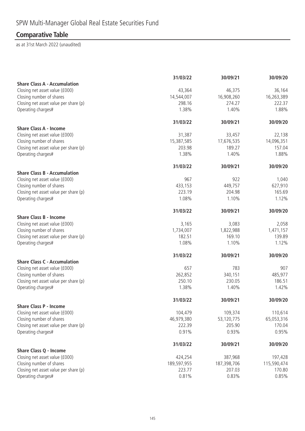# **Comparative Table**

|                                                             | 31/03/22             | 30/09/21             | 30/09/20             |
|-------------------------------------------------------------|----------------------|----------------------|----------------------|
| <b>Share Class A - Accumulation</b>                         |                      |                      |                      |
| Closing net asset value (£000)                              | 43,364               | 46,375               | 36,164               |
| Closing number of shares                                    | 14,544,007<br>298.16 | 16,908,260<br>274.27 | 16,263,389<br>222.37 |
| Closing net asset value per share (p)<br>Operating charges# | 1.38%                | 1.40%                | 1.88%                |
|                                                             |                      |                      |                      |
|                                                             | 31/03/22             | 30/09/21             | 30/09/20             |
| <b>Share Class A - Income</b>                               |                      |                      |                      |
| Closing net asset value (£000)                              | 31,387               | 33,457               | 22,138               |
| Closing number of shares                                    | 15,387,585           | 17,676,535           | 14,096,351           |
| Closing net asset value per share (p)                       | 203.98               | 189.27               | 157.04               |
| Operating charges#                                          | 1.38%                | 1.40%                | 1.88%                |
|                                                             | 31/03/22             | 30/09/21             | 30/09/20             |
| <b>Share Class B - Accumulation</b>                         |                      |                      |                      |
| Closing net asset value (£000)                              | 967                  | 922                  | 1,040                |
| Closing number of shares                                    | 433,153              | 449,757              | 627,910              |
| Closing net asset value per share (p)                       | 223.19               | 204.98               | 165.69               |
| Operating charges#                                          | 1.08%                | 1.10%                | 1.12%                |
|                                                             | 31/03/22             | 30/09/21             | 30/09/20             |
| <b>Share Class B - Income</b>                               |                      |                      |                      |
| Closing net asset value (£000)                              | 3,165                | 3,083                | 2,058                |
| Closing number of shares                                    | 1,734,007            | 1,822,988            | 1,471,157            |
| Closing net asset value per share (p)                       | 182.51               | 169.10               | 139.89               |
| Operating charges#                                          | 1.08%                | 1.10%                | 1.12%                |
|                                                             | 31/03/22             | 30/09/21             | 30/09/20             |
| <b>Share Class C - Accumulation</b>                         |                      |                      |                      |
| Closing net asset value (£000)                              | 657                  | 783                  | 907                  |
| Closing number of shares                                    | 262,852              | 340,151              | 485,977              |
| Closing net asset value per share (p)                       | 250.10               | 230.05               | 186.51               |
| Operating charges#                                          | 1.38%                | 1.40%                | 1.42%                |
|                                                             | 31/03/22             | 30/09/21             | 30/09/20             |
| <b>Share Class P - Income</b>                               |                      |                      |                      |
| Closing net asset value (£000)                              | 104,479              | 109,374              | 110,614              |
| Closing number of shares                                    | 46,979,380           | 53,120,775           | 65,053,316           |
| Closing net asset value per share (p)                       | 222.39               | 205.90               | 170.04               |
| Operating charges#                                          | 0.91%                | 0.93%                | 0.95%                |
|                                                             | 31/03/22             | 30/09/21             | 30/09/20             |
| <b>Share Class Q - Income</b>                               |                      |                      |                      |
| Closing net asset value (£000)                              | 424,254              | 387,968              | 197,428              |
| Closing number of shares                                    | 189,597,955          | 187,398,706          | 115,590,474          |
| Closing net asset value per share (p)                       | 223.77               | 207.03               | 170.80               |
| Operating charges#                                          | 0.81%                | 0.83%                | 0.85%                |
|                                                             |                      |                      |                      |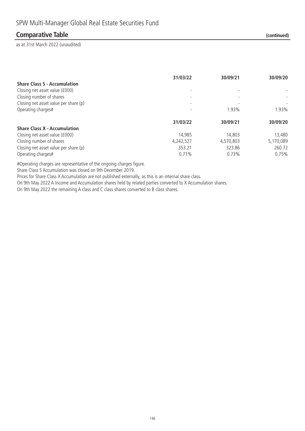### **Comparative Table (continued)**

as at 31st March 2022 (unaudited)

|                                       | 31/03/22  | 30/09/21  | 30/09/20  |
|---------------------------------------|-----------|-----------|-----------|
| <b>Share Class S - Accumulation</b>   |           |           |           |
| Closing net asset value (£000)        |           |           |           |
| Closing number of shares              |           |           |           |
| Closing net asset value per share (p) |           |           |           |
| Operating charges#                    |           | 1.93%     | 1.93%     |
|                                       | 31/03/22  | 30/09/21  | 30/09/20  |
| <b>Share Class X - Accumulation</b>   |           |           |           |
| Closing net asset value (£000)        | 14.985    | 14,803    | 13,480    |
| Closing number of shares              | 4,242,527 | 4,570,803 | 5,170,089 |
| Closing net asset value per share (p) | 353.21    | 323.86    | 260.72    |
| Operating charges#                    | 0.71%     | 0.73%     | 0.75%     |

#Operating charges are representative of the ongoing charges figure.

Share Class S Accumulation was closed on 9th December 2019.

Prices for Share Class X Accumulation are not published externally, as this is an internal share class.

On 9th May 2022 A Income and Accumulation shares held by related parties converted to X Accumulation shares.

On 9th May 2022 the remaining A class and C class shares converted to B class shares.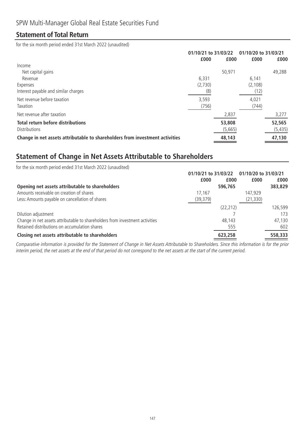### **Statement of Total Return**

for the six month period ended 31st March 2022 (unaudited)

| 01/10/21 to 31/03/22 |         | 01/10/20 to 31/03/21 |          |
|----------------------|---------|----------------------|----------|
|                      |         |                      | £000     |
|                      |         |                      |          |
|                      | 50,971  |                      | 49,288   |
| 6.331                |         | 6,141                |          |
| (2,730)              |         | (2, 108)             |          |
| (8)                  |         | (12)                 |          |
| 3,593                |         | 4,021                |          |
| (756)                |         | (744)                |          |
|                      | 2,837   |                      | 3,277    |
|                      | 53,808  |                      | 52,565   |
|                      | (5,665) |                      | (5, 435) |
|                      | 48,143  |                      | 47,130   |
|                      | £000    | £000                 | £000     |

### **Statement of Change in Net Assets Attributable to Shareholders**

| for the six month period ended 31st March 2022 (unaudited)                   |                      |              |                      |  |
|------------------------------------------------------------------------------|----------------------|--------------|----------------------|--|
|                                                                              | 01/10/21 to 31/03/22 |              | 01/10/20 to 31/03/21 |  |
|                                                                              | £000                 | £000<br>£000 | £000                 |  |
| Opening net assets attributable to shareholders                              | 596,765              |              | 383,829              |  |
| Amounts receivable on creation of shares                                     | 17.167               | 147,929      |                      |  |
| Less: Amounts payable on cancellation of shares                              | (39, 379)            | (21, 330)    |                      |  |
|                                                                              |                      | (22, 212)    | 126,599              |  |
| Dilution adjustment                                                          |                      |              | 173                  |  |
| Change in net assets attributable to shareholders from investment activities |                      | 48,143       | 47,130               |  |
| Retained distributions on accumulation shares                                |                      | 555          | 602                  |  |
| Closing net assets attributable to shareholders                              | 623,258              |              | 558,333              |  |

Comparative information is provided for the Statement of Change in Net Assets Attributable to Shareholders. Since this information is for the prior interim period, the net assets at the end of that period do not correspond to the net assets at the start of the current period.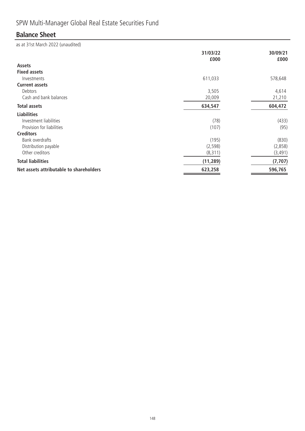# SPW Multi-Manager Global Real Estate Securities Fund

### **Balance Sheet**

|                                         | 31/03/22<br>£000 | 30/09/21<br>£000 |
|-----------------------------------------|------------------|------------------|
| <b>Assets</b>                           |                  |                  |
| <b>Fixed assets</b>                     |                  |                  |
| Investments                             | 611,033          | 578,648          |
| <b>Current assets</b>                   |                  |                  |
| Debtors                                 | 3,505            | 4,614            |
| Cash and bank balances                  | 20,009           | 21,210           |
| <b>Total assets</b>                     | 634,547          | 604,472          |
| <b>Liabilities</b>                      |                  |                  |
| Investment liabilities                  | (78)             | (433)            |
| Provision for liabilities               | (107)            | (95)             |
| <b>Creditors</b>                        |                  |                  |
| Bank overdrafts                         | (195)            | (830)            |
| Distribution payable                    | (2, 598)         | (2,858)          |
| Other creditors                         | (8, 311)         | (3, 491)         |
| <b>Total liabilities</b>                | (11, 289)        | (7, 707)         |
| Net assets attributable to shareholders | 623,258          | 596,765          |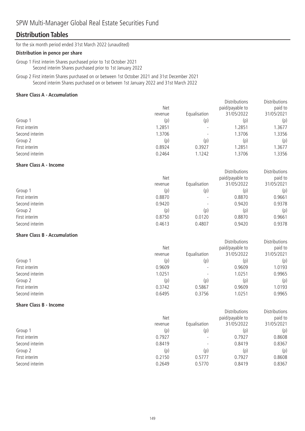### SPW Multi-Manager Global Real Estate Securities Fund

### **Distribution Tables**

for the six month period ended 31st March 2022 (unaudited)

#### **Distribution in pence per share**

Group 1 First interim Shares purchased prior to 1st October 2021 Second interim Shares purchased prior to 1st January 2022

Group 2 First interim Shares purchased on or between 1st October 2021 and 31st December 2021 Second interim Shares purchased on or between 1st January 2022 and 31st March 2022

#### **Share Class A - Accumulation**

|                | <b>Net</b> |                          | <b>Distributions</b><br>paid/payable to | Distributions<br>paid to |
|----------------|------------|--------------------------|-----------------------------------------|--------------------------|
|                | revenue    | Equalisation             | 31/05/2022                              | 31/05/2021               |
| Group 1        | (p)        | (p)                      | (p)                                     | (p)                      |
| First interim  | 1.2851     | $\overline{\phantom{0}}$ | 1.2851                                  | .3677                    |
| Second interim | 1.3706     |                          | 1.3706                                  | .3356                    |
| Group 2        | (p)        | (p)                      | (p)                                     | (p)                      |
| First interim  | 0.8924     | 0.3927                   | 1.2851                                  | .3677                    |
| Second interim | 0.2464     | 1.1242                   | 1.3706                                  | 1.3356                   |

#### **Share Class A - Income**

| <b>Net</b>               |            | paid to         |
|--------------------------|------------|-----------------|
| Equalisation             | 31/05/2022 | 31/05/2021      |
| (p)                      | (p)        | (p)             |
|                          | 0.8870     | 0.9661          |
| $\overline{\phantom{0}}$ | 0.9420     | 0.9378          |
| (p)                      | (p)        | (p)             |
| 0.0120                   | 0.8870     | 0.9661          |
| 0.4807                   | 0.9420     | 0.9378          |
|                          |            | paid/payable to |

Distributions

**Distributions** 

Distributions

Distributions

Distributions

Distributions

#### **Share Class B - Accumulation**

|                | Net     |                          | paid/payable to | paid to    |
|----------------|---------|--------------------------|-----------------|------------|
|                | revenue | Equalisation             | 31/05/2022      | 31/05/2021 |
| Group 1        | (p)     | (p)                      | (p)             | (p)        |
| First interim  | 0.9609  |                          | 0.9609          | 1.0193     |
| Second interim | 1.0251  | $\overline{\phantom{a}}$ | 1.0251          | 0.9965     |
| Group 2        | (p)     | (p)                      | (p)             | (p)        |
| First interim  | 0.3742  | 0.5867                   | 0.9609          | 1.0193     |
| Second interim | 0.6495  | 0.3756                   | 1.0251          | 0.9965     |

#### **Share Class B - Income**

|                | Net     | paid/payable to          |            | paid to    |
|----------------|---------|--------------------------|------------|------------|
|                | revenue | Equalisation             | 31/05/2022 | 31/05/2021 |
| Group 1        | (p)     | (p)                      | (p)        | (p)        |
| First interim  | 0.7927  | $\overline{\phantom{0}}$ | 0.7927     | 0.8608     |
| Second interim | 0.8419  | $\overline{\phantom{a}}$ | 0.8419     | 0.8367     |
| Group 2        | (p)     | (p)                      | (p)        | (p)        |
| First interim  | 0.2150  | 0.5777                   | 0.7927     | 0.8608     |
| Second interim | 0.2649  | 0.5770                   | 0.8419     | 0.8367     |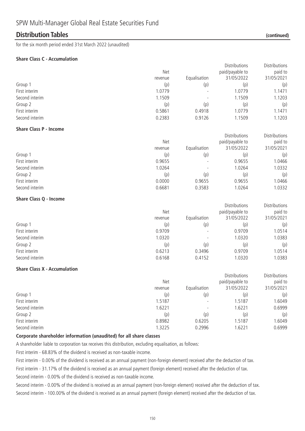### **Distribution Tables (continued)**

for the six month period ended 31st March 2022 (unaudited)

#### **Share Class C - Accumulation**

|                                     |         |              | Distributions   | Distributions |
|-------------------------------------|---------|--------------|-----------------|---------------|
|                                     | Net     |              | paid/payable to | paid to       |
|                                     | revenue | Equalisation | 31/05/2022      | 31/05/2021    |
| Group 1                             | (p)     | (p)          | (p)             | (p)           |
| First interim                       | 1.0779  |              | 1.0779          | 1.1471        |
| Second interim                      | 1.1509  |              | 1.1509          | 1.1203        |
| Group 2                             | (p)     | (p)          | (p)             | (p)           |
| First interim                       | 0.5861  | 0.4918       | 1.0779          | 1.1471        |
| Second interim                      | 0.2383  | 0.9126       | 1.1509          | 1.1203        |
| <b>Share Class P - Income</b>       |         |              |                 |               |
|                                     |         |              | Distributions   | Distributions |
|                                     | Net     |              | paid/payable to | paid to       |
|                                     | revenue | Equalisation | 31/05/2022      | 31/05/2021    |
| Group 1                             | (p)     | (p)          | (p)             | (p)           |
| First interim                       | 0.9655  |              | 0.9655          | 1.0466        |
| Second interim                      | 1.0264  |              | 1.0264          | 1.0332        |
| Group 2                             | (p)     | (p)          | (p)             | (p)           |
| First interim                       | 0.0000  | 0.9655       | 0.9655          | 1.0466        |
| Second interim                      | 0.6681  | 0.3583       | 1.0264          | 1.0332        |
| <b>Share Class Q - Income</b>       |         |              |                 |               |
|                                     |         |              | Distributions   | Distributions |
|                                     | Net     |              | paid/payable to | paid to       |
|                                     | revenue | Equalisation | 31/05/2022      | 31/05/2021    |
| Group 1                             | (p)     | (p)          | (p)             | (p)           |
| First interim                       | 0.9709  |              | 0.9709          | 1.0514        |
| Second interim                      | 1.0320  |              | 1.0320          | 1.0383        |
| Group 2                             | (p)     | (p)          | (p)             | (p)           |
| First interim                       | 0.6213  | 0.3496       | 0.9709          | 1.0514        |
| Second interim                      | 0.6168  | 0.4152       | 1.0320          | 1.0383        |
| <b>Share Class X - Accumulation</b> |         |              |                 |               |
|                                     |         |              | Distributions   | Distributions |
|                                     | Net     |              | paid/payable to | paid to       |
|                                     | revenue | Equalisation | 31/05/2022      | 31/05/2021    |
| Group 1                             | (p)     | (p)          | (p)             | (p)           |
| First interim                       | 1.5187  |              | 1.5187          | 1.6049        |
| Second interim                      | 1.6221  |              | 1.6221          | 0.6999        |
| Group 2                             | (p)     | (p)          | (p)             | (p)           |
| First interim                       | 0.8982  | 0.6205       | 1.5187          | 1.6049        |
| Second interim                      | 1.3225  | 0.2996       | 1.6221          | 0.6999        |
|                                     |         |              |                 |               |

#### **Corporate shareholder information (unaudited) for all share classes**

A shareholder liable to corporation tax receives this distribution, excluding equalisation, as follows:

First interim - 68.83% of the dividend is received as non-taxable income.

First interim - 0.00% of the dividend is received as an annual payment (non-foreign element) received after the deduction of tax.

First interim - 31.17% of the dividend is received as an annual payment (foreign element) received after the deduction of tax.

Second interim - 0.00% of the dividend is received as non-taxable income.

Second interim - 0.00% of the dividend is received as an annual payment (non-foreign element) received after the deduction of tax. Second interim - 100.00% of the dividend is received as an annual payment (foreign element) received after the deduction of tax.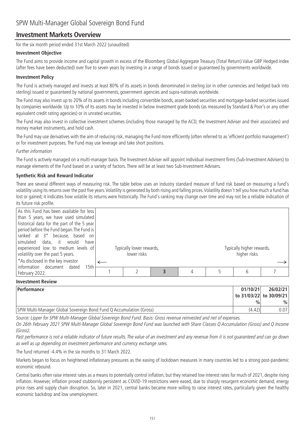### **Investment Markets Overview**

for the six month period ended 31st March 2022 (unaudited)

#### **Investment Objective**

The Fund aims to provide income and capital growth in excess of the Bloomberg Global Aggregate Treasury (Total Return) Value GBP Hedged index (after fees have been deducted) over five to seven years by investing in a range of bonds issued or guaranteed by governments worldwide.

#### **Investment Policy**

The Fund is actively managed and invests at least 80% of its assets in bonds denominated in sterling (or in other currencies and hedged back into sterling) issued or guaranteed by national governments, government agencies and supra-nationals worldwide.

The Fund may also invest up to 20% of its assets in bonds including convertible bonds, asset-backed securities and mortgage-backed securities issued by companies worldwide. Up to 10% of its assets may be invested in below investment grade bonds (as measured by Standard & Poor's or any other equivalent credit rating agencies) or in unrated securities.

The Fund may also invest in collective investment schemes (including those managed by the ACD, the Investment Adviser and their associates) and money market instruments, and hold cash.

The Fund may use derivatives with the aim of reducing risk, managing the Fund more efficiently (often referred to as 'efficient portfolio management') or for investment purposes. The Fund may use leverage and take short positions.

#### Further information

The Fund is actively managed on a multi-manager basis. The Investment Adviser will appoint individual investment firms (Sub-Investment Advisers) to manage elements of the Fund based on a variety of factors. There will be at least two Sub-Investment Advisers.

#### **Synthetic Risk and Reward Indicator**

There are several different ways of measuring risk. The table below uses an industry standard measure of fund risk based on measuring a fund's volatility using its returns over the past five years.Volatility is generated by both rising and falling prices.Volatility doesn't tell you how much a fund has lost or gained; it indicates how volatile its returns were historically. The Fund's ranking may change over time and may not be a reliable indication of its future risk profile.

| As this Fund has been available for less<br>than 5 years, we have used simulated<br>historical data for the part of the 5 year<br>period before the Fund began. The Fund is<br>ranked at 3 <sup>*</sup> because, based on<br>simulated data, it would<br>have<br>experienced low to medium levels of<br>volatility over the past 5 years. | Typically lower rewards,<br>lower risks |   | Typically higher rewards,<br>higher risks |  |
|-------------------------------------------------------------------------------------------------------------------------------------------------------------------------------------------------------------------------------------------------------------------------------------------------------------------------------------------|-----------------------------------------|---|-------------------------------------------|--|
| *As disclosed in the key investor                                                                                                                                                                                                                                                                                                         |                                         |   |                                           |  |
| information document dated<br>15th<br>February 2022.                                                                                                                                                                                                                                                                                      |                                         | 4 |                                           |  |

#### **Investment Review**

| Performance                                                         | 01/10/21      | 26/02/21                |
|---------------------------------------------------------------------|---------------|-------------------------|
|                                                                     |               | to 31/03/22 to 30/09/21 |
|                                                                     | $\frac{0}{0}$ | $\%$                    |
| SPW Multi-Manager Global Sovereign Bond Fund Q Accumulation (Gross) | (4.42)        | 0.071                   |

Source: Lipper for SPW Multi-Manager Global Sovereign Bond Fund. Basis: Gross revenue reinvested and net of expenses.

On 26th February 2021 SPW Multi-Manager Global Sovereign Bond Fund was launched with Share Classes Q Accumulation (Gross) and Q Income (Gross).

Past performance is not a reliable indicator of future results. The value of an investment and any revenue from it is not guaranteed and can go down as well as up depending on investment performance and currency exchange rates.

The fund returned -4.4% in the six months to 31 March 2022.

Markets began to focus on heightened inflationary pressures as the easing of lockdown measures in many countries led to a strong post-pandemic economic rebound.

Central banks often raise interest rates as a means to potentially control inflation, but they retained low interest rates for much of 2021, despite rising inflation. However, inflation proved stubbornly persistent as COVID-19 restrictions were eased, due to sharply resurgent economic demand, energy price rises and supply chain disruption. So, later in 2021, central banks became more willing to raise interest rates, particularly given the healthy economic backdrop and low unemployment.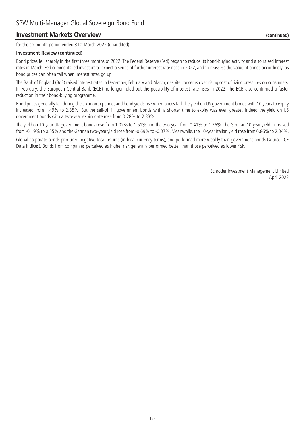### **Investment Markets Overview (continued)**

for the six month period ended 31st March 2022 (unaudited)

#### **Investment Review (continued)**

Bond prices fell sharply in the first three months of 2022. The Federal Reserve (Fed) began to reduce its bond-buying activity and also raised interest rates in March. Fed comments led investors to expect a series of further interest rate rises in 2022, and to reassess the value of bonds accordingly, as bond prices can often fall when interest rates go up.

The Bank of England (BoE) raised interest rates in December, February and March, despite concerns over rising cost of living pressures on consumers. In February, the European Central Bank (ECB) no longer ruled out the possibility of interest rate rises in 2022. The ECB also confirmed a faster reduction in their bond-buying programme.

Bond prices generally fell during the six-month period, and bond yields rise when prices fall. The yield on US government bonds with 10 years to expiry increased from 1.49% to 2.35%. But the sell-off in government bonds with a shorter time to expiry was even greater. Indeed the yield on US government bonds with a two-year expiry date rose from 0.28% to 2.33%.

The yield on 10-year UK government bonds rose from 1.02% to 1.61% and the two-year from 0.41% to 1.36%. The German 10-year yield increased from -0.19% to 0.55% and the German two-year yield rose from -0.69% to -0.07%. Meanwhile, the 10-year Italian yield rose from 0.86% to 2.04%.

Global corporate bonds produced negative total returns (in local currency terms), and performed more weakly than government bonds (source: ICE Data Indices). Bonds from companies perceived as higher risk generally performed better than those perceived as lower risk.

> Schroder Investment Management Limited April 2022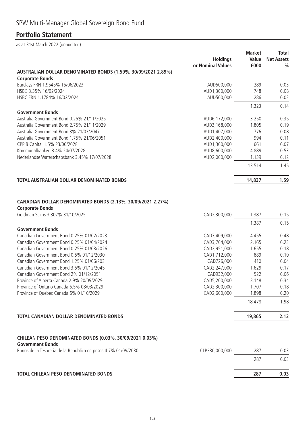## **Portfolio Statement**

|                                                                                       | <b>Holdings</b><br>or Nominal Values | <b>Market</b><br>Value<br>£000 | <b>Total</b><br><b>Net Assets</b><br>$\frac{0}{0}$ |
|---------------------------------------------------------------------------------------|--------------------------------------|--------------------------------|----------------------------------------------------|
| AUSTRALIAN DOLLAR DENOMINATED BONDS (1.59%, 30/09/2021 2.89%)                         |                                      |                                |                                                    |
| <b>Corporate Bonds</b>                                                                |                                      |                                |                                                    |
| Barclays FRN 1.9545% 15/06/2023                                                       | AUD500,000                           | 289                            | 0.03                                               |
| HSBC 3.35% 16/02/2024                                                                 | AUD1,300,000                         | 748                            | 0.08                                               |
| HSBC FRN 1.1784% 16/02/2024                                                           | AUD500,000                           | 286                            | 0.03                                               |
|                                                                                       |                                      | 1,323                          | 0.14                                               |
| <b>Government Bonds</b>                                                               |                                      |                                |                                                    |
| Australia Government Bond 0.25% 21/11/2025                                            | AUD6,172,000                         | 3,250                          | 0.35                                               |
| Australia Government Bond 2.75% 21/11/2029                                            | AUD3,168,000                         | 1,805                          | 0.19                                               |
| Australia Government Bond 3% 21/03/2047                                               | AUD1,407,000                         | 776                            | 0.08                                               |
| Australia Government Bond 1.75% 21/06/2051                                            | AUD2,400,000                         | 994                            | 0.11                                               |
| CPPIB Capital 1.5% 23/06/2028                                                         | AUD1,300,000                         | 661                            | 0.07                                               |
| Kommunalbanken 3.4% 24/07/2028                                                        | AUD8,600,000                         | 4,889                          | 0.53                                               |
| Nederlandse Waterschapsbank 3.45% 17/07/2028                                          | AUD2,000,000                         | 1,139                          | 0.12                                               |
|                                                                                       |                                      | 13,514                         | 1.45                                               |
| TOTAL AUSTRALIAN DOLLAR DENOMINATED BONDS                                             |                                      | 14,837                         | 1.59                                               |
|                                                                                       |                                      |                                |                                                    |
|                                                                                       |                                      |                                |                                                    |
| CANADIAN DOLLAR DENOMINATED BONDS (2.13%, 30/09/2021 2.27%)<br><b>Corporate Bonds</b> |                                      |                                |                                                    |
| Goldman Sachs 3.307% 31/10/2025                                                       | CAD2,300,000                         | 1,387                          | 0.15                                               |
|                                                                                       |                                      | 1,387                          | 0.15                                               |
| <b>Government Bonds</b>                                                               |                                      |                                |                                                    |
| Canadian Government Bond 0.25% 01/02/2023                                             | CAD7,409,000                         | 4,455                          | 0.48                                               |
| Canadian Government Bond 0.25% 01/04/2024                                             | CAD3,704,000                         | 2,165                          | 0.23                                               |
| Canadian Government Bond 0.25% 01/03/2026                                             | CAD2,951,000                         | 1,655                          | 0.18                                               |
| Canadian Government Bond 0.5% 01/12/2030                                              | CAD1,712,000                         | 889                            | 0.10                                               |
| Canadian Government Bond 1.25% 01/06/2031                                             | CAD726,000                           | 410                            | 0.04                                               |
| Canadian Government Bond 3.5% 01/12/2045                                              | CAD2,247,000                         | 1,629                          | 0.17                                               |
| Canadian Government Bond 2% 01/12/2051                                                | CAD932,000                           | 522                            | 0.06                                               |
| Province of Alberta Canada 2.9% 20/09/2029                                            | CAD5,200,000                         | 3,148                          | 0.34                                               |
| Province of Ontario Canada 6.5% 08/03/2029                                            | CAD2,300,000                         | 1,707                          | 0.18                                               |
| Province of Quebec Canada 6% 01/10/2029                                               | CAD2,600,000                         | 1,898                          | 0.20                                               |
|                                                                                       |                                      | 18,478                         | 1.98                                               |
|                                                                                       |                                      |                                |                                                    |
| <b>TOTAL CANADIAN DOLLAR DENOMINATED BONDS</b>                                        |                                      | 19,865                         | 2.13                                               |
|                                                                                       |                                      |                                |                                                    |
| CHILEAN PESO DENOMINATED BONDS (0.03%, 30/09/2021 0.03%)<br><b>Government Bonds</b>   |                                      |                                |                                                    |
| Bonos de la Tesoreria de la Republica en pesos 4.7% 01/09/2030                        | CLP330,000,000                       | 287                            | 0.03                                               |
|                                                                                       |                                      | 287                            | 0.03                                               |
| <b>TOTAL CHILEAN PESO DENOMINATED BONDS</b>                                           |                                      | 287                            | 0.03                                               |
|                                                                                       |                                      |                                |                                                    |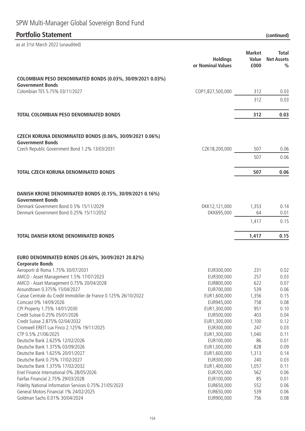# SPW Multi-Manager Global Sovereign Bond Fund

### **Portfolio Statement (continued)**

| as at 31st March 2022 (unaudited)                                                                                              |                                      |                                |                                                    |
|--------------------------------------------------------------------------------------------------------------------------------|--------------------------------------|--------------------------------|----------------------------------------------------|
|                                                                                                                                | <b>Holdings</b><br>or Nominal Values | <b>Market</b><br>Value<br>£000 | <b>Total</b><br><b>Net Assets</b><br>$\frac{0}{0}$ |
| COLOMBIAN PESO DENOMINATED BONDS (0.03%, 30/09/2021 0.03%)                                                                     |                                      |                                |                                                    |
| <b>Government Bonds</b>                                                                                                        |                                      |                                |                                                    |
| Colombian TES 5.75% 03/11/2027                                                                                                 | COP1,827,500,000                     | 312                            | 0.03                                               |
|                                                                                                                                |                                      | 312                            | 0.03                                               |
| <b>TOTAL COLOMBIAN PESO DENOMINATED BONDS</b>                                                                                  |                                      | 312                            | 0.03                                               |
| <b>CZECH KORUNA DENOMINATED BONDS (0.06%, 30/09/2021 0.06%)</b><br><b>Government Bonds</b>                                     |                                      |                                |                                                    |
| Czech Republic Government Bond 1.2% 13/03/2031                                                                                 | CZK18,200,000                        | 507                            | 0.06                                               |
|                                                                                                                                |                                      | 507                            | 0.06                                               |
| <b>TOTAL CZECH KORUNA DENOMINATED BONDS</b>                                                                                    |                                      | 507                            | 0.06                                               |
| DANISH KRONE DENOMINATED BONDS (0.15%, 30/09/2021 0.16%)<br><b>Government Bonds</b><br>Denmark Government Bond 0.5% 15/11/2029 | DKK12,121,000                        | 1,353                          | 0.14                                               |
| Denmark Government Bond 0.25% 15/11/2052                                                                                       | DKK695,000                           | 64                             | 0.01                                               |
|                                                                                                                                |                                      | 1,417                          | 0.15                                               |
| <b>TOTAL DANISH KRONE DENOMINATED BONDS</b>                                                                                    |                                      | 1,417                          | 0.15                                               |
| EURO DENOMINATED BONDS (20.60%, 30/09/2021 20.82%)<br><b>Corporate Bonds</b>                                                   |                                      |                                |                                                    |
| Aeroporti di Roma 1.75% 30/07/2031                                                                                             | EUR300,000                           | 231                            | 0.02                                               |
| AMCO - Asset Management 1.5% 17/07/2023                                                                                        | EUR300,000                           | 257                            | 0.03                                               |
| AMCO - Asset Management 0.75% 20/04/2028                                                                                       | EUR800,000                           | 622                            | 0.07                                               |
| Aroundtown 0.375% 15/04/2027                                                                                                   | EUR700,000                           | 539                            | 0.06                                               |
| Caisse Centrale du Credit Immobilier de France 0.125% 26/10/2022                                                               | EUR1,600,000                         | 1,356                          | 0.15                                               |
| Comcast 0% 14/09/2026                                                                                                          | EUR945,000                           | 758                            | 0.08                                               |
| CPI Property 1.75% 14/01/2030                                                                                                  | EUR1,300,000                         | 951                            | 0.10                                               |
| Credit Suisse 0.25% 05/01/2026<br>Credit Suisse 2.875% 02/04/2032                                                              | EUR500,000                           | 403                            | 0.04                                               |
| Cromwell EREIT Lux Finco 2.125% 19/11/2025                                                                                     | EUR1,300,000<br>EUR300,000           | 1,100<br>247                   | 0.12<br>0.03                                       |
| CTP 0.5% 21/06/2025                                                                                                            | EUR1,300,000                         | 1,040                          | 0.11                                               |
| Deutsche Bank 2.625% 12/02/2026                                                                                                | EUR100,000                           | 86                             | 0.01                                               |
| Deutsche Bank 1.375% 03/09/2026                                                                                                | EUR1,000,000                         | 828                            | 0.09                                               |
| Deutsche Bank 1.625% 20/01/2027                                                                                                | EUR1,600,000                         | 1,313                          | 0.14                                               |
| Deutsche Bank 0.75% 17/02/2027                                                                                                 | EUR300,000                           | 240                            | 0.03                                               |
| Deutsche Bank 1.375% 17/02/2032                                                                                                | EUR1,400,000                         | 1,057                          | 0.11                                               |
| Enel Finance International 0% 28/05/2026                                                                                       | EUR705,000                           | 562                            | 0.06                                               |
| Fairfax Financial 2.75% 29/03/2028                                                                                             | EUR100,000                           | 85                             | 0.01                                               |
| Fidelity National Information Services 0.75% 21/05/2023                                                                        | EUR650,000                           | 552                            | 0.06                                               |
| General Motors Financial 1% 24/02/2025                                                                                         | EUR650,000                           | 539                            | 0.06                                               |
| Goldman Sachs 0.01% 30/04/2024                                                                                                 | EUR900,000                           | 756                            | 0.08                                               |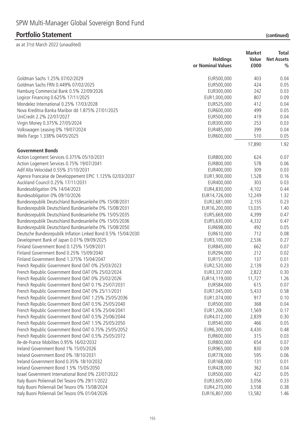|                                                                                                                  | <b>Market</b><br><b>Holdings</b><br>Value |                 | Total<br><b>Net Assets</b> |  |
|------------------------------------------------------------------------------------------------------------------|-------------------------------------------|-----------------|----------------------------|--|
|                                                                                                                  | or Nominal Values                         | £000            | $\frac{0}{0}$              |  |
| Goldman Sachs 1.25% 07/02/2029                                                                                   | EUR500,000                                | 403             | 0.04                       |  |
| Goldman Sachs FRN 0.449% 07/02/2025                                                                              | EUR500,000                                | 424             | 0.05                       |  |
| Hamburg Commercial Bank 0.5% 22/09/2026                                                                          | EUR300,000                                | 242             | 0.03                       |  |
| Logicor Financing 0.625% 17/11/2025                                                                              | EUR1,000,000                              | 807             | 0.09                       |  |
| Mondelez International 0.25% 17/03/2028                                                                          | EUR525,000                                | 412             | 0.04                       |  |
| Nova Kreditna Banka Maribor dd 1.875% 27/01/2025                                                                 | EUR600,000                                | 499             | 0.05                       |  |
| UniCredit 2.2% 22/07/2027                                                                                        | EUR500,000                                | 419             | 0.04                       |  |
| Virgin Money 0.375% 27/05/2024                                                                                   | EUR300,000                                | 253             | 0.03                       |  |
| Volkswagen Leasing 0% 19/07/2024                                                                                 | EUR485,000                                | 399             | 0.04                       |  |
| Wells Fargo 1.338% 04/05/2025                                                                                    | EUR600,000                                | 510             | 0.05                       |  |
|                                                                                                                  |                                           | 17,890          | 1.92                       |  |
| <b>Government Bonds</b>                                                                                          |                                           |                 |                            |  |
| Action Logement Services 0.375% 05/10/2031                                                                       | EUR800,000                                | 624             | 0.07                       |  |
| Action Logement Services 0.75% 19/07/2041                                                                        | EUR800,000                                | 578             | 0.06                       |  |
| Adif Alta Velocidad 0.55% 31/10/2031                                                                             | EUR400,000                                | 309             | 0.03                       |  |
| Agence Francaise de Developpement EPIC 1.125% 02/03/2037                                                         | EUR1,900,000                              | 1,528           | 0.16                       |  |
| Auckland Council 0.25% 17/11/2031                                                                                | EUR400,000                                | 303             | 0.03                       |  |
| Bundesobligation 0% 14/04/2023<br>Bundesobligation 0% 09/10/2026                                                 | EUR4,830,000                              | 4,102           | 0.44<br>1.32               |  |
|                                                                                                                  | EUR14,726,000                             | 12,249<br>2,155 | 0.23                       |  |
| Bundesrepublik Deutschland Bundesanleihe 0% 15/08/2031<br>Bundesrepublik Deutschland Bundesanleihe 0% 15/08/2031 | EUR2,681,000<br>EUR16,200,000             | 13,035          | 1.40                       |  |
| Bundesrepublik Deutschland Bundesanleihe 0% 15/05/2035                                                           | EUR5,669,000                              | 4,399           | 0.47                       |  |
| Bundesrepublik Deutschland Bundesanleihe 0% 15/05/2036                                                           | EUR5,630,000                              | 4,332           | 0.47                       |  |
| Bundesrepublik Deutschland Bundesanleihe 0% 15/08/2050                                                           | EUR698,000                                | 492             | 0.05                       |  |
| Deutsche Bundesrepublik Inflation Linked Bond 0.5% 15/04/2030                                                    | EUR610,000                                | 712             | 0.08                       |  |
| Development Bank of Japan 0.01% 09/09/2025                                                                       | EUR3, 100,000                             | 2,536           | 0.27                       |  |
| Finland Government Bond 0.125% 15/09/2031                                                                        | EUR845,000                                | 662             | 0.07                       |  |
| Finland Government Bond 0.25% 15/09/2040                                                                         | EUR294,000                                | 212             | 0.02                       |  |
| Finland Government Bond 1.375% 15/04/2047                                                                        | EUR151,000                                | 137             | 0.01                       |  |
| French Republic Government Bond OAT 0% 25/03/2023                                                                | EUR2,520,000                              | 2,139           | 0.23                       |  |
| French Republic Government Bond OAT 0% 25/02/2024                                                                | EUR3,337,000                              | 2,822           | 0.30                       |  |
| French Republic Government Bond OAT 0% 25/02/2026                                                                | EUR14,119,000                             | 11,727          | 1.26                       |  |
| French Republic Government Bond OAT 0.1% 25/07/2031                                                              | EUR584,000                                | 615             | 0.07                       |  |
| French Republic Government Bond OAT 0% 25/11/2031                                                                | EUR7,045,000                              | 5,433           | 0.58                       |  |
| French Republic Government Bond OAT 1.25% 25/05/2036                                                             | EUR1,074,000                              | 917             | 0.10                       |  |
| French Republic Government Bond OAT 0.5% 25/05/2040                                                              | EUR500,000                                | 368             | 0.04                       |  |
| French Republic Government Bond OAT 4.5% 25/04/2041                                                              | EUR1,206,000                              | 1,569           | 0.17                       |  |
| French Republic Government Bond OAT 0.5% 25/06/2044                                                              | EUR4,012,000                              | 2,839           | 0.30                       |  |
| French Republic Government Bond OAT 1.5% 25/05/2050                                                              | EUR540,000                                | 466             | 0.05                       |  |
| French Republic Government Bond OAT 0.75% 25/05/2052                                                             | EUR6,300,000                              | 4,430           | 0.48                       |  |
| French Republic Government Bond OAT 0.5% 25/05/2072                                                              | EUR600,000                                | 315             | 0.03                       |  |
| Ile-de-France Mobilites 0.95% 16/02/2032                                                                         | EUR800,000                                | 654             | 0.07                       |  |
| Ireland Government Bond 1% 15/05/2026                                                                            | EUR965,000                                | 830             | 0.09                       |  |
| Ireland Government Bond 0% 18/10/2031                                                                            | EUR778,000                                | 595             | 0.06                       |  |
| Ireland Government Bond 0.35% 18/10/2032                                                                         | EUR168,000                                | 131             | 0.01                       |  |
| Ireland Government Bond 1.5% 15/05/2050                                                                          | EUR428,000                                | 362             | 0.04                       |  |
| Israel Government International Bond 0% 22/07/2022                                                               | EUR500,000                                | 422             | 0.05                       |  |
| Italy Buoni Poliennali Del Tesoro 0% 29/11/2022                                                                  | EUR3,605,000                              | 3,056           | 0.33                       |  |
| Italy Buoni Poliennali Del Tesoro 0% 15/08/2024                                                                  | EUR4,270,000                              | 3,558           | 0.38                       |  |
| Italy Buoni Poliennali Del Tesoro 0% 01/04/2026                                                                  | EUR16,807,000                             | 13,582          | 1.46                       |  |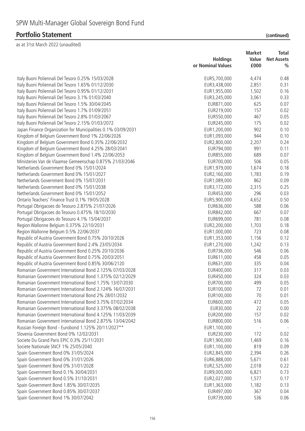|                                                               |                   | <b>Market</b> |                   |
|---------------------------------------------------------------|-------------------|---------------|-------------------|
|                                                               | <b>Holdings</b>   | Value         | <b>Net Assets</b> |
|                                                               | or Nominal Values | £000          | $\frac{0}{0}$     |
| Italy Buoni Poliennali Del Tesoro 0.25% 15/03/2028            | EUR5,700,000      | 4,474         | 0.48              |
| Italy Buoni Poliennali Del Tesoro 1.65% 01/12/2030            | EUR3,438,000      | 2,851         | 0.31              |
| Italy Buoni Poliennali Del Tesoro 0.95% 01/12/2031            | EUR1,955,000      | 1,502         | 0.16              |
| Italy Buoni Poliennali Del Tesoro 3.1% 01/03/2040             | EUR3,245,000      | 3,061         | 0.33              |
| Italy Buoni Poliennali Del Tesoro 1.5% 30/04/2045             | EUR871,000        | 625           | 0.07              |
| Italy Buoni Poliennali Del Tesoro 1.7% 01/09/2051             | EUR219,000        | 157           | 0.02              |
| Italy Buoni Poliennali Del Tesoro 2.8% 01/03/2067             | EUR550,000        | 467           | 0.05              |
| Italy Buoni Poliennali Del Tesoro 2.15% 01/03/2072            | EUR245,000        | 175           | 0.02              |
| Japan Finance Organization for Municipalities 0.1% 03/09/2031 | EUR1,200,000      | 902           | 0.10              |
| Kingdom of Belgium Government Bond 1% 22/06/2026              | EUR1,093,000      | 944           | 0.10              |
| Kingdom of Belgium Government Bond 0.35% 22/06/2032           | EUR2,800,000      | 2,207         | 0.24              |
| Kingdom of Belgium Government Bond 4.25% 28/03/2041           | EUR794,000        | 991           | 0.11              |
| Kingdom of Belgium Government Bond 1.4% 22/06/2053            | EUR855,000        | 689           | 0.07              |
| Ministeries Van de Vlaamse Gemeenschap 0.875% 21/03/2046      | EUR700,000        | 506           | 0.05              |
| Netherlands Government Bond 0% 15/01/2024                     | EUR1,979,000      | 1,674         | 0.18              |
| Netherlands Government Bond 0% 15/01/2027                     | EUR2,160,000      | 1,783         | 0.19              |
| Netherlands Government Bond 0% 15/07/2031                     | EUR1,089,000      | 862           | 0.09              |
| Netherlands Government Bond 0% 15/01/2038                     | EUR3, 172,000     | 2,315         | 0.25              |
| Netherlands Government Bond 0% 15/01/2052                     | EUR453,000        | 296           | 0.03              |
| Ontario Teachers' Finance Trust 0.1% 19/05/2028               | EUR5,900,000      | 4,652         | 0.50              |
| Portugal Obrigacoes do Tesouro 2.875% 21/07/2026              | EUR636,000        | 588           | 0.06              |
| Portugal Obrigacoes do Tesouro 0.475% 18/10/2030              | EUR842,000        | 667           | 0.07              |
| Portugal Obrigacoes do Tesouro 4.1% 15/04/2037                | EUR699,000        | 781           | 0.08              |
| Region Wallonne Belgium 0.375% 22/10/2031                     | EUR2,200,000      | 1,703         | 0.18              |
| Region Wallonne Belgium 0.5% 22/06/2037                       | EUR1,000,000      | 723           | 0.08              |
| Republic of Austria Government Bond 0.75% 20/10/2026          | EUR1,353,000      | 1,156         | 0.12              |
| Republic of Austria Government Bond 2.4% 23/05/2034           | EUR1,270,000      | 1,242         | 0.13              |
| Republic of Austria Government Bond 0.25% 20/10/2036          | EUR736,000        | 546           | 0.06              |
| Republic of Austria Government Bond 0.75% 20/03/2051          | EUR611,000        | 458           | 0.05              |
| Republic of Austria Government Bond 0.85% 30/06/2120          | EUR631,000        | 335           | 0.04              |
| Romanian Government International Bond 2.125% 07/03/2028      | EUR400,000        | 317           | 0.03              |
| Romanian Government International Bond 1.375% 02/12/2029      | EUR450,000        | 324           | 0.03              |
| Romanian Government International Bond 1.75% 13/07/2030       | EUR700,000        | 499           | 0.05              |
| Romanian Government International Bond 2.124% 16/07/2031      | EUR100,000        | 72            | 0.01              |
| Romanian Government International Bond 2% 28/01/2032          | EUR100,000        | 70            | 0.01              |
| Romanian Government International Bond 3.75% 07/02/2034       | EUR600,000        | 472           | 0.05              |
| Romanian Government International Bond 3.375% 08/02/2038      | EUR30,000         | 22            | 0.00              |
| Romanian Government International Bond 4.125% 11/03/2039      | EUR200,000        | 157           | 0.02              |
| Romanian Government International Bond 2.875% 13/04/2042      | EUR800,000        | 516           | 0.06              |
| Russian Foreign Bond - Eurobond 1.125% 20/11/2027**           | EUR1,100,000      |               |                   |
| Slovenia Government Bond 0% 12/02/2031                        | EUR230,000        | 172           | 0.02              |
| Societe Du Grand Paris EPIC 0.3% 25/11/2031                   | EUR1,900,000      | 1,469         | 0.16              |
| Societe Nationale SNCF 1% 25/05/2040                          | EUR1,100,000      | 819           | 0.09              |
| Spain Government Bond 0% 31/05/2024                           | EUR2,845,000      | 2,394         | 0.26              |
| Spain Government Bond 0% 31/01/2026                           | EUR6,888,000      | 5,671         | 0.61              |
| Spain Government Bond 0% 31/01/2028                           | EUR2,525,000      | 2,018         | 0.22              |
| Spain Government Bond 0.1% 30/04/2031                         | EUR9,000,000      | 6,821         | 0.73              |
| Spain Government Bond 0.5% 31/10/2031                         | EUR2,027,000      | 1,577         | 0.17              |
| Spain Government Bond 1.85% 30/07/2035                        | EUR1,363,000      | 1,182         | 0.13              |
| Spain Government Bond 0.85% 30/07/2037                        | EUR497,000        | 367           | 0.04              |
| Spain Government Bond 1% 30/07/2042                           | EUR739,000        | 536           | 0.06              |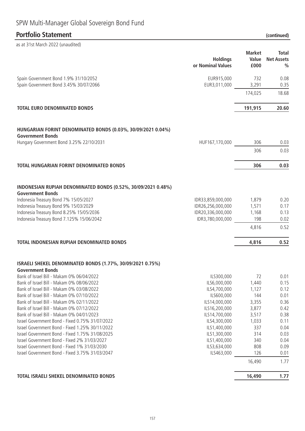| as at 31st March 2022 (unaudited)                                                        |                                      |                                |                                             |
|------------------------------------------------------------------------------------------|--------------------------------------|--------------------------------|---------------------------------------------|
|                                                                                          | <b>Holdings</b><br>or Nominal Values | <b>Market</b><br>Value<br>£000 | Total<br><b>Net Assets</b><br>$\frac{0}{0}$ |
| Spain Government Bond 1.9% 31/10/2052<br>Spain Government Bond 3.45% 30/07/2066          | EUR915,000<br>EUR3,011,000           | 732<br>3,291                   | 0.08<br>0.35                                |
|                                                                                          |                                      | 174,025                        | 18.68                                       |
| <b>TOTAL EURO DENOMINATED BONDS</b>                                                      |                                      | 191,915                        | 20.60                                       |
|                                                                                          |                                      |                                |                                             |
| HUNGARIAN FORINT DENOMINATED BONDS (0.03%, 30/09/2021 0.04%)<br><b>Government Bonds</b>  |                                      |                                |                                             |
| Hungary Government Bond 3.25% 22/10/2031                                                 | HUF167,170,000                       | 306                            | 0.03                                        |
|                                                                                          |                                      | 306                            | 0.03                                        |
| TOTAL HUNGARIAN FORINT DENOMINATED BONDS                                                 |                                      | 306                            | 0.03                                        |
|                                                                                          |                                      |                                |                                             |
| INDONESIAN RUPIAH DENOMINATED BONDS (0.52%, 30/09/2021 0.48%)<br><b>Government Bonds</b> |                                      |                                |                                             |
| Indonesia Treasury Bond 7% 15/05/2027                                                    | IDR33,859,000,000                    | 1,879                          | 0.20                                        |
| Indonesia Treasury Bond 9% 15/03/2029                                                    | IDR26,256,000,000                    | 1,571                          | 0.17                                        |
| Indonesia Treasury Bond 8.25% 15/05/2036                                                 | IDR20,336,000,000                    | 1,168                          | 0.13                                        |
| Indonesia Treasury Bond 7.125% 15/06/2042                                                | IDR3,780,000,000                     | 198                            | 0.02                                        |
|                                                                                          |                                      | 4,816                          | 0.52                                        |
| <b>TOTAL INDONESIAN RUPIAH DENOMINATED BONDS</b>                                         |                                      | 4,816                          | 0.52                                        |
| ISRAELI SHEKEL DENOMINATED BONDS (1.77%, 30/09/2021 0.75%)                               |                                      |                                |                                             |
| Government Bonds                                                                         |                                      |                                |                                             |
| Bank of Israel Bill - Makam 0% 06/04/2022                                                | ILS300,000                           | 72                             | 0.01                                        |
| Bank of Israel Bill - Makam 0% 08/06/2022                                                | ILS6,000,000                         | 1,440                          | 0.15                                        |
| Bank of Israel Bill - Makam 0% 03/08/2022                                                | ILS4,700,000                         | 1,127                          | 0.12                                        |
| Bank of Israel Bill - Makam 0% 07/10/2022                                                | ILS600,000                           | 144                            | 0.01                                        |
| Bank of Israel Bill - Makam 0% 02/11/2022<br>Bank of Israel Bill - Makam 0% 07/12/2022   | ILS14,000,000                        | 3,355                          | 0.36                                        |
| Bank of Israel Bill - Makam 0% 04/01/2023                                                | ILS16,200,000<br>ILS14,700,000       | 3,877<br>3,517                 | 0.42<br>0.38                                |
| Israel Government Bond - Fixed 0.75% 31/07/2022                                          | ILS4,300,000                         | 1,033                          | 0.11                                        |
| Israel Government Bond - Fixed 1.25% 30/11/2022                                          | ILS1,400,000                         | 337                            | 0.04                                        |
| Israel Government Bond - Fixed 1.75% 31/08/2025                                          | ILS1,300,000                         | 314                            | 0.03                                        |
| Israel Government Bond - Fixed 2% 31/03/2027                                             | ILS1,400,000                         | 340                            | 0.04                                        |
| Israel Government Bond - Fixed 1% 31/03/2030                                             | ILS3,634,000                         | 808                            | 0.09                                        |
| Israel Government Bond - Fixed 3.75% 31/03/2047                                          | ILS463,000                           | 126                            | 0.01                                        |
|                                                                                          |                                      | 16,490                         | 1.77                                        |
| <b>TOTAL ISRAELI SHEKEL DENOMINATED BONDS</b>                                            |                                      | 16,490                         | 1.77                                        |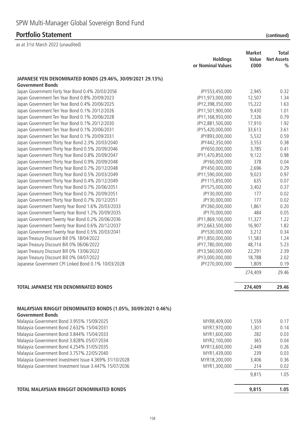# SPW Multi-Manager Global Sovereign Bond Fund

### **Portfolio Statement** *(continued)*

|                                                                                          |                                      | <b>Market</b> | <b>Total</b>                       |
|------------------------------------------------------------------------------------------|--------------------------------------|---------------|------------------------------------|
|                                                                                          | <b>Holdings</b><br>or Nominal Values | Value<br>£000 | <b>Net Assets</b><br>$\frac{0}{0}$ |
| JAPANESE YEN DENOMINATED BONDS (29.46%, 30/09/2021 29.13%)                               |                                      |               |                                    |
| <b>Government Bonds</b>                                                                  |                                      |               |                                    |
| Japan Government Forty Year Bond 0.4% 20/03/2056                                         | JPY553,450,000                       | 2,945         | 0.32                               |
| Japan Government Ten Year Bond 0.8% 20/09/2023                                           | JPY1,973,000,000                     | 12,507        | 1.34                               |
| Japan Government Ten Year Bond 0.4% 20/06/2025                                           | JPY2,398,350,000                     | 15,222        | 1.63                               |
| Japan Government Ten Year Bond 0.1% 20/12/2026                                           | JPY1,501,900,000                     | 9,430         | 1.01                               |
| Japan Government Ten Year Bond 0.1% 20/06/2028                                           | JPY1,168,950,000                     | 7,326         | 0.79                               |
| Japan Government Ten Year Bond 0.1% 20/12/2030                                           | JPY2,881,500,000                     | 17,910        | 1.92                               |
| Japan Government Ten Year Bond 0.1% 20/06/2031                                           | JPY5,420,000,000                     | 33,613        | 3.61                               |
| Japan Government Ten Year Bond 0.1% 20/09/2031                                           | JPY893,000,000                       | 5,532         | 0.59                               |
| Japan Government Thirty Year Bond 2.3% 20/03/2040                                        | JPY442,350,000                       | 3,553         | 0.38                               |
| Japan Government Thirty Year Bond 0.5% 20/09/2046                                        | JPY650,000,000                       | 3,785         | 0.41                               |
| Japan Government Thirty Year Bond 0.8% 20/09/2047                                        | JPY1,470,850,000                     | 9,122         | 0.98                               |
| Japan Government Thirty Year Bond 0.9% 20/09/2048                                        | JPY60,000,000                        | 378           | 0.04                               |
| Japan Government Thirty Year Bond 0.7% 20/12/2048                                        | JPY450,000,000                       | 2,696         | 0.29                               |
| Japan Government Thirty Year Bond 0.5% 20/03/2049                                        | JPY1,590,000,000                     | 9,023         | 0.97                               |
| Japan Government Thirty Year Bond 0.4% 20/12/2049                                        | JPY115,850,000                       | 635           | 0.07                               |
| Japan Government Thirty Year Bond 0.7% 20/06/2051                                        | JPY575,000,000                       | 3,402         | 0.37                               |
| Japan Government Thirty Year Bond 0.7% 20/09/2051                                        | JPY30,000,000                        | 177           | 0.02                               |
| Japan Government Thirty Year Bond 0.7% 20/12/2051                                        | JPY30,000,000                        | 177           | 0.02                               |
| Japan Government Twenty Year Bond 1.6% 20/03/2033                                        | JPY260,000,000                       | 1,861         | 0.20                               |
| Japan Government Twenty Year Bond 1.2% 20/09/2035                                        | JPY70,000,000                        | 484           | 0.05                               |
| Japan Government Twenty Year Bond 0.2% 20/06/2036                                        | JPY1,869,100,000                     | 11,327        | 1.22                               |
| Japan Government Twenty Year Bond 0.6% 20/12/2037                                        | JPY2,663,500,000                     | 16,907        | 1.82                               |
| Japan Government Twenty Year Bond 0.5% 20/03/2041                                        | JPY530,000,000                       | 3,212         | 0.34                               |
| Japan Treasury Discount Bill 0% 18/04/2022                                               | JPY1,850,000,000                     | 11,583        | 1.24                               |
| Japan Treasury Discount Bill 0% 06/06/2022                                               | JPY7,780,000,000                     | 48,714        | 5.23                               |
| Japan Treasury Discount Bill 0% 13/06/2022                                               | JPY3,560,000,000                     | 22,291        | 2.39                               |
| Japan Treasury Discount Bill 0% 04/07/2022                                               | JPY3,000,000,000                     | 18,788        | 2.02                               |
| Japanese Government CPI Linked Bond 0.1% 10/03/2028                                      | JPY270,000,000                       | 1,809         | 0.19                               |
|                                                                                          |                                      | 274,409       | 29.46                              |
| <b>TOTAL JAPANESE YEN DENOMINATED BONDS</b>                                              |                                      | 274,409       | 29.46                              |
|                                                                                          |                                      |               |                                    |
| MALAYSIAN RINGGIT DENOMINATED BONDS (1.05%, 30/09/2021 0.46%)<br><b>Government Bonds</b> |                                      |               |                                    |
| Malaysia Government Bond 3.955% 15/09/2025                                               | MYR8,409,000                         | 1,559         | 0.17                               |
| Malaysia Government Bond 2.632% 15/04/2031                                               | MYR7,970,000                         | 1,301         | 0.14                               |
| Malaysia Government Bond 3.844% 15/04/2033                                               | MYR1,600,000                         | 282           | 0.03                               |
| Malaysia Government Bond 3.828% 05/07/2034                                               | MYR2,100,000                         | 365           | 0.04                               |
| Malaysia Government Bond 4.254% 31/05/2035                                               | MYR13,600,000                        | 2,449         | 0.26                               |
| Malaysia Government Bond 3.757% 22/05/2040                                               | MYR1,439,000                         | 239           | 0.03                               |
| Malaysia Government Investment Issue 4.369% 31/10/2028                                   | MYR18,200,000                        | 3,406         | 0.36                               |
| Malaysia Government Investment Issue 3.447% 15/07/2036                                   | MYR1,300,000                         | 214           | 0.02                               |
|                                                                                          |                                      | 9,815         | 1.05                               |
| TOTAL MALAYSIAN RINGGIT DENOMINATED BONDS                                                |                                      | 9,815         | 1.05                               |

|  | (continued) |
|--|-------------|
|  |             |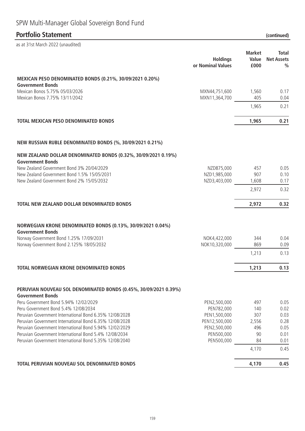# SPW Multi-Manager Global Sovereign Bond Fund

# **Portfolio Statement (continued)**

|                                                                                                                   | <b>Holdings</b><br>or Nominal Values | <b>Market</b><br>Value<br>£000 | <b>Total</b><br><b>Net Assets</b><br>$\frac{0}{0}$ |
|-------------------------------------------------------------------------------------------------------------------|--------------------------------------|--------------------------------|----------------------------------------------------|
| MEXICAN PESO DENOMINATED BONDS (0.21%, 30/09/2021 0.20%)<br><b>Government Bonds</b>                               |                                      |                                |                                                    |
| Mexican Bonos 5.75% 05/03/2026                                                                                    | MXN44,751,600                        | 1,560                          | 0.17                                               |
| Mexican Bonos 7.75% 13/11/2042                                                                                    | MXN11,364,700                        | 405                            | 0.04                                               |
|                                                                                                                   |                                      | 1,965                          | 0.21                                               |
| <b>TOTAL MEXICAN PESO DENOMINATED BONDS</b>                                                                       |                                      | 1,965                          | 0.21                                               |
| NEW RUSSIAN RUBLE DENOMINATED BONDS (%, 30/09/2021 0.21%)                                                         |                                      |                                |                                                    |
| NEW ZEALAND DOLLAR DENOMINATED BONDS (0.32%, 30/09/2021 0.19%)                                                    |                                      |                                |                                                    |
| <b>Government Bonds</b><br>New Zealand Government Bond 3% 20/04/2029                                              | NZD875,000                           | 457                            | 0.05                                               |
| New Zealand Government Bond 1.5% 15/05/2031                                                                       | NZD1,985,000                         | 907                            | 0.10                                               |
| New Zealand Government Bond 2% 15/05/2032                                                                         | NZD3,403,000                         | 1,608                          | 0.17                                               |
|                                                                                                                   |                                      | 2,972                          | 0.32                                               |
| TOTAL NEW ZEALAND DOLLAR DENOMINATED BONDS                                                                        |                                      | 2,972                          | 0.32                                               |
| NORWEGIAN KRONE DENOMINATED BONDS (0.13%, 30/09/2021 0.04%)<br><b>Government Bonds</b>                            |                                      |                                |                                                    |
| Norway Government Bond 1.25% 17/09/2031                                                                           | NOK4,422,000                         | 344                            | 0.04                                               |
| Norway Government Bond 2.125% 18/05/2032                                                                          | NOK10,320,000                        | 869                            | 0.09                                               |
|                                                                                                                   |                                      | 1,213                          | 0.13                                               |
| <b>TOTAL NORWEGIAN KRONE DENOMINATED BONDS</b>                                                                    |                                      | 1,213                          | 0.13                                               |
| PERUVIAN NOUVEAU SOL DENOMINATED BONDS (0.45%, 30/09/2021 0.39%)<br><b>Government Bonds</b>                       |                                      |                                |                                                    |
| Peru Government Bond 5.94% 12/02/2029                                                                             | PEN2,500,000                         | 497                            | 0.05                                               |
| Peru Government Bond 5.4% 12/08/2034                                                                              | PEN782,000                           | 140                            | 0.02                                               |
| Peruvian Government International Bond 6.35% 12/08/2028                                                           | PEN1,500,000                         | 307                            | 0.03                                               |
| Peruvian Government International Bond 6.35% 12/08/2028                                                           | PEN12,500,000                        | 2,556                          | 0.28                                               |
| Peruvian Government International Bond 5.94% 12/02/2029                                                           | PEN2,500,000                         | 496                            | 0.05                                               |
| Peruvian Government International Bond 5.4% 12/08/2034<br>Peruvian Government International Bond 5.35% 12/08/2040 | PEN500,000<br>PEN500,000             | 90<br>84                       | 0.01<br>0.01                                       |
|                                                                                                                   |                                      |                                |                                                    |
|                                                                                                                   |                                      | 4,170                          | 0.45                                               |
| TOTAL PERUVIAN NOUVEAU SOL DENOMINATED BONDS                                                                      |                                      | 4,170                          | 0.45                                               |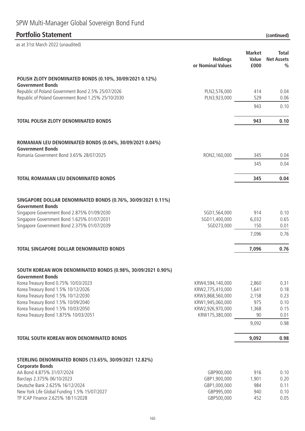| as at 31st March 2022 (unaudited)                                                       |                                      |                                |                                    |
|-----------------------------------------------------------------------------------------|--------------------------------------|--------------------------------|------------------------------------|
|                                                                                         | <b>Holdings</b><br>or Nominal Values | <b>Market</b><br>Value<br>£000 | Total<br><b>Net Assets</b><br>$\%$ |
| POLISH ZLOTY DENOMINATED BONDS (0.10%, 30/09/2021 0.12%)<br><b>Government Bonds</b>     |                                      |                                |                                    |
| Republic of Poland Government Bond 2.5% 25/07/2026                                      | PLN2,576,000                         | 414                            | 0.04                               |
| Republic of Poland Government Bond 1.25% 25/10/2030                                     | PLN3,923,000                         | 529                            | 0.06                               |
|                                                                                         |                                      | 943                            | 0.10                               |
| <b>TOTAL POLISH ZLOTY DENOMINATED BONDS</b>                                             |                                      | 943                            | 0.10                               |
| ROMANIAN LEU DENOMINATED BONDS (0.04%, 30/09/2021 0.04%)                                |                                      |                                |                                    |
| <b>Government Bonds</b>                                                                 |                                      |                                |                                    |
| Romania Government Bond 3.65% 28/07/2025                                                | RON2,160,000                         | 345                            | 0.04                               |
|                                                                                         |                                      | 345                            | 0.04                               |
| <b>TOTAL ROMANIAN LEU DENOMINATED BONDS</b>                                             |                                      | 345                            | 0.04                               |
| SINGAPORE DOLLAR DENOMINATED BONDS (0.76%, 30/09/2021 0.11%)<br><b>Government Bonds</b> |                                      |                                |                                    |
| Singapore Government Bond 2.875% 01/09/2030                                             | SGD1,564,000                         | 914                            | 0.10                               |
| Singapore Government Bond 1.625% 01/07/2031                                             | SGD11,400,000                        | 6,032                          | 0.65                               |
| Singapore Government Bond 2.375% 01/07/2039                                             | SGD273,000                           | 150                            | 0.01                               |
|                                                                                         |                                      | 7,096                          | 0.76                               |
| <b>TOTAL SINGAPORE DOLLAR DENOMINATED BONDS</b>                                         |                                      | 7,096                          | 0.76                               |
| SOUTH KOREAN WON DENOMINATED BONDS (0.98%, 30/09/2021 0.90%)<br><b>Government Bonds</b> |                                      |                                |                                    |
| Korea Treasury Bond 0.75% 10/03/2023                                                    | KRW4,594,140,000                     | 2,860                          | 0.31                               |
| Korea Treasury Bond 1.5% 10/12/2026<br>Korea Treasury Bond 1.5% 10/12/2030              | KRW2,775,410,000<br>KRW3,868,560,000 | 1,641<br>2,158                 | 0.18<br>0.23                       |
| Korea Treasury Bond 1.5% 10/09/2040                                                     | KRW1,945,060,000                     | 975                            | 0.10                               |
| Korea Treasury Bond 1.5% 10/03/2050                                                     | KRW2,926,970,000                     | 1,368                          | 0.15                               |
| Korea Treasury Bond 1.875% 10/03/2051                                                   | KRW175,380,000                       | 90                             | 0.01                               |
|                                                                                         |                                      | 9,092                          | 0.98                               |
| TOTAL SOUTH KOREAN WON DENOMINATED BONDS                                                |                                      | 9,092                          | 0.98                               |
| STERLING DENOMINATED BONDS (13.65%, 30/09/2021 12.82%)                                  |                                      |                                |                                    |
| <b>Corporate Bonds</b>                                                                  |                                      |                                |                                    |
| AA Bond 4.875% 31/07/2024                                                               | GBP900,000                           | 916                            | 0.10                               |
| Barclays 2.375% 06/10/2023<br>Deutsche Bank 2.625% 16/12/2024                           | GBP1,900,000<br>GBP1,000,000         | 1,901<br>984                   | 0.20<br>0.11                       |
| New York Life Global Funding 1.5% 15/07/2027                                            | GBP995,000                           | 940                            | 0.10                               |
| TP ICAP Finance 2.625% 18/11/2028                                                       | GBP500,000                           | 452                            | 0.05                               |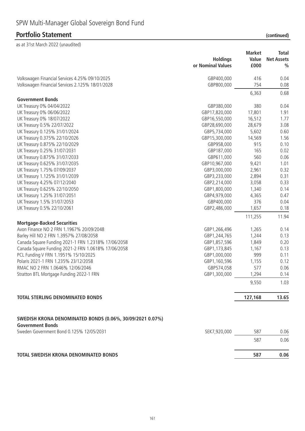|                                                                                      | <b>Holdings</b><br>or Nominal Values | <b>Market</b><br>Value<br>£000 | Total<br><b>Net Assets</b><br>$\%$ |
|--------------------------------------------------------------------------------------|--------------------------------------|--------------------------------|------------------------------------|
| Volkswagen Financial Services 4.25% 09/10/2025                                       | GBP400,000                           | 416                            | 0.04                               |
| Volkswagen Financial Services 2.125% 18/01/2028                                      | GBP800,000                           | 754                            | 0.08                               |
|                                                                                      |                                      | 6,363                          | 0.68                               |
| <b>Government Bonds</b>                                                              |                                      |                                |                                    |
| UK Treasury 0% 04/04/2022                                                            | GBP380,000                           | 380                            | 0.04                               |
| UK Treasury 0% 06/06/2022                                                            | GBP17,820,000                        | 17,801                         | 1.91                               |
| UK Treasury 0% 18/07/2022                                                            | GBP16,550,000                        | 16,512                         | 1.77                               |
| UK Treasury 0.5% 22/07/2022                                                          | GBP28,690,000                        | 28,679                         | 3.08                               |
| UK Treasury 0.125% 31/01/2024                                                        | GBP5,734,000                         | 5,602                          | 0.60                               |
| UK Treasury 0.375% 22/10/2026                                                        | GBP15,300,000                        | 14,569                         | 1.56                               |
| UK Treasury 0.875% 22/10/2029                                                        | GBP958,000                           | 915                            | 0.10                               |
| UK Treasury 0.25% 31/07/2031                                                         | GBP187,000                           | 165                            | 0.02                               |
| UK Treasury 0.875% 31/07/2033                                                        | GBP611,000                           | 560                            | 0.06                               |
| UK Treasury 0.625% 31/07/2035                                                        | GBP10,967,000                        | 9,421                          | 1.01                               |
| UK Treasury 1.75% 07/09/2037                                                         | GBP3,000,000                         | 2,961                          | 0.32                               |
| UK Treasury 1.125% 31/01/2039                                                        | GBP3,233,000                         | 2,894                          | 0.31                               |
| UK Treasury 4.25% 07/12/2040                                                         | GBP2,214,000                         | 3,058                          | 0.33                               |
| UK Treasury 0.625% 22/10/2050                                                        | GBP1,800,000                         | 1,340                          | 0.14                               |
| UK Treasury 1.25% 31/07/2051                                                         | GBP4,979,000                         | 4,365                          | 0.47                               |
| UK Treasury 1.5% 31/07/2053                                                          | GBP400,000                           | 376                            | 0.04                               |
| UK Treasury 0.5% 22/10/2061                                                          | GBP2,486,000                         | 1,657                          | 0.18                               |
|                                                                                      |                                      | 111,255                        | 11.94                              |
| <b>Mortgage-Backed Securities</b>                                                    |                                      |                                |                                    |
| Avon Finance NO 2 FRN 1.1967% 20/09/2048                                             | GBP1,266,496                         | 1,265                          | 0.14                               |
| Barley Hill NO 2 FRN 1.3957% 27/08/2058                                              | GBP1,244,765                         | 1,244                          | 0.13                               |
| Canada Square Funding 2021-1 FRN 1.2318% 17/06/2058                                  | GBP1,857,596                         | 1,849                          | 0.20                               |
| Canada Square Funding 2021-2 FRN 1.0618% 17/06/2058                                  | GBP1,173,845                         | 1,167                          | 0.13                               |
| PCL Funding V FRN 1.1951% 15/10/2025                                                 | GBP1,000,000                         | 999                            | 0.11                               |
| Polaris 2021-1 FRN 1.235% 23/12/2058                                                 | GBP1,160,596                         | 1,155                          | 0.12                               |
| RMAC NO 2 FRN 1.0646% 12/06/2046                                                     | GBP574,058                           | 577                            | 0.06                               |
| Stratton BTL Mortgage Funding 2022-1 FRN                                             | GBP1,300,000                         | 1,294                          | 0.14                               |
|                                                                                      |                                      | 9,550                          | 1.03                               |
| <b>TOTAL STERLING DENOMINATED BONDS</b>                                              |                                      | 127,168                        | 13.65                              |
|                                                                                      |                                      |                                |                                    |
| SWEDISH KRONA DENOMINATED BONDS (0.06%, 30/09/2021 0.07%)<br><b>Government Bonds</b> |                                      |                                |                                    |
| Sweden Government Bond 0.125% 12/05/2031                                             | SEK7,920,000                         | 587                            | 0.06                               |
|                                                                                      |                                      | 587                            | 0.06                               |
| TOTAL SWEDISH KRONA DENOMINATED BONDS                                                |                                      | 587                            | 0.06                               |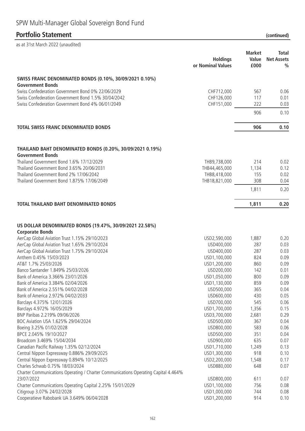# SPW Multi-Manager Global Sovereign Bond Fund

### **Portfolio Statement (continued)**

| as at 31st March 2022 (unaudited)                                                  |                   |               |                   |
|------------------------------------------------------------------------------------|-------------------|---------------|-------------------|
|                                                                                    |                   | <b>Market</b> | <b>Total</b>      |
|                                                                                    | <b>Holdings</b>   | Value         | <b>Net Assets</b> |
|                                                                                    | or Nominal Values | £000          | $\%$              |
| SWISS FRANC DENOMINATED BONDS (0.10%, 30/09/2021 0.10%)                            |                   |               |                   |
| <b>Government Bonds</b>                                                            |                   |               |                   |
| Swiss Confederation Government Bond 0% 22/06/2029                                  | CHF712,000        | 567           | 0.06              |
| Swiss Confederation Government Bond 1.5% 30/04/2042                                | CHF126,000        | 117           | 0.01              |
| Swiss Confederation Government Bond 4% 06/01/2049                                  | CHF151,000        | 222           | 0.03              |
|                                                                                    |                   | 906           | 0.10              |
| <b>TOTAL SWISS FRANC DENOMINATED BONDS</b>                                         |                   | 906           | 0.10              |
|                                                                                    |                   |               |                   |
| THAILAND BAHT DENOMINATED BONDS (0.20%, 30/09/2021 0.19%)                          |                   |               |                   |
| <b>Government Bonds</b>                                                            |                   |               |                   |
| Thailand Government Bond 1.6% 17/12/2029                                           | THB9,738,000      | 214           | 0.02              |
| Thailand Government Bond 3.65% 20/06/2031                                          | THB44,465,000     | 1,134         | 0.12              |
| Thailand Government Bond 2% 17/06/2042                                             | THB8,418,000      | 155           | 0.02              |
| Thailand Government Bond 1.875% 17/06/2049                                         | THB18,821,000     | 308           | 0.04              |
|                                                                                    |                   | 1,811         | 0.20              |
| <b>TOTAL THAILAND BAHT DENOMINATED BONDS</b>                                       |                   | 1,811         | 0.20              |
|                                                                                    |                   |               |                   |
| US DOLLAR DENOMINATED BONDS (19.47%, 30/09/2021 22.58%)<br><b>Corporate Bonds</b>  |                   |               |                   |
| AerCap Global Aviation Trust 1.15% 29/10/2023                                      | USD2,590,000      | 1,887         | 0.20              |
| AerCap Global Aviation Trust 1.65% 29/10/2024                                      | USD400,000        | 287           | 0.03              |
| AerCap Global Aviation Trust 1.75% 29/10/2024                                      | USD400,000        | 287           | 0.03              |
| Anthem 0.45% 15/03/2023                                                            | USD1,100,000      | 824           | 0.09              |
| AT&T 1.7% 25/03/2026                                                               | USD1,200,000      | 860           | 0.09              |
| Banco Santander 1.849% 25/03/2026                                                  | USD200,000        | 142           | 0.01              |
| Bank of America 3.366% 23/01/2026                                                  | USD1,050,000      | 800           | 0.09              |
| Bank of America 3.384% 02/04/2026                                                  | USD1,130,000      | 859           | 0.09              |
| Bank of America 2.551% 04/02/2028                                                  | USD500,000        | 365           | 0.04              |
| Bank of America 2.972% 04/02/2033                                                  | USD600,000        | 430           | 0.05              |
| Barclays 4.375% 12/01/2026                                                         | USD700,000        | 545           | 0.06              |
| Barclays 4.972% 16/05/2029                                                         | USD1,700,000      | 1,356         | 0.15              |
| BNP Paribas 2.219% 09/06/2026                                                      | USD3,700,000      | 2,681         | 0.29              |
| BOC Aviation USA 1.625% 29/04/2024                                                 | USD500,000        | 367           | 0.04              |
| Boeing 3.25% 01/02/2028                                                            | USD800,000        | 583           | 0.06              |
| BPCE 2.045% 19/10/2027                                                             | USD500,000        | 351           | 0.04              |
| Broadcom 3.469% 15/04/2034                                                         | USD900,000        | 635           | 0.07              |
| Canadian Pacific Railway 1.35% 02/12/2024                                          | USD1,710,000      | 1,249         | 0.13              |
| Central Nippon Expressway 0.886% 29/09/2025                                        | USD1,300,000      | 918           | 0.10              |
| Central Nippon Expressway 0.894% 10/12/2025                                        | USD2,200,000      | 1,548         | 0.17              |
| Charles Schwab 0.75% 18/03/2024                                                    | USD880,000        | 648           | 0.07              |
| Charter Communications Operating / Charter Communications Operating Capital 4.464% |                   |               |                   |
| 23/07/2022                                                                         | USD800,000        | 611           | 0.07              |
| Charter Communications Operating Capital 2.25% 15/01/2029                          | USD1,100,000      | 756           | 0.08              |
| Citigroup 3.07% 24/02/2028                                                         | USD1,000,000      | 744           | 0.08              |
| Cooperatieve Rabobank UA 3.649% 06/04/2028                                         | USD1,200,000      | 914           | 0.10              |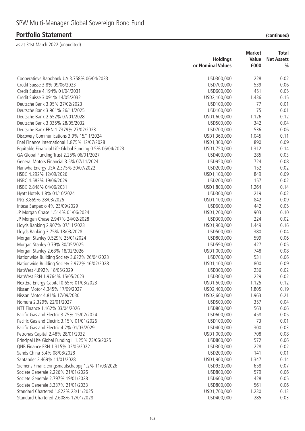## **Portfolio Statement**

| (continued) |
|-------------|
|-------------|

|                                                            |                   | <b>Market</b> | Total             |
|------------------------------------------------------------|-------------------|---------------|-------------------|
|                                                            | <b>Holdings</b>   | Value         | <b>Net Assets</b> |
|                                                            | or Nominal Values | £000          | $\frac{0}{0}$     |
| Cooperatieve Rabobank UA 3.758% 06/04/2033                 | USD300,000        | 228           | 0.02              |
| Credit Suisse 3.8% 09/06/2023                              | USD700,000        | 539           | 0.06              |
| Credit Suisse 4.194% 01/04/2031                            | USD600,000        | 451           | 0.05              |
| Credit Suisse 3.091% 14/05/2032                            | USD2,100,000      | 1,436         | 0.15              |
| Deutsche Bank 3.95% 27/02/2023                             | USD100,000        | 77            | 0.01              |
| Deutsche Bank 3.961% 26/11/2025                            | USD100,000        | 75            | 0.01              |
| Deutsche Bank 2.552% 07/01/2028                            | USD1,600,000      | 1,126         | 0.12              |
| Deutsche Bank 3.035% 28/05/2032                            | USD500,000        | 342           | 0.04              |
| Deutsche Bank FRN 1.7379% 27/02/2023                       | USD700,000        | 536           | 0.06              |
| Discovery Communications 3.9% 15/11/2024                   | USD1,360,000      | 1,045         | 0.11              |
| Enel Finance International 1.875% 12/07/2028               | USD1,300,000      | 890           | 0.09              |
| Equitable Financial Life Global Funding 0.5% 06/04/2023    | USD1,750,000      | 1,312         | 0.14              |
| GA Global Funding Trust 2.25% 06/01/2027                   | USD400,000        | 285           | 0.03              |
| General Motors Financial 3.5% 07/11/2024                   | USD950,000        | 724           | 0.08              |
| Hanwha Energy USA 2.375% 30/07/2022                        | USD200,000        | 152           | 0.02              |
| HSBC 4.292% 12/09/2026                                     | USD1,100,000      | 849           | 0.09              |
| HSBC 4.583% 19/06/2029                                     | USD200,000        | 157           | 0.02              |
| HSBC 2.848% 04/06/2031                                     | USD1,800,000      | 1,264         | 0.14              |
| Hyatt Hotels 1.8% 01/10/2024                               | USD300,000        | 219           | 0.02              |
| ING 3.869% 28/03/2026                                      | USD1,100,000      | 842           | 0.09              |
| Intesa Sanpaolo 4% 23/09/2029                              | USD600,000        | 442           | 0.05              |
| JP Morgan Chase 1.514% 01/06/2024                          | USD1,200,000      | 903           | 0.10              |
| JP Morgan Chase 2.947% 24/02/2028                          | USD300,000        | 224           | 0.02              |
| Lloyds Banking 2.907% 07/11/2023                           | USD1,900,000      | 1,449         | 0.16              |
| Lloyds Banking 3.75% 18/03/2028                            | USD500,000        | 380           | 0.04              |
| Morgan Stanley 0.529% 25/01/2024                           | USD800,000        | 599           | 0.06              |
| Morgan Stanley 0.79% 30/05/2025                            | USD590,000        | 427           | 0.05              |
| Morgan Stanley 2.63% 18/02/2026                            | USD1,000,000      | 748           | 0.08              |
| Nationwide Building Society 3.622% 26/04/2023              | USD700,000        | 531           | 0.06              |
| Nationwide Building Society 2.972% 16/02/2028              | USD1,100,000      | 800           | 0.09              |
| NatWest 4.892% 18/05/2029                                  | USD300,000        | 236           | 0.02              |
| NatWest FRN 1.9764% 15/05/2023                             | USD300,000        | 229           | 0.02              |
| NextEra Energy Capital 0.65% 01/03/2023                    | USD1,500,000      | 1,125         | 0.12              |
| Nissan Motor 4.345% 17/09/2027                             | USD2,400,000      | 1,805         | 0.19              |
| Nissan Motor 4.81% 17/09/2030                              | USD2,600,000      | 1,963         | 0.21              |
| Nomura 2.329% 22/01/2027                                   | USD500,000        | 357           | 0.04              |
| NTT Finance 1.162% 03/04/2026                              | USD800,000        | 563           | 0.06              |
| Pacific Gas and Electric 3.75% 15/02/2024                  | USD600,000        | 458           | 0.05              |
| Pacific Gas and Electric 3.15% 01/01/2026                  | USD100,000        | 73            | 0.01              |
| Pacific Gas and Electric 4.2% 01/03/2029                   | USD400,000        | 300           | 0.03              |
| Petronas Capital 2.48% 28/01/2032                          | USD1,000,000      | 708           |                   |
|                                                            |                   |               | 0.08              |
| Principal Life Global Funding II 1.25% 23/06/2025          | USD800,000        | 572           | 0.06              |
| QNB Finance FRN 1.315% 02/05/2022                          | USD300,000        | 228           | 0.02              |
| Sands China 5.4% 08/08/2028<br>Santander 2.469% 11/01/2028 | USD200,000        | 141           | 0.01              |
|                                                            | USD1,900,000      | 1,347         | 0.14              |
| Siemens Financieringsmaatschappij 1.2% 11/03/2026          | USD930,000        | 658           | 0.07              |
| Societe Generale 2.226% 21/01/2026                         | USD800,000        | 579           | 0.06              |
| Societe Generale 2.797% 19/01/2028                         | USD600,000        | 428           | 0.05              |
| Societe Generale 3.337% 21/01/2033                         | USD800,000        | 561           | 0.06              |
| Standard Chartered 1.822% 23/11/2025                       | USD1,700,000      | 1,230         | 0.13              |
| Standard Chartered 2.608% 12/01/2028                       | USD400,000        | 285           | 0.03              |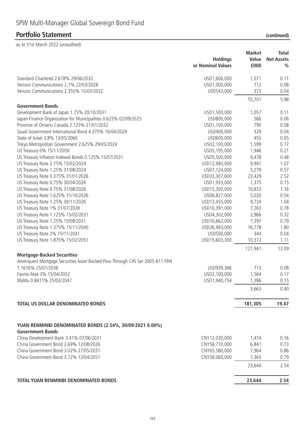|                                                                                | <b>Holdings</b><br>or Nominal Values | <b>Market</b><br>Value<br>£000 | Total<br><b>Net Assets</b><br>$\%$ |
|--------------------------------------------------------------------------------|--------------------------------------|--------------------------------|------------------------------------|
| Standard Chartered 2.678% 29/06/2032                                           | USD1,600,000                         | 1,071                          | 0.11                               |
| Verizon Communications 2.1% 22/03/2028                                         | USD1,000,000                         | 712                            | 0.08                               |
| Verizon Communications 2.355% 15/03/2032                                       | USD543,000                           | 373                            | 0.04                               |
|                                                                                |                                      | 55,701                         | 5.98                               |
| <b>Government Bonds</b><br>Development Bank of Japan 1.75% 20/10/2031          |                                      | 1,057                          | 0.11                               |
| Japan Finance Organization for Municipalities 0.625% 02/09/2025                | USD1,500,000<br>USD800,000           | 566                            | 0.06                               |
| Province of Ontario Canada 2.125% 21/01/2032                                   | USD1,100,000                         | 790                            | 0.08                               |
| Saudi Government International Bond 4.375% 16/04/2029                          | USD400,000                           | 329                            | 0.04                               |
| State of Israel 3.8% 13/05/2060                                                | USD600,000                           | 455                            | 0.05                               |
|                                                                                |                                      |                                |                                    |
| Tokyo Metropolitan Government 2.625% 29/05/2024                                | USD2,100,000                         | 1,599                          | 0.17                               |
| US Treasury 0% 15/11/2050                                                      | USD5,195,000                         | 1,946                          | 0.21                               |
| US Treasury Inflation Indexed Bonds 0.125% 15/07/2031                          | USD5,500,000                         | 4,478                          | 0.48                               |
| US Treasury Note 2.75% 15/02/2024                                              | USD12,940,000                        | 9,941                          | 1.07                               |
| US Treasury Note 1.25% 31/08/2024                                              | USD7,124,000                         | 5,279                          | 0.57                               |
| US Treasury Note 0.375% 31/01/2026                                             | USD33,307,600                        | 23,429                         | 2.52                               |
| US Treasury Note 0.75% 30/04/2026                                              | USD1,933,000                         | 1,375                          | 0.15                               |
| US Treasury Note 0.75% 31/08/2026                                              | USD15,300,000                        | 10,833                         | 1.16                               |
| US Treasury Note 1.625% 31/10/2026                                             | USD6,827,000                         | 5,020                          | 0.54                               |
| US Treasury Note 1.25% 30/11/2026                                              | USD13,455,000                        | 9,724                          | 1.04                               |
| US Treasury Note 1% 31/07/2028                                                 | USD10,391,000                        | 7,263                          | 0.78                               |
| US Treasury Note 1.125% 15/02/2031                                             | USD4,302,000                         | 2,966                          | 0.32                               |
| US Treasury Note 1.25% 15/08/2031                                              | USD10,662,000                        | 7,397                          | 0.79                               |
| US Treasury Note 1.375% 15/11/2040                                             | USD26,943,000                        | 16,778                         | 1.80                               |
| US Treasury Note 2% 15/11/2041                                                 | USD500,000                           | 344                            | 0.04                               |
| US Treasury Note 1.875% 15/02/2051                                             | USD15,603,300                        | 10,372                         | 1.11                               |
|                                                                                |                                      | 121,941                        | 13.09                              |
| <b>Mortgage-Backed Securities</b>                                              |                                      |                                |                                    |
| Ameriquest Mortgage Securities Asset Backed Pass-Through Ctfs Ser 2005-R11 FRN |                                      |                                |                                    |
| 1.1616% 25/01/2036                                                             | USD939,366                           | 713                            | 0.08                               |
| Fannie Mae 3% 15/04/2052                                                       | USD2,100,000                         | 1,564                          | 0.17                               |
| WaMu 0.8411% 25/03/2047                                                        | USD1,940,754                         | 1,386                          | 0.15                               |
|                                                                                |                                      | 3,663                          | 0.40                               |
| <b>TOTAL US DOLLAR DENOMINATED BONDS</b>                                       |                                      | 181,305                        | 19.47                              |
| YUAN RENMINBI DENOMINATED BONDS (2.54%, 30/09/2021 0.00%)                      |                                      |                                |                                    |
| <b>Government Bonds</b>                                                        |                                      |                                |                                    |
| China Development Bank 3.41% 07/06/2031                                        | CNY12,030,000                        | 1,474                          | 0.16                               |
| China Government Bond 2.69% 12/08/2026                                         | CNY56,710,000                        | 6,841                          | 0.73                               |
| China Government Bond 3.02% 27/05/2031                                         | CNY65,580,000                        | 7,964                          | 0.86                               |
| China Government Bond 3.72% 12/04/2051                                         | CNY58,060,000                        | 7,365                          | 0.79                               |
|                                                                                |                                      | 23,644                         | 2.54                               |
| TOTAL YUAN RENMINBI DENOMINATED BONDS                                          |                                      | 23,644                         | 2.54                               |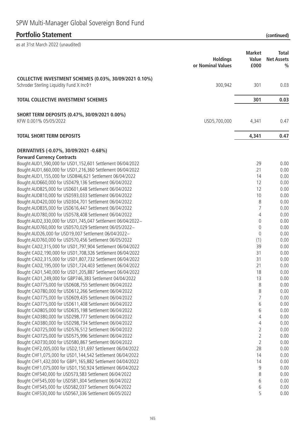# SPW Multi-Manager Global Sovereign Bond Fund

### **Portfolio Statement (continued)**

 $\frac{1}{2}$ s at 31st March 2022 (unaudited)

| ds at 3 ist March 2022 (unaudited)                                                                                 |                                      |                                |                                           |
|--------------------------------------------------------------------------------------------------------------------|--------------------------------------|--------------------------------|-------------------------------------------|
|                                                                                                                    | <b>Holdings</b><br>or Nominal Values | <b>Market</b><br>Value<br>£000 | <b>Total</b><br><b>Net Assets</b><br>$\%$ |
| COLLECTIVE INVESTMENT SCHEMES (0.03%, 30/09/2021 0.10%)<br>Schroder Sterling Liquidity Fund X Inc 0 t              | 300,942                              | 301                            | 0.03                                      |
| <b>TOTAL COLLECTIVE INVESTMENT SCHEMES</b>                                                                         |                                      | 301                            | 0.03                                      |
| SHORT TERM DEPOSITS (0.47%, 30/09/2021 0.00%)                                                                      |                                      |                                |                                           |
| KFW 0.001% 05/05/2022                                                                                              | USD5,700,000                         | 4,341                          | 0.47                                      |
| <b>TOTAL SHORT TERM DEPOSITS</b>                                                                                   |                                      | 4,341                          | 0.47                                      |
| DERIVATIVES (-0.07%, 30/09/2021 -0.68%)                                                                            |                                      |                                |                                           |
| <b>Forward Currency Contracts</b>                                                                                  |                                      |                                |                                           |
| Bought AUD1,590,000 for USD1,152,601 Settlement 06/04/2022                                                         |                                      | 29                             | 0.00                                      |
| Bought AUD1,660,000 for USD1,216,360 Settlement 06/04/2022                                                         |                                      | 21<br>14                       | 0.00                                      |
| Bought AUD1,155,000 for USD846,621 Settlement 06/04/2022<br>Bought AUD660,000 for USD479,136 Settlement 06/04/2022 |                                      | 12                             | 0.00<br>0.00                              |
| Bought AUD825,000 for USD601,648 Settlement 06/04/2022                                                             |                                      | 12                             | 0.00                                      |
| Bought AUD810,000 for USD593,033 Settlement 06/04/2022                                                             |                                      | 10                             | 0.00                                      |
| Bought AUD420,000 for USD304,701 Settlement 06/04/2022                                                             |                                      | 8                              | 0.00                                      |
| Bought AUD835,000 for USD616,447 Settlement 06/04/2022                                                             |                                      | 7                              | 0.00                                      |
| Bought AUD780,000 for USD578,408 Settlement 06/04/2022                                                             |                                      | 4                              | 0.00                                      |
| Bought AUD2,330,000 for USD1,745,047 Settlement 06/04/2022~                                                        |                                      | $\mathbf 0$                    | 0.00                                      |
| Bought AUD760,000 for USD570,029 Settlement 06/05/2022~                                                            |                                      | $\theta$                       | 0.00                                      |
| Bought AUD26,000 for USD19,007 Settlement 06/04/2022~                                                              |                                      | $\theta$                       | 0.00                                      |
| Bought AUD760,000 for USD570,456 Settlement 06/05/2022                                                             |                                      | (1)                            | 0.00                                      |
| Bought CAD2,315,000 for USD1,797,904 Settlement 06/04/2022                                                         |                                      | 39                             | 0.00                                      |
| Bought CAD2, 190, 000 for USD1, 708, 326 Settlement 06/04/2022                                                     |                                      | 31                             | 0.00                                      |
| Bought CAD2,315,000 for USD1,807,732 Settlement 06/04/2022                                                         |                                      | 31                             | 0.00                                      |
| Bought CAD2, 195,000 for USD1, 724, 403 Settlement 06/04/2022                                                      |                                      | 21                             | 0.00                                      |
| Bought CAD1,540,000 for USD1,205,887 Settlement 06/04/2022                                                         |                                      | 18                             | 0.00                                      |
| Bought CAD1,249,000 for GBP746,383 Settlement 04/04/2022                                                           |                                      | 13                             | 0.00                                      |
| Bought CAD775,000 for USD608,755 Settlement 06/04/2022<br>Bought CAD780,000 for USD612,266 Settlement 06/04/2022   |                                      | 8<br>8                         | 0.00<br>0.00                              |
| Bought CAD775,000 for USD609,435 Settlement 06/04/2022                                                             |                                      | 7                              | 0.00                                      |
| Bought CAD775,000 for USD611,408 Settlement 06/04/2022                                                             |                                      | 6                              | 0.00                                      |
| Bought CAD805,000 for USD635,198 Settlement 06/04/2022                                                             |                                      | 6                              | 0.00                                      |
| Bought CAD380,000 for USD298,777 Settlement 06/04/2022                                                             |                                      | 4                              | 0.00                                      |
| Bought CAD380,000 for USD298,734 Settlement 06/04/2022                                                             |                                      | 4                              | 0.00                                      |
| Bought CAD725,000 for USD576,512 Settlement 06/04/2022                                                             |                                      | $\overline{2}$                 | 0.00                                      |
| Bought CAD725,000 for USD575,996 Settlement 06/04/2022                                                             |                                      | $\overline{2}$                 | 0.00                                      |
| Bought CAD730,000 for USD580,867 Settlement 06/04/2022                                                             |                                      | $\overline{2}$                 | 0.00                                      |
| Bought CHF2,005,000 for USD2,131,697 Settlement 06/04/2022                                                         |                                      | 28                             | 0.00                                      |
| Bought CHF1,075,000 for USD1,144,542 Settlement 06/04/2022                                                         |                                      | 14                             | 0.00                                      |
| Bought CHF1,432,000 for GBP1,165,882 Settlement 04/04/2022                                                         |                                      | 14                             | 0.00                                      |
| Bought CHF1,075,000 for USD1,150,924 Settlement 06/04/2022                                                         |                                      | 9                              | 0.00                                      |
| Bought CHF540,000 for USD573,583 Settlement 06/04/2022                                                             |                                      | 8                              | 0.00                                      |
| Bought CHF545,000 for USD581,304 Settlement 06/04/2022                                                             |                                      | 6                              | 0.00                                      |
| Bought CHF545,000 for USD582,037 Settlement 06/04/2022                                                             |                                      | 6                              | 0.00                                      |
| Bought CHF530,000 for USD567,336 Settlement 06/05/2022                                                             |                                      | 5                              | 0.00                                      |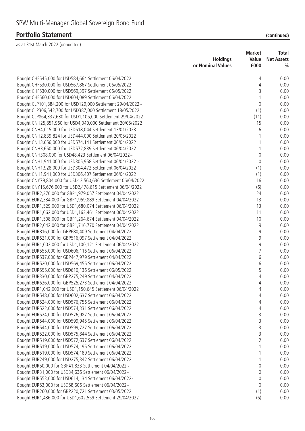|                                                              | <b>Holdings</b>   | <b>Market</b><br>Value | <b>Total</b><br><b>Net Assets</b> |
|--------------------------------------------------------------|-------------------|------------------------|-----------------------------------|
|                                                              | or Nominal Values | £000                   | $\frac{0}{0}$                     |
| Bought CHF545,000 for USD584,664 Settlement 06/04/2022       |                   | 4                      | 0.00                              |
| Bought CHF530,000 for USD567,867 Settlement 06/05/2022       |                   | $\overline{4}$         | 0.00                              |
| Bought CHF530,000 for USD569,397 Settlement 06/05/2022       |                   | 3                      | 0.00                              |
| Bought CHF560,000 for USD604,089 Settlement 06/04/2022       |                   | $\mathbf{1}$           | 0.00                              |
| Bought CLP101,884,200 for USD129,000 Settlement 29/04/2022~  |                   | $\mathbf 0$            | 0.00                              |
| Bought CLP306,542,700 for USD387,000 Settlement 18/05/2022   |                   | (1)                    | 0.00                              |
| Bought CLP864,337,630 for USD1,105,000 Settlement 29/04/2022 |                   | (11)                   | 0.00                              |
| Bought CNH25,851,960 for USD4,040,000 Settlement 20/05/2022  |                   | 15                     | 0.00                              |
| Bought CNH4,015,000 for USD618,044 Settlement 13/01/2023     |                   | 6                      | 0.00                              |
| Bought CNH2,839,824 for USD444,000 Settlement 20/05/2022     |                   |                        | 0.00                              |
| Bought CNH3,656,000 for USD574,141 Settlement 06/04/2022     |                   | 1                      | 0.00                              |
| Bought CNH3,650,000 for USD572,839 Settlement 06/04/2022     |                   | 1                      | 0.00                              |
| Bought CNH308,000 for USD48,423 Settlement 06/04/2022~       |                   | $\mathbf 0$            | 0.00                              |
| Bought CNH1,941,000 for USD305,958 Settlement 06/04/2022~    |                   | 0                      | 0.00                              |
| Bought CNH1,928,000 for USD304,472 Settlement 06/04/2022     |                   | (1)                    | 0.00                              |
| Bought CNH1,941,000 for USD306,407 Settlement 06/04/2022     |                   | (1)                    | 0.00                              |
| Bought CNY79,804,000 for USD12,560,636 Settlement 06/04/2022 |                   | 16                     | 0.00                              |
| Bought CNY15,676,000 for USD2,478,615 Settlement 06/04/2022  |                   | (6)                    | 0.00                              |
| Bought EUR2,370,000 for GBP1,979,057 Settlement 04/04/2022   |                   | 24                     | 0.00                              |
| Bought EUR2,334,000 for GBP1,959,889 Settlement 04/04/2022   |                   | 13                     | 0.00                              |
| Bought EUR1,529,000 for USD1,680,074 Settlement 06/04/2022   |                   | 13                     | 0.00                              |
| Bought EUR1,062,000 for USD1,163,461 Settlement 06/04/2022   |                   | 11                     | 0.00                              |
| Bought EUR1,508,000 for GBP1,264,674 Settlement 04/04/2022   |                   | 10                     | 0.00                              |
| Bought EUR2,042,000 for GBP1,716,770 Settlement 04/04/2022   |                   | 9                      | 0.00                              |
| Bought EUR816,000 for GBP680,409 Settlement 04/04/2022       |                   | 9                      | 0.00                              |
| Bought EUR621,000 for GBP516,097 Settlement 04/04/2022       |                   | 9                      | 0.00                              |
| Bought EUR1,002,000 for USD1,100,121 Settlement 06/04/2022   |                   | 9                      | 0.00                              |
| Bought EUR555,000 for USD606,116 Settlement 06/04/2022       |                   | $\overline{7}$         | 0.00                              |
| Bought EUR537,000 for GBP447,979 Settlement 04/04/2022       |                   | 6                      | 0.00                              |
| Bought EUR520,000 for USD569,455 Settlement 06/04/2022       |                   | 6                      | 0.00                              |
| Bought EUR555,000 for USD610,136 Settlement 06/05/2022       |                   | 5                      | 0.00                              |
| Bought EUR330,000 for GBP275,249 Settlement 04/04/2022       |                   | 4                      | 0.00                              |
| Bought EUR626,000 for GBP525,273 Settlement 04/04/2022       |                   | 4                      | 0.00                              |
| Bought EUR1,042,000 for USD1,150,645 Settlement 06/04/2022   |                   | 4                      | 0.00                              |
| Bought EUR548,000 for USD602,637 Settlement 06/04/2022       |                   | 4                      | 0.00                              |
| Bought EUR524,000 for USD576,756 Settlement 06/04/2022       |                   | 4                      | 0.00                              |
| Bought EUR522,000 for USD574,331 Settlement 06/04/2022       |                   | 4                      | 0.00                              |
| Bought EUR524,000 for USD576,987 Settlement 06/04/2022       |                   | 3                      | 0.00                              |
| Bought EUR544,000 for USD599,945 Settlement 06/04/2022       |                   | 3                      | 0.00                              |
| Bought EUR544,000 for USD599,727 Settlement 06/04/2022       |                   | 3                      | 0.00                              |
| Bought EUR522,000 for USD575,844 Settlement 06/04/2022       |                   | 3                      | 0.00                              |
| Bought EUR519,000 for USD572,637 Settlement 06/04/2022       |                   | $\overline{2}$         | 0.00                              |
| Bought EUR519,000 for USD574,195 Settlement 06/04/2022       |                   |                        | 0.00                              |
| Bought EUR519,000 for USD574,189 Settlement 06/04/2022       |                   |                        | 0.00                              |
| Bought EUR249,000 for USD275,342 Settlement 06/04/2022       |                   | 1                      | 0.00                              |
| Bought EUR50,000 for GBP41,833 Settlement 04/04/2022~        |                   | 0                      | 0.00                              |
| Bought EUR31,000 for USD34,636 Settlement 06/04/2022~        |                   | 0                      | 0.00                              |
| Bought EUR553,000 for USD614,134 Settlement 06/04/2022~      |                   | 0                      | 0.00                              |
| Bought EUR53,000 for USD58,606 Settlement 06/04/2022~        |                   | 0                      | 0.00                              |
| Bought EUR260,000 for GBP220,721 Settlement 03/05/2022       |                   | (1)                    | 0.00                              |
| Bought EUR1,436,000 for USD1,602,559 Settlement 29/04/2022   |                   | (6)                    | 0.00                              |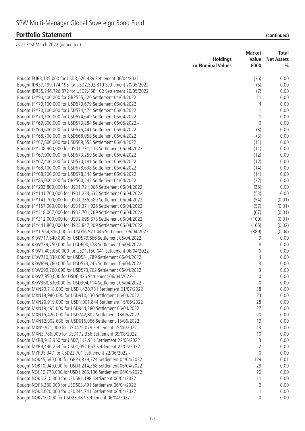|                                                                      | <b>Holdings</b>   | <b>Market</b><br>Value | Total<br><b>Net Assets</b> |
|----------------------------------------------------------------------|-------------------|------------------------|----------------------------|
|                                                                      | or Nominal Values | £000                   | $\frac{0}{0}$              |
| Bought EUR3, 135,000 for USD3, 526, 489 Settlement 06/04/2022        |                   | (36)                   | 0.00                       |
| Bought IDR37, 199, 174, 193 for USD2, 592, 819 Settlement 20/05/2022 |                   | (6)                    | 0.00                       |
| Bought IDR35,246,726,872 for USD2,458,102 Settlement 20/05/2022      |                   | (7)                    | 0.00                       |
| Bought JPY90,400,000 for GBP555,220 Settlement 04/04/2022            |                   | 11                     | 0.00                       |
| Bought JPY70,100,000 for USD570,679 Settlement 06/04/2022            |                   | 4                      | 0.00                       |
| Bought JPY70,100,000 for USD574,474 Settlement 06/04/2022            |                   | $\mathbf{1}$           | 0.00                       |
| Bought JPY70,100,000 for USD574,649 Settlement 06/04/2022            |                   | $\mathbf{1}$           | 0.00                       |
| Bought JPY69,800,000 for USD573,884 Settlement 06/05/2022~           |                   | $\mathbf 0$            | 0.00                       |
| Bought JPY69,600,000 for USD575,441 Settlement 06/04/2022            |                   | (3)                    | 0.00                       |
| Bought JPY68,700,000 for USD568,958 Settlement 06/04/2022            |                   | (3)                    | 0.00                       |
| Bought JPY67,600,000 for USD569,558 Settlement 06/04/2022            |                   | (11)                   | 0.00                       |
| Bought JPY208,900,000 for USD1,731,116 Settlement 06/04/2022         |                   | (11)                   | 0.00                       |
| Bought JPY67,900,000 for USD573,259 Settlement 06/04/2022            |                   | (12)                   | 0.00                       |
| Bought JPY67,400,000 for USD570,181 Settlement 06/04/2022            |                   | (12)                   | 0.00                       |
| Bought JPY68,100,000 for USD578,638 Settlement 06/04/2022            |                   | (14)                   | 0.00                       |
| Bought JPY68,100,000 for USD578,348 Settlement 06/04/2022            |                   | (14)                   | 0.00                       |
| Bought JPY86,000,000 for GBP560,242 Settlement 04/04/2022            |                   | (22)                   | 0.00                       |
| Bought JPY203,800,000 for USD1,721,066 Settlement 06/04/2022         |                   | (35)                   | 0.00                       |
| Bought JPY141,700,000 for USD1,234,632 Settlement 06/04/2022         |                   | (53)                   | 0.00                       |
| Bought JPY141,700,000 for USD1,235,580 Settlement 06/04/2022         |                   | (54)                   | (0.01)                     |
| Bought JPY157,900,000 for USD1,371,926 Settlement 06/04/2022         |                   | (57)                   | (0.01)                     |
| Bought JPY318,067,000 for USD2,701,769 Settlement 06/04/2022         |                   | (67)                   | (0.01)                     |
| Bought JPY312,000,000 for USD2,695,878 Settlement 06/04/2022         |                   | (100)                  | (0.01)                     |
| Bought JPY441,800,000 for USD3,847,309 Settlement 06/04/2022         |                   | (165)                  | (0.02)                     |
| Bought JPY1,954,316,000 for USD16,571,446 Settlement 06/04/2022      |                   | (389)                  | (0.04)                     |
| Bought KRW717,540,000 for USD579,666 Settlement 06/04/2022           |                   | 9                      | 0.00                       |
| Bought KRW739,750,000 for USD600,178 Settlement 06/04/2022           |                   | 8                      | 0.00                       |
| Bought KRW1,403,050,000 for USD1,150,041 Settlement 06/04/2022       |                   | 6                      | 0.00                       |
| Bought KRW710,830,000 for USD581,789 Settlement 06/04/2022           |                   | 4                      | 0.00                       |
| Bought KRW699,760,000 for USD573,245 Settlement 06/04/2022           |                   | 3                      | 0.00                       |
| Bought KRW699,760,000 for USD573,762 Settlement 06/04/2022           |                   | 3                      | 0.00                       |
| Bought KRW7,950,000 for USD6,426 Settlement 06/04/2022~              |                   | $\overline{0}$         | 0.00                       |
| Bought KRW368,830,000 for USD304,114 Settlement 06/04/2022~          |                   | $\mathbf 0$            | 0.00                       |
| Bought MXN29,718,000 for USD1,420,731 Settlement 01/07/2022          |                   | 38                     | 0.00                       |
| Bought MXN18,980,000 for USD910,430 Settlement 06/04/2022            |                   | 33                     | 0.00                       |
| Bought MXN20,919,000 for USD1,001,844 Settlement 15/06/2022          |                   | 28                     | 0.00                       |
| Bought MXN19,495,000 for USD944,280 Settlement 06/04/2022            |                   | 27                     | 0.00                       |
| Bought MXN15,426,000 for USD742,802 Settlement 18/05/2022            |                   | 20                     | 0.00                       |
| Bought MXN12,902,686 for USD616,056 Settlement 15/06/2022            |                   | 19                     | 0.00                       |
| Bought MXN9,921,000 for USD475,079 Settlement 15/06/2022             |                   | 13                     | 0.00                       |
| Bought MXN3,786,000 for USD172,356 Settlement 09/08/2022             |                   | 10                     | 0.00                       |
| Bought MYR8,913,950 for USD2,112,911 Settlement 22/06/2022           |                   | 3                      | 0.00                       |
| Bought MYR4,446,254 for USD1,052,667 Settlement 22/06/2022           |                   | $\overline{2}$         | 0.00                       |
| Bought MYR95,347 for USD22,701 Settlement 22/06/2022~                |                   | $\mathbf 0$            | 0.00                       |
| Bought NOK45,540,000 for GBP3,839,724 Settlement 04/04/2022          |                   | 129                    | 0.01                       |
| Bought NOK10,940,000 for USD1,214,368 Settlement 06/04/2022          |                   | 28                     | 0.00                       |
| Bought NOK10,770,000 for USD1,205,106 Settlement 06/04/2022          |                   | 20                     | 0.00                       |
| Bought NOK5,210,000 for USD581,198 Settlement 06/04/2022             |                   | 11                     | 0.00                       |
| Bought NOK5,380,000 for USD603,491 Settlement 06/04/2022             |                   | 9                      | 0.00                       |
| Bought NOK3,020,000 for USD344,741 Settlement 06/04/2022             |                   | 1                      | 0.00                       |
| Bought NOK210,000 for USD23,387 Settlement 06/04/2022~               |                   | 0                      | 0.00                       |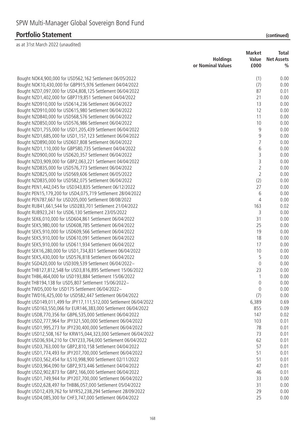|                                                                   | <b>Holdings</b>   | <b>Market</b><br>Value | Total<br><b>Net Assets</b> |
|-------------------------------------------------------------------|-------------------|------------------------|----------------------------|
|                                                                   | or Nominal Values | £000                   | $\%$                       |
| Bought NOK4,900,000 for USD562,162 Settlement 06/05/2022          |                   | (1)                    | 0.00                       |
| Bought NOK10,430,000 for GBP915,976 Settlement 04/04/2022         |                   | (7)                    | 0.00                       |
| Bought NZD7,097,000 for USD4,808,125 Settlement 06/04/2022        |                   | 87                     | 0.01                       |
| Bought NZD1,402,000 for GBP719,851 Settlement 04/04/2022          |                   | 21                     | 0.00                       |
| Bought NZD910,000 for USD614,236 Settlement 06/04/2022            |                   | 13                     | 0.00                       |
| Bought NZD910,000 for USD615,980 Settlement 06/04/2022            |                   | 12                     | 0.00                       |
| Bought NZD840,000 for USD568,576 Settlement 06/04/2022            |                   | 11                     | 0.00                       |
| Bought NZD850,000 for USD576,986 Settlement 06/04/2022            |                   | 10                     | 0.00                       |
| Bought NZD1,755,000 for USD1,205,439 Settlement 06/04/2022        |                   | 9                      | 0.00                       |
| Bought NZD1,685,000 for USD1,157,123 Settlement 06/04/2022        |                   | 9                      | 0.00                       |
| Bought NZD890,000 for USD607,808 Settlement 06/04/2022            |                   | $\overline{7}$         | 0.00                       |
| Bought NZD1,110,000 for GBP580,735 Settlement 04/04/2022          |                   | 6                      | 0.00                       |
| Bought NZD900,000 for USD620,357 Settlement 06/04/2022            |                   | 3                      | 0.00                       |
| Bought NZD3,909,000 for GBP2,063,221 Settlement 04/04/2022        |                   | 3                      | 0.00                       |
| Bought NZD835,000 for USD576,773 Settlement 06/04/2022            |                   | $\overline{2}$         | 0.00                       |
| Bought NZD825,000 for USD569,606 Settlement 06/05/2022            |                   | $\overline{2}$         | 0.00                       |
| Bought NZD835,000 for USD582,075 Settlement 06/04/2022            |                   | (2)                    | 0.00                       |
| Bought PEN1,442,045 for USD343,835 Settlement 06/12/2022          |                   | 27                     | 0.00                       |
| Bought PEN15, 179, 200 for USD4, 075, 719 Settlement 28/04/2022   |                   | 6                      | 0.00                       |
| Bought PEN787,667 for USD205,000 Settlement 08/08/2022            |                   | 4                      | 0.00                       |
| Bought RUB41,661,544 for USD283,701 Settlement 21/04/2022         |                   | 163                    | 0.02                       |
| Bought RUB923,241 for USD6,130 Settlement 23/05/2022              |                   | 3                      | 0.00                       |
| Bought SEK6,010,000 for USD604,861 Settlement 06/04/2022          |                   | 31                     | 0.00                       |
| Bought SEK5,980,000 for USD608,785 Settlement 06/04/2022          |                   | 25                     | 0.00                       |
| Bought SEK5,910,000 for USD609,566 Settlement 06/04/2022          |                   | 19                     | 0.00                       |
| Bought SEK5,910,000 for USD610,091 Settlement 06/04/2022          |                   | 18                     | 0.00                       |
| Bought SEK5,910,000 for USD611,934 Settlement 06/04/2022          |                   | 17                     | 0.00                       |
| Bought SEK16,280,000 for USD1,734,831 Settlement 06/04/2022       |                   | 10                     | 0.00                       |
| Bought SEK5,430,000 for USD576,818 Settlement 06/04/2022          |                   | 5                      | 0.00                       |
| Bought SGD420,000 for USD309,539 Settlement 06/04/2022~           |                   | $\mathbf 0$            | 0.00                       |
| Bought THB127,812,548 for USD3,816,895 Settlement 15/06/2022      |                   | 23                     | 0.00                       |
| Bought THB6,464,000 for USD193,884 Settlement 15/06/2022          |                   | 1                      | 0.00                       |
| Bought THB194,138 for USD5,807 Settlement 15/06/2022~             |                   | $\boldsymbol{0}$       | 0.00                       |
| Bought TWD5,000 for USD175 Settlement 06/04/2022~                 |                   | $\mathbf 0$            | 0.00                       |
| Bought TWD16,425,000 for USD582,447 Settlement 06/04/2022         |                   | (7)                    | 0.00                       |
| Bought USD149,011,499 for JPY17,111,512,000 Settlement 06/04/2022 |                   | 6,389                  | 0.69                       |
| Bought USD163,550,066 for EUR146,383,000 Settlement 06/04/2022    |                   | 855                    | 0.09                       |
| Bought USD8,770,356 for GBP6,535,000 Settlement 06/04/2022        |                   | 147                    | 0.02                       |
| Bought USD2,777,964 for JPY321,500,000 Settlement 06/04/2022      |                   | 103                    | 0.01                       |
| Bought USD1,995,273 for JPY230,400,000 Settlement 06/04/2022      |                   | 78                     | 0.01                       |
| Bought USD12,508,167 for KRW15,044,323,000 Settlement 06/04/2022  |                   | 73                     | 0.01                       |
| Bought USD36,934,210 for CNY233,764,000 Settlement 06/04/2022     |                   | 62                     | 0.01                       |
| Bought USD3,763,000 for GBP2,810,158 Settlement 04/04/2022        |                   | 57                     | 0.01                       |
| Bought USD1,774,493 for JPY207,700,000 Settlement 06/04/2022      |                   | 51                     | 0.01                       |
| Bought USD3,562,454 for ILS10,998,900 Settlement 02/11/2022       |                   | 51                     | 0.01                       |
| Bought USD3,964,090 for GBP2,973,446 Settlement 04/04/2022        |                   | 47                     | 0.01                       |
| Bought USD2,902,873 for GBP2,166,000 Settlement 06/04/2022        |                   | 46                     | 0.01                       |
| Bought USD1,749,944 for JPY207,700,000 Settlement 06/04/2022      |                   | 33                     | 0.00                       |
| Bought USD2,628,497 for THB86,057,000 Settlement 05/04/2022       |                   | 31                     | 0.00                       |
| Bought USD12,439,762 for MYR52,238,294 Settlement 28/09/2022      |                   | 29                     | 0.00                       |
| Bought USD4,085,300 for CHF3,747,000 Settlement 06/04/2022        |                   | 25                     | 0.00                       |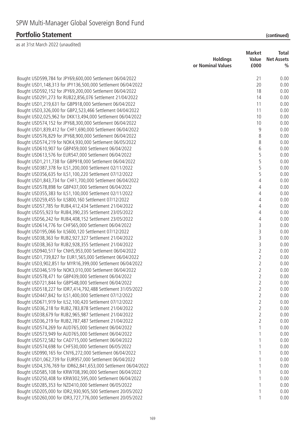|                                                                 | <b>Holdings</b><br>or Nominal Values | <b>Market</b><br>Value<br>£000 | Total<br><b>Net Assets</b><br>$\frac{0}{0}$ |
|-----------------------------------------------------------------|--------------------------------------|--------------------------------|---------------------------------------------|
| Bought USD599,784 for JPY69,600,000 Settlement 06/04/2022       |                                      | 21                             | 0.00                                        |
| Bought USD1,148,313 for JPY136,500,000 Settlement 06/04/2022    |                                      | 20                             | 0.00                                        |
| Bought USD592,152 for JPY69,200,000 Settlement 06/04/2022       |                                      | 18                             | 0.00                                        |
| Bought USD291,273 for RUB22,856,076 Settlement 21/04/2022       |                                      | 14                             | 0.00                                        |
| Bought USD1,219,631 for GBP918,000 Settlement 06/04/2022        |                                      | 11                             | 0.00                                        |
| Bought USD3,326,000 for GBP2,523,466 Settlement 04/04/2022      |                                      | 11                             | 0.00                                        |
| Bought USD2,025,962 for DKK13,494,000 Settlement 06/04/2022     |                                      | 10                             | 0.00                                        |
| Bought USD574,152 for JPY68,300,000 Settlement 06/04/2022       |                                      | 10                             | 0.00                                        |
| Bought USD1,839,412 for CHF1,690,000 Settlement 06/04/2022      |                                      | 9                              | 0.00                                        |
| Bought USD576,829 for JPY68,900,000 Settlement 06/04/2022       |                                      | 8                              | 0.00                                        |
| Bought USD574,219 for NOK4,930,000 Settlement 06/05/2022        |                                      | 8                              | 0.00                                        |
| Bought USD610,907 for GBP459,000 Settlement 06/04/2022          |                                      | 6                              | 0.00                                        |
| Bought USD613,576 for EUR547,000 Settlement 06/04/2022          |                                      | 5                              | 0.00                                        |
| Bought USD1,211,738 for GBP918,000 Settlement 06/04/2022        |                                      | 5                              | 0.00                                        |
| Bought USD387,378 for ILS1,200,000 Settlement 02/11/2022        |                                      | 5                              | 0.00                                        |
| Bought USD356,635 for ILS1,100,220 Settlement 07/12/2022        |                                      | 5                              | 0.00                                        |
| Bought USD1,843,734 for CHF1,700,000 Settlement 06/04/2022      |                                      | $\overline{4}$                 | 0.00                                        |
| Bought USD578,898 for GBP437,000 Settlement 06/04/2022          |                                      | 4                              | 0.00                                        |
| Bought USD355,383 for ILS1,100,000 Settlement 02/11/2022        |                                      | 4                              | 0.00                                        |
| Bought USD259,455 for ILS800,160 Settlement 07/12/2022          |                                      | 4                              | 0.00                                        |
| Bought USD57,785 for RUB4,412,434 Settlement 21/04/2022         |                                      | 4                              | 0.00                                        |
| Bought USD55,923 for RUB4,390,235 Settlement 23/05/2022         |                                      | 4                              | 0.00                                        |
| Bought USD56,242 for RUB4,408,152 Settlement 23/05/2022         |                                      | 4                              | 0.00                                        |
| Bought USD614,776 for CHF565,000 Settlement 06/04/2022          |                                      | 3                              | 0.00                                        |
| Bought USD195,066 for ILS600,120 Settlement 07/12/2022          |                                      | 3                              | 0.00                                        |
| Bought USD38,363 for RUB2,927,327 Settlement 21/04/2022         |                                      | 3                              | 0.00                                        |
| Bought USD38,363 for RUB2,928,355 Settlement 21/04/2022         |                                      | 3                              | 0.00                                        |
| Bought USD940,517 for CNH5,953,000 Settlement 06/04/2022        |                                      | $\overline{2}$                 | 0.00                                        |
| Bought USD1,739,827 for EUR1,565,000 Settlement 06/04/2022      |                                      | $\overline{2}$                 | 0.00                                        |
| Bought USD3,902,851 for MYR16,399,000 Settlement 06/04/2022     |                                      | $\overline{2}$                 | 0.00                                        |
| Bought USD346,519 for NOK3,010,000 Settlement 06/04/2022        |                                      | $\overline{2}$                 | 0.00                                        |
| Bought USD578,471 for GBP439,000 Settlement 06/04/2022          |                                      | $\overline{2}$                 | 0.00                                        |
| Bought USD721,844 for GBP548,000 Settlement 06/04/2022          |                                      | 2                              | 0.00                                        |
| Bought USD518,227 for IDR7,414,792,488 Settlement 31/05/2022    |                                      | 2                              | 0.00                                        |
| Bought USD447,842 for ILS1,400,000 Settlement 07/12/2022        |                                      | 2                              | 0.00                                        |
| Bought USD671,919 for ILS2,100,420 Settlement 07/12/2022        |                                      | 2                              | 0.00                                        |
| Bought USD36,218 for RUB2,783,878 Settlement 21/04/2022         |                                      | $\overline{2}$                 | 0.00                                        |
| Bought USD38,679 for RUB2,965,987 Settlement 21/04/2022         |                                      | $\overline{2}$                 | 0.00                                        |
| Bought USD36,219 for RUB2,787,487 Settlement 21/04/2022         |                                      | 2                              | 0.00                                        |
| Bought USD574,269 for AUD765,000 Settlement 06/04/2022          |                                      |                                | 0.00                                        |
| Bought USD573,949 for AUD765,000 Settlement 06/04/2022          |                                      |                                | 0.00                                        |
| Bought USD572,582 for CAD715,000 Settlement 06/04/2022          |                                      |                                | 0.00                                        |
| Bought USD574,698 for CHF530,000 Settlement 06/05/2022          |                                      |                                | 0.00                                        |
| Bought USD990,165 for CNY6,272,000 Settlement 06/04/2022        |                                      |                                | 0.00                                        |
| Bought USD1,062,739 for EUR957,000 Settlement 06/04/2022        |                                      |                                | 0.00                                        |
| Bought USD4,376,769 for IDR62,841,653,000 Settlement 06/04/2022 |                                      |                                | 0.00                                        |
| Bought USD585,108 for KRW708,390,000 Settlement 06/04/2022      |                                      |                                | 0.00                                        |
| Bought USD250,408 for KRW302,595,000 Settlement 06/04/2022      |                                      |                                | 0.00                                        |
| Bought USD285,353 for NZD410,000 Settlement 06/05/2022          |                                      |                                | 0.00                                        |
| Bought USD205,000 for IDR2,930,905,500 Settlement 20/05/2022    |                                      |                                | 0.00                                        |
| Bought USD260,000 for IDR3,727,776,000 Settlement 20/05/2022    |                                      | 1                              | 0.00                                        |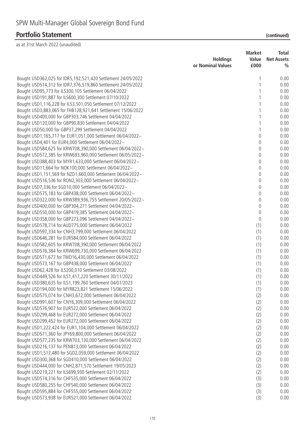| <b>Holdings</b><br>or Nominal Values                                                                               | <b>Market</b><br>Value<br>£000 | <b>Total</b><br><b>Net Assets</b><br>$\frac{0}{0}$ |
|--------------------------------------------------------------------------------------------------------------------|--------------------------------|----------------------------------------------------|
| Bought USD362,025 for IDR5,192,521,420 Settlement 24/05/2022                                                       |                                | 0.00                                               |
| Bought USD514,312 for IDR7,376,519,860 Settlement 24/05/2022                                                       |                                | 0.00                                               |
| Bought USD95,773 for ILS300,105 Settlement 06/04/2022                                                              |                                | 0.00                                               |
| Bought USD191,887 for ILS600,300 Settlement 07/10/2022                                                             |                                | 0.00                                               |
| Bought USD1,116,228 for ILS3,501,050 Settlement 07/12/2022                                                         |                                | 0.00                                               |
| Bought USD3,883,065 for THB128,921,641 Settlement 15/06/2022                                                       |                                | 0.00                                               |
| Bought USD400,000 for GBP303,746 Settlement 04/04/2022                                                             |                                | 0.00                                               |
| Bought USD120,000 for GBP90,830 Settlement 04/04/2022                                                              |                                | 0.00                                               |
| Bought USD50,000 for GBP37,299 Settlement 04/04/2022                                                               |                                | 0.00                                               |
| Bought USD1,165,717 for EUR1,051,000 Settlement 06/04/2022~                                                        | 0                              | 0.00                                               |
| Bought USD4,401 for EUR4,000 Settlement 06/04/2022~                                                                | 0                              | 0.00                                               |
| Bought USD584,625 for KRW708,390,000 Settlement 06/04/2022~                                                        | 0                              | 0.00                                               |
| Bought USD572,385 for KRW693,960,000 Settlement 06/05/2022~                                                        | 0                              | 0.00                                               |
| Bought USD388,403 for MYR1,633,000 Settlement 06/04/2022~                                                          | 0                              | 0.00                                               |
| Bought USD11,664 for NOK100,000 Settlement 06/04/2022~                                                             | 0                              | 0.00                                               |
| Bought USD1,151,569 for NZD1,660,000 Settlement 06/04/2022~                                                        | 0                              | 0.00                                               |
| Bought USD516,536 for RON2,303,000 Settlement 06/04/2022~                                                          | 0                              | 0.00                                               |
| Bought USD7,336 for SGD10,000 Settlement 06/04/2022~                                                               | 0                              | 0.00                                               |
| Bought USD575,183 for GBP438,000 Settlement 06/04/2022~                                                            | 0                              | 0.00                                               |
| Bought USD322,000 for KRW389,936,755 Settlement 20/05/2022~                                                        | 0                              | 0.00                                               |
| Bought USD400,000 for GBP304,271 Settlement 04/04/2022~                                                            | 0                              | 0.00                                               |
| Bought USD550,000 for GBP419,385 Settlement 04/04/2022~                                                            | 0                              | 0.00                                               |
| Bought USD358,000 for GBP273,096 Settlement 04/04/2022~                                                            | $\theta$                       | 0.00                                               |
| Bought USD578,714 for AUD775,000 Settlement 06/04/2022                                                             | (1)                            | 0.00                                               |
| Bought USD597,334 for CNH3,799,000 Settlement 06/04/2022                                                           | (1)                            | 0.00                                               |
| Bought USD646,281 for EUR584,000 Settlement 06/04/2022                                                             | (1)                            | 0.00                                               |
| Bought USD582,605 for KRW708,390,000 Settlement 06/04/2022                                                         | (1)                            | 0.00                                               |
| Bought USD576,384 for KRW699,730,000 Settlement 06/04/2022                                                         | (1)                            | 0.00                                               |
| Bought USD571,677 for TWD16,430,000 Settlement 06/04/2022                                                          | (1)                            | 0.00                                               |
| Bought USD573,167 for GBP438,000 Settlement 06/04/2022                                                             | (1)                            | 0.00                                               |
| Bought USD62,428 for ILS200,010 Settlement 03/08/2022                                                              | (1)                            | 0.00                                               |
| Bought USD449,526 for ILS1,417,220 Settlement 30/11/2022                                                           | (1)                            | 0.00                                               |
| Bought USD380,635 for ILS1,199,760 Settlement 04/01/2023                                                           | (1)                            | 0.00                                               |
| Bought USD194,000 for MYR823,821 Settlement 15/06/2022                                                             | (1)                            | 0.00                                               |
| Bought USD575,074 for CNH3,672,000 Settlement 06/04/2022                                                           | (2)                            | 0.00                                               |
| Bought USD991,607 for CNY6,309,000 Settlement 06/04/2022                                                           | (2)                            | 0.00                                               |
| Bought USD576,907 for EUR522,000 Settlement 06/04/2022                                                             | (2)                            | 0.00                                               |
| Bought USD299,468 for EUR272,000 Settlement 06/04/2022                                                             | (2)                            | 0.00                                               |
| Bought USD299,452 for EUR272,000 Settlement 06/04/2022                                                             | (2)                            | 0.00                                               |
| Bought USD1,222,424 for EUR1,104,000 Settlement 06/04/2022                                                         | (2)                            | 0.00                                               |
| Bought USD571,360 for JPY69,800,000 Settlement 06/04/2022                                                          | (2)                            | 0.00                                               |
| Bought USD577,235 for KRW703,130,000 Settlement 06/04/2022                                                         | (2)                            | 0.00                                               |
| Bought USD216,137 for PEN813,000 Settlement 06/04/2022                                                             | (2)                            | 0.00                                               |
| Bought USD1,517,480 for SGD2,059,000 Settlement 06/04/2022                                                         | (2)                            | 0.00                                               |
| Bought USD300,368 for SGD410,000 Settlement 06/04/2022                                                             | (2)                            | 0.00                                               |
| Bought USD444,000 for CNH2,871,570 Settlement 19/05/2023<br>Bought USD219,221 for ILS699,930 Settlement 02/11/2022 | (2)<br>(2)                     | 0.00<br>0.00                                       |
| Bought USD574,316 for CHF535,000 Settlement 06/04/2022                                                             | (3)                            | 0.00                                               |
| Bought USD580,255 for CHF540,000 Settlement 06/04/2022                                                             | (3)                            | 0.00                                               |
| Bought USD595,884 for CHF555,000 Settlement 06/04/2022                                                             | (3)                            | 0.00                                               |
| Bought USD573,938 for EUR521,000 Settlement 06/04/2022                                                             | (3)                            | 0.00                                               |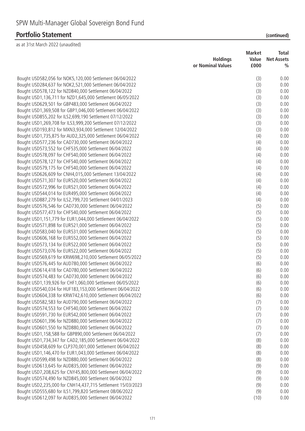|                                                                 | <b>Holdings</b><br>or Nominal Values | Market<br>Value | Total<br><b>Net Assets</b> |
|-----------------------------------------------------------------|--------------------------------------|-----------------|----------------------------|
|                                                                 |                                      | £000            | $\frac{0}{0}$              |
| Bought USD582,056 for NOK5,120,000 Settlement 06/04/2022        |                                      | (3)             | 0.00                       |
| Bought USD284,637 for NOK2,521,000 Settlement 06/04/2022        |                                      | (3)             | 0.00                       |
| Bought USD578,122 for NZD840,000 Settlement 06/04/2022          |                                      | (3)             | 0.00                       |
| Bought USD1,136,711 for NZD1,645,000 Settlement 06/05/2022      |                                      | (3)             | 0.00                       |
| Bought USD629,501 for GBP483,000 Settlement 06/04/2022          |                                      | (3)             | 0.00                       |
| Bought USD1,369,508 for GBP1,046,000 Settlement 06/04/2022      |                                      | (3)             | 0.00                       |
| Bought USD855,202 for ILS2,699,190 Settlement 07/12/2022        |                                      | (3)             | 0.00                       |
| Bought USD1,269,708 for ILS3,999,200 Settlement 07/12/2022      |                                      | (3)             | 0.00                       |
| Bought USD193,812 for MXN3,934,000 Settlement 12/04/2022        |                                      | (3)             | 0.00                       |
| Bought USD1,735,875 for AUD2,325,000 Settlement 06/04/2022      |                                      | (4)             | 0.00                       |
| Bought USD577,236 for CAD730,000 Settlement 06/04/2022          |                                      | (4)             | 0.00                       |
| Bought USD573,552 for CHF535,000 Settlement 06/04/2022          |                                      | (4)             | 0.00                       |
| Bought USD578,097 for CHF540,000 Settlement 06/04/2022          |                                      | (4)             | 0.00                       |
| Bought USD578,127 for CHF540,000 Settlement 06/04/2022          |                                      | (4)             | 0.00                       |
| Bought USD579,175 for CHF540,000 Settlement 06/04/2022          |                                      | (4)             | 0.00                       |
| Bought USD626,609 for CNH4,015,000 Settlement 13/04/2022        |                                      | (4)             | 0.00                       |
| Bought USD571,307 for EUR520,000 Settlement 06/04/2022          |                                      | (4)             | 0.00                       |
| Bought USD572,996 for EUR521,000 Settlement 06/04/2022          |                                      | (4)             | 0.00                       |
| Bought USD544,014 for EUR495,000 Settlement 06/04/2022          |                                      | (4)             | 0.00                       |
| Bought USD887,279 for ILS2,799,720 Settlement 04/01/2023        |                                      | (4)             | 0.00                       |
| Bought USD576,546 for CAD730,000 Settlement 06/04/2022          |                                      | (5)             | 0.00                       |
| Bought USD577,473 for CHF540,000 Settlement 06/04/2022          |                                      | (5)             | 0.00                       |
| Bought USD1,151,779 for EUR1,044,000 Settlement 06/04/2022      |                                      | (5)             | 0.00                       |
| Bought USD571,898 for EUR521,000 Settlement 06/04/2022          |                                      | (5)             | 0.00                       |
| Bought USD583,040 for EUR531,000 Settlement 06/04/2022          |                                      | (5)             | 0.00                       |
| Bought USD606,168 for EUR552,000 Settlement 06/04/2022          |                                      | (5)             | 0.00                       |
| Bought USD573,134 for EUR522,000 Settlement 06/04/2022          |                                      | (5)             | 0.00                       |
| Bought USD573,076 for EUR522,000 Settlement 06/04/2022          |                                      | (5)             | 0.00                       |
| Bought USD569,619 for KRW698,210,000 Settlement 06/05/2022      |                                      | (5)             | 0.00                       |
| Bought USD576,445 for AUD780,000 Settlement 06/04/2022          |                                      | (6)             | 0.00                       |
| Bought USD614,418 for CAD780,000 Settlement 06/04/2022          |                                      | (6)             | 0.00                       |
| Bought USD574,483 for CAD730,000 Settlement 06/04/2022          |                                      | (6)             | 0.00                       |
| Bought USD1,139,926 for CHF1,060,000 Settlement 06/05/2022      |                                      | (6)             | 0.00                       |
| Bought USD540,034 for HUF183,153,000 Settlement 06/04/2022      |                                      | (6)             | 0.00                       |
| Bought USD604,338 for KRW742,610,000 Settlement 06/04/2022      |                                      | (6)             | 0.00                       |
| Bought USD582,583 for AUD790,000 Settlement 06/04/2022          |                                      | (7)             | 0.00                       |
| Bought USD574,553 for CHF540,000 Settlement 06/04/2022          |                                      | (7)             | 0.00                       |
| Bought USD591,730 for EUR542,000 Settlement 06/04/2022          |                                      | (7)             | 0.00                       |
| Bought USD601,396 for NZD880,000 Settlement 06/04/2022          |                                      | (7)             | 0.00                       |
| Bought USD601,550 for NZD880,000 Settlement 06/04/2022          |                                      | (7)             | 0.00                       |
| Bought USD1,158,588 for GBP890,000 Settlement 06/04/2022        |                                      | (7)             | 0.00                       |
| Bought USD1,734,347 for CAD2,185,000 Settlement 06/04/2022      |                                      | (8)             | 0.00                       |
| Bought USD458,609 for CLP370,001,000 Settlement 06/04/2022      |                                      | (8)             | 0.00                       |
| Bought USD1,146,470 for EUR1,043,000 Settlement 06/04/2022      |                                      | (8)             | 0.00                       |
| Bought USD599,498 for NZD880,000 Settlement 06/04/2022          |                                      | (8)             | 0.00                       |
| Bought USD613,645 for AUD835,000 Settlement 06/04/2022          |                                      | (9)             | 0.00                       |
| Bought USD7, 208, 625 for CNY45, 800, 000 Settlement 06/04/2022 |                                      | (9)             | 0.00                       |
| Bought USD574,490 for NZD845,000 Settlement 06/04/2022          |                                      | (9)             | 0.00                       |
| Bought USD2,235,000 for CNH14,437,715 Settlement 15/03/2023     |                                      | (9)             | 0.00                       |
| Bought USD555,680 for ILS1,799,820 Settlement 08/06/2022        |                                      | (9)             | 0.00                       |
| Bought USD612,097 for AUD835,000 Settlement 06/04/2022          |                                      | (10)            | 0.00                       |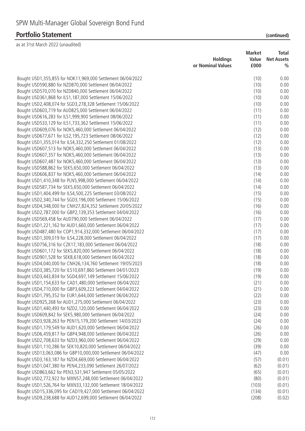|                                                                | <b>Holdings</b><br>or Nominal Values | <b>Market</b><br>Value<br>£000 | <b>Total</b><br><b>Net Assets</b><br>$\frac{0}{0}$ |
|----------------------------------------------------------------|--------------------------------------|--------------------------------|----------------------------------------------------|
| Bought USD1,355,855 for NOK11,969,000 Settlement 06/04/2022    |                                      | (10)                           | 0.00                                               |
| Bought USD590,880 for NZD870,000 Settlement 06/04/2022         |                                      | (10)                           | 0.00                                               |
| Bought USD570,070 for NZD840,000 Settlement 06/04/2022         |                                      | (10)                           | 0.00                                               |
| Bought USD361,868 for ILS1,187,000 Settlement 15/06/2022       |                                      | (10)                           | 0.00                                               |
| Bought USD2,408,074 for SGD3,278,328 Settlement 15/06/2022     |                                      | (10)                           | 0.00                                               |
| Bought USD603,719 for AUD825,000 Settlement 06/04/2022         |                                      | (11)                           | 0.00                                               |
| Bought USD616,283 for ILS1,999,900 Settlement 08/06/2022       |                                      | (11)                           | 0.00                                               |
| Bought USD533,129 for ILS1,733,362 Settlement 15/06/2022       |                                      | (11)                           | 0.00                                               |
| Bought USD609,076 for NOK5,460,000 Settlement 06/04/2022       |                                      | (12)                           | 0.00                                               |
| Bought USD677,671 for ILS2,195,723 Settlement 08/06/2022       |                                      | (12)                           | 0.00                                               |
| Bought USD1,355,014 for ILS4,332,250 Settlement 01/08/2022     |                                      | (12)                           | 0.00                                               |
| Bought USD607,513 for NOK5,460,000 Settlement 06/04/2022       |                                      | (13)                           | 0.00                                               |
| Bought USD607,357 for NOK5,460,000 Settlement 06/04/2022       |                                      | (13)                           | 0.00                                               |
| Bought USD607,487 for NOK5,460,000 Settlement 06/04/2022       |                                      | (13)                           | 0.00                                               |
| Bought USD588,862 for SEK5,650,000 Settlement 06/04/2022       |                                      | (13)                           | 0.00                                               |
| Bought USD606,837 for NOK5,460,000 Settlement 06/04/2022       |                                      | (14)                           | 0.00                                               |
| Bought USD1,410,348 for PLN5,998,000 Settlement 06/04/2022     |                                      | (14)                           | 0.00                                               |
| Bought USD587,734 for SEK5,650,000 Settlement 06/04/2022       |                                      | (14)                           | 0.00                                               |
| Bought USD1,404,499 for ILS4,500,225 Settlement 03/08/2022     |                                      | (15)                           | 0.00                                               |
| Bought USD2,340,744 for SGD3,196,000 Settlement 15/06/2022     |                                      | (15)                           | 0.00                                               |
| Bought USD4,348,000 for CNH27,824,352 Settlement 20/05/2022    |                                      | (16)                           | 0.00                                               |
| Bought USD2,787,000 for GBP2,139,353 Settlement 04/04/2022     |                                      | (16)                           | 0.00                                               |
| Bought USD569,458 for AUD790,000 Settlement 06/04/2022         |                                      | (17)                           | 0.00                                               |
| Bought USD1,221,162 for AUD1,660,000 Settlement 06/04/2022     |                                      | (17)                           | 0.00                                               |
| Bought USD487,480 for COP1,914,332,000 Settlement 06/04/2022   |                                      | (17)                           | 0.00                                               |
| Bought USD1,309,019 for ILS4,228,000 Settlement 06/04/2022     |                                      | (17)                           | 0.00                                               |
| Bought USD756,316 for CZK17,183,000 Settlement 06/04/2022      |                                      | (18)                           | 0.00                                               |
| Bought USD601,172 for SEK5,820,000 Settlement 06/04/2022       |                                      | (18)                           | 0.00                                               |
| Bought USD901,528 for SEK8,618,000 Settlement 06/04/2022       |                                      | (18)                           | 0.00                                               |
| Bought USD4,040,000 for CNH26,134,760 Settlement 19/05/2023    |                                      | (18)                           | 0.00                                               |
| Bought USD3,385,720 for ILS10,697,860 Settlement 04/01/2023    |                                      | (19)                           | 0.00                                               |
| Bought USD3,443,834 for SGD4,697,149 Settlement 15/06/2022     |                                      | (19)                           | 0.00                                               |
| Bought USD1,154,633 for CAD1,480,000 Settlement 06/04/2022     |                                      | (21)                           | 0.00                                               |
| Bought USD4,710,000 for GBP3,609,223 Settlement 04/04/2022     |                                      | (21)                           | 0.00                                               |
| Bought USD1,795,352 for EUR1,644,000 Settlement 06/04/2022     |                                      | (22)                           | 0.00                                               |
| Bought USD925,268 for AUD1,275,000 Settlement 06/04/2022       |                                      | (23)                           | 0.00                                               |
| Bought USD1,440,493 for NZD2,120,000 Settlement 06/04/2022     |                                      | (23)                           | 0.00                                               |
| Bought USD609,842 for SEK5,980,000 Settlement 06/04/2022       |                                      | (24)                           | 0.00                                               |
| Bought USD3,928,263 for PEN15,179,200 Settlement 14/03/2023    |                                      | (24)                           | 0.00                                               |
| Bought USD1,179,549 for AUD1,620,000 Settlement 06/04/2022     |                                      | (26)                           | 0.00                                               |
| Bought USD6,459,817 for GBP4,948,000 Settlement 06/04/2022     |                                      | (26)                           | 0.00                                               |
| Bought USD2,708,633 for NZD3,960,000 Settlement 06/04/2022     |                                      | (29)                           | 0.00                                               |
| Bought USD1,110,286 for SEK10,820,000 Settlement 06/04/2022    |                                      | (39)                           | 0.00                                               |
| Bought USD13,063,086 for GBP10,000,000 Settlement 06/04/2022   |                                      | (47)                           | 0.00                                               |
| Bought USD3, 163, 187 for NZD4, 669, 000 Settlement 06/04/2022 |                                      | (57)                           | (0.01)                                             |
| Bought USD1,047,380 for PEN4,233,090 Settlement 26/07/2022     |                                      | (62)                           | (0.01)                                             |
| Bought USD863,662 for PEN3,531,947 Settlement 05/05/2022       |                                      | (65)                           | (0.01)                                             |
| Bought USD2,772,922 for MXN57,248,000 Settlement 06/04/2022    |                                      | (80)                           | (0.01)                                             |
| Bought USD1,526,764 for MXN33,132,000 Settlement 18/04/2022    |                                      | (103)                          | (0.01)                                             |
| Bought USD15,336,095 for CAD19,427,000 Settlement 06/04/2022   |                                      | (134)                          | (0.01)                                             |
| Bought USD9,238,688 for AUD12,699,000 Settlement 06/04/2022    |                                      | (208)                          | (0.02)                                             |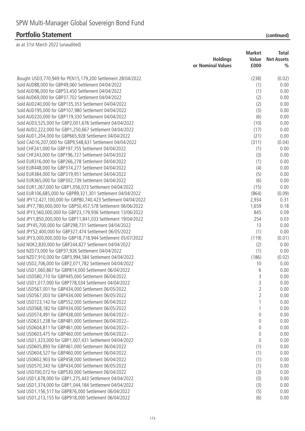| as at 31st March 2022 (unaudited)                                                                              |                   |                |                   |
|----------------------------------------------------------------------------------------------------------------|-------------------|----------------|-------------------|
|                                                                                                                |                   | <b>Market</b>  | <b>Total</b>      |
|                                                                                                                | <b>Holdings</b>   | Value          | <b>Net Assets</b> |
|                                                                                                                | or Nominal Values | £000           | $\frac{0}{0}$     |
| Bought USD3,770,949 for PEN15,179,200 Settlement 28/04/2022                                                    |                   | (238)          | (0.02)            |
| Sold AUD88,000 for GBP49,060 Settlement 04/04/2022                                                             |                   | (1)            | 0.00              |
| Sold AUD96,000 for GBP53,450 Settlement 04/04/2022                                                             |                   | (1)            | 0.00              |
| Sold AUD69,000 for GBP37,702 Settlement 04/04/2022                                                             |                   | (2)            | 0.00              |
| Sold AUD240,000 for GBP135,353 Settlement 04/04/2022                                                           |                   | (2)            | 0.00              |
| Sold AUD195,000 for GBP107,980 Settlement 04/04/2022                                                           |                   | (3)            | 0.00              |
| Sold AUD220,000 for GBP119,330 Settlement 04/04/2022                                                           |                   | (6)            | 0.00              |
| Sold AUD3,525,000 for GBP2,001,676 Settlement 04/04/2022                                                       |                   | (10)           | 0.00              |
| Sold AUD2,222,000 for GBP1,250,667 Settlement 04/04/2022                                                       |                   | (17)           | 0.00              |
| Sold AUD1,204,000 for GBP665,928 Settlement 04/04/2022                                                         |                   | (21)           | 0.00              |
| Sold CAD16,207,000 for GBP9,548,631 Settlement 04/04/2022                                                      |                   | (311)          | (0.04)            |
| Sold CHF241,000 for GBP197,755 Settlement 04/04/2022<br>Sold CHF243,000 for GBP196,727 Settlement 04/04/2022   |                   | (1)<br>(3)     | 0.00<br>0.00      |
| Sold EUR316,000 for GBP266,278 Settlement 04/04/2022                                                           |                   | (1)            | 0.00              |
| Sold EUR448,000 for GBP374,277 Settlement 04/04/2022                                                           |                   | (4)            | 0.00              |
| Sold EUR384,000 for GBP319,951 Settlement 04/04/2022                                                           |                   | (5)            | 0.00              |
| Sold EUR365,000 for GBP302,739 Settlement 04/04/2022                                                           |                   | (6)            | 0.00              |
| Sold EUR1,267,000 for GBP1,056,073 Settlement 04/04/2022                                                       |                   | (15)           | 0.00              |
| Sold EUR106,685,000 for GBP89,321,301 Settlement 04/04/2022                                                    |                   | (864)          | (0.09)            |
| Sold JPY12,427,100,000 for GBP80,740,423 Settlement 04/04/2022                                                 |                   | 2,934          | 0.31              |
| Sold JPY7,780,000,000 for GBP50,457,578 Settlement 06/06/2022                                                  |                   | 1,659          | 0.18              |
| Sold JPY3,560,000,000 for GBP23,179,936 Settlement 13/06/2022                                                  |                   | 845            | 0.09              |
| Sold JPY1,850,000,000 for GBP11,841,033 Settlement 19/04/2022                                                  |                   | 254            | 0.03              |
| Sold JPY45,700,000 for GBP298,731 Settlement 04/04/2022                                                        |                   | 13             | 0.00              |
| Sold JPY52,400,000 for GBP327,474 Settlement 06/05/2022                                                        |                   | (1)            | 0.00              |
| Sold JPY3,000,000,000 for GBP18,718,944 Settlement 05/07/2022                                                  |                   | (119)          | (0.01)            |
| Sold NOK2,830,000 for GBP244,827 Settlement 04/04/2022                                                         |                   | (2)            | 0.00              |
| Sold NZD73,000 for GBP37,926 Settlement 04/04/2022                                                             |                   | (1)            | 0.00              |
| Sold NZD7,910,000 for GBP3,994,584 Settlement 04/04/2022                                                       |                   | (186)          | (0.02)            |
| Sold USD2,706,000 for GBP2,071,782 Settlement 04/04/2022                                                       |                   | 10             | 0.00              |
| Sold USD1,060,867 for GBP814,000 Settlement 06/04/2022                                                         |                   | 6              | 0.00              |
| Sold USD580,710 for GBP445,000 Settlement 06/04/2022<br>Sold USD1,017,000 for GBP778,034 Settlement 04/04/2022 |                   | 3<br>3         | 0.00<br>0.00      |
| Sold USD567,001 for GBP434,000 Settlement 06/05/2022                                                           |                   | $\overline{2}$ | 0.00              |
| Sold USD567,003 for GBP434,000 Settlement 06/05/2022                                                           |                   | $\overline{2}$ | 0.00              |
| Sold USD723,142 for GBP552,000 Settlement 06/04/2022                                                           |                   | 1              | 0.00              |
| Sold USD568,182 for GBP434,000 Settlement 06/05/2022                                                           |                   | 1              | 0.00              |
| Sold USD574,491 for GBP438,000 Settlement 06/04/2022~                                                          |                   | 0              | 0.00              |
| Sold USD631,238 for GBP481,000 Settlement 06/04/2022~                                                          |                   | 0              | 0.00              |
| Sold USD604,811 for GBP461,000 Settlement 06/04/2022~                                                          |                   | 0              | 0.00              |
| Sold USD603,475 for GBP460,000 Settlement 06/04/2022~                                                          |                   | 0              | 0.00              |
| Sold USD1,323,000 for GBP1,007,431 Settlement 04/04/2022                                                       |                   | 0              | 0.00              |
| Sold USD605,893 for GBP461,000 Settlement 06/04/2022                                                           |                   | (1)            | 0.00              |
| Sold USD604,527 for GBP460,000 Settlement 06/04/2022                                                           |                   | (1)            | 0.00              |
| Sold USD602,903 for GBP458,000 Settlement 06/04/2022                                                           |                   | (1)            | 0.00              |
| Sold USD570,343 for GBP434,000 Settlement 06/05/2022                                                           |                   | (1)            | 0.00              |
| Sold USD700,072 for GBP530,000 Settlement 06/04/2022                                                           |                   | (3)            | 0.00              |
| Sold USD1,678,000 for GBP1,275,443 Settlement 04/04/2022                                                       |                   | (3)            | 0.00              |
| Sold USD1,374,000 for GBP1,044,184 Settlement 04/04/2022                                                       |                   | (3)            | 0.00              |
| Sold USD1,156,517 for GBP876,000 Settlement 06/04/2022                                                         |                   | (5)            | 0.00              |
| Sold USD1,213,155 for GBP918,000 Settlement 06/04/2022                                                         |                   | (6)            | 0.00              |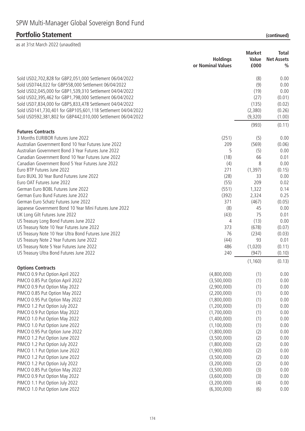| as at 31st March 2022 (unaudited)                                 |                            |               |                   |
|-------------------------------------------------------------------|----------------------------|---------------|-------------------|
|                                                                   |                            | <b>Market</b> | <b>Total</b>      |
|                                                                   | <b>Holdings</b>            | Value         | <b>Net Assets</b> |
|                                                                   | or Nominal Values          | £000          | $\frac{0}{0}$     |
| Sold USD2,702,828 for GBP2,051,000 Settlement 06/04/2022          |                            | (8)           | 0.00              |
| Sold USD744,022 for GBP558,000 Settlement 06/04/2022              |                            | (9)           | 0.00              |
| Sold USD2,045,000 for GBP1,539,310 Settlement 04/04/2022          |                            | (19)          | 0.00              |
| Sold USD2,395,462 for GBP1,798,000 Settlement 06/04/2022          |                            | (27)          | (0.01)            |
| Sold USD7,834,000 for GBP5,833,478 Settlement 04/04/2022          |                            | (135)         | (0.02)            |
| Sold USD141,730,401 for GBP105,601,118 Settlement 04/04/2022      |                            | (2,380)       | (0.26)            |
| Sold USD592,381,802 for GBP442,010,000 Settlement 06/04/2022      |                            | (9,320)       | (1.00)            |
|                                                                   |                            | (993)         | (0.11)            |
| <b>Futures Contracts</b>                                          |                            |               |                   |
| 3 Months EURIBOR Futures June 2022                                | (251)                      | (5)           | 0.00              |
| Australian Government Bond 10 Year Futures June 2022              | 209                        | (569)         | (0.06)            |
| Australian Government Bond 3 Year Futures June 2022               | 5                          | (5)           | 0.00              |
| Canadian Government Bond 10 Year Futures June 2022                | (18)                       | 66            | 0.01              |
| Canadian Government Bond 5 Year Futures June 2022                 | (4)                        | 8             | 0.00              |
| Euro BTP Futures June 2022                                        | 271                        | (1, 397)      | (0.15)            |
| Euro BUXL 30 Year Bund Futures June 2022                          | (28)                       | 33            | 0.00              |
| Euro OAT Futures June 2022                                        | (55)                       | 209           | 0.02              |
| German Euro BOBL Futures June 2022                                | (551)                      | 1,322         | 0.14              |
| German Euro Bund Futures June 2022                                | (392)                      | 2,324         | 0.25              |
| German Euro Schatz Futures June 2022                              | 371                        | (467)         | (0.05)            |
| Japanese Government Bond 10 Year Mini Futures June 2022           | (8)                        | 45            | 0.00              |
| UK Long Gilt Futures June 2022                                    | (43)                       | 75            | 0.01              |
| US Treasury Long Bond Futures June 2022                           | 4                          | (13)          | 0.00              |
| US Treasury Note 10 Year Futures June 2022                        | 373                        | (678)         | (0.07)            |
| US Treasury Note 10 Year Ultra Bond Futures June 2022             | 76                         | (234)         | (0.03)            |
| US Treasury Note 2 Year Futures June 2022                         | (44)                       | 93            | 0.01              |
| US Treasury Note 5 Year Futures June 2022                         | 486                        | (1,020)       | (0.11)            |
| US Treasury Ultra Bond Futures June 2022                          | 240                        | (947)         | (0.10)            |
|                                                                   |                            | (1, 160)      | (0.13)            |
| <b>Options Contracts</b>                                          |                            |               |                   |
| PIMCO 0.9 Put Option April 2022                                   | (4,800,000)<br>(3,500,000) | (1)           | 0.00<br>0.00      |
| PIMCO 0.85 Put Option April 2022<br>PIMCO 0.9 Put Option May 2022 | (2,900,000)                | (1)<br>(1)    | 0.00              |
| PIMCO 0.85 Put Option May 2022                                    | (2,200,000)                | (1)           | 0.00              |
| PIMCO 0.95 Put Option May 2022                                    | (1,800,000)                | (1)           | 0.00              |
| PIMCO 1.2 Put Option July 2022                                    | (1, 200, 000)              | (1)           | 0.00              |
| PIMCO 0.9 Put Option May 2022                                     | (1,700,000)                | (1)           | 0.00              |
| PIMCO 1.0 Put Option May 2022                                     | (1,400,000)                | (1)           | 0.00              |
| PIMCO 1.0 Put Option June 2022                                    | (1, 100, 000)              | (1)           | 0.00              |
| PIMCO 0.95 Put Option June 2022                                   | (1,800,000)                | (2)           | 0.00              |
| PIMCO 1.2 Put Option June 2022                                    | (3,500,000)                | (2)           | 0.00              |
| PIMCO 1.2 Put Option July 2022                                    | (1,800,000)                | (2)           | 0.00              |
| PIMCO 1.1 Put Option June 2022                                    | (1,900,000)                | (2)           | 0.00              |
| PIMCO 1.2 Put Option June 2022                                    | (3,500,000)                | (2)           | 0.00              |
| PIMCO 1.2 Put Option July 2022                                    | (3, 200, 000)              | (2)           | 0.00              |
| PIMCO 0.85 Put Option May 2022                                    | (3,500,000)                | (3)           | 0.00              |
| PIMCO 0.9 Put Option May 2022                                     | (3,600,000)                | (3)           | 0.00              |
| PIMCO 1.1 Put Option July 2022                                    | (3,200,000)                | (4)           | 0.00              |
| PIMCO 1.0 Put Option June 2022                                    | (6,300,000)                | (6)           | 0.00              |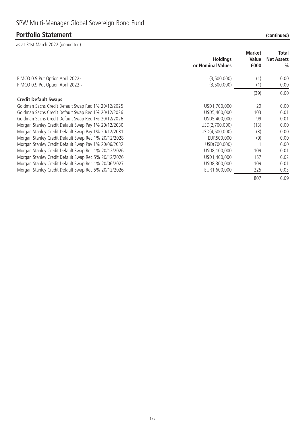## **Portfolio Statement**

| (continued) |  |
|-------------|--|

|                                                      | <b>Holdings</b><br>or Nominal Values | <b>Market</b><br>Value<br>£000 | Total<br><b>Net Assets</b><br>$\frac{0}{0}$ |
|------------------------------------------------------|--------------------------------------|--------------------------------|---------------------------------------------|
| PIMCO 0.9 Put Option April 2022~                     | (3,500,000)                          | (1)                            | 0.00                                        |
| PIMCO 0.9 Put Option April 2022~                     | (3,500,000)                          | (1)                            | 0.00                                        |
|                                                      |                                      | (39)                           | 0.00                                        |
| <b>Credit Default Swaps</b>                          |                                      |                                |                                             |
| Goldman Sachs Credit Default Swap Rec 1% 20/12/2025  | USD1,700,000                         | 29                             | 0.00                                        |
| Goldman Sachs Credit Default Swap Rec 1% 20/12/2026  | USD5,400,000                         | 103                            | 0.01                                        |
| Goldman Sachs Credit Default Swap Rec 1% 20/12/2026  | USD5,400,000                         | 99                             | 0.01                                        |
| Morgan Stanley Credit Default Swap Pay 1% 20/12/2030 | USD(2,700,000)                       | (13)                           | 0.00                                        |
| Morgan Stanley Credit Default Swap Pay 1% 20/12/2031 | USD(4,500,000)                       | (3)                            | 0.00                                        |
| Morgan Stanley Credit Default Swap Rec 1% 20/12/2028 | EUR500,000                           | (9)                            | 0.00                                        |
| Morgan Stanley Credit Default Swap Pay 1% 20/06/2032 | USD(700,000)                         |                                | 0.00                                        |
| Morgan Stanley Credit Default Swap Rec 1% 20/12/2026 | USD8,100,000                         | 109                            | 0.01                                        |
| Morgan Stanley Credit Default Swap Rec 5% 20/12/2026 | USD1,400,000                         | 157                            | 0.02                                        |
| Morgan Stanley Credit Default Swap Rec 1% 20/06/2027 | USD8,300,000                         | 109                            | 0.01                                        |
| Morgan Stanley Credit Default Swap Rec 5% 20/12/2026 | EUR1.600.000                         | 225                            | 0.03                                        |
|                                                      |                                      | 807                            | 0.09                                        |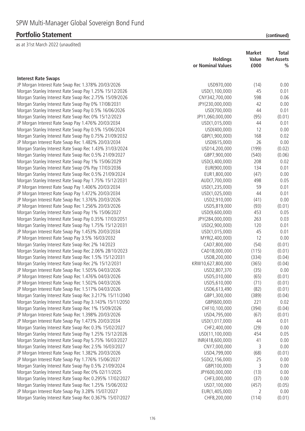## **Portfolio Statement**

| (continued) |  |
|-------------|--|
|             |  |

|                                                         |                   | <b>Market</b> | Total             |
|---------------------------------------------------------|-------------------|---------------|-------------------|
|                                                         | <b>Holdings</b>   | Value         | <b>Net Assets</b> |
|                                                         | or Nominal Values | £000          | $\%$              |
|                                                         |                   |               |                   |
| <b>Interest Rate Swaps</b>                              |                   |               |                   |
| JP Morgan Interest Rate Swap Rec 1.378% 20/03/2026      | USD970,000        | (14)          | 0.00              |
| Morgan Stanley Interest Rate Swap Pay 1.25% 15/12/2026  | USD(1,100,000)    | 45            | 0.01              |
| Morgan Stanley Interest Rate Swap Rec 2.75% 15/09/2026  | CNY342,700,000    | 598           | 0.06              |
| Morgan Stanley Interest Rate Swap Pay 0% 17/08/2031     | JPY(230,000,000)  | 42            | 0.00              |
| Morgan Stanley Interest Rate Swap Pay 0.5% 16/06/2026   | USD(700,000)      | 44            | 0.01              |
| Morgan Stanley Interest Rate Swap Rec 0% 15/12/2023     | JPY1,060,000,000  | (95)          | (0.01)            |
| JP Morgan Interest Rate Swap Pay 1.476% 20/03/2034      | USD(1,015,000)    | 44            | 0.01              |
| Morgan Stanley Interest Rate Swap Pay 0.5% 15/06/2024   | USD(400,000)      | 12            | 0.00              |
| Morgan Stanley Interest Rate Swap Pay 0.75% 21/09/2032  | GBP(1,900,000)    | 168           | 0.02              |
| JP Morgan Interest Rate Swap Rec 1.482% 20/03/2034      | USD(615,000)      | 26            | 0.00              |
| Morgan Stanley Interest Rate Swap Rec 1.43% 31/03/2024  | USD14,200,000     | (199)         | (0.02)            |
| Morgan Stanley Interest Rate Swap Rec 0.5% 21/09/2027   | GBP7,900,000      | (540)         | (0.06)            |
| Morgan Stanley Interest Rate Swap Pay 1% 15/06/2029     | USD(3,400,000)    | 208           | 0.02              |
| Morgan Stanley Interest Rate Swap 0% Pay 17/03/2036     | EUR(900,000)      | 134           | 0.01              |
| Morgan Stanley Interest Rate Swap Rec 0.5% 21/09/2024   | EUR1,800,000      | (47)          | 0.00              |
| Morgan Stanley Interest Rate Swap Pay 1.75% 15/12/2031  | AUD(7,700,000)    | 498           | 0.05              |
| JP Morgan Interest Rate Swap Pay 1.406% 20/03/2034      | USD(1,235,000)    | 59            | 0.01              |
| JP Morgan Interest Rate Swap Pay 1.472% 20/03/2034      | USD(1,025,000)    | 44            | 0.01              |
| JP Morgan Interest Rate Swap Rec 1.376% 20/03/2026      | USD2,910,000      | (41)          | 0.00              |
| JP Morgan Interest Rate Swap Rec 1.256% 20/03/2026      | USD5,819,000      | (93)          | (0.01)            |
| Morgan Stanley Interest Rate Swap Pay 1% 15/06/2027     | USD(9,600,000)    | 453           | 0.05              |
| Morgan Stanley Interest Rate Swap Pay 0.35% 17/03/2051  | JPY(284,000,000)  | 263           | 0.03              |
| Morgan Stanley Interest Rate Swap Pay 1.75% 15/12/2031  | USD(2,900,000)    | 120           | 0.01              |
| JP Morgan Interest Rate Swap Pay 1.453% 20/03/2034      | USD(1,015,000)    | 45            | 0.01              |
| JP Morgan Interest Rate Swap Pay 3.5% 16/03/2032        | MYR(2,400,000)    | 12            | 0.00              |
| Morgan Stanley Interest Rate Swap Rec 2% 14/2023        | CAD7,800,000      | (54)          | (0.01)            |
| Morgan Stanley Interest Rate Swap Rec 2.06% 28/10/2023  | CAD18,000,000     | (115)         | (0.01)            |
| Morgan Stanley Interest Rate Swap Rec 1.5% 15/12/2031   | USD8,200,000      | (334)         | (0.04)            |
| Morgan Stanley Interest Rate Swap Rec 2% 15/12/2031     | KRW10,627,800,000 | (365)         | (0.04)            |
| JP Morgan Interest Rate Swap Rec 1.505% 04/03/2026      | USD2,807,370      | (35)          | 0.00              |
| JP Morgan Interest Rate Swap Rec 1.476% 04/03/2026      | USD5,010,000      | (65)          | (0.01)            |
| JP Morgan Interest Rate Swap Rec 1.502% 04/03/2026      | USD5,610,000      | (71)          | (0.01)            |
| JP Morgan Interest Rate Swap Rec 1.517% 04/03/2026      | USD6,613,490      | (82)          | (0.01)            |
| Morgan Stanley Interest Rate Swap Rec 3.217% 15/11/2040 | GBP1,300,000      | (389)         | (0.04)            |
| Morgan Stanley Interest Rate Swap Pay 3.143% 15/11/2050 | GBP(600,000)      | 221           | 0.02              |
| Morgan Stanley Interest Rate Swap Rec 1% 15/09/2026     | CHF10,100,000     | (394)         | (0.04)            |
| JP Morgan Interest Rate Swap Rec 1.398% 20/03/2026      | USD4,795,000      | (67)          | (0.01)            |
| JP Morgan Interest Rate Swap Pay 1.473% 20/03/2034      | USD(1,017,000)    | 44            | 0.01              |
| Morgan Stanley Interest Rate Swap Rec 0.3% 15/02/2027   | CHF2,400,000      | (29)          | 0.00              |
| Morgan Stanley Interest Rate Swap Pay 1.25% 15/12/2026  | USD(11,100,000)   | 454           | 0.05              |
| Morgan Stanley Interest Rate Swap Pay 5.75% 16/03/2027  | INR(418,600,000)  | 41            | 0.00              |
| Morgan Stanley Interest Rate Swap Rec 2.5% 16/03/2027   | CNY7,000,000      | 3             | 0.00              |
| JP Morgan Interest Rate Swap Rec 1.382% 20/03/2026      | USD4,799,000      | (68)          | (0.01)            |
| JP Morgan Interest Rate Swap Pay 1.776% 15/06/2027      | SGD(2,156,000)    | 25            | 0.00              |
| Morgan Stanley Interest Rate Swap Pay 0.5% 21/09/2024   | GBP(100,000)      | 3             | 0.00              |
| Morgan Stanley Interest Rate Swap Rec 0% 02/11/2025     | JPY600,000,000    | (13)          | 0.00              |
| Morgan Stanley Interest Rate Swap Rec 0.295% 17/02/2027 | CHF3,000,000      | (37)          | 0.00              |
| Morgan Stanley Interest Rate Swap Rec 1.25% 15/06/2032  | USD7,100,000      | (457)         | (0.05)            |
| JP Morgan Interest Rate Swap Pay 3.28% 15/07/2027       | EUR(1,405,000)    | 2             | 0.00              |
| Morgan Stanley Interest Rate Swap Rec 0.367% 15/07/2027 | CHF8,200,000      | (114)         | (0.01)            |
|                                                         |                   |               |                   |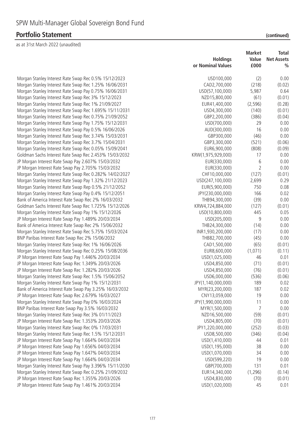|                                                         | <b>Holdings</b><br>or Nominal Values | Market<br>Value<br>£000 | Total<br><b>Net Assets</b><br>$\frac{0}{0}$ |
|---------------------------------------------------------|--------------------------------------|-------------------------|---------------------------------------------|
| Morgan Stanley Interest Rate Swap Rec 0.5% 15/12/2023   | USD100,000                           | (2)                     | 0.00                                        |
| Morgan Stanley Interest Rate Swap Rec 1.25% 16/06/2031  | CAD2,700,000                         | (218)                   | (0.02)                                      |
| Morgan Stanley Interest Rate Swap Pay 0.75% 16/06/2031  | USD(57,100,000)                      | 5,987                   | 0.64                                        |
| Morgan Stanley Interest Rate Swap Rec 3% 15/12/2023     | NZD15,800,000                        | (61)                    | (0.01)                                      |
| Morgan Stanley Interest Rate Swap Rec 1% 21/09/2027     | EUR41,400,000                        | (2, 596)                | (0.28)                                      |
| Morgan Stanley Interest Rate Swap Rec 1.695% 15/11/2031 | USD4,300,000                         | (140)                   | (0.01)                                      |
| Morgan Stanley Interest Rate Swap Rec 0.75% 21/09/2052  | GBP2,200,000                         | (386)                   | (0.04)                                      |
| Morgan Stanley Interest Rate Swap Pay 1.75% 15/12/2031  | USD(700,000)                         | 29                      | 0.00                                        |
| Morgan Stanley Interest Rate Swap Pay 0.5% 16/06/2026   | AUD(300,000)                         | 16                      | 0.00                                        |
| Morgan Stanley Interest Rate Swap Rec 3.74% 15/03/2031  | GBP300,000                           | (46)                    | 0.00                                        |
| Morgan Stanley Interest Rate Swap Rec 3.7% 15/04/2031   | GBP3,300,000                         | (521)                   | (0.06)                                      |
| Morgan Stanley Interest Rate Swap Rec 0.05% 15/09/2041  | EUR6,900,000                         | (808)                   | (0.09)                                      |
| Goldman Sachs Interest Rate Swap Rec 2.453% 15/03/2032  | KRW(1,975,929,000)                   | 17                      | 0.00                                        |
| JP Morgan Interest Rate Swap Pay 2.607% 15/03/2032      | EUR(330,000)                         | 6                       | 0.00                                        |
| JP Morgan Interest Rate Swap Pay 2.705% 15/03/2032      | EUR(330,000)                         | 2                       | 0.00                                        |
| Morgan Stanley Interest Rate Swap Rec 0.282% 14/02/2027 | CHF10,000,000                        | (127)                   | (0.01)                                      |
| Morgan Stanley Interest Rate Swap Pay 1.32% 21/12/2023  | USD(247,100,000)                     | 2,699                   | 0.29                                        |
| Morgan Stanley Interest Rate Swap Rep 0.5% 21/12/2052   | EUR(5,900,000)                       | 750                     | 0.08                                        |
| Morgan Stanley Interest Rate Swap Pay 0.4% 15/12/2051   | JPY(230,000,000)                     | 166                     | 0.02                                        |
| Bank of America Interest Rate Swap Rec 2% 16/03/2032    | THB94,300,000                        | (39)                    | 0.00                                        |
| Goldman Sachs Interest Rate Swap Rec 1.725% 15/12/2026  | KRW4,724,884,000                     | (127)                   | (0.01)                                      |
| Morgan Stanley Interest Rate Swap Pay 1% 15/12/2026     | USD(10,800,000)                      | 445                     | 0.05                                        |
| JP Morgan Interest Rate Swap Pay 1.489% 20/03/2034      | USD(205,000)                         | 9                       | 0.00                                        |
| Bank of America Interest Rate Swap Rec 2% 15/06/2032    | THB24,300,000                        | (14)                    | 0.00                                        |
| Morgan Stanley Interest Rate Swap Rec 5.75% 15/03/2024  | INR1,930,200,000                     | (17)                    | 0.00                                        |
| BNP Paribas Interest Rate Swap Rec 2% 15/06/2032        | THB82,700,000                        | (45)                    | 0.00                                        |
| Morgan Stanley Interest Rate Swap Rec 1% 16/06/2026     | CAD1,500,000                         | (65)                    | (0.01)                                      |
| Morgan Stanley Interest Rate Swap Rec 0.25% 15/08/2036  | EUR8,600,000                         | (1,071)                 | (0.11)                                      |
| JP Morgan Interest Rate Swap Pay 1.446% 20/03/2034      | USD(1,025,000)                       | 46                      | 0.01                                        |
| JP Morgan Interest Rate Swap Rec 1.349% 20/03/2026      | USD4,850,000                         | (71)                    | (0.01)                                      |
| JP Morgan Interest Rate Swap Rec 1.282% 20/03/2026      | USD4,850,000                         | (76)                    | (0.01)                                      |
| Morgan Stanley Interest Rate Swap Rec 1.5% 15/06/2052   | USD6,000,000                         | (536)                   | (0.06)                                      |
| Morgan Stanley Interest Rate Swap Pay 1% 15/12/2031     | JPY(1,140,000,000)                   | 189                     | 0.02                                        |
| Bank of America Interest Rate Swap Pay 3.25% 16/03/2032 | MYR(23,200,000)                      | 187                     | 0.02                                        |
| JP Morgan Interest Rate Swap Rec 2.679% 16/03/2027      | CNY13,059,000                        | 19                      | 0.00                                        |
| Morgan Stanley Interest Rate Swap Pay 0% 16/03/2024     | JPY(1,990,000,000)                   | 11                      | 0.00                                        |
| BNP Paribas Interest Rate Swap Pay 3.5% 16/03/2032      | MYR(1,500,000)                       | 7                       | 0.00                                        |
| Morgan Stanley Interest Rate Swap Rec 3% 01/11/2023     | NZD16,500,000                        | (59)                    | (0.01)                                      |
| JP Morgan Interest Rate Swap Rec 1.353% 20/03/2026      | USD4,805,000                         | (70)                    | (0.01)                                      |
| Morgan Stanley Interest Rate Swap Rec 0% 17/03/2031     | JPY1,220,000,000                     | (252)                   | (0.03)                                      |
| Morgan Stanley Interest Rate Swap Rec 1.5% 15/12/2031   | USD8,500,000                         | (346)                   | (0.04)                                      |
| JP Morgan Interest Rate Swap Pay 1.664% 04/03/2034      | USD(1,410,000)                       | 44                      | 0.01                                        |
| JP Morgan Interest Rate Swap Pay 1.656% 04/03/2034      | USD(1,195,000)                       | 38                      | 0.00                                        |
| JP Morgan Interest Rate Swap Pay 1.647% 04/03/2034      | USD(1,070,000)                       | 34                      | 0.00                                        |
| JP Morgan Interest Rate Swap Pay 1.664% 04/03/2034      | USD(599,220)                         | 19                      | 0.00                                        |
| Morgan Stanley Interest Rate Swap Pay 3.396% 15/11/2030 | GBP(700,000)                         | 131                     | 0.01                                        |
| Morgan Stanley Interest Rate Swap Rec 0.25% 21/09/2032  | EUR14,340,000                        | (1, 296)                | (0.14)                                      |
| JP Morgan Interest Rate Swap Rec 1.355% 20/03/2026      | USD4,830,000                         | (70)                    | (0.01)                                      |
| JP Morgan Interest Rate Swap Pay 1.461% 20/03/2034      | USD(1,020,000)                       | 45                      | 0.01                                        |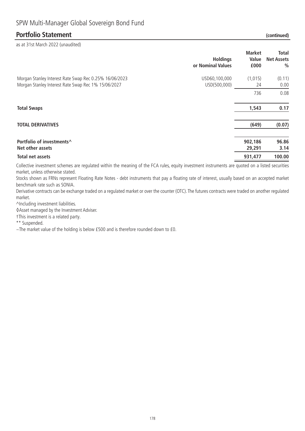### **Portfolio Statement**

as at 31st March 2022 (unaudited)

| (continued) |
|-------------|
|-------------|

| <b>Holdings</b><br>or Nominal Values                                                                                                           | <b>Market</b><br>Value<br>£000 | <b>Total</b><br><b>Net Assets</b><br>$\frac{0}{0}$ |
|------------------------------------------------------------------------------------------------------------------------------------------------|--------------------------------|----------------------------------------------------|
| Morgan Stanley Interest Rate Swap Rec 0.25% 16/06/2023<br>USD60,100,000<br>Morgan Stanley Interest Rate Swap Rec 1% 15/06/2027<br>USD(500,000) | (1, 015)<br>24                 | (0.11)<br>0.00                                     |
|                                                                                                                                                | 736                            | 0.08                                               |
| <b>Total Swaps</b>                                                                                                                             | 1,543                          | 0.17                                               |
| <b>TOTAL DERIVATIVES</b>                                                                                                                       | (649)                          | (0.07)                                             |
| Portfolio of investments^<br>Net other assets                                                                                                  | 902,186<br>29,291              | 96.86<br>3.14                                      |
| Total net assets                                                                                                                               | 931,477                        | 100.00                                             |

Collective investment schemes are regulated within the meaning of the FCA rules, equity investment instruments are quoted on a listed securities market, unless otherwise stated.

Stocks shown as FRNs represent Floating Rate Notes - debt instruments that pay a floating rate of interest, usually based on an accepted market benchmark rate such as SONIA.

Derivative contracts can be exchange traded on a regulated market or over the counter (OTC). The futures contracts were traded on another regulated market.

^Including investment liabilities.

◊Asset managed by the Investment Adviser.

†This investment is a related party.

\*\* Suspended.

~The market value of the holding is below £500 and is therefore rounded down to £0.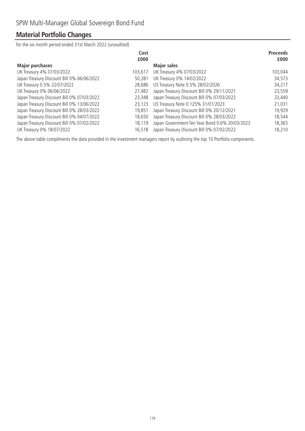## **Material Portfolio Changes**

for the six month period ended 31st March 2022 (unaudited)

|                                            | Cost<br>£000 |                                                | <b>Proceeds</b><br>£000 |
|--------------------------------------------|--------------|------------------------------------------------|-------------------------|
| <b>Major purchases</b>                     |              | <b>Major sales</b>                             |                         |
| UK Treasury 4% 07/03/2022                  | 103,617      | UK Treasury 4% 07/03/2022                      | 103,044                 |
| Japan Treasury Discount Bill 0% 06/06/2022 | 50.281       | UK Treasury 0% 14/02/2022                      | 34,573                  |
| UK Treasury 0.5% 22/07/2022                | 28,686       | US Treasury Note 0.5% 28/02/2026               | 34,217                  |
| UK Treasury 0% 06/06/2022                  | 27,482       | Japan Treasury Discount Bill 0% 29/11/2021     | 23,559                  |
| Japan Treasury Discount Bill 0% 07/03/2022 | 23,348       | Japan Treasury Discount Bill 0% 07/03/2022     | 23,440                  |
| Japan Treasury Discount Bill 0% 13/06/2022 | 23.123       | US Treasury Note 0.125% 31/01/2023             | 21,031                  |
| Japan Treasury Discount Bill 0% 28/03/2022 | 19,851       | Japan Treasury Discount Bill 0% 20/12/2021     | 19,929                  |
| Japan Treasury Discount Bill 0% 04/07/2022 | 18,650       | Japan Treasury Discount Bill 0% 28/03/2022     | 18,544                  |
| Japan Treasury Discount Bill 0% 07/02/2022 | 18,119       | Japan Government Ten Year Bond 0.6% 20/03/2023 | 18,365                  |
| UK Treasury 0% 18/07/2022                  | 16,518       | Japan Treasury Discount Bill 0% 07/02/2022     | 18,210                  |

The above table compliments the data provided in the investment managers report by outlining the top 10 Portfolio components.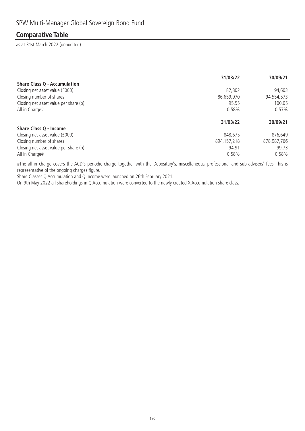### **Comparative Table**

as at 31st March 2022 (unaudited)

|                                       | 31/03/22      | 30/09/21    |
|---------------------------------------|---------------|-------------|
| <b>Share Class Q - Accumulation</b>   |               |             |
| Closing net asset value (£000)        | 82,802        | 94,603      |
| Closing number of shares              | 86,659,970    | 94,554,573  |
| Closing net asset value per share (p) | 95.55         | 100.05      |
| All in Charge#                        | 0.58%         | $0.57\%$    |
|                                       | 31/03/22      | 30/09/21    |
| <b>Share Class Q - Income</b>         |               |             |
| Closing net asset value (£000)        | 848,675       | 876,649     |
| Closing number of shares              | 894, 157, 218 | 878,987,766 |
| Closing net asset value per share (p) | 94.91         | 99.73       |
| All in Charge#                        | 0.58%         | 0.58%       |

#The all-in charge covers the ACD's periodic charge together with the Depositary's, miscellaneous, professional and sub-advisers' fees. This is representative of the ongoing charges figure.

Share Classes Q Accumulation and Q Income were launched on 26th February 2021.

On 9th May 2022 all shareholdings in Q Accumulation were converted to the newly created X Accumulation share class.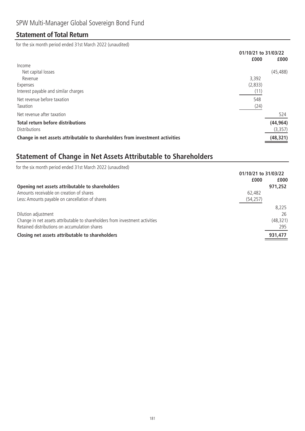### **Statement of Total Return**

for the six month period ended 31st March 2022 (unaudited)

|                                                                              | 01/10/21 to 31/03/22 |
|------------------------------------------------------------------------------|----------------------|
| £000                                                                         | £000                 |
| Income                                                                       |                      |
| Net capital losses                                                           | (45, 488)            |
| 3.392<br>Revenue                                                             |                      |
| (2,833)<br>Expenses                                                          |                      |
| Interest payable and similar charges<br>(11)                                 |                      |
| Net revenue before taxation<br>548                                           |                      |
| Taxation<br>(24)                                                             |                      |
| Net revenue after taxation                                                   | 524                  |
| <b>Total return before distributions</b>                                     | (44, 964)            |
| <b>Distributions</b>                                                         | (3, 357)             |
| Change in net assets attributable to shareholders from investment activities | (48, 321)            |

# **Statement of Change in Net Assets Attributable to Shareholders**

| for the six month period ended 31st March 2022 (unaudited)                   |           |
|------------------------------------------------------------------------------|-----------|
| 01/10/21 to 31/03/22                                                         |           |
| £000                                                                         | £000      |
| Opening net assets attributable to shareholders                              | 971,252   |
| Amounts receivable on creation of shares<br>62,482                           |           |
| Less: Amounts payable on cancellation of shares<br>(54, 257)                 |           |
|                                                                              | 8.225     |
| Dilution adjustment                                                          | 26        |
| Change in net assets attributable to shareholders from investment activities | (48, 321) |
| Retained distributions on accumulation shares                                | 295       |
| Closing net assets attributable to shareholders                              | 931,477   |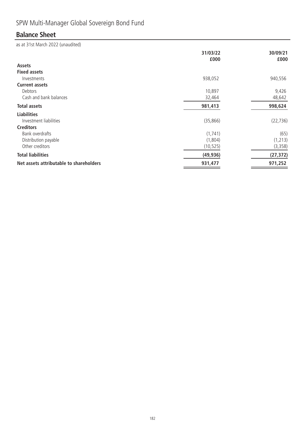# SPW Multi-Manager Global Sovereign Bond Fund

## **Balance Sheet**

|                                         | 31/03/22<br>£000 | 30/09/21<br>£000 |
|-----------------------------------------|------------------|------------------|
| Assets                                  |                  |                  |
| <b>Fixed assets</b>                     |                  |                  |
| Investments                             | 938,052          | 940,556          |
| <b>Current assets</b>                   |                  |                  |
| Debtors                                 | 10,897           | 9,426            |
| Cash and bank balances                  | 32,464           | 48,642           |
| <b>Total assets</b>                     | 981,413          | 998,624          |
| <b>Liabilities</b>                      |                  |                  |
| Investment liabilities                  | (35, 866)        | (22, 736)        |
| <b>Creditors</b>                        |                  |                  |
| Bank overdrafts                         | (1, 741)         | (65)             |
| Distribution payable                    | (1,804)          | (1, 213)         |
| Other creditors                         | (10, 525)        | (3, 358)         |
| <b>Total liabilities</b>                | (49, 936)        | (27, 372)        |
| Net assets attributable to shareholders | 931,477          | 971,252          |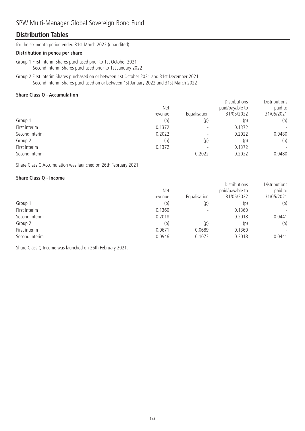### SPW Multi-Manager Global Sovereign Bond Fund

### **Distribution Tables**

for the six month period ended 31st March 2022 (unaudited)

#### **Distribution in pence per share**

Group 1 First interim Shares purchased prior to 1st October 2021 Second interim Shares purchased prior to 1st January 2022

Group 2 First interim Shares purchased on or between 1st October 2021 and 31st December 2021 Second interim Shares purchased on or between 1st January 2022 and 31st March 2022

#### **Share Class Q - Accumulation**

|                | <b>Net</b> | Equalisation | <b>Distributions</b><br>paid/payable to<br>31/05/2022 | Distributions<br>paid to<br>31/05/2021 |
|----------------|------------|--------------|-------------------------------------------------------|----------------------------------------|
|                | revenue    |              |                                                       |                                        |
| Group 1        | (p)        | (p)          | (p)                                                   | (p)                                    |
| First interim  | 0.1372     |              | 0.1372                                                |                                        |
| Second interim | 0.2022     |              | 0.2022                                                | 0.0480                                 |
| Group 2        | (p)        | (p)          | (p)                                                   | (p)                                    |
| First interim  | 0.1372     |              | 0.1372                                                | $\overline{\phantom{0}}$               |
| Second interim |            | 0.2022       | 0.2022                                                | 0.0480                                 |

Share Class Q Accumulation was launched on 26th February 2021.

#### **Share Class Q - Income**

|                | <b>Net</b><br>revenue | Equalisation | <b>Distributions</b><br>paid/payable to<br>31/05/2022 | Distributions<br>paid to<br>31/05/2021 |
|----------------|-----------------------|--------------|-------------------------------------------------------|----------------------------------------|
| Group 1        | (p)                   | (p)          | (p)                                                   | (p)                                    |
| First interim  | 0.1360                |              | 0.1360                                                | $\overline{\phantom{a}}$               |
| Second interim | 0.2018                |              | 0.2018                                                | 0.0441                                 |
| Group 2        | (p)                   | (p)          | (p)                                                   | (p)                                    |
| First interim  | 0.0671                | 0.0689       | 0.1360                                                | $\overline{\phantom{a}}$               |
| Second interim | 0.0946                | 0.1072       | 0.2018                                                | 0.0441                                 |

Share Class Q Income was launched on 26th February 2021.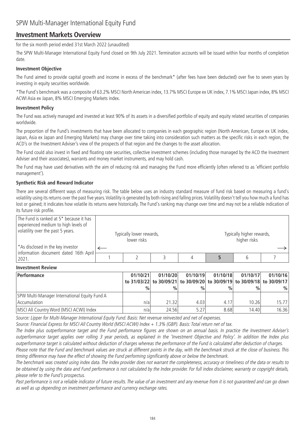### **Investment Markets Overview**

for the six month period ended 31st March 2022 (unaudited)

The SPW Multi-Manager International Equity Fund closed on 9th July 2021. Termination accounts will be issued within four months of completion date.

#### **Investment Objective**

The Fund aimed to provide capital growth and income in excess of the benchmark\* (after fees have been deducted) over five to seven years by investing in equity securities worldwide.

\*The Fund's benchmark was a composite of 63.2% MSCI North American index, 13.7% MSCI Europe ex UK index, 7.1% MSCI Japan index, 8% MSCI ACWI Asia ex Japan, 8% MSCI Emerging Markets index.

#### **Investment Policy**

The Fund was actively managed and invested at least 90% of its assets in a diversified portfolio of equity and equity related securities of companies worldwide.

The proportion of the Fund's investments that have been allocated to companies in each geographic region (North American, Europe ex UK index, Japan, Asia ex Japan and Emerging Markets) may change over time taking into consideration such matters as the specific risks in each region, the ACD's or the Investment Adviser's view of the prospects of that region and the changes to the asset allocation.

The Fund could also invest in fixed and floating rate securities, collective investment schemes (including those managed by the ACD the Investment Adviser and their associates), warrants and money market instruments, and may hold cash.

The Fund may have used derivatives with the aim of reducing risk and managing the Fund more efficiently (often referred to as 'efficient portfolio management').

#### **Synthetic Risk and Reward Indicator**

There are several different ways of measuring risk. The table below uses an industry standard measure of fund risk based on measuring a fund's volatility using its returns over the past five years. Volatility is generated by both rising and falling prices. Volatility doesn't tell you how much a fund has lost or gained; it indicates how volatile its returns were historically. The Fund's ranking may change over time and may not be a reliable indication of its future risk profile.

| The Fund is ranked at 5* because it has<br>experienced medium to high levels of<br>volatility over the past 5 years.<br>*As disclosed in the key investor | Typically lower rewards,<br>lower risks |  | Typically higher rewards,<br>higher risks |  |
|-----------------------------------------------------------------------------------------------------------------------------------------------------------|-----------------------------------------|--|-------------------------------------------|--|
| information document dated 16th April                                                                                                                     |                                         |  |                                           |  |
| 2021.                                                                                                                                                     |                                         |  |                                           |  |

#### **Investment Review**

| <b>Performance</b>                            | 01/10/21      | 01/10/20      | 01/10/19      | 01/10/18      | 01/10/17 | 01/10/16                                                                |
|-----------------------------------------------|---------------|---------------|---------------|---------------|----------|-------------------------------------------------------------------------|
|                                               |               |               |               |               |          | to 31/03/22 to 30/09/21 to 30/09/20 to 30/09/19 to 30/09/18 to 30/09/17 |
|                                               | $\frac{0}{0}$ | $\frac{0}{0}$ | $\frac{0}{0}$ | $\frac{0}{0}$ | $\%$     | %                                                                       |
| SPW Multi-Manager International Equity Fund A |               |               |               |               |          |                                                                         |
| <b>Accumulation</b>                           | n/a           | 21.32         | 4.03          | 4.17          | 10.26    | 15.771                                                                  |
| MSCI All Country Word (MSCI ACWI) Index       | n/a           | 24.56         | 5.27          | 8.68          | 14.401   | 16.36                                                                   |

Source: Lipper for Multi-Manager International Equity Fund. Basis: Net revenue reinvested and net of expenses.

Source: Financial Express for MSCI All Country World (MSCI ACWI) Index + 1.3% (GBP). Basis: Total return net of tax.

The Index plus outperformance target and the Fund performance figures are shown on an annual basis. In practice the Investment Adviser's outperformance target applies over rolling 3 year periods, as explained in the 'Investment Objective and Policy'. In addition the Index plus outperformance target is calculated without deduction of charges whereas the performance of the Fund is calculated after deduction of charges.

Please note that the Fund and benchmark values are struck at different points in the day, with the benchmark struck at the close of business. This timing difference may have the effect of showing the Fund performing significantly above or below the benchmark.

The benchmark was created using index data. The index provider does not warrant the completeness, accuracy or timeliness of the data or results to be obtained by using the data and Fund performance is not calculated by the Index provider. For full index disclaimer, warranty or copyright details, please refer to the Fund's prospectus.

Past performance is not a reliable indicator of future results. The value of an investment and any revenue from it is not guaranteed and can go down as well as up depending on investment performance and currency exchange rates.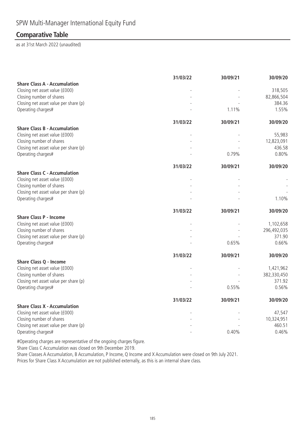### **Comparative Table**

as at 31st March 2022 (unaudited)

| 30/09/20                 |
|--------------------------|
|                          |
| 318,505<br>82,866,504    |
| 384.36                   |
| 1.55%                    |
| 30/09/20                 |
|                          |
| 55,983                   |
| 12,823,091               |
| 436.58                   |
| 0.80%                    |
| 30/09/20                 |
|                          |
|                          |
|                          |
| 1.10%                    |
|                          |
| 30/09/20                 |
|                          |
| 1,102,658<br>296,492,035 |
| 371.90                   |
| 0.66%                    |
| 30/09/20                 |
|                          |
| 1,421,962                |
| 382,330,450              |
| 371.92                   |
| 0.56%                    |
| 30/09/20                 |
|                          |
| 47,547<br>10,324,951     |
| 460.51                   |
| 0.46%                    |
|                          |

#Operating charges are representative of the ongoing charges figure.

Share Class C Accumulation was closed on 9th December 2019.

Share Classes A Accumulation, B Accumulation, P Income, Q Income and X Accumulation were closed on 9th July 2021.

Prices for Share Class X Accumulation are not published externally, as this is an internal share class.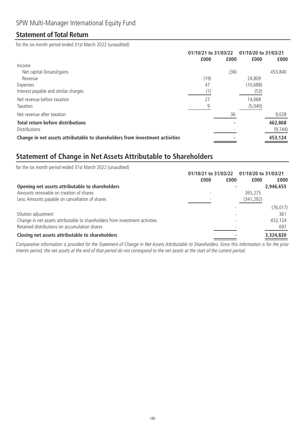### **Statement of Total Return**

for the six month period ended 31st March 2022 (unaudited)

|      |      | 01/10/20 to 31/03/21 |          |
|------|------|----------------------|----------|
| £000 | £000 | £000                 | £000     |
|      |      |                      |          |
|      | (36) |                      | 453,840  |
| (19) |      | 24,809               |          |
| 47   |      | (10, 688)            |          |
| (1)  |      | (53)                 |          |
| 27   |      | 14,068               |          |
| 9    |      | (5,040)              |          |
|      | 36   |                      | 9,028    |
|      |      |                      | 462,868  |
|      |      |                      | (9, 744) |
|      |      |                      | 453,124  |
|      |      | 01/10/21 to 31/03/22 |          |

## **Statement of Change in Net Assets Attributable to Shareholders**

| for the six month period ended 31st March 2022 (unaudited)                   |                      |      |                      |           |  |
|------------------------------------------------------------------------------|----------------------|------|----------------------|-----------|--|
|                                                                              | 01/10/21 to 31/03/22 |      | 01/10/20 to 31/03/21 |           |  |
|                                                                              | £000                 | £000 | £000                 | £000      |  |
| Opening net assets attributable to shareholders                              |                      |      |                      | 2,946,655 |  |
| Amounts receivable on creation of shares                                     |                      |      | 265,275              |           |  |
| Less: Amounts payable on cancellation of shares                              |                      |      | (341, 292)           |           |  |
|                                                                              |                      |      |                      | (76, 017) |  |
| Dilution adjustment                                                          |                      |      |                      | 361       |  |
| Change in net assets attributable to shareholders from investment activities |                      |      |                      | 453,124   |  |
| Retained distributions on accumulation shares                                |                      |      |                      | 697       |  |
| Closing net assets attributable to shareholders                              |                      |      |                      | 3,324,820 |  |

Comparative information is provided for the Statement of Change in Net Assets Attributable to Shareholders. Since this information is for the prior interim period, the net assets at the end of that period do not correspond to the net assets at the start of the current period.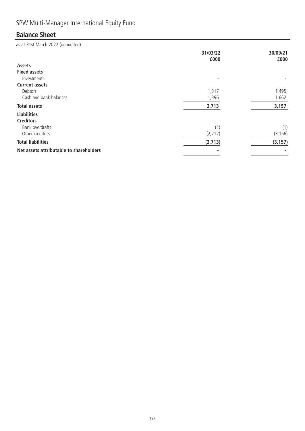# SPW Multi-Manager International Equity Fund

# **Balance Sheet**

|                                         | 31/03/22<br>£000 | 30/09/21<br>£000 |
|-----------------------------------------|------------------|------------------|
| Assets                                  |                  |                  |
| <b>Fixed assets</b>                     |                  |                  |
| Investments                             |                  |                  |
| <b>Current assets</b>                   |                  |                  |
| Debtors                                 | 1,317            | 1,495            |
| Cash and bank balances                  | 1,396            | 1,662            |
| <b>Total assets</b>                     | 2,713            | 3,157            |
| <b>Liabilities</b>                      |                  |                  |
| <b>Creditors</b>                        |                  |                  |
| Bank overdrafts                         | (1)              | (1)              |
| Other creditors                         | (2, 712)         | (3, 156)         |
| <b>Total liabilities</b>                | (2,713)          | (3, 157)         |
| Net assets attributable to shareholders |                  |                  |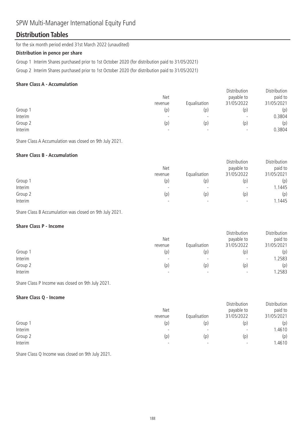## SPW Multi-Manager International Equity Fund

### **Distribution Tables**

for the six month period ended 31st March 2022 (unaudited)

#### **Distribution in pence per share**

Group 1 Interim Shares purchased prior to 1st October 2020 (for distribution paid to 31/05/2021)

Group 2 Interim Shares purchased prior to 1st October 2020 (for distribution paid to 31/05/2021)

#### **Share Class A - Accumulation**

|         | <b>Net</b><br>revenue    | Equalisation             | Distribution<br>payable to<br>31/05/2022 | Distribution<br>paid to<br>31/05/2021 |
|---------|--------------------------|--------------------------|------------------------------------------|---------------------------------------|
| Group 1 | (p)                      | (p)                      | (p)                                      | (p)                                   |
| Interim | $\overline{\phantom{0}}$ | $\overline{\phantom{0}}$ | $\overline{\phantom{a}}$                 | 0.3804                                |
| Group 2 | (p)                      | (p)                      | (p)                                      | (p)                                   |
| Interim |                          | $\overline{\phantom{0}}$ | $\overline{\phantom{a}}$                 | 0.3804                                |

Share Class A Accumulation was closed on 9th July 2021.

#### **Share Class B - Accumulation**

|         | <b>Net</b><br>revenue | Equalisation             | Distribution<br>payable to<br>31/05/2022 | Distribution<br>paid to<br>31/05/2021 |
|---------|-----------------------|--------------------------|------------------------------------------|---------------------------------------|
| Group 1 | (p)                   | (p)                      | (p)                                      | (p)                                   |
| Interim |                       | $\overline{\phantom{0}}$ | $\overline{\phantom{0}}$                 | 1.1445                                |
| Group 2 | (p)                   | (p)                      | (p)                                      | (p)                                   |
| Interim |                       | $\overline{\phantom{0}}$ | $\overline{\phantom{0}}$                 | 1.1445                                |

Share Class B Accumulation was closed on 9th July 2021.

#### **Share Class P - Income**

|         | <b>Net</b><br>revenue | Equalisation             | Distribution<br>payable to<br>31/05/2022 | Distribution<br>paid to<br>31/05/2021 |
|---------|-----------------------|--------------------------|------------------------------------------|---------------------------------------|
| Group 1 | (p)                   | (p)                      | (p)                                      | (p)                                   |
| Interim |                       | $\overline{\phantom{a}}$ | $\overline{\phantom{0}}$                 | .2583                                 |
| Group 2 | (p)                   | (p)                      | (p)                                      | (p)                                   |
| Interim | -                     |                          | $\overline{\phantom{0}}$                 | .2583                                 |

Share Class P Income was closed on 9th July 2021.

#### **Share Class Q - Income**

|         | <b>Net</b>               |                          | Distribution<br>payable to | Distribution<br>paid to |
|---------|--------------------------|--------------------------|----------------------------|-------------------------|
|         | revenue                  | Equalisation             | 31/05/2022                 | 31/05/2021              |
| Group 1 | (p)                      | (p)                      | (p)                        | (p)                     |
| Interim |                          | $\overline{\phantom{0}}$ | -                          | 1.4610                  |
| Group 2 | (p)                      | (p)                      | (p)                        | (p)                     |
| Interim | $\overline{\phantom{0}}$ | $\overline{\phantom{0}}$ | $\overline{\phantom{a}}$   | 1.4610                  |

Share Class Q Income was closed on 9th July 2021.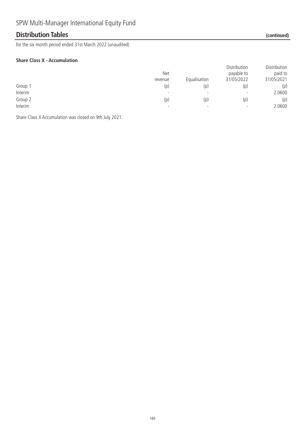### **Distribution Tables (continued)**

for the six month period ended 31st March 2022 (unaudited)

#### **Share Class X - Accumulation**

|         | <b>Net</b><br>revenue    | Equalisation             | Distribution<br>payable to<br>31/05/2022 | Distribution<br>paid to<br>31/05/2021 |
|---------|--------------------------|--------------------------|------------------------------------------|---------------------------------------|
| Group 1 | (p)                      | (p)                      | (p)                                      | (p)                                   |
| Interim | $\overline{\phantom{0}}$ | $\overline{\phantom{0}}$ | $\overline{\phantom{a}}$                 | 2.0600                                |
| Group 2 | (p)                      | (p)                      | (p)                                      | (p)                                   |
| Interim | $\overline{\phantom{0}}$ | $\overline{\phantom{0}}$ | $\overline{\phantom{a}}$                 | 2.0600                                |

Share Class X Accumulation was closed on 9th July 2021.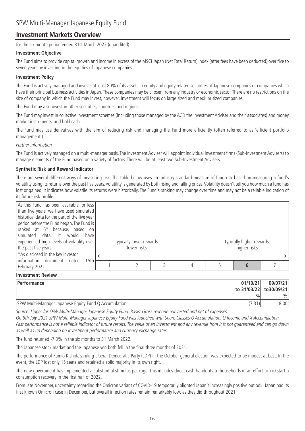### **Investment Markets Overview**

for the six month period ended 31st March 2022 (unaudited)

#### **Investment Objective**

The Fund aims to provide capital growth and income in excess of the MSCI Japan (Net Total Return) index (after fees have been deducted) over five to seven years by investing in the equities of Japanese companies.

#### **Investment Policy**

The Fund is actively managed and invests at least 80% of its assets in equity and equity related securities of Japanese companies or companies which have their principal business activities in Japan. These companies may be chosen from any industry or economic sector. There are no restrictions on the size of company in which the Fund may invest, however, investment will focus on large sized and medium sized companies.

The Fund may also invest in other securities, countries and regions.

The Fund may invest in collective investment schemes (including those managed by the ACD the Investment Adviser and their associates) and money market instruments, and hold cash.

The Fund may use derivatives with the aim of reducing risk and managing the Fund more efficiently (often referred to as 'efficient portfolio management').

#### Further information

The Fund is actively managed on a multi-manager basis. The Investment Adviser will appoint individual investment firms (Sub-Investment Advisers) to manage elements of the Fund based on a variety of factors. There will be at least two Sub-Investment Advisers.

#### **Synthetic Risk and Reward Indicator**

There are several different ways of measuring risk. The table below uses an industry standard measure of fund risk based on measuring a fund's volatility using its returns over the past five years.Volatility is generated by both rising and falling prices.Volatility doesn't tell you how much a fund has lost or gained; it indicates how volatile its returns were historically. The Fund's ranking may change over time and may not be a reliable indication of its future risk profile.

| ranked at 6 <sup>*</sup> because, based on<br>simulated data, it would<br>have<br>experienced high levels of volatility over<br>Typically lower rewards,<br>lower risks<br>the past five years.<br>*As disclosed in the key investor |  | Typically higher rewards,<br>higher risks |  |
|--------------------------------------------------------------------------------------------------------------------------------------------------------------------------------------------------------------------------------------|--|-------------------------------------------|--|
| Information document<br>dated<br>15th<br>February 2022.                                                                                                                                                                              |  |                                           |  |

#### **Investment Review**

| Performance                                           | 01/10/21                | 09/07/21      |
|-------------------------------------------------------|-------------------------|---------------|
|                                                       | to 31/03/22  to30/09/21 |               |
|                                                       | $\frac{0}{0}$           | $\frac{0}{0}$ |
| SPW Multi-Manager Japanese Equity Fund Q Accumulation |                         | 8.001         |

Source: Lipper for SPW Multi-Manager Japanese Equity Fund. Basis: Gross revenue reinvested and net of expenses.

On 9th July 2021 SPW Multi-Manager Japanese Equity Fund was launched with Share Classes Q Accumulation, Q Income and X Accumulation. Past performance is not a reliable indicator of future results. The value of an investment and any revenue from it is not guaranteed and can go down as well as up depending on investment performance and currency exchange rates.

The fund returned -7.3% in the six months to 31 March 2022.

The Japanese stock market and the Japanese yen both fell in the final three months of 2021.

The performance of Fumio Kishida's ruling Liberal Democratic Party (LDP) in the October general election was expected to be modest at best. In the event, the LDP lost only 15 seats and retained a solid majority in its own right.

The new government has implemented a substantial stimulus package. This includes direct cash handouts to households in an effort to kickstart a consumption recovery in the first half of 2022.

From late November, uncertainty regarding the Omicron variant of COVID-19 temporarily blighted Japan's increasingly positive outlook. Japan had its first known Omicron case in December, but overall infection rates remain remarkably low, as they did throughout 2021.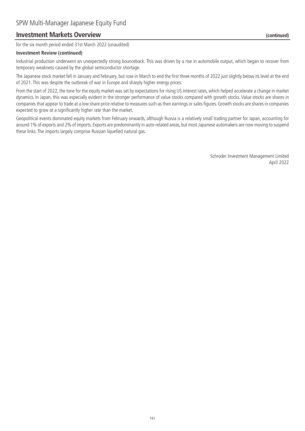### **Investment Markets Overview (continued)**

for the six month period ended 31st March 2022 (unaudited)

#### **Investment Review (continued)**

Industrial production underwent an unexpectedly strong bounceback. This was driven by a rise in automobile output, which began to recover from temporary weakness caused by the global semiconductor shortage.

The Japanese stock market fell in January and February, but rose in March to end the first three months of 2022 just slightly below its level at the end of 2021. This was despite the outbreak of war in Europe and sharply higher energy prices.

From the start of 2022, the tone for the equity market was set by expectations for rising US interest rates, which helped accelerate a change in market dynamics. In Japan, this was especially evident in the stronger performance of value stocks compared with growth stocks. Value stocks are shares in companies that appear to trade at a low share price relative to measures such as their earnings or sales figures. Growth stocks are shares in companies expected to grow at a significantly higher rate than the market.

Geopolitical events dominated equity markets from February onwards, although Russia is a relatively small trading partner for Japan, accounting for around 1% of exports and 2% of imports. Exports are predominantly in auto-related areas, but most Japanese automakers are now moving to suspend these links. The imports largely comprise Russian liquefied natural gas.

> Schroder Investment Management Limited April 2022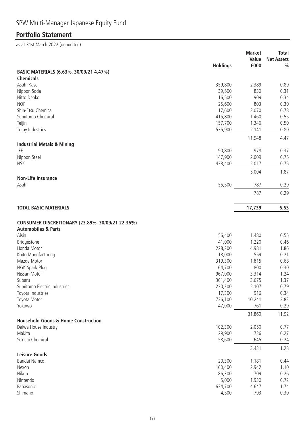# **Portfolio Statement**

|                                                  | <b>Holdings</b>   | <b>Market</b><br>Value<br>£000 | <b>Total</b><br><b>Net Assets</b><br>$\frac{0}{0}$ |
|--------------------------------------------------|-------------------|--------------------------------|----------------------------------------------------|
| BASIC MATERIALS (6.63%, 30/09/21 4.47%)          |                   |                                |                                                    |
| <b>Chemicals</b>                                 |                   |                                |                                                    |
| Asahi Kasei                                      | 359,800           | 2,389                          | 0.89                                               |
| Nippon Soda                                      | 39,500            | 830                            | 0.31                                               |
| Nitto Denko                                      | 16,500            | 909                            | 0.34                                               |
| <b>NOF</b>                                       | 25,600            | 803                            | 0.30                                               |
| Shin-Etsu Chemical                               | 17,600            | 2,070                          | 0.78                                               |
| Sumitomo Chemical                                | 415,800           | 1,460                          | 0.55                                               |
| Teijin                                           | 157,700           | 1,346                          | 0.50                                               |
| Toray Industries                                 | 535,900           | 2,141                          | 0.80                                               |
|                                                  |                   | 11,948                         | 4.47                                               |
| <b>Industrial Metals &amp; Mining</b>            |                   |                                |                                                    |
| <b>JFE</b>                                       | 90,800            | 978                            | 0.37                                               |
| Nippon Steel                                     | 147,900           | 2,009                          | 0.75                                               |
| <b>NSK</b>                                       | 438,400           | 2,017                          | 0.75                                               |
| <b>Non-Life Insurance</b>                        |                   | 5,004                          | 1.87                                               |
| Asahi                                            | 55,500            | 787                            | 0.29                                               |
|                                                  |                   | 787                            | 0.29                                               |
| <b>TOTAL BASIC MATERIALS</b>                     |                   | 17,739                         | 6.63                                               |
| CONSUMER DISCRETIONARY (23.89%, 30/09/21 22.36%) |                   |                                |                                                    |
| <b>Automobiles &amp; Parts</b>                   |                   |                                |                                                    |
| Aisin                                            | 56,400            | 1,480                          | 0.55                                               |
| Bridgestone                                      | 41,000            | 1,220                          | 0.46                                               |
| Honda Motor                                      | 228,200           | 4,981                          | 1.86                                               |
| Koito Manufacturing<br>Mazda Motor               | 18,000            | 559                            | 0.21<br>0.68                                       |
| NGK Spark Plug                                   | 319,300<br>64,700 | 1,815<br>800                   | 0.30                                               |
| Nissan Motor                                     | 967,000           | 3,314                          | 1.24                                               |
| Subaru                                           | 301,400           | 3,675                          | 1.37                                               |
| Sumitomo Electric Industries                     | 230,300           | 2,107                          | 0.79                                               |
| Toyota Industries                                | 17,300            | 916                            | 0.34                                               |
| Toyota Motor                                     | 736,100           | 10,241                         | 3.83                                               |
| Yokowo                                           | 47,000            | 761                            | 0.29                                               |
|                                                  |                   | 31,869                         | 11.92                                              |
| <b>Household Goods &amp; Home Construction</b>   |                   |                                |                                                    |
| Daiwa House Industry<br>Makita                   | 102,300           | 2,050                          | 0.77                                               |
| Sekisui Chemical                                 | 29,900<br>58,600  | 736<br>645                     | 0.27                                               |
|                                                  |                   | 3,431                          | 0.24<br>1.28                                       |
| <b>Leisure Goods</b>                             |                   |                                |                                                    |
| Bandai Namco                                     | 20,300            | 1,181                          | 0.44                                               |
| Nexon                                            | 160,400           | 2,942                          | 1.10                                               |
| Nikon                                            | 86,300            | 709                            | 0.26                                               |
| Nintendo                                         | 5,000             | 1,930                          | 0.72                                               |
| Panasonic                                        | 624,700           | 4,647                          | 1.74                                               |
| Shimano                                          | 4,500             | 793                            | 0.30                                               |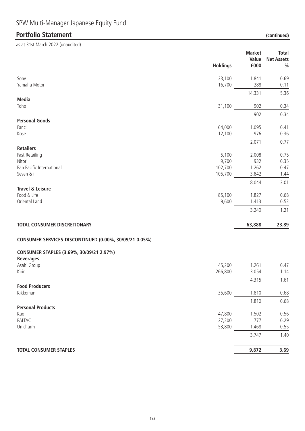**Holdings Market Value Net Assets £000 Total %** Sony 23,100 1,841 0.69 Yamaha Motor 16,700 288 0.11 14,331 5.36 **Media** Toho 31,100 902 0.34 902 0.34 **Personal Goods** Fancl 64,000 1,095 0.41 Kose 12,100 976 0.36 2,071 0.77 **Retailers** Fast Retailing 5,100 2,008 0.75 Nitori 9,700 932 0.35 Pan Pacific International 2012 0.47 Seven & i 105,700 3,842 1.44 8,044 3.01 **Travel & Leisure** Food & Life 85,100 1,827 0.68 Oriental Land 9,600 1,413 0.53 3,240 1.21 **TOTAL CONSUMER DISCRETIONARY 63,888 23.89 CONSUMER SERVICES-DISCONTINUED (0.00%, 30/09/21 0.05%) CONSUMER STAPLES (3.69%, 30/09/21 2.97%) Beverages** Asahi Group 45,200 1,261 0.47 Kirin 266,800 3,054 1.14 4,315 1.61 **Food Producers** Kikkoman 35,600 1,810 0.68 1,810 0.68 **Portfolio Statement (continued)** as at 31st March 2022 (unaudited)

### **Personal Products** Kao 47,800 1,502 0.56 PALTAC 27,300 777 0.29 Unicharm 53,800 1,468 0.55

#### **TOTAL CONSUMER STAPLES** 3.69

3,747 1.40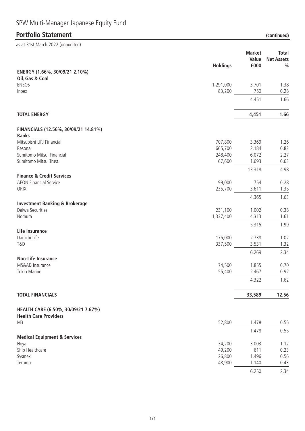# SPW Multi-Manager Japanese Equity Fund

### **Portfolio Statement (continued)**

as at 31st March 2022 (unaudited)

|                                                                       | <b>Holdings</b>  | <b>Market</b><br>Value<br>£000 | <b>Total</b><br><b>Net Assets</b><br>$\frac{0}{0}$ |
|-----------------------------------------------------------------------|------------------|--------------------------------|----------------------------------------------------|
| ENERGY (1.66%, 30/09/21 2.10%)<br>Oil, Gas & Coal                     |                  |                                |                                                    |
| <b>ENEOS</b>                                                          | 1,291,000        | 3,701                          | 1.38                                               |
| Inpex                                                                 | 83,200           | 750                            | 0.28                                               |
|                                                                       |                  | 4,451                          | 1.66                                               |
| <b>TOTAL ENERGY</b>                                                   |                  | 4,451                          | 1.66                                               |
| FINANCIALS (12.56%, 30/09/21 14.81%)                                  |                  |                                |                                                    |
| <b>Banks</b><br>Mitsubishi UFJ Financial                              | 707,800          | 3,369                          | 1.26                                               |
| Resona                                                                | 665,700          | 2,184                          | 0.82                                               |
| Sumitomo Mitsui Financial                                             | 248,400          | 6,072                          | 2.27                                               |
| Sumitomo Mitsui Trust                                                 | 67,600           | 1,693                          | 0.63                                               |
|                                                                       |                  | 13,318                         | 4.98                                               |
| <b>Finance &amp; Credit Services</b><br><b>AEON Financial Service</b> | 99,000           | 754                            | 0.28                                               |
| ORIX                                                                  | 235,700          | 3,611                          | 1.35                                               |
|                                                                       |                  | 4,365                          | 1.63                                               |
| <b>Investment Banking &amp; Brokerage</b>                             |                  |                                |                                                    |
| Daiwa Securities                                                      | 231,100          | 1,002                          | 0.38                                               |
| Nomura                                                                | 1,337,400        | 4,313                          | 1.61                                               |
|                                                                       |                  | 5,315                          | 1.99                                               |
| <b>Life Insurance</b><br>Dai-ichi Life                                | 175,000          | 2,738                          | 1.02                                               |
| <b>T&amp;D</b>                                                        | 337,500          | 3,531                          | 1.32                                               |
|                                                                       |                  | 6,269                          | 2.34                                               |
| <b>Non-Life Insurance</b><br>MS&AD Insurance                          | 74,500           | 1,855                          | 0.70                                               |
| <b>Tokio Marine</b>                                                   | 55,400           | 2,467                          | 0.92                                               |
|                                                                       |                  | 4,322                          | 1.62                                               |
| <b>TOTAL FINANCIALS</b>                                               |                  | 33,589                         | 12.56                                              |
| HEALTH CARE (6.50%, 30/09/21 7.67%)                                   |                  |                                |                                                    |
| <b>Health Care Providers</b>                                          |                  |                                |                                                    |
| M3                                                                    | 52,800           | 1,478                          | 0.55                                               |
|                                                                       |                  | 1,478                          | 0.55                                               |
| <b>Medical Equipment &amp; Services</b>                               |                  |                                |                                                    |
| Hoya<br>Ship Healthcare                                               | 34,200<br>49,200 | 3,003<br>611                   | 1.12<br>0.23                                       |
| Sysmex                                                                | 26,800           | 1,496                          | 0.56                                               |
| Terumo                                                                | 48,900           | 1,140                          | 0.43                                               |

6,250 2.34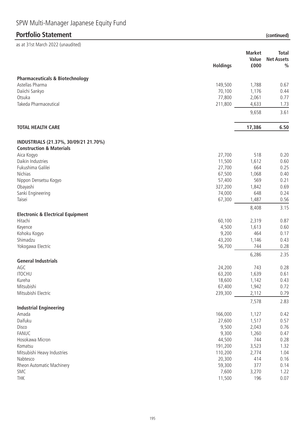| SPW Multi-Manager Japanese Equity Fund |  |  |  |
|----------------------------------------|--|--|--|
|----------------------------------------|--|--|--|

|                                                         |                  | <b>Market</b><br>Value<br>£000 | <b>Total</b><br><b>Net Assets</b><br>$\frac{0}{0}$ |
|---------------------------------------------------------|------------------|--------------------------------|----------------------------------------------------|
|                                                         | <b>Holdings</b>  |                                |                                                    |
| <b>Pharmaceuticals &amp; Biotechnology</b>              |                  |                                |                                                    |
| Astellas Pharma                                         | 149,500          | 1,788                          | 0.67                                               |
| Daiichi Sankyo                                          | 70,100           | 1,176                          | 0.44                                               |
| Otsuka                                                  | 77,800           | 2,061                          | 0.77                                               |
| Takeda Pharmaceutical                                   | 211,800          | 4,633                          | 1.73                                               |
|                                                         |                  | 9,658                          | 3.61                                               |
| <b>TOTAL HEALTH CARE</b>                                |                  | 17,386                         | 6.50                                               |
| INDUSTRIALS (21.37%, 30/09/21 21.70%)                   |                  |                                |                                                    |
| <b>Construction &amp; Materials</b>                     |                  |                                |                                                    |
| Aica Kogyo                                              | 27,700           | 518                            | 0.20                                               |
| Daikin Industries                                       | 11,500           | 1,612                          | 0.60                                               |
| Fukushima Galilei                                       | 27,700           | 664                            | 0.25                                               |
| <b>Nichias</b>                                          | 67,500           | 1,068                          | 0.40                                               |
| Nippon Densetsu Kogyo                                   | 57,400           | 569                            | 0.21                                               |
| Obayashi<br>Sanki Engineering                           | 327,200          | 1,842<br>648                   | 0.69                                               |
| Taisei                                                  | 74,000<br>67,300 | 1,487                          | 0.24<br>0.56                                       |
|                                                         |                  |                                |                                                    |
|                                                         |                  | 8,408                          | 3.15                                               |
| <b>Electronic &amp; Electrical Equipment</b><br>Hitachi | 60,100           | 2,319                          | 0.87                                               |
| Keyence                                                 | 4,500            | 1,613                          | 0.60                                               |
| Kohoku Kogyo                                            | 9,200            | 464                            | 0.17                                               |
| Shimadzu                                                | 43,200           | 1,146                          | 0.43                                               |
| Yokogawa Electric                                       | 56,700           | 744                            | 0.28                                               |
|                                                         |                  | 6,286                          | 2.35                                               |
| <b>General Industrials</b>                              |                  |                                |                                                    |
| AGC                                                     | 24,200           | 743                            | 0.28                                               |
| <b>ITOCHU</b>                                           | 63,200           | 1,639                          | 0.61                                               |
| Kureha                                                  | 18,600           | 1,142                          | 0.43                                               |
| Mitsubishi                                              | 67,400           | 1,942                          | 0.72                                               |
| Mitsubishi Electric                                     | 239,300          | 2,112                          | 0.79                                               |
| <b>Industrial Engineering</b>                           |                  | 7,578                          | 2.83                                               |
| Amada                                                   | 166,000          | 1,127                          | 0.42                                               |
| Daifuku                                                 | 27,600           | 1,517                          | 0.57                                               |
| Disco                                                   | 9,500            | 2,043                          | 0.76                                               |
| <b>FANUC</b>                                            | 9,300            | 1,260                          | 0.47                                               |
| Hosokawa Micron                                         | 44,500           | 744                            | 0.28                                               |
| Komatsu                                                 | 191,200          | 3,523                          | 1.32                                               |
| Mitsubishi Heavy Industries                             | 110,200          | 2,774                          | 1.04                                               |
| Nabtesco                                                | 20,300           | 414                            | 0.16                                               |
| Rheon Automatic Machinery                               | 59,300           | 377                            | 0.14                                               |
| SMC                                                     | 7,600            | 3,270                          | 1.22                                               |
| <b>THK</b>                                              | 11,500           | 196                            | 0.07                                               |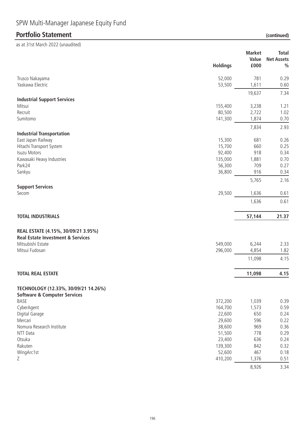|                                              | <b>Holdings</b> | <b>Market</b><br>Value<br>£000 | <b>Total</b><br><b>Net Assets</b><br>$\frac{0}{0}$ |
|----------------------------------------------|-----------------|--------------------------------|----------------------------------------------------|
| Trusco Nakayama                              | 52,000          | 781                            | 0.29                                               |
| Yaskawa Electric                             | 53,500          | 1,611                          | 0.60                                               |
|                                              |                 | 19,637                         | 7.34                                               |
| <b>Industrial Support Services</b>           |                 |                                |                                                    |
| Mitsui                                       | 155,400         | 3,238                          | 1.21                                               |
| Recruit                                      | 80,500          | 2,722                          | 1.02                                               |
| Sumitomo                                     | 141,300         | 1,874                          | 0.70                                               |
| <b>Industrial Transportation</b>             |                 | 7,834                          | 2.93                                               |
| East Japan Railway                           | 15,300          | 681                            | 0.26                                               |
| Hitachi Transport System                     | 15,700          | 660                            | 0.25                                               |
| <b>Isuzu Motors</b>                          | 92,400          | 918                            | 0.34                                               |
| Kawasaki Heavy Industries                    | 135,000         | 1,881                          | 0.70                                               |
| Park24                                       | 56,300          | 709                            | 0.27                                               |
| Sankyu                                       | 36,800          | 916                            | 0.34                                               |
|                                              |                 | 5,765                          | 2.16                                               |
| <b>Support Services</b><br>Secom             | 29,500          | 1,636                          | 0.61                                               |
|                                              |                 |                                |                                                    |
|                                              |                 | 1,636                          | 0.61                                               |
| <b>TOTAL INDUSTRIALS</b>                     |                 | 57,144                         | 21.37                                              |
| REAL ESTATE (4.15%, 30/09/21 3.95%)          |                 |                                |                                                    |
| <b>Real Estate Investment &amp; Services</b> |                 |                                |                                                    |
| Mitsubishi Estate                            | 549,000         | 6,244                          | 2.33                                               |
| Mitsui Fudosan                               | 296,000         | 4,854                          | 1.82                                               |
|                                              |                 | 11,098                         | 4.15                                               |
| <b>TOTAL REAL ESTATE</b>                     |                 | 11,098                         | 4.15                                               |
| TECHNOLOGY (12.33%, 30/09/21 14.26%)         |                 |                                |                                                    |
| <b>Software &amp; Computer Services</b>      |                 |                                |                                                    |
| BASE                                         | 372,200         | 1,039                          | 0.39                                               |
| CyberAgent                                   | 164,700         | 1,573                          | 0.59                                               |
| Digital Garage                               | 22,600          | 650                            | 0.24                                               |
| Mercari                                      | 29,600          | 596                            | 0.22                                               |
| Nomura Research Institute                    | 38,600          | 969                            | 0.36                                               |
| NTT Data                                     | 51,500          | 778                            | 0.29                                               |
| Otsuka                                       | 23,400          | 636                            | 0.24                                               |
| Rakuten                                      | 139,300         | 842                            | 0.32                                               |
| WingArc1st                                   | 52,600          | 467                            | 0.18                                               |
| Ζ                                            | 410,200         | 1,376                          | 0.51                                               |
|                                              |                 | 8,926                          | 3.34                                               |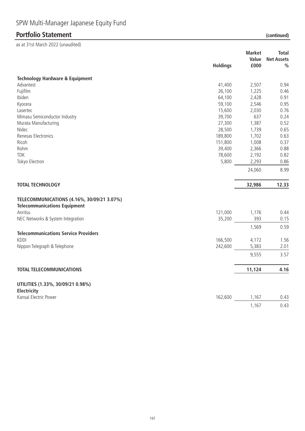|                                                                                   | <b>Holdings</b> | <b>Market</b><br>Value<br>£000 | <b>Total</b><br><b>Net Assets</b><br>$\frac{0}{0}$ |
|-----------------------------------------------------------------------------------|-----------------|--------------------------------|----------------------------------------------------|
| <b>Technology Hardware &amp; Equipment</b>                                        |                 |                                |                                                    |
| Advantest                                                                         | 41,400          | 2,507                          | 0.94                                               |
| Fujifilm                                                                          | 26,100          | 1,225                          | 0.46                                               |
| Ibiden                                                                            | 64,100          | 2,428                          | 0.91                                               |
| Kyocera                                                                           | 59,100          | 2,546                          | 0.95                                               |
| Lasertec                                                                          | 15,600          | 2,030                          | 0.76                                               |
| Mimasu Semiconductor Industry                                                     | 39,700          | 637                            | 0.24                                               |
| Murata Manufacturing                                                              | 27,300          | 1,387                          | 0.52                                               |
| Nidec                                                                             | 28,500          | 1,739                          | 0.65                                               |
| Renesas Electronics                                                               | 189,800         | 1,702                          | 0.63                                               |
| Ricoh                                                                             | 151,800         | 1,008                          | 0.37                                               |
| Rohm                                                                              | 39,400          | 2,366                          | 0.88                                               |
| <b>TDK</b>                                                                        | 78,600          | 2,192                          | 0.82                                               |
| Tokyo Electron                                                                    | 5,800           | 2,293                          | 0.86                                               |
|                                                                                   |                 | 24,060                         | 8.99                                               |
| <b>TOTAL TECHNOLOGY</b>                                                           |                 | 32,986                         | 12.33                                              |
| TELECOMMUNICATIONS (4.16%, 30/09/21 3.07%)<br><b>Telecommunications Equipment</b> |                 |                                |                                                    |
| Anritsu                                                                           | 121,000         | 1,176                          | 0.44                                               |
| NEC Networks & System Integration                                                 | 35,200          | 393                            | 0.15                                               |
| <b>Telecommunications Service Providers</b>                                       |                 | 1,569                          | 0.59                                               |
| <b>KDDI</b>                                                                       | 166,500         | 4,172                          | 1.56                                               |
| Nippon Telegraph & Telephone                                                      | 242,600         | 5,383                          | 2.01                                               |
|                                                                                   |                 | 9,555                          | 3.57                                               |
| <b>TOTAL TELECOMMUNICATIONS</b>                                                   |                 |                                | 4.16                                               |
|                                                                                   |                 | 11,124                         |                                                    |
| UTILITIES (1.33%, 30/09/21 0.98%)<br>Electricity                                  |                 |                                |                                                    |
| Kansai Electric Power                                                             | 162,600         | 1,167                          | 0.43                                               |
|                                                                                   |                 | 1,167                          | 0.43                                               |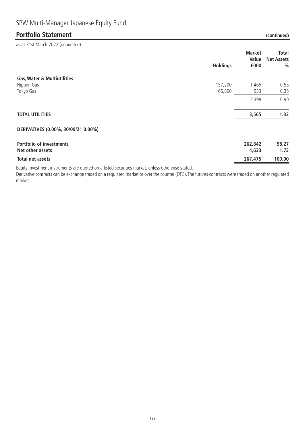as at 31st March 2022 (unaudited)

|                                                     | <b>Holdings</b> | <b>Market</b><br>Value<br>£000 | Total<br><b>Net Assets</b><br>% |
|-----------------------------------------------------|-----------------|--------------------------------|---------------------------------|
| <b>Gas, Water &amp; Multiutilities</b>              |                 |                                |                                 |
| Nippon Gas                                          | 157,200         | 1,465                          | 0.55                            |
| Tokyo Gas                                           | 66,800          | 933                            | 0.35                            |
|                                                     |                 | 2,398                          | 0.90                            |
| <b>TOTAL UTILITIES</b>                              |                 | 3,565                          | 1.33                            |
| DERIVATIVES (0.00%, 30/09/21 0.00%)                 |                 |                                |                                 |
| <b>Portfolio of investments</b><br>Net other assets |                 | 262,842<br>4,633               | 98.27<br>1.73                   |
|                                                     |                 |                                |                                 |
| Total net assets                                    |                 | 267,475                        | 100.00                          |

Equity investment instruments are quoted on a listed securities market, unless otherwise stated.

Derivative contracts can be exchange traded on a regulated market or over the counter (OTC). The futures contracts were traded on another regulated market.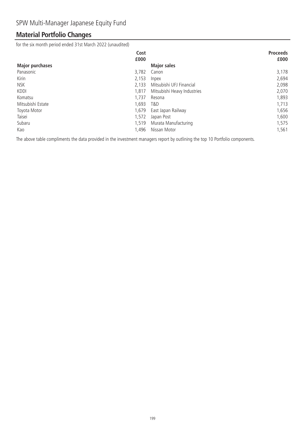## **Material Portfolio Changes**

for the six month period ended 31st March 2022 (unaudited)

|                        | Cost  |                             | <b>Proceeds</b> |
|------------------------|-------|-----------------------------|-----------------|
|                        | £000  |                             | £000            |
| <b>Major purchases</b> |       | <b>Major sales</b>          |                 |
| Panasonic              | 3.782 | Canon                       | 3,178           |
| Kirin                  | 2,153 | Inpex                       | 2,694           |
| NSK                    | 2,133 | Mitsubishi UFJ Financial    | 2,098           |
| <b>KDDI</b>            | 1.817 | Mitsubishi Heavy Industries | 2,070           |
| Komatsu                | 1,737 | Resona                      | 1,893           |
| Mitsubishi Estate      | 1,693 | T&D                         | 1,713           |
| Toyota Motor           | 1,679 | East Japan Railway          | 1,656           |
| Taisei                 | 1,572 | Japan Post                  | 1,600           |
| Subaru                 | 1,519 | Murata Manufacturing        | 1,575           |
| Kao                    | 1,496 | Nissan Motor                | 1,561           |

The above table compliments the data provided in the investment managers report by outlining the top 10 Portfolio components.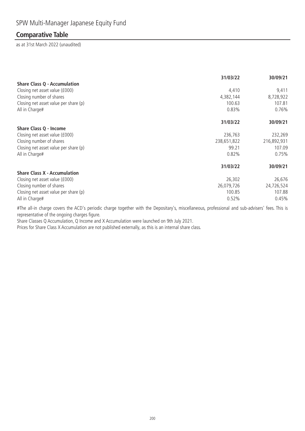### **Comparative Table**

as at 31st March 2022 (unaudited)

|                                       | 31/03/22    | 30/09/21    |
|---------------------------------------|-------------|-------------|
| <b>Share Class Q - Accumulation</b>   |             |             |
| Closing net asset value (£000)        | 4,410       | 9,411       |
| Closing number of shares              | 4,382,144   | 8,728,922   |
| Closing net asset value per share (p) | 100.63      | 107.81      |
| All in Charge#                        | 0.83%       | 0.76%       |
|                                       | 31/03/22    | 30/09/21    |
| Share Class Q - Income                |             |             |
| Closing net asset value (£000)        | 236,763     | 232,269     |
| Closing number of shares              | 238,651,822 | 216,892,931 |
| Closing net asset value per share (p) | 99.21       | 107.09      |
| All in Charge#                        | 0.82%       | 0.75%       |
|                                       | 31/03/22    | 30/09/21    |
| <b>Share Class X - Accumulation</b>   |             |             |
| Closing net asset value (£000)        | 26,302      | 26,676      |
| Closing number of shares              | 26,079,726  | 24,726,524  |
| Closing net asset value per share (p) | 100.85      | 107.88      |
| All in Charge#                        | 0.52%       | 0.45%       |

#The all-in charge covers the ACD's periodic charge together with the Depositary's, miscellaneous, professional and sub-advisers' fees. This is representative of the ongoing charges figure.

Share Classes Q Accumulation, Q Income and X Accumulation were launched on 9th July 2021.

Prices for Share Class X Accumulation are not published externally, as this is an internal share class.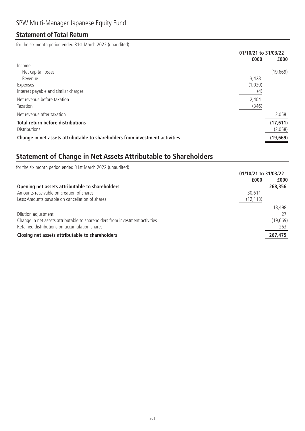### **Statement of Total Return**

for the six month period ended 31st March 2022 (unaudited)

|                                                                              | 01/10/21 to 31/03/22 |           |
|------------------------------------------------------------------------------|----------------------|-----------|
|                                                                              | £000                 | £000      |
| Income                                                                       |                      |           |
| Net capital losses                                                           |                      | (19,669)  |
| Revenue                                                                      | 3,428                |           |
| Expenses                                                                     | (1,020)              |           |
| Interest payable and similar charges                                         | (4)                  |           |
| Net revenue before taxation                                                  | 2,404                |           |
| Taxation                                                                     | (346)                |           |
| Net revenue after taxation                                                   |                      | 2,058     |
| <b>Total return before distributions</b>                                     |                      | (17, 611) |
| <b>Distributions</b>                                                         |                      | (2,058)   |
| Change in net assets attributable to shareholders from investment activities |                      | (19, 669) |

# **Statement of Change in Net Assets Attributable to Shareholders**

| for the six month period ended 31st March 2022 (unaudited)                   |                      |  |
|------------------------------------------------------------------------------|----------------------|--|
|                                                                              | 01/10/21 to 31/03/22 |  |
| £000                                                                         | £000                 |  |
| Opening net assets attributable to shareholders                              | 268,356              |  |
| Amounts receivable on creation of shares<br>30.611                           |                      |  |
| Less: Amounts payable on cancellation of shares<br>(12, 113)                 |                      |  |
|                                                                              | 18,498               |  |
| Dilution adjustment                                                          |                      |  |
| Change in net assets attributable to shareholders from investment activities | (19, 669)            |  |
| Retained distributions on accumulation shares                                | 263                  |  |
| Closing net assets attributable to shareholders                              | 267,475              |  |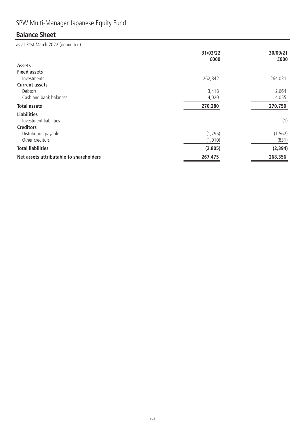# SPW Multi-Manager Japanese Equity Fund

# **Balance Sheet**

|                                         | 31/03/22<br>£000 | 30/09/21<br>£000 |
|-----------------------------------------|------------------|------------------|
| Assets                                  |                  |                  |
| <b>Fixed assets</b>                     |                  |                  |
| Investments                             | 262,842          | 264,031          |
| <b>Current assets</b>                   |                  |                  |
| Debtors                                 | 3,418            | 2,664            |
| Cash and bank balances                  | 4,020            | 4,055            |
| <b>Total assets</b>                     | 270,280          | 270,750          |
| <b>Liabilities</b>                      |                  |                  |
| Investment liabilities                  |                  | (1)              |
| <b>Creditors</b>                        |                  |                  |
| Distribution payable                    | (1,795)          | (1, 562)         |
| Other creditors                         | (1,010)          | (831)            |
| <b>Total liabilities</b>                | (2,805)          | (2, 394)         |
| Net assets attributable to shareholders | 267,475          | 268,356          |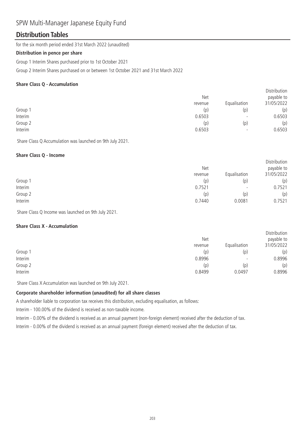### SPW Multi-Manager Japanese Equity Fund

### **Distribution Tables**

for the six month period ended 31st March 2022 (unaudited)

#### **Distribution in pence per share**

Group 1 Interim Shares purchased prior to 1st October 2021

Group 2 Interim Shares purchased on or between 1st October 2021 and 31st March 2022

#### **Share Class Q - Accumulation**

|         | Net     |                          | <b>DISTRIBUTION</b><br>payable to |  |
|---------|---------|--------------------------|-----------------------------------|--|
|         | revenue | Equalisation             | 31/05/2022                        |  |
| Group 1 | (p)     | (p)                      | (p)                               |  |
| Interim | 0.6503  | $\overline{\phantom{a}}$ | 0.6503                            |  |
| Group 2 | (p)     | (p)                      | (p)                               |  |
| Interim | 0.6503  | $\overline{\phantom{0}}$ | 0.6503                            |  |
|         |         |                          |                                   |  |

Distribution

Share Class Q Accumulation was launched on 9th July 2021.

#### **Share Class Q - Income**

|         | <b>Net</b> |                          | Distribution<br>payable to |
|---------|------------|--------------------------|----------------------------|
|         | revenue    | Equalisation             | 31/05/2022                 |
| Group 1 | (p)        | (p)                      | (p)                        |
| Interim | 0.7521     | $\overline{\phantom{a}}$ | 0.7521                     |
| Group 2 | (p)        | (p)                      | (p)                        |
| Interim | 0.7440     | 0.0081                   | 0.7521                     |

Share Class Q Income was launched on 9th July 2021.

#### **Share Class X - Accumulation**

|         | <b>Net</b><br>revenue | Equalisation             | Distribution<br>payable to<br>31/05/2022 |
|---------|-----------------------|--------------------------|------------------------------------------|
| Group 1 | (p)                   | (p)                      | (p)                                      |
| Interim | 0.8996                | $\overline{\phantom{0}}$ | 0.8996                                   |
| Group 2 | (p)                   | (p)                      | (p)                                      |
| Interim | 0.8499                | 0.0497                   | 0.8996                                   |

Share Class X Accumulation was launched on 9th July 2021.

### **Corporate shareholder information (unaudited) for all share classes**

A shareholder liable to corporation tax receives this distribution, excluding equalisation, as follows:

Interim - 100.00% of the dividend is received as non-taxable income.

Interim - 0.00% of the dividend is received as an annual payment (non-foreign element) received after the deduction of tax.

Interim - 0.00% of the dividend is received as an annual payment (foreign element) received after the deduction of tax.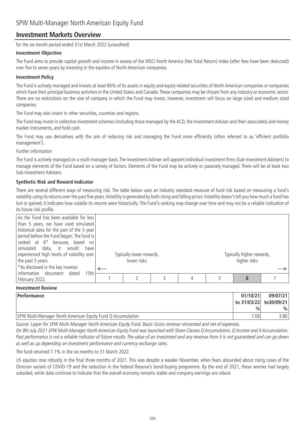### **Investment Markets Overview**

for the six month period ended 31st March 2022 (unaudited)

#### **Investment Objective**

The Fund aims to provide capital growth and income in excess of the MSCI North America (Net Total Return) index (after fees have been deducted) over five to seven years by investing in the equities of North American companies.

#### **Investment Policy**

The Fund is actively managed and invests at least 80% of its assets in equity and equity related securities of North American companies or companies which have their principal business activities in the United States and Canada. These companies may be chosen from any industry or economic sector. There are no restrictions on the size of company in which the Fund may invest, however, investment will focus on large sized and medium sized companies.

The Fund may also invest in other securities, countries and regions.

The Fund may invest in collective investment schemes (including those managed by the ACD, the Investment Adviser and their associates) and money market instruments, and hold cash.

The Fund may use derivatives with the aim of reducing risk and managing the Fund more efficiently (often referred to as 'efficient portfolio management').

#### Further information

The Fund is actively managed on a multi-manager basis. The Investment Adviser will appoint individual investment firms (Sub-Investment Advisers) to manage elements of the Fund based on a variety of factors. Elements of the Fund may be actively or passively managed. There will be at least two Sub-Investment Advisers.

#### **Synthetic Risk and Reward Indicator**

There are several different ways of measuring risk. The table below uses an industry standard measure of fund risk based on measuring a fund's volatility using its returns over the past five years.Volatility is generated by both rising and falling prices.Volatility doesn't tell you how much a fund has lost or gained; it indicates how volatile its returns were historically. The Fund's ranking may change over time and may not be a reliable indication of its future risk profile.

| As the Fund has been available for less<br>than 5 years, we have used simulated<br>historical data for the part of the 5 year<br>period before the Fund began. The fund is<br>ranked at 6 <sup>*</sup> because, based on<br>simulated data, it would<br>have |                                         |  |                                           |  |
|--------------------------------------------------------------------------------------------------------------------------------------------------------------------------------------------------------------------------------------------------------------|-----------------------------------------|--|-------------------------------------------|--|
| experienced high levels of volatility over<br>the past 5 years.                                                                                                                                                                                              | Typically lower rewards,<br>lower risks |  | Typically higher rewards,<br>higher risks |  |
| *As disclosed in the key investor<br>information document dated<br>15th                                                                                                                                                                                      |                                         |  |                                           |  |
| February 2022.                                                                                                                                                                                                                                               |                                         |  |                                           |  |

#### **Investment Review**

| <b>Performance</b>                                          | 01/10/21                | 09/07/21 |
|-------------------------------------------------------------|-------------------------|----------|
|                                                             | to 31/03/22  to30/09/21 |          |
|                                                             | $\frac{9}{6}$           | $\%$     |
| SPW Multi-Manager North American Equity Fund Q Accumulation | 0.06                    | 3.801    |

Source: Lipper for SPW Multi-Manager North American Equity Fund. Basis: Gross revenue reinvested and net of expenses.

On 9th July 2021 SPW Multi-Manager North American Equity Fund was launched with Share Classes Q Accumulation, Q Income and X Accumulation. Past performance is not a reliable indicator of future results. The value of an investment and any revenue from it is not guaranteed and can go down as well as up depending on investment performance and currency exchange rates.

The fund returned 7.1% in the six months to 31 March 2022.

US equities rose robustly in the final three months of 2021. This was despite a weaker November, when fears abounded about rising cases of the Omicron variant of COVID-19 and the reduction in the Federal Reserve's bond-buying programme. By the end of 2021, these worries had largely subsided, while data continue to indicate that the overall economy remains stable and company earnings are robust.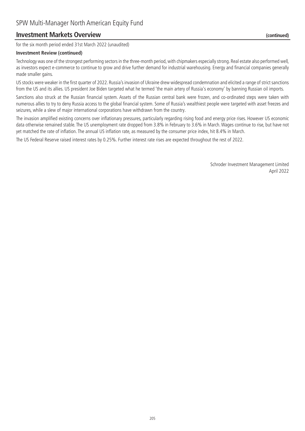### **Investment Markets Overview (continued)**

for the six month period ended 31st March 2022 (unaudited)

#### **Investment Review (continued)**

Technology was one of the strongest performing sectors in the three-month period, with chipmakers especially strong. Real estate also performed well, as investors expect e-commerce to continue to grow and drive further demand for industrial warehousing. Energy and financial companies generally made smaller gains.

US stocks were weaker in the first quarter of 2022. Russia's invasion of Ukraine drew widespread condemnation and elicited a range of strict sanctions from the US and its allies. US president Joe Biden targeted what he termed 'the main artery of Russia's economy' by banning Russian oil imports.

Sanctions also struck at the Russian financial system. Assets of the Russian central bank were frozen, and co-ordinated steps were taken with numerous allies to try to deny Russia access to the global financial system. Some of Russia's wealthiest people were targeted with asset freezes and seizures, while a slew of major international corporations have withdrawn from the country.

The invasion amplified existing concerns over inflationary pressures, particularly regarding rising food and energy price rises. However US economic data otherwise remained stable. The US unemployment rate dropped from 3.8% in February to 3.6% in March. Wages continue to rise, but have not yet matched the rate of inflation. The annual US inflation rate, as measured by the consumer price index, hit 8.4% in March.

The US Federal Reserve raised interest rates by 0.25%. Further interest rate rises are expected throughout the rest of 2022.

Schroder Investment Management Limited April 2022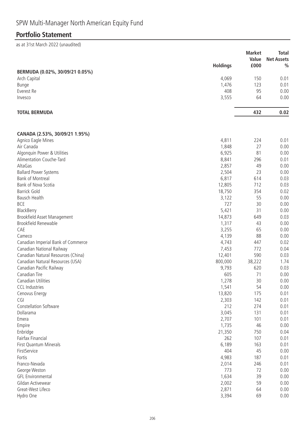## **Portfolio Statement**

|                                    |                 | <b>Market</b> | <b>Total</b>                       |
|------------------------------------|-----------------|---------------|------------------------------------|
|                                    | <b>Holdings</b> | Value<br>£000 | <b>Net Assets</b><br>$\frac{0}{0}$ |
| BERMUDA (0.02%, 30/09/21 0.05%)    |                 |               |                                    |
| Arch Capital                       | 4,069           | 150           | 0.01                               |
| <b>Bunge</b>                       | 1,476           | 123           | 0.01                               |
| Everest Re                         | 408             | 95            | 0.00                               |
| Invesco                            | 3,555           | 64            | 0.00                               |
| <b>TOTAL BERMUDA</b>               |                 | 432           | 0.02                               |
|                                    |                 |               |                                    |
| CANADA (2.53%, 30/09/21 1.95%)     |                 |               |                                    |
| Agnico Eagle Mines                 | 4,811           | 224           | 0.01                               |
| Air Canada                         | 1,848           | 27            | 0.00                               |
| Algonquin Power & Utilities        | 6,925           | 81            | 0.00                               |
| Alimentation Couche-Tard           | 8,841           | 296           | 0.01                               |
| AltaGas                            | 2,857           | 49            | 0.00                               |
| <b>Ballard Power Systems</b>       | 2,504           | 23            | 0.00                               |
| <b>Bank of Montreal</b>            | 6,817           | 614           | 0.03                               |
| <b>Bank of Nova Scotia</b>         | 12,805          | 712           | 0.03                               |
| <b>Barrick Gold</b>                | 18,750          | 354           | 0.02                               |
| Bausch Health                      | 3,122           | 55            | 0.00                               |
| <b>BCE</b>                         | 727             | 30            | 0.00                               |
| BlackBerry                         | 5,421           | 31            | 0.00                               |
| Brookfield Asset Management        | 14,873          | 649           | 0.03                               |
| Brookfield Renewable               | 1,317           | 43            | 0.00                               |
| CAE                                | 3,255           | 65            | 0.00                               |
| Cameco                             | 4,139           | 88            | 0.00                               |
| Canadian Imperial Bank of Commerce | 4,743           | 447           | 0.02                               |
| Canadian National Railway          | 7,453           | 772           | 0.04                               |
| Canadian Natural Resources (China) | 12,401          | 590           | 0.03                               |
| Canadian Natural Resources (USA)   | 800,000         | 38,222        | 1.74                               |
| Canadian Pacific Railway           | 9,793           | 620           | 0.03                               |
| Canadian Tire                      | 605             | 71            | 0.00                               |
| Canadian Utilities                 | 1,278           | 30            | 0.00                               |
| <b>CCL Industries</b>              | 1,541           | 54            | 0.00                               |
| Cenovus Energy                     | 13,820          | 175           | 0.01                               |
| CGI                                | 2,303           | 142           | 0.01                               |
| Constellation Software             | 212             | 274           | 0.01                               |
| Dollarama                          | 3,045           | 131           | 0.01                               |
| Emera                              | 2,707           | 101           | 0.01                               |
| Empire                             | 1,735           | 46            | 0.00                               |
| Enbridge                           | 21,350          | 750           | 0.04                               |
| Fairfax Financial                  | 262             | 107           | 0.01                               |
| <b>First Quantum Minerals</b>      | 6,189           | 163           | 0.01                               |
| FirstService                       | 404             | 45            | 0.00                               |
| Fortis                             | 4,983           | 187           | 0.01                               |
| Franco-Nevada                      | 2,014           | 246           | 0.01                               |
| George Weston                      | 773             | 72            | 0.00                               |
| <b>GFL Environmental</b>           | 1,634           | 39            | 0.00                               |
| Gildan Activewear                  | 2,002           | 59            | 0.00                               |
| Great-West Lifeco                  | 2,871           | 64            | 0.00                               |
| Hydro One                          | 3,394           | 69            | 0.00                               |
|                                    |                 |               |                                    |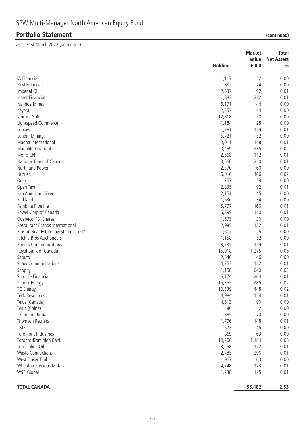|                                               |                 | <b>Market</b><br>Value | <b>Total</b><br><b>Net Assets</b> |
|-----------------------------------------------|-----------------|------------------------|-----------------------------------|
|                                               | <b>Holdings</b> | £000                   | $\frac{0}{0}$                     |
| iA Financial                                  | 1,117           | 52                     | 0.00                              |
| IGM Financial                                 | 882             | 24                     | 0.00                              |
| Imperial Oil                                  | 2,537           | 92                     | 0.01                              |
| Intact Financial                              | 1,882           | 212                    | 0.01                              |
| Ivanhoe Mines                                 | 6,171           | 44                     | 0.00                              |
| Keyera                                        | 2,257           | 44                     | 0.00                              |
| Kinross Gold                                  | 12,818          | 58                     | 0.00                              |
| Lightspeed Commerce                           | 1,184           | 28                     | 0.00                              |
| Loblaw                                        | 1,761           | 119                    | 0.01                              |
| Lundin Mining                                 | 6,721           | 52                     | 0.00                              |
| Magna International                           | 3,011           | 148                    | 0.01                              |
| Manulife Financial                            | 20,469          | 335                    | 0.02                              |
| Metro CN                                      | 2,568           | 112                    | 0.01                              |
| National Bank of Canada                       | 3,560           | 210                    | 0.01                              |
| Northland Power                               | 2,370           | 60                     | 0.00                              |
| Nutrien                                       | 6,016           | 466                    | 0.02                              |
| Onex                                          | 757             | 39                     | 0.00                              |
| Open Text                                     | 2,835           | 92                     | 0.01                              |
| Pan American Silver                           | 2,151           | 45                     | 0.00                              |
| Parkland                                      | 1,536           | 34                     | 0.00                              |
| Pembina Pipeline                              | 5,797           | 166                    | 0.01                              |
| Power Corp of Canada                          | 5,899           | 140                    | 0.01                              |
| Quebecor 'B' Shares                           | 1,675           | 30                     | 0.00                              |
| Restaurant Brands International               | 2,985           | 132                    | 0.01                              |
| RioCan Real Estate Investment Trust*          | 1,617           | 25                     | 0.00                              |
| Ritchie Bros Auctioneers                      | 1,158           | 52                     | 0.00                              |
|                                               | 3,735           | 159                    | 0.01                              |
| Rogers Communications<br>Royal Bank of Canada |                 | 1,275                  | 0.06                              |
|                                               | 15,018          | 46                     | 0.00                              |
| Saputo                                        | 2,546           |                        |                                   |
| <b>Shaw Communications</b>                    | 4,752           | 112                    | 0.01                              |
| Shopify                                       | 1,198           | 640                    | 0.03                              |
| Sun Life Financial                            | 6,174           | 264                    | 0.01                              |
| Suncor Energy                                 | 15,355          | 385                    | 0.02                              |
| <b>TC</b> Energy                              | 10,339          | 448                    | 0.02                              |
| <b>Teck Resources</b>                         | 4,984           | 154                    | 0.01                              |
| Telus (Canada)                                | 4,613           | 90                     | 0.00                              |
| Telus (China)                                 | 80              | $\overline{2}$         | 0.00                              |
| TFI International                             | 865             | 70                     | 0.00                              |
| Thomson Reuters                               | 1,796           | 148                    | 0.01                              |
| <b>TMX</b>                                    | 573             | 45                     | 0.00                              |
| Toromont Industries                           | 869             | 63                     | 0.00                              |
| <b>Toronto-Dominion Bank</b>                  | 19,206          | 1,184                  | 0.05                              |
| Tourmaline Oil                                | 3,258           | 112                    | 0.01                              |
| <b>Waste Connections</b>                      | 2,785           | 296                    | 0.01                              |
| West Fraser Timber                            | 967             | 63                     | 0.00                              |
| <b>Wheaton Precious Metals</b>                | 4,748           | 173                    | 0.01                              |
| <b>WSP Global</b>                             | 1,238           | 125                    | 0.01                              |
| <b>TOTAL CANADA</b>                           |                 | 55,482                 | 2.53                              |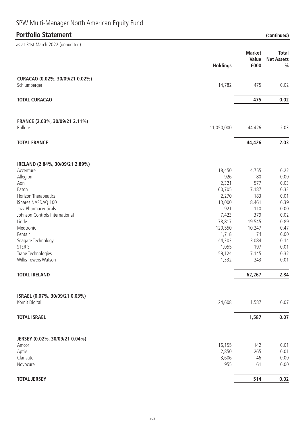# SPW Multi-Manager North American Equity Fund

# **Portfolio Statement (continued)**

| as at 31st March 2022 (unaudited)                |                 |                                |                                                    |
|--------------------------------------------------|-----------------|--------------------------------|----------------------------------------------------|
|                                                  | <b>Holdings</b> | <b>Market</b><br>Value<br>£000 | <b>Total</b><br><b>Net Assets</b><br>$\frac{0}{0}$ |
| CURACAO (0.02%, 30/09/21 0.02%)<br>Schlumberger  | 14,782          | 475                            | 0.02                                               |
| <b>TOTAL CURACAO</b>                             |                 | 475                            | 0.02                                               |
| FRANCE (2.03%, 30/09/21 2.11%)<br>Bollore        | 11,050,000      | 44,426                         | 2.03                                               |
| <b>TOTAL FRANCE</b>                              |                 | 44,426                         | 2.03                                               |
| IRELAND (2.84%, 30/09/21 2.89%)                  |                 |                                |                                                    |
| Accenture                                        | 18,450          | 4,755                          | 0.22                                               |
| Allegion                                         | 926             | 80                             | 0.00                                               |
| Aon                                              | 2,321           | 577                            | 0.03                                               |
| Eaton                                            | 60,705          | 7,187                          | 0.33                                               |
| Horizon Therapeutics                             | 2,270           | 183                            | 0.01                                               |
| iShares NASDAQ 100                               | 13,000          | 8,461                          | 0.39                                               |
| Jazz Pharmaceuticals                             | 921             | 110                            | 0.00                                               |
| Johnson Controls International                   | 7,423           | 379                            | 0.02                                               |
| Linde                                            | 78,817          | 19,545                         | 0.89                                               |
| Medtronic                                        | 120,550         | 10,247                         | 0.47                                               |
| Pentair                                          | 1,718           | 74                             | 0.00                                               |
| Seagate Technology                               | 44,303          | 3,084                          | 0.14                                               |
| <b>STERIS</b>                                    | 1,055           | 197                            | 0.01                                               |
| Trane Technologies                               | 59,124          | 7,145                          | 0.32                                               |
| Willis Towers Watson                             | 1,332           | 243                            | 0.01                                               |
| <b>TOTAL IRELAND</b>                             |                 | 62,267                         | 2.84                                               |
| ISRAEL (0.07%, 30/09/21 0.03%)<br>Kornit Digital | 24,608          | 1,587                          | 0.07                                               |
|                                                  |                 |                                |                                                    |
| <b>TOTAL ISRAEL</b>                              |                 | 1,587                          | 0.07                                               |
| JERSEY (0.02%, 30/09/21 0.04%)                   |                 |                                |                                                    |
| Amcor                                            | 16,155          | 142                            | 0.01                                               |
| Aptiv                                            | 2,850           | 265                            | 0.01                                               |
| Clarivate                                        | 3,606           | 46                             | 0.00                                               |
| Novocure                                         | 955             | 61                             | 0.00                                               |
| <b>TOTAL JERSEY</b>                              |                 | 514                            | 0.02                                               |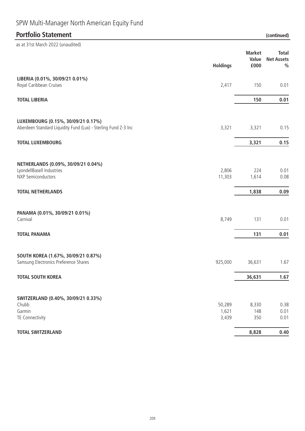# SPW Multi-Manager North American Equity Fund

# **Portfolio Statement (continued)**

| as at 31st March 2022 (unaudited)                                                                                         |                          |                                |                                                    |
|---------------------------------------------------------------------------------------------------------------------------|--------------------------|--------------------------------|----------------------------------------------------|
|                                                                                                                           | <b>Holdings</b>          | <b>Market</b><br>Value<br>£000 | <b>Total</b><br><b>Net Assets</b><br>$\frac{0}{0}$ |
| LIBERIA (0.01%, 30/09/21 0.01%)<br>Royal Caribbean Cruises                                                                | 2,417                    | 150                            | 0.01                                               |
| <b>TOTAL LIBERIA</b>                                                                                                      |                          | 150                            | 0.01                                               |
| LUXEMBOURG (0.15%, 30/09/21 0.17%)<br>Aberdeen Standard Liquidity Fund (Lux) - Sterling Fund Z-3 Inc                      | 3,321                    | 3,321                          | 0.15                                               |
| <b>TOTAL LUXEMBOURG</b>                                                                                                   |                          | 3,321                          | 0.15                                               |
| NETHERLANDS (0.09%, 30/09/21 0.04%)<br>LyondellBasell Industries<br><b>NXP Semiconductors</b><br><b>TOTAL NETHERLANDS</b> | 2,806<br>11,303          | 224<br>1,614<br>1,838          | 0.01<br>0.08<br>0.09                               |
| PANAMA (0.01%, 30/09/21 0.01%)<br>Carnival                                                                                | 8,749                    | 131                            | 0.01                                               |
| <b>TOTAL PANAMA</b>                                                                                                       |                          | 131                            | 0.01                                               |
| SOUTH KOREA (1.67%, 30/09/21 0.87%)<br>Samsung Electronics Preference Shares<br><b>TOTAL SOUTH KOREA</b>                  | 925,000                  | 36,631<br>36,631               | 1.67<br>1.67                                       |
|                                                                                                                           |                          |                                |                                                    |
| SWITZERLAND (0.40%, 30/09/21 0.33%)<br>Chubb<br>Garmin<br>TE Connectivity                                                 | 50,289<br>1,621<br>3,439 | 8,330<br>148<br>350            | 0.38<br>0.01<br>0.01                               |
| <b>TOTAL SWITZERLAND</b>                                                                                                  |                          | 8,828                          | 0.40                                               |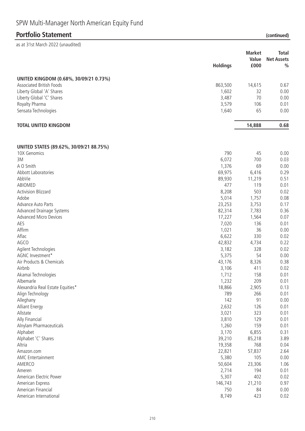| SPW Multi-Manager North American Equity Fund |  |  |
|----------------------------------------------|--|--|
|----------------------------------------------|--|--|

| as at 31st March 2022 (unaudited)       |                 |               |                   |
|-----------------------------------------|-----------------|---------------|-------------------|
|                                         |                 | <b>Market</b> | <b>Total</b>      |
|                                         |                 | Value         | <b>Net Assets</b> |
|                                         | <b>Holdings</b> | £000          | $\frac{0}{0}$     |
| UNITED KINGDOM (0.68%, 30/09/21 0.73%)  |                 |               |                   |
| <b>Associated British Foods</b>         | 863,500         | 14,615        | 0.67              |
| Liberty Global 'A' Shares               | 1,602           | 32            | 0.00              |
| Liberty Global 'C' Shares               | 3,487           | 70            | 0.00              |
| Royalty Pharma                          | 3,579           | 106           | 0.01              |
| Sensata Technologies                    | 1,640           | 65            | 0.00              |
| <b>TOTAL UNITED KINGDOM</b>             |                 | 14,888        | 0.68              |
| UNITED STATES (89.62%, 30/09/21 88.75%) |                 |               |                   |
| 10X Genomics                            | 790             | 45            | 0.00              |
| ЗM                                      | 6,072           | 700           | 0.03              |
| A O Smith                               | 1,376           | 69            | 0.00              |
| Abbott Laboratories                     | 69,975          | 6,416         | 0.29              |
| AbbVie                                  | 89,930          | 11,219        | 0.51              |
| ABIOMED                                 | 477             | 119           | 0.01              |
| <b>Activision Blizzard</b>              | 8,208           | 503           | 0.02              |
| Adobe                                   | 5,014           | 1,757         | 0.08              |
| Advance Auto Parts                      | 23,253          | 3,753         | 0.17              |
| Advanced Drainage Systems               | 82,314          | 7,783         | 0.36              |
| <b>Advanced Micro Devices</b>           | 17,227          | 1,564         | 0.07              |
| AES                                     | 7,020           | 136           | 0.01              |
| Affirm                                  | 1,021           | 36            | 0.00              |
| Aflac                                   | 6,622           | 330           | 0.02              |
| AGCO                                    | 42,832          | 4,734         | 0.22              |
| Agilent Technologies                    | 3,182           | 328           | 0.02              |
| AGNC Investment*                        | 5,375           | 54            | 0.00              |
| Air Products & Chemicals                | 43,176          | 8,326         | 0.38              |
| Airbnb                                  | 3,106           | 411           | 0.02              |
| Akamai Technologies                     | 1,712           | 158           | 0.01              |
| Albemarle                               | 1,232           | 209           | 0.01              |
| Alexandria Real Estate Equities*        | 18,866          | 2,905         | 0.13              |
| Align Technology                        | 789             | 266           | 0.01              |
| Alleghany                               | 142             | 91            | 0.00              |
| <b>Alliant Energy</b>                   | 2,632           | 126           | 0.01              |
| Allstate                                | 3,021           | 323           | 0.01              |
| Ally Financial                          | 3,810           | 129           | 0.01              |
| Alnylam Pharmaceuticals                 | 1,260           | 159           | 0.01              |
| Alphabet                                | 3,170           | 6,855         | 0.31              |
| Alphabet 'C' Shares                     | 39,210          | 85,218        | 3.89              |
| Altria                                  | 19,358          | 768           | 0.04              |
| Amazon.com                              | 22,821          | 57,837        | 2.64              |
| AMC Entertainment                       | 5,380           | 105           | 0.00              |
| AMERCO                                  | 50,604          | 23,306        | 1.06              |
| Ameren                                  | 2,714           | 194           | 0.01              |
| American Electric Power                 | 5,307           | 402           | 0.02              |
| American Express                        | 146,743         |               | 0.97              |
| American Financial                      | 750             | 21,210<br>84  | 0.00              |
| American International                  | 8,749           | 423           | 0.02              |
|                                         |                 |               |                   |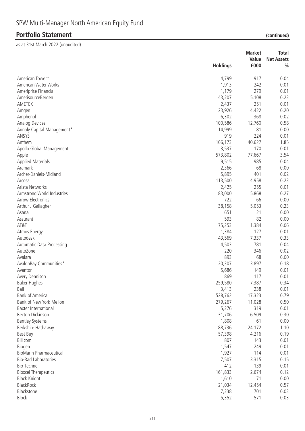|                                |                 | <b>Market</b> | <b>Total</b>      |
|--------------------------------|-----------------|---------------|-------------------|
|                                |                 | Value         | <b>Net Assets</b> |
|                                | <b>Holdings</b> | £000          | $\frac{0}{0}$     |
| American Tower*                | 4,799           | 917           | 0.04              |
| American Water Works           | 1,913           | 242           | 0.01              |
| Ameriprise Financial           | 1,179           | 279           | 0.01              |
| AmerisourceBergen              | 43,207          | 5,108         | 0.23              |
| AMETEK                         | 2,437           | 251           | 0.01              |
| Amgen                          | 23,926          | 4,422         | 0.20              |
| Amphenol                       | 6,302           | 368           | 0.02              |
| Analog Devices                 | 100,586         | 12,760        | 0.58              |
| Annaly Capital Management*     | 14,999          | 81            | 0.00              |
| ANSYS                          | 919             | 224           | 0.01              |
| Anthem                         | 106,173         | 40,627        | 1.85              |
| Apollo Global Management       | 3,537           | 170           | 0.01              |
| Apple                          | 573,802         | 77,667        | 3.54              |
| <b>Applied Materials</b>       | 9,515           | 985           | 0.04              |
| Aramark                        | 2,366           | 68            | 0.00              |
| Archer-Daniels-Midland         | 5,895           | 401           | 0.02              |
| Arcosa                         | 113,500         | 4,958         | 0.23              |
| Arista Networks                | 2,425           | 255           | 0.01              |
| Armstrong World Industries     | 83,000          | 5,868         | 0.27              |
| Arrow Electronics              | 722             | 66            | 0.00              |
| Arthur J Gallagher             | 38,158          | 5,053         | 0.23              |
| Asana                          | 651             | 21            | 0.00              |
| Assurant                       | 593             | 82            | 0.00              |
| AT&T                           | 75,253          | 1,384         | 0.06              |
| Atmos Energy                   | 1,384           | 127           | 0.01              |
| Autodesk                       | 43,569          | 7,337         | 0.33              |
| Automatic Data Processing      | 4,503           | 781           | 0.04              |
| AutoZone                       | 220             | 346           | 0.02              |
| Avalara                        | 893             | 68            | 0.00              |
| AvalonBay Communities*         | 20,307          | 3,897         | 0.18              |
| Avantor                        | 5,686           | 149           | 0.01              |
| Avery Dennison                 | 869             | 117           | 0.01              |
| <b>Baker Hughes</b>            | 259,580         | 7,387         | 0.34              |
| Ball                           | 3,413           | 238           | 0.01              |
| <b>Bank of America</b>         | 528,762         | 17,323        | 0.79              |
| Bank of New York Mellon        | 279,267         | 11,028        | 0.50              |
| <b>Baxter International</b>    | 5,276           | 319           | 0.01              |
| <b>Becton Dickinson</b>        | 31,706          | 6,509         | 0.30              |
| <b>Bentley Systems</b>         | 1,808           | 61            | 0.00              |
| Berkshire Hathaway             | 88,736          | 24,172        | 1.10              |
| Best Buy                       | 57,398          | 4,216         | 0.19              |
| Bill.com                       | 807             | 143           | 0.01              |
| Biogen                         | 1,547           | 249           | 0.01              |
| <b>BioMarin Pharmaceutical</b> | 1,927           | 114           | 0.01              |
| <b>Bio-Rad Laboratories</b>    | 7,507           | 3,315         | 0.15              |
| Bio-Techne                     | 412             | 139           | 0.01              |
| <b>Bioxcel Therapeutics</b>    | 161,833         | 2,674         | 0.12              |
| <b>Black Knight</b>            | 1,610           | 71            | 0.00              |
| BlackRock                      | 21,034          | 12,454        | 0.57              |
| Blackstone                     | 7,238           | 701           | 0.03              |
| Block                          | 5,352           | 571           | 0.03              |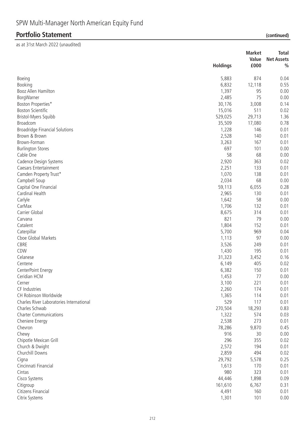|                                          |                 | <b>Market</b> | <b>Total</b>      |
|------------------------------------------|-----------------|---------------|-------------------|
|                                          |                 | Value         | <b>Net Assets</b> |
|                                          | <b>Holdings</b> | £000          | $\frac{0}{0}$     |
| Boeing                                   | 5,883           | 874           | 0.04              |
| Booking                                  | 6,832           | 12,118        | 0.55              |
| Booz Allen Hamilton                      | 1,397           | 95            | 0.00              |
| BorgWarner                               | 2,485           | 75            | 0.00              |
| Boston Properties*                       | 30,176          | 3,008         | 0.14              |
| <b>Boston Scientific</b>                 | 15,016          | 511           | 0.02              |
| Bristol-Myers Squibb                     | 529,025         | 29,713        | 1.36              |
| Broadcom                                 | 35,509          | 17,080        | 0.78              |
| <b>Broadridge Financial Solutions</b>    | 1,228           | 146           | 0.01              |
| Brown & Brown                            | 2,528           | 140           | 0.01              |
| Brown-Forman                             | 3,263           | 167           | 0.01              |
| <b>Burlington Stores</b>                 | 697             | 101           | 0.00              |
| Cable One                                | 58              | 68            | 0.00              |
| Cadence Design Systems                   | 2,920           | 363           | 0.02              |
| Caesars Entertainment                    | 2,251           | 133           | 0.01              |
| Camden Property Trust*                   | 1,070           | 138           | 0.01              |
| Campbell Soup                            | 2,034           | 68            | 0.00              |
| Capital One Financial                    | 59,113          | 6,055         | 0.28              |
| Cardinal Health                          | 2,965           | 130           | 0.01              |
| Carlyle                                  | 1,642           | 58            | 0.00              |
| CarMax                                   | 1,706           | 132           | 0.01              |
| Carrier Global                           | 8,675           | 314           | 0.01              |
| Carvana                                  | 821             | 79            | 0.00              |
| Catalent                                 | 1,804           | 152           | 0.01              |
| Caterpillar                              | 5,700           | 969           | 0.04              |
| Cboe Global Markets                      | 1,113           | 97            | 0.00              |
| CBRE                                     | 3,526           | 249           | 0.01              |
| CDW                                      | 1,430           | 195           | 0.01              |
| Celanese                                 | 31,323          | 3,452         | 0.16              |
| Centene                                  | 6,149           | 405           | 0.02              |
| CenterPoint Energy                       | 6,382           | 150           | 0.01              |
| Ceridian HCM                             | 1,453           | 77            | 0.00              |
| Cerner                                   | 3,100           | 221           | 0.01              |
| CF Industries                            | 2,260           | 174           | 0.01              |
| CH Robinson Worldwide                    | 1,365           | 114           | 0.01              |
| Charles River Laboratories International | 529             | 117           | 0.01              |
| Charles Schwab                           | 270,504         | 18,293        | 0.83              |
| <b>Charter Communications</b>            | 1,322           | 574           | 0.03              |
| Cheniere Energy                          | 2,538           | 273           | 0.01              |
| Chevron                                  | 78,286          | 9,870         | 0.45              |
| Chewy                                    | 916             | 30            | 0.00              |
| Chipotle Mexican Grill                   | 296             | 355           | 0.02              |
|                                          | 2,572           | 194           | 0.01              |
| Church & Dwight                          |                 | 494           |                   |
| Churchill Downs                          | 2,859           |               | 0.02              |
| Cigna                                    | 29,792          | 5,578         | 0.25              |
| Cincinnati Financial                     | 1,613           | 170           | 0.01              |
| Cintas                                   | 980             | 323           | 0.01              |
| Cisco Systems                            | 44,446          | 1,898         | 0.09              |
| Citigroup                                | 161,610         | 6,767         | 0.31              |
| Citizens Financial                       | 4,491           | 160           | 0.01              |
| Citrix Systems                           | 1,301           | 101           | 0.00              |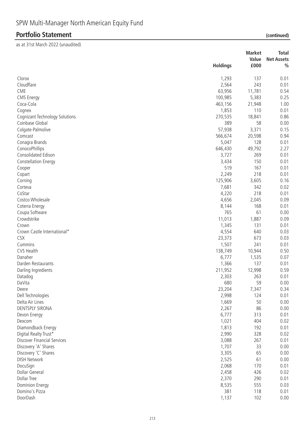| £000<br><b>Holdings</b><br>$\frac{0}{0}$<br>Clorox<br>1,293<br>137<br>0.01<br>Cloudflare<br>243<br>0.01<br>2,564<br>CME<br>63,956<br>0.54<br>11,781<br><b>CMS Energy</b><br>0.25<br>100,985<br>5,383<br>1.00<br>Coca-Cola<br>463,156<br>21,948<br>Cognex<br>1,853<br>110<br>0.01<br>270,535<br>18,841<br>0.86<br><b>Cognizant Technology Solutions</b><br>Coinbase Global<br>0.00<br>389<br>58<br>Colgate-Palmolive<br>57,938<br>3,371<br>0.15<br>Comcast<br>566,674<br>20,598<br>0.94<br>5,047<br>128<br>Conagra Brands<br>0.01<br>ConocoPhillips<br>646,430<br>49,792<br>2.27<br>Consolidated Edison<br>269<br>3,727<br>0.01<br>3,434<br>150<br><b>Constellation Energy</b><br>0.01<br>519<br>167<br>0.01<br>Cooper<br>2,249<br>218<br>0.01<br>Copart<br>3,605<br>0.16<br>125,906<br>Corning<br>342<br>0.02<br>Corteva<br>7,681<br>CoStar<br>218<br>4,220<br>0.01<br>Costco Wholesale<br>4,656<br>0.09<br>2,045<br>168<br>0.01<br>Coterra Energy<br>8,144<br>61<br>765<br>Coupa Software<br>0.00<br>Crowdstrike<br>11,013<br>1,887<br>0.09<br>1,345<br>131<br>0.01<br>Crown<br>4,554<br>640<br>Crown Castle International*<br>0.03<br>CSX<br>23,373<br>673<br>0.03<br>1,507<br>241<br>0.01<br>Cummins<br>CVS Health<br>138,749<br>10,944<br>0.50<br>Danaher<br>1,535<br>0.07<br>6,777<br>137<br>Darden Restaurants<br>1,366<br>0.01<br>Darling Ingredients<br>211,952<br>12,998<br>0.59<br>2,303<br>263<br>0.01<br>Datadog<br>DaVita<br>680<br>59<br>0.00<br>23,204<br>7,347<br>0.34<br>Deere<br>Dell Technologies<br>2,998<br>124<br>0.01<br>Delta Air Lines<br>1,669<br>50<br>0.00<br>DENTSPLY SIRONA<br>2,267<br>86<br>0.00<br>6,777<br>313<br>0.01<br>Devon Energy<br>1,021<br>404<br>0.02<br>Dexcom<br>1,813<br>192<br>0.01<br>Diamondback Energy<br>Digital Realty Trust*<br>2,990<br>328<br>0.02<br>Discover Financial Services<br>3,088<br>267<br>0.01<br>33<br>Discovery 'A' Shares<br>1,707<br>0.00<br>Discovery 'C' Shares<br>3,305<br>65<br>0.00<br><b>DISH Network</b><br>2,525<br>61<br>0.00<br>2,068<br>DocuSign<br>170<br>0.01<br>Dollar General<br>2,458<br>426<br>0.02<br><b>Dollar Tree</b><br>2,370<br>290<br>0.01<br>8,535<br>555<br><b>Dominion Energy</b><br>0.03<br>381<br>Domino's Pizza<br>118<br>0.01<br>DoorDash<br>1,137<br>102<br>0.00 |  | <b>Market</b> | <b>Total</b>      |
|------------------------------------------------------------------------------------------------------------------------------------------------------------------------------------------------------------------------------------------------------------------------------------------------------------------------------------------------------------------------------------------------------------------------------------------------------------------------------------------------------------------------------------------------------------------------------------------------------------------------------------------------------------------------------------------------------------------------------------------------------------------------------------------------------------------------------------------------------------------------------------------------------------------------------------------------------------------------------------------------------------------------------------------------------------------------------------------------------------------------------------------------------------------------------------------------------------------------------------------------------------------------------------------------------------------------------------------------------------------------------------------------------------------------------------------------------------------------------------------------------------------------------------------------------------------------------------------------------------------------------------------------------------------------------------------------------------------------------------------------------------------------------------------------------------------------------------------------------------------------------------------------------------------------------------------------------------------------------------------------------------------------------------------------------------------------------------------------------------------------------------------------------------------------------------------------------------------------------------------------------------------------|--|---------------|-------------------|
|                                                                                                                                                                                                                                                                                                                                                                                                                                                                                                                                                                                                                                                                                                                                                                                                                                                                                                                                                                                                                                                                                                                                                                                                                                                                                                                                                                                                                                                                                                                                                                                                                                                                                                                                                                                                                                                                                                                                                                                                                                                                                                                                                                                                                                                                        |  | Value         | <b>Net Assets</b> |
|                                                                                                                                                                                                                                                                                                                                                                                                                                                                                                                                                                                                                                                                                                                                                                                                                                                                                                                                                                                                                                                                                                                                                                                                                                                                                                                                                                                                                                                                                                                                                                                                                                                                                                                                                                                                                                                                                                                                                                                                                                                                                                                                                                                                                                                                        |  |               |                   |
|                                                                                                                                                                                                                                                                                                                                                                                                                                                                                                                                                                                                                                                                                                                                                                                                                                                                                                                                                                                                                                                                                                                                                                                                                                                                                                                                                                                                                                                                                                                                                                                                                                                                                                                                                                                                                                                                                                                                                                                                                                                                                                                                                                                                                                                                        |  |               |                   |
|                                                                                                                                                                                                                                                                                                                                                                                                                                                                                                                                                                                                                                                                                                                                                                                                                                                                                                                                                                                                                                                                                                                                                                                                                                                                                                                                                                                                                                                                                                                                                                                                                                                                                                                                                                                                                                                                                                                                                                                                                                                                                                                                                                                                                                                                        |  |               |                   |
|                                                                                                                                                                                                                                                                                                                                                                                                                                                                                                                                                                                                                                                                                                                                                                                                                                                                                                                                                                                                                                                                                                                                                                                                                                                                                                                                                                                                                                                                                                                                                                                                                                                                                                                                                                                                                                                                                                                                                                                                                                                                                                                                                                                                                                                                        |  |               |                   |
|                                                                                                                                                                                                                                                                                                                                                                                                                                                                                                                                                                                                                                                                                                                                                                                                                                                                                                                                                                                                                                                                                                                                                                                                                                                                                                                                                                                                                                                                                                                                                                                                                                                                                                                                                                                                                                                                                                                                                                                                                                                                                                                                                                                                                                                                        |  |               |                   |
|                                                                                                                                                                                                                                                                                                                                                                                                                                                                                                                                                                                                                                                                                                                                                                                                                                                                                                                                                                                                                                                                                                                                                                                                                                                                                                                                                                                                                                                                                                                                                                                                                                                                                                                                                                                                                                                                                                                                                                                                                                                                                                                                                                                                                                                                        |  |               |                   |
|                                                                                                                                                                                                                                                                                                                                                                                                                                                                                                                                                                                                                                                                                                                                                                                                                                                                                                                                                                                                                                                                                                                                                                                                                                                                                                                                                                                                                                                                                                                                                                                                                                                                                                                                                                                                                                                                                                                                                                                                                                                                                                                                                                                                                                                                        |  |               |                   |
|                                                                                                                                                                                                                                                                                                                                                                                                                                                                                                                                                                                                                                                                                                                                                                                                                                                                                                                                                                                                                                                                                                                                                                                                                                                                                                                                                                                                                                                                                                                                                                                                                                                                                                                                                                                                                                                                                                                                                                                                                                                                                                                                                                                                                                                                        |  |               |                   |
|                                                                                                                                                                                                                                                                                                                                                                                                                                                                                                                                                                                                                                                                                                                                                                                                                                                                                                                                                                                                                                                                                                                                                                                                                                                                                                                                                                                                                                                                                                                                                                                                                                                                                                                                                                                                                                                                                                                                                                                                                                                                                                                                                                                                                                                                        |  |               |                   |
|                                                                                                                                                                                                                                                                                                                                                                                                                                                                                                                                                                                                                                                                                                                                                                                                                                                                                                                                                                                                                                                                                                                                                                                                                                                                                                                                                                                                                                                                                                                                                                                                                                                                                                                                                                                                                                                                                                                                                                                                                                                                                                                                                                                                                                                                        |  |               |                   |
|                                                                                                                                                                                                                                                                                                                                                                                                                                                                                                                                                                                                                                                                                                                                                                                                                                                                                                                                                                                                                                                                                                                                                                                                                                                                                                                                                                                                                                                                                                                                                                                                                                                                                                                                                                                                                                                                                                                                                                                                                                                                                                                                                                                                                                                                        |  |               |                   |
|                                                                                                                                                                                                                                                                                                                                                                                                                                                                                                                                                                                                                                                                                                                                                                                                                                                                                                                                                                                                                                                                                                                                                                                                                                                                                                                                                                                                                                                                                                                                                                                                                                                                                                                                                                                                                                                                                                                                                                                                                                                                                                                                                                                                                                                                        |  |               |                   |
|                                                                                                                                                                                                                                                                                                                                                                                                                                                                                                                                                                                                                                                                                                                                                                                                                                                                                                                                                                                                                                                                                                                                                                                                                                                                                                                                                                                                                                                                                                                                                                                                                                                                                                                                                                                                                                                                                                                                                                                                                                                                                                                                                                                                                                                                        |  |               |                   |
|                                                                                                                                                                                                                                                                                                                                                                                                                                                                                                                                                                                                                                                                                                                                                                                                                                                                                                                                                                                                                                                                                                                                                                                                                                                                                                                                                                                                                                                                                                                                                                                                                                                                                                                                                                                                                                                                                                                                                                                                                                                                                                                                                                                                                                                                        |  |               |                   |
|                                                                                                                                                                                                                                                                                                                                                                                                                                                                                                                                                                                                                                                                                                                                                                                                                                                                                                                                                                                                                                                                                                                                                                                                                                                                                                                                                                                                                                                                                                                                                                                                                                                                                                                                                                                                                                                                                                                                                                                                                                                                                                                                                                                                                                                                        |  |               |                   |
|                                                                                                                                                                                                                                                                                                                                                                                                                                                                                                                                                                                                                                                                                                                                                                                                                                                                                                                                                                                                                                                                                                                                                                                                                                                                                                                                                                                                                                                                                                                                                                                                                                                                                                                                                                                                                                                                                                                                                                                                                                                                                                                                                                                                                                                                        |  |               |                   |
|                                                                                                                                                                                                                                                                                                                                                                                                                                                                                                                                                                                                                                                                                                                                                                                                                                                                                                                                                                                                                                                                                                                                                                                                                                                                                                                                                                                                                                                                                                                                                                                                                                                                                                                                                                                                                                                                                                                                                                                                                                                                                                                                                                                                                                                                        |  |               |                   |
|                                                                                                                                                                                                                                                                                                                                                                                                                                                                                                                                                                                                                                                                                                                                                                                                                                                                                                                                                                                                                                                                                                                                                                                                                                                                                                                                                                                                                                                                                                                                                                                                                                                                                                                                                                                                                                                                                                                                                                                                                                                                                                                                                                                                                                                                        |  |               |                   |
|                                                                                                                                                                                                                                                                                                                                                                                                                                                                                                                                                                                                                                                                                                                                                                                                                                                                                                                                                                                                                                                                                                                                                                                                                                                                                                                                                                                                                                                                                                                                                                                                                                                                                                                                                                                                                                                                                                                                                                                                                                                                                                                                                                                                                                                                        |  |               |                   |
|                                                                                                                                                                                                                                                                                                                                                                                                                                                                                                                                                                                                                                                                                                                                                                                                                                                                                                                                                                                                                                                                                                                                                                                                                                                                                                                                                                                                                                                                                                                                                                                                                                                                                                                                                                                                                                                                                                                                                                                                                                                                                                                                                                                                                                                                        |  |               |                   |
|                                                                                                                                                                                                                                                                                                                                                                                                                                                                                                                                                                                                                                                                                                                                                                                                                                                                                                                                                                                                                                                                                                                                                                                                                                                                                                                                                                                                                                                                                                                                                                                                                                                                                                                                                                                                                                                                                                                                                                                                                                                                                                                                                                                                                                                                        |  |               |                   |
|                                                                                                                                                                                                                                                                                                                                                                                                                                                                                                                                                                                                                                                                                                                                                                                                                                                                                                                                                                                                                                                                                                                                                                                                                                                                                                                                                                                                                                                                                                                                                                                                                                                                                                                                                                                                                                                                                                                                                                                                                                                                                                                                                                                                                                                                        |  |               |                   |
|                                                                                                                                                                                                                                                                                                                                                                                                                                                                                                                                                                                                                                                                                                                                                                                                                                                                                                                                                                                                                                                                                                                                                                                                                                                                                                                                                                                                                                                                                                                                                                                                                                                                                                                                                                                                                                                                                                                                                                                                                                                                                                                                                                                                                                                                        |  |               |                   |
|                                                                                                                                                                                                                                                                                                                                                                                                                                                                                                                                                                                                                                                                                                                                                                                                                                                                                                                                                                                                                                                                                                                                                                                                                                                                                                                                                                                                                                                                                                                                                                                                                                                                                                                                                                                                                                                                                                                                                                                                                                                                                                                                                                                                                                                                        |  |               |                   |
|                                                                                                                                                                                                                                                                                                                                                                                                                                                                                                                                                                                                                                                                                                                                                                                                                                                                                                                                                                                                                                                                                                                                                                                                                                                                                                                                                                                                                                                                                                                                                                                                                                                                                                                                                                                                                                                                                                                                                                                                                                                                                                                                                                                                                                                                        |  |               |                   |
|                                                                                                                                                                                                                                                                                                                                                                                                                                                                                                                                                                                                                                                                                                                                                                                                                                                                                                                                                                                                                                                                                                                                                                                                                                                                                                                                                                                                                                                                                                                                                                                                                                                                                                                                                                                                                                                                                                                                                                                                                                                                                                                                                                                                                                                                        |  |               |                   |
|                                                                                                                                                                                                                                                                                                                                                                                                                                                                                                                                                                                                                                                                                                                                                                                                                                                                                                                                                                                                                                                                                                                                                                                                                                                                                                                                                                                                                                                                                                                                                                                                                                                                                                                                                                                                                                                                                                                                                                                                                                                                                                                                                                                                                                                                        |  |               |                   |
|                                                                                                                                                                                                                                                                                                                                                                                                                                                                                                                                                                                                                                                                                                                                                                                                                                                                                                                                                                                                                                                                                                                                                                                                                                                                                                                                                                                                                                                                                                                                                                                                                                                                                                                                                                                                                                                                                                                                                                                                                                                                                                                                                                                                                                                                        |  |               |                   |
|                                                                                                                                                                                                                                                                                                                                                                                                                                                                                                                                                                                                                                                                                                                                                                                                                                                                                                                                                                                                                                                                                                                                                                                                                                                                                                                                                                                                                                                                                                                                                                                                                                                                                                                                                                                                                                                                                                                                                                                                                                                                                                                                                                                                                                                                        |  |               |                   |
|                                                                                                                                                                                                                                                                                                                                                                                                                                                                                                                                                                                                                                                                                                                                                                                                                                                                                                                                                                                                                                                                                                                                                                                                                                                                                                                                                                                                                                                                                                                                                                                                                                                                                                                                                                                                                                                                                                                                                                                                                                                                                                                                                                                                                                                                        |  |               |                   |
|                                                                                                                                                                                                                                                                                                                                                                                                                                                                                                                                                                                                                                                                                                                                                                                                                                                                                                                                                                                                                                                                                                                                                                                                                                                                                                                                                                                                                                                                                                                                                                                                                                                                                                                                                                                                                                                                                                                                                                                                                                                                                                                                                                                                                                                                        |  |               |                   |
|                                                                                                                                                                                                                                                                                                                                                                                                                                                                                                                                                                                                                                                                                                                                                                                                                                                                                                                                                                                                                                                                                                                                                                                                                                                                                                                                                                                                                                                                                                                                                                                                                                                                                                                                                                                                                                                                                                                                                                                                                                                                                                                                                                                                                                                                        |  |               |                   |
|                                                                                                                                                                                                                                                                                                                                                                                                                                                                                                                                                                                                                                                                                                                                                                                                                                                                                                                                                                                                                                                                                                                                                                                                                                                                                                                                                                                                                                                                                                                                                                                                                                                                                                                                                                                                                                                                                                                                                                                                                                                                                                                                                                                                                                                                        |  |               |                   |
|                                                                                                                                                                                                                                                                                                                                                                                                                                                                                                                                                                                                                                                                                                                                                                                                                                                                                                                                                                                                                                                                                                                                                                                                                                                                                                                                                                                                                                                                                                                                                                                                                                                                                                                                                                                                                                                                                                                                                                                                                                                                                                                                                                                                                                                                        |  |               |                   |
|                                                                                                                                                                                                                                                                                                                                                                                                                                                                                                                                                                                                                                                                                                                                                                                                                                                                                                                                                                                                                                                                                                                                                                                                                                                                                                                                                                                                                                                                                                                                                                                                                                                                                                                                                                                                                                                                                                                                                                                                                                                                                                                                                                                                                                                                        |  |               |                   |
|                                                                                                                                                                                                                                                                                                                                                                                                                                                                                                                                                                                                                                                                                                                                                                                                                                                                                                                                                                                                                                                                                                                                                                                                                                                                                                                                                                                                                                                                                                                                                                                                                                                                                                                                                                                                                                                                                                                                                                                                                                                                                                                                                                                                                                                                        |  |               |                   |
|                                                                                                                                                                                                                                                                                                                                                                                                                                                                                                                                                                                                                                                                                                                                                                                                                                                                                                                                                                                                                                                                                                                                                                                                                                                                                                                                                                                                                                                                                                                                                                                                                                                                                                                                                                                                                                                                                                                                                                                                                                                                                                                                                                                                                                                                        |  |               |                   |
|                                                                                                                                                                                                                                                                                                                                                                                                                                                                                                                                                                                                                                                                                                                                                                                                                                                                                                                                                                                                                                                                                                                                                                                                                                                                                                                                                                                                                                                                                                                                                                                                                                                                                                                                                                                                                                                                                                                                                                                                                                                                                                                                                                                                                                                                        |  |               |                   |
|                                                                                                                                                                                                                                                                                                                                                                                                                                                                                                                                                                                                                                                                                                                                                                                                                                                                                                                                                                                                                                                                                                                                                                                                                                                                                                                                                                                                                                                                                                                                                                                                                                                                                                                                                                                                                                                                                                                                                                                                                                                                                                                                                                                                                                                                        |  |               |                   |
|                                                                                                                                                                                                                                                                                                                                                                                                                                                                                                                                                                                                                                                                                                                                                                                                                                                                                                                                                                                                                                                                                                                                                                                                                                                                                                                                                                                                                                                                                                                                                                                                                                                                                                                                                                                                                                                                                                                                                                                                                                                                                                                                                                                                                                                                        |  |               |                   |
|                                                                                                                                                                                                                                                                                                                                                                                                                                                                                                                                                                                                                                                                                                                                                                                                                                                                                                                                                                                                                                                                                                                                                                                                                                                                                                                                                                                                                                                                                                                                                                                                                                                                                                                                                                                                                                                                                                                                                                                                                                                                                                                                                                                                                                                                        |  |               |                   |
|                                                                                                                                                                                                                                                                                                                                                                                                                                                                                                                                                                                                                                                                                                                                                                                                                                                                                                                                                                                                                                                                                                                                                                                                                                                                                                                                                                                                                                                                                                                                                                                                                                                                                                                                                                                                                                                                                                                                                                                                                                                                                                                                                                                                                                                                        |  |               |                   |
|                                                                                                                                                                                                                                                                                                                                                                                                                                                                                                                                                                                                                                                                                                                                                                                                                                                                                                                                                                                                                                                                                                                                                                                                                                                                                                                                                                                                                                                                                                                                                                                                                                                                                                                                                                                                                                                                                                                                                                                                                                                                                                                                                                                                                                                                        |  |               |                   |
|                                                                                                                                                                                                                                                                                                                                                                                                                                                                                                                                                                                                                                                                                                                                                                                                                                                                                                                                                                                                                                                                                                                                                                                                                                                                                                                                                                                                                                                                                                                                                                                                                                                                                                                                                                                                                                                                                                                                                                                                                                                                                                                                                                                                                                                                        |  |               |                   |
|                                                                                                                                                                                                                                                                                                                                                                                                                                                                                                                                                                                                                                                                                                                                                                                                                                                                                                                                                                                                                                                                                                                                                                                                                                                                                                                                                                                                                                                                                                                                                                                                                                                                                                                                                                                                                                                                                                                                                                                                                                                                                                                                                                                                                                                                        |  |               |                   |
|                                                                                                                                                                                                                                                                                                                                                                                                                                                                                                                                                                                                                                                                                                                                                                                                                                                                                                                                                                                                                                                                                                                                                                                                                                                                                                                                                                                                                                                                                                                                                                                                                                                                                                                                                                                                                                                                                                                                                                                                                                                                                                                                                                                                                                                                        |  |               |                   |
|                                                                                                                                                                                                                                                                                                                                                                                                                                                                                                                                                                                                                                                                                                                                                                                                                                                                                                                                                                                                                                                                                                                                                                                                                                                                                                                                                                                                                                                                                                                                                                                                                                                                                                                                                                                                                                                                                                                                                                                                                                                                                                                                                                                                                                                                        |  |               |                   |
|                                                                                                                                                                                                                                                                                                                                                                                                                                                                                                                                                                                                                                                                                                                                                                                                                                                                                                                                                                                                                                                                                                                                                                                                                                                                                                                                                                                                                                                                                                                                                                                                                                                                                                                                                                                                                                                                                                                                                                                                                                                                                                                                                                                                                                                                        |  |               |                   |
|                                                                                                                                                                                                                                                                                                                                                                                                                                                                                                                                                                                                                                                                                                                                                                                                                                                                                                                                                                                                                                                                                                                                                                                                                                                                                                                                                                                                                                                                                                                                                                                                                                                                                                                                                                                                                                                                                                                                                                                                                                                                                                                                                                                                                                                                        |  |               |                   |
|                                                                                                                                                                                                                                                                                                                                                                                                                                                                                                                                                                                                                                                                                                                                                                                                                                                                                                                                                                                                                                                                                                                                                                                                                                                                                                                                                                                                                                                                                                                                                                                                                                                                                                                                                                                                                                                                                                                                                                                                                                                                                                                                                                                                                                                                        |  |               |                   |
|                                                                                                                                                                                                                                                                                                                                                                                                                                                                                                                                                                                                                                                                                                                                                                                                                                                                                                                                                                                                                                                                                                                                                                                                                                                                                                                                                                                                                                                                                                                                                                                                                                                                                                                                                                                                                                                                                                                                                                                                                                                                                                                                                                                                                                                                        |  |               |                   |
|                                                                                                                                                                                                                                                                                                                                                                                                                                                                                                                                                                                                                                                                                                                                                                                                                                                                                                                                                                                                                                                                                                                                                                                                                                                                                                                                                                                                                                                                                                                                                                                                                                                                                                                                                                                                                                                                                                                                                                                                                                                                                                                                                                                                                                                                        |  |               |                   |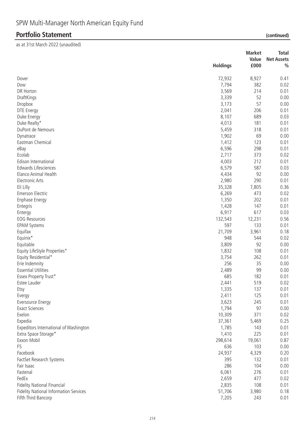|                                        |                 | <b>Market</b> | <b>Total</b>      |
|----------------------------------------|-----------------|---------------|-------------------|
|                                        |                 | Value         | <b>Net Assets</b> |
|                                        | <b>Holdings</b> | £000          | $\frac{0}{0}$     |
| Dover                                  | 72,932          | 8,927         | 0.41              |
| Dow                                    | 7,794           | 382           | 0.02              |
| DR Horton                              | 3,569           | 214           | 0.01              |
| DraftKings                             | 3,339           | 52            | 0.00              |
| Dropbox                                | 3,173           | 57            | 0.00              |
| DTE Energy                             | 2,041           | 206           | 0.01              |
| Duke Energy                            | 8,107           | 689           | 0.03              |
| Duke Realty*                           | 4,013           | 181           | 0.01              |
| DuPont de Nemours                      | 5,459           | 318           | 0.01              |
| Dynatrace                              | 1,902           | 69            | 0.00              |
| Eastman Chemical                       | 1,412           | 123           | 0.01              |
| eBay                                   | 6,596           | 298           | 0.01              |
| Ecolab                                 | 2,717           | 373           | 0.02              |
| Edison International                   | 4,003           | 212           | 0.01              |
| Edwards Lifesciences                   | 6,579           | 587           | 0.03              |
| Elanco Animal Health                   | 4,434           | 92            | 0.00              |
| <b>Electronic Arts</b>                 | 2,980           | 290           | 0.01              |
| Eli Lilly                              | 35,328          | 7,805         | 0.36              |
| <b>Emerson Electric</b>                | 6,269           | 473           | 0.02              |
|                                        | 1,350           | 202           | 0.01              |
| <b>Enphase Energy</b>                  | 1,428           | 147           | 0.01              |
| Entegris                               | 6,917           | 617           | 0.03              |
| Entergy                                |                 |               |                   |
| <b>EOG Resources</b>                   | 132,543         | 12,231        | 0.56              |
| <b>EPAM Systems</b>                    | 597             | 133           | 0.01              |
| Equifax                                | 21,709          | 3,961         | 0.18              |
| Equinix*                               | 948             | 544           | 0.02              |
| Equitable                              | 3,809           | 92            | 0.00              |
| Equity LifeStyle Properties*           | 1,832           | 108           | 0.01              |
| Equity Residential*                    | 3,754           | 262           | 0.01              |
| Erie Indemnity                         | 256             | 35            | 0.00              |
| <b>Essential Utilities</b>             | 2,489           | 99            | 0.00              |
| Essex Property Trust*                  | 685             | 182           | 0.01              |
| Estee Lauder                           | 2,441           | 519           | 0.02              |
| Etsy                                   | 1,335           | 137           | 0.01              |
| Evergy                                 | 2,411           | 125           | 0.01              |
| Eversource Energy                      | 3,623           | 245           | 0.01              |
| <b>Exact Sciences</b>                  | 1,794           | 97            | 0.00              |
| Exelon                                 | 10,309          | 371           | 0.02              |
| Expedia                                | 37,361          | 5,469         | 0.25              |
| Expeditors International of Washington | 1,785           | 143           | 0.01              |
| Extra Space Storage*                   | 1,410           | 225           | 0.01              |
| Exxon Mobil                            | 298,614         | 19,061        | 0.87              |
| F <sub>5</sub>                         | 636             | 103           | 0.00              |
| Facebook                               | 24,937          | 4,329         | 0.20              |
| FactSet Research Systems               | 395             | 132           | 0.01              |
| Fair Isaac                             | 286             | 104           | 0.00              |
| Fastenal                               | 6,061           | 276           | 0.01              |
| FedEx                                  | 2,659           | 477           | 0.02              |
| Fidelity National Financial            | 2,835           | 108           | 0.01              |
| Fidelity National Information Services | 51,706          | 3,980         | 0.18              |
| Fifth Third Bancorp                    | 7,205           | 243           | 0.01              |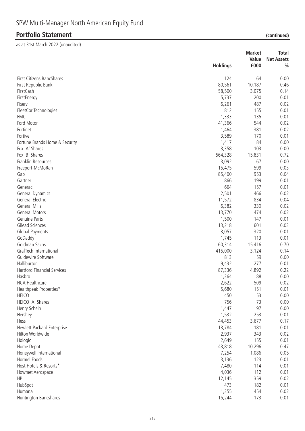|                                    | <b>Holdings</b> | <b>Market</b><br>Value<br>£000 | <b>Total</b><br><b>Net Assets</b><br>$\frac{0}{0}$ |
|------------------------------------|-----------------|--------------------------------|----------------------------------------------------|
| First Citizens BancShares          | 124             | 64                             | 0.00                                               |
| First Republic Bank                | 80,561          | 10,187                         | 0.46                                               |
| FirstCash                          | 58,500          | 3,075                          | 0.14                                               |
| FirstEnergy                        | 5,737           | 200                            | 0.01                                               |
| Fiserv                             | 6,261           | 487                            | 0.02                                               |
| FleetCor Technologies              | 812             | 155                            | 0.01                                               |
| <b>FMC</b>                         | 1,333           | 135                            | 0.01                                               |
| Ford Motor                         | 41,366          | 544                            | 0.02                                               |
| Fortinet                           | 1,464           | 381                            | 0.02                                               |
| Fortive                            | 3,589           | 170                            | 0.01                                               |
| Fortune Brands Home & Security     | 1,417           | 84                             | 0.00                                               |
| Fox 'A' Shares                     | 3,358           | 103                            | 0.00                                               |
| Fox 'B' Shares                     | 564,328         | 15,831                         | 0.72                                               |
| Franklin Resources                 | 3,092           | 67                             | 0.00                                               |
| Freeport-McMoRan                   | 15,475          | 599                            | 0.03                                               |
| Gap                                | 85,400          | 953                            | 0.04                                               |
| Gartner                            | 866             | 199                            | 0.01                                               |
| Generac                            | 664             | 157                            | 0.01                                               |
| General Dynamics                   | 2,501           | 466                            | 0.02                                               |
| General Electric                   | 11,572          | 834                            | 0.04                                               |
| <b>General Mills</b>               | 6,382           | 330                            | 0.02                                               |
| <b>General Motors</b>              | 13,770          | 474                            | 0.02                                               |
| <b>Genuine Parts</b>               | 1,500           | 147                            | 0.01                                               |
| Gilead Sciences                    | 13,218          | 601                            | 0.03                                               |
| Global Payments                    | 3,057           | 320                            | 0.01                                               |
| GoDaddy                            | 1,745           | 113                            | 0.01                                               |
| Goldman Sachs                      | 60,314          | 15,416                         | 0.70                                               |
| GrafTech International             | 415,000         | 3,124                          | 0.14                                               |
| Guidewire Software                 | 813             | 59                             | 0.00                                               |
| Halliburton                        | 9,432           | 277                            | 0.01                                               |
| <b>Hartford Financial Services</b> | 87,336          | 4,892                          | 0.22                                               |
| Hasbro                             | 1,364           | 88                             | 0.00                                               |
| <b>HCA Healthcare</b>              | 2,622           | 509                            | 0.02                                               |
| Healthpeak Properties*             | 5,680           | 151                            | 0.01                                               |
| <b>HEICO</b>                       | 450             | 53                             | 0.00                                               |
| HEICO 'A' Shares                   | 756             | 73                             | 0.00                                               |
| Henry Schein                       | 1,447           | 97                             | 0.00                                               |
| Hershey                            | 1,532           | 253                            | 0.01                                               |
| Hess                               | 44,453          | 3,677                          | 0.17                                               |
| Hewlett Packard Enterprise         | 13,784          | 181                            | 0.01                                               |
| Hilton Worldwide                   | 2,937           | 343                            | 0.02                                               |
| Hologic                            | 2,649           | 155                            | 0.01                                               |
| Home Depot                         | 43,818          | 10,296                         | 0.47                                               |
| Honeywell International            | 7,254           | 1,086                          | 0.05                                               |
| Hormel Foods                       | 3,136           | 123                            | 0.01                                               |
| Host Hotels & Resorts*             | 7,480           | 114                            | 0.01                                               |
| Howmet Aerospace                   | 4,036           | 112                            | 0.01                                               |
| HP                                 | 12,145          | 359                            | 0.02                                               |
| HubSpot                            | 473             | 182                            | 0.01                                               |
| Humana                             | 1,355           | 454                            | 0.02                                               |
| Huntington Bancshares              | 15,244          | 173                            | 0.01                                               |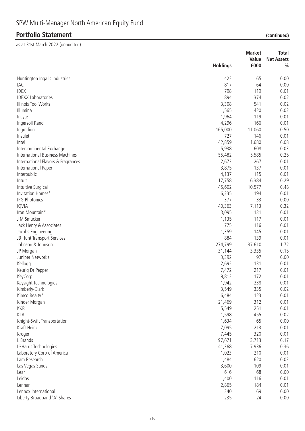|                                    |                 | <b>Market</b> | <b>Total</b>      |
|------------------------------------|-----------------|---------------|-------------------|
|                                    |                 | Value         | <b>Net Assets</b> |
|                                    | <b>Holdings</b> | £000          | $\frac{0}{0}$     |
| Huntington Ingalls Industries      | 422             | 65            | 0.00              |
| IAC                                | 817             | 64            | 0.00              |
| <b>IDEX</b>                        | 798             | 119           | 0.01              |
| <b>IDEXX Laboratories</b>          | 894             | 374           | 0.02              |
| Illinois Tool Works                | 3,308           | 541           | 0.02              |
| Illumina                           | 1,565           | 420           | 0.02              |
| Incyte                             | 1,964           | 119           | 0.01              |
| Ingersoll Rand                     | 4,296           | 166           | 0.01              |
| Ingredion                          | 165,000         | 11,060        | 0.50              |
| Insulet                            | 727             | 146           | 0.01              |
| Intel                              | 42,859          | 1,680         | 0.08              |
| Intercontinental Exchange          | 5,938           | 608           | 0.03              |
| International Business Machines    | 55,482          | 5,585         | 0.25              |
| International Flavors & Fragrances | 2,673           | 267           | 0.01              |
| International Paper                | 3,875           | 137           | 0.01              |
| Interpublic                        | 4,137           | 115           | 0.01              |
| Intuit                             | 17,758          | 6,384         | 0.29              |
| Intuitive Surgical                 | 45,602          | 10,577        | 0.48              |
| Invitation Homes*                  | 6,235           | 194           | 0.01              |
| <b>IPG Photonics</b>               | 377             | 33            | 0.00              |
| <b>IQVIA</b>                       | 40,363          | 7,113         | 0.32              |
| Iron Mountain*                     | 3,095           | 131           | 0.01              |
| J M Smucker                        | 1,135           | 117           | 0.01              |
| Jack Henry & Associates            | 775             | 116           | 0.01              |
| Jacobs Engineering                 | 1,359           | 145           | 0.01              |
| JB Hunt Transport Services         | 884             | 139           | 0.01              |
| Johnson & Johnson                  | 274,799         | 37,610        | 1.72              |
| JP Morgan                          | 31,144          | 3,335         | 0.15              |
| Juniper Networks                   | 3,392           | 97            | 0.00              |
| Kellogg                            | 2,692           | 131           | 0.01              |
| Keurig Dr Pepper                   | 7,472           | 217           | 0.01              |
| KeyCorp                            | 9,812           | 172           | 0.01              |
| Keysight Technologies              | 1,942           | 238           | 0.01              |
| Kimberly-Clark                     | 3,549           | 335           | 0.02              |
| Kimco Realty*                      | 6,484           | 123           | 0.01              |
| Kinder Morgan                      | 21,469          | 312           | 0.01              |
| <b>KKR</b>                         | 5,549           | 251           | 0.01              |
| <b>KLA</b>                         | 1,598           | 455           | 0.02              |
| Knight-Swift Transportation        | 1,634           | 65            | 0.00              |
| Kraft Heinz                        | 7,095           | 213           | 0.01              |
| Kroger                             | 7,445           | 320           | 0.01              |
| L Brands                           | 97,671          | 3,713         | 0.17              |
| L3Harris Technologies              | 41,368          | 7,936         | 0.36              |
| Laboratory Corp of America         | 1,023           | 210           | 0.01              |
| Lam Research                       | 1,484           | 620           | 0.03              |
| Las Vegas Sands                    | 3,600           | 109           | 0.01              |
| Lear                               | 616             | 68            | 0.00              |
| Leidos                             | 1,400           | 116           | 0.01              |
| Lennar                             | 2,865           | 184           | 0.01              |
| Lennox International               | 340             | 69            | 0.00              |
| Liberty Broadband 'A' Shares       | 235             | 24            | 0.00              |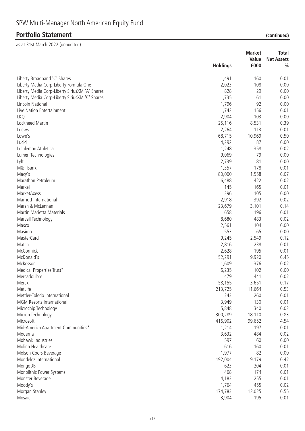| Value<br><b>Net Assets</b><br><b>Holdings</b><br>£000<br>$\frac{0}{0}$<br>Liberty Broadband 'C' Shares<br>160<br>0.01<br>1,491<br>108<br>Liberty Media Corp-Liberty Formula One<br>2,023<br>0.00<br>828<br>29<br>Liberty Media Corp-Liberty SiriusXM 'A' Shares<br>0.00<br>Liberty Media Corp-Liberty SiriusXM 'C' Shares<br>1,735<br>0.00<br>61<br>1,796<br>92<br>Lincoln National<br>0.00<br>1,742<br>Live Nation Entertainment<br>156<br>0.01<br>2,904<br>103<br><b>LKQ</b><br>0.00<br>Lockheed Martin<br>25,116<br>8,531<br>0.39<br>2,264<br>113<br>0.01<br>Loews<br>Lowe's<br>68,715<br>10,969<br>0.50<br>Lucid<br>4,292<br>87<br>0.00<br>358<br>0.02<br>Lululemon Athletica<br>1,248<br>9,069<br>79<br>0.00<br>Lumen Technologies<br>2,739<br>81<br>0.00<br>Lyft<br>178<br>0.01<br>M&T Bank<br>1,357<br>80,000<br>1,558<br>0.07<br>Macy's<br>Marathon Petroleum<br>6,488<br>422<br>0.02<br>Markel<br>165<br>145<br>0.01<br>396<br>MarketAxess<br>105<br>0.00<br>2,918<br>392<br>Marriott International<br>0.02<br>Marsh & McLennan<br>23,679<br>3,101<br>0.14<br>658<br>196<br>Martin Marietta Materials<br>0.01<br>483<br>0.02<br>Marvell Technology<br>8,680<br>0.00<br>2,561<br>104<br>Masco<br>Masimo<br>553<br>65<br>0.00<br>9,245<br>0.12<br><b>MasterCard</b><br>2,549<br>Match<br>2,816<br>238<br>0.01<br>McCormick<br>195<br>2,628<br>0.01<br>McDonald's<br>52,291<br>9,920<br>0.45<br>1,609<br>McKesson<br>376<br>0.02<br>102<br>Medical Properties Trust*<br>6,235<br>0.00<br>479<br>0.02<br>MercadoLibre<br>441<br>Merck<br>58,155<br>3,651<br>0.17<br>MetLife<br>213,725<br>11,664<br>0.53<br>Mettler-Toledo International<br>243<br>260<br>0.01<br>3,949<br>130<br>0.01<br><b>MGM Resorts International</b><br>Microchip Technology<br>340<br>5,848<br>0.02<br>300,289<br>18,110<br>0.83<br>Micron Technology<br>Microsoft<br>416,902<br>99,652<br>4.54<br>Mid-America Apartment Communities*<br>1,214<br>197<br>0.01<br>3,632<br>484<br>0.02<br>Moderna<br>Mohawk Industries<br>597<br>60<br>0.00<br>616<br>Molina Healthcare<br>160<br>0.01<br>1,977<br>82<br>Molson Coors Beverage<br>0.00<br>192,004<br>Mondelez International<br>9,179<br>0.42<br>623<br>204<br>MongoDB<br>0.01<br>468<br>174<br>Monolithic Power Systems<br>0.01<br>255<br>4,183<br>0.01<br>Monster Beverage<br>Moody's<br>455<br>1,764<br>0.02<br>0.55<br>Morgan Stanley<br>174,783<br>12,025<br>Mosaic<br>3,904<br>195<br>0.01 |  | <b>Market</b> | <b>Total</b> |
|----------------------------------------------------------------------------------------------------------------------------------------------------------------------------------------------------------------------------------------------------------------------------------------------------------------------------------------------------------------------------------------------------------------------------------------------------------------------------------------------------------------------------------------------------------------------------------------------------------------------------------------------------------------------------------------------------------------------------------------------------------------------------------------------------------------------------------------------------------------------------------------------------------------------------------------------------------------------------------------------------------------------------------------------------------------------------------------------------------------------------------------------------------------------------------------------------------------------------------------------------------------------------------------------------------------------------------------------------------------------------------------------------------------------------------------------------------------------------------------------------------------------------------------------------------------------------------------------------------------------------------------------------------------------------------------------------------------------------------------------------------------------------------------------------------------------------------------------------------------------------------------------------------------------------------------------------------------------------------------------------------------------------------------------------------------------------------------------------------------------------------------------------------------------------------------------------------------------------------------------------------------------------------------------------------------------------------------------------------------------------------------------------------------------------|--|---------------|--------------|
|                                                                                                                                                                                                                                                                                                                                                                                                                                                                                                                                                                                                                                                                                                                                                                                                                                                                                                                                                                                                                                                                                                                                                                                                                                                                                                                                                                                                                                                                                                                                                                                                                                                                                                                                                                                                                                                                                                                                                                                                                                                                                                                                                                                                                                                                                                                                                                                                                            |  |               |              |
|                                                                                                                                                                                                                                                                                                                                                                                                                                                                                                                                                                                                                                                                                                                                                                                                                                                                                                                                                                                                                                                                                                                                                                                                                                                                                                                                                                                                                                                                                                                                                                                                                                                                                                                                                                                                                                                                                                                                                                                                                                                                                                                                                                                                                                                                                                                                                                                                                            |  |               |              |
|                                                                                                                                                                                                                                                                                                                                                                                                                                                                                                                                                                                                                                                                                                                                                                                                                                                                                                                                                                                                                                                                                                                                                                                                                                                                                                                                                                                                                                                                                                                                                                                                                                                                                                                                                                                                                                                                                                                                                                                                                                                                                                                                                                                                                                                                                                                                                                                                                            |  |               |              |
|                                                                                                                                                                                                                                                                                                                                                                                                                                                                                                                                                                                                                                                                                                                                                                                                                                                                                                                                                                                                                                                                                                                                                                                                                                                                                                                                                                                                                                                                                                                                                                                                                                                                                                                                                                                                                                                                                                                                                                                                                                                                                                                                                                                                                                                                                                                                                                                                                            |  |               |              |
|                                                                                                                                                                                                                                                                                                                                                                                                                                                                                                                                                                                                                                                                                                                                                                                                                                                                                                                                                                                                                                                                                                                                                                                                                                                                                                                                                                                                                                                                                                                                                                                                                                                                                                                                                                                                                                                                                                                                                                                                                                                                                                                                                                                                                                                                                                                                                                                                                            |  |               |              |
|                                                                                                                                                                                                                                                                                                                                                                                                                                                                                                                                                                                                                                                                                                                                                                                                                                                                                                                                                                                                                                                                                                                                                                                                                                                                                                                                                                                                                                                                                                                                                                                                                                                                                                                                                                                                                                                                                                                                                                                                                                                                                                                                                                                                                                                                                                                                                                                                                            |  |               |              |
|                                                                                                                                                                                                                                                                                                                                                                                                                                                                                                                                                                                                                                                                                                                                                                                                                                                                                                                                                                                                                                                                                                                                                                                                                                                                                                                                                                                                                                                                                                                                                                                                                                                                                                                                                                                                                                                                                                                                                                                                                                                                                                                                                                                                                                                                                                                                                                                                                            |  |               |              |
|                                                                                                                                                                                                                                                                                                                                                                                                                                                                                                                                                                                                                                                                                                                                                                                                                                                                                                                                                                                                                                                                                                                                                                                                                                                                                                                                                                                                                                                                                                                                                                                                                                                                                                                                                                                                                                                                                                                                                                                                                                                                                                                                                                                                                                                                                                                                                                                                                            |  |               |              |
|                                                                                                                                                                                                                                                                                                                                                                                                                                                                                                                                                                                                                                                                                                                                                                                                                                                                                                                                                                                                                                                                                                                                                                                                                                                                                                                                                                                                                                                                                                                                                                                                                                                                                                                                                                                                                                                                                                                                                                                                                                                                                                                                                                                                                                                                                                                                                                                                                            |  |               |              |
|                                                                                                                                                                                                                                                                                                                                                                                                                                                                                                                                                                                                                                                                                                                                                                                                                                                                                                                                                                                                                                                                                                                                                                                                                                                                                                                                                                                                                                                                                                                                                                                                                                                                                                                                                                                                                                                                                                                                                                                                                                                                                                                                                                                                                                                                                                                                                                                                                            |  |               |              |
|                                                                                                                                                                                                                                                                                                                                                                                                                                                                                                                                                                                                                                                                                                                                                                                                                                                                                                                                                                                                                                                                                                                                                                                                                                                                                                                                                                                                                                                                                                                                                                                                                                                                                                                                                                                                                                                                                                                                                                                                                                                                                                                                                                                                                                                                                                                                                                                                                            |  |               |              |
|                                                                                                                                                                                                                                                                                                                                                                                                                                                                                                                                                                                                                                                                                                                                                                                                                                                                                                                                                                                                                                                                                                                                                                                                                                                                                                                                                                                                                                                                                                                                                                                                                                                                                                                                                                                                                                                                                                                                                                                                                                                                                                                                                                                                                                                                                                                                                                                                                            |  |               |              |
|                                                                                                                                                                                                                                                                                                                                                                                                                                                                                                                                                                                                                                                                                                                                                                                                                                                                                                                                                                                                                                                                                                                                                                                                                                                                                                                                                                                                                                                                                                                                                                                                                                                                                                                                                                                                                                                                                                                                                                                                                                                                                                                                                                                                                                                                                                                                                                                                                            |  |               |              |
|                                                                                                                                                                                                                                                                                                                                                                                                                                                                                                                                                                                                                                                                                                                                                                                                                                                                                                                                                                                                                                                                                                                                                                                                                                                                                                                                                                                                                                                                                                                                                                                                                                                                                                                                                                                                                                                                                                                                                                                                                                                                                                                                                                                                                                                                                                                                                                                                                            |  |               |              |
|                                                                                                                                                                                                                                                                                                                                                                                                                                                                                                                                                                                                                                                                                                                                                                                                                                                                                                                                                                                                                                                                                                                                                                                                                                                                                                                                                                                                                                                                                                                                                                                                                                                                                                                                                                                                                                                                                                                                                                                                                                                                                                                                                                                                                                                                                                                                                                                                                            |  |               |              |
|                                                                                                                                                                                                                                                                                                                                                                                                                                                                                                                                                                                                                                                                                                                                                                                                                                                                                                                                                                                                                                                                                                                                                                                                                                                                                                                                                                                                                                                                                                                                                                                                                                                                                                                                                                                                                                                                                                                                                                                                                                                                                                                                                                                                                                                                                                                                                                                                                            |  |               |              |
|                                                                                                                                                                                                                                                                                                                                                                                                                                                                                                                                                                                                                                                                                                                                                                                                                                                                                                                                                                                                                                                                                                                                                                                                                                                                                                                                                                                                                                                                                                                                                                                                                                                                                                                                                                                                                                                                                                                                                                                                                                                                                                                                                                                                                                                                                                                                                                                                                            |  |               |              |
|                                                                                                                                                                                                                                                                                                                                                                                                                                                                                                                                                                                                                                                                                                                                                                                                                                                                                                                                                                                                                                                                                                                                                                                                                                                                                                                                                                                                                                                                                                                                                                                                                                                                                                                                                                                                                                                                                                                                                                                                                                                                                                                                                                                                                                                                                                                                                                                                                            |  |               |              |
|                                                                                                                                                                                                                                                                                                                                                                                                                                                                                                                                                                                                                                                                                                                                                                                                                                                                                                                                                                                                                                                                                                                                                                                                                                                                                                                                                                                                                                                                                                                                                                                                                                                                                                                                                                                                                                                                                                                                                                                                                                                                                                                                                                                                                                                                                                                                                                                                                            |  |               |              |
|                                                                                                                                                                                                                                                                                                                                                                                                                                                                                                                                                                                                                                                                                                                                                                                                                                                                                                                                                                                                                                                                                                                                                                                                                                                                                                                                                                                                                                                                                                                                                                                                                                                                                                                                                                                                                                                                                                                                                                                                                                                                                                                                                                                                                                                                                                                                                                                                                            |  |               |              |
|                                                                                                                                                                                                                                                                                                                                                                                                                                                                                                                                                                                                                                                                                                                                                                                                                                                                                                                                                                                                                                                                                                                                                                                                                                                                                                                                                                                                                                                                                                                                                                                                                                                                                                                                                                                                                                                                                                                                                                                                                                                                                                                                                                                                                                                                                                                                                                                                                            |  |               |              |
|                                                                                                                                                                                                                                                                                                                                                                                                                                                                                                                                                                                                                                                                                                                                                                                                                                                                                                                                                                                                                                                                                                                                                                                                                                                                                                                                                                                                                                                                                                                                                                                                                                                                                                                                                                                                                                                                                                                                                                                                                                                                                                                                                                                                                                                                                                                                                                                                                            |  |               |              |
|                                                                                                                                                                                                                                                                                                                                                                                                                                                                                                                                                                                                                                                                                                                                                                                                                                                                                                                                                                                                                                                                                                                                                                                                                                                                                                                                                                                                                                                                                                                                                                                                                                                                                                                                                                                                                                                                                                                                                                                                                                                                                                                                                                                                                                                                                                                                                                                                                            |  |               |              |
|                                                                                                                                                                                                                                                                                                                                                                                                                                                                                                                                                                                                                                                                                                                                                                                                                                                                                                                                                                                                                                                                                                                                                                                                                                                                                                                                                                                                                                                                                                                                                                                                                                                                                                                                                                                                                                                                                                                                                                                                                                                                                                                                                                                                                                                                                                                                                                                                                            |  |               |              |
|                                                                                                                                                                                                                                                                                                                                                                                                                                                                                                                                                                                                                                                                                                                                                                                                                                                                                                                                                                                                                                                                                                                                                                                                                                                                                                                                                                                                                                                                                                                                                                                                                                                                                                                                                                                                                                                                                                                                                                                                                                                                                                                                                                                                                                                                                                                                                                                                                            |  |               |              |
|                                                                                                                                                                                                                                                                                                                                                                                                                                                                                                                                                                                                                                                                                                                                                                                                                                                                                                                                                                                                                                                                                                                                                                                                                                                                                                                                                                                                                                                                                                                                                                                                                                                                                                                                                                                                                                                                                                                                                                                                                                                                                                                                                                                                                                                                                                                                                                                                                            |  |               |              |
|                                                                                                                                                                                                                                                                                                                                                                                                                                                                                                                                                                                                                                                                                                                                                                                                                                                                                                                                                                                                                                                                                                                                                                                                                                                                                                                                                                                                                                                                                                                                                                                                                                                                                                                                                                                                                                                                                                                                                                                                                                                                                                                                                                                                                                                                                                                                                                                                                            |  |               |              |
|                                                                                                                                                                                                                                                                                                                                                                                                                                                                                                                                                                                                                                                                                                                                                                                                                                                                                                                                                                                                                                                                                                                                                                                                                                                                                                                                                                                                                                                                                                                                                                                                                                                                                                                                                                                                                                                                                                                                                                                                                                                                                                                                                                                                                                                                                                                                                                                                                            |  |               |              |
|                                                                                                                                                                                                                                                                                                                                                                                                                                                                                                                                                                                                                                                                                                                                                                                                                                                                                                                                                                                                                                                                                                                                                                                                                                                                                                                                                                                                                                                                                                                                                                                                                                                                                                                                                                                                                                                                                                                                                                                                                                                                                                                                                                                                                                                                                                                                                                                                                            |  |               |              |
|                                                                                                                                                                                                                                                                                                                                                                                                                                                                                                                                                                                                                                                                                                                                                                                                                                                                                                                                                                                                                                                                                                                                                                                                                                                                                                                                                                                                                                                                                                                                                                                                                                                                                                                                                                                                                                                                                                                                                                                                                                                                                                                                                                                                                                                                                                                                                                                                                            |  |               |              |
|                                                                                                                                                                                                                                                                                                                                                                                                                                                                                                                                                                                                                                                                                                                                                                                                                                                                                                                                                                                                                                                                                                                                                                                                                                                                                                                                                                                                                                                                                                                                                                                                                                                                                                                                                                                                                                                                                                                                                                                                                                                                                                                                                                                                                                                                                                                                                                                                                            |  |               |              |
|                                                                                                                                                                                                                                                                                                                                                                                                                                                                                                                                                                                                                                                                                                                                                                                                                                                                                                                                                                                                                                                                                                                                                                                                                                                                                                                                                                                                                                                                                                                                                                                                                                                                                                                                                                                                                                                                                                                                                                                                                                                                                                                                                                                                                                                                                                                                                                                                                            |  |               |              |
|                                                                                                                                                                                                                                                                                                                                                                                                                                                                                                                                                                                                                                                                                                                                                                                                                                                                                                                                                                                                                                                                                                                                                                                                                                                                                                                                                                                                                                                                                                                                                                                                                                                                                                                                                                                                                                                                                                                                                                                                                                                                                                                                                                                                                                                                                                                                                                                                                            |  |               |              |
|                                                                                                                                                                                                                                                                                                                                                                                                                                                                                                                                                                                                                                                                                                                                                                                                                                                                                                                                                                                                                                                                                                                                                                                                                                                                                                                                                                                                                                                                                                                                                                                                                                                                                                                                                                                                                                                                                                                                                                                                                                                                                                                                                                                                                                                                                                                                                                                                                            |  |               |              |
|                                                                                                                                                                                                                                                                                                                                                                                                                                                                                                                                                                                                                                                                                                                                                                                                                                                                                                                                                                                                                                                                                                                                                                                                                                                                                                                                                                                                                                                                                                                                                                                                                                                                                                                                                                                                                                                                                                                                                                                                                                                                                                                                                                                                                                                                                                                                                                                                                            |  |               |              |
|                                                                                                                                                                                                                                                                                                                                                                                                                                                                                                                                                                                                                                                                                                                                                                                                                                                                                                                                                                                                                                                                                                                                                                                                                                                                                                                                                                                                                                                                                                                                                                                                                                                                                                                                                                                                                                                                                                                                                                                                                                                                                                                                                                                                                                                                                                                                                                                                                            |  |               |              |
|                                                                                                                                                                                                                                                                                                                                                                                                                                                                                                                                                                                                                                                                                                                                                                                                                                                                                                                                                                                                                                                                                                                                                                                                                                                                                                                                                                                                                                                                                                                                                                                                                                                                                                                                                                                                                                                                                                                                                                                                                                                                                                                                                                                                                                                                                                                                                                                                                            |  |               |              |
|                                                                                                                                                                                                                                                                                                                                                                                                                                                                                                                                                                                                                                                                                                                                                                                                                                                                                                                                                                                                                                                                                                                                                                                                                                                                                                                                                                                                                                                                                                                                                                                                                                                                                                                                                                                                                                                                                                                                                                                                                                                                                                                                                                                                                                                                                                                                                                                                                            |  |               |              |
|                                                                                                                                                                                                                                                                                                                                                                                                                                                                                                                                                                                                                                                                                                                                                                                                                                                                                                                                                                                                                                                                                                                                                                                                                                                                                                                                                                                                                                                                                                                                                                                                                                                                                                                                                                                                                                                                                                                                                                                                                                                                                                                                                                                                                                                                                                                                                                                                                            |  |               |              |
|                                                                                                                                                                                                                                                                                                                                                                                                                                                                                                                                                                                                                                                                                                                                                                                                                                                                                                                                                                                                                                                                                                                                                                                                                                                                                                                                                                                                                                                                                                                                                                                                                                                                                                                                                                                                                                                                                                                                                                                                                                                                                                                                                                                                                                                                                                                                                                                                                            |  |               |              |
|                                                                                                                                                                                                                                                                                                                                                                                                                                                                                                                                                                                                                                                                                                                                                                                                                                                                                                                                                                                                                                                                                                                                                                                                                                                                                                                                                                                                                                                                                                                                                                                                                                                                                                                                                                                                                                                                                                                                                                                                                                                                                                                                                                                                                                                                                                                                                                                                                            |  |               |              |
|                                                                                                                                                                                                                                                                                                                                                                                                                                                                                                                                                                                                                                                                                                                                                                                                                                                                                                                                                                                                                                                                                                                                                                                                                                                                                                                                                                                                                                                                                                                                                                                                                                                                                                                                                                                                                                                                                                                                                                                                                                                                                                                                                                                                                                                                                                                                                                                                                            |  |               |              |
|                                                                                                                                                                                                                                                                                                                                                                                                                                                                                                                                                                                                                                                                                                                                                                                                                                                                                                                                                                                                                                                                                                                                                                                                                                                                                                                                                                                                                                                                                                                                                                                                                                                                                                                                                                                                                                                                                                                                                                                                                                                                                                                                                                                                                                                                                                                                                                                                                            |  |               |              |
|                                                                                                                                                                                                                                                                                                                                                                                                                                                                                                                                                                                                                                                                                                                                                                                                                                                                                                                                                                                                                                                                                                                                                                                                                                                                                                                                                                                                                                                                                                                                                                                                                                                                                                                                                                                                                                                                                                                                                                                                                                                                                                                                                                                                                                                                                                                                                                                                                            |  |               |              |
|                                                                                                                                                                                                                                                                                                                                                                                                                                                                                                                                                                                                                                                                                                                                                                                                                                                                                                                                                                                                                                                                                                                                                                                                                                                                                                                                                                                                                                                                                                                                                                                                                                                                                                                                                                                                                                                                                                                                                                                                                                                                                                                                                                                                                                                                                                                                                                                                                            |  |               |              |
|                                                                                                                                                                                                                                                                                                                                                                                                                                                                                                                                                                                                                                                                                                                                                                                                                                                                                                                                                                                                                                                                                                                                                                                                                                                                                                                                                                                                                                                                                                                                                                                                                                                                                                                                                                                                                                                                                                                                                                                                                                                                                                                                                                                                                                                                                                                                                                                                                            |  |               |              |
|                                                                                                                                                                                                                                                                                                                                                                                                                                                                                                                                                                                                                                                                                                                                                                                                                                                                                                                                                                                                                                                                                                                                                                                                                                                                                                                                                                                                                                                                                                                                                                                                                                                                                                                                                                                                                                                                                                                                                                                                                                                                                                                                                                                                                                                                                                                                                                                                                            |  |               |              |
|                                                                                                                                                                                                                                                                                                                                                                                                                                                                                                                                                                                                                                                                                                                                                                                                                                                                                                                                                                                                                                                                                                                                                                                                                                                                                                                                                                                                                                                                                                                                                                                                                                                                                                                                                                                                                                                                                                                                                                                                                                                                                                                                                                                                                                                                                                                                                                                                                            |  |               |              |
|                                                                                                                                                                                                                                                                                                                                                                                                                                                                                                                                                                                                                                                                                                                                                                                                                                                                                                                                                                                                                                                                                                                                                                                                                                                                                                                                                                                                                                                                                                                                                                                                                                                                                                                                                                                                                                                                                                                                                                                                                                                                                                                                                                                                                                                                                                                                                                                                                            |  |               |              |
|                                                                                                                                                                                                                                                                                                                                                                                                                                                                                                                                                                                                                                                                                                                                                                                                                                                                                                                                                                                                                                                                                                                                                                                                                                                                                                                                                                                                                                                                                                                                                                                                                                                                                                                                                                                                                                                                                                                                                                                                                                                                                                                                                                                                                                                                                                                                                                                                                            |  |               |              |
|                                                                                                                                                                                                                                                                                                                                                                                                                                                                                                                                                                                                                                                                                                                                                                                                                                                                                                                                                                                                                                                                                                                                                                                                                                                                                                                                                                                                                                                                                                                                                                                                                                                                                                                                                                                                                                                                                                                                                                                                                                                                                                                                                                                                                                                                                                                                                                                                                            |  |               |              |
|                                                                                                                                                                                                                                                                                                                                                                                                                                                                                                                                                                                                                                                                                                                                                                                                                                                                                                                                                                                                                                                                                                                                                                                                                                                                                                                                                                                                                                                                                                                                                                                                                                                                                                                                                                                                                                                                                                                                                                                                                                                                                                                                                                                                                                                                                                                                                                                                                            |  |               |              |
|                                                                                                                                                                                                                                                                                                                                                                                                                                                                                                                                                                                                                                                                                                                                                                                                                                                                                                                                                                                                                                                                                                                                                                                                                                                                                                                                                                                                                                                                                                                                                                                                                                                                                                                                                                                                                                                                                                                                                                                                                                                                                                                                                                                                                                                                                                                                                                                                                            |  |               |              |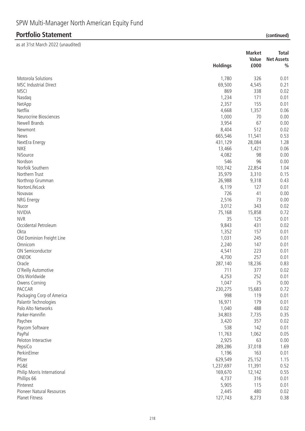|                               | <b>Holdings</b>  | <b>Market</b><br>Value<br>£000 | <b>Total</b><br><b>Net Assets</b><br>$\frac{0}{0}$ |
|-------------------------------|------------------|--------------------------------|----------------------------------------------------|
| Motorola Solutions            | 1,780            | 326                            | 0.01                                               |
| <b>MSC Industrial Direct</b>  | 69,500           | 4,545                          | 0.21                                               |
| <b>MSCI</b>                   | 869              | 338                            | 0.02                                               |
| Nasdaq                        | 1,234            | 171                            | 0.01                                               |
| NetApp                        | 2,357            | 155                            | 0.01                                               |
| Netflix                       | 4,668            | 1,357                          | 0.06                                               |
| Neurocrine Biosciences        | 1,000            | 70                             | 0.00                                               |
| Newell Brands                 | 3,954            | 67                             | 0.00                                               |
| Newmont                       | 8,404            | 512                            | 0.02                                               |
| News                          | 665,546          | 11,541                         | 0.53                                               |
| NextEra Energy                | 431,129          | 28,084                         | 1.28                                               |
| <b>NIKE</b>                   | 13,466           | 1,421                          | 0.06                                               |
| NiSource                      | 4,082            | 98                             | 0.00                                               |
| Nordson                       | 546              | 96                             | 0.00                                               |
| Norfolk Southern              | 103,742          | 22,854                         | 1.04                                               |
| Northern Trust                | 35,979           | 3,310                          | 0.15                                               |
| Northrop Grumman              | 26,988           | 9,318                          | 0.43                                               |
| NortonLifeLock                | 6,119            | 127                            | 0.01                                               |
| Novavax                       | 726              | 41                             | 0.00                                               |
| NRG Energy                    | 2,516            | 73                             | 0.00                                               |
| Nucor                         | 3,012            | 343                            | 0.02                                               |
| <b>NVIDIA</b>                 | 75,168           | 15,858                         | 0.72                                               |
| <b>NVR</b>                    | 35               | 125                            | 0.01                                               |
| Occidental Petroleum          | 9,843            | 431                            | 0.02                                               |
| Okta                          | 1,352            | 157                            | 0.01                                               |
| Old Dominion Freight Line     | 1,031            | 245                            | 0.01                                               |
| Omnicom                       | 2,240            | 147                            | 0.01                                               |
| ON Semiconductor              | 4,541            | 223                            | 0.01                                               |
| ONEOK                         | 4,700            | 257                            | 0.01                                               |
| Oracle                        | 287,140          | 18,236                         | 0.83                                               |
| O'Reilly Automotive           | 711              | 377                            | 0.02                                               |
| Otis Worldwide                | 4,253            | 252                            | 0.01                                               |
| Owens Corning                 | 1,047            | 75                             | 0.00                                               |
| PACCAR                        | 230,275          | 15,683                         | 0.72                                               |
| Packaging Corp of America     | 998              | 119                            | 0.01                                               |
| Palantir Technologies         | 16,971           | 179                            | 0.01                                               |
| Palo Alto Networks            | 1,040            | 488                            | 0.02                                               |
| Parker-Hannifin               | 34,803           | 7,735                          | 0.35                                               |
| Paychex                       | 3,420            | 357                            | 0.02                                               |
|                               | 538              | 142                            | 0.01                                               |
| Paycom Software               |                  |                                | 0.05                                               |
| PayPal<br>Peloton Interactive | 11,763           | 1,062<br>63                    | 0.00                                               |
| PepsiCo                       | 2,925            |                                | 1.69                                               |
| PerkinElmer                   | 289,286<br>1,196 | 37,018                         |                                                    |
|                               |                  | 163                            | 0.01                                               |
| Pfizer<br>PG&E                | 629,549          | 25,152                         | 1.15                                               |
|                               | 1,237,697        | 11,391                         | 0.52                                               |
| Philip Morris International   | 169,670          | 12,142                         | 0.55                                               |
| Phillips 66                   | 4,737            | 316                            | 0.01                                               |
| Pinterest                     | 5,905            | 115                            | 0.01                                               |
| Pioneer Natural Resources     | 2,445            | 480                            | 0.02                                               |
| Planet Fitness                | 127,743          | 8,273                          | 0.38                                               |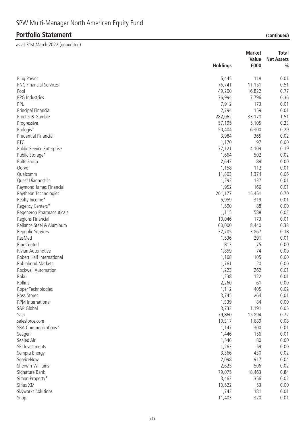|                               |                 | <b>Market</b> | <b>Total</b>      |
|-------------------------------|-----------------|---------------|-------------------|
|                               |                 | Value         | <b>Net Assets</b> |
|                               | <b>Holdings</b> | £000          | $\frac{0}{0}$     |
| Plug Power                    | 5,445           | 118           | 0.01              |
| <b>PNC Financial Services</b> | 76,741          | 11,151        | 0.51              |
| Pool                          | 49,200          | 16,822        | 0.77              |
| PPG Industries                | 76,994          | 7,796         | 0.36              |
| PPL                           | 7,912           | 173           | 0.01              |
| Principal Financial           | 2,794           | 159           | 0.01              |
| Procter & Gamble              | 282,062         | 33,178        | 1.51              |
| Progressive                   | 57,195          | 5,105         | 0.23              |
| Prologis*                     | 50,404          | 6,300         | 0.29              |
| Prudential Financial          | 3,984           | 365           | 0.02              |
| PTC                           | 1,170           | 97            | 0.00              |
| Public Service Enterprise     | 77,121          | 4,109         | 0.19              |
| Public Storage*               | 1,664           | 502           | 0.02              |
| PulteGroup                    | 2,647           | 89            | 0.00              |
| Qorvo                         | 1,158           | 112           | 0.01              |
| Qualcomm                      | 11,803          | 1,374         | 0.06              |
| Quest Diagnostics             | 1,292           | 137           | 0.01              |
| Raymond James Financial       | 1,952           | 166           | 0.01              |
| Raytheon Technologies         | 201,177         | 15,451        | 0.70              |
| Realty Income*                | 5,959           | 319           | 0.01              |
| Regency Centers*              | 1,590           | 88            | 0.00              |
| Regeneron Pharmaceuticals     | 1,115           | 588           | 0.03              |
| Regions Financial             | 10,046          | 173           | 0.01              |
| Reliance Steel & Aluminum     | 60,000          | 8,440         | 0.38              |
| Republic Services             | 37,705          | 3,867         | 0.18              |
| ResMed                        | 1,536           | 291           | 0.01              |
| RingCentral                   | 813             | 75            | 0.00              |
| Rivian Automotive             | 1,859           | 74            | 0.00              |
| Robert Half International     | 1,168           | 105           | 0.00              |
| Robinhood Markets             | 1,761           | 20            | 0.00              |
| Rockwell Automation           | 1,223           | 262           | 0.01              |
| Roku                          | 1,238           | 122           | 0.01              |
| Rollins                       | 2,260           | 61            | 0.00              |
| Roper Technologies            | 1,112           | 405           | 0.02              |
| Ross Stores                   | 3,745           | 264           | 0.01              |
| RPM International             | 1,339           | 84            | 0.00              |
| S&P Global                    | 3,733           | 1,191         | 0.05              |
| Saia                          | 79,860          | 15,894        | 0.72              |
| salesforce.com                | 10,317          | 1,689         | 0.08              |
| SBA Communications*           | 1,147           | 300           | 0.01              |
| Seagen                        | 1,446           | 156           | 0.01              |
| Sealed Air                    | 1,546           | 80            | 0.00              |
| SEI Investments               | 1,263           | 59            | 0.00              |
| Sempra Energy                 | 3,366           | 430           | 0.02              |
| ServiceNow                    | 2,098           | 917           | 0.04              |
| Sherwin-Williams              | 2,625           | 506           | 0.02              |
| Signature Bank                | 79,075          | 18,463        | 0.84              |
| Simon Property*               | 3,463           | 356           | 0.02              |
| Sirius XM                     | 10,522          | 53            | 0.00              |
| Skyworks Solutions            | 1,743           | 181           | 0.01              |
| Snap                          | 11,403          | 320           | 0.01              |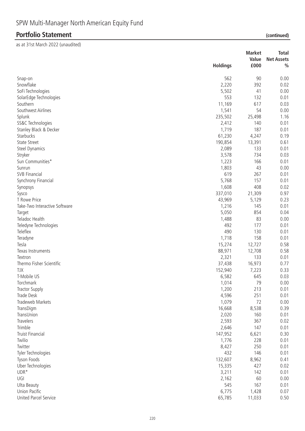|                               |                 | <b>Market</b> | <b>Total</b>      |
|-------------------------------|-----------------|---------------|-------------------|
|                               |                 | Value         | <b>Net Assets</b> |
|                               | <b>Holdings</b> | £000          | $\frac{0}{0}$     |
| Snap-on                       | 562             | 90            | 0.00              |
| Snowflake                     | 2,220           | 392           | 0.02              |
| SoFi Technologies             | 5,502           | 41            | 0.00              |
| SolarEdge Technologies        | 553             | 132           | 0.01              |
| Southern                      | 11,169          | 617           | 0.03              |
| Southwest Airlines            | 1,541           | 54            | 0.00              |
| Splunk                        | 235,502         | 25,498        | 1.16              |
| SS&C Technologies             | 2,412           | 140           | 0.01              |
| Stanley Black & Decker        | 1,719           | 187           | 0.01              |
| Starbucks                     | 61,230          | 4,247         | 0.19              |
| <b>State Street</b>           | 190,854         | 13,391        | 0.61              |
| <b>Steel Dynamics</b>         | 2,089           | 133           | 0.01              |
| Stryker                       | 3,578           | 734           | 0.03              |
| Sun Communities*              | 1,223           | 166           | 0.01              |
| Sunrun                        | 1,803           | 43            | 0.00              |
| <b>SVB Financial</b>          | 619             | 267           | 0.01              |
|                               | 5,768           | 157           | 0.01              |
| Synchrony Financial           | 1,608           | 408           | 0.02              |
| Synopsys                      |                 |               |                   |
| Sysco<br>T Rowe Price         | 337,010         | 21,309        | 0.97              |
|                               | 43,969          | 5,129<br>145  | 0.23              |
| Take-Two Interactive Software | 1,216           | 854           | 0.01              |
| Target                        | 5,050           | 83            | 0.04              |
| Teladoc Health                | 1,488<br>492    | 177           | 0.00              |
| Teledyne Technologies         | 490             | 130           | 0.01              |
| Teleflex                      |                 |               | 0.01              |
| Teradyne                      | 1,718           | 158           | 0.01              |
| Tesla                         | 15,274          | 12,727        | 0.58              |
| Texas Instruments             | 88,971          | 12,708        | 0.58              |
| Textron                       | 2,321           | 133           | 0.01              |
| Thermo Fisher Scientific      | 37,438          | 16,973        | 0.77              |
| <b>TJX</b><br>T-Mobile US     | 152,940         | 7,223<br>645  | 0.33              |
|                               | 6,582           |               | 0.03              |
| Torchmark                     | 1,014           | 79            | 0.00              |
| <b>Tractor Supply</b>         | 1,200           | 213           | 0.01              |
| Trade Desk                    | 4,596           | 251<br>72     | 0.01              |
| Tradeweb Markets              | 1,079           |               | 0.00              |
| TransDigm                     | 16,668          | 8,538         | 0.39              |
| TransUnion<br>Travelers       | 2,020           | 160<br>367    | 0.01              |
| Trimble                       | 2,593           |               | 0.02              |
|                               | 2,646           | 147           | 0.01              |
| <b>Truist Financial</b>       | 147,952         | 6,621         | 0.30              |
| Twilio                        | 1,776           | 228           | 0.01              |
| Twitter                       | 8,427           | 250           | 0.01              |
| Tyler Technologies            | 432             | 146           | 0.01              |
| Tyson Foods                   | 132,607         | 8,962         | 0.41              |
| Uber Technologies             | 15,335          | 427           | 0.02              |
| UDR*                          | 3,211           | 142           | 0.01              |
| UGI                           | 2,162           | 60            | 0.00              |
| Ulta Beauty                   | 545             | 167           | 0.01              |
| Union Pacific                 | 6,775           | 1,428         | 0.07              |
| United Parcel Service         | 65,785          | 11,033        | 0.50              |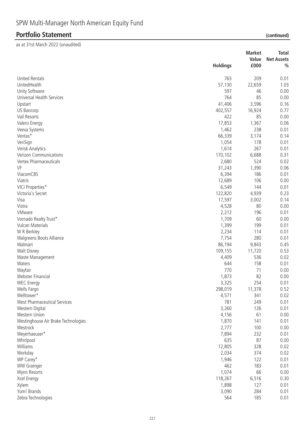|                                     |                 | <b>Market</b> | <b>Total</b>      |
|-------------------------------------|-----------------|---------------|-------------------|
|                                     |                 | Value         | <b>Net Assets</b> |
|                                     | <b>Holdings</b> | £000          | $\frac{0}{0}$     |
| <b>United Rentals</b>               | 763             | 209           | 0.01              |
| UnitedHealth                        | 57,130          | 22,659        | 1.03              |
| Unity Software                      | 597             | 46            | 0.00              |
| Universal Health Services           | 764             | 85            | 0.00              |
| Upstart                             | 41,406          | 3,596         | 0.16              |
| US Bancorp                          | 402,557         | 16,924        | 0.77              |
| Vail Resorts                        | 422             | 85            | 0.00              |
| Valero Energy                       | 17,853          | 1,367         | 0.06              |
| Veeva Systems                       | 1,462           | 238           | 0.01              |
| Ventas*                             | 66,339          | 3,174         | 0.14              |
| VeriSign                            | 1,054           | 178           | 0.01              |
| Verisk Analytics                    | 1,614           | 267           | 0.01              |
| Verizon Communications              | 170,102         | 6,688         | 0.31              |
| Vertex Pharmaceuticals              | 2,680           | 524           | 0.02              |
| VF                                  | 31,243          | 1,390         | 0.06              |
| ViacomCBS                           | 6,394           | 186           | 0.01              |
| Viatris                             | 12,689          | 106           | 0.00              |
| VICI Properties*                    | 6,549           | 144           | 0.01              |
| Victoria's Secret                   | 122,820         | 4,939         | 0.23              |
| Visa                                | 17,597          | 3,002         | 0.14              |
| Vistra                              | 4,528           | 80            | 0.00              |
| VMware                              | 2,212           | 196           | 0.01              |
| Vornado Realty Trust*               | 1,709           | 60            | 0.00              |
| Vulcan Materials                    | 1,399           | 199           | 0.01              |
| W R Berkley                         | 2,234           | 114           | 0.01              |
| Walgreens Boots Alliance            | 7,754           | 280           | 0.01              |
| Walmart                             | 86,194          | 9,843         | 0.45              |
| Walt Disney                         | 109,155         | 11,720        | 0.53              |
| Waste Management                    | 4,409           | 536           | 0.02              |
| Waters                              | 644             | 158           | 0.01              |
| Wayfair                             | 770             | 71            | 0.00              |
| Webster Financial                   | 1,873           | 82            | 0.00              |
| <b>WEC Energy</b>                   | 3,325           | 254           | 0.01              |
| Wells Fargo                         | 298,019         | 11,378        | 0.52              |
| Welltower*                          | 4,571           | 341           | 0.02              |
| West Pharmaceutical Services        | 781             | 249           | 0.01              |
| Western Digital                     | 3,260           | 126           | 0.01              |
| Western Union                       | 4,156           | 61            | 0.00              |
| Westinghouse Air Brake Technologies | 1,870           | 141           | 0.01              |
| Westrock                            | 2,777           | 100           | 0.00              |
| Weyerhaeuser*                       | 7,894           | 232           | 0.01              |
| Whirlpool                           | 635             | 87            | 0.00              |
| Williams                            | 12,805          | 328           | 0.02              |
| Workday                             | 2,034           | 374           | 0.02              |
| WP Carey*                           | 1,946           | 122           | 0.01              |
| <b>WW Grainger</b>                  | 462             | 183           | 0.01              |
| Wynn Resorts                        | 1,074           | 66            | 0.00              |
| Xcel Energy                         | 118,267         | 6,516         | 0.30              |
| Xylem                               | 1,898           | 127           | 0.01              |
| Yum! Brands                         | 3,090           | 284           | 0.01              |
| Zebra Technologies                  | 564             | 185           | 0.01              |
|                                     |                 |               |                   |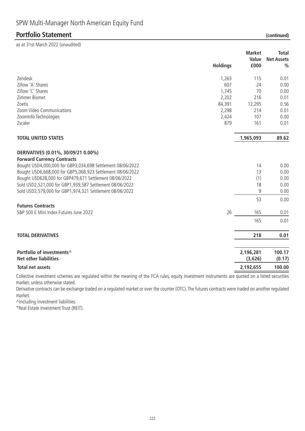as at 31st March 2022 (unaudited)

|                                                                                                                                                                                                                                                                                                                                                                                        | <b>Holdings</b> | <b>Market</b><br>Value<br>£000 | <b>Total</b><br><b>Net Assets</b><br>$\frac{0}{0}$ |
|----------------------------------------------------------------------------------------------------------------------------------------------------------------------------------------------------------------------------------------------------------------------------------------------------------------------------------------------------------------------------------------|-----------------|--------------------------------|----------------------------------------------------|
|                                                                                                                                                                                                                                                                                                                                                                                        |                 |                                |                                                    |
| Zendesk                                                                                                                                                                                                                                                                                                                                                                                | 1,263           | 115                            | 0.01                                               |
| Zillow 'A' Shares                                                                                                                                                                                                                                                                                                                                                                      | 607             | 24                             | 0.00                                               |
| Zillow 'C' Shares                                                                                                                                                                                                                                                                                                                                                                      | 1,745           | 70                             | 0.00                                               |
| Zimmer Biomet                                                                                                                                                                                                                                                                                                                                                                          | 2,202           | 216                            | 0.01                                               |
| Zoetis                                                                                                                                                                                                                                                                                                                                                                                 | 84,391          | 12,295                         | 0.56                                               |
| Zoom Video Communications                                                                                                                                                                                                                                                                                                                                                              | 2,298           | 214                            | 0.01                                               |
| ZoomInfo Technologies                                                                                                                                                                                                                                                                                                                                                                  | 2,424           | 107                            | 0.00                                               |
| Zscaler                                                                                                                                                                                                                                                                                                                                                                                | 879             | 161                            | 0.01                                               |
| <b>TOTAL UNITED STATES</b>                                                                                                                                                                                                                                                                                                                                                             |                 | 1,965,093                      | 89.62                                              |
| DERIVATIVES (0.01%, 30/09/21 0.00%)<br><b>Forward Currency Contracts</b><br>Bought USD4,000,000 for GBP3,034,698 Settlement 08/06/2022<br>Bought USD6,668,000 for GBP5,068,923 Settlement 08/06/2022<br>Bought USD628,000 for GBP479,671 Settlement 08/06/2022<br>Sold USD2,521,000 for GBP1,939,587 Settlement 08/06/2022<br>Sold USD2,579,000 for GBP1,974,321 Settlement 08/06/2022 |                 | 14<br>13<br>(1)<br>18<br>9     | 0.00<br>0.00<br>0.00<br>0.00<br>0.00               |
| <b>Futures Contracts</b>                                                                                                                                                                                                                                                                                                                                                               |                 | 53                             | 0.00                                               |
| S&P 500 E Mini Index Futures June 2022                                                                                                                                                                                                                                                                                                                                                 | 26              | 165                            | 0.01                                               |
|                                                                                                                                                                                                                                                                                                                                                                                        |                 | 165                            | 0.01                                               |
| <b>TOTAL DERIVATIVES</b>                                                                                                                                                                                                                                                                                                                                                               |                 | 218                            | 0.01                                               |
| Portfolio of investments^<br><b>Net other liabilities</b>                                                                                                                                                                                                                                                                                                                              |                 | 2,196,281<br>(3,626)           | 100.17<br>(0.17)                                   |
| <b>Total net assets</b>                                                                                                                                                                                                                                                                                                                                                                |                 | 2,192,655                      | 100.00                                             |
|                                                                                                                                                                                                                                                                                                                                                                                        |                 |                                |                                                    |

Collective investment schemes are regulated within the meaning of the FCA rules, equity investment instruments are quoted on a listed securities market, unless otherwise stated.

Derivative contracts can be exchange traded on a regulated market or over the counter (OTC). The futures contracts were traded on another regulated market.

^Including investment liabilities.

\*Real Estate Investment Trust (REIT).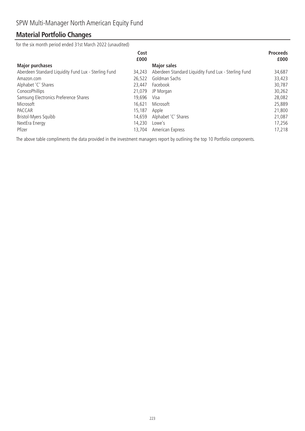### **Material Portfolio Changes**

for the six month period ended 31st March 2022 (unaudited)

| Cost<br>£000                                                   |                                                      | <b>Proceeds</b><br>£000 |
|----------------------------------------------------------------|------------------------------------------------------|-------------------------|
| <b>Major purchases</b>                                         | <b>Major sales</b>                                   |                         |
| Aberdeen Standard Liquidity Fund Lux - Sterling Fund<br>34,243 | Aberdeen Standard Liquidity Fund Lux - Sterling Fund | 34,687                  |
| 26.522<br>Amazon.com                                           | Goldman Sachs                                        | 33,423                  |
| Alphabet 'C' Shares<br>23,447                                  | Facebook                                             | 30,787                  |
| ConocoPhillips<br>21,079                                       | JP Morgan                                            | 30,262                  |
| Samsung Electronics Preference Shares<br>19.696                | Visa                                                 | 28,082                  |
| Microsoft<br>16,621                                            | Microsoft                                            | 25,889                  |
| PACCAR<br>15,187                                               | Apple                                                | 21,800                  |
| Bristol-Myers Squibb<br>14,659                                 | Alphabet 'C' Shares                                  | 21,087                  |
| 14,230<br>NextEra Energy                                       | Lowe's                                               | 17,256                  |
| Pfizer<br>13,704                                               | American Express                                     | 17,218                  |

The above table compliments the data provided in the investment managers report by outlining the top 10 Portfolio components.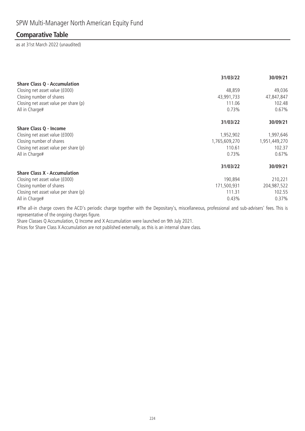### **Comparative Table**

as at 31st March 2022 (unaudited)

|                                       | 31/03/22      | 30/09/21      |
|---------------------------------------|---------------|---------------|
| <b>Share Class Q - Accumulation</b>   |               |               |
| Closing net asset value (£000)        | 48,859        | 49,036        |
| Closing number of shares              | 43,991,733    | 47,847,847    |
| Closing net asset value per share (p) | 111.06        | 102.48        |
| All in Charge#                        | 0.73%         | 0.67%         |
|                                       | 31/03/22      | 30/09/21      |
| Share Class Q - Income                |               |               |
| Closing net asset value (£000)        | 1,952,902     | 1,997,646     |
| Closing number of shares              | 1,765,609,270 | 1,951,449,270 |
| Closing net asset value per share (p) | 110.61        | 102.37        |
| All in Charge#                        | 0.73%         | 0.67%         |
|                                       | 31/03/22      | 30/09/21      |
| <b>Share Class X - Accumulation</b>   |               |               |
| Closing net asset value (£000)        | 190,894       | 210,221       |
| Closing number of shares              | 171,500,931   | 204,987,522   |
| Closing net asset value per share (p) | 111.31        | 102.55        |
| All in Charge#                        | 0.43%         | 0.37%         |

#The all-in charge covers the ACD's periodic charge together with the Depositary's, miscellaneous, professional and sub-advisers' fees. This is representative of the ongoing charges figure.

Share Classes Q Accumulation, Q Income and X Accumulation were launched on 9th July 2021.

Prices for Share Class X Accumulation are not published externally, as this is an internal share class.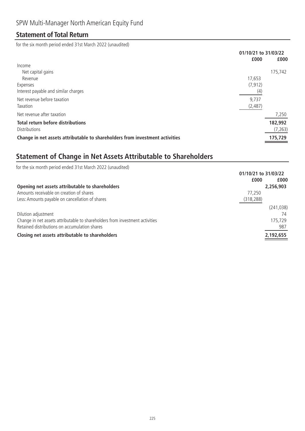### **Statement of Total Return**

for the six month period ended 31st March 2022 (unaudited)

|                                                                              | 01/10/21 to 31/03/22 |          |
|------------------------------------------------------------------------------|----------------------|----------|
|                                                                              | £000                 | £000     |
| Income                                                                       |                      |          |
| Net capital gains                                                            |                      | 175,742  |
| Revenue                                                                      | 17,653               |          |
| Expenses                                                                     | (7, 912)             |          |
| Interest payable and similar charges                                         | (4)                  |          |
| Net revenue before taxation                                                  | 9,737                |          |
| Taxation                                                                     | (2,487)              |          |
| Net revenue after taxation                                                   |                      | 7,250    |
| <b>Total return before distributions</b>                                     |                      | 182,992  |
| <b>Distributions</b>                                                         |                      | (7, 263) |
| Change in net assets attributable to shareholders from investment activities |                      | 175,729  |

# **Statement of Change in Net Assets Attributable to Shareholders**

| for the six month period ended 31st March 2022 (unaudited)                   |                      |            |
|------------------------------------------------------------------------------|----------------------|------------|
|                                                                              | 01/10/21 to 31/03/22 |            |
|                                                                              | £000                 | £000       |
| Opening net assets attributable to shareholders                              |                      | 2,256,903  |
| Amounts receivable on creation of shares                                     | 77.250               |            |
| Less: Amounts payable on cancellation of shares                              | (318, 288)           |            |
|                                                                              |                      | (241, 038) |
| Dilution adjustment                                                          |                      | 74         |
| Change in net assets attributable to shareholders from investment activities |                      | 175,729    |
| Retained distributions on accumulation shares                                |                      | 987        |
| Closing net assets attributable to shareholders                              |                      | 2,192,655  |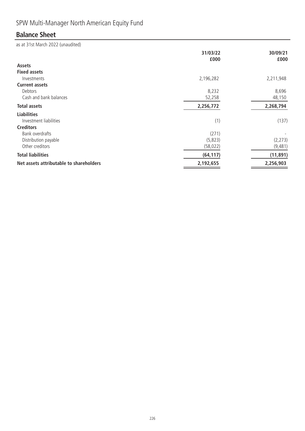# SPW Multi-Manager North American Equity Fund

# **Balance Sheet**

|                                         | 31/03/22<br>£000 | 30/09/21<br>£000 |
|-----------------------------------------|------------------|------------------|
| <b>Assets</b>                           |                  |                  |
| <b>Fixed assets</b>                     |                  |                  |
| Investments                             | 2,196,282        | 2,211,948        |
| <b>Current assets</b>                   |                  |                  |
| Debtors                                 | 8,232            | 8,696            |
| Cash and bank balances                  | 52,258           | 48,150           |
| <b>Total assets</b>                     | 2,256,772        | 2,268,794        |
| <b>Liabilities</b>                      |                  |                  |
| Investment liabilities                  | (1)              | (137)            |
| <b>Creditors</b>                        |                  |                  |
| Bank overdrafts                         | (271)            |                  |
| Distribution payable                    | (5,823)          | (2, 273)         |
| Other creditors                         | (58, 022)        | (9,481)          |
| <b>Total liabilities</b>                | (64, 117)        | (11, 891)        |
| Net assets attributable to shareholders | 2,192,655        | 2,256,903        |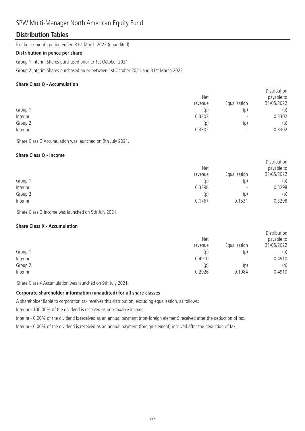### SPW Multi-Manager North American Equity Fund

### **Distribution Tables**

for the six month period ended 31st March 2022 (unaudited)

#### **Distribution in pence per share**

Group 1 Interim Shares purchased prior to 1st October 2021

Group 2 Interim Shares purchased on or between 1st October 2021 and 31st March 2022

#### **Share Class Q - Accumulation**

|         | Net     |                          | <b>DISTRIBUTION</b><br>payable to |
|---------|---------|--------------------------|-----------------------------------|
|         | revenue | Equalisation             | 31/05/2022                        |
| Group 1 | (p)     | (p)                      | (p)                               |
| Interim | 0.3302  | $\overline{\phantom{0}}$ | 0.3302                            |
| Group 2 | (p)     | (p)                      | (p)                               |
| Interim | 0.3302  | $\overline{\phantom{0}}$ | 0.3302                            |
|         |         |                          |                                   |

Distribution

Share Class Q Accumulation was launched on 9th July 2021.

#### **Share Class Q - Income**

|         | Net     |                          | Distribution<br>payable to |
|---------|---------|--------------------------|----------------------------|
|         | revenue | Equalisation             | 31/05/2022                 |
| Group 1 | (p)     | (p)                      | (p)                        |
| Interim | 0.3298  | $\overline{\phantom{0}}$ | 0.3298                     |
| Group 2 | (p)     | (p)                      | (p)                        |
| Interim | 0.1767  | 0.1531                   | 0.3298                     |

Share Class Q Income was launched on 9th July 2021.

#### **Share Class X - Accumulation**

|         | Net<br>revenue | Equalisation             | Distribution<br>payable to<br>31/05/2022 |
|---------|----------------|--------------------------|------------------------------------------|
| Group 1 | (p)            | (p)                      | (p)                                      |
| Interim | 0.4910         | $\overline{\phantom{0}}$ | 0.4910                                   |
| Group 2 | (p)            | (p)                      | (p)                                      |
| Interim | 0.2926         | 0.1984                   | 0.4910                                   |

Share Class X Accumulation was launched on 9th July 2021.

### **Corporate shareholder information (unaudited) for all share classes**

A shareholder liable to corporation tax receives this distribution, excluding equalisation, as follows:

Interim - 100.00% of the dividend is received as non-taxable income.

Interim - 0.00% of the dividend is received as an annual payment (non-foreign element) received after the deduction of tax.

Interim - 0.00% of the dividend is received as an annual payment (foreign element) received after the deduction of tax.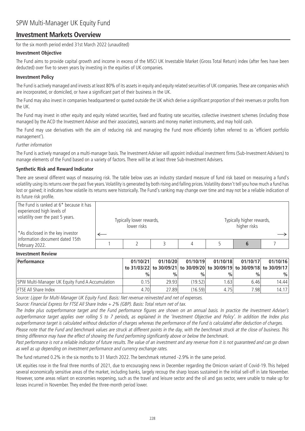### **Investment Markets Overview**

for the six month period ended 31st March 2022 (unaudited)

#### **Investment Objective**

The Fund aims to provide capital growth and income in excess of the MSCI UK Investable Market (Gross Total Return) index (after fees have been deducted) over five to seven years by investing in the equities of UK companies.

#### **Investment Policy**

The Fund is actively managed and invests at least 80% of its assets in equity and equity related securities of UK companies. These are companies which are incorporated, or domiciled, or have a significant part of their business in the UK.

The Fund may also invest in companies headquartered or quoted outside the UK which derive a significant proportion of their revenues or profits from the UK.

The Fund may invest in other equity and equity related securities, fixed and floating rate securities, collective investment schemes (including those managed by the ACD the Investment Adviser and their associates), warrants and money market instruments, and may hold cash.

The Fund may use derivatives with the aim of reducing risk and managing the Fund more efficiently (often referred to as 'efficient portfolio management').

#### Further information

The Fund is actively managed on a multi-manager basis. The Investment Adviser will appoint individual investment firms (Sub-Investment Advisers) to manage elements of the Fund based on a variety of factors. There will be at least three Sub-Investment Advisers.

#### **Synthetic Risk and Reward Indicator**

There are several different ways of measuring risk. The table below uses an industry standard measure of fund risk based on measuring a fund's volatility using its returns over the past five years.Volatility is generated by both rising and falling prices.Volatility doesn't tell you how much a fund has lost or gained; it indicates how volatile its returns were historically. The Fund's ranking may change over time and may not be a reliable indication of its future risk profile.

| The Fund is ranked at 6* because it has<br>experienced high levels of<br>volatility over the past 5 years. | Typically lower rewards,<br>lower risks |  | Typically higher rewards,<br>higher risks |  |
|------------------------------------------------------------------------------------------------------------|-----------------------------------------|--|-------------------------------------------|--|
| <sup>*</sup> As disclosed in the key investor<br>information document dated 15th                           |                                         |  |                                           |  |
| February 2022.                                                                                             |                                         |  |                                           |  |
| <b>Investment Review</b>                                                                                   |                                         |  |                                           |  |

# **Performance 01/10/21**

| <b>Performance</b>                              | 01/10/21 | 01/10/20      | 01/10/19      | 01/10/18                                                                | 01/10/17 | 01/10/16      |
|-------------------------------------------------|----------|---------------|---------------|-------------------------------------------------------------------------|----------|---------------|
|                                                 |          |               |               | to 31/03/22 to 30/09/21 to 30/09/20 to 30/09/19 to 30/09/18 to 30/09/17 |          |               |
|                                                 | $\%$     | $\frac{0}{0}$ | $\frac{0}{0}$ | %                                                                       | $\%$     | $\frac{0}{0}$ |
| SPW Multi-Manager UK Equity Fund A Accumulation | 0.15     | 29.93         | (19.52)       | 1.63                                                                    | 6.46     | 14.44         |
| <b>FTSE All Share Index</b>                     | 4.70     | 27.89         | (16.59)       | 4.75                                                                    | 7.981    | 14.17         |

Source: Lipper for Multi-Manager UK Equity Fund. Basis: Net revenue reinvested and net of expenses.

Source: Financial Express for FTSE All Share Index + 2% (GBP). Basis: Total return net of tax.

The Index plus outperformance target and the Fund performance figures are shown on an annual basis. In practice the Investment Adviser's outperformance target applies over rolling 5 to 7 periods, as explained in the 'Investment Objective and Policy'. In addition the Index plus outperformance target is calculated without deduction of charges whereas the performance of the Fund is calculated after deduction of charges. Please note that the Fund and benchmark values are struck at different points in the day, with the benchmark struck at the close of business. This

timing difference may have the effect of showing the Fund performing significantly above or below the benchmark. Past performance is not a reliable indicator of future results. The value of an investment and any revenue from it is not guaranteed and can go down as well as up depending on investment performance and currency exchange rates.

The fund returned 0.2% in the six months to 31 March 2022. The benchmark returned -2.9% in the same period.

UK equities rose in the final three months of 2021, due to encouraging news in December regarding the Omicron variant of Covid-19. This helped several economically sensitive areas of the market, including banks, largely recoup the sharp losses sustained in the initial sell-off in late November. However, some areas reliant on economies reopening, such as the travel and leisure sector and the oil and gas sector, were unable to make up for losses incurred in November. They ended the three-month period lower.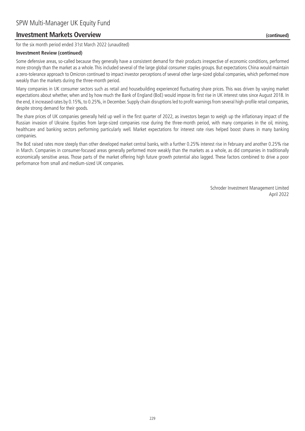### **Investment Markets Overview (continued)**

for the six month period ended 31st March 2022 (unaudited)

#### **Investment Review (continued)**

Some defensive areas, so-called because they generally have a consistent demand for their products irrespective of economic conditions, performed more strongly than the market as a whole. This included several of the large global consumer staples groups. But expectations China would maintain a zero-tolerance approach to Omicron continued to impact investor perceptions of several other large-sized global companies, which performed more weakly than the markets during the three-month period.

Many companies in UK consumer sectors such as retail and housebuilding experienced fluctuating share prices. This was driven by varying market expectations about whether, when and by how much the Bank of England (BoE) would impose its first rise in UK interest rates since August 2018. In the end, it increased rates by 0.15%, to 0.25%, in December. Supply chain disruptions led to profit warnings from several high-profile retail companies, despite strong demand for their goods.

The share prices of UK companies generally held up well in the first quarter of 2022, as investors began to weigh up the inflationary impact of the Russian invasion of Ukraine. Equities from large-sized companies rose during the three-month period, with many companies in the oil, mining, healthcare and banking sectors performing particularly well. Market expectations for interest rate rises helped boost shares in many banking companies.

The BoE raised rates more steeply than other developed market central banks, with a further 0.25% interest rise in February and another 0.25% rise in March. Companies in consumer-focused areas generally performed more weakly than the markets as a whole, as did companies in traditionally economically sensitive areas. Those parts of the market offering high future growth potential also lagged. These factors combined to drive a poor performance from small and medium-sized UK companies.

> Schroder Investment Management Limited April 2022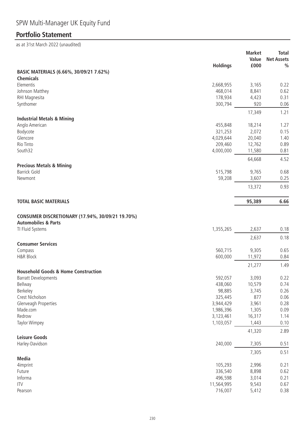# SPW Multi-Manager UK Equity Fund

# **Portfolio Statement**

|                                                                               | <b>Holdings</b>    | <b>Market</b><br>Value<br>£000 | <b>Total</b><br><b>Net Assets</b><br>$\frac{0}{0}$ |
|-------------------------------------------------------------------------------|--------------------|--------------------------------|----------------------------------------------------|
| BASIC MATERIALS (6.66%, 30/09/21 7.62%)                                       |                    |                                |                                                    |
| <b>Chemicals</b>                                                              |                    |                                |                                                    |
| Elementis                                                                     | 2,668,955          | 3,165                          | 0.22                                               |
| Johnson Matthey                                                               | 468,014            | 8,841                          | 0.62                                               |
| RHI Magnesita                                                                 | 178,934            | 4,423                          | 0.31                                               |
| Synthomer                                                                     | 300,794            | 920                            | 0.06                                               |
|                                                                               |                    | 17,349                         | 1.21                                               |
| <b>Industrial Metals &amp; Mining</b>                                         |                    |                                |                                                    |
| Anglo American                                                                | 455,848            | 18,214                         | 1.27                                               |
| Bodycote                                                                      | 321,253            | 2,072                          | 0.15                                               |
| Glencore                                                                      | 4,029,644          | 20,040                         | 1.40                                               |
| Rio Tinto<br>South32                                                          | 209,460            | 12,762                         | 0.89                                               |
|                                                                               | 4,000,000          | 11,580                         | 0.81                                               |
|                                                                               |                    | 64,668                         | 4.52                                               |
| <b>Precious Metals &amp; Mining</b><br><b>Barrick Gold</b>                    | 515,798            | 9,765                          | 0.68                                               |
| Newmont                                                                       | 59,208             | 3,607                          | 0.25                                               |
|                                                                               |                    |                                |                                                    |
|                                                                               |                    | 13,372                         | 0.93                                               |
| <b>TOTAL BASIC MATERIALS</b>                                                  |                    | 95,389                         | 6.66                                               |
| CONSUMER DISCRETIONARY (17.94%, 30/09/21 19.70%)                              |                    |                                |                                                    |
| <b>Automobiles &amp; Parts</b>                                                |                    |                                |                                                    |
| TI Fluid Systems                                                              | 1,355,265          | 2,637                          | 0.18                                               |
|                                                                               |                    | 2,637                          | 0.18                                               |
| <b>Consumer Services</b>                                                      |                    |                                |                                                    |
| Compass                                                                       | 560,715            | 9,305                          | 0.65                                               |
| <b>H&amp;R Block</b>                                                          | 600,000            | 11,972                         | 0.84                                               |
|                                                                               |                    | 21,277                         | 1.49                                               |
| <b>Household Goods &amp; Home Construction</b><br><b>Barratt Developments</b> | 592,057            | 3,093                          | 0.22                                               |
| Bellway                                                                       | 438,060            | 10,579                         | 0.74                                               |
| Berkeley                                                                      | 98,885             | 3,745                          | 0.26                                               |
| Crest Nicholson                                                               | 325,445            | 877                            | 0.06                                               |
| Glenveagh Properties                                                          | 3,944,429          | 3,961                          | 0.28                                               |
| Made.com                                                                      | 1,986,396          | 1,305                          | 0.09                                               |
| Redrow                                                                        | 3,123,461          | 16,317                         | 1.14                                               |
| Taylor Wimpey                                                                 | 1,103,057          | 1,443                          | 0.10                                               |
|                                                                               |                    | 41,320                         | 2.89                                               |
| <b>Leisure Goods</b>                                                          |                    |                                |                                                    |
| Harley-Davidson                                                               | 240,000            | 7,305                          | 0.51                                               |
|                                                                               |                    | 7,305                          | 0.51                                               |
| <b>Media</b>                                                                  |                    |                                |                                                    |
| 4imprint<br>Future                                                            | 105,293<br>336,540 | 2,996                          | 0.21                                               |
| Informa                                                                       | 496,598            | 8,898<br>3,014                 | 0.62<br>0.21                                       |
| <b>ITV</b>                                                                    | 11,564,995         | 9,543                          | 0.67                                               |
| Pearson                                                                       | 716,007            | 5,412                          | 0.38                                               |
|                                                                               |                    |                                |                                                    |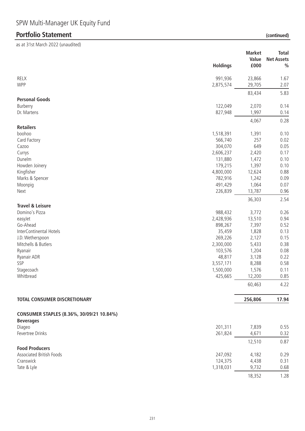# **Portfolio Statement**

|  | (continued) |
|--|-------------|
|  |             |

| <b>RELX</b><br>991,936<br>23,866<br>1.67<br><b>WPP</b><br>2.07<br>2,875,574<br>29,705<br>83,434<br>5.83<br><b>Personal Goods</b><br>Burberry<br>122,049<br>2,070<br>0.14<br>Dr. Martens<br>827,948<br>1,997<br>0.14<br>4,067<br>0.28<br><b>Retailers</b><br>boohoo<br>1,518,391<br>1,391<br>0.10<br>Card Factory<br>257<br>0.02<br>566,740<br>649<br>304,070<br>0.05<br>Cazoo<br>0.17<br>Currys<br>2,606,237<br>2,420<br>1,472<br>0.10<br>Dunelm<br>131,880<br>Howden Joinery<br>179,215<br>1,397<br>0.10<br>Kingfisher<br>4,800,000<br>12,624<br>0.88<br>782,916<br>1,242<br>0.09<br>Marks & Spencer<br>491,429<br>1,064<br>Moonpig<br>0.07<br>226,839<br>13,787<br>0.96<br>Next<br>36,303<br>2.54<br><b>Travel &amp; Leisure</b><br>Domino's Pizza<br>988,432<br>3,772<br>0.26<br>2,428,936<br>13,510<br>0.94<br>easyJet<br>Go-Ahead<br>898,267<br>7,397<br>0.52<br>1,828<br>InterContinental Hotels<br>35,459<br>0.13<br>J.D. Wetherspoon<br>269,226<br>2,127<br>0.15<br>Mitchells & Butlers<br>0.38<br>2,300,000<br>5,433<br>103,576<br>1,204<br>0.08<br>Ryanair<br>0.22<br>48,817<br>3,128<br>Ryanair ADR<br>0.58<br>SSP<br>3,557,171<br>8,288<br>1,576<br>0.11<br>Stagecoach<br>1,500,000<br>0.85<br>Whitbread<br>425,665<br>12,200<br>60,463<br>4.22<br>17.94<br><b>TOTAL CONSUMER DISCRETIONARY</b><br>256,806<br>CONSUMER STAPLES (8.36%, 30/09/21 10.84%)<br><b>Beverages</b><br>Diageo<br>201,311<br>0.55<br>7,839<br>Fevertree Drinks<br>261,824<br>4,671<br>0.32<br>12,510<br>0.87<br><b>Food Producers</b><br><b>Associated British Foods</b><br>247,092<br>4,182<br>0.29<br>Cranswick<br>124,375<br>0.31<br>4,438<br>Tate & Lyle<br>1,318,031<br>9,732<br>0.68<br>18,352<br>1.28 | <b>Holdings</b> | <b>Market</b><br>Value<br>£000 | <b>Total</b><br><b>Net Assets</b><br>$\frac{0}{0}$ |
|-------------------------------------------------------------------------------------------------------------------------------------------------------------------------------------------------------------------------------------------------------------------------------------------------------------------------------------------------------------------------------------------------------------------------------------------------------------------------------------------------------------------------------------------------------------------------------------------------------------------------------------------------------------------------------------------------------------------------------------------------------------------------------------------------------------------------------------------------------------------------------------------------------------------------------------------------------------------------------------------------------------------------------------------------------------------------------------------------------------------------------------------------------------------------------------------------------------------------------------------------------------------------------------------------------------------------------------------------------------------------------------------------------------------------------------------------------------------------------------------------------------------------------------------------------------------------------------------------------------------------------------------------------------------------------------------------|-----------------|--------------------------------|----------------------------------------------------|
|                                                                                                                                                                                                                                                                                                                                                                                                                                                                                                                                                                                                                                                                                                                                                                                                                                                                                                                                                                                                                                                                                                                                                                                                                                                                                                                                                                                                                                                                                                                                                                                                                                                                                                 |                 |                                |                                                    |
|                                                                                                                                                                                                                                                                                                                                                                                                                                                                                                                                                                                                                                                                                                                                                                                                                                                                                                                                                                                                                                                                                                                                                                                                                                                                                                                                                                                                                                                                                                                                                                                                                                                                                                 |                 |                                |                                                    |
|                                                                                                                                                                                                                                                                                                                                                                                                                                                                                                                                                                                                                                                                                                                                                                                                                                                                                                                                                                                                                                                                                                                                                                                                                                                                                                                                                                                                                                                                                                                                                                                                                                                                                                 |                 |                                |                                                    |
|                                                                                                                                                                                                                                                                                                                                                                                                                                                                                                                                                                                                                                                                                                                                                                                                                                                                                                                                                                                                                                                                                                                                                                                                                                                                                                                                                                                                                                                                                                                                                                                                                                                                                                 |                 |                                |                                                    |
|                                                                                                                                                                                                                                                                                                                                                                                                                                                                                                                                                                                                                                                                                                                                                                                                                                                                                                                                                                                                                                                                                                                                                                                                                                                                                                                                                                                                                                                                                                                                                                                                                                                                                                 |                 |                                |                                                    |
|                                                                                                                                                                                                                                                                                                                                                                                                                                                                                                                                                                                                                                                                                                                                                                                                                                                                                                                                                                                                                                                                                                                                                                                                                                                                                                                                                                                                                                                                                                                                                                                                                                                                                                 |                 |                                |                                                    |
|                                                                                                                                                                                                                                                                                                                                                                                                                                                                                                                                                                                                                                                                                                                                                                                                                                                                                                                                                                                                                                                                                                                                                                                                                                                                                                                                                                                                                                                                                                                                                                                                                                                                                                 |                 |                                |                                                    |
|                                                                                                                                                                                                                                                                                                                                                                                                                                                                                                                                                                                                                                                                                                                                                                                                                                                                                                                                                                                                                                                                                                                                                                                                                                                                                                                                                                                                                                                                                                                                                                                                                                                                                                 |                 |                                |                                                    |
|                                                                                                                                                                                                                                                                                                                                                                                                                                                                                                                                                                                                                                                                                                                                                                                                                                                                                                                                                                                                                                                                                                                                                                                                                                                                                                                                                                                                                                                                                                                                                                                                                                                                                                 |                 |                                |                                                    |
|                                                                                                                                                                                                                                                                                                                                                                                                                                                                                                                                                                                                                                                                                                                                                                                                                                                                                                                                                                                                                                                                                                                                                                                                                                                                                                                                                                                                                                                                                                                                                                                                                                                                                                 |                 |                                |                                                    |
|                                                                                                                                                                                                                                                                                                                                                                                                                                                                                                                                                                                                                                                                                                                                                                                                                                                                                                                                                                                                                                                                                                                                                                                                                                                                                                                                                                                                                                                                                                                                                                                                                                                                                                 |                 |                                |                                                    |
|                                                                                                                                                                                                                                                                                                                                                                                                                                                                                                                                                                                                                                                                                                                                                                                                                                                                                                                                                                                                                                                                                                                                                                                                                                                                                                                                                                                                                                                                                                                                                                                                                                                                                                 |                 |                                |                                                    |
|                                                                                                                                                                                                                                                                                                                                                                                                                                                                                                                                                                                                                                                                                                                                                                                                                                                                                                                                                                                                                                                                                                                                                                                                                                                                                                                                                                                                                                                                                                                                                                                                                                                                                                 |                 |                                |                                                    |
|                                                                                                                                                                                                                                                                                                                                                                                                                                                                                                                                                                                                                                                                                                                                                                                                                                                                                                                                                                                                                                                                                                                                                                                                                                                                                                                                                                                                                                                                                                                                                                                                                                                                                                 |                 |                                |                                                    |
|                                                                                                                                                                                                                                                                                                                                                                                                                                                                                                                                                                                                                                                                                                                                                                                                                                                                                                                                                                                                                                                                                                                                                                                                                                                                                                                                                                                                                                                                                                                                                                                                                                                                                                 |                 |                                |                                                    |
|                                                                                                                                                                                                                                                                                                                                                                                                                                                                                                                                                                                                                                                                                                                                                                                                                                                                                                                                                                                                                                                                                                                                                                                                                                                                                                                                                                                                                                                                                                                                                                                                                                                                                                 |                 |                                |                                                    |
|                                                                                                                                                                                                                                                                                                                                                                                                                                                                                                                                                                                                                                                                                                                                                                                                                                                                                                                                                                                                                                                                                                                                                                                                                                                                                                                                                                                                                                                                                                                                                                                                                                                                                                 |                 |                                |                                                    |
|                                                                                                                                                                                                                                                                                                                                                                                                                                                                                                                                                                                                                                                                                                                                                                                                                                                                                                                                                                                                                                                                                                                                                                                                                                                                                                                                                                                                                                                                                                                                                                                                                                                                                                 |                 |                                |                                                    |
|                                                                                                                                                                                                                                                                                                                                                                                                                                                                                                                                                                                                                                                                                                                                                                                                                                                                                                                                                                                                                                                                                                                                                                                                                                                                                                                                                                                                                                                                                                                                                                                                                                                                                                 |                 |                                |                                                    |
|                                                                                                                                                                                                                                                                                                                                                                                                                                                                                                                                                                                                                                                                                                                                                                                                                                                                                                                                                                                                                                                                                                                                                                                                                                                                                                                                                                                                                                                                                                                                                                                                                                                                                                 |                 |                                |                                                    |
|                                                                                                                                                                                                                                                                                                                                                                                                                                                                                                                                                                                                                                                                                                                                                                                                                                                                                                                                                                                                                                                                                                                                                                                                                                                                                                                                                                                                                                                                                                                                                                                                                                                                                                 |                 |                                |                                                    |
|                                                                                                                                                                                                                                                                                                                                                                                                                                                                                                                                                                                                                                                                                                                                                                                                                                                                                                                                                                                                                                                                                                                                                                                                                                                                                                                                                                                                                                                                                                                                                                                                                                                                                                 |                 |                                |                                                    |
|                                                                                                                                                                                                                                                                                                                                                                                                                                                                                                                                                                                                                                                                                                                                                                                                                                                                                                                                                                                                                                                                                                                                                                                                                                                                                                                                                                                                                                                                                                                                                                                                                                                                                                 |                 |                                |                                                    |
|                                                                                                                                                                                                                                                                                                                                                                                                                                                                                                                                                                                                                                                                                                                                                                                                                                                                                                                                                                                                                                                                                                                                                                                                                                                                                                                                                                                                                                                                                                                                                                                                                                                                                                 |                 |                                |                                                    |
|                                                                                                                                                                                                                                                                                                                                                                                                                                                                                                                                                                                                                                                                                                                                                                                                                                                                                                                                                                                                                                                                                                                                                                                                                                                                                                                                                                                                                                                                                                                                                                                                                                                                                                 |                 |                                |                                                    |
|                                                                                                                                                                                                                                                                                                                                                                                                                                                                                                                                                                                                                                                                                                                                                                                                                                                                                                                                                                                                                                                                                                                                                                                                                                                                                                                                                                                                                                                                                                                                                                                                                                                                                                 |                 |                                |                                                    |
|                                                                                                                                                                                                                                                                                                                                                                                                                                                                                                                                                                                                                                                                                                                                                                                                                                                                                                                                                                                                                                                                                                                                                                                                                                                                                                                                                                                                                                                                                                                                                                                                                                                                                                 |                 |                                |                                                    |
|                                                                                                                                                                                                                                                                                                                                                                                                                                                                                                                                                                                                                                                                                                                                                                                                                                                                                                                                                                                                                                                                                                                                                                                                                                                                                                                                                                                                                                                                                                                                                                                                                                                                                                 |                 |                                |                                                    |
|                                                                                                                                                                                                                                                                                                                                                                                                                                                                                                                                                                                                                                                                                                                                                                                                                                                                                                                                                                                                                                                                                                                                                                                                                                                                                                                                                                                                                                                                                                                                                                                                                                                                                                 |                 |                                |                                                    |
|                                                                                                                                                                                                                                                                                                                                                                                                                                                                                                                                                                                                                                                                                                                                                                                                                                                                                                                                                                                                                                                                                                                                                                                                                                                                                                                                                                                                                                                                                                                                                                                                                                                                                                 |                 |                                |                                                    |
|                                                                                                                                                                                                                                                                                                                                                                                                                                                                                                                                                                                                                                                                                                                                                                                                                                                                                                                                                                                                                                                                                                                                                                                                                                                                                                                                                                                                                                                                                                                                                                                                                                                                                                 |                 |                                |                                                    |
|                                                                                                                                                                                                                                                                                                                                                                                                                                                                                                                                                                                                                                                                                                                                                                                                                                                                                                                                                                                                                                                                                                                                                                                                                                                                                                                                                                                                                                                                                                                                                                                                                                                                                                 |                 |                                |                                                    |
|                                                                                                                                                                                                                                                                                                                                                                                                                                                                                                                                                                                                                                                                                                                                                                                                                                                                                                                                                                                                                                                                                                                                                                                                                                                                                                                                                                                                                                                                                                                                                                                                                                                                                                 |                 |                                |                                                    |
|                                                                                                                                                                                                                                                                                                                                                                                                                                                                                                                                                                                                                                                                                                                                                                                                                                                                                                                                                                                                                                                                                                                                                                                                                                                                                                                                                                                                                                                                                                                                                                                                                                                                                                 |                 |                                |                                                    |
|                                                                                                                                                                                                                                                                                                                                                                                                                                                                                                                                                                                                                                                                                                                                                                                                                                                                                                                                                                                                                                                                                                                                                                                                                                                                                                                                                                                                                                                                                                                                                                                                                                                                                                 |                 |                                |                                                    |
|                                                                                                                                                                                                                                                                                                                                                                                                                                                                                                                                                                                                                                                                                                                                                                                                                                                                                                                                                                                                                                                                                                                                                                                                                                                                                                                                                                                                                                                                                                                                                                                                                                                                                                 |                 |                                |                                                    |
|                                                                                                                                                                                                                                                                                                                                                                                                                                                                                                                                                                                                                                                                                                                                                                                                                                                                                                                                                                                                                                                                                                                                                                                                                                                                                                                                                                                                                                                                                                                                                                                                                                                                                                 |                 |                                |                                                    |
|                                                                                                                                                                                                                                                                                                                                                                                                                                                                                                                                                                                                                                                                                                                                                                                                                                                                                                                                                                                                                                                                                                                                                                                                                                                                                                                                                                                                                                                                                                                                                                                                                                                                                                 |                 |                                |                                                    |
|                                                                                                                                                                                                                                                                                                                                                                                                                                                                                                                                                                                                                                                                                                                                                                                                                                                                                                                                                                                                                                                                                                                                                                                                                                                                                                                                                                                                                                                                                                                                                                                                                                                                                                 |                 |                                |                                                    |
|                                                                                                                                                                                                                                                                                                                                                                                                                                                                                                                                                                                                                                                                                                                                                                                                                                                                                                                                                                                                                                                                                                                                                                                                                                                                                                                                                                                                                                                                                                                                                                                                                                                                                                 |                 |                                |                                                    |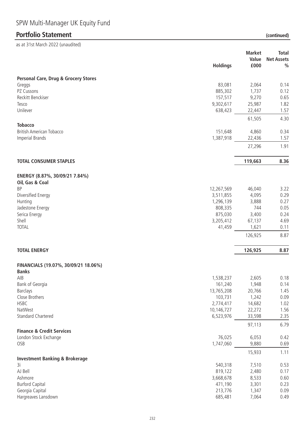$\frac{1}{2}$ s at 31st March 2022 (unaudited)

| ds dt 5 ist March 2022 (unduchted)                   |                        |                |                                    |
|------------------------------------------------------|------------------------|----------------|------------------------------------|
|                                                      |                        | <b>Market</b>  | <b>Total</b>                       |
|                                                      | <b>Holdings</b>        | Value<br>£000  | <b>Net Assets</b><br>$\frac{0}{0}$ |
|                                                      |                        |                |                                    |
| <b>Personal Care, Drug &amp; Grocery Stores</b>      |                        |                |                                    |
| Greggs                                               | 83,081                 | 2,064          | 0.14                               |
| PZ Cussons                                           | 885,302                | 1,737          | 0.12                               |
| Reckitt Benckiser                                    | 157,517                | 9,270          | 0.65                               |
| Tesco                                                | 9,302,617              | 25,987         | 1.82                               |
| Unilever                                             | 638,423                | 22,447         | 1.57                               |
| <b>Tobacco</b>                                       |                        | 61,505         | 4.30                               |
| <b>British American Tobacco</b>                      | 151,648                | 4,860          | 0.34                               |
| <b>Imperial Brands</b>                               | 1,387,918              | 22,436         | 1.57                               |
|                                                      |                        | 27,296         | 1.91                               |
| <b>TOTAL CONSUMER STAPLES</b>                        |                        | 119,663        | 8.36                               |
|                                                      |                        |                |                                    |
| ENERGY (8.87%, 30/09/21 7.84%)                       |                        |                |                                    |
| Oil, Gas & Coal                                      |                        |                |                                    |
| BP                                                   | 12,267,569             | 46,040         | 3.22                               |
| Diversified Energy<br>Hunting                        | 3,511,855<br>1,296,139 | 4,095<br>3,888 | 0.29<br>0.27                       |
| Jadestone Energy                                     | 808,335                | 744            | 0.05                               |
| Serica Energy                                        | 875,030                | 3,400          | 0.24                               |
| Shell                                                | 3,205,412              | 67,137         | 4.69                               |
| <b>TOTAL</b>                                         | 41,459                 | 1,621          | 0.11                               |
|                                                      |                        | 126,925        | 8.87                               |
| <b>TOTAL ENERGY</b>                                  |                        | 126,925        | 8.87                               |
|                                                      |                        |                |                                    |
| FINANCIALS (19.07%, 30/09/21 18.06%)<br><b>Banks</b> |                        |                |                                    |
| AIB                                                  | 1,538,237              | 2,605          | 0.18                               |
| Bank of Georgia                                      | 161,240                | 1,948          | 0.14                               |
| <b>Barclays</b>                                      | 13,765,208             | 20,766         | 1.45                               |
| Close Brothers                                       | 103,731                | 1,242          | 0.09                               |
| <b>HSBC</b>                                          | 2,774,417              | 14,682         | 1.02                               |
| NatWest                                              | 10,146,727             | 22,272         | 1.56                               |
| <b>Standard Chartered</b>                            | 6,523,976              | 33,598         | 2.35                               |
| <b>Finance &amp; Credit Services</b>                 |                        | 97,113         | 6.79                               |
| London Stock Exchange                                | 76,025                 | 6,053          | 0.42                               |
| OSB                                                  | 1,747,060              | 9,880          | 0.69                               |
|                                                      |                        | 15,933         | 1.11                               |
| <b>Investment Banking &amp; Brokerage</b>            |                        |                |                                    |
| 3i                                                   | 540,318                | 7,510          | 0.53                               |
| AJ Bell                                              | 819,122                | 2,480          | 0.17                               |
| Ashmore                                              | 3,668,678              | 8,533          | 0.60                               |
| <b>Burford Capital</b>                               | 471,190                | 3,301          | 0.23                               |
| Georgia Capital                                      | 213,776                | 1,347          | 0.09                               |
| Hargreaves Lansdown                                  | 685,481                | 7,064          | 0.49                               |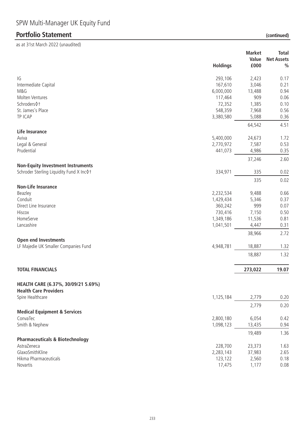| (continued |  |
|------------|--|

|                                                                                        | <b>Holdings</b> | <b>Market</b><br>Value<br>£000 | <b>Total</b><br><b>Net Assets</b><br>$\frac{0}{0}$ |
|----------------------------------------------------------------------------------------|-----------------|--------------------------------|----------------------------------------------------|
| IG                                                                                     | 293,106         | 2,423                          | 0.17                                               |
| Intermediate Capital                                                                   | 167,610         | 3,046                          | 0.21                                               |
| M&G                                                                                    | 6,000,000       | 13,488                         | 0.94                                               |
| Molten Ventures                                                                        | 117,464         | 909                            | 0.06                                               |
| Schroders 0+                                                                           | 72,352          | 1,385                          | 0.10                                               |
| St. James's Place                                                                      | 548,359         | 7,968                          | 0.56                                               |
| TP ICAP                                                                                | 3,380,580       | 5,088                          | 0.36                                               |
|                                                                                        |                 | 64,542                         | 4.51                                               |
| Life Insurance                                                                         |                 |                                |                                                    |
| Aviva                                                                                  | 5,400,000       | 24,673                         | 1.72                                               |
| Legal & General                                                                        | 2,770,972       | 7,587                          | 0.53                                               |
| Prudential                                                                             | 441,073         | 4,986                          | 0.35                                               |
|                                                                                        |                 | 37,246                         | 2.60                                               |
| <b>Non-Equity Investment Instruments</b><br>Schroder Sterling Liquidity Fund X Inc 0 t | 334,971         | 335                            | 0.02                                               |
|                                                                                        |                 | 335                            | 0.02                                               |
| <b>Non-Life Insurance</b>                                                              |                 |                                |                                                    |
| Beazley                                                                                | 2,232,534       | 9,488                          | 0.66                                               |
| Conduit                                                                                | 1,429,434       | 5,346                          | 0.37                                               |
| Direct Line Insurance                                                                  | 360,242         | 999                            | 0.07                                               |
| Hiscox                                                                                 | 730,416         | 7,150                          | 0.50                                               |
| HomeServe                                                                              | 1,349,186       | 11,536                         | 0.81                                               |
| Lancashire                                                                             | 1,041,501       | 4,447                          | 0.31                                               |
|                                                                                        |                 | 38,966                         | 2.72                                               |
| <b>Open end Investments</b><br>LF Majedie UK Smaller Companies Fund                    | 4,948,781       | 18,887                         | 1.32                                               |
|                                                                                        |                 |                                | 1.32                                               |
|                                                                                        |                 | 18,887                         |                                                    |
| <b>TOTAL FINANCIALS</b>                                                                |                 | 273,022                        | 19.07                                              |
| HEALTH CARE (6.37%, 30/09/21 5.69%)                                                    |                 |                                |                                                    |
| <b>Health Care Providers</b>                                                           |                 |                                |                                                    |
| Spire Healthcare                                                                       | 1,125,184       | 2,779                          | 0.20                                               |
|                                                                                        |                 | 2,779                          | 0.20                                               |
| <b>Medical Equipment &amp; Services</b>                                                |                 |                                |                                                    |
| ConvaTec                                                                               | 2,800,180       | 6,054                          | 0.42                                               |
| Smith & Nephew                                                                         | 1,098,123       | 13,435                         | 0.94                                               |
|                                                                                        |                 | 19,489                         | 1.36                                               |
| <b>Pharmaceuticals &amp; Biotechnology</b><br>AstraZeneca                              | 228,700         | 23,373                         | 1.63                                               |
| GlaxoSmithKline                                                                        | 2,283,143       | 37,983                         | 2.65                                               |
| Hikma Pharmaceuticals                                                                  | 123,122         | 2,560                          | 0.18                                               |
| Novartis                                                                               | 17,475          | 1,177                          | 0.08                                               |
|                                                                                        |                 |                                |                                                    |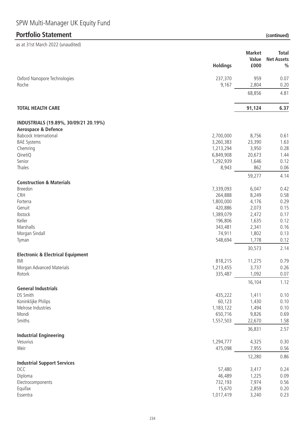$\frac{1}{2}$ s at 31st March 2022 (unaudited)

| ds at 3 ist March 2022 (unaudited)           |                 |                 |                   |
|----------------------------------------------|-----------------|-----------------|-------------------|
|                                              |                 | <b>Market</b>   | <b>Total</b>      |
|                                              |                 | Value           | <b>Net Assets</b> |
|                                              | <b>Holdings</b> | £000            | $\frac{0}{0}$     |
| Oxford Nanopore Technologies                 | 237,370         | 959             | 0.07              |
| Roche                                        | 9,167           | 2,804           | 0.20              |
|                                              |                 | 68,856          | 4.81              |
| <b>TOTAL HEALTH CARE</b>                     |                 | 91,124          | 6.37              |
| INDUSTRIALS (19.89%, 30/09/21 20.19%)        |                 |                 |                   |
| <b>Aerospace &amp; Defence</b>               |                 |                 |                   |
| <b>Babcock International</b>                 | 2,700,000       | 8,756           | 0.61              |
| <b>BAE Systems</b>                           | 3,260,383       | 23,390          | 1.63              |
| Chemring                                     | 1,213,294       | 3,950           | 0.28              |
| QinetiQ                                      | 6,849,908       | 20,673          | 1.44              |
| Senior                                       | 1,292,939       | 1,646           | 0.12              |
| Thales                                       | 8,943           | 862             | 0.06              |
| <b>Construction &amp; Materials</b>          |                 | 59,277          | 4.14              |
| Breedon                                      | 7,339,093       | 6,047           | 0.42              |
| CRH                                          | 264,888         | 8,249           | 0.58              |
| Forterra                                     | 1,800,000       | 4,176           | 0.29              |
| Genuit                                       | 420,886         | 2,073           | 0.15              |
| Ibstock                                      | 1,389,079       | 2,472           | 0.17              |
| Keller                                       | 196,806         | 1,635           | 0.12              |
| Marshalls                                    | 343,481         | 2,341           | 0.16              |
| Morgan Sindall                               | 74,911          | 1,802           | 0.13              |
| Tyman                                        | 548,694         | 1,778           | 0.12              |
|                                              |                 | 30,573          | 2.14              |
| <b>Electronic &amp; Electrical Equipment</b> |                 |                 |                   |
| IMI                                          | 818,215         | 11,275          | 0.79              |
| Morgan Advanced Materials                    | 1,213,455       | 3,737           | 0.26              |
| Rotork                                       | 335,487         | 1,092<br>16,104 | 0.07<br>1.12      |
| <b>General Industrials</b>                   |                 |                 |                   |
| DS Smith                                     | 435,222         | 1,411           | 0.10              |
| Koninklijke Philips                          | 60,123          | 1,430           | 0.10              |
| Melrose Industries                           | 1,183,122       | 1,494           | 0.10              |
| Mondi                                        | 650,716         | 9,826           | 0.69              |
| Smiths                                       | 1,557,503       | 22,670          | 1.58              |
| <b>Industrial Engineering</b>                |                 | 36,831          | 2.57              |
| Vesuvius                                     | 1,294,777       | 4,325           | 0.30              |
| Weir                                         | 475,098         | 7,955           | 0.56              |
|                                              |                 | 12,280          | 0.86              |
| <b>Industrial Support Services</b>           |                 |                 |                   |
| DCC                                          | 57,480          | 3,417           | 0.24              |
| Diploma                                      | 46,489          | 1,225           | 0.09              |
| Electrocomponents                            | 732,193         | 7,974           | 0.56              |
| Equifax                                      | 15,670          | 2,859           | 0.20              |
| Essentra                                     | 1,017,419       | 3,240           | 0.23              |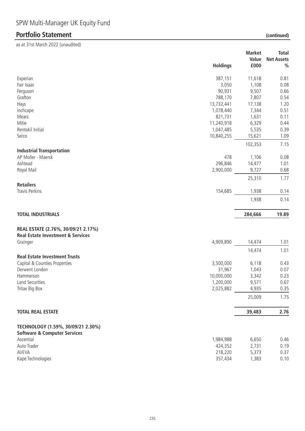|                                                        | <b>Holdings</b> | <b>Market</b><br>Value<br>£000 | <b>Total</b><br><b>Net Assets</b><br>$\%$ |
|--------------------------------------------------------|-----------------|--------------------------------|-------------------------------------------|
| Experian                                               | 387,151         | 11,618                         | 0.81                                      |
| Fair Isaac                                             | 3,050           | 1,108                          | 0.08                                      |
| Ferguson                                               | 90,931          | 9,507                          | 0.66                                      |
| Grafton                                                | 788,170         | 7,807                          | 0.54                                      |
| Hays                                                   | 13,732,441      | 17,138                         | 1.20                                      |
| Inchcape                                               | 1,078,440       | 7,344                          | 0.51                                      |
| Mears                                                  | 821,731         | 1,631                          | 0.11                                      |
| Mitie                                                  | 11,240,918      | 6,329                          | 0.44                                      |
| Rentokil Initial                                       | 1,047,485       | 5,535                          | 0.39                                      |
| Serco                                                  | 10,840,255      | 15,621                         | 1.09                                      |
|                                                        |                 | 102,353                        | 7.15                                      |
| <b>Industrial Transportation</b><br>AP Moller - Maersk | 478             |                                | 0.08                                      |
| Ashtead                                                | 296,846         | 1,106<br>14,477                | 1.01                                      |
| Royal Mail                                             | 2,900,000       | 9,727                          | 0.68                                      |
|                                                        |                 | 25,310                         | 1.77                                      |
| <b>Retailers</b>                                       |                 |                                |                                           |
| Travis Perkins                                         | 154,685         | 1,938                          | 0.14                                      |
|                                                        |                 | 1,938                          | 0.14                                      |
| <b>TOTAL INDUSTRIALS</b>                               |                 | 284,666                        | 19.89                                     |
| REAL ESTATE (2.76%, 30/09/21 2.17%)                    |                 |                                |                                           |
| <b>Real Estate Investment &amp; Services</b>           |                 |                                |                                           |
| Grainger                                               | 4,909,890       | 14,474                         | 1.01                                      |
|                                                        |                 | 14,474                         | 1.01                                      |
| <b>Real Estate Investment Trusts</b>                   |                 |                                |                                           |
| Capital & Counties Properties                          | 3,500,000       | 6,118                          | 0.43                                      |
| Derwent London                                         | 31,967          | 1,043                          | 0.07                                      |
| Hammerson                                              | 10,000,000      | 3,342                          | 0.23                                      |
| Land Securities                                        | 1,200,000       | 9,571                          | 0.67                                      |
| Tritax Big Box                                         | 2,025,882       | 4,935                          | 0.35                                      |
|                                                        |                 | 25,009                         | 1.75                                      |
| <b>TOTAL REAL ESTATE</b>                               |                 | 39,483                         | 2.76                                      |
| TECHNOLOGY (1.59%, 30/09/21 2.30%)                     |                 |                                |                                           |
| <b>Software &amp; Computer Services</b>                |                 |                                |                                           |
| Ascential                                              | 1,984,988       | 6,650                          | 0.46                                      |
| Auto Trader                                            | 424,352         | 2,731                          | 0.19                                      |
| AVEVA                                                  | 218,220         | 5,373                          | 0.37                                      |
| Kape Technologies                                      | 357,434         | 1,383                          | 0.10                                      |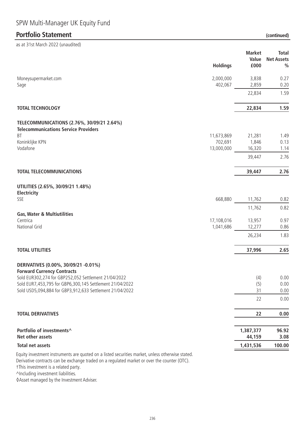# SPW Multi-Manager UK Equity Fund

### **Portfolio Statement**

as at 31st March 2022 (unaudited)

| (continued) |  |
|-------------|--|
|             |  |

|                                                                                                  | <b>Holdings</b>      | <b>Market</b><br>Value<br>£000 | <b>Total</b><br><b>Net Assets</b><br>$\frac{0}{0}$ |
|--------------------------------------------------------------------------------------------------|----------------------|--------------------------------|----------------------------------------------------|
| Moneysupermarket.com<br>Sage                                                                     | 2,000,000<br>402,067 | 3,838<br>2,859                 | 0.27<br>0.20                                       |
|                                                                                                  |                      | 22,834                         | 1.59                                               |
| <b>TOTAL TECHNOLOGY</b>                                                                          |                      | 22,834                         | 1.59                                               |
| TELECOMMUNICATIONS (2.76%, 30/09/21 2.64%)<br><b>Telecommunications Service Providers</b>        |                      |                                |                                                    |
| <b>BT</b>                                                                                        | 11,673,869           | 21,281                         | 1.49                                               |
| Koninklijke KPN                                                                                  | 702,691              | 1,846                          | 0.13                                               |
| Vodafone                                                                                         | 13,000,000           | 16,320                         | 1.14                                               |
|                                                                                                  |                      | 39,447                         | 2.76                                               |
| <b>TOTAL TELECOMMUNICATIONS</b>                                                                  |                      | 39,447                         | 2.76                                               |
| UTILITIES (2.65%, 30/09/21 1.48%)<br>Electricity                                                 |                      |                                |                                                    |
| SSE                                                                                              | 668,880              | 11,762                         | 0.82                                               |
|                                                                                                  |                      | 11,762                         | 0.82                                               |
| <b>Gas, Water &amp; Multiutilities</b>                                                           |                      |                                |                                                    |
| Centrica                                                                                         | 17,108,016           | 13,957                         | 0.97                                               |
| National Grid                                                                                    | 1,041,686            | 12,277                         | 0.86                                               |
|                                                                                                  |                      | 26,234                         | 1.83                                               |
| <b>TOTAL UTILITIES</b>                                                                           |                      | 37,996                         | 2.65                                               |
| DERIVATIVES (0.00%, 30/09/21 -0.01%)<br><b>Forward Currency Contracts</b>                        |                      |                                |                                                    |
| Sold EUR302,274 for GBP252,052 Settlement 21/04/2022                                             |                      | (4)                            | 0.00                                               |
| Sold EUR7,453,795 for GBP6,300,145 Settlement 21/04/2022                                         |                      | (5)                            | 0.00                                               |
| Sold USD5,094,884 for GBP3,912,633 Settlement 21/04/2022                                         |                      | 31                             | 0.00                                               |
|                                                                                                  |                      | 22                             | 0.00                                               |
| <b>TOTAL DERIVATIVES</b>                                                                         |                      | 22                             | 0.00                                               |
| Portfolio of investments^<br>Net other assets                                                    |                      | 1,387,377<br>44,159            | 96.92<br>3.08                                      |
| <b>Total net assets</b>                                                                          |                      | 1,431,536                      | 100.00                                             |
| Equity investment instruments are quoted on a listed securities market, unless otherwise stated. |                      |                                |                                                    |

Derivative contracts can be exchange traded on a regulated market or over the counter (OTC).

†This investment is a related party.

^Including investment liabilities.

◊Asset managed by the Investment Adviser.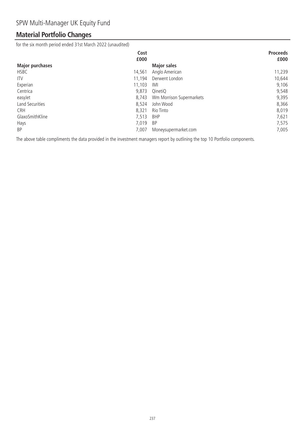# **Material Portfolio Changes**

for the six month period ended 31st March 2022 (unaudited)

| Cost                     |                          | <b>Proceeds</b> |
|--------------------------|--------------------------|-----------------|
| £000                     |                          | £000            |
| <b>Major purchases</b>   | <b>Major sales</b>       |                 |
| <b>HSBC</b><br>14,561    | Anglo American           | 11,239          |
| 11,194<br><b>ITV</b>     | Derwent London           | 10,644          |
| 11,103<br>Experian       | IMI                      | 9,106           |
| Centrica<br>9,873        | QinetiQ                  | 9,548           |
| 8,743<br>easyJet         | Wm Morrison Supermarkets | 9,395           |
| Land Securities<br>8,524 | John Wood                | 8,366           |
| 8,321<br><b>CRH</b>      | Rio Tinto                | 8,019           |
| GlaxoSmithKline<br>7,513 | <b>BHP</b>               | 7,621           |
| 7,019<br>Hays            | <b>BP</b>                | 7,575           |
| <b>BP</b><br>7,007       | Moneysupermarket.com     | 7,005           |

The above table compliments the data provided in the investment managers report by outlining the top 10 Portfolio components.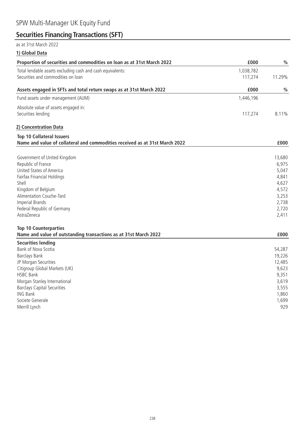# **Securities Financing Transactions (SFT)**

### as at 31st March 2022

**1) Global Data**

| Proportion of securities and commodities on loan as at 31st March 2022      | £000      | $\%$          |
|-----------------------------------------------------------------------------|-----------|---------------|
| Total lendable assets excluding cash and cash equivalents:                  | 1,038,782 |               |
| Securities and commodities on loan                                          | 117,274   | 11.29%        |
|                                                                             |           |               |
| Assets engaged in SFTs and total return swaps as at 31st March 2022         | £000      | $\frac{0}{0}$ |
| Fund assets under management (AUM)                                          | 1,446,196 |               |
| Absolute value of assets engaged in:                                        |           |               |
| Securities lending                                                          | 117,274   | 8.11%         |
| 2) Concentration Data                                                       |           |               |
| <b>Top 10 Collateral Issuers</b>                                            |           |               |
| Name and value of collateral and commodities received as at 31st March 2022 |           | £000          |
|                                                                             |           |               |
| Government of United Kingdom                                                |           | 13,680        |
| Republic of France                                                          |           | 6,975         |
| United States of America                                                    |           | 5,047         |
| Fairfax Financial Holdings                                                  |           | 4,841         |
| Shell                                                                       |           | 4,627         |
| Kingdom of Belgium                                                          |           | 4,572         |
| Alimentation Couche-Tard                                                    |           | 3,253         |
| <b>Imperial Brands</b>                                                      |           | 2,738         |
| Federal Republic of Germany<br>AstraZeneca                                  |           | 2,720         |
|                                                                             |           | 2,411         |
| <b>Top 10 Counterparties</b>                                                |           |               |
| Name and value of outstanding transactions as at 31st March 2022            |           | £000          |
| <b>Securities lending</b>                                                   |           |               |
| Bank of Nova Scotia                                                         |           | 54,287        |
| Barclays Bank                                                               |           | 19,226        |
| JP Morgan Securities                                                        |           | 12,485        |
| Citigroup Global Markets (UK)                                               |           | 9,623         |
| <b>HSBC Bank</b>                                                            |           | 9,351         |
| Morgan Stanley International                                                |           | 3,619         |
| <b>Barclays Capital Securities</b>                                          |           | 3,555         |
| <b>ING Bank</b>                                                             |           | 1,860         |
| Societe Generale                                                            |           | 1,699         |
| Merrill Lynch                                                               |           | 929           |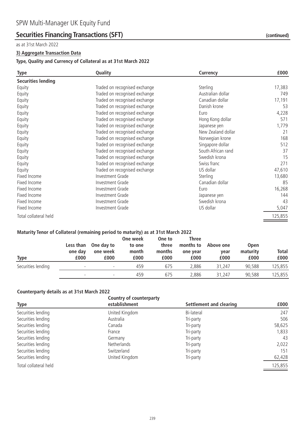### **Securities Financing Transactions (SFT)** *(continued)* (continued)

#### as at 31st March 2022

#### **3) Aggregate Transaction Data**

#### **Type, Quality and Currency of Collateral as at 31st March 2022**

| <b>Type</b>               | Quality                       | <b>Currency</b>    | £000    |
|---------------------------|-------------------------------|--------------------|---------|
| <b>Securities lending</b> |                               |                    |         |
| Equity                    | Traded on recognised exchange | Sterling           | 17,383  |
| Equity                    | Traded on recognised exchange | Australian dollar  | 749     |
| Equity                    | Traded on recognised exchange | Canadian dollar    | 17,191  |
| Equity                    | Traded on recognised exchange | Danish krone       | 53      |
| Equity                    | Traded on recognised exchange | Euro               | 4,228   |
| Equity                    | Traded on recognised exchange | Hong Kong dollar   | 571     |
| Equity                    | Traded on recognised exchange | Japanese yen       | 1,779   |
| Equity                    | Traded on recognised exchange | New Zealand dollar | 21      |
| Equity                    | Traded on recognised exchange | Norwegian krone    | 168     |
| Equity                    | Traded on recognised exchange | Singapore dollar   | 512     |
| Equity                    | Traded on recognised exchange | South African rand | 37      |
| Equity                    | Traded on recognised exchange | Swedish krona      | 15      |
| Equity                    | Traded on recognised exchange | Swiss franc        | 271     |
| Equity                    | Traded on recognised exchange | US dollar          | 47,610  |
| Fixed Income              | Investment Grade              | Sterling           | 13,680  |
| Fixed Income              | Investment Grade              | Canadian dollar    | 85      |
| Fixed Income              | Investment Grade              | Euro               | 16,268  |
| Fixed Income              | Investment Grade              | Japanese yen       | 144     |
| Fixed Income              | Investment Grade              | Swedish krona      | 43      |
| Fixed Income              | Investment Grade              | US dollar          | 5,047   |
| Total collateral held     |                               |                    | 125,855 |

#### **Maturity Tenor of Collateral (remaining period to maturity) as at 31st March 2022**

| <b>Type</b>        | Less than<br>one day<br>£000 | One day to<br>one week<br>£000 | One week<br>to one<br>month<br>£000 | One to<br>three<br>months<br>£000 | Three<br>months to<br>one year<br>£000 | Above one<br>year<br>£000 | <b>Open</b><br>maturity<br>£000 | <b>Total</b><br>£000 |
|--------------------|------------------------------|--------------------------------|-------------------------------------|-----------------------------------|----------------------------------------|---------------------------|---------------------------------|----------------------|
| Securities lending |                              | $\overline{\phantom{a}}$       | 459                                 | 675                               | 2.886                                  | 31,247                    | 90.588                          | 125,855              |
|                    | $\overline{\phantom{0}}$     | $\overline{\phantom{0}}$       | 459                                 | 675                               | 2.886                                  | 31,247                    | 90,588                          | 125,855              |

#### **Counterparty details as at 31st March 2022**

|                       | Country of counterparty |                         |         |
|-----------------------|-------------------------|-------------------------|---------|
| <b>Type</b>           | establishment           | Settlement and clearing | £000    |
| Securities lending    | United Kingdom          | Bi-lateral              | 247     |
| Securities lending    | Australia               | Tri-party               | 506     |
| Securities lending    | Canada                  | Tri-party               | 58,625  |
| Securities lending    | France                  | Tri-party               | 1,833   |
| Securities lending    | Germany                 | Tri-party               | 43      |
| Securities lending    | <b>Netherlands</b>      | Tri-party               | 2,022   |
| Securities lending    | Switzerland             | Tri-party               | 151     |
| Securities lending    | United Kingdom          | Tri-party               | 62,428  |
| Total collateral held |                         |                         | 125,855 |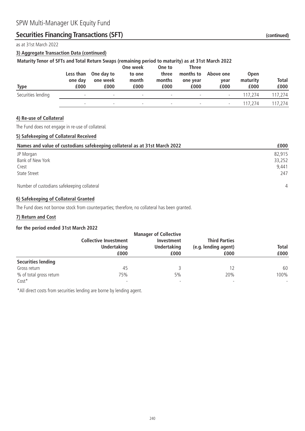# **Securities Financing Transactions (SFT)** *(continued)* (continued)

as at 31st March 2022

#### **3) Aggregate Transaction Data (continued)**

#### **Maturity Tenor of SFTs and Total Return Swaps (remaining period to maturity) as at 31st March 2022**

| Type               | Less than<br>one day<br>£000 | One day to<br>one week<br>£000 | One week<br>to one<br>month<br>£000 | One to<br>three<br>months<br>£000 | Three<br>months to<br>one year<br>£000 | Above one<br>year<br>£000 | <b>Open</b><br>maturity<br>£000 | <b>Total</b><br>£000 |
|--------------------|------------------------------|--------------------------------|-------------------------------------|-----------------------------------|----------------------------------------|---------------------------|---------------------------------|----------------------|
| Securities lending | $\overline{\phantom{0}}$     | $\overline{\phantom{0}}$       | $\overline{\phantom{a}}$            | $\overline{\phantom{a}}$          | $\overline{\phantom{a}}$               | $\overline{\phantom{a}}$  | 117.274                         | 117,274              |
|                    |                              | $\overline{\phantom{0}}$       | $\overline{\phantom{a}}$            | $\overline{\phantom{a}}$          | $\overline{\phantom{a}}$               | $\overline{\phantom{a}}$  | 117.274                         | 117.274              |

#### **4) Re-use of Collateral**

The Fund does not engage in re-use of collateral.

#### **5) Safekeeping of Collateral Received**

| Names and value of custodians safekeeping collateral as at 31st March 2022 | £000           |
|----------------------------------------------------------------------------|----------------|
| JP Morgan                                                                  | 82,915         |
| Bank of New York                                                           | 33,252         |
| Crest                                                                      | 9.441          |
| <b>State Street</b>                                                        | 247            |
| Number of custodians safekeeping collateral                                | $\overline{4}$ |

#### **6) Safekeeping of Collateral Granted**

The Fund does not borrow stock from counterparties; therefore, no collateral has been granted.

#### **7) Return and Cost**

#### **for the period ended 31st March 2022**

|                           |                              | <b>Manager of Collective</b> |                              |                      |
|---------------------------|------------------------------|------------------------------|------------------------------|----------------------|
|                           | <b>Collective Investment</b> | Investment                   |                              |                      |
|                           | <b>Undertaking</b><br>£000   | <b>Undertaking</b><br>£000   | (e.g. lending agent)<br>£000 | <b>Total</b><br>£000 |
|                           |                              |                              |                              |                      |
| <b>Securities lending</b> |                              |                              |                              |                      |
| Gross return              | 45                           |                              |                              | 60                   |
| % of total gross return   | 75%                          | 5%                           | 20%                          | 100%                 |
| $Cost*$                   | $\overline{\phantom{a}}$     |                              |                              |                      |

\*All direct costs from securities lending are borne by lending agent.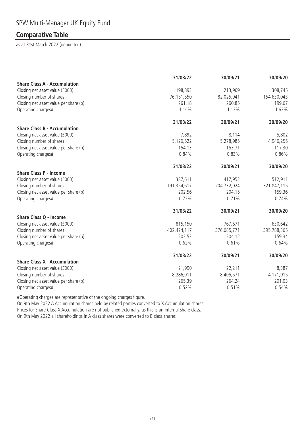### **Comparative Table**

as at 31st March 2022 (unaudited)

|                                       | 31/03/22    | 30/09/21    | 30/09/20    |
|---------------------------------------|-------------|-------------|-------------|
| <b>Share Class A - Accumulation</b>   |             |             |             |
| Closing net asset value (£000)        | 198,893     | 213,969     | 308,745     |
| Closing number of shares              | 76,151,550  | 82,025,941  | 154,630,043 |
| Closing net asset value per share (p) | 261.18      | 260.85      | 199.67      |
| Operating charges#                    | 1.14%       | 1.13%       | 1.63%       |
|                                       | 31/03/22    | 30/09/21    | 30/09/20    |
| <b>Share Class B - Accumulation</b>   |             |             |             |
| Closing net asset value (£000)        | 7,892       | 8,114       | 5,802       |
| Closing number of shares              | 5,120,522   | 5,278,985   | 4,946,255   |
| Closing net asset value per share (p) | 154.13      | 153.71      | 117.30      |
| Operating charges#                    | 0.84%       | 0.83%       | 0.86%       |
|                                       | 31/03/22    | 30/09/21    | 30/09/20    |
| <b>Share Class P - Income</b>         |             |             |             |
| Closing net asset value (£000)        | 387,611     | 417,953     | 512,911     |
| Closing number of shares              | 191,354,617 | 204,732,024 | 321,847,115 |
| Closing net asset value per share (p) | 202.56      | 204.15      | 159.36      |
| Operating charges#                    | 0.72%       | 0.71%       | 0.74%       |
|                                       | 31/03/22    | 30/09/21    | 30/09/20    |
| <b>Share Class Q - Income</b>         |             |             |             |
| Closing net asset value (£000)        | 815,150     | 767,671     | 630,642     |
| Closing number of shares              | 402,474,117 | 376,085,771 | 395,788,365 |
| Closing net asset value per share (p) | 202.53      | 204.12      | 159.34      |
| Operating charges#                    | 0.62%       | 0.61%       | 0.64%       |
|                                       | 31/03/22    | 30/09/21    | 30/09/20    |
| <b>Share Class X - Accumulation</b>   |             |             |             |
| Closing net asset value (£000)        | 21,990      | 22,211      | 8,387       |
| Closing number of shares              | 8,286,011   | 8,405,571   | 4,171,915   |
| Closing net asset value per share (p) | 265.39      | 264.24      | 201.03      |
| Operating charges#                    | 0.52%       | 0.51%       | 0.54%       |

#Operating charges are representative of the ongoing charges figure.

On 9th May 2022 A Accumulation shares held by related parties converted to X Accumulation shares. Prices for Share Class X Accumulation are not published externally, as this is an internal share class. On 9th May 2022 all shareholdings in A class shares were converted to B class shares.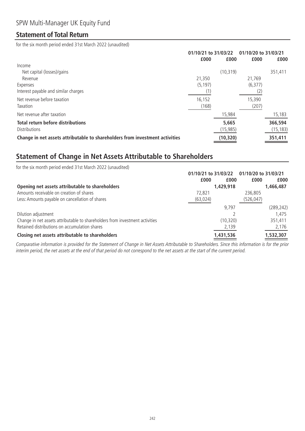### **Statement of Total Return**

for the six month period ended 31st March 2022 (unaudited)

|                                                                              | 01/10/21 to 31/03/22 |           | 01/10/20 to 31/03/21 |           |
|------------------------------------------------------------------------------|----------------------|-----------|----------------------|-----------|
|                                                                              | £000                 | £000      | £000                 | £000      |
| Income                                                                       |                      |           |                      |           |
| Net capital (losses)/gains                                                   |                      | (10, 319) |                      | 351,411   |
| Revenue                                                                      | 21,350               |           | 21.769               |           |
| Expenses                                                                     | (5, 197)             |           | (6, 377)             |           |
| Interest payable and similar charges                                         |                      |           |                      |           |
| Net revenue before taxation                                                  | 16,152               |           | 15,390               |           |
| Taxation                                                                     | (168)                |           | (207)                |           |
| Net revenue after taxation                                                   |                      | 15,984    |                      | 15,183    |
| <b>Total return before distributions</b>                                     |                      | 5,665     |                      | 366,594   |
| <b>Distributions</b>                                                         |                      | (15, 985) |                      | (15, 183) |
| Change in net assets attributable to shareholders from investment activities |                      | (10, 320) |                      | 351,411   |

### **Statement of Change in Net Assets Attributable to Shareholders**

| for the six month period ended 31st March 2022 (unaudited)                   |                      |                      |            |
|------------------------------------------------------------------------------|----------------------|----------------------|------------|
|                                                                              | 01/10/21 to 31/03/22 | 01/10/20 to 31/03/21 |            |
|                                                                              | £000                 | £000<br>£000         | £000       |
| Opening net assets attributable to shareholders                              | 1,429,918            |                      | 1,466,487  |
| Amounts receivable on creation of shares                                     | 72.821               | 236,805              |            |
| Less: Amounts payable on cancellation of shares                              | (63, 024)            | (526,047)            |            |
|                                                                              |                      | 9.797                | (289, 242) |
| Dilution adjustment                                                          |                      |                      | 1.475      |
| Change in net assets attributable to shareholders from investment activities |                      | (10, 320)            | 351,411    |
| Retained distributions on accumulation shares                                |                      | 2,139                | 2,176      |
| Closing net assets attributable to shareholders                              | 1,431,536            |                      | 1,532,307  |

Comparative information is provided for the Statement of Change in Net Assets Attributable to Shareholders. Since this information is for the prior interim period, the net assets at the end of that period do not correspond to the net assets at the start of the current period.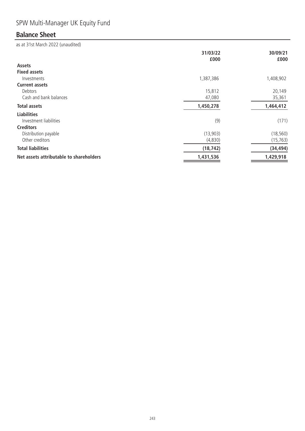# SPW Multi-Manager UK Equity Fund

# **Balance Sheet**

|                                         | 31/03/22<br>£000 | 30/09/21<br>£000 |
|-----------------------------------------|------------------|------------------|
| Assets                                  |                  |                  |
| <b>Fixed assets</b>                     |                  |                  |
| Investments                             | 1,387,386        | 1,408,902        |
| <b>Current assets</b>                   |                  |                  |
| Debtors                                 | 15,812           | 20,149           |
| Cash and bank balances                  | 47,080           | 35,361           |
| <b>Total assets</b>                     | 1,450,278        | 1,464,412        |
| <b>Liabilities</b>                      |                  |                  |
| Investment liabilities                  | (9)              | (171)            |
| <b>Creditors</b>                        |                  |                  |
| Distribution payable                    | (13,903)         | (18, 560)        |
| Other creditors                         | (4,830)          | (15, 763)        |
| <b>Total liabilities</b>                | (18, 742)        | (34, 494)        |
| Net assets attributable to shareholders | 1,431,536        | 1,429,918        |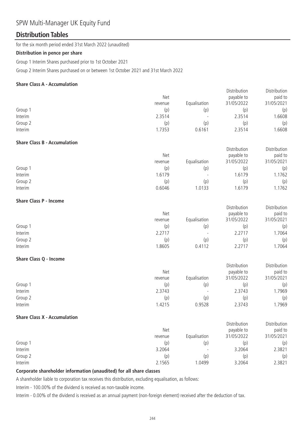### SPW Multi-Manager UK Equity Fund

### **Distribution Tables**

for the six month period ended 31st March 2022 (unaudited)

#### **Distribution in pence per share**

Group 1 Interim Shares purchased prior to 1st October 2021

Group 2 Interim Shares purchased on or between 1st October 2021 and 31st March 2022

#### **Share Class A - Accumulation**

|                                     |         |              | Distribution | Distribution |
|-------------------------------------|---------|--------------|--------------|--------------|
|                                     | Net     |              | payable to   | paid to      |
|                                     | revenue | Equalisation | 31/05/2022   | 31/05/2021   |
| Group 1                             | (p)     | (p)          | (p)          | (p)          |
| Interim                             | 2.3514  |              | 2.3514       | 1.6608       |
| Group 2                             | (p)     | (p)          | (p)          | (p)          |
| Interim                             | 1.7353  | 0.6161       | 2.3514       | 1.6608       |
| <b>Share Class B - Accumulation</b> |         |              |              |              |
|                                     |         |              | Distribution | Distribution |
|                                     | Net     |              | payable to   | paid to      |
|                                     | revenue | Equalisation | 31/05/2022   | 31/05/2021   |
| Group 1                             | (p)     | (p)          | (p)          | (p)          |
| Interim                             | 1.6179  |              | 1.6179       | 1.1762       |
| Group 2                             | (p)     | (p)          | (p)          | (p)          |
| Interim                             | 0.6046  | 1.0133       | 1.6179       | 1.1762       |
| <b>Share Class P - Income</b>       |         |              |              |              |
|                                     |         |              | Distribution | Distribution |
|                                     | Net     |              | payable to   | paid to      |
|                                     | revenue | Equalisation | 31/05/2022   | 31/05/2021   |
| Group 1                             | (p)     | (p)          | (p)          | (p)          |
| Interim                             | 2.2717  |              | 2.2717       | 1.7064       |
| Group 2                             | (p)     | (p)          | (p)          | (p)          |
| Interim                             | 1.8605  | 0.4112       | 2.2717       | 1.7064       |
| Share Class Q - Income              |         |              |              |              |
|                                     |         |              | Distribution | Distribution |
|                                     | Net     |              | payable to   | paid to      |
|                                     | revenue | Equalisation | 31/05/2022   | 31/05/2021   |
| Group 1                             | (p)     | (p)          | (p)          | (p)          |
| Interim                             | 2.3743  |              | 2.3743       | 1.7969       |
| Group 2                             | (p)     | (p)          | (p)          | (p)          |
| Interim                             | 1.4215  | 0.9528       | 2.3743       | 1.7969       |
| <b>Share Class X - Accumulation</b> |         |              |              |              |
|                                     |         |              | Distribution | Distribution |
|                                     | Net     |              | payable to   | paid to      |
|                                     | revenue | Equalisation | 31/05/2022   | 31/05/2021   |
| Group 1                             | (p)     | (p)          | (p)          | (p)          |
| Interim                             | 3.2064  |              | 3.2064       | 2.3821       |
| Group 2                             | (p)     | (p)          | (p)          | (p)          |
| Interim                             | 2.1565  | 1.0499       | 3.2064       | 2.3821       |

#### **Corporate shareholder information (unaudited) for all share classes**

A shareholder liable to corporation tax receives this distribution, excluding equalisation, as follows:

Interim - 100.00% of the dividend is received as non-taxable income.

Interim - 0.00% of the dividend is received as an annual payment (non-foreign element) received after the deduction of tax.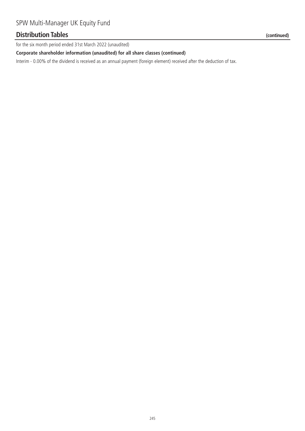### **Distribution Tables (continued)**

for the six month period ended 31st March 2022 (unaudited)

#### **Corporate shareholder information (unaudited) for all share classes (continued)**

Interim - 0.00% of the dividend is received as an annual payment (foreign element) received after the deduction of tax.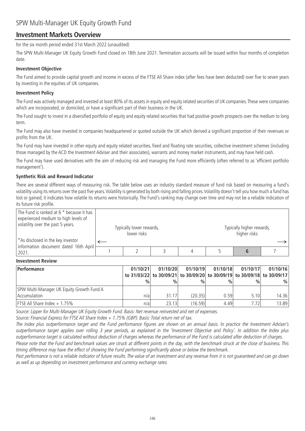### **Investment Markets Overview**

for the six month period ended 31st March 2022 (unaudited)

The SPW Multi-Manager UK Equity Growth Fund closed on 18th June 2021. Termination accounts will be issued within four months of completion date.

#### **Investment Objective**

The Fund aimed to provide capital growth and income in excess of the FTSE All Share index (after fees have been deducted) over five to seven years by investing in the equities of UK companies.

#### **Investment Policy**

The Fund was actively managed and invested at least 80% of its assets in equity and equity related securities of UK companies. These were companies which are incorporated, or domiciled, or have a significant part of their business in the UK.

The Fund sought to invest in a diversified portfolio of equity and equity related securities that had positive growth prospects over the medium to long term.

The Fund may also have invested in companies headquartered or quoted outside the UK which derived a significant proportion of their revenues or profits from the UK.

The Fund may have invested in other equity and equity related securities, fixed and floating rate securities, collective investment schemes (including those managed by the ACD the Investment Adviser and their associates), warrants and money market instruments, and may have held cash.

The Fund may have used derivatives with the aim of reducing risk and managing the Fund more efficiently (often referred to as 'efficient portfolio management').

#### **Synthetic Risk and Reward Indicator**

There are several different ways of measuring risk. The table below uses an industry standard measure of fund risk based on measuring a fund's volatility using its returns over the past five years. Volatility is generated by both rising and falling prices. Volatility doesn't tell you how much a fund has lost or gained; it indicates how volatile its returns were historically. The Fund's ranking may change over time and may not be a reliable indication of its future risk profile.

| The Fund is ranked at 6 * because it has<br>experienced medium to high levels of<br>volatility over the past 5 years.<br>*As disclosed in the key investor | Typically lower rewards,<br>lower risks |  |  |  | Typically higher rewards,<br>higher risks |  |
|------------------------------------------------------------------------------------------------------------------------------------------------------------|-----------------------------------------|--|--|--|-------------------------------------------|--|
|                                                                                                                                                            |                                         |  |  |  |                                           |  |
| information document dated 16th April<br> 2021.                                                                                                            |                                         |  |  |  |                                           |  |

#### **Investment Review**

| Performance                               | 01/10/21 | 01/10/20      | 01/10/19      | 01/10/18 | 01/10/17                                                                | 01/10/16 |
|-------------------------------------------|----------|---------------|---------------|----------|-------------------------------------------------------------------------|----------|
|                                           |          |               |               |          | to 31/03/22 to 30/09/21 to 30/09/20 to 30/09/19 to 30/09/18 to 30/09/17 |          |
|                                           | $\%$     | $\frac{0}{0}$ | $\frac{0}{0}$ | $\%$     | $\frac{0}{0}$                                                           | $\%$     |
| SPW Multi-Manager UK Equity Growth Fund A |          |               |               |          |                                                                         |          |
| Accumulation                              | n/a      | 31.17         | (20.35)       | 0.59     | 5.10                                                                    | 14.36    |
| <b>FTSE All Share Index + 1.75%</b>       | n/a      | 23.13         | (16.59)       | 4.49     | 7.72                                                                    | 13.89    |

Source: Lipper for Multi-Manager UK Equity Growth Fund. Basis: Net revenue reinvested and net of expenses.

Source: Financial Express for FTSE All Share Index + 1.75% (GBP). Basis: Total return net of tax.

The Index plus outperformance target and the Fund performance figures are shown on an annual basis. In practice the Investment Adviser's outperformance target applies over rolling 3 year periods, as explained in the 'Investment Objective and Policy'. In addition the Index plus outperformance target is calculated without deduction of charges whereas the performance of the Fund is calculated after deduction of charges.

Please note that the Fund and benchmark values are struck at different points in the day, with the benchmark struck at the close of business. This timing difference may have the effect of showing the Fund performing significantly above or below the benchmark.

Past performance is not a reliable indicator of future results. The value of an investment and any revenue from it is not guaranteed and can go down as well as up depending on investment performance and currency exchange rates.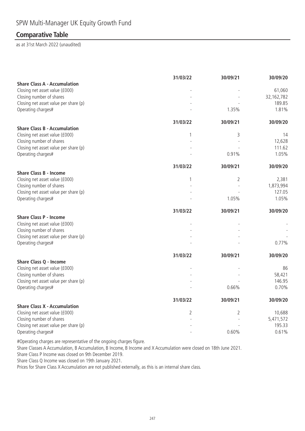### **Comparative Table**

as at 31st March 2022 (unaudited)

|                                                                   | 31/03/22 | 30/09/21                 | 30/09/20             |
|-------------------------------------------------------------------|----------|--------------------------|----------------------|
| <b>Share Class A - Accumulation</b>                               |          |                          |                      |
| Closing net asset value (£000)                                    |          |                          | 61,060               |
| Closing number of shares<br>Closing net asset value per share (p) |          |                          | 32,162,782<br>189.85 |
| Operating charges#                                                |          | 1.35%                    | 1.81%                |
|                                                                   |          |                          |                      |
|                                                                   | 31/03/22 | 30/09/21                 | 30/09/20             |
| <b>Share Class B - Accumulation</b>                               |          |                          |                      |
| Closing net asset value (£000)                                    | 1        | 3                        | 14                   |
| Closing number of shares                                          |          | $\overline{\phantom{a}}$ | 12,628               |
| Closing net asset value per share (p)                             |          |                          | 111.62               |
| Operating charges#                                                |          | 0.91%                    | 1.05%                |
|                                                                   | 31/03/22 | 30/09/21                 | 30/09/20             |
| <b>Share Class B - Income</b>                                     |          |                          |                      |
| Closing net asset value (£000)                                    | 1        | $\overline{2}$           | 2,381                |
| Closing number of shares                                          |          |                          | 1,873,994            |
| Closing net asset value per share (p)                             |          |                          | 127.05               |
| Operating charges#                                                |          | 1.05%                    | 1.05%                |
|                                                                   | 31/03/22 | 30/09/21                 | 30/09/20             |
| <b>Share Class P - Income</b>                                     |          |                          |                      |
| Closing net asset value (£000)                                    |          |                          |                      |
| Closing number of shares                                          |          |                          |                      |
| Closing net asset value per share (p)                             |          |                          |                      |
| Operating charges#                                                |          |                          | 0.77%                |
|                                                                   | 31/03/22 | 30/09/21                 | 30/09/20             |
| <b>Share Class Q - Income</b>                                     |          |                          |                      |
| Closing net asset value (£000)                                    |          |                          | 86                   |
| Closing number of shares                                          |          |                          | 58,421               |
| Closing net asset value per share (p)                             |          |                          | 146.95               |
| Operating charges#                                                |          | 0.66%                    | 0.70%                |
|                                                                   | 31/03/22 | 30/09/21                 | 30/09/20             |
| <b>Share Class X - Accumulation</b>                               |          |                          |                      |
| Closing net asset value (£000)                                    | 2        | $\overline{2}$           | 10,688               |
| Closing number of shares                                          |          |                          | 5,471,572            |
| Closing net asset value per share (p)                             |          |                          | 195.33               |
| Operating charges#                                                |          | 0.60%                    | 0.61%                |

#Operating charges are representative of the ongoing charges figure.

Share Classes A Accumulation, B Accumulation, B Income, B Income and X Accumulation were closed on 18th June 2021.

Share Class P Income was closed on 9th December 2019.

Share Class Q Income was closed on 19th January 2021.

Prices for Share Class X Accumulation are not published externally, as this is an internal share class.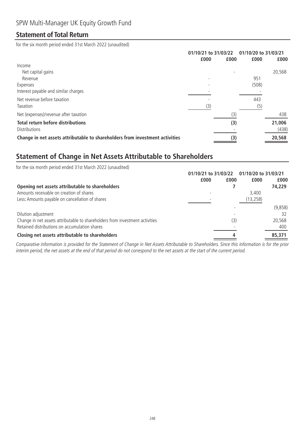### **Statement of Total Return**

for the six month period ended 31st March 2022 (unaudited)

| 01/10/21 to 31/03/22 |      | 01/10/20 to 31/03/21 |        |
|----------------------|------|----------------------|--------|
| £000                 | £000 | £000                 | £000   |
|                      |      |                      |        |
|                      |      |                      | 20,568 |
|                      |      | 951                  |        |
|                      |      | (508)                |        |
|                      |      |                      |        |
|                      |      | 443                  |        |
| (3)                  |      | (5)                  |        |
|                      | (3)  |                      | 438    |
|                      | (3)  |                      | 21,006 |
|                      |      |                      | (438)  |
|                      | (3)  |                      | 20,568 |
|                      |      |                      |        |

### **Statement of Change in Net Assets Attributable to Shareholders**

| for the six month period ended 31st March 2022 (unaudited)                   |                      |      |                      |         |
|------------------------------------------------------------------------------|----------------------|------|----------------------|---------|
|                                                                              | 01/10/21 to 31/03/22 |      | 01/10/20 to 31/03/21 |         |
|                                                                              | £000                 | £000 | £000                 | £000    |
| Opening net assets attributable to shareholders                              |                      |      |                      | 74,229  |
| Amounts receivable on creation of shares                                     |                      |      | 3,400                |         |
| Less: Amounts payable on cancellation of shares                              |                      |      | (13, 258)            |         |
|                                                                              |                      |      |                      | (9,858) |
| Dilution adjustment                                                          |                      |      |                      |         |
| Change in net assets attributable to shareholders from investment activities |                      | (3)  |                      | 20,568  |
| Retained distributions on accumulation shares                                |                      |      |                      | 400     |
| Closing net assets attributable to shareholders                              |                      |      |                      | 85,371  |

Comparative information is provided for the Statement of Change in Net Assets Attributable to Shareholders. Since this information is for the prior interim period, the net assets at the end of that period do not correspond to the net assets at the start of the current period.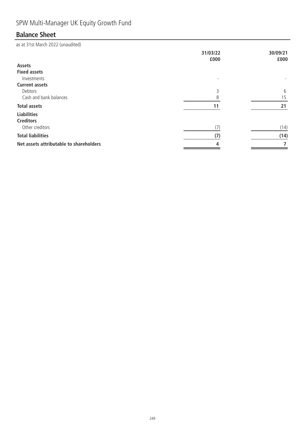# SPW Multi-Manager UK Equity Growth Fund

# **Balance Sheet**

|                                         | 31/03/22<br>£000 | 30/09/21<br>£000 |
|-----------------------------------------|------------------|------------------|
| Assets                                  |                  |                  |
| <b>Fixed assets</b>                     |                  |                  |
| Investments                             |                  |                  |
| <b>Current assets</b>                   |                  |                  |
| Debtors                                 | 3                | 6                |
| Cash and bank balances                  | 8                | 15               |
| <b>Total assets</b>                     | 11               | 21               |
| <b>Liabilities</b>                      |                  |                  |
| <b>Creditors</b>                        |                  |                  |
| Other creditors                         | (7)              | (14)             |
| <b>Total liabilities</b>                | (7)              | (14)             |
| Net assets attributable to shareholders | 4                |                  |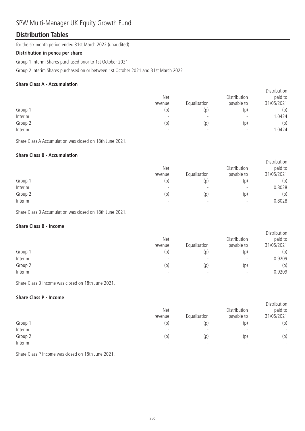### SPW Multi-Manager UK Equity Growth Fund

### **Distribution Tables**

for the six month period ended 31st March 2022 (unaudited)

#### **Distribution in pence per share**

Group 1 Interim Shares purchased prior to 1st October 2021

Group 2 Interim Shares purchased on or between 1st October 2021 and 31st March 2022

#### **Share Class A - Accumulation**

| Net<br>revenue           | Equalisation             | Distribution<br>payable to | <b>DISTRIBUTION</b><br>paid to<br>31/05/2021 |
|--------------------------|--------------------------|----------------------------|----------------------------------------------|
| (p)                      | (p)                      | (p)                        | (p)                                          |
| $\overline{\phantom{0}}$ | $\overline{\phantom{0}}$ | $\overline{\phantom{0}}$   | 1.0424                                       |
| (p)                      | (p)                      | (p)                        | (p)                                          |
| $\overline{\phantom{0}}$ | $\overline{\phantom{a}}$ | $\overline{\phantom{0}}$   | 1.0424                                       |
|                          |                          |                            |                                              |

Distribution

**Distribution** 

Share Class A Accumulation was closed on 18th June 2021.

#### **Share Class B - Accumulation**

|         | <b>Net</b><br>revenue    | Equalisation             | Distribution<br>payable to | Distribution<br>paid to<br>31/05/2021 |
|---------|--------------------------|--------------------------|----------------------------|---------------------------------------|
| Group 1 | (p)                      | (p)                      | (p)                        | (p)                                   |
| Interim |                          | $\overline{\phantom{0}}$ | $\overline{\phantom{0}}$   | 0.8028                                |
| Group 2 | (p)                      | (p)                      | (p)                        | (p)                                   |
| Interim | $\overline{\phantom{0}}$ | $\overline{\phantom{0}}$ | $\overline{\phantom{0}}$   | 0.8028                                |

Share Class B Accumulation was closed on 18th June 2021.

#### **Share Class B - Income**

|         | <b>Net</b><br>revenue    | Equalisation             | Distribution<br>payable to | <b>DISLINGUOIL</b><br>paid to<br>31/05/2021 |
|---------|--------------------------|--------------------------|----------------------------|---------------------------------------------|
|         |                          |                          |                            |                                             |
| Group 1 | (p)                      | (p)                      | (p)                        | (p)                                         |
| Interim | $\overline{\phantom{0}}$ | $\overline{\phantom{0}}$ | $\overline{\phantom{a}}$   | 0.9209                                      |
| Group 2 | (p)                      | (p)                      | (p)                        | (p)                                         |
| Interim | $\overline{\phantom{0}}$ | $\overline{\phantom{0}}$ | $\overline{\phantom{0}}$   | 0.9209                                      |

Share Class B Income was closed on 18th June 2021.

#### **Share Class P - Income**

|         | Net<br>revenue           | Equalisation | Distribution<br>payable to | Distribution<br>paid to<br>31/05/2021 |
|---------|--------------------------|--------------|----------------------------|---------------------------------------|
| Group 1 | (p)                      | (p)          | (p)                        | (p)                                   |
| Interim | $\overline{\phantom{0}}$ |              |                            | $\overline{\phantom{a}}$              |
| Group 2 | (p)                      | (p)          | (p)                        | (p)                                   |
| Interim | $\overline{\phantom{0}}$ |              | $\overline{\phantom{a}}$   | $\overline{\phantom{0}}$              |

Share Class P Income was closed on 18th June 2021.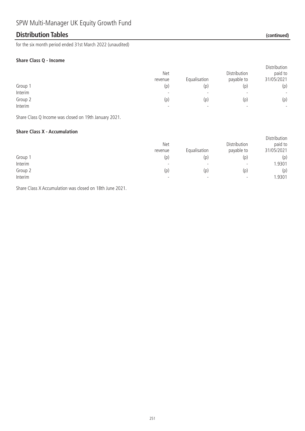### **Distribution Tables (continued)**

for the six month period ended 31st March 2022 (unaudited)

#### **Share Class Q - Income**

|         | Net<br>revenue | Equalisation             | Distribution<br>payable to | Distribution<br>paid to<br>31/05/2021 |
|---------|----------------|--------------------------|----------------------------|---------------------------------------|
| Group 1 | (p)            | (p)                      | (p)                        | (p)                                   |
| Interim |                | $\overline{\phantom{a}}$ | $\overline{\phantom{0}}$   | $\overline{\phantom{a}}$              |
| Group 2 | (p)            | (p)                      | (p)                        | (p)                                   |
| Interim |                | $\overline{\phantom{a}}$ | $\overline{\phantom{0}}$   | $\overline{\phantom{0}}$              |

Share Class Q Income was closed on 19th January 2021.

#### **Share Class X - Accumulation**

|         | <b>Net</b><br>revenue | Equalisation             | Distribution<br>payable to | Distribution<br>paid to<br>31/05/2021 |
|---------|-----------------------|--------------------------|----------------------------|---------------------------------------|
| Group 1 | (p)                   | (p)                      | (p)                        | (p)                                   |
| Interim |                       | $\overline{\phantom{0}}$ | $\overline{\phantom{0}}$   | 1.9301                                |
| Group 2 | (p)                   | (p)                      | (p)                        | (p)                                   |
| Interim | -                     | $\overline{\phantom{0}}$ | $\overline{\phantom{0}}$   | 1.9301                                |

Share Class X Accumulation was closed on 18th June 2021.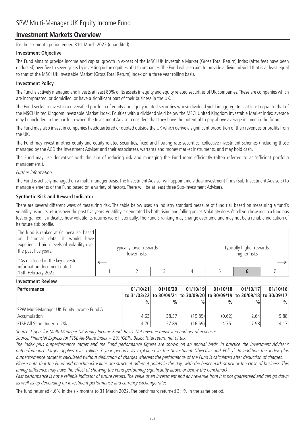### **Investment Markets Overview**

for the six month period ended 31st March 2022 (unaudited)

#### **Investment Objective**

The Fund aims to provide income and capital growth in excess of the MSCI UK Investable Market (Gross Total Return) index (after fees have been deducted) over five to seven years by investing in the equities of UK companies. The Fund will also aim to provide a dividend yield that is at least equal to that of the MSCI UK Investable Market (Gross Total Return) index on a three year rolling basis.

#### **Investment Policy**

The Fund is actively managed and invests at least 80% of its assets in equity and equity related securities of UK companies.These are companies which are incorporated, or domiciled, or have a significant part of their business in the UK.

The Fund seeks to invest in a diversified portfolio of equity and equity related securities whose dividend yield in aggregate is at least equal to that of the MSCI United Kingdom Investable Market index. Equities with a dividend yield below the MSCI United Kingdom Investable Market index average may be included in the portfolio when the Investment Adviser considers that they have the potential to pay above average income in the future.

The Fund may also invest in companies headquartered or quoted outside the UK which derive a significant proportion of their revenues or profits from the UK.

The Fund may invest in other equity and equity related securities, fixed and floating rate securities, collective investment schemes (including those managed by the ACD the Investment Adviser and their associates), warrants and money market instruments, and may hold cash.

The Fund may use derivatives with the aim of reducing risk and managing the Fund more efficiently (often referred to as 'efficient portfolio management').

#### Further information

The Fund is actively managed on a multi-manager basis. The Investment Adviser will appoint individual investment firms (Sub-Investment Advisers) to manage elements of the Fund based on a variety of factors. There will be at least three Sub-Investment Advisers.

#### **Synthetic Risk and Reward Indicator**

There are several different ways of measuring risk. The table below uses an industry standard measure of fund risk based on measuring a fund's volatility using its returns over the past five years.Volatility is generated by both rising and falling prices.Volatility doesn't tell you how much a fund has lost or gained; it indicates how volatile its returns were historically. The Fund's ranking may change over time and may not be a reliable indication of its future risk profile.

| The fund is ranked at 6* because, based<br>on historical data, it would have<br>experienced high levels of volatility over<br>the past five years. | Typically lower rewards,<br>lower risks |  | Typically higher rewards,<br>higher risks |  |
|----------------------------------------------------------------------------------------------------------------------------------------------------|-----------------------------------------|--|-------------------------------------------|--|
| *As disclosed in the key investor<br>information document dated                                                                                    |                                         |  |                                           |  |
| 15th February 2022.                                                                                                                                |                                         |  |                                           |  |

#### **Investment Review**

| Performance                               | 01/10/21      | 01/10/20      | 01/10/19      | 01/10/18      | 01/10/17      | 01/10/16                                                                |
|-------------------------------------------|---------------|---------------|---------------|---------------|---------------|-------------------------------------------------------------------------|
|                                           |               |               |               |               |               | to 31/03/22 to 30/09/21 to 30/09/20 to 30/09/19 to 30/09/18 to 30/09/17 |
|                                           | $\frac{0}{0}$ | $\frac{0}{0}$ | $\frac{0}{0}$ | $\frac{0}{0}$ | $\frac{0}{0}$ | $\frac{0}{0}$                                                           |
| SPW Multi-Manager UK Equity Income Fund A |               |               |               |               |               |                                                                         |
| Accumulation                              | 4.63          | 38.37         | (19.85)       | (0.62)        | 2.64          | 9.88                                                                    |
| <b>FTSE All Share Index + 2%</b>          | 4.70          | 27.89         | (16.59)       | 4.75          | 7.98          | 14.17                                                                   |

Source: Lipper for Multi-Manager UK Equity Income Fund. Basis: Net revenue reinvested and net of expenses.

Source: Financial Express for FTSE All-Share Index + 2% (GBP). Basis: Total return net of tax.

The Index plus outperformance target and the Fund performance figures are shown on an annual basis. In practice the Investment Adviser's outperformance target applies over rolling 3 year periods, as explained in the 'Investment Objective and Policy'. In addition the Index plus outperformance target is calculated without deduction of charges whereas the performance of the Fund is calculated after deduction of charges.

Please note that the Fund and benchmark values are struck at different points in the day, with the benchmark struck at the close of business. This timing difference may have the effect of showing the Fund performing significantly above or below the benchmark.

Past performance is not a reliable indicator of future results. The value of an investment and any revenue from it is not guaranteed and can go down as well as up depending on investment performance and currency exchange rates.

The fund returned 4.6% in the six months to 31 March 2022. The benchmark returned 3.1% in the same period.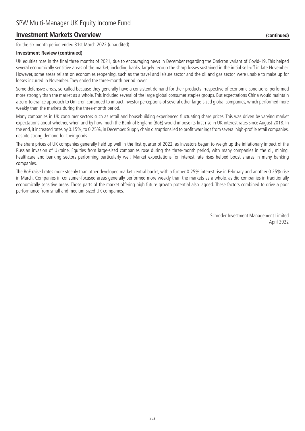### **Investment Markets Overview (continued)**

for the six month period ended 31st March 2022 (unaudited)

#### **Investment Review (continued)**

UK equities rose in the final three months of 2021, due to encouraging news in December regarding the Omicron variant of Covid-19. This helped several economically sensitive areas of the market, including banks, largely recoup the sharp losses sustained in the initial sell-off in late November. However, some areas reliant on economies reopening, such as the travel and leisure sector and the oil and gas sector, were unable to make up for losses incurred in November. They ended the three-month period lower.

Some defensive areas, so-called because they generally have a consistent demand for their products irrespective of economic conditions, performed more strongly than the market as a whole. This included several of the large global consumer staples groups. But expectations China would maintain a zero-tolerance approach to Omicron continued to impact investor perceptions of several other large-sized global companies, which performed more weakly than the markets during the three-month period.

Many companies in UK consumer sectors such as retail and housebuilding experienced fluctuating share prices. This was driven by varying market expectations about whether, when and by how much the Bank of England (BoE) would impose its first rise in UK interest rates since August 2018. In the end, it increased rates by 0.15%, to 0.25%, in December. Supply chain disruptions led to profit warnings from several high-profile retail companies, despite strong demand for their goods.

The share prices of UK companies generally held up well in the first quarter of 2022, as investors began to weigh up the inflationary impact of the Russian invasion of Ukraine. Equities from large-sized companies rose during the three-month period, with many companies in the oil, mining, healthcare and banking sectors performing particularly well. Market expectations for interest rate rises helped boost shares in many banking companies.

The BoE raised rates more steeply than other developed market central banks, with a further 0.25% interest rise in February and another 0.25% rise in March. Companies in consumer-focused areas generally performed more weakly than the markets as a whole, as did companies in traditionally economically sensitive areas. Those parts of the market offering high future growth potential also lagged. These factors combined to drive a poor performance from small and medium-sized UK companies.

> Schroder Investment Management Limited April 2022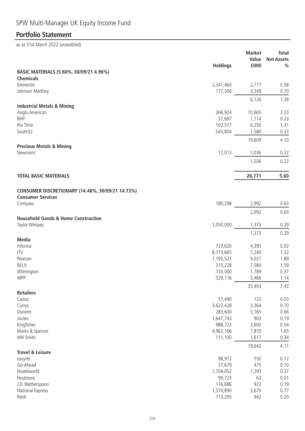# **Portfolio Statement**

| BASIC MATERIALS (5.60%, 30/09/21 4.96%)<br><b>Chemicals</b><br>Elementis<br>2,341,460<br>2,777<br>0.58<br>Johnson Matthey<br>177,300<br>3,349<br>0.70<br>6,126<br>1.28<br><b>Industrial Metals &amp; Mining</b><br>Anglo American<br>266,924<br>10,665<br>2.23<br><b>BHP</b><br>37,687<br>1,114<br>0.23<br>Rio Tinto<br>102,577<br>6,250<br>1.31<br>South32<br>545,804<br>1,580<br>0.33<br>19,609<br>4.10<br><b>Precious Metals &amp; Mining</b><br>17,013<br>1,036<br>0.22<br>Newmont<br>0.22<br>1,036<br>5.60<br><b>TOTAL BASIC MATERIALS</b><br>26,771<br>CONSUMER DISCRETIONARY (14.48%, 30/09/21 14.73%)<br><b>Consumer Services</b><br>Compass<br>180,298<br>2,992<br>0.63<br>2,992<br>0.63<br><b>Household Goods &amp; Home Construction</b><br>Taylor Wimpey<br>1,050,000<br>1,373<br>0.29<br>1,373<br>0.29<br><b>Media</b><br>Informa<br>723,626<br>4,393<br>0.92<br>8,773,665<br><b>ITV</b><br>7,240<br>1.52<br>9,021<br>1.89<br>Pearson<br>1,193,521<br><b>RELX</b><br>315,228<br>7,584<br>1.59<br>Wilmington<br>710,000<br>1,789<br>0.37<br><b>WPP</b><br>5,466<br>529,116<br>1.14<br>35,493<br>7.43<br><b>Retailers</b><br>57,490<br>123<br>0.03<br>Cazoo<br>Currys<br>3,622,428<br>3,364<br>0.70<br>Dunelm<br>283,600<br>3,165<br>0.66<br>Joules<br>903<br>0.19<br>1,647,743<br>Kingfisher<br>2,600<br>988,723<br>0.54<br>Marks & Spencer<br>4,962,166<br>7,870<br>1.65<br><b>WH Smith</b><br>111,100<br>1,617<br>0.34<br>4.11<br>19,642<br><b>Travel &amp; Leisure</b><br>easyJet<br>98,972<br>550<br>0.12<br>Go-Ahead<br>57,679<br>475<br>0.10<br>Hostelworld<br>1,704,052<br>1,293<br>0.27<br>99,723<br>63<br>0.01<br>Hostmore<br>116,686<br>922<br>J.D. Wetherspoon<br>0.19<br>National Express<br>1,570,890<br>3,670<br>0.77<br>Rank<br>713,295<br>0.20<br>942 | <b>Holdings</b> | <b>Market</b><br>Value<br>£000 | <b>Total</b><br><b>Net Assets</b><br>$\frac{0}{0}$ |
|-----------------------------------------------------------------------------------------------------------------------------------------------------------------------------------------------------------------------------------------------------------------------------------------------------------------------------------------------------------------------------------------------------------------------------------------------------------------------------------------------------------------------------------------------------------------------------------------------------------------------------------------------------------------------------------------------------------------------------------------------------------------------------------------------------------------------------------------------------------------------------------------------------------------------------------------------------------------------------------------------------------------------------------------------------------------------------------------------------------------------------------------------------------------------------------------------------------------------------------------------------------------------------------------------------------------------------------------------------------------------------------------------------------------------------------------------------------------------------------------------------------------------------------------------------------------------------------------------------------------------------------------------------------------------------------------------------------------------------------------------------------------------------------|-----------------|--------------------------------|----------------------------------------------------|
|                                                                                                                                                                                                                                                                                                                                                                                                                                                                                                                                                                                                                                                                                                                                                                                                                                                                                                                                                                                                                                                                                                                                                                                                                                                                                                                                                                                                                                                                                                                                                                                                                                                                                                                                                                                   |                 |                                |                                                    |
|                                                                                                                                                                                                                                                                                                                                                                                                                                                                                                                                                                                                                                                                                                                                                                                                                                                                                                                                                                                                                                                                                                                                                                                                                                                                                                                                                                                                                                                                                                                                                                                                                                                                                                                                                                                   |                 |                                |                                                    |
|                                                                                                                                                                                                                                                                                                                                                                                                                                                                                                                                                                                                                                                                                                                                                                                                                                                                                                                                                                                                                                                                                                                                                                                                                                                                                                                                                                                                                                                                                                                                                                                                                                                                                                                                                                                   |                 |                                |                                                    |
|                                                                                                                                                                                                                                                                                                                                                                                                                                                                                                                                                                                                                                                                                                                                                                                                                                                                                                                                                                                                                                                                                                                                                                                                                                                                                                                                                                                                                                                                                                                                                                                                                                                                                                                                                                                   |                 |                                |                                                    |
|                                                                                                                                                                                                                                                                                                                                                                                                                                                                                                                                                                                                                                                                                                                                                                                                                                                                                                                                                                                                                                                                                                                                                                                                                                                                                                                                                                                                                                                                                                                                                                                                                                                                                                                                                                                   |                 |                                |                                                    |
|                                                                                                                                                                                                                                                                                                                                                                                                                                                                                                                                                                                                                                                                                                                                                                                                                                                                                                                                                                                                                                                                                                                                                                                                                                                                                                                                                                                                                                                                                                                                                                                                                                                                                                                                                                                   |                 |                                |                                                    |
|                                                                                                                                                                                                                                                                                                                                                                                                                                                                                                                                                                                                                                                                                                                                                                                                                                                                                                                                                                                                                                                                                                                                                                                                                                                                                                                                                                                                                                                                                                                                                                                                                                                                                                                                                                                   |                 |                                |                                                    |
|                                                                                                                                                                                                                                                                                                                                                                                                                                                                                                                                                                                                                                                                                                                                                                                                                                                                                                                                                                                                                                                                                                                                                                                                                                                                                                                                                                                                                                                                                                                                                                                                                                                                                                                                                                                   |                 |                                |                                                    |
|                                                                                                                                                                                                                                                                                                                                                                                                                                                                                                                                                                                                                                                                                                                                                                                                                                                                                                                                                                                                                                                                                                                                                                                                                                                                                                                                                                                                                                                                                                                                                                                                                                                                                                                                                                                   |                 |                                |                                                    |
|                                                                                                                                                                                                                                                                                                                                                                                                                                                                                                                                                                                                                                                                                                                                                                                                                                                                                                                                                                                                                                                                                                                                                                                                                                                                                                                                                                                                                                                                                                                                                                                                                                                                                                                                                                                   |                 |                                |                                                    |
|                                                                                                                                                                                                                                                                                                                                                                                                                                                                                                                                                                                                                                                                                                                                                                                                                                                                                                                                                                                                                                                                                                                                                                                                                                                                                                                                                                                                                                                                                                                                                                                                                                                                                                                                                                                   |                 |                                |                                                    |
|                                                                                                                                                                                                                                                                                                                                                                                                                                                                                                                                                                                                                                                                                                                                                                                                                                                                                                                                                                                                                                                                                                                                                                                                                                                                                                                                                                                                                                                                                                                                                                                                                                                                                                                                                                                   |                 |                                |                                                    |
|                                                                                                                                                                                                                                                                                                                                                                                                                                                                                                                                                                                                                                                                                                                                                                                                                                                                                                                                                                                                                                                                                                                                                                                                                                                                                                                                                                                                                                                                                                                                                                                                                                                                                                                                                                                   |                 |                                |                                                    |
|                                                                                                                                                                                                                                                                                                                                                                                                                                                                                                                                                                                                                                                                                                                                                                                                                                                                                                                                                                                                                                                                                                                                                                                                                                                                                                                                                                                                                                                                                                                                                                                                                                                                                                                                                                                   |                 |                                |                                                    |
|                                                                                                                                                                                                                                                                                                                                                                                                                                                                                                                                                                                                                                                                                                                                                                                                                                                                                                                                                                                                                                                                                                                                                                                                                                                                                                                                                                                                                                                                                                                                                                                                                                                                                                                                                                                   |                 |                                |                                                    |
|                                                                                                                                                                                                                                                                                                                                                                                                                                                                                                                                                                                                                                                                                                                                                                                                                                                                                                                                                                                                                                                                                                                                                                                                                                                                                                                                                                                                                                                                                                                                                                                                                                                                                                                                                                                   |                 |                                |                                                    |
|                                                                                                                                                                                                                                                                                                                                                                                                                                                                                                                                                                                                                                                                                                                                                                                                                                                                                                                                                                                                                                                                                                                                                                                                                                                                                                                                                                                                                                                                                                                                                                                                                                                                                                                                                                                   |                 |                                |                                                    |
|                                                                                                                                                                                                                                                                                                                                                                                                                                                                                                                                                                                                                                                                                                                                                                                                                                                                                                                                                                                                                                                                                                                                                                                                                                                                                                                                                                                                                                                                                                                                                                                                                                                                                                                                                                                   |                 |                                |                                                    |
|                                                                                                                                                                                                                                                                                                                                                                                                                                                                                                                                                                                                                                                                                                                                                                                                                                                                                                                                                                                                                                                                                                                                                                                                                                                                                                                                                                                                                                                                                                                                                                                                                                                                                                                                                                                   |                 |                                |                                                    |
|                                                                                                                                                                                                                                                                                                                                                                                                                                                                                                                                                                                                                                                                                                                                                                                                                                                                                                                                                                                                                                                                                                                                                                                                                                                                                                                                                                                                                                                                                                                                                                                                                                                                                                                                                                                   |                 |                                |                                                    |
|                                                                                                                                                                                                                                                                                                                                                                                                                                                                                                                                                                                                                                                                                                                                                                                                                                                                                                                                                                                                                                                                                                                                                                                                                                                                                                                                                                                                                                                                                                                                                                                                                                                                                                                                                                                   |                 |                                |                                                    |
|                                                                                                                                                                                                                                                                                                                                                                                                                                                                                                                                                                                                                                                                                                                                                                                                                                                                                                                                                                                                                                                                                                                                                                                                                                                                                                                                                                                                                                                                                                                                                                                                                                                                                                                                                                                   |                 |                                |                                                    |
|                                                                                                                                                                                                                                                                                                                                                                                                                                                                                                                                                                                                                                                                                                                                                                                                                                                                                                                                                                                                                                                                                                                                                                                                                                                                                                                                                                                                                                                                                                                                                                                                                                                                                                                                                                                   |                 |                                |                                                    |
|                                                                                                                                                                                                                                                                                                                                                                                                                                                                                                                                                                                                                                                                                                                                                                                                                                                                                                                                                                                                                                                                                                                                                                                                                                                                                                                                                                                                                                                                                                                                                                                                                                                                                                                                                                                   |                 |                                |                                                    |
|                                                                                                                                                                                                                                                                                                                                                                                                                                                                                                                                                                                                                                                                                                                                                                                                                                                                                                                                                                                                                                                                                                                                                                                                                                                                                                                                                                                                                                                                                                                                                                                                                                                                                                                                                                                   |                 |                                |                                                    |
|                                                                                                                                                                                                                                                                                                                                                                                                                                                                                                                                                                                                                                                                                                                                                                                                                                                                                                                                                                                                                                                                                                                                                                                                                                                                                                                                                                                                                                                                                                                                                                                                                                                                                                                                                                                   |                 |                                |                                                    |
|                                                                                                                                                                                                                                                                                                                                                                                                                                                                                                                                                                                                                                                                                                                                                                                                                                                                                                                                                                                                                                                                                                                                                                                                                                                                                                                                                                                                                                                                                                                                                                                                                                                                                                                                                                                   |                 |                                |                                                    |
|                                                                                                                                                                                                                                                                                                                                                                                                                                                                                                                                                                                                                                                                                                                                                                                                                                                                                                                                                                                                                                                                                                                                                                                                                                                                                                                                                                                                                                                                                                                                                                                                                                                                                                                                                                                   |                 |                                |                                                    |
|                                                                                                                                                                                                                                                                                                                                                                                                                                                                                                                                                                                                                                                                                                                                                                                                                                                                                                                                                                                                                                                                                                                                                                                                                                                                                                                                                                                                                                                                                                                                                                                                                                                                                                                                                                                   |                 |                                |                                                    |
|                                                                                                                                                                                                                                                                                                                                                                                                                                                                                                                                                                                                                                                                                                                                                                                                                                                                                                                                                                                                                                                                                                                                                                                                                                                                                                                                                                                                                                                                                                                                                                                                                                                                                                                                                                                   |                 |                                |                                                    |
|                                                                                                                                                                                                                                                                                                                                                                                                                                                                                                                                                                                                                                                                                                                                                                                                                                                                                                                                                                                                                                                                                                                                                                                                                                                                                                                                                                                                                                                                                                                                                                                                                                                                                                                                                                                   |                 |                                |                                                    |
|                                                                                                                                                                                                                                                                                                                                                                                                                                                                                                                                                                                                                                                                                                                                                                                                                                                                                                                                                                                                                                                                                                                                                                                                                                                                                                                                                                                                                                                                                                                                                                                                                                                                                                                                                                                   |                 |                                |                                                    |
|                                                                                                                                                                                                                                                                                                                                                                                                                                                                                                                                                                                                                                                                                                                                                                                                                                                                                                                                                                                                                                                                                                                                                                                                                                                                                                                                                                                                                                                                                                                                                                                                                                                                                                                                                                                   |                 |                                |                                                    |
|                                                                                                                                                                                                                                                                                                                                                                                                                                                                                                                                                                                                                                                                                                                                                                                                                                                                                                                                                                                                                                                                                                                                                                                                                                                                                                                                                                                                                                                                                                                                                                                                                                                                                                                                                                                   |                 |                                |                                                    |
|                                                                                                                                                                                                                                                                                                                                                                                                                                                                                                                                                                                                                                                                                                                                                                                                                                                                                                                                                                                                                                                                                                                                                                                                                                                                                                                                                                                                                                                                                                                                                                                                                                                                                                                                                                                   |                 |                                |                                                    |
|                                                                                                                                                                                                                                                                                                                                                                                                                                                                                                                                                                                                                                                                                                                                                                                                                                                                                                                                                                                                                                                                                                                                                                                                                                                                                                                                                                                                                                                                                                                                                                                                                                                                                                                                                                                   |                 |                                |                                                    |
|                                                                                                                                                                                                                                                                                                                                                                                                                                                                                                                                                                                                                                                                                                                                                                                                                                                                                                                                                                                                                                                                                                                                                                                                                                                                                                                                                                                                                                                                                                                                                                                                                                                                                                                                                                                   |                 |                                |                                                    |
|                                                                                                                                                                                                                                                                                                                                                                                                                                                                                                                                                                                                                                                                                                                                                                                                                                                                                                                                                                                                                                                                                                                                                                                                                                                                                                                                                                                                                                                                                                                                                                                                                                                                                                                                                                                   |                 |                                |                                                    |
|                                                                                                                                                                                                                                                                                                                                                                                                                                                                                                                                                                                                                                                                                                                                                                                                                                                                                                                                                                                                                                                                                                                                                                                                                                                                                                                                                                                                                                                                                                                                                                                                                                                                                                                                                                                   |                 |                                |                                                    |
|                                                                                                                                                                                                                                                                                                                                                                                                                                                                                                                                                                                                                                                                                                                                                                                                                                                                                                                                                                                                                                                                                                                                                                                                                                                                                                                                                                                                                                                                                                                                                                                                                                                                                                                                                                                   |                 |                                |                                                    |
|                                                                                                                                                                                                                                                                                                                                                                                                                                                                                                                                                                                                                                                                                                                                                                                                                                                                                                                                                                                                                                                                                                                                                                                                                                                                                                                                                                                                                                                                                                                                                                                                                                                                                                                                                                                   |                 |                                |                                                    |
|                                                                                                                                                                                                                                                                                                                                                                                                                                                                                                                                                                                                                                                                                                                                                                                                                                                                                                                                                                                                                                                                                                                                                                                                                                                                                                                                                                                                                                                                                                                                                                                                                                                                                                                                                                                   |                 |                                |                                                    |
|                                                                                                                                                                                                                                                                                                                                                                                                                                                                                                                                                                                                                                                                                                                                                                                                                                                                                                                                                                                                                                                                                                                                                                                                                                                                                                                                                                                                                                                                                                                                                                                                                                                                                                                                                                                   |                 |                                |                                                    |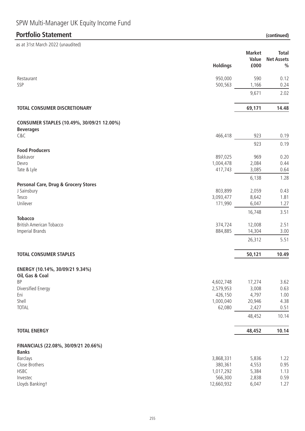# **Portfolio Statement (continued)**

|                                                                | <b>Holdings</b>       | <b>Market</b><br>Value<br>£000 | <b>Total</b><br><b>Net Assets</b><br>$\frac{0}{0}$ |
|----------------------------------------------------------------|-----------------------|--------------------------------|----------------------------------------------------|
| Restaurant                                                     | 950,000               | 590                            | 0.12                                               |
| SSP                                                            | 500,563               | 1,166                          | 0.24                                               |
|                                                                |                       | 9,671                          | 2.02                                               |
| TOTAL CONSUMER DISCRETIONARY                                   |                       | 69,171                         | 14.48                                              |
| CONSUMER STAPLES (10.49%, 30/09/21 12.00%)<br><b>Beverages</b> |                       |                                |                                                    |
| C&C                                                            | 466,418               | 923                            | 0.19                                               |
|                                                                |                       | 923                            | 0.19                                               |
| <b>Food Producers</b>                                          |                       |                                |                                                    |
| Bakkavor                                                       | 897,025               | 969                            | 0.20                                               |
| Devro                                                          | 1,004,478             | 2,084                          | 0.44                                               |
| Tate & Lyle                                                    | 417,743               | 3,085                          | 0.64                                               |
|                                                                |                       | 6,138                          | 1.28                                               |
| Personal Care, Drug & Grocery Stores                           |                       |                                |                                                    |
| J Sainsbury                                                    | 803,899               | 2,059                          | 0.43                                               |
| Tesco                                                          | 3,093,477             | 8,642                          | 1.81                                               |
| Unilever                                                       | 171,990               | 6,047                          | 1.27                                               |
|                                                                |                       | 16,748                         | 3.51                                               |
| <b>Tobacco</b>                                                 |                       |                                |                                                    |
| <b>British American Tobacco</b>                                | 374,724               | 12,008                         | 2.51                                               |
| <b>Imperial Brands</b>                                         | 884,885               | 14,304                         | 3.00                                               |
|                                                                |                       | 26,312                         | 5.51                                               |
| <b>TOTAL CONSUMER STAPLES</b>                                  |                       | 50,121                         | 10.49                                              |
| ENERGY (10.14%, 30/09/21 9.34%)                                |                       |                                |                                                    |
| Oil, Gas & Coal                                                |                       |                                |                                                    |
| ΒP                                                             | 4,602,748             | 17,274                         | 3.62                                               |
| Diversified Energy                                             | 2,579,953             | 3,008                          | 0.63                                               |
| Eni                                                            | 426,150               | 4,797                          | 1.00                                               |
| Shell<br><b>TOTAL</b>                                          | 1,000,040<br>62,080   | 20,946<br>2,427                | 4.38<br>0.51                                       |
|                                                                |                       |                                |                                                    |
|                                                                |                       | 48,452                         | 10.14                                              |
| <b>TOTAL ENERGY</b>                                            |                       | 48,452                         | 10.14                                              |
| FINANCIALS (22.08%, 30/09/21 20.66%)                           |                       |                                |                                                    |
| <b>Banks</b>                                                   |                       |                                |                                                    |
| <b>Barclays</b>                                                | 3,868,331             | 5,836                          | 1.22                                               |
| Close Brothers                                                 | 380,361               | 4,553                          | 0.95                                               |
| HSBC                                                           | 1,017,292             | 5,384                          | 1.13                                               |
| Investec<br>Lloyds Bankingt                                    | 566,300<br>12,660,932 | 2,838<br>6,047                 | 0.59<br>1.27                                       |
|                                                                |                       |                                |                                                    |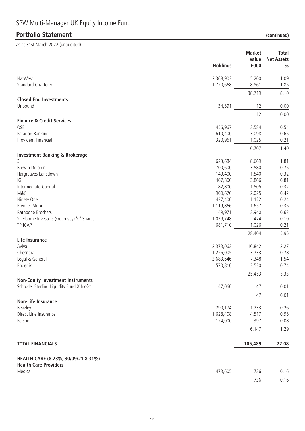# **Portfolio Statement (continued)**

|                                                                                        | <b>Holdings</b> | <b>Market</b><br>Value<br>£000 | <b>Total</b><br><b>Net Assets</b><br>$\frac{0}{0}$ |
|----------------------------------------------------------------------------------------|-----------------|--------------------------------|----------------------------------------------------|
|                                                                                        |                 |                                |                                                    |
| NatWest                                                                                | 2,368,902       | 5,200                          | 1.09                                               |
| <b>Standard Chartered</b>                                                              | 1,720,668       | 8,861                          | 1.85                                               |
|                                                                                        |                 | 38,719                         | 8.10                                               |
| <b>Closed End Investments</b>                                                          |                 |                                |                                                    |
| Unbound                                                                                | 34,591          | 12                             | 0.00                                               |
| <b>Finance &amp; Credit Services</b>                                                   |                 | 12                             | 0.00                                               |
| OSB                                                                                    | 456,967         | 2,584                          | 0.54                                               |
| Paragon Banking                                                                        | 610,400         | 3,098                          | 0.65                                               |
| Provident Financial                                                                    | 320,961         | 1,025                          | 0.21                                               |
|                                                                                        |                 | 6,707                          | 1.40                                               |
| <b>Investment Banking &amp; Brokerage</b>                                              |                 |                                |                                                    |
| 3i                                                                                     | 623,684         | 8,669                          | 1.81                                               |
| <b>Brewin Dolphin</b>                                                                  | 700,600         | 3,580                          | 0.75                                               |
| Hargreaves Lansdown                                                                    | 149,400         | 1,540                          | 0.32                                               |
| IG                                                                                     | 467,800         | 3,866                          | 0.81                                               |
| Intermediate Capital                                                                   | 82,800          | 1,505                          | 0.32                                               |
| M&G                                                                                    | 900,670         | 2,025                          | 0.42                                               |
| Ninety One                                                                             | 437,400         | 1,122                          | 0.24                                               |
| Premier Miton                                                                          | 1,119,866       | 1,657                          | 0.35                                               |
| Rathbone Brothers                                                                      | 149,971         | 2,940                          | 0.62                                               |
| Sherborne Investors (Guernsey) 'C' Shares                                              | 1,039,748       | 474                            | 0.10                                               |
| TP ICAP                                                                                | 681,710         | 1,026                          | 0.21                                               |
|                                                                                        |                 | 28,404                         | 5.95                                               |
| Life Insurance                                                                         |                 |                                |                                                    |
| Aviva                                                                                  | 2,373,062       | 10,842                         | 2.27                                               |
| Chesnara                                                                               | 1,226,005       | 3,733                          | 0.78                                               |
| Legal & General                                                                        | 2,683,646       | 7,348                          | 1.54                                               |
| Phoenix                                                                                | 570,810         | 3,530                          | 0.74                                               |
|                                                                                        |                 | 25,453                         | 5.33                                               |
| <b>Non-Equity Investment Instruments</b><br>Schroder Sterling Liquidity Fund X Inc 0 t | 47,060          | 47                             | 0.01                                               |
|                                                                                        |                 |                                |                                                    |
| <b>Non-Life Insurance</b>                                                              |                 | 47                             | 0.01                                               |
| Beazley                                                                                | 290,174         | 1,233                          | 0.26                                               |
| Direct Line Insurance                                                                  | 1,628,408       | 4,517                          | 0.95                                               |
| Personal                                                                               | 124,000         | 397                            | 0.08                                               |
|                                                                                        |                 | 6,147                          | 1.29                                               |
|                                                                                        |                 |                                |                                                    |
| <b>TOTAL FINANCIALS</b>                                                                |                 | 105,489                        | 22.08                                              |
| HEALTH CARE (8.23%, 30/09/21 8.31%)                                                    |                 |                                |                                                    |
| <b>Health Care Providers</b>                                                           |                 |                                |                                                    |
| Medica                                                                                 | 473,605         | 736                            | 0.16                                               |
|                                                                                        |                 | 736                            | 0.16                                               |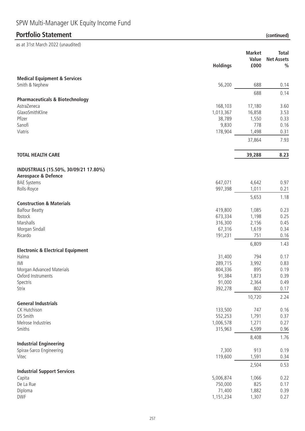as at 31st March 2022 (unaudited)

**Holdings Market Value Net Assets £000 Total % Portfolio Statement (continued)**

| <b>Medical Equipment &amp; Services</b>      |           |                 |              |
|----------------------------------------------|-----------|-----------------|--------------|
| Smith & Nephew                               | 56,200    | 688             | 0.14         |
| <b>Pharmaceuticals &amp; Biotechnology</b>   |           | 688             | 0.14         |
| AstraZeneca                                  | 168,103   | 17,180          | 3.60         |
| GlaxoSmithKline                              | 1,013,367 | 16,858          | 3.53         |
| Pfizer                                       | 38,789    | 1,550           | 0.33         |
| Sanofi                                       | 9,830     | 778             |              |
| Viatris                                      | 178,904   |                 | 0.16         |
|                                              |           | 1,498<br>37,864 | 0.31<br>7.93 |
|                                              |           |                 |              |
| <b>TOTAL HEALTH CARE</b>                     |           | 39,288          | 8.23         |
| INDUSTRIALS (15.50%, 30/09/21 17.80%)        |           |                 |              |
| <b>Aerospace &amp; Defence</b>               |           |                 |              |
| <b>BAE Systems</b>                           | 647,071   | 4,642           | 0.97         |
| Rolls-Royce                                  | 997,398   | 1,011           | 0.21         |
| <b>Construction &amp; Materials</b>          |           | 5,653           | 1.18         |
| <b>Balfour Beatty</b>                        | 419,800   | 1,085           | 0.23         |
| Ibstock                                      | 673,334   | 1,198           | 0.25         |
| Marshalls                                    | 316,300   | 2,156           | 0.45         |
| Morgan Sindall                               | 67,316    | 1,619           | 0.34         |
| Ricardo                                      | 191,231   | 751             | 0.16         |
|                                              |           | 6,809           | 1.43         |
| <b>Electronic &amp; Electrical Equipment</b> |           |                 |              |
| Halma                                        | 31,400    | 794             | 0.17         |
| IMI                                          | 289,715   | 3,992           | 0.83         |
| Morgan Advanced Materials                    | 804,336   | 895             | 0.19         |
| Oxford Instruments                           | 91,384    | 1,873           | 0.39         |
| Spectris                                     | 91,000    | 2,364           | 0.49         |
| Strix                                        | 392,278   | 802             | 0.17         |
|                                              |           | 10,720          | 2.24         |
| <b>General Industrials</b>                   |           |                 |              |
| CK Hutchison                                 | 133,500   | 747             | 0.16         |
| DS Smith                                     | 552,253   | 1,791           | 0.37         |
| Melrose Industries                           | 1,006,578 | 1,271           | 0.27         |
| Smiths                                       | 315,963   | 4,599           | 0.96         |
| <b>Industrial Engineering</b>                |           | 8,408           | 1.76         |
| Spirax-Sarco Engineering                     | 7,300     | 913             | 0.19         |
| Vitec                                        | 119,600   | 1,591           | 0.34         |
|                                              |           | 2,504           | 0.53         |
| <b>Industrial Support Services</b>           |           |                 |              |
| Capita                                       | 5,006,874 | 1,066           | 0.22         |
| De La Rue                                    | 750,000   | 825             | 0.17         |

Diploma 71,400 1,882 0.39 DWF 1,151,234 1,307 0.27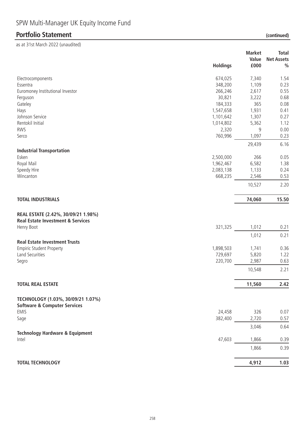# **Portfolio Statement (continued)**

|                                              |                 | <b>Market</b> | <b>Total</b>      |
|----------------------------------------------|-----------------|---------------|-------------------|
|                                              |                 | Value         | <b>Net Assets</b> |
|                                              | <b>Holdings</b> | £000          | $\frac{0}{0}$     |
| Electrocomponents                            | 674,025         | 7,340         | 1.54              |
| Essentra                                     | 348,200         | 1,109         | 0.23              |
| Euromoney Institutional Investor             | 266,246         | 2,617         | 0.55              |
| Ferguson                                     | 30,821          | 3,222         | 0.68              |
| Gateley                                      | 184,333         | 365           | 0.08              |
| Hays                                         | 1,547,658       | 1,931         | 0.41              |
| Johnson Service                              | 1,101,642       | 1,307         | 0.27              |
| Rentokil Initial                             | 1,014,802       | 5,362         | 1.12              |
| <b>RWS</b>                                   | 2,320           | 9             | 0.00              |
| Serco                                        | 760,996         | 1,097         | 0.23              |
|                                              |                 | 29,439        | 6.16              |
| <b>Industrial Transportation</b>             |                 |               |                   |
| Esken                                        | 2,500,000       | 266           | 0.05              |
| Royal Mail                                   | 1,962,467       | 6,582         | 1.38              |
| Speedy Hire                                  | 2,083,138       | 1,133         | 0.24              |
| Wincanton                                    | 668,235         | 2,546         | 0.53              |
|                                              |                 | 10,527        | 2.20              |
| <b>TOTAL INDUSTRIALS</b>                     |                 | 74,060        | 15.50             |
| REAL ESTATE (2.42%, 30/09/21 1.98%)          |                 |               |                   |
| <b>Real Estate Investment &amp; Services</b> |                 |               |                   |
| Henry Boot                                   | 321,325         | 1,012         | 0.21              |
|                                              |                 | 1,012         | 0.21              |
| <b>Real Estate Investment Trusts</b>         |                 |               |                   |
| <b>Empiric Student Property</b>              | 1,898,503       | 1,741         | 0.36              |
| Land Securities                              | 729,697         | 5,820         | 1.22              |
| Segro                                        | 220,700         | 2,987         | 0.63              |
|                                              |                 | 10,548        | 2.21              |
| <b>TOTAL REAL ESTATE</b>                     |                 | 11,560        | 2.42              |
| TECHNOLOGY (1.03%, 30/09/21 1.07%)           |                 |               |                   |
| <b>Software &amp; Computer Services</b>      |                 |               |                   |
| <b>EMIS</b>                                  | 24,458          | 326           | 0.07              |
| Sage                                         | 382,400         | 2,720         | 0.57              |
|                                              |                 | 3,046         | 0.64              |
| <b>Technology Hardware &amp; Equipment</b>   |                 |               |                   |
| Intel                                        | 47,603          | 1,866         | 0.39              |
|                                              |                 | 1,866         | 0.39              |
|                                              |                 |               |                   |
| <b>TOTAL TECHNOLOGY</b>                      |                 | 4,912         | 1.03              |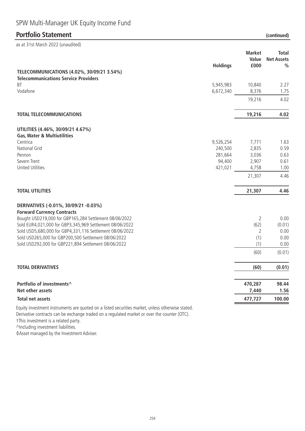# SPW Multi-Manager UK Equity Income Fund

### **Portfolio Statement (continued)**

| as at 31st March 2022 (unaudited)                                                                                  |                        |                                |                                                    |
|--------------------------------------------------------------------------------------------------------------------|------------------------|--------------------------------|----------------------------------------------------|
|                                                                                                                    | <b>Holdings</b>        | <b>Market</b><br>Value<br>£000 | <b>Total</b><br><b>Net Assets</b><br>$\frac{0}{0}$ |
| TELECOMMUNICATIONS (4.02%, 30/09/21 3.54%)                                                                         |                        |                                |                                                    |
| <b>Telecommunications Service Providers</b>                                                                        |                        |                                |                                                    |
| <b>BT</b><br>Vodafone                                                                                              | 5,945,983<br>6,672,340 | 10,840<br>8,376                | 2.27<br>1.75                                       |
|                                                                                                                    |                        | 19,216                         | 4.02                                               |
| <b>TOTAL TELECOMMUNICATIONS</b>                                                                                    |                        | 19,216                         | 4.02                                               |
| UTILITIES (4.46%, 30/09/21 4.67%)                                                                                  |                        |                                |                                                    |
| <b>Gas, Water &amp; Multiutilities</b>                                                                             |                        |                                |                                                    |
| Centrica<br>National Grid                                                                                          | 9,526,254<br>240,500   | 7,771<br>2,835                 | 1.63<br>0.59                                       |
| Pennon                                                                                                             | 281,664                | 3,036                          | 0.63                                               |
| Severn Trent                                                                                                       | 94,400                 | 2,907                          | 0.61                                               |
| <b>United Utilities</b>                                                                                            | 421,021                | 4,758                          | 1.00                                               |
|                                                                                                                    |                        | 21,307                         | 4.46                                               |
| <b>TOTAL UTILITIES</b>                                                                                             |                        | 21,307                         | 4.46                                               |
| DERIVATIVES (-0.01%, 30/09/21 -0.03%)                                                                              |                        |                                |                                                    |
| <b>Forward Currency Contracts</b>                                                                                  |                        |                                | 0.00                                               |
| Bought USD219,000 for GBP165,284 Settlement 08/06/2022<br>Sold EUR4,021,000 for GBP3,345,969 Settlement 08/06/2022 |                        | 2<br>(62)                      | (0.01)                                             |
| Sold USD5,680,000 for GBP4,331,116 Settlement 08/06/2022                                                           |                        | 2                              | 0.00                                               |
| Sold USD265,000 for GBP200,500 Settlement 08/06/2022                                                               |                        | (1)                            | 0.00                                               |
| Sold USD292,000 for GBP221,894 Settlement 08/06/2022                                                               |                        | (1)                            | 0.00                                               |
|                                                                                                                    |                        | (60)                           | (0.01)                                             |
| <b>TOTAL DERIVATIVES</b>                                                                                           |                        | (60)                           | (0.01)                                             |
| Portfolio of investments^                                                                                          |                        | 470,287                        | 98.44                                              |
| Net other assets                                                                                                   |                        | 7,440                          | 1.56                                               |
| <b>Total net assets</b>                                                                                            |                        | 477,727                        | 100.00                                             |
| Equity investment instruments are quoted on a listed securities market, unless otherwise stated.                   |                        |                                |                                                    |

Derivative contracts can be exchange traded on a regulated market or over the counter (OTC).

†This investment is a related party.

^Including investment liabilities.

◊Asset managed by the Investment Adviser.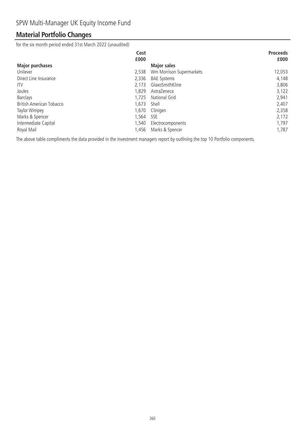# **Material Portfolio Changes**

for the six month period ended 31st March 2022 (unaudited)

|                                 | Cost  |                          | <b>Proceeds</b> |
|---------------------------------|-------|--------------------------|-----------------|
|                                 | £000  |                          | £000            |
| <b>Major purchases</b>          |       | <b>Major sales</b>       |                 |
| Unilever                        | 2,538 | Wm Morrison Supermarkets | 12,053          |
| Direct Line Insurance           | 2,336 | <b>BAE Systems</b>       | 4,148           |
| <b>ITV</b>                      | 2.173 | GlaxoSmithKline          | 3,806           |
| Joules                          | 1.829 | AstraZeneca              | 3,122           |
| <b>Barclays</b>                 | 1,725 | National Grid            | 2,941           |
| <b>British American Tobacco</b> | 1.673 | Shell                    | 2,407           |
| Taylor Wimpey                   | 1.670 | Clinigen                 | 2,358           |
| Marks & Spencer                 | 1.564 | <b>SSE</b>               | 2,172           |
| Intermediate Capital            | 1,540 | Electrocomponents        | 1,797           |
| Royal Mail                      | 1.456 | Marks & Spencer          | 1,787           |

The above table compliments the data provided in the investment managers report by outlining the top 10 Portfolio components.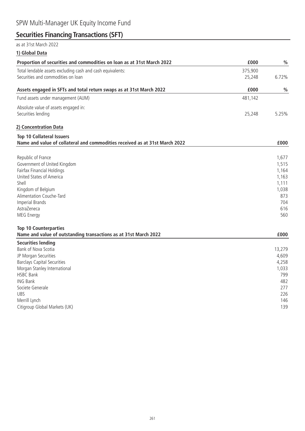# **Securities Financing Transactions (SFT)**

### as at 31st March 2022

**1) Global Data**

| Proportion of securities and commodities on loan as at 31st March 2022      | £000    | $\frac{0}{0}$ |
|-----------------------------------------------------------------------------|---------|---------------|
| Total lendable assets excluding cash and cash equivalents:                  | 375,900 |               |
| Securities and commodities on loan                                          | 25,248  | 6.72%         |
| Assets engaged in SFTs and total return swaps as at 31st March 2022         | £000    | $\frac{0}{0}$ |
| Fund assets under management (AUM)                                          | 481,142 |               |
| Absolute value of assets engaged in:                                        |         |               |
| Securities lending                                                          | 25,248  | 5.25%         |
| 2) Concentration Data                                                       |         |               |
| <b>Top 10 Collateral Issuers</b>                                            |         |               |
| Name and value of collateral and commodities received as at 31st March 2022 |         | £000          |
| Republic of France                                                          |         | 1,677         |
| Government of United Kingdom                                                |         | 1,515         |
| Fairfax Financial Holdings                                                  |         | 1,164         |
| United States of America                                                    |         | 1,163         |
| Shell                                                                       |         | 1,111         |
| Kingdom of Belgium                                                          |         | 1,038         |
| Alimentation Couche-Tard                                                    |         | 873           |
| <b>Imperial Brands</b>                                                      |         | 704           |
| AstraZeneca                                                                 |         | 616           |
| MEG Energy                                                                  |         | 560           |
| <b>Top 10 Counterparties</b>                                                |         |               |
| Name and value of outstanding transactions as at 31st March 2022            |         | £000          |
| <b>Securities lending</b>                                                   |         |               |
| Bank of Nova Scotia                                                         |         | 13,279        |
| JP Morgan Securities                                                        |         | 4,609         |
| <b>Barclays Capital Securities</b>                                          |         | 4,258         |
| Morgan Stanley International                                                |         | 1,033         |
| <b>HSBC Bank</b>                                                            |         | 799           |
| <b>ING Bank</b>                                                             |         | 482           |
| Societe Generale                                                            |         | 277           |
| <b>UBS</b>                                                                  |         | 226           |
| Merrill Lynch                                                               |         | 146           |
| Citigroup Global Markets (UK)                                               |         | 139           |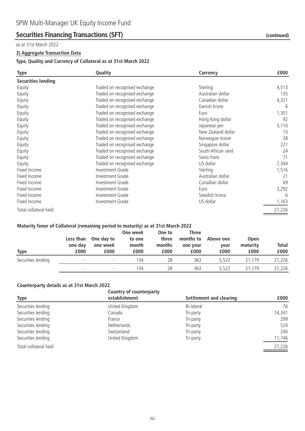### **Securities Financing Transactions (SFT)** *(continued)* (continued)

#### as at 31st March 2022

#### **3) Aggregate Transaction Data**

#### **Type, Quality and Currency of Collateral as at 31st March 2022**

| <b>Type</b>               | Quality<br>Currency           |                    | £000   |
|---------------------------|-------------------------------|--------------------|--------|
| <b>Securities lending</b> |                               |                    |        |
| Equity                    | Traded on recognised exchange | Sterling           | 4,513  |
| Equity                    | Traded on recognised exchange | Australian dollar  | 135    |
| Equity                    | Traded on recognised exchange | Canadian dollar    | 4,321  |
| Equity                    | Traded on recognised exchange | Danish krone       | 6      |
| Equity                    | Traded on recognised exchange | Euro               | 1,301  |
| Equity                    | Traded on recognised exchange | Hong Kong dollar   | 92     |
| Equity                    | Traded on recognised exchange | Japanese yen       | 3,110  |
| Equity                    | Traded on recognised exchange | New Zealand dollar | 13     |
| Equity                    | Traded on recognised exchange | Norwegian krone    | 28     |
| Equity                    | Traded on recognised exchange | Singapore dollar   | 221    |
| Equity                    | Traded on recognised exchange | South African rand | 24     |
| Equity                    | Traded on recognised exchange | Swiss franc        | 71     |
| Equity                    | Traded on recognised exchange | US dollar          | 7,344  |
| Fixed Income              | Investment Grade              | Sterling           | 1,516  |
| Fixed Income              | Investment Grade              | Australian dollar  | 21     |
| Fixed Income              | Investment Grade              | Canadian dollar    | 49     |
| Fixed Income              | Investment Grade              | Euro               | 3,292  |
| Fixed Income              | Investment Grade              | Swedish krona      | 6      |
| Fixed Income              | Investment Grade              | US dollar          | 1,163  |
| Total collateral held     |                               |                    | 27,226 |
|                           |                               |                    |        |

#### **Maturity Tenor of Collateral (remaining period to maturity) as at 31st March 2022**

| <b>Type</b>        | Less than<br>one day<br>£000 | One day to<br>one week<br>£000 | One week<br>to one<br>month<br>£000 | One to<br>three<br>months<br>£000 | <b>Three</b><br>months to<br>one year<br>£000 | Above one<br>year<br>£000 | <b>Open</b><br>maturity<br>£000 | <b>Total</b><br>£000 |
|--------------------|------------------------------|--------------------------------|-------------------------------------|-----------------------------------|-----------------------------------------------|---------------------------|---------------------------------|----------------------|
| Securities lending |                              | $\overline{\phantom{a}}$       | 134                                 | 28                                | 363                                           | 5.522                     | 21.179                          | 27,226               |
|                    | $\overline{\phantom{0}}$     | $\overline{\phantom{a}}$       | 134                                 | 28                                | 363                                           | 5.522                     | 21.179                          | 27,226               |

#### **Counterparty details as at 31st March 2022**

|                       | <b>Country of counterparty</b> |                         |        |
|-----------------------|--------------------------------|-------------------------|--------|
| Type                  | establishment                  | Settlement and clearing | £000   |
| Securities lending    | United Kingdom                 | Bi-lateral              | 76     |
| Securities lending    | Canada                         | Tri-party               | 14,341 |
| Securities lending    | France                         | Tri-party               | 299    |
| Securities lending    | <b>Netherlands</b>             | Tri-party               | 524    |
| Securities lending    | Switzerland                    | Tri-party               | 240    |
| Securities lending    | United Kingdom                 | Tri-party               | 11,746 |
| Total collateral held |                                |                         | 27,226 |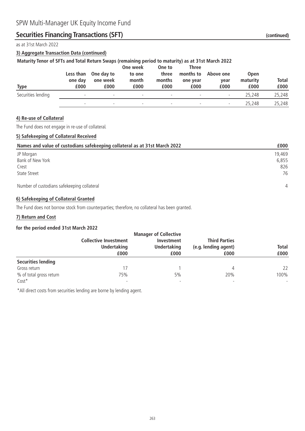### **Securities Financing Transactions (SFT)** *(continued)* (continued)

as at 31st March 2022

### **3) Aggregate Transaction Data (continued)**

### **Maturity Tenor of SFTs and Total Return Swaps (remaining period to maturity) as at 31st March 2022**

| Type               | Less than<br>one day<br>£000 | One day to<br>one week<br>£000 | One week<br>to one<br>month<br>£000 | One to<br>three<br>months<br>£000 | Three<br>months to<br>one year<br>£000 | Above one<br>vear<br>£000 | <b>Open</b><br>maturity<br>£000 | <b>Total</b><br>£000 |
|--------------------|------------------------------|--------------------------------|-------------------------------------|-----------------------------------|----------------------------------------|---------------------------|---------------------------------|----------------------|
| Securities lending | $\overline{\phantom{0}}$     | $\overline{\phantom{a}}$       | $\overline{\phantom{a}}$            | $\overline{\phantom{a}}$          | $\overline{\phantom{a}}$               | $\overline{\phantom{a}}$  | 25,248                          | 25,248               |
|                    | $\overline{\phantom{0}}$     | $\overline{\phantom{0}}$       | $\overline{\phantom{a}}$            | $\overline{\phantom{a}}$          | $\overline{\phantom{0}}$               | $\overline{\phantom{0}}$  | 25,248                          | 25,248               |

### **4) Re-use of Collateral**

The Fund does not engage in re-use of collateral.

### **5) Safekeeping of Collateral Received**

| Names and value of custodians safekeeping collateral as at 31st March 2022 | £000           |
|----------------------------------------------------------------------------|----------------|
| JP Morgan                                                                  | 19,469         |
| Bank of New York                                                           | 6,855          |
| Crest                                                                      | 826            |
| State Street                                                               | 76             |
| Number of custodians safekeeping collateral                                | $\overline{4}$ |

#### **6) Safekeeping of Collateral Granted**

The Fund does not borrow stock from counterparties; therefore, no collateral has been granted.

#### **7) Return and Cost**

#### **for the period ended 31st March 2022**

|                           |                              | <b>Manager of Collective</b> |                              |                      |
|---------------------------|------------------------------|------------------------------|------------------------------|----------------------|
|                           | <b>Collective Investment</b> | Investment                   | <b>Third Parties</b>         |                      |
|                           | <b>Undertaking</b><br>£000   | <b>Undertaking</b><br>£000   | (e.g. lending agent)<br>£000 | <b>Total</b><br>£000 |
|                           |                              |                              |                              |                      |
| <b>Securities lending</b> |                              |                              |                              |                      |
| Gross return              | ' 7                          |                              | 4                            | 22                   |
| % of total gross return   | 75%                          | 5%                           | 20%                          | 100%                 |
| $Cost*$                   | $\overline{\phantom{a}}$     |                              |                              |                      |

\*All direct costs from securities lending are borne by lending agent.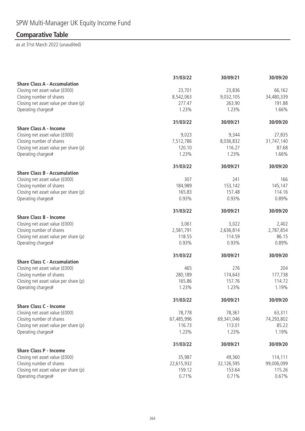# **Comparative Table**

| <b>Share Class A - Accumulation</b><br>Closing net asset value (£000)<br>23,701<br>23,836<br>66,162<br>Closing number of shares<br>8,542,063<br>9,032,105<br>34,480,339<br>Closing net asset value per share (p)<br>277.47<br>263.90<br>191.88<br>Operating charges#<br>1.23%<br>1.23%<br>1.66%<br>30/09/20<br>31/03/22<br>30/09/21<br><b>Share Class A - Income</b><br>Closing net asset value (£000)<br>9,023<br>27,835<br>9,344<br>Closing number of shares<br>7,512,786<br>8,036,832<br>31,747,140<br>Closing net asset value per share (p)<br>116.27<br>120.10<br>87.68<br>1.23%<br>Operating charges#<br>1.23%<br>1.66%<br>31/03/22<br>30/09/20<br>30/09/21<br><b>Share Class B - Accumulation</b><br>Closing net asset value (£000)<br>307<br>241<br>166<br>Closing number of shares<br>184,989<br>153,142<br>145,147<br>Closing net asset value per share (p)<br>165.83<br>157.48<br>114.16<br>0.93%<br>Operating charges#<br>0.93%<br>0.89%<br>30/09/20<br>31/03/22<br>30/09/21<br><b>Share Class B - Income</b><br>Closing net asset value (£000)<br>3,022<br>3,061<br>2,402<br>Closing number of shares<br>2,581,791<br>2,636,814<br>2,787,854<br>Closing net asset value per share (p)<br>86.15<br>118.55<br>114.59<br>Operating charges#<br>0.93%<br>0.93%<br>0.89%<br>30/09/20<br>31/03/22<br>30/09/21<br><b>Share Class C - Accumulation</b><br>276<br>Closing net asset value (£000)<br>465<br>204<br>Closing number of shares<br>280,189<br>174,643<br>177,738<br>Closing net asset value per share (p)<br>165.86<br>157.76<br>114.72<br>Operating charges#<br>1.23%<br>1.23%<br>1.19%<br>31/03/22<br>30/09/21<br>30/09/20<br><b>Share Class C - Income</b><br>Closing net asset value (£000)<br>78,778<br>78,361<br>63,311<br>Closing number of shares<br>67,485,996<br>69,341,046<br>74,293,802<br>Closing net asset value per share (p)<br>113.01<br>85.22<br>116.73<br>Operating charges#<br>1.23%<br>1.23%<br>1.19%<br>30/09/20<br>31/03/22<br>30/09/21<br><b>Share Class P - Income</b><br>Closing net asset value (£000)<br>35,987<br>49,360<br>114,111<br>Closing number of shares<br>22,615,932<br>32,126,595<br>Closing net asset value per share (p)<br>159.12<br>153.64<br>115.26<br>Operating charges#<br>0.71%<br>0.67%<br>0.71% | 31/03/22 | 30/09/21 | 30/09/20 |
|-----------------------------------------------------------------------------------------------------------------------------------------------------------------------------------------------------------------------------------------------------------------------------------------------------------------------------------------------------------------------------------------------------------------------------------------------------------------------------------------------------------------------------------------------------------------------------------------------------------------------------------------------------------------------------------------------------------------------------------------------------------------------------------------------------------------------------------------------------------------------------------------------------------------------------------------------------------------------------------------------------------------------------------------------------------------------------------------------------------------------------------------------------------------------------------------------------------------------------------------------------------------------------------------------------------------------------------------------------------------------------------------------------------------------------------------------------------------------------------------------------------------------------------------------------------------------------------------------------------------------------------------------------------------------------------------------------------------------------------------------------------------------------------------------------------------------------------------------------------------------------------------------------------------------------------------------------------------------------------------------------------------------------------------------------------------------------------------------------------------------------------------------------------------------------------------------------------------------------------------------------------------|----------|----------|----------|
|                                                                                                                                                                                                                                                                                                                                                                                                                                                                                                                                                                                                                                                                                                                                                                                                                                                                                                                                                                                                                                                                                                                                                                                                                                                                                                                                                                                                                                                                                                                                                                                                                                                                                                                                                                                                                                                                                                                                                                                                                                                                                                                                                                                                                                                                 |          |          |          |
|                                                                                                                                                                                                                                                                                                                                                                                                                                                                                                                                                                                                                                                                                                                                                                                                                                                                                                                                                                                                                                                                                                                                                                                                                                                                                                                                                                                                                                                                                                                                                                                                                                                                                                                                                                                                                                                                                                                                                                                                                                                                                                                                                                                                                                                                 |          |          |          |
|                                                                                                                                                                                                                                                                                                                                                                                                                                                                                                                                                                                                                                                                                                                                                                                                                                                                                                                                                                                                                                                                                                                                                                                                                                                                                                                                                                                                                                                                                                                                                                                                                                                                                                                                                                                                                                                                                                                                                                                                                                                                                                                                                                                                                                                                 |          |          |          |
|                                                                                                                                                                                                                                                                                                                                                                                                                                                                                                                                                                                                                                                                                                                                                                                                                                                                                                                                                                                                                                                                                                                                                                                                                                                                                                                                                                                                                                                                                                                                                                                                                                                                                                                                                                                                                                                                                                                                                                                                                                                                                                                                                                                                                                                                 |          |          |          |
|                                                                                                                                                                                                                                                                                                                                                                                                                                                                                                                                                                                                                                                                                                                                                                                                                                                                                                                                                                                                                                                                                                                                                                                                                                                                                                                                                                                                                                                                                                                                                                                                                                                                                                                                                                                                                                                                                                                                                                                                                                                                                                                                                                                                                                                                 |          |          |          |
|                                                                                                                                                                                                                                                                                                                                                                                                                                                                                                                                                                                                                                                                                                                                                                                                                                                                                                                                                                                                                                                                                                                                                                                                                                                                                                                                                                                                                                                                                                                                                                                                                                                                                                                                                                                                                                                                                                                                                                                                                                                                                                                                                                                                                                                                 |          |          |          |
|                                                                                                                                                                                                                                                                                                                                                                                                                                                                                                                                                                                                                                                                                                                                                                                                                                                                                                                                                                                                                                                                                                                                                                                                                                                                                                                                                                                                                                                                                                                                                                                                                                                                                                                                                                                                                                                                                                                                                                                                                                                                                                                                                                                                                                                                 |          |          |          |
|                                                                                                                                                                                                                                                                                                                                                                                                                                                                                                                                                                                                                                                                                                                                                                                                                                                                                                                                                                                                                                                                                                                                                                                                                                                                                                                                                                                                                                                                                                                                                                                                                                                                                                                                                                                                                                                                                                                                                                                                                                                                                                                                                                                                                                                                 |          |          |          |
| 99,006,099                                                                                                                                                                                                                                                                                                                                                                                                                                                                                                                                                                                                                                                                                                                                                                                                                                                                                                                                                                                                                                                                                                                                                                                                                                                                                                                                                                                                                                                                                                                                                                                                                                                                                                                                                                                                                                                                                                                                                                                                                                                                                                                                                                                                                                                      |          |          |          |
|                                                                                                                                                                                                                                                                                                                                                                                                                                                                                                                                                                                                                                                                                                                                                                                                                                                                                                                                                                                                                                                                                                                                                                                                                                                                                                                                                                                                                                                                                                                                                                                                                                                                                                                                                                                                                                                                                                                                                                                                                                                                                                                                                                                                                                                                 |          |          |          |
|                                                                                                                                                                                                                                                                                                                                                                                                                                                                                                                                                                                                                                                                                                                                                                                                                                                                                                                                                                                                                                                                                                                                                                                                                                                                                                                                                                                                                                                                                                                                                                                                                                                                                                                                                                                                                                                                                                                                                                                                                                                                                                                                                                                                                                                                 |          |          |          |
|                                                                                                                                                                                                                                                                                                                                                                                                                                                                                                                                                                                                                                                                                                                                                                                                                                                                                                                                                                                                                                                                                                                                                                                                                                                                                                                                                                                                                                                                                                                                                                                                                                                                                                                                                                                                                                                                                                                                                                                                                                                                                                                                                                                                                                                                 |          |          |          |
|                                                                                                                                                                                                                                                                                                                                                                                                                                                                                                                                                                                                                                                                                                                                                                                                                                                                                                                                                                                                                                                                                                                                                                                                                                                                                                                                                                                                                                                                                                                                                                                                                                                                                                                                                                                                                                                                                                                                                                                                                                                                                                                                                                                                                                                                 |          |          |          |
|                                                                                                                                                                                                                                                                                                                                                                                                                                                                                                                                                                                                                                                                                                                                                                                                                                                                                                                                                                                                                                                                                                                                                                                                                                                                                                                                                                                                                                                                                                                                                                                                                                                                                                                                                                                                                                                                                                                                                                                                                                                                                                                                                                                                                                                                 |          |          |          |
|                                                                                                                                                                                                                                                                                                                                                                                                                                                                                                                                                                                                                                                                                                                                                                                                                                                                                                                                                                                                                                                                                                                                                                                                                                                                                                                                                                                                                                                                                                                                                                                                                                                                                                                                                                                                                                                                                                                                                                                                                                                                                                                                                                                                                                                                 |          |          |          |
|                                                                                                                                                                                                                                                                                                                                                                                                                                                                                                                                                                                                                                                                                                                                                                                                                                                                                                                                                                                                                                                                                                                                                                                                                                                                                                                                                                                                                                                                                                                                                                                                                                                                                                                                                                                                                                                                                                                                                                                                                                                                                                                                                                                                                                                                 |          |          |          |
|                                                                                                                                                                                                                                                                                                                                                                                                                                                                                                                                                                                                                                                                                                                                                                                                                                                                                                                                                                                                                                                                                                                                                                                                                                                                                                                                                                                                                                                                                                                                                                                                                                                                                                                                                                                                                                                                                                                                                                                                                                                                                                                                                                                                                                                                 |          |          |          |
|                                                                                                                                                                                                                                                                                                                                                                                                                                                                                                                                                                                                                                                                                                                                                                                                                                                                                                                                                                                                                                                                                                                                                                                                                                                                                                                                                                                                                                                                                                                                                                                                                                                                                                                                                                                                                                                                                                                                                                                                                                                                                                                                                                                                                                                                 |          |          |          |
|                                                                                                                                                                                                                                                                                                                                                                                                                                                                                                                                                                                                                                                                                                                                                                                                                                                                                                                                                                                                                                                                                                                                                                                                                                                                                                                                                                                                                                                                                                                                                                                                                                                                                                                                                                                                                                                                                                                                                                                                                                                                                                                                                                                                                                                                 |          |          |          |
|                                                                                                                                                                                                                                                                                                                                                                                                                                                                                                                                                                                                                                                                                                                                                                                                                                                                                                                                                                                                                                                                                                                                                                                                                                                                                                                                                                                                                                                                                                                                                                                                                                                                                                                                                                                                                                                                                                                                                                                                                                                                                                                                                                                                                                                                 |          |          |          |
|                                                                                                                                                                                                                                                                                                                                                                                                                                                                                                                                                                                                                                                                                                                                                                                                                                                                                                                                                                                                                                                                                                                                                                                                                                                                                                                                                                                                                                                                                                                                                                                                                                                                                                                                                                                                                                                                                                                                                                                                                                                                                                                                                                                                                                                                 |          |          |          |
|                                                                                                                                                                                                                                                                                                                                                                                                                                                                                                                                                                                                                                                                                                                                                                                                                                                                                                                                                                                                                                                                                                                                                                                                                                                                                                                                                                                                                                                                                                                                                                                                                                                                                                                                                                                                                                                                                                                                                                                                                                                                                                                                                                                                                                                                 |          |          |          |
|                                                                                                                                                                                                                                                                                                                                                                                                                                                                                                                                                                                                                                                                                                                                                                                                                                                                                                                                                                                                                                                                                                                                                                                                                                                                                                                                                                                                                                                                                                                                                                                                                                                                                                                                                                                                                                                                                                                                                                                                                                                                                                                                                                                                                                                                 |          |          |          |
|                                                                                                                                                                                                                                                                                                                                                                                                                                                                                                                                                                                                                                                                                                                                                                                                                                                                                                                                                                                                                                                                                                                                                                                                                                                                                                                                                                                                                                                                                                                                                                                                                                                                                                                                                                                                                                                                                                                                                                                                                                                                                                                                                                                                                                                                 |          |          |          |
|                                                                                                                                                                                                                                                                                                                                                                                                                                                                                                                                                                                                                                                                                                                                                                                                                                                                                                                                                                                                                                                                                                                                                                                                                                                                                                                                                                                                                                                                                                                                                                                                                                                                                                                                                                                                                                                                                                                                                                                                                                                                                                                                                                                                                                                                 |          |          |          |
|                                                                                                                                                                                                                                                                                                                                                                                                                                                                                                                                                                                                                                                                                                                                                                                                                                                                                                                                                                                                                                                                                                                                                                                                                                                                                                                                                                                                                                                                                                                                                                                                                                                                                                                                                                                                                                                                                                                                                                                                                                                                                                                                                                                                                                                                 |          |          |          |
|                                                                                                                                                                                                                                                                                                                                                                                                                                                                                                                                                                                                                                                                                                                                                                                                                                                                                                                                                                                                                                                                                                                                                                                                                                                                                                                                                                                                                                                                                                                                                                                                                                                                                                                                                                                                                                                                                                                                                                                                                                                                                                                                                                                                                                                                 |          |          |          |
|                                                                                                                                                                                                                                                                                                                                                                                                                                                                                                                                                                                                                                                                                                                                                                                                                                                                                                                                                                                                                                                                                                                                                                                                                                                                                                                                                                                                                                                                                                                                                                                                                                                                                                                                                                                                                                                                                                                                                                                                                                                                                                                                                                                                                                                                 |          |          |          |
|                                                                                                                                                                                                                                                                                                                                                                                                                                                                                                                                                                                                                                                                                                                                                                                                                                                                                                                                                                                                                                                                                                                                                                                                                                                                                                                                                                                                                                                                                                                                                                                                                                                                                                                                                                                                                                                                                                                                                                                                                                                                                                                                                                                                                                                                 |          |          |          |
|                                                                                                                                                                                                                                                                                                                                                                                                                                                                                                                                                                                                                                                                                                                                                                                                                                                                                                                                                                                                                                                                                                                                                                                                                                                                                                                                                                                                                                                                                                                                                                                                                                                                                                                                                                                                                                                                                                                                                                                                                                                                                                                                                                                                                                                                 |          |          |          |
|                                                                                                                                                                                                                                                                                                                                                                                                                                                                                                                                                                                                                                                                                                                                                                                                                                                                                                                                                                                                                                                                                                                                                                                                                                                                                                                                                                                                                                                                                                                                                                                                                                                                                                                                                                                                                                                                                                                                                                                                                                                                                                                                                                                                                                                                 |          |          |          |
|                                                                                                                                                                                                                                                                                                                                                                                                                                                                                                                                                                                                                                                                                                                                                                                                                                                                                                                                                                                                                                                                                                                                                                                                                                                                                                                                                                                                                                                                                                                                                                                                                                                                                                                                                                                                                                                                                                                                                                                                                                                                                                                                                                                                                                                                 |          |          |          |
|                                                                                                                                                                                                                                                                                                                                                                                                                                                                                                                                                                                                                                                                                                                                                                                                                                                                                                                                                                                                                                                                                                                                                                                                                                                                                                                                                                                                                                                                                                                                                                                                                                                                                                                                                                                                                                                                                                                                                                                                                                                                                                                                                                                                                                                                 |          |          |          |
|                                                                                                                                                                                                                                                                                                                                                                                                                                                                                                                                                                                                                                                                                                                                                                                                                                                                                                                                                                                                                                                                                                                                                                                                                                                                                                                                                                                                                                                                                                                                                                                                                                                                                                                                                                                                                                                                                                                                                                                                                                                                                                                                                                                                                                                                 |          |          |          |
|                                                                                                                                                                                                                                                                                                                                                                                                                                                                                                                                                                                                                                                                                                                                                                                                                                                                                                                                                                                                                                                                                                                                                                                                                                                                                                                                                                                                                                                                                                                                                                                                                                                                                                                                                                                                                                                                                                                                                                                                                                                                                                                                                                                                                                                                 |          |          |          |
|                                                                                                                                                                                                                                                                                                                                                                                                                                                                                                                                                                                                                                                                                                                                                                                                                                                                                                                                                                                                                                                                                                                                                                                                                                                                                                                                                                                                                                                                                                                                                                                                                                                                                                                                                                                                                                                                                                                                                                                                                                                                                                                                                                                                                                                                 |          |          |          |
|                                                                                                                                                                                                                                                                                                                                                                                                                                                                                                                                                                                                                                                                                                                                                                                                                                                                                                                                                                                                                                                                                                                                                                                                                                                                                                                                                                                                                                                                                                                                                                                                                                                                                                                                                                                                                                                                                                                                                                                                                                                                                                                                                                                                                                                                 |          |          |          |
|                                                                                                                                                                                                                                                                                                                                                                                                                                                                                                                                                                                                                                                                                                                                                                                                                                                                                                                                                                                                                                                                                                                                                                                                                                                                                                                                                                                                                                                                                                                                                                                                                                                                                                                                                                                                                                                                                                                                                                                                                                                                                                                                                                                                                                                                 |          |          |          |
|                                                                                                                                                                                                                                                                                                                                                                                                                                                                                                                                                                                                                                                                                                                                                                                                                                                                                                                                                                                                                                                                                                                                                                                                                                                                                                                                                                                                                                                                                                                                                                                                                                                                                                                                                                                                                                                                                                                                                                                                                                                                                                                                                                                                                                                                 |          |          |          |
|                                                                                                                                                                                                                                                                                                                                                                                                                                                                                                                                                                                                                                                                                                                                                                                                                                                                                                                                                                                                                                                                                                                                                                                                                                                                                                                                                                                                                                                                                                                                                                                                                                                                                                                                                                                                                                                                                                                                                                                                                                                                                                                                                                                                                                                                 |          |          |          |
|                                                                                                                                                                                                                                                                                                                                                                                                                                                                                                                                                                                                                                                                                                                                                                                                                                                                                                                                                                                                                                                                                                                                                                                                                                                                                                                                                                                                                                                                                                                                                                                                                                                                                                                                                                                                                                                                                                                                                                                                                                                                                                                                                                                                                                                                 |          |          |          |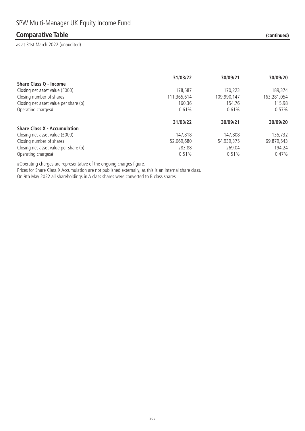### **Comparative Table (continued)**

as at 31st March 2022 (unaudited)

|                                       | 31/03/22    | 30/09/21    | 30/09/20    |
|---------------------------------------|-------------|-------------|-------------|
| Share Class Q - Income                |             |             |             |
| Closing net asset value (£000)        | 178,587     | 170.223     | 189,374     |
| Closing number of shares              | 111,365,614 | 109,990,147 | 163,281,054 |
| Closing net asset value per share (p) | 160.36      | 154.76      | 115.98      |
| Operating charges#                    | 0.61%       | 0.61%       | 0.57%       |
|                                       | 31/03/22    | 30/09/21    | 30/09/20    |
| <b>Share Class X - Accumulation</b>   |             |             |             |
| Closing net asset value (£000)        | 147,818     | 147,808     | 135,732     |
| Closing number of shares              | 52,069,680  | 54,939,375  | 69,879,543  |
| Closing net asset value per share (p) | 283.88      | 269.04      | 194.24      |
| Operating charges#                    | 0.51%       | 0.51%       | $0.47\%$    |

#Operating charges are representative of the ongoing charges figure.

Prices for Share Class X Accumulation are not published externally, as this is an internal share class. On 9th May 2022 all shareholdings in A class shares were converted to B class shares.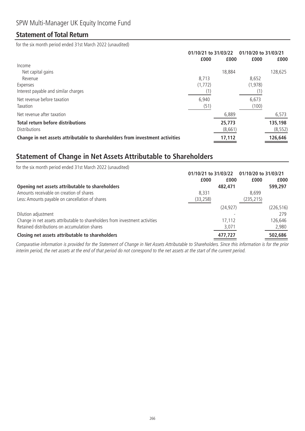### **Statement of Total Return**

for the six month period ended 31st March 2022 (unaudited)

|                                                                              | 01/10/21 to 31/03/22 |         | 01/10/20 to 31/03/21 |          |
|------------------------------------------------------------------------------|----------------------|---------|----------------------|----------|
|                                                                              | £000                 | £000    | £000                 | £000     |
| Income                                                                       |                      |         |                      |          |
| Net capital gains                                                            |                      | 18,884  |                      | 128,625  |
| Revenue                                                                      | 8.713                |         | 8,652                |          |
| Expenses                                                                     | (1, 772)             |         | (1, 978)             |          |
| Interest payable and similar charges                                         | (1)                  |         |                      |          |
| Net revenue before taxation                                                  | 6,940                |         | 6,673                |          |
| Taxation                                                                     | (51)                 |         | (100)                |          |
| Net revenue after taxation                                                   |                      | 6,889   |                      | 6,573    |
| <b>Total return before distributions</b>                                     |                      | 25,773  |                      | 135,198  |
| <b>Distributions</b>                                                         |                      | (8,661) |                      | (8, 552) |
| Change in net assets attributable to shareholders from investment activities |                      | 17,112  |                      | 126,646  |

# **Statement of Change in Net Assets Attributable to Shareholders**

| for the six month period ended 31st March 2022 (unaudited)                   |                      |           |                      |            |
|------------------------------------------------------------------------------|----------------------|-----------|----------------------|------------|
|                                                                              | 01/10/21 to 31/03/22 |           | 01/10/20 to 31/03/21 |            |
|                                                                              | £000                 | £000      | £000                 | £000       |
| Opening net assets attributable to shareholders                              |                      | 482,471   |                      | 599,297    |
| Amounts receivable on creation of shares                                     | 8.331                |           | 8.699                |            |
| Less: Amounts payable on cancellation of shares                              | (33, 258)            |           | (235,215)            |            |
|                                                                              |                      | (24, 927) |                      | (226, 516) |
| Dilution adjustment                                                          |                      |           |                      | 279        |
| Change in net assets attributable to shareholders from investment activities |                      | 17.112    |                      | 126,646    |
| Retained distributions on accumulation shares                                |                      | 3,071     |                      | 2,980      |
| Closing net assets attributable to shareholders                              |                      | 477.727   |                      | 502,686    |

Comparative information is provided for the Statement of Change in Net Assets Attributable to Shareholders. Since this information is for the prior interim period, the net assets at the end of that period do not correspond to the net assets at the start of the current period.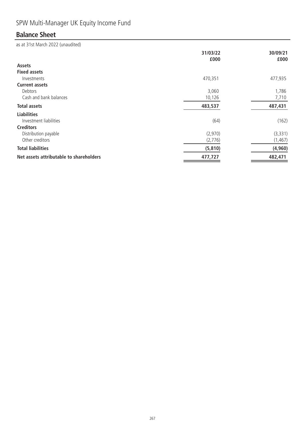# SPW Multi-Manager UK Equity Income Fund

# **Balance Sheet**

|                                         | 31/03/22<br>£000 | 30/09/21<br>£000 |
|-----------------------------------------|------------------|------------------|
| Assets                                  |                  |                  |
| <b>Fixed assets</b>                     |                  |                  |
| Investments                             | 470,351          | 477,935          |
| <b>Current assets</b>                   |                  |                  |
| Debtors                                 | 3,060            | 1,786            |
| Cash and bank balances                  | 10,126           | 7,710            |
| <b>Total assets</b>                     | 483,537          | 487,431          |
| <b>Liabilities</b>                      |                  |                  |
| Investment liabilities                  | (64)             | (162)            |
| <b>Creditors</b>                        |                  |                  |
| Distribution payable                    | (2,970)          | (3, 331)         |
| Other creditors                         | (2,776)          | (1, 467)         |
| <b>Total liabilities</b>                | (5, 810)         | (4, 960)         |
| Net assets attributable to shareholders | 477,727          | 482,471          |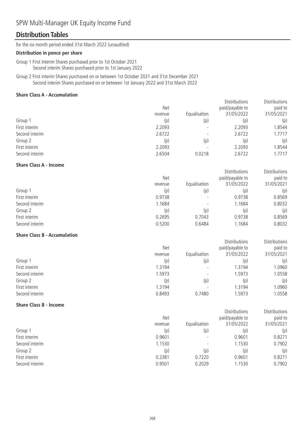# SPW Multi-Manager UK Equity Income Fund

### **Distribution Tables**

for the six month period ended 31st March 2022 (unaudited)

#### **Distribution in pence per share**

Group 1 First interim Shares purchased prior to 1st October 2021 Second interim Shares purchased prior to 1st January 2022

Group 2 First interim Shares purchased on or between 1st October 2021 and 31st December 2021 Second interim Shares purchased on or between 1st January 2022 and 31st March 2022

#### **Share Class A - Accumulation**

|                | <b>Net</b> |              | <b>Distributions</b><br>paid/payable to | Distributions<br>paid to |
|----------------|------------|--------------|-----------------------------------------|--------------------------|
|                | revenue    | Equalisation | 31/05/2022                              | 31/05/2021               |
| Group 1        | (p)        | (p)          | (p)                                     | (p)                      |
| First interim  | 2.2093     |              | 2.2093                                  | 1.8544                   |
| Second interim | 2.6722     |              | 2.6722                                  | 1.7717                   |
| Group 2        | (p)        | (p)          | (p)                                     | (p)                      |
| First interim  | 2.2093     |              | 2.2093                                  | .8544                    |
| Second interim | 2.6504     | 0.0218       | 2.6722                                  | .7717                    |

#### **Share Class A - Income**

|                | <b>Net</b> |                          |            | paid to    |
|----------------|------------|--------------------------|------------|------------|
|                | revenue    | Equalisation             | 31/05/2022 | 31/05/2021 |
| Group 1        | (p)        | (p)                      | (p)        | (p)        |
| First interim  | 0.9738     | $\overline{\phantom{0}}$ | 0.9738     | 0.8569     |
| Second interim | 1.1684     |                          | .1684      | 0.8032     |
| Group 2        | (p)        | (p)                      | (p)        | (p)        |
| First interim  | 0.2695     | 0.7043                   | 0.9738     | 0.8569     |
| Second interim | 0.5200     | 0.6484                   | .1684      | 0.8032     |

Distributions

**Distributions** 

Distributions

Distributions

Distributions

Distributions

#### **Share Class B - Accumulation**

|                | <b>Net</b> |                          | paid/payable to | paid to    |
|----------------|------------|--------------------------|-----------------|------------|
|                | revenue    | Equalisation             | 31/05/2022      | 31/05/2021 |
| Group 1        | (p)        | (p)                      | (p)             | (p)        |
| First interim  | 1.3194     |                          | 1.3194          | 1.0960     |
| Second interim | 1.5973     |                          | 1.5973          | 1.0558     |
| Group 2        | (p)        | (p)                      | (p)             | (p)        |
| First interim  | 1.3194     | $\overline{\phantom{a}}$ | 1.3194          | 1.0960     |
| Second interim | 0.8493     | 0.7480                   | 1.5973          | 1.0558     |

#### **Share Class B - Income**

|                | Net     |                          | paid/payable to | paid to    |
|----------------|---------|--------------------------|-----------------|------------|
|                | revenue | Equalisation             | 31/05/2022      | 31/05/2021 |
| Group 1        | (p)     | (p)                      | (p)             | (p)        |
| First interim  | 0.9601  | $\overline{\phantom{0}}$ | 0.9601          | 0.8271     |
| Second interim | 1.1530  | $\overline{\phantom{a}}$ | 1.1530          | 0.7902     |
| Group 2        | (p)     | (p)                      | (p)             | (p)        |
| First interim  | 0.2381  | 0.7220                   | 0.9601          | 0.8271     |
| Second interim | 0.9501  | 0.2029                   | 1.1530          | 0.7902     |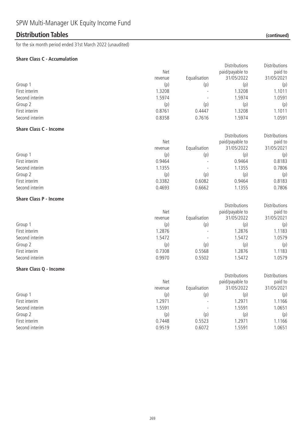### **Distribution Tables (continued)**

for the six month period ended 31st March 2022 (unaudited)

#### **Share Class C - Accumulation**

|                                 |                  |                  | Distributions                 | Distributions         |
|---------------------------------|------------------|------------------|-------------------------------|-----------------------|
|                                 | Net              |                  | paid/payable to               | paid to               |
|                                 | revenue          | Equalisation     | 31/05/2022                    | 31/05/2021            |
| Group 1                         | (p)              | (p)              | (p)                           | (p)                   |
| First interim                   | 1.3208           |                  | 1.3208                        | 1.1011                |
| Second interim                  | 1.5974           |                  | 1.5974                        | 1.0591                |
| Group 2                         | (p)              | (p)              | (p)                           | (p)                   |
| First interim                   | 0.8761           | 0.4447           | 1.3208                        | 1.1011                |
| Second interim                  | 0.8358           | 0.7616           | 1.5974                        | 1.0591                |
| <b>Share Class C - Income</b>   |                  |                  |                               |                       |
|                                 |                  |                  | Distributions                 | <b>Distributions</b>  |
|                                 | Net              |                  | paid/payable to               | paid to               |
|                                 | revenue          | Equalisation     | 31/05/2022                    | 31/05/2021            |
| Group 1                         | (p)              | (p)              | (p)                           | (p)                   |
| First interim                   | 0.9464           |                  | 0.9464                        | 0.8183                |
| Second interim                  | 1.1355           |                  | 1.1355                        | 0.7806                |
| Group 2                         | (p)              | (p)              | (p)                           | (p)                   |
| First interim                   | 0.3382           | 0.6082           | 0.9464                        | 0.8183                |
| Second interim                  | 0.4693           | 0.6662           | 1.1355                        | 0.7806                |
| <b>Share Class P - Income</b>   |                  |                  |                               |                       |
|                                 |                  |                  | Distributions                 | Distributions         |
|                                 | Net              |                  | paid/payable to               | paid to               |
|                                 | revenue          | Equalisation     | 31/05/2022                    | 31/05/2021            |
| Group 1                         | (p)              | (p)              | (p)                           | (p)                   |
| First interim                   | 1.2876           |                  | 1.2876                        | 1.1183                |
| Second interim                  | 1.5472           |                  | 1.5472                        | 1.0579                |
| Group 2                         | (p)              | (p)              | (p)                           | (p)                   |
| First interim                   | 0.7308           | 0.5568           | 1.2876                        | 1.1183                |
| Second interim                  | 0.9970           | 0.5502           | 1.5472                        | 1.0579                |
| <b>Share Class Q - Income</b>   |                  |                  |                               |                       |
|                                 |                  |                  |                               |                       |
|                                 |                  |                  |                               |                       |
|                                 | Net              |                  | Distributions                 | Distributions         |
|                                 | revenue          |                  | paid/payable to<br>31/05/2022 | paid to<br>31/05/2021 |
|                                 |                  | Equalisation     |                               |                       |
| Group 1                         | (p)              | (p)              | (p)                           | (p)                   |
| First interim                   | 1.2971           |                  | 1.2971                        | 1.1166                |
| Second interim                  | 1.5591           |                  | 1.5591                        | 1.0651                |
| Group 2                         | (p)              | (p)              | (p)                           | (p)                   |
| First interim<br>Second interim | 0.7448<br>0.9519 | 0.5523<br>0.6072 | 1.2971<br>1.5591              | 1.1166<br>1.0651      |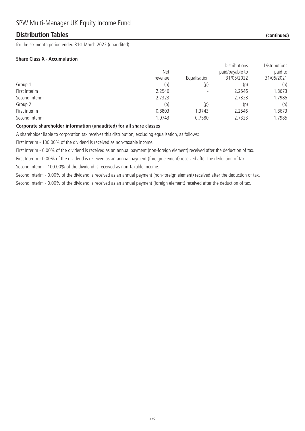### **Distribution Tables (continued)**

for the six month period ended 31st March 2022 (unaudited)

#### **Share Class X - Accumulation**

|                |            |              | <b>Distributions</b> | Distributions |
|----------------|------------|--------------|----------------------|---------------|
|                | <b>Net</b> |              | paid/payable to      | paid to       |
|                | revenue    | Equalisation | 31/05/2022           | 31/05/2021    |
| Group 1        | (p)        | (p)          | (p)                  | (p)           |
| First interim  | 2.2546     |              | 2.2546               | 1.8673        |
| Second interim | 2.7323     |              | 2.7323               | 1.7985        |
| Group 2        | (p)        | (p)          | (p)                  | (p)           |
| First interim  | 0.8803     | 1.3743       | 2.2546               | 1.8673        |
| Second interim | 1.9743     | 0.7580       | 2.7323               | 1.7985        |
|                |            |              |                      |               |

#### **Corporate shareholder information (unaudited) for all share classes**

A shareholder liable to corporation tax receives this distribution, excluding equalisation, as follows:

First Interim - 100.00% of the dividend is received as non-taxable income.

First Interim - 0.00% of the dividend is received as an annual payment (non-foreign element) received after the deduction of tax.

First Interim - 0.00% of the dividend is received as an annual payment (foreign element) received after the deduction of tax.

Second interim - 100.00% of the dividend is received as non-taxable income.

Second Interim - 0.00% of the dividend is received as an annual payment (non-foreign element) received after the deduction of tax. Second Interim - 0.00% of the dividend is received as an annual payment (foreign element) received after the deduction of tax.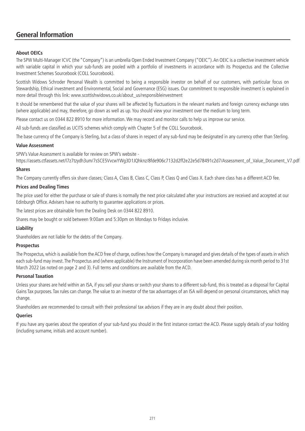### **General Information**

#### **About OEICs**

The SPW Multi-Manager ICVC (the "Company") is an umbrella Open Ended Investment Company ("OEIC"). An OEIC is a collective investment vehicle with variable capital in which your sub-funds are pooled with a portfolio of investments in accordance with its Prospectus and the Collective Investment Schemes Sourcebook (COLL Sourcebook).

Scottish Widows Schroder Personal Wealth is committed to being a responsible investor on behalf of our customers, with particular focus on Stewardship, Ethical investment and Environmental, Social and Governance (ESG) issues. Our commitment to responsible investment is explained in more detail through this link: www.scottishwidows.co.uk/about\_us/responsibleinvestment

It should be remembered that the value of your shares will be affected by fluctuations in the relevant markets and foreign currency exchange rates (where applicable) and may, therefore, go down as well as up. You should view your investment over the medium to long term.

Please contact us on 0344 822 8910 for more information. We may record and monitor calls to help us improve our service.

All sub-funds are classified as UCITS schemes which comply with Chapter 5 of the COLL Sourcebook.

The base currency of the Company is Sterling, but a class of shares in respect of any sub-fund may be designated in any currency other than Sterling.

#### **Value Assessment**

SPW's Value Assessment is available for review on SPW's website -

https://assets.ctfassets.net/l7z7tzydh3um/7sSCE5VvcwYWg3D1JQhknz/8fde906c7132d2ff2e22e5d78491c2d7/Assessment\_of\_Value\_Document\_V7.pdf

#### **Shares**

The Company currently offers six share classes; Class A, Class B, Class C, Class P, Class Q and Class X. Each share class has a different ACD fee.

#### **Prices and Dealing Times**

The price used for either the purchase or sale of shares is normally the next price calculated after your instructions are received and accepted at our Edinburgh Office. Advisers have no authority to guarantee applications or prices.

The latest prices are obtainable from the Dealing Desk on 0344 822 8910.

Shares may be bought or sold between 9:00am and 5:30pm on Mondays to Fridays inclusive.

#### **Liability**

Shareholders are not liable for the debts of the Company.

#### **Prospectus**

The Prospectus, which is available from the ACD free of charge, outlines how the Company is managed and gives details of the types of assets in which each sub-fund may invest.The Prospectus and (where applicable) the Instrument of Incorporation have been amended during six month period to 31st March 2022 (as noted on page 2 and 3). Full terms and conditions are available from the ACD.

#### **Personal Taxation**

Unless your shares are held within an ISA, if you sell your shares or switch your shares to a different sub-fund, this is treated as a disposal for Capital Gains Tax purposes. Tax rules can change. The value to an investor of the tax advantages of an ISA will depend on personal circumstances, which may change.

Shareholders are recommended to consult with their professional tax advisors if they are in any doubt about their position.

#### **Queries**

If you have any queries about the operation of your sub-fund you should in the first instance contact the ACD. Please supply details of your holding (including surname, initials and account number).